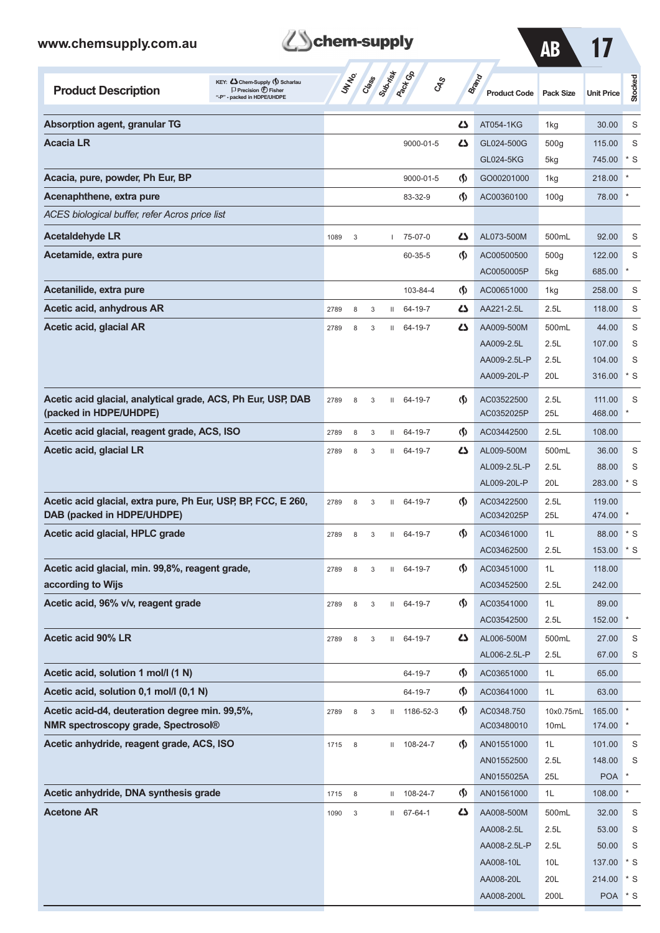| www.chemsupply.com.au                                                                                                                 | chem-supply |                           |       | AB           | 17                           |                                    |                                     |                   |                   |           |
|---------------------------------------------------------------------------------------------------------------------------------------|-------------|---------------------------|-------|--------------|------------------------------|------------------------------------|-------------------------------------|-------------------|-------------------|-----------|
| KEY: <>> Chem-Supply (\) Scharlau<br><b>Product Description</b><br>$\Box$ Precision $\bigoplus$ Fisher<br>"-P" - packed in HDPE/UHDPE |             | UN NO.                    | Class | Submish      | <b>Pack</b> Ga<br><b>CAS</b> |                                    | <b>Brand</b><br><b>Product Code</b> | <b>Pack Size</b>  | <b>Unit Price</b> | Stocked   |
| Absorption agent, granular TG                                                                                                         |             |                           |       |              |                              | دے                                 | AT054-1KG                           | 1kg               | 30.00             | S         |
| <b>Acacia LR</b>                                                                                                                      |             |                           |       |              | 9000-01-5                    | دے                                 | GL024-500G                          | 500g              | 115.00            | S         |
|                                                                                                                                       |             |                           |       |              |                              |                                    | GL024-5KG                           | 5kg               | 745.00            | * S       |
| Acacia, pure, powder, Ph Eur, BP                                                                                                      |             |                           |       |              | 9000-01-5                    | $\langle \mathsf{S} \rangle$       | GO00201000                          | 1kg               | 218.00            |           |
| Acenaphthene, extra pure                                                                                                              |             |                           |       |              | 83-32-9                      | $\langle \mathsf{S} \rangle$       | AC00360100                          | 100 <sub>g</sub>  | 78.00             |           |
| ACES biological buffer, refer Acros price list                                                                                        |             |                           |       |              |                              |                                    |                                     |                   |                   |           |
| <b>Acetaldehyde LR</b>                                                                                                                | 1089        | 3                         |       | T            | 75-07-0                      | دے                                 | AL073-500M                          | 500mL             | 92.00             | S         |
| Acetamide, extra pure                                                                                                                 |             |                           |       |              | 60-35-5                      | $\langle \mathbf{\langle} \rangle$ | AC00500500                          | 500g              | 122.00            | S         |
|                                                                                                                                       |             |                           |       |              |                              |                                    | AC0050005P                          | 5kg               | 685.00            |           |
| Acetanilide, extra pure                                                                                                               |             |                           |       |              | 103-84-4                     | $\langle \mathbf{\S} \rangle$      | AC00651000                          | 1kg               | 258.00            | S         |
| Acetic acid, anhydrous AR                                                                                                             | 2789        | 8                         | 3     | Ш            | 64-19-7                      | دے                                 | AA221-2.5L                          | 2.5L              | 118.00            | S         |
| Acetic acid, glacial AR                                                                                                               | 2789        | 8                         | 3     | Ш            | 64-19-7                      | دے                                 | AA009-500M                          | 500mL             | 44.00             | S         |
|                                                                                                                                       |             |                           |       |              |                              |                                    | AA009-2.5L                          | 2.5L              | 107.00            | S         |
|                                                                                                                                       |             |                           |       |              |                              |                                    | AA009-2.5L-P                        | 2.5L              | 104.00            | S         |
|                                                                                                                                       |             |                           |       |              |                              |                                    | AA009-20L-P                         | 20L               | 316.00            | $*$ S     |
| Acetic acid glacial, analytical grade, ACS, Ph Eur, USP, DAB                                                                          | 2789        | 8                         | 3     | Ш            | 64-19-7                      | $\langle \mathbf{\langle} \rangle$ | AC03522500                          | 2.5L              | 111.00            | S         |
| (packed in HDPE/UHDPE)                                                                                                                |             |                           |       |              |                              |                                    | AC0352025P                          | 25L               | 468.00            |           |
| Acetic acid glacial, reagent grade, ACS, ISO                                                                                          | 2789        | 8                         | 3     | Ш            | 64-19-7                      | $\langle \mathbf{\S} \rangle$      | AC03442500                          | 2.5L              | 108.00            |           |
| Acetic acid, glacial LR                                                                                                               | 2789        | 8                         | 3     | Ш            | 64-19-7                      | دے                                 | AL009-500M                          | 500mL             | 36.00             | S         |
|                                                                                                                                       |             |                           |       |              |                              |                                    | AL009-2.5L-P                        | 2.5L              | 88.00             | S         |
|                                                                                                                                       |             |                           |       |              |                              |                                    | AL009-20L-P                         | 20L               | 283.00            | * S       |
| Acetic acid glacial, extra pure, Ph Eur, USP, BP, FCC, E 260,<br>DAB (packed in HDPE/UHDPE)                                           | 2789        | 8                         | 3     | Ш            | 64-19-7                      | $\langle \mathbf{\S} \rangle$      | AC03422500<br>AC0342025P            | 2.5L<br>25L       | 119.00<br>474.00  |           |
| Acetic acid glacial, HPLC grade                                                                                                       | 2789        | 8                         | 3     | Ш            | 64-19-7                      | $\langle \mathbf{\S} \rangle$      | AC03461000                          | 1L                | 88.00             | $^\ast$ S |
|                                                                                                                                       |             |                           |       |              |                              |                                    | AC03462500                          | 2.5L              | 153.00            | * S       |
| Acetic acid glacial, min. 99,8%, reagent grade,                                                                                       | 2789        | 8                         | 3     | $\mathbf{H}$ | 64-19-7                      | $\langle \mathsf{S} \rangle$       | AC03451000                          | 1L                | 118.00            |           |
| according to Wijs                                                                                                                     |             |                           |       |              |                              |                                    | AC03452500                          | 2.5L              | 242.00            |           |
| Acetic acid, 96% v/v, reagent grade                                                                                                   | 2789        | 8                         | 3     |              | II 64-19-7                   | $\langle \mathsf{S} \rangle$       | AC03541000                          | 1L                | 89.00             |           |
|                                                                                                                                       |             |                           |       |              |                              |                                    | AC03542500                          | 2.5L              | 152.00            |           |
| Acetic acid 90% LR                                                                                                                    | 2789        | 8                         | 3     | Ш            | 64-19-7                      | 47                                 | AL006-500M                          | 500mL             | 27.00             | S         |
|                                                                                                                                       |             |                           |       |              |                              |                                    | AL006-2.5L-P                        | 2.5L              | 67.00             | S         |
| Acetic acid, solution 1 mol/l (1 N)                                                                                                   |             |                           |       |              | 64-19-7                      | $\langle \mathsf{S} \rangle$       | AC03651000                          | 1L                | 65.00             |           |
| Acetic acid, solution 0,1 mol/l (0,1 N)                                                                                               |             |                           |       |              | 64-19-7                      | $\Phi$                             | AC03641000                          | 1L                | 63.00             |           |
| Acetic acid-d4, deuteration degree min. 99,5%,<br>NMR spectroscopy grade, Spectrosol®                                                 | 2789        | 8                         | 3     | Ш            | 1186-52-3                    | $\langle \mathsf{S} \rangle$       | AC0348.750<br>AC03480010            | 10x0.75mL<br>10mL | 165.00<br>174.00  |           |
| Acetic anhydride, reagent grade, ACS, ISO                                                                                             | 1715        | $\,8\,$                   |       | Ш            | 108-24-7                     | $\langle \mathsf{S} \rangle$       | AN01551000                          | 1L                | 101.00            | S         |
|                                                                                                                                       |             |                           |       |              |                              |                                    | AN01552500                          | 2.5L              | 148.00            | S         |
|                                                                                                                                       |             |                           |       |              |                              |                                    | AN0155025A                          | 25L               | <b>POA</b>        |           |
| Acetic anhydride, DNA synthesis grade                                                                                                 | 1715        | $\,8\,$                   |       | Ш            | 108-24-7                     | $\Phi$                             | AN01561000                          | 1L                | 108.00            |           |
| <b>Acetone AR</b>                                                                                                                     | 1090        | $\ensuremath{\mathsf{3}}$ |       | Ш            | 67-64-1                      | 47                                 | AA008-500M                          | 500mL             | 32.00             | S         |
|                                                                                                                                       |             |                           |       |              |                              |                                    | AA008-2.5L                          | 2.5L              | 53.00             | S         |
|                                                                                                                                       |             |                           |       |              |                              |                                    | AA008-2.5L-P                        | 2.5L              | 50.00             | S         |
|                                                                                                                                       |             |                           |       |              |                              |                                    | AA008-10L                           | 10L               | 137.00            | * S       |
|                                                                                                                                       |             |                           |       |              |                              |                                    | AA008-20L                           | 20L               | 214.00 * S        |           |

**Z**Schem-supply

AA008-200L 200L POA \* S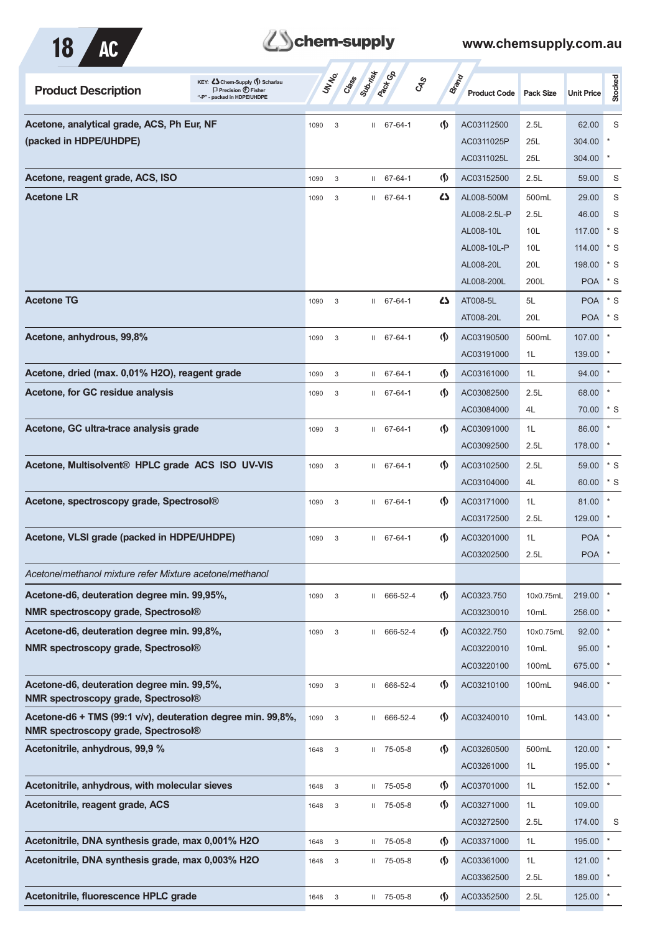

| KEY: Cohem-Supply (5) Scharlau<br><b>Product Description</b><br>$\Box$ Precision $\bigoplus$ Fisher<br>"-P" - packed in HDPE/UHDPE |      | UN NO.<br>Cass            | Superior     | Pactocol         | <b>GRS</b>                         | <b>Brand</b><br><b>Product Code</b> | <b>Pack Size</b> | <b>Unit Price</b>  | Stocked |
|------------------------------------------------------------------------------------------------------------------------------------|------|---------------------------|--------------|------------------|------------------------------------|-------------------------------------|------------------|--------------------|---------|
| Acetone, analytical grade, ACS, Ph Eur, NF                                                                                         | 1090 | 3                         |              | $11 67 - 64 - 1$ | $\langle \mathbf{\langle} \rangle$ | AC03112500                          | 2.5L             | 62.00              | S       |
| (packed in HDPE/UHDPE)                                                                                                             |      |                           |              |                  |                                    | AC0311025P                          | 25L              | 304.00             |         |
|                                                                                                                                    |      |                           |              |                  |                                    | AC0311025L                          | 25L              | 304.00             | $\ast$  |
| Acetone, reagent grade, ACS, ISO                                                                                                   | 1090 | 3                         |              | $11 67 - 64 - 1$ | $\langle \mathbf{\S} \rangle$      | AC03152500                          | 2.5L             | 59.00              | S       |
| <b>Acetone LR</b>                                                                                                                  | 1090 | 3                         |              | $11 67 - 64 - 1$ | ひ                                  | AL008-500M                          | 500mL            | 29.00              | S       |
|                                                                                                                                    |      |                           |              |                  |                                    | AL008-2.5L-P                        | 2.5L             | 46.00              | S       |
|                                                                                                                                    |      |                           |              |                  |                                    | AL008-10L                           | 10L              | 117.00             | * S     |
|                                                                                                                                    |      |                           |              |                  |                                    | AL008-10L-P                         | 10L              | 114.00             | * S     |
|                                                                                                                                    |      |                           |              |                  |                                    | AL008-20L                           | 20L              | 198.00             | $*$ S   |
|                                                                                                                                    |      |                           |              |                  |                                    | AL008-200L                          | 200L             | <b>POA</b>         | * S     |
|                                                                                                                                    |      |                           |              |                  |                                    |                                     |                  |                    |         |
| <b>Acetone TG</b>                                                                                                                  | 1090 | 3                         |              | $11 67 - 64 - 1$ | 45                                 | AT008-5L                            | 5L               | <b>POA</b>         | $*$ S   |
|                                                                                                                                    |      |                           |              |                  |                                    | AT008-20L                           | 20L              | POA <sup>*</sup> S |         |
| Acetone, anhydrous, 99,8%                                                                                                          | 1090 | 3                         |              | $11 67 - 64 - 1$ | $\langle \mathbf{\S} \rangle$      | AC03190500                          | 500mL            | 107.00             |         |
|                                                                                                                                    |      |                           |              |                  |                                    | AC03191000                          | 1L               | 139.00             |         |
| Acetone, dried (max. 0,01% H2O), reagent grade                                                                                     | 1090 | 3                         | $\mathbf{H}$ | 67-64-1          | $\langle \mathbf{\S} \rangle$      | AC03161000                          | 1L               | 94.00              | $\ast$  |
| Acetone, for GC residue analysis                                                                                                   | 1090 | 3                         |              | $11 67 - 64 - 1$ | $\langle \mathbf{\S} \rangle$      | AC03082500                          | 2.5L             | 68.00              |         |
|                                                                                                                                    |      |                           |              |                  |                                    | AC03084000                          | 4L               | 70.00              | * S     |
| Acetone, GC ultra-trace analysis grade                                                                                             | 1090 | 3                         |              | $11 67 - 64 - 1$ | $\langle \mathbf{\S} \rangle$      | AC03091000                          | 1L               | 86.00              |         |
|                                                                                                                                    |      |                           |              |                  |                                    | AC03092500                          | 2.5L             | 178.00             |         |
| Acetone, Multisolvent® HPLC grade ACS ISO UV-VIS                                                                                   | 1090 | 3                         |              | $11 67 - 64 - 1$ | $\langle \mathbf{\S} \rangle$      | AC03102500                          | 2.5L             | 59.00              | $*$ S   |
|                                                                                                                                    |      |                           |              |                  |                                    | AC03104000                          | 4L               | 60.00              | * S     |
|                                                                                                                                    |      |                           |              |                  |                                    |                                     |                  |                    |         |
| Acetone, spectroscopy grade, Spectrosol®                                                                                           | 1090 | 3                         | $\mathbf{H}$ | 67-64-1          | $\langle \mathbf{\S} \rangle$      | AC03171000                          | 1L               | 81.00              | $\ast$  |
|                                                                                                                                    |      |                           |              |                  |                                    | AC03172500                          | 2.5L             | 129.00             |         |
| Acetone, VLSI grade (packed in HDPE/UHDPE)                                                                                         | 1090 | 3                         |              | $11 67 - 64 - 1$ | $\langle \mathbf{\S} \rangle$      | AC03201000                          | 1L               | <b>POA</b>         |         |
|                                                                                                                                    |      |                           |              |                  |                                    | AC03202500                          | 2.5L             | <b>POA</b>         |         |
| Acetone/methanol mixture refer Mixture acetone/methanol                                                                            |      |                           |              |                  |                                    |                                     |                  |                    |         |
| Acetone-d6, deuteration degree min. 99,95%,                                                                                        | 1090 | 3                         | Ш.           | 666-52-4         | $\langle \mathsf{S} \rangle$       | AC0323.750                          | 10x0.75mL        | 219.00             |         |
| NMR spectroscopy grade, Spectrosol®                                                                                                |      |                           |              |                  |                                    | AC03230010                          | 10 <sub>mL</sub> | 256.00             |         |
| Acetone-d6, deuteration degree min. 99,8%,                                                                                         | 1090 | $\sqrt{3}$                |              | II 666-52-4      | $\langle \mathsf{S} \rangle$       | AC0322.750                          | 10x0.75mL        | 92.00              |         |
| NMR spectroscopy grade, Spectrosol®                                                                                                |      |                           |              |                  |                                    | AC03220010                          | 10mL             | 95.00              |         |
|                                                                                                                                    |      |                           |              |                  |                                    | AC03220100                          | 100mL            | 675.00             |         |
| Acetone-d6, deuteration degree min. 99,5%,                                                                                         | 1090 | $\ensuremath{\mathsf{3}}$ | $\mathbf{H}$ | 666-52-4         | $\varphi$                          | AC03210100                          | 100mL            | 946.00             |         |
| <b>NMR spectroscopy grade, Spectrosol®</b>                                                                                         |      |                           |              |                  |                                    |                                     |                  |                    |         |
| Acetone-d6 + TMS (99:1 v/v), deuteration degree min. 99,8%,                                                                        | 1090 | 3                         | $\mathbf{H}$ | 666-52-4         | $\langle \mathbf{\S} \rangle$      | AC03240010                          | 10mL             | 143.00             |         |
| NMR spectroscopy grade, Spectrosol®                                                                                                |      |                           |              |                  |                                    |                                     |                  |                    |         |
| Acetonitrile, anhydrous, 99,9 %                                                                                                    | 1648 | 3                         |              | $II$ 75-05-8     | $\langle \mathbf{\S} \rangle$      | AC03260500                          | 500mL            | 120.00             |         |
|                                                                                                                                    |      |                           |              |                  |                                    | AC03261000                          | 1L               | 195.00             |         |
| Acetonitrile, anhydrous, with molecular sieves                                                                                     | 1648 | $\mathbf{3}$              | $\mathbf{H}$ | 75-05-8          | $\langle \mathbf{\S} \rangle$      | AC03701000                          | 1L               | 152.00             |         |
| Acetonitrile, reagent grade, ACS                                                                                                   | 1648 | $\sqrt{3}$                |              | $II$ 75-05-8     | $\langle \mathbf{\S} \rangle$      | AC03271000                          | 1L               | 109.00             |         |
|                                                                                                                                    |      |                           |              |                  |                                    | AC03272500                          | 2.5L             | 174.00             | S       |
| Acetonitrile, DNA synthesis grade, max 0,001% H2O                                                                                  | 1648 | $\sqrt{3}$                | $\mathbf{H}$ | 75-05-8          | $\langle \mathsf{S} \rangle$       | AC03371000                          | 1L               | 195.00             |         |
| Acetonitrile, DNA synthesis grade, max 0,003% H2O                                                                                  |      | $\ensuremath{\mathsf{3}}$ |              | $1175 - 05 - 8$  | $\langle \mathbf{\S} \rangle$      | AC03361000                          | 1L               | 121.00             |         |
|                                                                                                                                    | 1648 |                           |              |                  |                                    |                                     |                  |                    |         |
|                                                                                                                                    |      |                           |              |                  |                                    | AC03362500                          | 2.5L             | 189.00             |         |
| Acetonitrile, fluorescence HPLC grade                                                                                              | 1648 | 3                         |              | $II$ 75-05-8     | $\langle \mathbf{\S} \rangle$      | AC03352500                          | 2.5L             | 125.00             |         |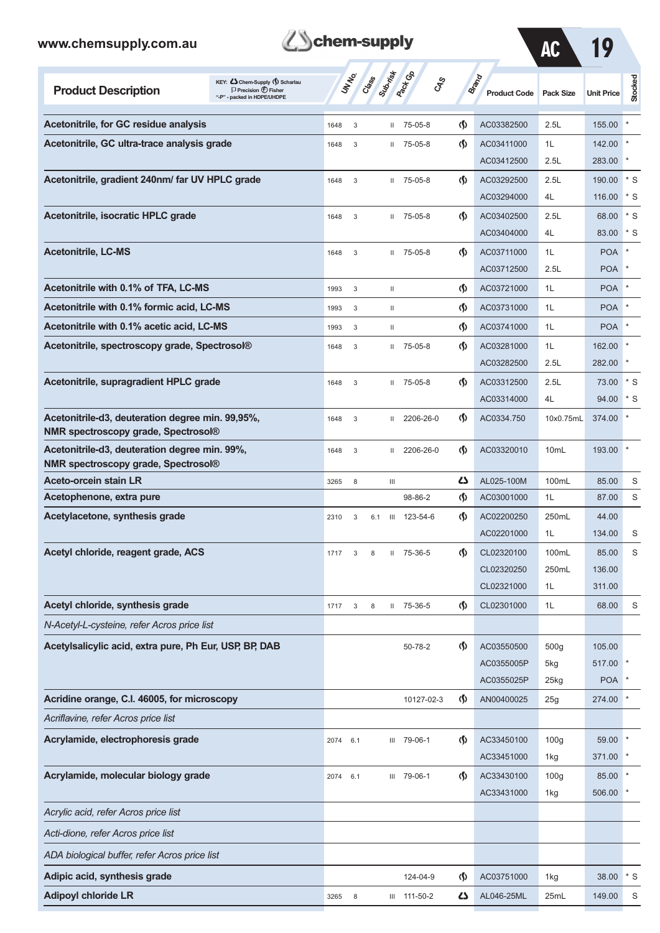| <b>B</b> chem-supply |
|----------------------|
|----------------------|

AC 19

| <b>Product Description</b>                                                                     | KEY: Cohem-Supply (5) Scharlau<br>$\Box$ Precision $\bigcirc$ Fisher<br>"-P" - packed in HDPE/UHDPE |      | UN NO.      | Class | Subsitive          | <b>Pack G</b> B<br>$\mathcal{S}_{\mathcal{S}}$ |                               | <b>Brand</b><br><b>Product Code</b> | <b>Pack Size</b> | <b>Unit Price</b> | Stocked           |
|------------------------------------------------------------------------------------------------|-----------------------------------------------------------------------------------------------------|------|-------------|-------|--------------------|------------------------------------------------|-------------------------------|-------------------------------------|------------------|-------------------|-------------------|
| Acetonitrile, for GC residue analysis                                                          |                                                                                                     | 1648 | $\mathsf 3$ |       | Ш                  | 75-05-8                                        | ৻∮                            | AC03382500                          | 2.5L             | 155.00            |                   |
| Acetonitrile, GC ultra-trace analysis grade                                                    |                                                                                                     | 1648 | 3           |       | Ш                  | 75-05-8                                        | ற                             | AC03411000                          | 1L               | 142.00            |                   |
|                                                                                                |                                                                                                     |      |             |       |                    |                                                |                               | AC03412500                          | 2.5L             | 283.00            |                   |
| Acetonitrile, gradient 240nm/ far UV HPLC grade                                                |                                                                                                     | 1648 | $\mathsf 3$ |       | Ш                  | 75-05-8                                        | $\langle \mathbf{\S} \rangle$ | AC03292500                          | 2.5L             | 190.00            | $*_{\mathcal{S}}$ |
|                                                                                                |                                                                                                     |      |             |       |                    |                                                |                               | AC03294000                          | 4L               | 116.00            | * S               |
| Acetonitrile, isocratic HPLC grade                                                             |                                                                                                     | 1648 | $\mathsf 3$ |       | Ш                  | 75-05-8                                        | $\langle \mathsf{S} \rangle$  | AC03402500                          | 2.5L             | 68.00             | $*$ S             |
|                                                                                                |                                                                                                     |      |             |       |                    |                                                |                               | AC03404000                          | 4L               | 83.00             | * S               |
| <b>Acetonitrile, LC-MS</b>                                                                     |                                                                                                     | 1648 | $\mathsf 3$ |       | Ш                  | 75-05-8                                        | $\langle \mathbf{\S} \rangle$ | AC03711000                          | 1L               | <b>POA</b>        |                   |
|                                                                                                |                                                                                                     |      |             |       |                    |                                                |                               | AC03712500                          | 2.5L             | <b>POA</b>        |                   |
| Acetonitrile with 0.1% of TFA, LC-MS                                                           |                                                                                                     | 1993 | 3           |       | Ш                  |                                                | $\langle \mathbf{\S} \rangle$ | AC03721000                          | 1L               | <b>POA</b>        |                   |
| Acetonitrile with 0.1% formic acid, LC-MS                                                      |                                                                                                     | 1993 | 3           |       | Ш                  |                                                | (§)                           | AC03731000                          | 1L               | <b>POA</b>        |                   |
| Acetonitrile with 0.1% acetic acid, LC-MS                                                      |                                                                                                     | 1993 | 3           |       | Ш                  |                                                | (∮)                           | AC03741000                          | 1L               | <b>POA</b>        |                   |
| Acetonitrile, spectroscopy grade, Spectrosol®                                                  |                                                                                                     | 1648 | $\mathsf 3$ |       | $\mathbf{H}$       | 75-05-8                                        | $\langle \mathbf{\S} \rangle$ | AC03281000                          | 1L               | 162.00            |                   |
|                                                                                                |                                                                                                     |      |             |       |                    |                                                |                               | AC03282500                          | 2.5L             | 282.00            |                   |
| Acetonitrile, supragradient HPLC grade                                                         |                                                                                                     | 1648 | 3           |       | Ш                  | 75-05-8                                        | $\langle \mathbf{\S} \rangle$ | AC03312500                          | 2.5L             | 73.00             | $*$ S             |
|                                                                                                |                                                                                                     |      |             |       |                    |                                                |                               | AC03314000                          | 4L               | 94.00             | $*$ S             |
| Acetonitrile-d3, deuteration degree min. 99,95%,<br><b>NMR spectroscopy grade, Spectrosol®</b> |                                                                                                     | 1648 | $\mathsf 3$ |       | Ш                  | 2206-26-0                                      | $\langle \mathbf{\S} \rangle$ | AC0334.750                          | 10x0.75mL        | 374.00            |                   |
| Acetonitrile-d3, deuteration degree min. 99%,<br><b>NMR spectroscopy grade, Spectrosol®</b>    |                                                                                                     | 1648 | 3           |       | Ш                  | 2206-26-0                                      | ற                             | AC03320010                          | 10 <sub>mL</sub> | 193.00            |                   |
| Aceto-orcein stain LR                                                                          |                                                                                                     | 3265 | 8           |       | Ш                  |                                                | 4                             | AL025-100M                          | 100mL            | 85.00             | S                 |
| Acetophenone, extra pure                                                                       |                                                                                                     |      |             |       |                    | 98-86-2                                        | (∮)                           | AC03001000                          | 1L               | 87.00             | S                 |
| Acetylacetone, synthesis grade                                                                 |                                                                                                     | 2310 | 3           | 6.1   | $\mathop{\rm III}$ | 123-54-6                                       | ற                             | AC02200250                          | 250mL            | 44.00             |                   |
|                                                                                                |                                                                                                     |      |             |       |                    |                                                |                               | AC02201000                          | 1L               | 134.00            | S                 |
| Acetyl chloride, reagent grade, ACS                                                            |                                                                                                     | 1717 | 3           | 8     | Ш                  | 75-36-5                                        | (∮)                           | CL02320100                          | 100mL            | 85.00             | S                 |
|                                                                                                |                                                                                                     |      |             |       |                    |                                                |                               | CL02320250                          | 250mL            | 136.00            |                   |
|                                                                                                |                                                                                                     |      |             |       |                    |                                                |                               | CL02321000                          | 1L               | 311.00            |                   |
| Acetyl chloride, synthesis grade                                                               |                                                                                                     | 1717 | 3           | 8     | Ш                  | 75-36-5                                        | $\varphi$                     | CL02301000                          | 1L               | 68.00             | S                 |
| N-Acetyl-L-cysteine, refer Acros price list                                                    |                                                                                                     |      |             |       |                    |                                                |                               |                                     |                  |                   |                   |
| Acetylsalicylic acid, extra pure, Ph Eur, USP, BP, DAB                                         |                                                                                                     |      |             |       |                    | 50-78-2                                        | $\Phi$                        | AC03550500                          | 500g             | 105.00            |                   |
|                                                                                                |                                                                                                     |      |             |       |                    |                                                |                               | AC0355005P                          | 5kg              | 517.00            |                   |
|                                                                                                |                                                                                                     |      |             |       |                    |                                                |                               | AC0355025P                          | 25kg             | <b>POA</b>        |                   |
| Acridine orange, C.I. 46005, for microscopy                                                    |                                                                                                     |      |             |       |                    | 10127-02-3                                     | $\varphi$                     | AN00400025                          | 25g              | 274.00            |                   |
| Acriflavine, refer Acros price list                                                            |                                                                                                     |      |             |       |                    |                                                |                               |                                     |                  |                   |                   |
| Acrylamide, electrophoresis grade                                                              |                                                                                                     | 2074 | 6.1         |       | Ш                  | 79-06-1                                        | $\langle \mathsf{S} \rangle$  | AC33450100                          | 100 <sub>g</sub> | 59.00             |                   |
|                                                                                                |                                                                                                     |      |             |       |                    |                                                |                               | AC33451000                          | 1kg              | 371.00            |                   |
| Acrylamide, molecular biology grade                                                            |                                                                                                     | 2074 | 6.1         |       | Ш                  | 79-06-1                                        | $\langle \mathsf{S} \rangle$  | AC33430100                          | 100 <sub>g</sub> | 85.00             |                   |
|                                                                                                |                                                                                                     |      |             |       |                    |                                                |                               | AC33431000                          | 1kg              | 506.00            |                   |
| Acrylic acid, refer Acros price list                                                           |                                                                                                     |      |             |       |                    |                                                |                               |                                     |                  |                   |                   |
| Acti-dione, refer Acros price list                                                             |                                                                                                     |      |             |       |                    |                                                |                               |                                     |                  |                   |                   |
| ADA biological buffer, refer Acros price list                                                  |                                                                                                     |      |             |       |                    |                                                |                               |                                     |                  |                   |                   |
| Adipic acid, synthesis grade                                                                   |                                                                                                     |      |             |       |                    | 124-04-9                                       | $\langle \mathsf{S} \rangle$  | AC03751000                          | 1kg              | 38.00             | $*$ S             |
| <b>Adipoyl chloride LR</b>                                                                     |                                                                                                     | 3265 | 8           |       |                    | III 111-50-2                                   | 45                            | AL046-25ML                          | 25mL             | 149.00            | S                 |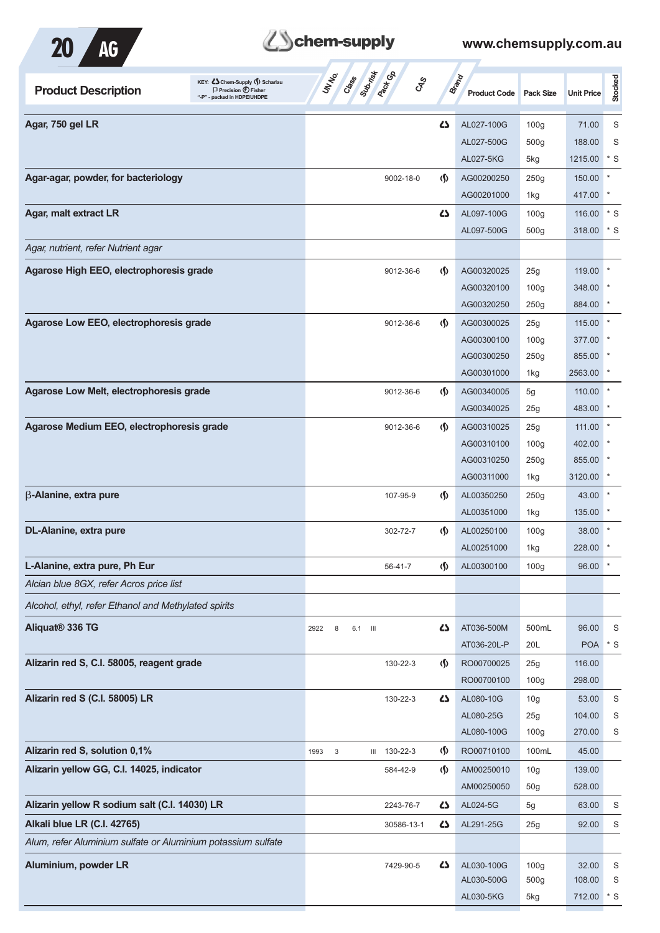

# Behem-supply

| KEY: Cohem-Supply (5) Scharlau<br><b>Product Description</b><br>$\Box$ Precision $\bigoplus$ Fisher<br>"-P" - packed in HDPE/UHDPE | Cases Superior Co<br><b>UNTER</b><br><b>GRS</b> |                               | <b>Brand</b><br><b>Product Code</b> | Pack Size               | <b>Unit Price</b> | Stocked      |
|------------------------------------------------------------------------------------------------------------------------------------|-------------------------------------------------|-------------------------------|-------------------------------------|-------------------------|-------------------|--------------|
| Agar, 750 gel LR                                                                                                                   |                                                 | 27                            | AL027-100G                          | 100 <sub>g</sub>        | 71.00             | S            |
|                                                                                                                                    |                                                 |                               | AL027-500G                          | 500 <sub>g</sub>        | 188.00            | S            |
|                                                                                                                                    |                                                 |                               | AL027-5KG                           | 5kg                     | 1215.00           | $*$ S        |
| Agar-agar, powder, for bacteriology                                                                                                | 9002-18-0                                       | $\langle \mathbf{\langle}$    | AG00200250                          | 250g                    | 150.00            | $\ast$       |
|                                                                                                                                    |                                                 |                               | AG00201000                          | 1kg                     | 417.00            |              |
| Agar, malt extract LR                                                                                                              |                                                 | ひ                             | AL097-100G                          | 100 <sub>g</sub>        | 116.00            | $^*$ S       |
|                                                                                                                                    |                                                 |                               | AL097-500G                          | 500 <sub>g</sub>        | 318.00            | * S          |
| Agar, nutrient, refer Nutrient agar                                                                                                |                                                 |                               |                                     |                         |                   |              |
| Agarose High EEO, electrophoresis grade                                                                                            | 9012-36-6                                       | $\langle \mathsf{S} \rangle$  | AG00320025                          | 25g                     | 119.00            | $\ast$       |
|                                                                                                                                    |                                                 |                               | AG00320100                          | 100 <sub>g</sub>        | 348.00            |              |
|                                                                                                                                    |                                                 |                               | AG00320250                          | 250g                    | 884.00            |              |
| Agarose Low EEO, electrophoresis grade                                                                                             | 9012-36-6                                       | $\langle \mathbf{\langle}$    | AG00300025                          | 25g                     | 115.00            |              |
|                                                                                                                                    |                                                 |                               | AG00300100                          | 100 <sub>g</sub>        | 377.00            |              |
|                                                                                                                                    |                                                 |                               | AG00300250                          | 250g                    | 855.00            |              |
|                                                                                                                                    |                                                 |                               | AG00301000                          | 1kg                     | 2563.00           |              |
| Agarose Low Melt, electrophoresis grade                                                                                            | 9012-36-6                                       | $\langle \mathbf{\langle}$    | AG00340005                          | 5g                      | 110.00            |              |
|                                                                                                                                    |                                                 |                               | AG00340025                          | 25g                     | 483.00            |              |
| Agarose Medium EEO, electrophoresis grade                                                                                          | 9012-36-6                                       | $\langle \mathbf{\S} \rangle$ | AG00310025                          | 25 <sub>g</sub>         | 111.00            |              |
|                                                                                                                                    |                                                 |                               | AG00310100                          | 100 <sub>g</sub>        | 402.00            |              |
|                                                                                                                                    |                                                 |                               | AG00310250                          | 250g                    | 855.00            |              |
|                                                                                                                                    |                                                 |                               | AG00311000                          | 1kg                     | 3120.00           |              |
| $\beta$ -Alanine, extra pure                                                                                                       | 107-95-9                                        | $\langle \mathbf{\S} \rangle$ | AL00350250                          | 250g                    | 43.00             |              |
|                                                                                                                                    |                                                 |                               | AL00351000                          | 1kg                     | 135.00            |              |
| DL-Alanine, extra pure                                                                                                             | 302-72-7                                        | $\Phi$                        | AL00250100                          | 100 <sub>g</sub>        | 38.00             |              |
|                                                                                                                                    |                                                 |                               | AL00251000                          | 1kg                     | 228.00            |              |
| L-Alanine, extra pure, Ph Eur                                                                                                      | 56-41-7                                         | $\varphi$                     | AL00300100                          | 100g                    | 96.00             | $\pmb{\ast}$ |
| Alcian blue 8GX, refer Acros price list                                                                                            |                                                 |                               |                                     |                         |                   |              |
| Alcohol, ethyl, refer Ethanol and Methylated spirits                                                                               |                                                 |                               |                                     |                         |                   |              |
| Aliquat <sup>®</sup> 336 TG                                                                                                        |                                                 | 5                             | AT036-500M                          | 500mL                   | 96.00             | S            |
|                                                                                                                                    | 2922<br>8<br>6.1 III                            |                               | AT036-20L-P                         | 20L                     | <b>POA</b>        | $*$ S        |
|                                                                                                                                    |                                                 |                               |                                     |                         |                   |              |
| Alizarin red S, C.I. 58005, reagent grade                                                                                          | 130-22-3                                        | $\langle \mathsf{S} \rangle$  | RO00700025<br>RO00700100            | 25g<br>100 <sub>g</sub> | 116.00<br>298.00  |              |
|                                                                                                                                    |                                                 |                               |                                     |                         |                   |              |
| Alizarin red S (C.I. 58005) LR                                                                                                     | 130-22-3                                        | 47                            | AL080-10G                           | 10 <sub>g</sub>         | 53.00             | S            |
|                                                                                                                                    |                                                 |                               | AL080-25G<br>AL080-100G             | 25g<br>100 <sub>g</sub> | 104.00<br>270.00  | S            |
|                                                                                                                                    |                                                 |                               |                                     |                         |                   | S            |
| Alizarin red S, solution 0,1%                                                                                                      | $III$ 130-22-3<br>1993<br>3                     | $\langle \mathbf{\S} \rangle$ | RO00710100                          | 100mL                   | 45.00             |              |
| Alizarin yellow GG, C.I. 14025, indicator                                                                                          | 584-42-9                                        | $\Phi$                        | AM00250010                          | 10 <sub>g</sub>         | 139.00            |              |
|                                                                                                                                    |                                                 |                               | AM00250050                          | 50g                     | 528.00            |              |
| Alizarin yellow R sodium salt (C.I. 14030) LR                                                                                      | 2243-76-7                                       | 5                             | AL024-5G                            | 5g                      | 63.00             | S            |
| Alkali blue LR (C.I. 42765)                                                                                                        | 30586-13-1                                      | 47                            | AL291-25G                           | 25g                     | 92.00             | S            |
| Alum, refer Aluminium sulfate or Aluminium potassium sulfate                                                                       |                                                 |                               |                                     |                         |                   |              |
| Aluminium, powder LR                                                                                                               | 7429-90-5                                       | 5                             | AL030-100G                          | 100 <sub>g</sub>        | 32.00             | S            |
|                                                                                                                                    |                                                 |                               | AL030-500G                          | 500g                    | 108.00            | S            |
|                                                                                                                                    |                                                 |                               | AL030-5KG                           | 5kg                     | 712.00            | $*$ S        |
|                                                                                                                                    |                                                 |                               |                                     |                         |                   |              |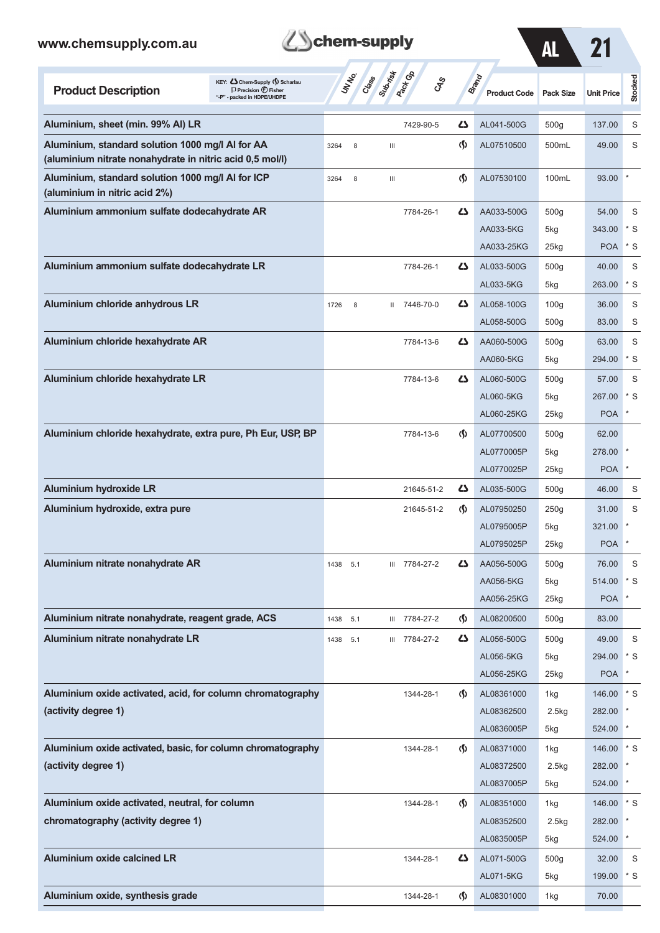| www.chemsupply.com.au                                                                                                              | chem-supply                                               |                                       |                              |                  |                        |              |  |  |  |  |  |
|------------------------------------------------------------------------------------------------------------------------------------|-----------------------------------------------------------|---------------------------------------|------------------------------|------------------|------------------------|--------------|--|--|--|--|--|
| KEY: Cohem-Supply (5) Scharlau<br><b>Product Description</b><br>$\Box$ Precision $\bigoplus$ Fisher<br>"-P" - packed in HDPE/UHDPE | <b>Perf</b> GP<br>Suprist<br>UNINO<br>Class<br><b>CAS</b> |                                       | Brand<br><b>Product Code</b> | <b>Pack Size</b> | <b>Unit Price</b>      | Stocked      |  |  |  |  |  |
| Aluminium, sheet (min. 99% Al) LR                                                                                                  | 7429-90-5                                                 | Ω                                     | AL041-500G                   | 500g             | 137.00                 | S            |  |  |  |  |  |
| Aluminium, standard solution 1000 mg/l AI for AA<br>(aluminium nitrate nonahydrate in nitric acid 0,5 mol/l)                       | 3264<br>8<br>Ш                                            | $\langle \mathbf{\langle} \rangle$    | AL07510500                   | 500mL            | 49.00                  | S            |  |  |  |  |  |
| Aluminium, standard solution 1000 mg/l Al for ICP<br>(aluminium in nitric acid 2%)                                                 | 3264<br>8<br>Ш                                            | $\langle \mathbf{\S} \rangle$         | AL07530100                   | 100mL            | 93.00                  |              |  |  |  |  |  |
| Aluminium ammonium sulfate dodecahydrate AR                                                                                        | 7784-26-1                                                 | ひ                                     | AA033-500G                   | 500g             | 54.00                  | S            |  |  |  |  |  |
|                                                                                                                                    |                                                           |                                       | AA033-5KG                    | 5kg              | 343.00                 | $*$ S        |  |  |  |  |  |
|                                                                                                                                    |                                                           |                                       | AA033-25KG                   | 25kg             | <b>POA</b>             | $*$ S        |  |  |  |  |  |
| Aluminium ammonium sulfate dodecahydrate LR                                                                                        | 7784-26-1                                                 | 45                                    | AL033-500G                   | 500 <sub>g</sub> | 40.00                  | S            |  |  |  |  |  |
|                                                                                                                                    |                                                           |                                       | AL033-5KG                    | 5kg              | 263.00                 | $*$ S        |  |  |  |  |  |
| Aluminium chloride anhydrous LR                                                                                                    | II 7446-70-0<br>1726<br>8                                 | 45                                    | AL058-100G                   | 100 <sub>g</sub> | 36.00                  | S            |  |  |  |  |  |
|                                                                                                                                    |                                                           |                                       | AL058-500G                   | 500 <sub>g</sub> | 83.00                  | S            |  |  |  |  |  |
| Aluminium chloride hexahydrate AR                                                                                                  | 7784-13-6                                                 | ひ                                     | AA060-500G                   | 500 <sub>g</sub> | 63.00                  | S            |  |  |  |  |  |
|                                                                                                                                    |                                                           |                                       | AA060-5KG                    | 5kg              | 294.00                 | $*$ S        |  |  |  |  |  |
| Aluminium chloride hexahydrate LR                                                                                                  | 7784-13-6                                                 | 5                                     | AL060-500G                   | 500 <sub>g</sub> | 57.00                  | S            |  |  |  |  |  |
|                                                                                                                                    |                                                           |                                       | AL060-5KG                    | 5kg              | 267.00                 | $*$ S        |  |  |  |  |  |
|                                                                                                                                    |                                                           |                                       | AL060-25KG                   | 25kg             | <b>POA</b>             | $\ast$       |  |  |  |  |  |
| Aluminium chloride hexahydrate, extra pure, Ph Eur, USP, BP                                                                        | 7784-13-6                                                 | <sub>(</sub> f)                       | AL07700500                   | 500 <sub>g</sub> | 62.00                  |              |  |  |  |  |  |
|                                                                                                                                    |                                                           |                                       | AL0770005P                   | 5kg              | 278.00 *               |              |  |  |  |  |  |
|                                                                                                                                    |                                                           |                                       | AL0770025P                   | 25kg             | <b>POA</b>             | $\pmb{\ast}$ |  |  |  |  |  |
| <b>Aluminium hydroxide LR</b>                                                                                                      | 21645-51-2                                                | 45                                    | AL035-500G                   | 500 <sub>g</sub> | 46.00                  | S            |  |  |  |  |  |
| Aluminium hydroxide, extra pure                                                                                                    | 21645-51-2                                                | $\langle \mathbf{\S} \rangle$         | AL07950250                   | 250g             | 31.00                  | S            |  |  |  |  |  |
|                                                                                                                                    |                                                           |                                       | AL0795005P                   | 5kg              | 321.00                 | $\mathbf{x}$ |  |  |  |  |  |
|                                                                                                                                    |                                                           |                                       | AL0795025P                   | 25kg             | POA <sup>*</sup>       |              |  |  |  |  |  |
| Aluminium nitrate nonahydrate AR                                                                                                   | III 7784-27-2<br>1438 5.1                                 | 45                                    | AA056-500G                   | 500 <sub>g</sub> | 76.00                  | S            |  |  |  |  |  |
|                                                                                                                                    |                                                           |                                       | AA056-5KG                    | 5kg              | 514.00 * S             |              |  |  |  |  |  |
|                                                                                                                                    |                                                           |                                       | AA056-25KG                   | 25kg             | <b>POA</b>             | $\star$      |  |  |  |  |  |
| Aluminium nitrate nonahydrate, reagent grade, ACS                                                                                  | III 7784-27-2<br>1438<br>5.1                              | $\langle \mathbf{\mathbf{r}} \rangle$ | AL08200500                   | 500 <sub>g</sub> | 83.00                  |              |  |  |  |  |  |
| Aluminium nitrate nonahydrate LR                                                                                                   | III 7784-27-2<br>1438<br>5.1                              | 45                                    | AL056-500G                   | 500 <sub>g</sub> | 49.00                  | S            |  |  |  |  |  |
|                                                                                                                                    |                                                           |                                       | AL056-5KG                    | 5kg              | 294.00 * S             | $\ast$       |  |  |  |  |  |
|                                                                                                                                    |                                                           |                                       | AL056-25KG                   | 25kg             | <b>POA</b>             |              |  |  |  |  |  |
| Aluminium oxide activated, acid, for column chromatography<br>(activity degree 1)                                                  | 1344-28-1                                                 | $\Phi$                                | AL08361000                   | 1kg              | 146.00 * S<br>282.00 * |              |  |  |  |  |  |
|                                                                                                                                    |                                                           |                                       | AL08362500<br>AL0836005P     | 2.5kg<br>5kg     | 524.00 *               |              |  |  |  |  |  |
| Aluminium oxide activated, basic, for column chromatography                                                                        | 1344-28-1                                                 | $\Phi$                                | AL08371000                   | 1kg              | 146.00 * S             |              |  |  |  |  |  |
| (activity degree 1)                                                                                                                |                                                           |                                       | AL08372500                   | 2.5kg            | 282.00 *               |              |  |  |  |  |  |
|                                                                                                                                    |                                                           |                                       | AL0837005P                   | 5kg              | 524.00 *               |              |  |  |  |  |  |
| Aluminium oxide activated, neutral, for column                                                                                     | 1344-28-1                                                 | $\langle \mathbf{\S} \rangle$         | AL08351000                   | 1kg              | 146.00 * S             |              |  |  |  |  |  |
| chromatography (activity degree 1)                                                                                                 |                                                           |                                       | AL08352500                   | 2.5kg            | 282.00                 | $\star$      |  |  |  |  |  |
|                                                                                                                                    |                                                           |                                       | AL0835005P                   | 5kg              | 524.00 *               |              |  |  |  |  |  |
| <b>Aluminium oxide calcined LR</b>                                                                                                 | 1344-28-1                                                 | 45                                    | AL071-500G                   | 500g             | 32.00                  | S            |  |  |  |  |  |
|                                                                                                                                    |                                                           |                                       | AL071-5KG                    | 5kg              | 199.00                 | $*$ S        |  |  |  |  |  |

**Aluminium oxide, synthesis grade** 1344-28-1 1344-28-1 AL08301000 1kg 70.00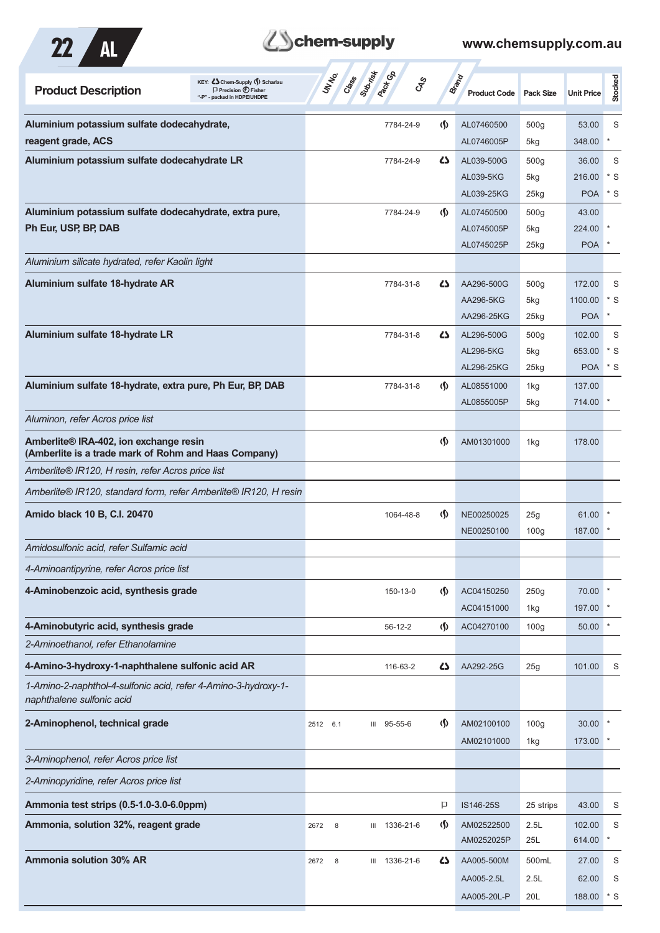

## **Z**Schem-supply

| KEY: C Chem-Supply (5) Scharlau<br><b>Product Description</b><br>$\Box$ Precision $\bigoplus$ Fisher<br>packed in HDPE/UHDPE | Suprist<br><b>Pactice</b><br>UN NO.<br>Crass | <b>GRS</b>                    | <b>Brand</b><br><b>Product Code</b> | Pack Size               | <b>Unit Price</b> | Stocked     |
|------------------------------------------------------------------------------------------------------------------------------|----------------------------------------------|-------------------------------|-------------------------------------|-------------------------|-------------------|-------------|
| Aluminium potassium sulfate dodecahydrate,                                                                                   | 7784-24-9                                    | <sub>(</sub> f)               | AL07460500                          | 500 <sub>g</sub>        | 53.00             | S           |
| reagent grade, ACS                                                                                                           |                                              |                               | AL0746005P                          | 5kg                     | 348.00            | $\ast$      |
| Aluminium potassium sulfate dodecahydrate LR                                                                                 | 7784-24-9                                    | 5                             | AL039-500G                          | 500 <sub>g</sub>        | 36.00             | S           |
|                                                                                                                              |                                              |                               | AL039-5KG                           | 5kg                     | 216.00            | $^*$ S      |
|                                                                                                                              |                                              |                               | AL039-25KG                          | 25kg                    | <b>POA</b>        | $*$ S       |
| Aluminium potassium sulfate dodecahydrate, extra pure,                                                                       | 7784-24-9                                    | G)                            | AL07450500                          | 500 <sub>g</sub>        | 43.00             |             |
| Ph Eur, USP, BP, DAB                                                                                                         |                                              |                               | AL0745005P                          | 5kg                     | 224.00            |             |
| Aluminium silicate hydrated, refer Kaolin light                                                                              |                                              |                               | AL0745025P                          | 25kg                    | <b>POA</b>        |             |
|                                                                                                                              |                                              |                               |                                     |                         |                   |             |
| Aluminium sulfate 18-hydrate AR                                                                                              | 7784-31-8                                    | 45                            | AA296-500G<br>AA296-5KG             | 500 <sub>g</sub>        | 172.00<br>1100.00 | S<br>$*$ S  |
|                                                                                                                              |                                              |                               | AA296-25KG                          | 5kg<br>25kg             | <b>POA</b>        | $\ast$      |
| Aluminium sulfate 18-hydrate LR                                                                                              | 7784-31-8                                    | ひ                             | AL296-500G                          | 500 <sub>g</sub>        | 102.00            | S           |
|                                                                                                                              |                                              |                               | <b>AL296-5KG</b>                    | 5kg                     | 653.00            | $*$ S       |
|                                                                                                                              |                                              |                               | AL296-25KG                          | 25kg                    | <b>POA</b>        | * S         |
| Aluminium sulfate 18-hydrate, extra pure, Ph Eur, BP, DAB                                                                    | 7784-31-8                                    | $\langle \mathbf{\S} \rangle$ | AL08551000                          | 1kg                     | 137.00            |             |
|                                                                                                                              |                                              |                               | AL0855005P                          | 5kg                     | 714.00            |             |
| Aluminon, refer Acros price list                                                                                             |                                              |                               |                                     |                         |                   |             |
| Amberlite® IRA-402, ion exchange resin<br>(Amberlite is a trade mark of Rohm and Haas Company)                               |                                              | $\langle \mathbf{\langle}$    | AM01301000                          | 1kg                     | 178.00            |             |
| Amberlite® IR120, H resin, refer Acros price list                                                                            |                                              |                               |                                     |                         |                   |             |
| Amberlite® IR120, standard form, refer Amberlite® IR120, H resin                                                             |                                              |                               |                                     |                         |                   |             |
| Amido black 10 B, C.I. 20470                                                                                                 | 1064-48-8                                    | $\langle \mathbf{\S} \rangle$ | NE00250025<br>NE00250100            | 25g<br>100 <sub>g</sub> | 61.00<br>187.00   |             |
| Amidosulfonic acid, refer Sulfamic acid                                                                                      |                                              |                               |                                     |                         |                   |             |
| 4-Aminoantipyrine, refer Acros price list                                                                                    |                                              |                               |                                     |                         |                   |             |
| 4-Aminobenzoic acid, synthesis grade                                                                                         | 150-13-0                                     | $\langle \mathbf{\S} \rangle$ | AC04150250                          | 250g                    | 70.00             |             |
|                                                                                                                              |                                              |                               | AC04151000                          | 1kg                     | 197.00            |             |
| 4-Aminobutyric acid, synthesis grade                                                                                         | $56-12-2$                                    | $\langle \mathsf{S} \rangle$  | AC04270100                          | 100 <sub>g</sub>        | 50.00             |             |
| 2-Aminoethanol, refer Ethanolamine                                                                                           |                                              |                               |                                     |                         |                   |             |
| 4-Amino-3-hydroxy-1-naphthalene sulfonic acid AR                                                                             | 116-63-2                                     | 42                            | AA292-25G                           | 25g                     | 101.00            | S           |
| 1-Amino-2-naphthol-4-sulfonic acid, refer 4-Amino-3-hydroxy-1-<br>naphthalene sulfonic acid                                  |                                              |                               |                                     |                         |                   |             |
| 2-Aminophenol, technical grade                                                                                               | III 95-55-6<br>2512 6.1                      | $\langle \mathbf{\S} \rangle$ | AM02100100                          | 100 <sub>g</sub>        | 30.00             |             |
|                                                                                                                              |                                              |                               | AM02101000                          | 1kg                     | 173.00            |             |
| 3-Aminophenol, refer Acros price list                                                                                        |                                              |                               |                                     |                         |                   |             |
| 2-Aminopyridine, refer Acros price list                                                                                      |                                              |                               |                                     |                         |                   |             |
| Ammonia test strips (0.5-1.0-3.0-6.0ppm)                                                                                     |                                              | P                             | IS146-25S                           | 25 strips               | 43.00             | S           |
| Ammonia, solution 32%, reagent grade                                                                                         | III 1336-21-6<br>2672<br>8                   | $\langle \mathsf{S} \rangle$  | AM02522500<br>AM0252025P            | 2.5L<br>25L             | 102.00<br>614.00  | S<br>$\ast$ |
| <b>Ammonia solution 30% AR</b>                                                                                               | III 1336-21-6<br>8<br>2672                   | 5                             | AA005-500M                          | 500mL                   | 27.00             | S           |
|                                                                                                                              |                                              |                               | AA005-2.5L                          | 2.5L                    | 62.00             | S           |
|                                                                                                                              |                                              |                               | AA005-20L-P                         | 20L                     | 188.00            | $*$ S       |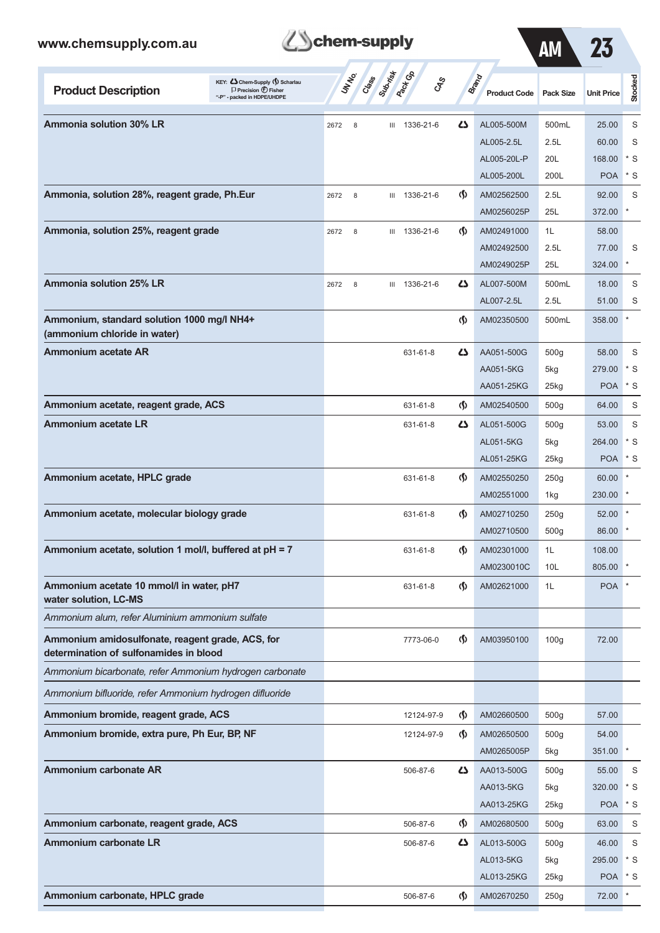

| <b>AM</b> |  |
|-----------|--|
|           |  |

| <b>Product Description</b>                                                                 | KEY: Cohem-Supply () Scharlau<br>$\Box$ Precision $\bigoplus$ Fisher<br>"-P" - packed in HDPE/UHDPE |      | UNINO<br>Class | Suprist | <b>Paction</b><br><b>GPS</b> |                                      | <b>Brand</b><br><b>Product Code</b> | <b>Pack Size</b> | <b>Unit Price</b> | Stocked        |
|--------------------------------------------------------------------------------------------|-----------------------------------------------------------------------------------------------------|------|----------------|---------|------------------------------|--------------------------------------|-------------------------------------|------------------|-------------------|----------------|
| <b>Ammonia solution 30% LR</b>                                                             |                                                                                                     | 2672 | 8              | Ш       | 1336-21-6                    | 27                                   | AL005-500M                          | 500mL            | 25.00             | S              |
|                                                                                            |                                                                                                     |      |                |         |                              |                                      | AL005-2.5L                          | 2.5L             | 60.00             | S              |
|                                                                                            |                                                                                                     |      |                |         |                              |                                      | AL005-20L-P                         | 20L              | 168.00            | $^{\ast}$<br>S |
|                                                                                            |                                                                                                     |      |                |         |                              |                                      | AL005-200L                          | 200L             | <b>POA</b>        | * S            |
| Ammonia, solution 28%, reagent grade, Ph.Eur                                               |                                                                                                     | 2672 | 8              | Ш       | 1336-21-6                    | $\langle \mathbf{\langle} \rangle$   | AM02562500<br>AM0256025P            | 2.5L<br>25L      | 92.00<br>372.00   | S              |
| Ammonia, solution 25%, reagent grade                                                       |                                                                                                     | 2672 | 8              | Ш       | 1336-21-6                    | $\langle \mathbf{\langle} \rangle$   | AM02491000                          | 1L               | 58.00             |                |
|                                                                                            |                                                                                                     |      |                |         |                              |                                      | AM02492500                          | 2.5L             | 77.00             | S              |
|                                                                                            |                                                                                                     |      |                |         |                              |                                      | AM0249025P                          | 25L              | 324.00            |                |
| <b>Ammonia solution 25% LR</b>                                                             |                                                                                                     | 2672 | 8              | Ш       | 1336-21-6                    | 47                                   | AL007-500M                          | 500mL            | 18.00             | S              |
|                                                                                            |                                                                                                     |      |                |         |                              |                                      | AL007-2.5L                          | 2.5L             | 51.00             | S              |
| Ammonium, standard solution 1000 mg/l NH4+                                                 |                                                                                                     |      |                |         |                              | $\langle \mathbf{\S} \rangle$        | AM02350500                          | 500mL            | 358.00            |                |
| (ammonium chloride in water)                                                               |                                                                                                     |      |                |         |                              |                                      |                                     |                  |                   |                |
| Ammonium acetate AR                                                                        |                                                                                                     |      |                |         | 631-61-8                     | Δ                                    | AA051-500G                          | 500g             | 58.00             | S              |
|                                                                                            |                                                                                                     |      |                |         |                              |                                      | AA051-5KG                           | 5kg              | 279.00            | $*$ S          |
|                                                                                            |                                                                                                     |      |                |         |                              |                                      | AA051-25KG                          | 25kg             | <b>POA</b>        | * S            |
| Ammonium acetate, reagent grade, ACS                                                       |                                                                                                     |      |                |         | 631-61-8                     | $\langle \mathbf{\langle} \rangle$   | AM02540500                          | 500 <sub>g</sub> | 64.00             | S              |
| <b>Ammonium acetate LR</b>                                                                 |                                                                                                     |      |                |         | 631-61-8                     | 45                                   | AL051-500G                          | 500 <sub>g</sub> | 53.00             | S              |
|                                                                                            |                                                                                                     |      |                |         |                              |                                      | AL051-5KG                           | 5kg              | 264.00            | * S            |
|                                                                                            |                                                                                                     |      |                |         |                              |                                      | AL051-25KG                          | 25kg             | <b>POA</b>        | * S            |
| Ammonium acetate, HPLC grade                                                               |                                                                                                     |      |                |         | 631-61-8                     | $\langle \mathbf{\S} \rangle$        | AM02550250                          | 250g             | 60.00             |                |
|                                                                                            |                                                                                                     |      |                |         |                              |                                      | AM02551000                          | 1kg              | 230.00            |                |
| Ammonium acetate, molecular biology grade                                                  |                                                                                                     |      |                |         | 631-61-8                     | $\langle \mathbf{\langle} \rangle$   | AM02710250                          | 250g             | 52.00             |                |
|                                                                                            |                                                                                                     |      |                |         |                              |                                      | AM02710500                          | 500 <sub>g</sub> | 86.00             |                |
| Ammonium acetate, solution 1 mol/l, buffered at pH = 7                                     |                                                                                                     |      |                |         | 631-61-8                     | $\langle \mathbf{\langle} \rangle$   | AM02301000                          | 1L               | 108.00            |                |
|                                                                                            |                                                                                                     |      |                |         |                              |                                      | AM0230010C                          | 10L              | 805.00            |                |
| Ammonium acetate 10 mmol/l in water, pH7<br>water solution, LC-MS                          |                                                                                                     |      |                |         | 631-61-8                     | $\langle \mathbf{\langle} \rangle$   | AM02621000                          | 1L               | <b>POA</b>        |                |
| Ammonium alum, refer Aluminium ammonium sulfate                                            |                                                                                                     |      |                |         |                              |                                      |                                     |                  |                   |                |
| Ammonium amidosulfonate, reagent grade, ACS, for<br>determination of sulfonamides in blood |                                                                                                     |      |                |         | 7773-06-0                    | $\langle \mathbf{\S} \rangle$        | AM03950100                          | 100 <sub>g</sub> | 72.00             |                |
| Ammonium bicarbonate, refer Ammonium hydrogen carbonate                                    |                                                                                                     |      |                |         |                              |                                      |                                     |                  |                   |                |
| Ammonium bifluoride, refer Ammonium hydrogen difluoride                                    |                                                                                                     |      |                |         |                              |                                      |                                     |                  |                   |                |
| Ammonium bromide, reagent grade, ACS                                                       |                                                                                                     |      |                |         | 12124-97-9                   | $\langle \mathbf{\S} \rangle$        | AM02660500                          | 500g             | 57.00             |                |
| Ammonium bromide, extra pure, Ph Eur, BP, NF                                               |                                                                                                     |      |                |         | 12124-97-9                   | $\langle \mathbf{\S} \rangle$        | AM02650500                          | 500g             | 54.00             |                |
|                                                                                            |                                                                                                     |      |                |         |                              |                                      | AM0265005P                          | 5kg              | 351.00            |                |
| <b>Ammonium carbonate AR</b>                                                               |                                                                                                     |      |                |         | 506-87-6                     | 4                                    | AA013-500G                          | 500 <sub>g</sub> | 55.00             | S              |
|                                                                                            |                                                                                                     |      |                |         |                              |                                      | AA013-5KG                           | 5kg              | 320.00            | * S            |
|                                                                                            |                                                                                                     |      |                |         |                              |                                      | AA013-25KG                          | 25kg             | <b>POA</b>        | $^\star$ S     |
| Ammonium carbonate, reagent grade, ACS                                                     |                                                                                                     |      |                |         | 506-87-6                     | $\langle \mathbf{\mathbf{\langle }}$ | AM02680500                          | 500 <sub>g</sub> | 63.00             | S              |
| <b>Ammonium carbonate LR</b>                                                               |                                                                                                     |      |                |         | 506-87-6                     | 77                                   | AL013-500G                          | 500 <sub>g</sub> | 46.00             | S              |
|                                                                                            |                                                                                                     |      |                |         |                              |                                      | AL013-5KG                           | 5kg              | 295.00            | $*$ S          |
|                                                                                            |                                                                                                     |      |                |         |                              |                                      | AL013-25KG                          | 25kg             | <b>POA</b>        | * S            |
| Ammonium carbonate, HPLC grade                                                             |                                                                                                     |      |                |         | 506-87-6                     | $\Phi$                               | AM02670250                          | 250g             | 72.00             |                |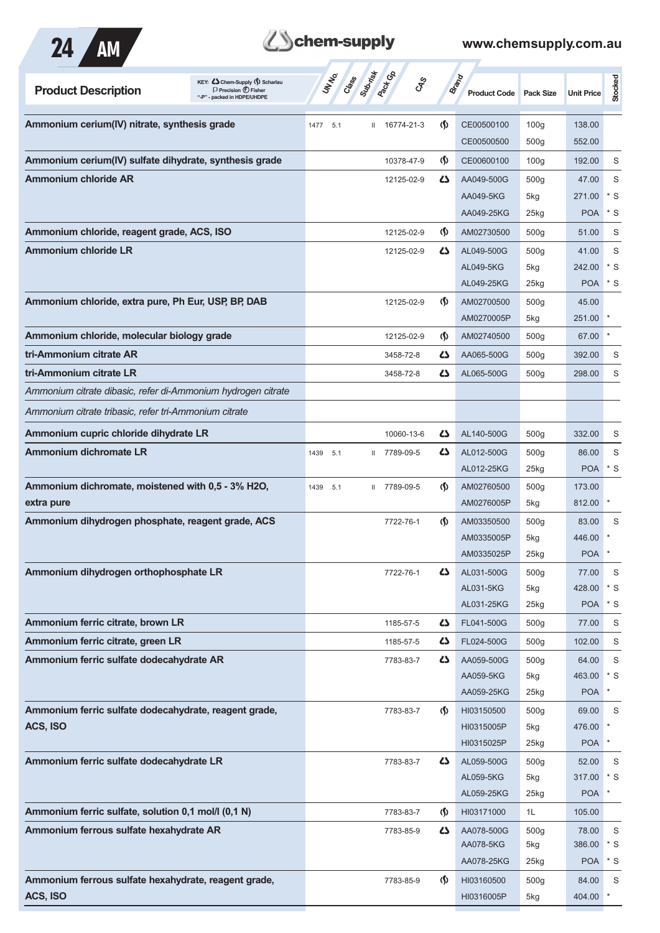

## **Z**Schem-supply

| KEY: Cohem-Supply (5) Scharlau<br><b>Product Description</b><br>$\Box$ Precision $\bigoplus$ Fisher<br>packed in HDPE/UHDPE | Subsition<br><b>Pack</b> Ga<br>UN NO.<br>Cass | <b>GRS</b>                    | <b>Brand</b><br><b>Product Code</b> | <b>Pack Size</b> | <b>Unit Price</b> | Stocked      |
|-----------------------------------------------------------------------------------------------------------------------------|-----------------------------------------------|-------------------------------|-------------------------------------|------------------|-------------------|--------------|
| Ammonium cerium(IV) nitrate, synthesis grade                                                                                | 16774-21-3<br>5.1<br>1477<br>Ш                | $\Phi$                        | CE00500100                          | 100 <sub>g</sub> | 138.00            |              |
|                                                                                                                             |                                               |                               | CE00500500                          | 500q             | 552.00            |              |
| Ammonium cerium(IV) sulfate dihydrate, synthesis grade                                                                      | 10378-47-9                                    | $\langle \mathbf{\S} \rangle$ | CE00600100                          | 100 <sub>g</sub> | 192.00            | S            |
| <b>Ammonium chloride AR</b>                                                                                                 | 12125-02-9                                    | 42                            | AA049-500G                          | 500 <sub>g</sub> | 47.00             | S            |
|                                                                                                                             |                                               |                               | AA049-5KG                           | 5kg              | 271.00            | * S          |
|                                                                                                                             |                                               |                               | AA049-25KG                          | 25kg             | <b>POA</b>        | $^*$ S       |
| Ammonium chloride, reagent grade, ACS, ISO                                                                                  | 12125-02-9                                    | $\langle \mathbf{\S} \rangle$ | AM02730500                          | 500 <sub>g</sub> | 51.00             | S            |
| <b>Ammonium chloride LR</b>                                                                                                 | 12125-02-9                                    | 45                            | AL049-500G                          | 500 <sub>g</sub> | 41.00             | S            |
|                                                                                                                             |                                               |                               | AL049-5KG                           | 5kg              | 242.00            | $*$ S        |
|                                                                                                                             |                                               |                               | AL049-25KG                          | $25$ kg          | <b>POA</b>        | $*$ S        |
| Ammonium chloride, extra pure, Ph Eur, USP, BP, DAB                                                                         | 12125-02-9                                    | $\langle \mathbf{\S} \rangle$ | AM02700500                          | 500 <sub>g</sub> | 45.00             |              |
|                                                                                                                             |                                               |                               | AM0270005P                          | 5kg              | 251.00            |              |
| Ammonium chloride, molecular biology grade                                                                                  | 12125-02-9                                    | $\langle \mathbf{\S} \rangle$ | AM02740500                          | 500 <sub>g</sub> | 67.00             | $\ast$       |
| tri-Ammonium citrate AR                                                                                                     | 3458-72-8                                     | 45                            | AA065-500G                          | 500 <sub>g</sub> | 392.00            | S            |
| tri-Ammonium citrate LR                                                                                                     | 3458-72-8                                     | ひ                             | AL065-500G                          | 500 <sub>g</sub> | 298.00            | S            |
| Ammonium citrate dibasic, refer di-Ammonium hydrogen citrate                                                                |                                               |                               |                                     |                  |                   |              |
| Ammonium citrate tribasic, refer tri-Ammonium citrate                                                                       |                                               |                               |                                     |                  |                   |              |
| Ammonium cupric chloride dihydrate LR                                                                                       | 10060-13-6                                    | 45                            | AL140-500G                          | 500q             | 332.00            | S            |
| <b>Ammonium dichromate LR</b>                                                                                               | 7789-09-5<br>1439<br>5.1<br>$\mathbf{II}$     | 45                            | AL012-500G                          | 500 <sub>g</sub> | 86.00             | S            |
|                                                                                                                             |                                               |                               | AL012-25KG                          | 25kg             | <b>POA</b>        | $*$ S        |
| Ammonium dichromate, moistened with 0,5 - 3% H2O,                                                                           | 7789-09-5<br>1439<br>5.1<br>Ш.                | $\langle \mathbf{\S} \rangle$ | AM02760500                          | 500 <sub>g</sub> | 173.00            |              |
| extra pure                                                                                                                  |                                               |                               | AM0276005P                          | 5kg              | 812.00            | $\ast$       |
| Ammonium dihydrogen phosphate, reagent grade, ACS                                                                           | 7722-76-1                                     | $\langle \mathbf{\S} \rangle$ | AM03350500                          | 500 <sub>g</sub> | 83.00             | S            |
|                                                                                                                             |                                               |                               | AM0335005P                          | 5kg              | 446.00            |              |
|                                                                                                                             |                                               |                               | AM0335025P                          | $25$ kg          | <b>POA</b>        |              |
| Ammonium dihydrogen orthophosphate LR                                                                                       | 7722-76-1                                     | 45                            | AL031-500G                          | 500g             | 77.00             | S            |
|                                                                                                                             |                                               |                               | AL031-5KG                           | 5kg              | 428.00            | $*$ S        |
|                                                                                                                             |                                               |                               | AL031-25KG                          | 25kg             | <b>POA</b>        | $*$ S        |
| Ammonium ferric citrate, brown LR                                                                                           | 1185-57-5                                     | 4                             | FL041-500G                          | 500 <sub>g</sub> | 77.00             | S            |
| Ammonium ferric citrate, green LR                                                                                           | 1185-57-5                                     | 45                            | FL024-500G                          | 500 <sub>g</sub> | 102.00            | S            |
| Ammonium ferric sulfate dodecahydrate AR                                                                                    | 7783-83-7                                     | 4                             | AA059-500G                          | 500 <sub>g</sub> | 64.00             | S            |
|                                                                                                                             |                                               |                               | AA059-5KG                           | 5kg              | 463.00            | $*$ S        |
|                                                                                                                             |                                               |                               | AA059-25KG                          | 25kg             | <b>POA</b>        | $\star$      |
| Ammonium ferric sulfate dodecahydrate, reagent grade,                                                                       | 7783-83-7                                     | $\langle \mathbf{\S} \rangle$ | HI03150500                          | 500 <sub>g</sub> | 69.00             | $\mathsf S$  |
| ACS, ISO                                                                                                                    |                                               |                               | HI0315005P                          | 5kg              | 476.00            |              |
|                                                                                                                             |                                               |                               | HI0315025P                          | 25kg             | <b>POA</b>        | $\ast$       |
| Ammonium ferric sulfate dodecahydrate LR                                                                                    | 7783-83-7                                     | 4                             | AL059-500G                          | 500 <sub>g</sub> | 52.00             | $\mathsf S$  |
|                                                                                                                             |                                               |                               | AL059-5KG                           | 5kg              | 317.00            | $*$ S        |
|                                                                                                                             |                                               |                               | AL059-25KG                          | 25kg             | <b>POA</b>        | $\ast$       |
| Ammonium ferric sulfate, solution 0,1 mol/l (0,1 N)                                                                         | 7783-83-7                                     | $\langle \mathbf{\S} \rangle$ | HI03171000                          | 1L               | 105.00            |              |
| Ammonium ferrous sulfate hexahydrate AR                                                                                     | 7783-85-9                                     | 4                             | AA078-500G                          | 500 <sub>g</sub> | 78.00             | S            |
|                                                                                                                             |                                               |                               | AA078-5KG                           | 5kg              | 386.00            | $*$ S        |
|                                                                                                                             |                                               |                               | AA078-25KG                          | 25kg             | <b>POA</b>        | $*$ S        |
| Ammonium ferrous sulfate hexahydrate, reagent grade,                                                                        | 7783-85-9                                     | $\langle \mathbf{\S} \rangle$ | HI03160500                          | 500 <sub>g</sub> | 84.00             | S            |
| ACS, ISO                                                                                                                    |                                               |                               | HI0316005P                          | 5kg              | 404.00            | $\pmb{\ast}$ |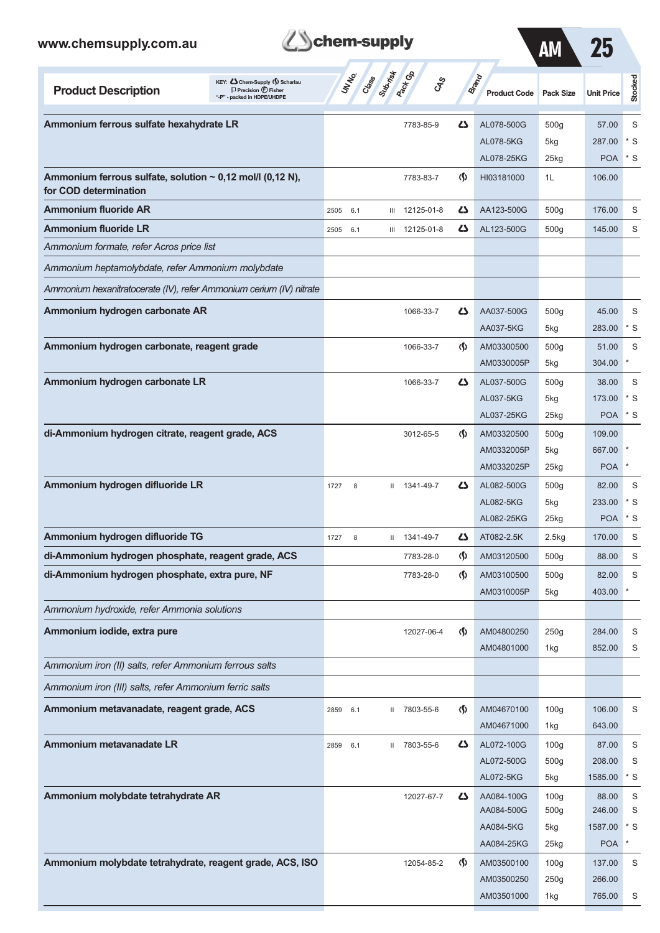| www.chemsupply.com.au                                                                                                             | chem-supply                 |                                               | АM                                 | 25                                  |                          |                   |                 |
|-----------------------------------------------------------------------------------------------------------------------------------|-----------------------------|-----------------------------------------------|------------------------------------|-------------------------------------|--------------------------|-------------------|-----------------|
| KEY: Cohem-Supply (5) Scharlau<br><b>Product Description</b><br>$\Box$ Precision $\bigcirc$ Fisher<br>"-P" - packed in HDPE/UHDPE | Superior<br>UN NO.<br>Creas | <b>Pack</b> Ga<br>$\mathcal{S}_{\mathcal{S}}$ |                                    | <b>Brand</b><br><b>Product Code</b> | <b>Pack Size</b>         | <b>Unit Price</b> | Stocked         |
| Ammonium ferrous sulfate hexahydrate LR                                                                                           |                             | 7783-85-9                                     | 5                                  | AL078-500G                          | 500 <sub>g</sub>         | 57.00             | S               |
|                                                                                                                                   |                             |                                               |                                    | AL078-5KG                           | 5kg                      | 287.00            | * S             |
|                                                                                                                                   |                             |                                               |                                    | AL078-25KG                          | $25$ kg                  | <b>POA</b>        | * S             |
| Ammonium ferrous sulfate, solution $\sim$ 0,12 mol/l (0,12 N),<br>for COD determination                                           |                             | 7783-83-7                                     | $\langle \mathbf{\S} \rangle$      | HI03181000                          | 1L                       | 106.00            |                 |
| <b>Ammonium fluoride AR</b>                                                                                                       | 2505<br>6.1<br>Ш            | 12125-01-8                                    | دے                                 | AA123-500G                          | 500 <sub>g</sub>         | 176.00            | S               |
| <b>Ammonium fluoride LR</b>                                                                                                       | 2505<br>6.1                 | III 12125-01-8                                | 4                                  | AL123-500G                          | 500 <sub>g</sub>         | 145.00            | S               |
| Ammonium formate, refer Acros price list                                                                                          |                             |                                               |                                    |                                     |                          |                   |                 |
| Ammonium heptamolybdate, refer Ammonium molybdate                                                                                 |                             |                                               |                                    |                                     |                          |                   |                 |
| Ammonium hexanitratocerate (IV), refer Ammonium cerium (IV) nitrate                                                               |                             |                                               |                                    |                                     |                          |                   |                 |
| Ammonium hydrogen carbonate AR                                                                                                    |                             | 1066-33-7                                     | 5                                  | AA037-500G                          | 500 <sub>g</sub>         | 45.00             | S               |
|                                                                                                                                   |                             |                                               |                                    | AA037-5KG                           | 5kg                      | 283.00            | $*$ S           |
| Ammonium hydrogen carbonate, reagent grade                                                                                        |                             | 1066-33-7                                     | $\langle \mathbf{\langle} \rangle$ | AM03300500                          | 500 <sub>g</sub>         | 51.00             | S               |
|                                                                                                                                   |                             |                                               |                                    | AM0330005P                          | 5kg                      | 304.00            | $\ast$          |
| Ammonium hydrogen carbonate LR                                                                                                    |                             | 1066-33-7                                     | 5                                  | AL037-500G                          | 500 <sub>g</sub>         | 38.00             | S               |
|                                                                                                                                   |                             |                                               |                                    | AL037-5KG                           | 5kg                      | 173.00            | $*$ S           |
|                                                                                                                                   |                             |                                               |                                    | AL037-25KG                          | $25$ <sub>kg</sub>       | <b>POA</b>        | * S             |
| di-Ammonium hydrogen citrate, reagent grade, ACS                                                                                  |                             | 3012-65-5                                     | $\langle \mathbf{\langle} \rangle$ | AM03320500                          | 500 <sub>g</sub>         | 109.00            |                 |
|                                                                                                                                   |                             |                                               |                                    | AM0332005P                          | 5kg                      | 667.00            |                 |
|                                                                                                                                   |                             |                                               |                                    | AM0332025P                          | 25kg                     | <b>POA</b>        | $\ast$          |
| Ammonium hydrogen difluoride LR                                                                                                   | 1727<br>8                   | $11$ 1341-49-7                                | 5                                  | AL082-500G                          | 500 <sub>g</sub>         | 82.00             | S               |
|                                                                                                                                   |                             |                                               |                                    | AL082-5KG                           | 5kg                      | 233.00            | * S             |
|                                                                                                                                   |                             |                                               |                                    | AL082-25KG                          | 25kg                     | <b>POA</b>        | * S             |
| Ammonium hydrogen difluoride TG                                                                                                   | 1727<br>8<br>$\mathbf{H}$   | 1341-49-7                                     | 45                                 | AT082-2.5K                          | 2.5kg                    | 170.00            | S               |
| di-Ammonium hydrogen phosphate, reagent grade, ACS                                                                                |                             | 7783-28-0                                     | $\langle \mathbf{\S} \rangle$      | AM03120500                          | 500 <sub>g</sub>         | 88.00             | S               |
| di-Ammonium hydrogen phosphate, extra pure, NF                                                                                    |                             | 7783-28-0                                     | $\langle \mathbf{\langle} \rangle$ | AM03100500                          | 500 <sub>g</sub>         | 82.00             | S               |
|                                                                                                                                   |                             |                                               |                                    | AM0310005P                          | 5kg                      | 403.00            |                 |
| Ammonium hydroxide, refer Ammonia solutions                                                                                       |                             |                                               |                                    |                                     |                          |                   |                 |
| Ammonium iodide, extra pure                                                                                                       |                             | 12027-06-4                                    | $\langle \mathbf{\langle} \rangle$ | AM04800250                          | 250g                     | 284.00            | S               |
|                                                                                                                                   |                             |                                               |                                    | AM04801000                          | 1kg                      | 852.00            | S               |
| Ammonium iron (II) salts, refer Ammonium ferrous salts                                                                            |                             |                                               |                                    |                                     |                          |                   |                 |
| Ammonium iron (III) salts, refer Ammonium ferric salts                                                                            |                             |                                               |                                    |                                     |                          |                   |                 |
| Ammonium metavanadate, reagent grade, ACS                                                                                         | 2859<br>6.1                 | II 7803-55-6                                  | $\langle \mathbf{\S} \rangle$      | AM04670100                          | 100 <sub>g</sub>         | 106.00            | S               |
|                                                                                                                                   |                             |                                               |                                    | AM04671000                          | 1kg                      | 643.00            |                 |
| Ammonium metavanadate LR                                                                                                          | 2859<br>6.1                 | II 7803-55-6                                  | 4                                  | AL072-100G                          | 100 <sub>g</sub>         | 87.00             | S               |
|                                                                                                                                   |                             |                                               |                                    | AL072-500G                          | 500 <sub>g</sub>         | 208.00            | S               |
|                                                                                                                                   |                             |                                               |                                    | AL072-5KG                           | 5kg                      | 1585.00           | $*$ S           |
| Ammonium molybdate tetrahydrate AR                                                                                                |                             | 12027-67-7                                    | 45                                 | AA084-100G                          | 100 <sub>g</sub>         | 88.00             | S               |
|                                                                                                                                   |                             |                                               |                                    | AA084-500G                          | 500g                     | 246.00            | S               |
|                                                                                                                                   |                             |                                               |                                    | AA084-5KG                           | 5kg                      | 1587.00           | $*$ S<br>$\ast$ |
| Ammonium molybdate tetrahydrate, reagent grade, ACS, ISO                                                                          |                             |                                               |                                    | AA084-25KG                          | 25kg                     | <b>POA</b>        |                 |
|                                                                                                                                   |                             | 12054-85-2                                    | $\langle \mathbf{\S} \rangle$      | AM03500100<br>AM03500250            | 100 <sub>g</sub><br>250g | 137.00<br>266.00  | S               |
|                                                                                                                                   |                             |                                               |                                    |                                     |                          |                   |                 |

AM03501000 1kg 765.00 S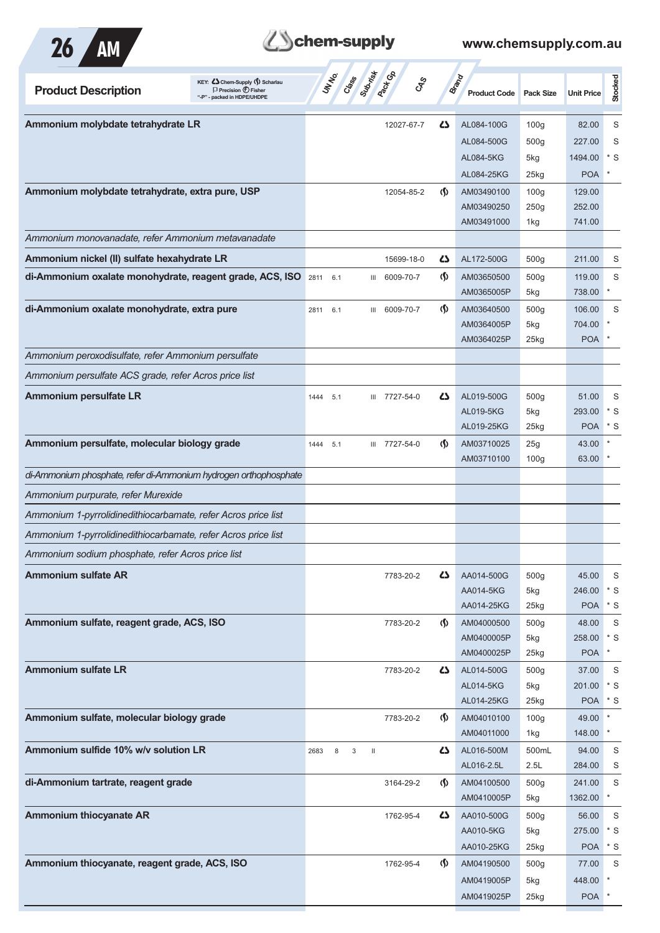

| <b>Product Description</b>                                       | KEY: Cohem-Supply (5) Scharlau<br>$\Box$ Precision $\bigoplus$ Fisher<br>"-P" - packed in HDPE/UHDPE | UNIVO       | Class Superior Re<br>$c_{\rm x}^2$             |                                    | Brand<br><b>Product Code</b> | <b>Pack Size</b>        | <b>Unit Price</b> | Stocked       |
|------------------------------------------------------------------|------------------------------------------------------------------------------------------------------|-------------|------------------------------------------------|------------------------------------|------------------------------|-------------------------|-------------------|---------------|
| Ammonium molybdate tetrahydrate LR                               |                                                                                                      |             | 12027-67-7                                     | Δ                                  | AL084-100G                   | 100 <sub>g</sub>        | 82.00             | S             |
|                                                                  |                                                                                                      |             |                                                |                                    | AL084-500G                   | 500 <sub>g</sub>        | 227.00            | S             |
|                                                                  |                                                                                                      |             |                                                |                                    | AL084-5KG                    | 5kg                     | 1494.00           | $*$ S         |
|                                                                  |                                                                                                      |             |                                                |                                    | AL084-25KG                   | 25kg                    | <b>POA</b>        |               |
| Ammonium molybdate tetrahydrate, extra pure, USP                 |                                                                                                      |             | 12054-85-2                                     | $\langle \mathbf{\langle} \rangle$ | AM03490100                   | 100 <sub>g</sub>        | 129.00            |               |
|                                                                  |                                                                                                      |             |                                                |                                    | AM03490250                   | 250g                    | 252.00            |               |
|                                                                  |                                                                                                      |             |                                                |                                    | AM03491000                   | 1kg                     | 741.00            |               |
| Ammonium monovanadate, refer Ammonium metavanadate               |                                                                                                      |             |                                                |                                    |                              |                         |                   |               |
| Ammonium nickel (II) sulfate hexahydrate LR                      |                                                                                                      |             | 15699-18-0                                     | 45                                 | AL172-500G                   | 500 <sub>g</sub>        | 211.00            | S             |
| di-Ammonium oxalate monohydrate, reagent grade, ACS, ISO         |                                                                                                      | 2811<br>6.1 | 6009-70-7<br>Ш                                 | $\Phi$                             | AM03650500                   | 500 <sub>g</sub>        | 119.00<br>738.00  | S             |
| di-Ammonium oxalate monohydrate, extra pure                      |                                                                                                      |             | 6009-70-7                                      | $\Phi$                             | AM0365005P<br>AM03640500     | 5kg                     | 106.00            | S             |
|                                                                  |                                                                                                      | 6.1<br>2811 | Ш                                              |                                    | AM0364005P                   | 500 <sub>g</sub><br>5kg | 704.00            |               |
|                                                                  |                                                                                                      |             |                                                |                                    | AM0364025P                   | 25kg                    | <b>POA</b>        | $\ast$        |
| Ammonium peroxodisulfate, refer Ammonium persulfate              |                                                                                                      |             |                                                |                                    |                              |                         |                   |               |
| Ammonium persulfate ACS grade, refer Acros price list            |                                                                                                      |             |                                                |                                    |                              |                         |                   |               |
| <b>Ammonium persulfate LR</b>                                    |                                                                                                      | 5.1<br>1444 | III 7727-54-0                                  | 45                                 | AL019-500G                   | 500 <sub>g</sub>        | 51.00             | S             |
|                                                                  |                                                                                                      |             |                                                |                                    | AL019-5KG                    | 5kg                     | 293.00            | $*$ S         |
|                                                                  |                                                                                                      |             |                                                |                                    | AL019-25KG                   | 25kg                    | <b>POA</b>        | $*$ S         |
| Ammonium persulfate, molecular biology grade                     |                                                                                                      | 1444<br>5.1 | III 7727-54-0                                  | $\Phi$                             | AM03710025                   | 25g                     | 43.00             |               |
|                                                                  |                                                                                                      |             |                                                |                                    | AM03710100                   | 100 <sub>g</sub>        | 63.00             | $\ast$        |
| di-Ammonium phosphate, refer di-Ammonium hydrogen orthophosphate |                                                                                                      |             |                                                |                                    |                              |                         |                   |               |
| Ammonium purpurate, refer Murexide                               |                                                                                                      |             |                                                |                                    |                              |                         |                   |               |
| Ammonium 1-pyrrolidinedithiocarbamate, refer Acros price list    |                                                                                                      |             |                                                |                                    |                              |                         |                   |               |
| Ammonium 1-pyrrolidinedithiocarbamate, refer Acros price list    |                                                                                                      |             |                                                |                                    |                              |                         |                   |               |
| Ammonium sodium phosphate, refer Acros price list                |                                                                                                      |             |                                                |                                    |                              |                         |                   |               |
| <b>Ammonium sulfate AR</b>                                       |                                                                                                      |             | 7783-20-2                                      | 45                                 | AA014-500G                   | 500 <sub>g</sub>        | 45.00             | S             |
|                                                                  |                                                                                                      |             |                                                |                                    | AA014-5KG                    | 5kg                     | 246.00            | $*$ S         |
|                                                                  |                                                                                                      |             |                                                |                                    | AA014-25KG                   | 25kg                    | <b>POA</b>        | $*$ S         |
| Ammonium sulfate, reagent grade, ACS, ISO                        |                                                                                                      |             | 7783-20-2                                      | $\Phi$                             | AM04000500<br>AM0400005P     | 500 <sub>g</sub><br>5kg | 48.00<br>258.00   | S<br>$*$ S    |
|                                                                  |                                                                                                      |             |                                                |                                    | AM0400025P                   | 25kg                    | <b>POA</b>        | $\ast$        |
| <b>Ammonium sulfate LR</b>                                       |                                                                                                      |             | 7783-20-2                                      | 42                                 | AL014-500G                   | 500 <sub>g</sub>        | 37.00             | S             |
|                                                                  |                                                                                                      |             |                                                |                                    | AL014-5KG                    | 5kg                     | 201.00            | $^{\star}$ S  |
|                                                                  |                                                                                                      |             |                                                |                                    | AL014-25KG                   | 25kg                    | POA * S           |               |
| Ammonium sulfate, molecular biology grade                        |                                                                                                      |             | 7783-20-2                                      | $\Phi$                             | AM04010100                   | 100 <sub>g</sub>        | 49.00             | $\mathbf{r}$  |
|                                                                  |                                                                                                      |             |                                                |                                    | AM04011000                   | 1kg                     | 148.00            | $^\star$      |
| Ammonium sulfide 10% w/v solution LR                             |                                                                                                      | 8<br>2683   | $\ensuremath{\mathsf{3}}$<br>$\mathop{\rm II}$ | 4                                  | AL016-500M                   | 500mL                   | 94.00             | S             |
|                                                                  |                                                                                                      |             |                                                |                                    | AL016-2.5L                   | 2.5L                    | 284.00            | S             |
| di-Ammonium tartrate, reagent grade                              |                                                                                                      |             | 3164-29-2                                      | $\Phi$                             | AM04100500<br>AM0410005P     | 500 <sub>g</sub><br>5kg | 241.00<br>1362.00 | S<br>$^\star$ |
| <b>Ammonium thiocyanate AR</b>                                   |                                                                                                      |             | 1762-95-4                                      | 45                                 | AA010-500G                   | 500 <sub>g</sub>        | 56.00             | S             |
|                                                                  |                                                                                                      |             |                                                |                                    | AA010-5KG                    | 5kg                     | 275.00            | $*$ S         |
|                                                                  |                                                                                                      |             |                                                |                                    | AA010-25KG                   | 25kg                    | <b>POA</b>        | $*$ S         |
| Ammonium thiocyanate, reagent grade, ACS, ISO                    |                                                                                                      |             | 1762-95-4                                      | $\Phi$                             | AM04190500                   | 500 <sub>g</sub>        | 77.00             | S             |
|                                                                  |                                                                                                      |             |                                                |                                    | AM0419005P                   | 5kg                     | 448.00            | $^\star$      |
|                                                                  |                                                                                                      |             |                                                |                                    | AM0419025P                   | 25kg                    | POA <sup>*</sup>  |               |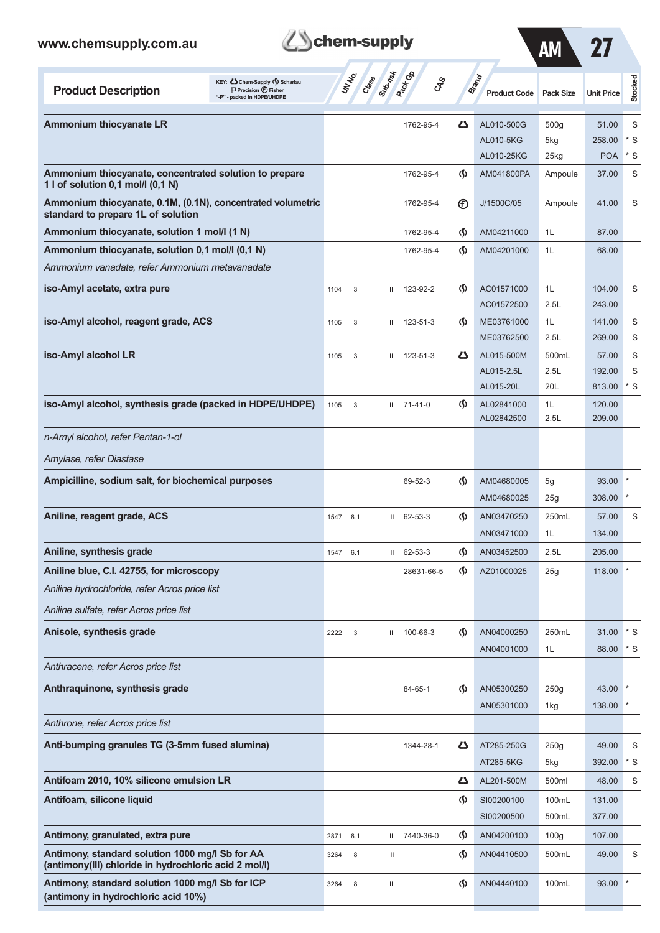### **Product Description**<br>
Precision  $\bigcirc$  **Fisher**<br>  $\bigcirc$  **Precision**  $\bigcirc$  **<b>Fisher Class Sub-risk Pack Gp Brand Product Code Pack Size Unit Price** AM 27 **Stocked Ammonium thiocyanate LR** 1762-95-4 **Annonium thiocyanate LR** 51.00 S AL010-5KG 5kg 258.00 \* S AL010-25KG 25kg POA \* S **Ammonium thiocyanate, concentrated solution to prepare** 1762-95-4 **(1)** AM041800PA Ampoule 37.00 S **1 l of solution 0,1 mol/l (0,1 N) Ammonium thiocyanate, 0.1M, (0.1N), concentrated volumetric** 1762-95-4 (F) J/1500C/05 Ampoule 41.00 S **standard to prepare 1L of solution Ammonium thiocyanate, solution 1 mol/l (1 N)** 1762-95-4 **(1 M)** 1762-95-4 **(1 M)** AM04211000 1L 87.00 **Ammonium thiocyanate, solution 0,1 mol/l (0,1 N)** 1762-95-4 **(1)** AM04201000 1L 68.00 *Ammonium vanadate, refer Ammonium metavanadate* **iso-Amyl acetate, extra pure** 1104 104 1104 3 III 123-92-2 (1) AC01571000 1L 104.00 S AC01572500 2.5L 243.00 **iso-Amyl alcohol, reagent grade, ACS** 1105 3 III 123-51-3 (**)** ME03761000 1L 141.00 S ME03762500 2.5L 269.00 S **iso-Amyl alcohol LR** 1105 3 III 123-51-3 **43** AL015-500M 500mL 57.00 S AL015-2.5L 2.5L 192.00 S AL015-20L 20L 813.00 \* S **iso-Amyl alcohol, synthesis grade (packed in HDPE/UHDPE)** 1105 3 III 71-41-0 (1) AL02841000 1L 120.00 AL02842500 2.5L 209.00 *n-Amyl alcohol, refer Pentan-1-ol Amylase, refer Diastase* **Ampicilline, sodium salt, for biochemical purposes** 69-52-3 **(1)**  $\bullet$  69-52-3 **(1)**  $\bullet$  AM04680005 5g 93.00 AM04680025 25g 308.00 **Aniline, reagent grade, ACS** 1547 6.1 1547 6.1 II 62-53-3 (1) AN03470250 250mL 57.00 S AN03471000 1L 134.00 **Aniline, synthesis grade** 205.00 **1547 6.1 II 62-53-3 (1547 6.1 C)** AN03452500 2.5L 205.00 **Aniline blue, C.I. 42755, for microscopy** 28631-66-5 **(f)** AZ01000025 25g 118.00 *Aniline hydrochloride, refer Acros price list Aniline sulfate, refer Acros price list* **Anisole, synthesis grade** 2222 3 III 100-66-3 (2220 450mL 31.00 \* S AN04001000 1L 88.00 \* S *Anthracene, refer Acros price list* **Anthraquinone, synthesis grade** 84-65-1 **(1)** AN05300250 250g 43.00 AN05301000 1kg 138.00 *Anthrone, refer Acros price list* **Anti-bumping granules TG (3-5mm fused alumina)** 1344-28-1 **AT285-250G** 250g 49.00 S AT285-5KG 5kg 392.00 \* S **Antifoam 2010, 10% silicone emulsion LR AL201-500M** 500ml 48.00 S **Antifoam, silicone liquid** and the state of the state of the state of the state of the state of the state of the state of the state of the state of the state of the state of the state of the state of the state of the stat SI00200500 500ml 377.00 **Antimony, granulated, extra pure** 2871 6.1 III 7440-36-0 (1) AN04200100 100g 107.00

**Schem-supply** 

**Antimony, standard solution 1000 mg/l Sb for AA** 3264 8 II AN04410500 500mL 49.00 S

**Antimony, standard solution 1000 mg/l Sb for ICP** 3264 8 III AN04440100 100mL 93.00

**(antimony(III) chloride in hydrochloric acid 2 mol/l)**

**(antimony in hydrochloric acid 10%)**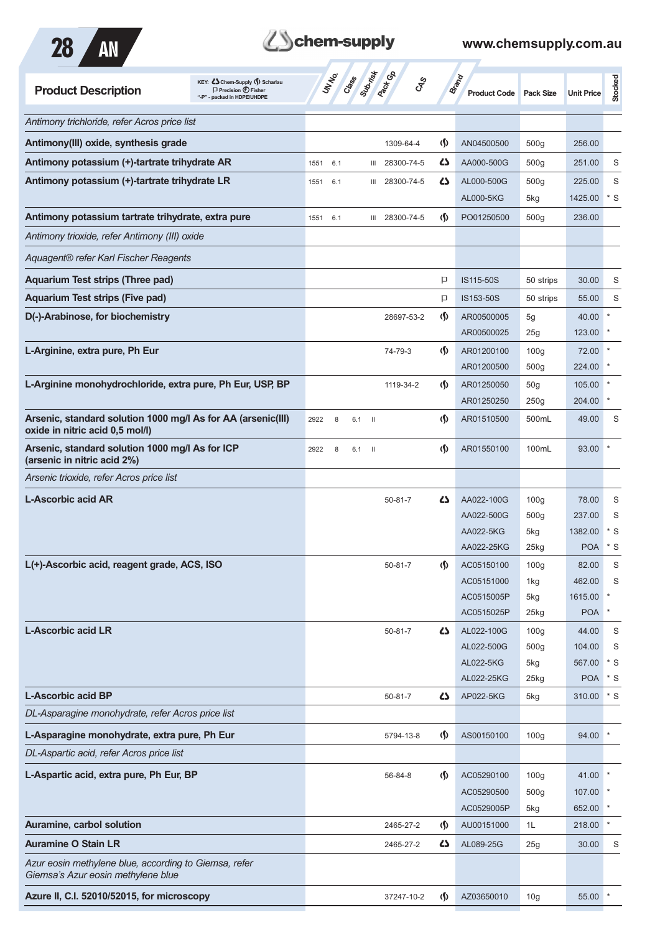



| KEY: Cohem-Supply (5) Scharlau<br><b>Product Description</b><br>$\Box$ Precision $\bigoplus$ Fisher<br>- packed in HDPE/UHDPE | Suprimited<br>UNINO<br>Cass | <b>Pacifica</b><br><b>GRS</b> |                               | <b>Brand</b><br><b>Product Code</b> | <b>Pack Size</b> | <b>Unit Price</b> | Stocked                |
|-------------------------------------------------------------------------------------------------------------------------------|-----------------------------|-------------------------------|-------------------------------|-------------------------------------|------------------|-------------------|------------------------|
| Antimony trichloride, refer Acros price list                                                                                  |                             |                               |                               |                                     |                  |                   |                        |
| Antimony(III) oxide, synthesis grade                                                                                          |                             | 1309-64-4                     | $\langle \mathbf{\S} \rangle$ | AN04500500                          | 500g             | 256.00            |                        |
| Antimony potassium (+)-tartrate trihydrate AR                                                                                 | 1551<br>6.1                 | 28300-74-5<br>Ш               | 45                            | AA000-500G                          | 500g             | 251.00            | S                      |
| Antimony potassium (+)-tartrate trihydrate LR                                                                                 | 1551<br>6.1                 | 28300-74-5<br>Ш               | ひ                             | AL000-500G                          | 500g             | 225.00            | S                      |
|                                                                                                                               |                             |                               |                               | AL000-5KG                           | 5kg              | 1425.00           | $*$ S                  |
| Antimony potassium tartrate trihydrate, extra pure                                                                            | 1551 6.1                    | III 28300-74-5                | $\langle \mathbf{\S} \rangle$ | PO01250500                          | 500 <sub>g</sub> | 236.00            |                        |
| Antimony trioxide, refer Antimony (III) oxide                                                                                 |                             |                               |                               |                                     |                  |                   |                        |
| Aquagent® refer Karl Fischer Reagents                                                                                         |                             |                               |                               |                                     |                  |                   |                        |
| <b>Aquarium Test strips (Three pad)</b>                                                                                       |                             |                               | P                             | IS115-50S                           | 50 strips        | 30.00             | S                      |
| <b>Aquarium Test strips (Five pad)</b>                                                                                        |                             |                               | P                             | IS153-50S                           | 50 strips        | 55.00             | S                      |
| D(-)-Arabinose, for biochemistry                                                                                              |                             | 28697-53-2                    | $\langle \mathbf{\S} \rangle$ | AR00500005                          | 5g               | 40.00             |                        |
|                                                                                                                               |                             |                               |                               | AR00500025                          | 25g              | 123.00            |                        |
| L-Arginine, extra pure, Ph Eur                                                                                                |                             | 74-79-3                       | $\langle \mathsf{S} \rangle$  | AR01200100                          | 100 <sub>g</sub> | 72.00             |                        |
|                                                                                                                               |                             |                               |                               | AR01200500                          | 500g             | 224.00            |                        |
| L-Arginine monohydrochloride, extra pure, Ph Eur, USP, BP                                                                     |                             | 1119-34-2                     | $\langle \mathbf{\langle}$    | AR01250050                          | 50 <sub>g</sub>  | 105.00            |                        |
|                                                                                                                               |                             |                               |                               | AR01250250                          | 250g             | 204.00            |                        |
| Arsenic, standard solution 1000 mg/l As for AA (arsenic(III)<br>oxide in nitric acid 0,5 mol/l)                               | 2922<br>8<br>$6.1$ II       |                               | $\langle \mathbf{\S} \rangle$ | AR01510500                          | 500mL            | 49.00             | S                      |
| Arsenic, standard solution 1000 mg/l As for ICP<br>(arsenic in nitric acid 2%)                                                | 2922<br>8<br>6.1            | - 11                          | $\langle \mathbf{\S} \rangle$ | AR01550100                          | 100mL            | 93.00             |                        |
| Arsenic trioxide, refer Acros price list                                                                                      |                             |                               |                               |                                     |                  |                   |                        |
| <b>L-Ascorbic acid AR</b>                                                                                                     |                             | $50 - 81 - 7$                 | 45                            | AA022-100G                          | 100 <sub>g</sub> | 78.00             | S                      |
|                                                                                                                               |                             |                               |                               | AA022-500G                          | 500g             | 237.00            | S                      |
|                                                                                                                               |                             |                               |                               | AA022-5KG                           | 5kg              | 1382.00           | $*$ S                  |
|                                                                                                                               |                             |                               |                               | AA022-25KG                          | 25kg             | <b>POA</b>        | $*$ S                  |
| L(+)-Ascorbic acid, reagent grade, ACS, ISO                                                                                   |                             | $50 - 81 - 7$                 | $\boldsymbol{\varphi}$        | AC05150100                          | 100 <sub>g</sub> | 82.00             | S                      |
|                                                                                                                               |                             |                               |                               | AC05151000                          | 1kg              | 462.00            | S                      |
|                                                                                                                               |                             |                               |                               | AC0515005P                          | 5kg              | 1615.00           | $\ast$<br>$\pmb{\ast}$ |
|                                                                                                                               |                             |                               |                               | AC0515025P                          | 25kg             | <b>POA</b>        |                        |
| <b>L-Ascorbic acid LR</b>                                                                                                     |                             | $50 - 81 - 7$                 | 45                            | AL022-100G<br>AL022-500G            | 100 <sub>g</sub> | 44.00<br>104.00   | $\mathbb S$<br>S       |
|                                                                                                                               |                             |                               |                               | AL022-5KG                           | 500g<br>5kg      | 567.00            | $*$ S                  |
|                                                                                                                               |                             |                               |                               | AL022-25KG                          | $25$ kg          | <b>POA</b>        | $*$ S                  |
| <b>L-Ascorbic acid BP</b>                                                                                                     |                             | $50 - 81 - 7$                 | 5                             | AP022-5KG                           | 5kg              | 310.00            | $^\star$ S             |
| DL-Asparagine monohydrate, refer Acros price list                                                                             |                             |                               |                               |                                     |                  |                   |                        |
| L-Asparagine monohydrate, extra pure, Ph Eur                                                                                  |                             | 5794-13-8                     | $\langle \mathsf{S} \rangle$  | AS00150100                          | 100 <sub>g</sub> | 94.00             |                        |
| DL-Aspartic acid, refer Acros price list                                                                                      |                             |                               |                               |                                     |                  |                   |                        |
| L-Aspartic acid, extra pure, Ph Eur, BP                                                                                       |                             |                               | $\Phi$                        |                                     | 100 <sub>g</sub> |                   |                        |
|                                                                                                                               |                             | 56-84-8                       |                               | AC05290100<br>AC05290500            | 500g             | 41.00 *<br>107.00 |                        |
|                                                                                                                               |                             |                               |                               | AC0529005P                          | 5kg              | 652.00            |                        |
| Auramine, carbol solution                                                                                                     |                             | 2465-27-2                     | $\langle \mathbf{\S} \rangle$ | AU00151000                          | 1L               | 218.00            | $\star$                |
| <b>Auramine O Stain LR</b>                                                                                                    |                             | 2465-27-2                     | 45                            | AL089-25G                           | 25g              | 30.00             | S                      |
| Azur eosin methylene blue, according to Giemsa, refer                                                                         |                             |                               |                               |                                     |                  |                   |                        |
| Giemsa's Azur eosin methylene blue                                                                                            |                             |                               |                               |                                     |                  |                   |                        |
| Azure II, C.I. 52010/52015, for microscopy                                                                                    |                             | 37247-10-2                    | $\Phi$                        | AZ03650010                          | 10 <sub>g</sub>  | 55.00             |                        |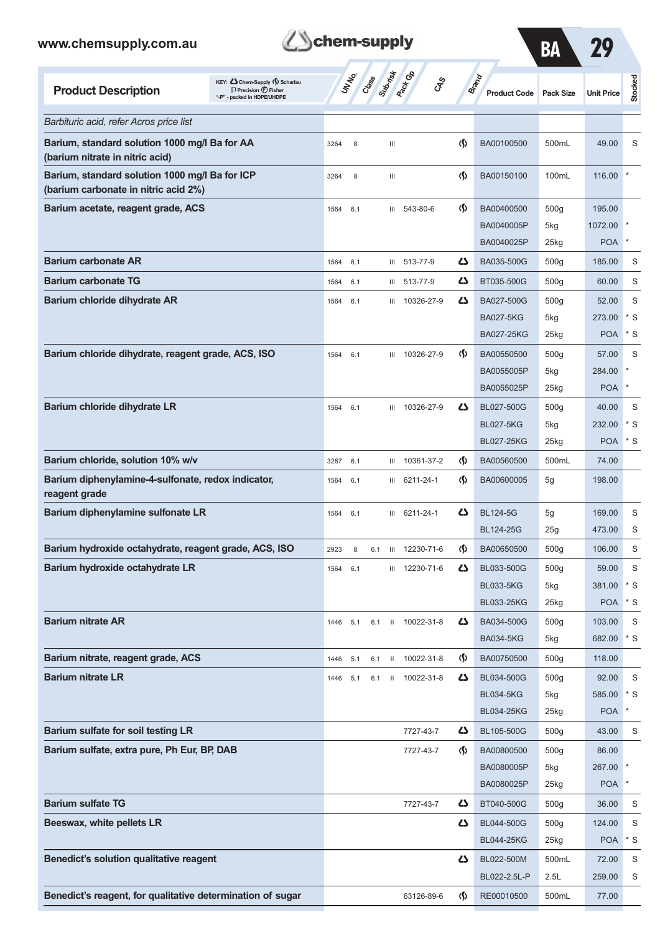

**Schem-supply** 

BL022-2.5L-P 2.5L 259.00 S

**Benedict's reagent, for qualitative determination of sugar** 63126-89-6 **(f)** RE00010500 500mL 77.00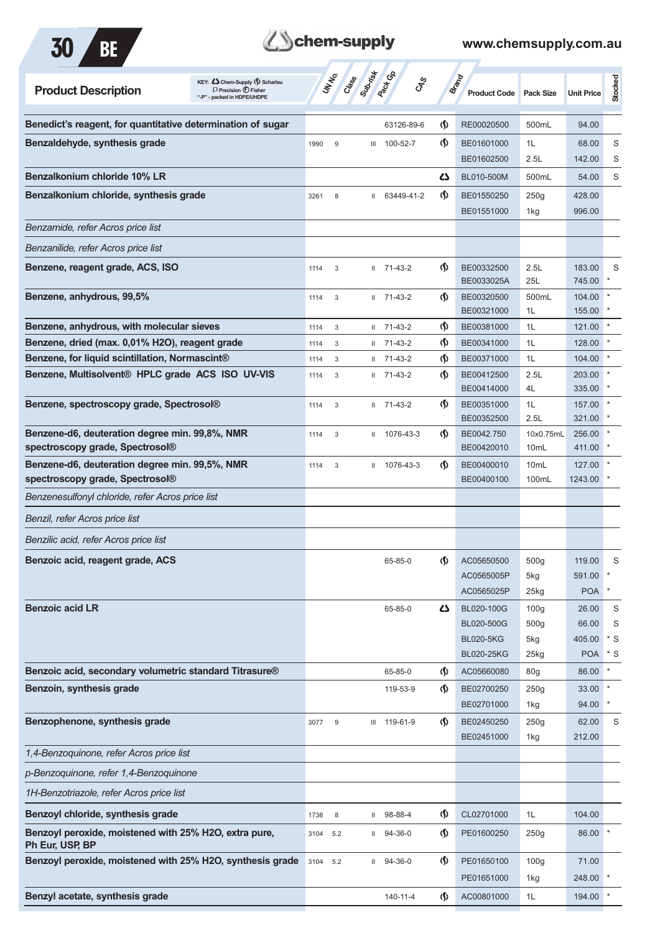

# **Them-supply**

| KEY: C Chem-Supply () Scharlau<br><b>Product Description</b><br>$\Box$ Precision $\bigoplus$ Fisher<br>"-P" - packed in HDPE/UHDPE |      | UN NO.<br>Crass | Submish      | <b>Pack</b> Ga         | <b>GRS</b>                    | <b>Brand</b><br><b>Product Code</b> | <b>Pack Size</b>              | <b>Unit Price</b>  | <b>Stocked</b> |
|------------------------------------------------------------------------------------------------------------------------------------|------|-----------------|--------------|------------------------|-------------------------------|-------------------------------------|-------------------------------|--------------------|----------------|
| Benedict's reagent, for quantitative determination of sugar                                                                        |      |                 |              | 63126-89-6             | $\langle \mathbf{\S} \rangle$ | RE00020500                          | 500mL                         | 94.00              |                |
| Benzaldehyde, synthesis grade                                                                                                      | 1990 | 9               | Ш            | 100-52-7               | $\langle \mathbf{\S} \rangle$ | BE01601000                          | 1L                            | 68.00              | S              |
|                                                                                                                                    |      |                 |              |                        |                               | BE01602500                          | 2.5L                          | 142.00             | S              |
| Benzalkonium chloride 10% LR                                                                                                       |      |                 |              |                        | ひ                             | BL010-500M                          | 500mL                         | 54.00              | S              |
| Benzalkonium chloride, synthesis grade                                                                                             | 3261 | 8               |              | II 63449-41-2          | $\langle \mathbf{\S} \rangle$ | BE01550250<br>BE01551000            | 250g<br>1kg                   | 428.00<br>996.00   |                |
| Benzamide, refer Acros price list                                                                                                  |      |                 |              |                        |                               |                                     |                               |                    |                |
| Benzanilide, refer Acros price list                                                                                                |      |                 |              |                        |                               |                                     |                               |                    |                |
| Benzene, reagent grade, ACS, ISO                                                                                                   | 1114 | 3               |              | $11 \quad 71 - 43 - 2$ | $\langle \mathbf{\S} \rangle$ | BE00332500<br>BE0033025A            | 2.5L<br>25L                   | 183.00<br>745.00   | S              |
| Benzene, anhydrous, 99,5%                                                                                                          | 1114 | 3               |              | $11 \quad 71 - 43 - 2$ | $\langle \mathsf{S} \rangle$  | BE00320500<br>BE00321000            | 500mL<br>1L                   | 104.00<br>155.00   |                |
| Benzene, anhydrous, with molecular sieves                                                                                          | 1114 | 3               |              | $11 \quad 71 - 43 - 2$ | $\langle \mathbf{\hat{y}}$    | BE00381000                          | 1L                            | 121.00             | $\pmb{\ast}$   |
| Benzene, dried (max. 0,01% H2O), reagent grade                                                                                     | 1114 | 3               | $\mathbf{H}$ | 71-43-2                | $\langle \mathbf{\S} \rangle$ | BE00341000                          | 1L                            | 128.00             |                |
| Benzene, for liquid scintillation, Normascint®                                                                                     | 1114 | 3               |              | $11 \quad 71 - 43 - 2$ | $\langle \mathbf{\hat{y}}$    | BE00371000                          | 1L                            | 104.00             |                |
| Benzene, Multisolvent® HPLC grade ACS ISO UV-VIS                                                                                   | 1114 | 3               |              | $11 \quad 71 - 43 - 2$ | $\langle \mathbf{\S} \rangle$ | BE00412500<br>BE00414000            | 2.5L<br>4L                    | 203.00<br>335.00   |                |
| Benzene, spectroscopy grade, Spectrosol®                                                                                           | 1114 | 3               |              | $11 \quad 71 - 43 - 2$ | $\langle \mathbf{\S} \rangle$ | BE00351000<br>BE00352500            | 1L<br>2.5L                    | 157.00<br>321.00   |                |
| Benzene-d6, deuteration degree min. 99,8%, NMR<br>spectroscopy grade, Spectrosol®                                                  | 1114 | 3               | $\mathbf{H}$ | 1076-43-3              | (∫)                           | BE0042.750<br>BE00420010            | 10x0.75mL<br>10 <sub>mL</sub> | 256.00<br>411.00   |                |
| Benzene-d6, deuteration degree min. 99,5%, NMR                                                                                     | 1114 | 3               |              | II 1076-43-3           | (∫)                           | BE00400010                          | 10mL                          | 127.00             |                |
| spectroscopy grade, Spectrosol®                                                                                                    |      |                 |              |                        |                               | BE00400100                          | 100mL                         | 1243.00            |                |
| Benzenesulfonyl chloride, refer Acros price list                                                                                   |      |                 |              |                        |                               |                                     |                               |                    |                |
| Benzil, refer Acros price list                                                                                                     |      |                 |              |                        |                               |                                     |                               |                    |                |
| Benzilic acid, refer Acros price list                                                                                              |      |                 |              |                        |                               |                                     |                               |                    |                |
| Benzoic acid, reagent grade, ACS                                                                                                   |      |                 |              | 65-85-0                | (Ş)                           | AC05650500<br>AC0565005P            | 500g<br>5kg                   | 119.00<br>591.00 * | S              |
|                                                                                                                                    |      |                 |              |                        |                               | AC0565025P                          | 25kg                          | <b>POA</b>         |                |
| <b>Benzoic acid LR</b>                                                                                                             |      |                 |              | 65-85-0                | 42                            | BL020-100G                          | 100 <sub>g</sub>              | 26.00              | S              |
|                                                                                                                                    |      |                 |              |                        |                               | <b>BL020-500G</b>                   | 500 <sub>g</sub>              | 66.00              | S              |
|                                                                                                                                    |      |                 |              |                        |                               | <b>BL020-5KG</b>                    | 5kg                           | 405.00             | $*$ S          |
|                                                                                                                                    |      |                 |              |                        |                               | <b>BL020-25KG</b>                   | 25kg                          | <b>POA</b>         | * S            |
| Benzoic acid, secondary volumetric standard Titrasure®                                                                             |      |                 |              | 65-85-0                | $\langle \mathbf{\S} \rangle$ | AC05660080                          | 80 <sub>g</sub>               | 86.00              | $\star$        |
| Benzoin, synthesis grade                                                                                                           |      |                 |              | 119-53-9               | $\langle \mathbf{\S} \rangle$ | BE02700250<br>BE02701000            | 250g<br>1kg                   | 33.00<br>94.00     | $\ast$         |
| Benzophenone, synthesis grade                                                                                                      | 3077 | 9               |              | III 119-61-9           | $\langle \mathbf{\S} \rangle$ | BE02450250                          | 250g                          | 62.00              | S              |
|                                                                                                                                    |      |                 |              |                        |                               | BE02451000                          | 1kg                           | 212.00             |                |
| 1,4-Benzoquinone, refer Acros price list                                                                                           |      |                 |              |                        |                               |                                     |                               |                    |                |
| p-Benzoquinone, refer 1,4-Benzoquinone                                                                                             |      |                 |              |                        |                               |                                     |                               |                    |                |
| 1H-Benzotriazole, refer Acros price list                                                                                           |      |                 |              |                        |                               |                                     |                               |                    |                |
| Benzoyl chloride, synthesis grade                                                                                                  | 1736 | 8               |              | $11$ 98-88-4           | $\langle \mathbf{\S} \rangle$ | CL02701000                          | 1L                            | 104.00             |                |
| Benzoyl peroxide, moistened with 25% H2O, extra pure,<br>Ph Eur, USP, BP                                                           | 3104 | 5.2             |              | $11 \quad 94 - 36 - 0$ | $\langle \mathbf{\S} \rangle$ | PE01600250                          | 250g                          | 86.00              |                |
| Benzoyl peroxide, moistened with 25% H2O, synthesis grade                                                                          | 3104 | 5.2             |              | $11$ 94-36-0           | $\langle \mathsf{S} \rangle$  | PE01650100                          | 100 <sub>g</sub>              | 71.00              |                |
|                                                                                                                                    |      |                 |              |                        |                               | PE01651000                          | 1kg                           | 248.00             |                |
| Benzyl acetate, synthesis grade                                                                                                    |      |                 |              | 140-11-4               | $\langle \mathbf{\S} \rangle$ | AC00801000                          | 1L                            | 194.00             |                |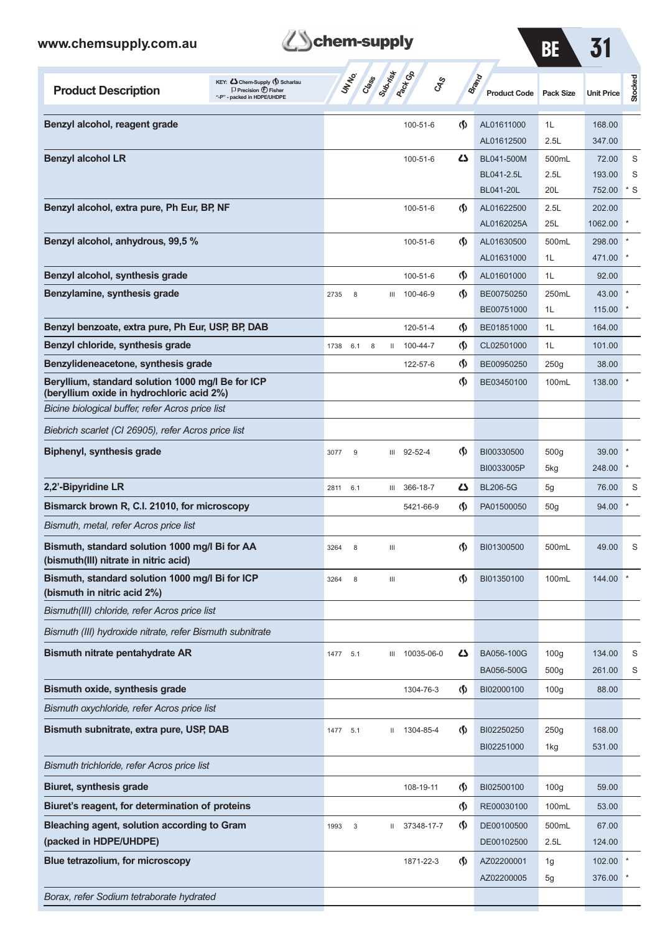*Borax, refer Sodium tetraborate hydrated*

| www.chemsupply.com.au                                                                                                               | chem-supply                                      |                               |                                              | BE                                   | 31                        |                 |
|-------------------------------------------------------------------------------------------------------------------------------------|--------------------------------------------------|-------------------------------|----------------------------------------------|--------------------------------------|---------------------------|-----------------|
| KEY: C Chem-Supply (5) Scharlau<br><b>Product Description</b><br>$\Box$ Precision $\bigoplus$ Fisher<br>"-P" - packed in HDPE/UHDPE | Class<br><b>Pack Go</b><br>UN NO.<br>$c_{X}^{3}$ |                               | Brand<br><b>Product Code</b>                 | <b>Pack Size</b>                     | <b>Unit Price</b>         | Stocked         |
| Benzyl alcohol, reagent grade                                                                                                       | 100-51-6                                         | ற                             | AL01611000<br>AL01612500                     | 1L<br>2.5L                           | 168.00<br>347.00          |                 |
| <b>Benzyl alcohol LR</b>                                                                                                            | 100-51-6                                         | 4                             | BL041-500M<br>BL041-2.5L<br><b>BL041-20L</b> | 500mL<br>2.5L<br>20L                 | 72.00<br>193.00<br>752.00 | S<br>S<br>$*$ S |
| Benzyl alcohol, extra pure, Ph Eur, BP, NF                                                                                          | 100-51-6                                         | ற                             | AL01622500<br>AL0162025A                     | 2.5L<br>25L                          | 202.00<br>1062.00         |                 |
| Benzyl alcohol, anhydrous, 99,5 %                                                                                                   | 100-51-6                                         | ற                             | AL01630500<br>AL01631000                     | 500mL<br>1L                          | 298.00<br>471.00          |                 |
| Benzyl alcohol, synthesis grade                                                                                                     | 100-51-6                                         | $\langle \mathbf{\S} \rangle$ | AL01601000                                   | 1L                                   | 92.00                     |                 |
| Benzylamine, synthesis grade                                                                                                        | 8<br>100-46-9<br>2735<br>Ш                       | $\langle \mathbf{\S} \rangle$ | BE00750250<br>BE00751000                     | 250mL<br>1L                          | 43.00<br>115.00           |                 |
| Benzyl benzoate, extra pure, Ph Eur, USP, BP, DAB                                                                                   | 120-51-4                                         | (∮)                           | BE01851000                                   | 1L                                   | 164.00                    |                 |
| Benzyl chloride, synthesis grade                                                                                                    | 100-44-7<br>6.1<br>1738<br>8<br>$\mathbf{H}$     | $\langle \mathbf{\S} \rangle$ | CL02501000                                   | 1L                                   | 101.00                    |                 |
| Benzylideneacetone, synthesis grade                                                                                                 | 122-57-6                                         | (§)                           | BE00950250                                   | 250g                                 | 38.00                     |                 |
| Beryllium, standard solution 1000 mg/l Be for ICP<br>(beryllium oxide in hydrochloric acid 2%)                                      |                                                  | $\varphi$                     | BE03450100                                   | 100mL                                | 138.00                    |                 |
| Bicine biological buffer, refer Acros price list                                                                                    |                                                  |                               |                                              |                                      |                           |                 |
| Biebrich scarlet (CI 26905), refer Acros price list                                                                                 |                                                  |                               |                                              |                                      |                           |                 |
| Biphenyl, synthesis grade                                                                                                           | $92 - 52 - 4$<br>3077<br>9<br>Ш                  | $\langle \mathbf{\S} \rangle$ | BI00330500<br>BI0033005P                     | 500 <sub>g</sub><br>5kg              | 39.00<br>248.00           |                 |
| 2,2'-Bipyridine LR                                                                                                                  | 366-18-7<br>2811 6.1<br>Ш                        | 45                            | <b>BL206-5G</b>                              | 5g                                   | 76.00                     | S               |
| Bismarck brown R, C.I. 21010, for microscopy                                                                                        | 5421-66-9                                        | ற                             | PA01500050                                   | 50g                                  | 94.00                     |                 |
| Bismuth, metal, refer Acros price list                                                                                              |                                                  |                               |                                              |                                      |                           |                 |
| Bismuth, standard solution 1000 mg/l Bi for AA<br>(bismuth(III) nitrate in nitric acid)                                             | 3264<br>8<br>Ш                                   | (\$)                          | BI01300500                                   | 500mL                                | 49.00                     | S               |
| Bismuth, standard solution 1000 mg/l Bi for ICP<br>(bismuth in nitric acid 2%)                                                      | 8<br>3264<br>Ш                                   | (\$)                          | BI01350100                                   | 100mL                                | 144.00                    |                 |
| Bismuth(III) chloride, refer Acros price list                                                                                       |                                                  |                               |                                              |                                      |                           |                 |
| Bismuth (III) hydroxide nitrate, refer Bismuth subnitrate                                                                           |                                                  |                               |                                              |                                      |                           |                 |
| <b>Bismuth nitrate pentahydrate AR</b>                                                                                              | 10035-06-0<br>1477 5.1<br>Ш                      | 47                            | BA056-100G<br>BA056-500G                     | 100 <sub>g</sub><br>500 <sub>g</sub> | 134.00<br>261.00          | S<br>S          |
| Bismuth oxide, synthesis grade                                                                                                      | 1304-76-3                                        | $\varphi$                     | BI02000100                                   | 100 <sub>g</sub>                     | 88.00                     |                 |
| Bismuth oxychloride, refer Acros price list                                                                                         |                                                  |                               |                                              |                                      |                           |                 |
| Bismuth subnitrate, extra pure, USP, DAB                                                                                            | II 1304-85-4<br>5.1<br>1477                      | ற                             | BI02250250                                   | 250g                                 | 168.00                    |                 |
|                                                                                                                                     |                                                  |                               | BI02251000                                   | 1kg                                  | 531.00                    |                 |
| Bismuth trichloride, refer Acros price list                                                                                         |                                                  |                               |                                              |                                      |                           |                 |
| <b>Biuret, synthesis grade</b>                                                                                                      | 108-19-11                                        | ֍                             | BI02500100                                   | 100 <sub>g</sub>                     | 59.00                     |                 |
| Biuret's reagent, for determination of proteins                                                                                     |                                                  | (§)                           | RE00030100                                   | 100mL                                | 53.00                     |                 |
| Bleaching agent, solution according to Gram<br>(packed in HDPE/UHDPE)                                                               | 37348-17-7<br>1993<br>3<br>Ш.                    | $\varphi$                     | DE00100500<br>DE00102500                     | 500mL<br>2.5L                        | 67.00<br>124.00           |                 |
| Blue tetrazolium, for microscopy                                                                                                    | 1871-22-3                                        | ற                             | AZ02200001<br>AZ02200005                     | 1g<br>5g                             | 102.00<br>376.00          |                 |
|                                                                                                                                     |                                                  |                               |                                              |                                      |                           |                 |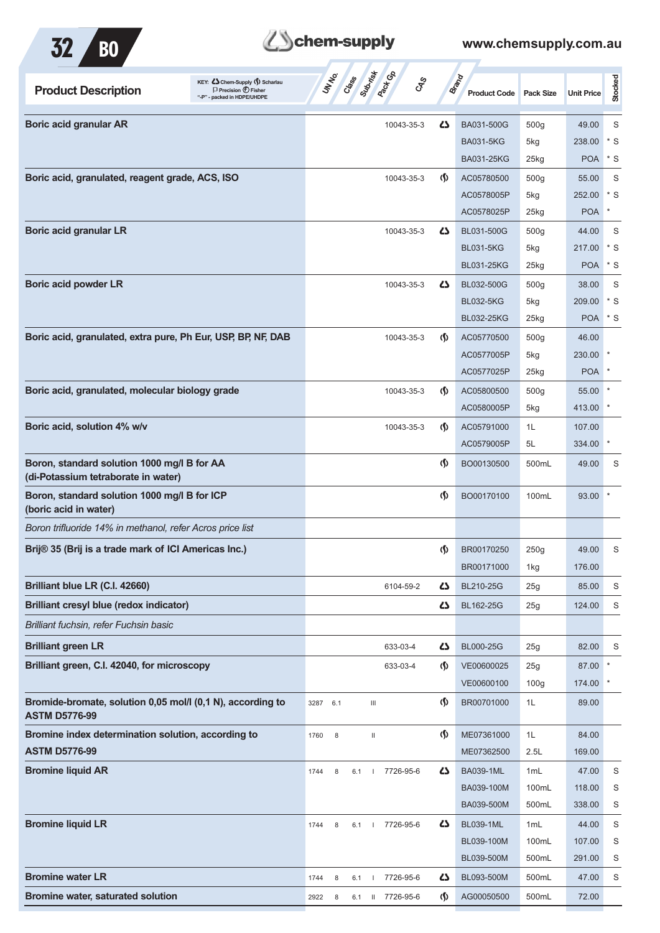

| <b>Product Description</b>                                                         | KEY: Cohem-Supply (1) Scharlau<br>$\Box$ Precision $\bigoplus$ Fisher<br>"-P" - packed in HDPE/UHDPE | UN NO.           | Class Submist<br><b>PROFIT</b><br><b>GRS</b> |                                    | <b>Brand</b><br><b>Product Code</b> | <b>Pack Size</b> | <b>Unit Price</b> | Stocked     |
|------------------------------------------------------------------------------------|------------------------------------------------------------------------------------------------------|------------------|----------------------------------------------|------------------------------------|-------------------------------------|------------------|-------------------|-------------|
| <b>Boric acid granular AR</b>                                                      |                                                                                                      |                  | 10043-35-3                                   | 45                                 | BA031-500G                          | 500g             | 49.00             | S           |
|                                                                                    |                                                                                                      |                  |                                              |                                    | <b>BA031-5KG</b>                    | 5kg              | 238.00            | $*$ S       |
|                                                                                    |                                                                                                      |                  |                                              |                                    | <b>BA031-25KG</b>                   | 25kg             | <b>POA</b>        | $*$ S       |
| Boric acid, granulated, reagent grade, ACS, ISO                                    |                                                                                                      |                  | 10043-35-3                                   | $\langle \mathbf{\langle} \rangle$ | AC05780500                          | 500 <sub>g</sub> | 55.00             | S           |
|                                                                                    |                                                                                                      |                  |                                              |                                    | AC0578005P                          | 5kg              | 252.00            | * S         |
|                                                                                    |                                                                                                      |                  |                                              |                                    | AC0578025P                          | $25$ kg          | <b>POA</b>        | $\ast$      |
| <b>Boric acid granular LR</b>                                                      |                                                                                                      |                  | 10043-35-3                                   | 47                                 | BL031-500G                          | 500 <sub>g</sub> | 44.00             | S           |
|                                                                                    |                                                                                                      |                  |                                              |                                    | <b>BL031-5KG</b>                    | 5kg              | 217.00            | * S         |
|                                                                                    |                                                                                                      |                  |                                              |                                    | <b>BL031-25KG</b>                   | $25$ kg          | <b>POA</b>        | $*$ S       |
| <b>Boric acid powder LR</b>                                                        |                                                                                                      |                  | 10043-35-3                                   | 47                                 | BL032-500G                          | 500 <sub>g</sub> | 38.00             | S           |
|                                                                                    |                                                                                                      |                  |                                              |                                    | <b>BL032-5KG</b>                    | 5kg              | 209.00            | * S         |
|                                                                                    |                                                                                                      |                  |                                              |                                    | <b>BL032-25KG</b>                   | $25$ kg          | POA * S           |             |
| Boric acid, granulated, extra pure, Ph Eur, USP, BP, NF, DAB                       |                                                                                                      |                  | 10043-35-3                                   | $\langle \mathbf{\langle} \rangle$ | AC05770500                          | 500 <sub>g</sub> | 46.00             |             |
|                                                                                    |                                                                                                      |                  |                                              |                                    | AC0577005P                          | 5kg              | 230.00            |             |
|                                                                                    |                                                                                                      |                  |                                              |                                    | AC0577025P                          | $25$ kg          | <b>POA</b>        |             |
| Boric acid, granulated, molecular biology grade                                    |                                                                                                      |                  | 10043-35-3                                   | $\langle \mathbf{\langle} \rangle$ | AC05800500                          | 500 <sub>g</sub> | 55.00             |             |
|                                                                                    |                                                                                                      |                  |                                              |                                    | AC0580005P                          | 5kg              | 413.00            |             |
| Boric acid, solution 4% w/v                                                        |                                                                                                      |                  | 10043-35-3                                   | $\langle \mathbf{\langle} \rangle$ | AC05791000                          | 1L               | 107.00            |             |
|                                                                                    |                                                                                                      |                  |                                              |                                    | AC0579005P                          | 5L               | 334.00            | $\ast$      |
| Boron, standard solution 1000 mg/l B for AA<br>(di-Potassium tetraborate in water) |                                                                                                      |                  |                                              | $\langle \mathbf{\langle} \rangle$ | BO00130500                          | 500mL            | 49.00             | S           |
| Boron, standard solution 1000 mg/l B for ICP<br>(boric acid in water)              |                                                                                                      |                  |                                              | $\langle \mathbf{\S} \rangle$      | BO00170100                          | 100mL            | 93.00             |             |
| Boron trifluoride 14% in methanol, refer Acros price list                          |                                                                                                      |                  |                                              |                                    |                                     |                  |                   |             |
| Brij® 35 (Brij is a trade mark of ICI Americas Inc.)                               |                                                                                                      |                  |                                              | $\langle \mathbf{\S} \rangle$      | BR00170250                          | 250g             | 49.00             | S           |
|                                                                                    |                                                                                                      |                  |                                              |                                    | BR00171000                          | 1kg              | 176.00            |             |
| Brilliant blue LR (C.I. 42660)                                                     |                                                                                                      |                  | 6104-59-2                                    | ひ                                  | BL210-25G                           | 25g              | 85.00             | S           |
| <b>Brilliant cresyl blue (redox indicator)</b>                                     |                                                                                                      |                  |                                              | 5                                  | BL162-25G                           | 25g              | 124.00            | S           |
| Brilliant fuchsin, refer Fuchsin basic                                             |                                                                                                      |                  |                                              |                                    |                                     |                  |                   |             |
| <b>Brilliant green LR</b>                                                          |                                                                                                      |                  | 633-03-4                                     | 5                                  | <b>BL000-25G</b>                    | 25g              | 82.00             | S           |
| Brilliant green, C.I. 42040, for microscopy                                        |                                                                                                      |                  | 633-03-4                                     | $\langle \mathbf{\hat{y}} \rangle$ | VE00600025                          | 25g              | 87.00             |             |
|                                                                                    |                                                                                                      |                  |                                              |                                    | VE00600100                          | 100 <sub>g</sub> | 174.00            |             |
| Bromide-bromate, solution 0,05 mol/l (0,1 N), according to<br><b>ASTM D5776-99</b> |                                                                                                      | 3287 6.1         | $\ensuremath{\mathsf{III}}\xspace$           | $\langle \mathbf{\S} \rangle$      | BR00701000                          | 1L               | 89.00             |             |
| Bromine index determination solution, according to                                 |                                                                                                      | 1760<br>8        | $\rm H$                                      | $\langle \mathbf{\S} \rangle$      | ME07361000                          | 1L               | 84.00             |             |
| <b>ASTM D5776-99</b>                                                               |                                                                                                      |                  |                                              |                                    | ME07362500                          | 2.5L             | 169.00            |             |
| <b>Bromine liquid AR</b>                                                           |                                                                                                      | 8<br>6.1<br>1744 | 7726-95-6<br>$\overline{\phantom{a}}$        | 5                                  | <b>BA039-1ML</b>                    | 1 <sub>mL</sub>  | 47.00             | S           |
|                                                                                    |                                                                                                      |                  |                                              |                                    | BA039-100M                          | 100mL            | 118.00            | S           |
|                                                                                    |                                                                                                      |                  |                                              |                                    | BA039-500M                          | 500mL            | 338.00            | S           |
| <b>Bromine liquid LR</b>                                                           |                                                                                                      | 1744<br>8        | 7726-95-6<br>6.1<br>$\overline{\phantom{a}}$ | 5                                  | <b>BL039-1ML</b>                    | 1 <sub>mL</sub>  | 44.00             | S           |
|                                                                                    |                                                                                                      |                  |                                              |                                    | BL039-100M                          | 100mL            | 107.00            | S           |
|                                                                                    |                                                                                                      |                  |                                              |                                    | BL039-500M                          | 500mL            | 291.00            | S           |
| <b>Bromine water LR</b>                                                            |                                                                                                      | 8<br>6.1<br>1744 | 7726-95-6<br>$\mathbf{I}$                    | 5                                  | BL093-500M                          | 500mL            | 47.00             | $\mathbf S$ |
| Bromine water, saturated solution                                                  |                                                                                                      | 2922<br>8        | II 7726-95-6<br>6.1                          | $\Phi$                             | AG00050500                          | 500mL            | 72.00             |             |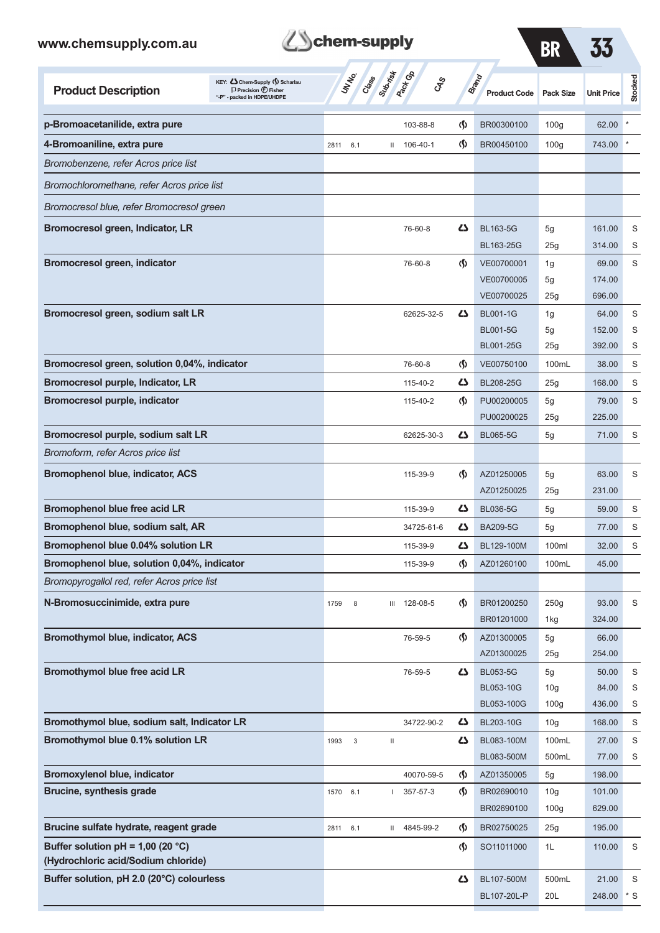

**BB** 33

BL107-20L-P 20L 248.00 \* S

|                                                                                  |                                                                                                      |                    |                                            |                                    |                              | <u>DN</u>        |                   |         |
|----------------------------------------------------------------------------------|------------------------------------------------------------------------------------------------------|--------------------|--------------------------------------------|------------------------------------|------------------------------|------------------|-------------------|---------|
| <b>Product Description</b>                                                       | KEY: Cohem-Supply (5) Scharlau<br>$\Box$ Precision $\bigoplus$ Fisher<br>"-P" - packed in HDPE/UHDPE | UN NO.<br>Cass     | Submist<br><b>Pack</b> Co<br>$c_{\rm x}^2$ |                                    | Brand<br><b>Product Code</b> | <b>Pack Size</b> | <b>Unit Price</b> | Stocked |
| p-Bromoacetanilide, extra pure                                                   |                                                                                                      |                    | 103-88-8                                   | $\Phi$                             | BR00300100                   | 100 <sub>g</sub> | 62.00             |         |
| 4-Bromoaniline, extra pure                                                       |                                                                                                      | 2811 6.1           | $11 106 - 40 - 1$                          | $\Phi$                             | BR00450100                   | 100 <sub>g</sub> | 743.00            |         |
| Bromobenzene, refer Acros price list                                             |                                                                                                      |                    |                                            |                                    |                              |                  |                   |         |
| Bromochloromethane, refer Acros price list                                       |                                                                                                      |                    |                                            |                                    |                              |                  |                   |         |
| Bromocresol blue, refer Bromocresol green                                        |                                                                                                      |                    |                                            |                                    |                              |                  |                   |         |
| Bromocresol green, Indicator, LR                                                 |                                                                                                      |                    | 76-60-8                                    | ひ                                  | <b>BL163-5G</b>              | 5g               | 161.00            | S       |
|                                                                                  |                                                                                                      |                    |                                            |                                    | BL163-25G                    | 25 <sub>g</sub>  | 314.00            | S       |
| <b>Bromocresol green, indicator</b>                                              |                                                                                                      |                    | 76-60-8                                    | $\langle \mathbf{\langle} \rangle$ | VE00700001                   | 1g               | 69.00             | S       |
|                                                                                  |                                                                                                      |                    |                                            |                                    | VE00700005                   | 5g               | 174.00            |         |
|                                                                                  |                                                                                                      |                    |                                            |                                    | VE00700025                   | 25g              | 696.00            |         |
| Bromocresol green, sodium salt LR                                                |                                                                                                      |                    | 62625-32-5                                 | Ω                                  | <b>BL001-1G</b>              | 1g               | 64.00             | S       |
|                                                                                  |                                                                                                      |                    |                                            |                                    | <b>BL001-5G</b>              | 5g               | 152.00            | S       |
|                                                                                  |                                                                                                      |                    |                                            |                                    | BL001-25G                    | 25g              | 392.00            | S       |
| Bromocresol green, solution 0,04%, indicator                                     |                                                                                                      |                    | 76-60-8                                    | $\Phi$                             | VE00750100                   | 100mL            | 38.00             | S       |
| Bromocresol purple, Indicator, LR                                                |                                                                                                      |                    | 115-40-2                                   | Ω                                  | BL208-25G                    | 25g              | 168.00            | S       |
| <b>Bromocresol purple, indicator</b>                                             |                                                                                                      |                    | 115-40-2                                   | $\langle \mathbf{\langle} \rangle$ | PU00200005<br>PU00200025     | 5g<br>25g        | 79.00<br>225.00   | S       |
| Bromocresol purple, sodium salt LR                                               |                                                                                                      |                    | 62625-30-3                                 | دے                                 | <b>BL065-5G</b>              | 5g               | 71.00             | S       |
| Bromoform, refer Acros price list                                                |                                                                                                      |                    |                                            |                                    |                              |                  |                   |         |
|                                                                                  |                                                                                                      |                    |                                            |                                    |                              |                  |                   |         |
| <b>Bromophenol blue, indicator, ACS</b>                                          |                                                                                                      |                    | 115-39-9                                   | O.                                 | AZ01250005<br>AZ01250025     | 5g<br>25g        | 63.00<br>231.00   | S       |
| <b>Bromophenol blue free acid LR</b>                                             |                                                                                                      |                    | 115-39-9                                   | ひ                                  | <b>BL036-5G</b>              | 5g               | 59.00             | S       |
| Bromophenol blue, sodium salt, AR                                                |                                                                                                      |                    | 34725-61-6                                 | 45                                 | <b>BA209-5G</b>              | 5g               | 77.00             | S       |
| Bromophenol blue 0.04% solution LR                                               |                                                                                                      |                    | 115-39-9                                   | $\mathbf{z}$                       | BL129-100M                   | 100ml            | 32.00             | S       |
| Bromophenol blue, solution 0,04%, indicator                                      |                                                                                                      |                    | 115-39-9                                   | $\langle \mathbf{\S} \rangle$      | AZ01260100                   | 100mL            | 45.00             |         |
| Bromopyrogallol red, refer Acros price list                                      |                                                                                                      |                    |                                            |                                    |                              |                  |                   |         |
| N-Bromosuccinimide, extra pure                                                   |                                                                                                      |                    |                                            |                                    | BR01200250                   | 250g             | 93.00             | S       |
|                                                                                  |                                                                                                      | 8<br>1759          | III 128-08-5                               | $\Phi$                             | BR01201000                   | 1kg              | 324.00            |         |
| <b>Bromothymol blue, indicator, ACS</b>                                          |                                                                                                      |                    | 76-59-5                                    | $\langle \mathsf{S} \rangle$       | AZ01300005                   | 5g               | 66.00             |         |
|                                                                                  |                                                                                                      |                    |                                            |                                    | AZ01300025                   | 25g              | 254.00            |         |
| <b>Bromothymol blue free acid LR</b>                                             |                                                                                                      |                    | 76-59-5                                    | 5                                  | <b>BL053-5G</b>              | 5g               | 50.00             | S       |
|                                                                                  |                                                                                                      |                    |                                            |                                    | BL053-10G                    | 10 <sub>g</sub>  | 84.00             | S       |
|                                                                                  |                                                                                                      |                    |                                            |                                    | BL053-100G                   | 100 <sub>g</sub> | 436.00            | S       |
| Bromothymol blue, sodium salt, Indicator LR                                      |                                                                                                      |                    | 34722-90-2                                 | 47                                 | BL203-10G                    | 10 <sub>g</sub>  | 168.00            | S       |
| Bromothymol blue 0.1% solution LR                                                |                                                                                                      | $\sqrt{3}$<br>1993 | $\mathbf{II}$                              | 45                                 | BL083-100M                   | 100mL            | 27.00             | S       |
|                                                                                  |                                                                                                      |                    |                                            |                                    | BL083-500M                   | 500mL            | 77.00             | S       |
| <b>Bromoxylenol blue, indicator</b>                                              |                                                                                                      |                    | 40070-59-5                                 | $\Phi$                             | AZ01350005                   | 5g               | 198.00            |         |
| <b>Brucine, synthesis grade</b>                                                  |                                                                                                      | 6.1<br>1570        | 357-57-3<br>T.                             | $\langle \mathbf{\hat{y}} \rangle$ | BR02690010                   | 10 <sub>g</sub>  | 101.00            |         |
|                                                                                  |                                                                                                      |                    |                                            |                                    | BR02690100                   | 100 <sub>g</sub> | 629.00            |         |
| Brucine sulfate hydrate, reagent grade                                           |                                                                                                      | 6.1<br>2811        | 4845-99-2<br>$\mathbf{H}$                  | $\Phi$                             | BR02750025                   | 25g              | 195.00            |         |
| Buffer solution pH = $1,00$ (20 °C)                                              |                                                                                                      |                    |                                            | $\Phi$                             | SO11011000                   | 1L               | 110.00            | S       |
| (Hydrochloric acid/Sodium chloride)<br>Buffer solution, pH 2.0 (20°C) colourless |                                                                                                      |                    |                                            | 5                                  |                              | 500mL            |                   |         |
|                                                                                  |                                                                                                      |                    |                                            |                                    | BL107-500M                   |                  | 21.00             | S       |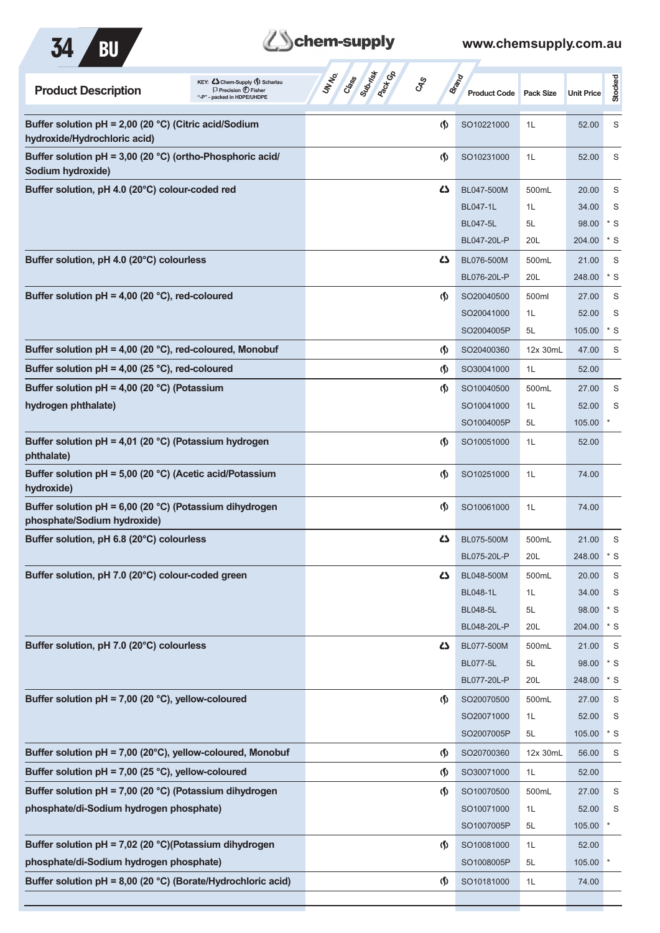



| KEY: Cohem-Supply () Scharlau<br><b>Product Description</b><br>$\Box$ Precision $\bigoplus$ Fisher<br>"-P" - packed in HDPE/UHDPE | Subsite of<br><b>Pack</b> Go<br>UN NO.<br>Crass<br><b>GRS</b> |                               | Brand<br><b>Product Code</b> | <b>Pack Size</b> | <b>Unit Price</b> | Stocked     |
|-----------------------------------------------------------------------------------------------------------------------------------|---------------------------------------------------------------|-------------------------------|------------------------------|------------------|-------------------|-------------|
| Buffer solution pH = 2,00 (20 °C) (Citric acid/Sodium<br>hydroxide/Hydrochloric acid)                                             |                                                               | $\langle \mathbf{\S} \rangle$ | SO10221000                   | 1L               | 52.00             | S           |
| Buffer solution pH = 3,00 (20 °C) (ortho-Phosphoric acid/<br>Sodium hydroxide)                                                    |                                                               | $\langle \mathbf{\S} \rangle$ | SO10231000                   | 1L               | 52.00             | S           |
| Buffer solution, pH 4.0 (20°C) colour-coded red                                                                                   |                                                               | ひ                             | BL047-500M                   | 500mL            | 20.00             | S           |
|                                                                                                                                   |                                                               |                               | <b>BL047-1L</b>              | 1L               | 34.00             | S           |
|                                                                                                                                   |                                                               |                               | <b>BL047-5L</b>              | 5L               | 98.00             | $*$ S       |
|                                                                                                                                   |                                                               |                               | BL047-20L-P                  | 20L              | 204.00            | $*$ S       |
| Buffer solution, pH 4.0 (20°C) colourless                                                                                         |                                                               | ひ                             | BL076-500M                   | 500mL            | 21.00             | S           |
|                                                                                                                                   |                                                               |                               | BL076-20L-P                  | 20L              | 248.00            | $*$ S       |
| Buffer solution $pH = 4,00$ (20 °C), red-coloured                                                                                 |                                                               | $\langle \mathbf{\S} \rangle$ | SO20040500                   | 500ml            | 27.00             | S           |
|                                                                                                                                   |                                                               |                               | SO20041000                   | 1L               | 52.00             | S           |
|                                                                                                                                   |                                                               |                               | SO2004005P                   | 5L               | 105.00            | $*$ S       |
| Buffer solution $pH = 4,00$ (20 °C), red-coloured, Monobuf                                                                        |                                                               | $\langle \mathbf{\S} \rangle$ | SO20400360                   | 12x 30mL         | 47.00             | S           |
| Buffer solution $pH = 4,00$ (25 °C), red-coloured                                                                                 |                                                               | $\langle \mathbf{\S} \rangle$ | SO30041000                   | 1L               | 52.00             |             |
| Buffer solution $pH = 4,00$ (20 °C) (Potassium                                                                                    |                                                               | (∫)                           | SO10040500                   | 500mL            | 27.00             | S           |
| hydrogen phthalate)                                                                                                               |                                                               |                               | SO10041000                   | 1L               | 52.00             | S           |
|                                                                                                                                   |                                                               |                               | SO1004005P                   | 5L               | 105.00            |             |
| Buffer solution pH = 4,01 (20 °C) (Potassium hydrogen<br>phthalate)                                                               |                                                               | $\langle \mathbf{\S} \rangle$ | SO10051000                   | 1L               | 52.00             |             |
| Buffer solution pH = 5,00 (20 °C) (Acetic acid/Potassium<br>hydroxide)                                                            |                                                               | $\langle \mathbf{\S} \rangle$ | SO10251000                   | 1L               | 74.00             |             |
| Buffer solution pH = 6,00 (20 °C) (Potassium dihydrogen<br>phosphate/Sodium hydroxide)                                            |                                                               | $\langle \mathbf{\S} \rangle$ | SO10061000                   | 1L               | 74.00             |             |
| Buffer solution, pH 6.8 (20°C) colourless                                                                                         |                                                               | ひ                             | BL075-500M                   | 500mL            | 21.00             | S           |
|                                                                                                                                   |                                                               |                               | BL075-20L-P                  | 20L              | 248.00            | $*$ S       |
| Buffer solution, pH 7.0 (20°C) colour-coded green                                                                                 |                                                               | 5                             | BL048-500M                   | 500mL            | 20.00             | S           |
|                                                                                                                                   |                                                               |                               | <b>BL048-1L</b>              | 1L               | 34.00             | S           |
|                                                                                                                                   |                                                               |                               | <b>BL048-5L</b>              | 5L               | 98.00             | $*$ S       |
|                                                                                                                                   |                                                               |                               | BL048-20L-P                  | 20L              | 204.00            | $*$ S       |
| Buffer solution, pH 7.0 (20°C) colourless                                                                                         |                                                               | ひ                             | BL077-500M                   | 500mL            | 21.00             | $\mathsf S$ |
|                                                                                                                                   |                                                               |                               | <b>BL077-5L</b>              | 5L               | 98.00             | $*$ S       |
|                                                                                                                                   |                                                               |                               | BL077-20L-P                  | 20L              | 248.00            | $*$ S       |
| Buffer solution pH = 7,00 (20 °C), yellow-coloured                                                                                |                                                               | $\langle \mathbf{\S} \rangle$ | SO20070500                   | 500mL            | 27.00             | S           |
|                                                                                                                                   |                                                               |                               | SO20071000                   | 1L               | 52.00             | S           |
|                                                                                                                                   |                                                               |                               | SO2007005P                   | 5L               | 105.00            | $*$ S       |
| Buffer solution pH = 7,00 (20°C), yellow-coloured, Monobuf                                                                        |                                                               | $\langle \mathbf{\S} \rangle$ | SO20700360                   | 12x 30mL         | 56.00             | S           |
| Buffer solution pH = 7,00 (25 °C), yellow-coloured                                                                                |                                                               | $\langle \mathbf{\S} \rangle$ | SO30071000                   | 1L               | 52.00             |             |
| Buffer solution pH = 7,00 (20 °C) (Potassium dihydrogen                                                                           |                                                               | $\varphi$                     | SO10070500                   | 500mL            | 27.00             | S           |
| phosphate/di-Sodium hydrogen phosphate)                                                                                           |                                                               |                               | SO10071000                   | 1L               | 52.00             | S           |
|                                                                                                                                   |                                                               |                               | SO1007005P                   | 5L               | 105.00            |             |
| Buffer solution pH = 7,02 (20 °C)(Potassium dihydrogen                                                                            |                                                               | (∫)                           | SO10081000                   | 1L               | 52.00             |             |
| phosphate/di-Sodium hydrogen phosphate)                                                                                           |                                                               |                               | SO1008005P                   | 5L               | 105.00            |             |
| Buffer solution pH = 8,00 (20 °C) (Borate/Hydrochloric acid)                                                                      |                                                               | $\varphi$                     | SO10181000                   | 1L               | 74.00             |             |
|                                                                                                                                   |                                                               |                               |                              |                  |                   |             |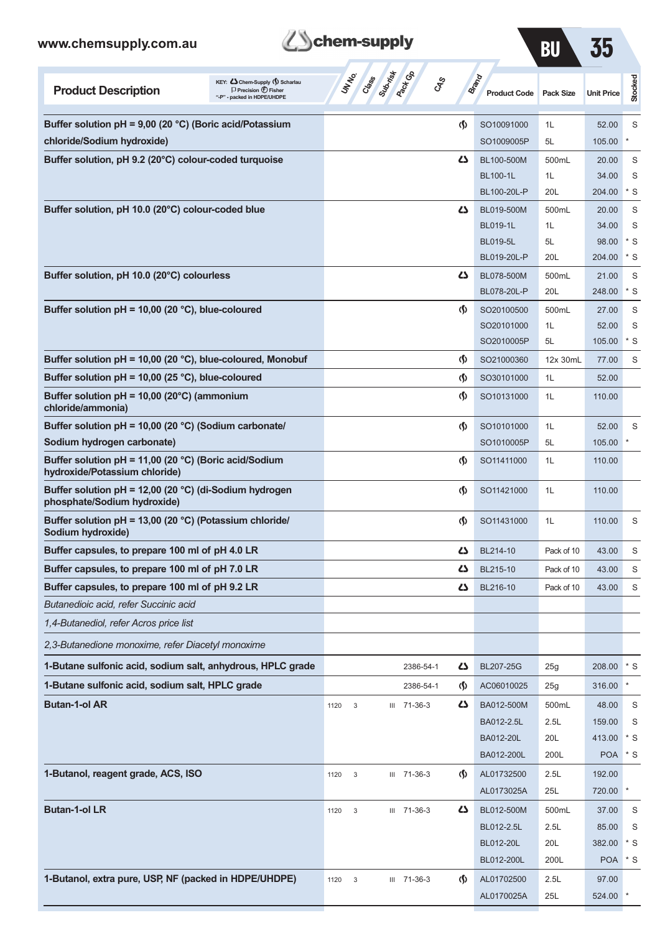

| RI |  |
|----|--|
|    |  |

| <b>Product Description</b>                                                             | KEY: Cohem-Supply (5) Scharlau<br>$\Box$ Precision $\bigcirc$ Fisher<br>"-P" - packed in HDPE/UHDPE | UN NO.               | Class Subscription | <b>GRS</b>  |                                    | <b>Brand</b><br><b>Product Code</b> | <b>Pack Size</b> | <b>Unit Price</b> | <b>Stocked</b> |
|----------------------------------------------------------------------------------------|-----------------------------------------------------------------------------------------------------|----------------------|--------------------|-------------|------------------------------------|-------------------------------------|------------------|-------------------|----------------|
| Buffer solution pH = 9,00 (20 °C) (Boric acid/Potassium                                |                                                                                                     |                      |                    |             | (\$)                               | SO10091000                          | 1L               | 52.00             | S              |
| chloride/Sodium hydroxide)                                                             |                                                                                                     |                      |                    |             |                                    | SO1009005P                          | 5L               | 105.00            |                |
| Buffer solution, pH 9.2 (20°C) colour-coded turquoise                                  |                                                                                                     |                      |                    |             | دے                                 | BL100-500M                          | 500mL            | 20.00             | S              |
|                                                                                        |                                                                                                     |                      |                    |             |                                    | <b>BL100-1L</b>                     | 1L               | 34.00             | S              |
|                                                                                        |                                                                                                     |                      |                    |             |                                    | BL100-20L-P                         | 20L              | 204.00            | $*$ S          |
| Buffer solution, pH 10.0 (20°C) colour-coded blue                                      |                                                                                                     |                      |                    |             | دے                                 | BL019-500M                          | 500mL            | 20.00             | S              |
|                                                                                        |                                                                                                     |                      |                    |             |                                    | <b>BL019-1L</b>                     | 1L               | 34.00             | S              |
|                                                                                        |                                                                                                     |                      |                    |             |                                    | <b>BL019-5L</b>                     | 5L               | 98.00             | * S            |
|                                                                                        |                                                                                                     |                      |                    |             |                                    | BL019-20L-P                         | 20L              | 204.00            | * S            |
| Buffer solution, pH 10.0 (20°C) colourless                                             |                                                                                                     |                      |                    |             | دے                                 | BL078-500M<br>BL078-20L-P           | 500mL<br>20L     | 21.00<br>248.00   | S<br>$*$ S     |
| Buffer solution $pH = 10,00$ (20 °C), blue-coloured                                    |                                                                                                     |                      |                    |             |                                    | SO20100500                          |                  |                   |                |
|                                                                                        |                                                                                                     |                      |                    |             | $\langle \mathbf{\S} \rangle$      | SO20101000                          | 500mL<br>1L      | 27.00<br>52.00    | S<br>S         |
|                                                                                        |                                                                                                     |                      |                    |             |                                    | SO2010005P                          | 5L               | 105.00            | * S            |
| Buffer solution $pH = 10,00$ (20 °C), blue-coloured, Monobuf                           |                                                                                                     |                      |                    |             | (\$)                               | SO21000360                          | 12x 30mL         | 77.00             | S              |
| Buffer solution pH = 10,00 (25 °C), blue-coloured                                      |                                                                                                     |                      |                    |             | (\$)                               | SO30101000                          | 1L               | 52.00             |                |
| Buffer solution pH = 10,00 (20°C) (ammonium                                            |                                                                                                     |                      |                    |             | $\langle \mathbf{\S} \rangle$      | SO10131000                          | 1L               | 110.00            |                |
| chloride/ammonia)                                                                      |                                                                                                     |                      |                    |             |                                    |                                     |                  |                   |                |
| Buffer solution pH = 10,00 (20 °C) (Sodium carbonate/                                  |                                                                                                     |                      |                    |             | (\$)                               | SO10101000                          | 1L               | 52.00             | S              |
| Sodium hydrogen carbonate)                                                             |                                                                                                     |                      |                    |             |                                    | SO1010005P                          | 5L               | 105.00            |                |
| Buffer solution pH = 11,00 (20 °C) (Boric acid/Sodium<br>hydroxide/Potassium chloride) |                                                                                                     |                      |                    |             | $\langle \mathbf{\S} \rangle$      | SO11411000                          | 1L               | 110.00            |                |
| Buffer solution pH = 12,00 (20 °C) (di-Sodium hydrogen<br>phosphate/Sodium hydroxide)  |                                                                                                     |                      |                    |             | $\langle \mathbf{\S} \rangle$      | SO11421000                          | 1L               | 110.00            |                |
| Buffer solution pH = 13,00 (20 °C) (Potassium chloride/<br>Sodium hydroxide)           |                                                                                                     |                      |                    |             | $\langle \mathbf{\S} \rangle$      | SO11431000                          | 1L               | 110.00            | S              |
| Buffer capsules, to prepare 100 ml of pH 4.0 LR                                        |                                                                                                     |                      |                    |             | ひ                                  | BL214-10                            | Pack of 10       | 43.00             | S              |
| Buffer capsules, to prepare 100 ml of pH 7.0 LR                                        |                                                                                                     |                      |                    |             | دے                                 | BL215-10                            | Pack of 10       | 43.00             | S              |
| Buffer capsules, to prepare 100 ml of pH 9.2 LR                                        |                                                                                                     |                      |                    |             | دے                                 | BL216-10                            | Pack of 10       | 43.00             | S              |
| Butanedioic acid, refer Succinic acid                                                  |                                                                                                     |                      |                    |             |                                    |                                     |                  |                   |                |
| 1,4-Butanediol, refer Acros price list                                                 |                                                                                                     |                      |                    |             |                                    |                                     |                  |                   |                |
| 2,3-Butanedione monoxime, refer Diacetyl monoxime                                      |                                                                                                     |                      |                    |             |                                    |                                     |                  |                   |                |
| 1-Butane sulfonic acid, sodium salt, anhydrous, HPLC grade                             |                                                                                                     |                      |                    | 2386-54-1   | 47                                 | <b>BL207-25G</b>                    | 25g              | 208.00            | $*$ S          |
| 1-Butane sulfonic acid, sodium salt, HPLC grade                                        |                                                                                                     |                      |                    | 2386-54-1   | (∮)                                | AC06010025                          | 25g              | 316.00            | *              |
| <b>Butan-1-ol AR</b>                                                                   |                                                                                                     | $\mathbf{3}$<br>1120 |                    | III 71-36-3 | 5                                  | BA012-500M                          | 500mL            | 48.00             | S              |
|                                                                                        |                                                                                                     |                      |                    |             |                                    | BA012-2.5L                          | 2.5L             | 159.00            | S              |
|                                                                                        |                                                                                                     |                      |                    |             |                                    | BA012-20L                           | 20L              | 413.00            | $*$ S          |
|                                                                                        |                                                                                                     |                      |                    |             |                                    | BA012-200L                          | 200L             | <b>POA</b>        | $*$ S          |
| 1-Butanol, reagent grade, ACS, ISO                                                     |                                                                                                     | $\sqrt{3}$<br>1120   |                    | III 71-36-3 | $\langle \mathbf{\hat{y}} \rangle$ | AL01732500                          | 2.5L             | 192.00            |                |
|                                                                                        |                                                                                                     |                      |                    |             |                                    | AL0173025A                          | 25L              | 720.00            |                |
| <b>Butan-1-ol LR</b>                                                                   |                                                                                                     | 1120<br>3            |                    | III 71-36-3 | 4                                  | BL012-500M                          | 500mL            | 37.00             | S              |
|                                                                                        |                                                                                                     |                      |                    |             |                                    | BL012-2.5L                          | 2.5L             | 85.00             | S              |
|                                                                                        |                                                                                                     |                      |                    |             |                                    | BL012-20L                           | 20L              | 382.00            | * S            |
|                                                                                        |                                                                                                     |                      |                    |             |                                    | BL012-200L                          | 200L             | <b>POA</b>        | * S            |
| 1-Butanol, extra pure, USP, NF (packed in HDPE/UHDPE)                                  |                                                                                                     | 1120<br>$\mathbf{3}$ |                    | III 71-36-3 | $\Phi$                             | AL01702500                          | 2.5L             | 97.00             |                |
|                                                                                        |                                                                                                     |                      |                    |             |                                    | AL0170025A                          | 25L              | 524.00 *          |                |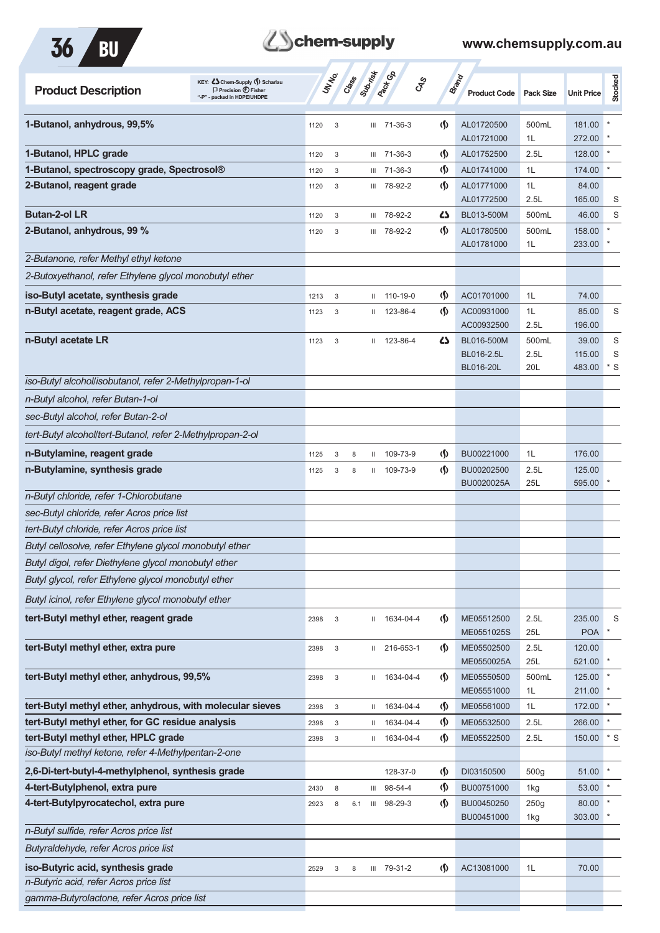

| <b>Product Description</b>                                 | KEY: Cohem-Supply () Scharlau<br>$\Box$ Precision $\bigoplus$ Fisher<br>"-P" - packed in HDPE/UHDPE |      | UNIVO                     | Crass | Submistr     | <b>Pack G</b> B<br><b>GRS</b> |                                    | Brand<br><b>Product Code</b> | <b>Pack Size</b> | <b>Unit Price</b>    | Stocked   |
|------------------------------------------------------------|-----------------------------------------------------------------------------------------------------|------|---------------------------|-------|--------------|-------------------------------|------------------------------------|------------------------------|------------------|----------------------|-----------|
| 1-Butanol, anhydrous, 99,5%                                |                                                                                                     | 1120 | 3                         |       |              | $III$ 71-36-3                 | $\langle \mathbf{\langle}$         | AL01720500                   | 500mL            | 181.00               |           |
|                                                            |                                                                                                     |      |                           |       |              |                               |                                    | AL01721000                   | 1L               | 272.00               |           |
| 1-Butanol, HPLC grade                                      |                                                                                                     | 1120 | 3                         |       |              | III 71-36-3                   | $\langle \mathbf{\langle} \rangle$ | AL01752500                   | 2.5L             | 128.00               |           |
| 1-Butanol, spectroscopy grade, Spectrosol®                 |                                                                                                     | 1120 | 3                         |       |              | III 71-36-3                   | $\langle \mathsf{S} \rangle$       | AL01741000                   | 1L               | 174.00               |           |
| 2-Butanol, reagent grade                                   |                                                                                                     | 1120 | 3                         |       | Ш            | 78-92-2                       | $\langle \mathbf{\S} \rangle$      | AL01771000                   | 1L               | 84.00                |           |
|                                                            |                                                                                                     |      |                           |       |              |                               |                                    | AL01772500                   | 2.5L             | 165.00               | S         |
| <b>Butan-2-ol LR</b>                                       |                                                                                                     | 1120 | 3                         |       | Ш            | 78-92-2                       | ひ                                  | BL013-500M                   | 500mL            | 46.00                | S         |
| 2-Butanol, anhydrous, 99 %                                 |                                                                                                     | 1120 | 3                         |       |              | III 78-92-2                   | $\langle \mathbf{\langle} \rangle$ | AL01780500<br>AL01781000     | 500mL<br>1L      | 158.00<br>233.00     |           |
| 2-Butanone, refer Methyl ethyl ketone                      |                                                                                                     |      |                           |       |              |                               |                                    |                              |                  |                      |           |
| 2-Butoxyethanol, refer Ethylene glycol monobutyl ether     |                                                                                                     |      |                           |       |              |                               |                                    |                              |                  |                      |           |
| iso-Butyl acetate, synthesis grade                         |                                                                                                     | 1213 | 3                         |       | Ш            | 110-19-0                      | $\langle \mathbf{\S} \rangle$      | AC01701000                   | 1L               | 74.00                |           |
| n-Butyl acetate, reagent grade, ACS                        |                                                                                                     | 1123 | 3                         |       |              | $11$ 123-86-4                 | $\langle \mathbf{\S} \rangle$      | AC00931000                   | 1L               | 85.00                | S         |
|                                                            |                                                                                                     |      |                           |       |              |                               |                                    | AC00932500                   | 2.5L             | 196.00               |           |
| n-Butyl acetate LR                                         |                                                                                                     | 1123 | 3                         |       |              | II 123-86-4                   | 4                                  | BL016-500M                   | 500mL            | 39.00                | S         |
|                                                            |                                                                                                     |      |                           |       |              |                               |                                    | BL016-2.5L                   | 2.5L             | 115.00               | S         |
| iso-Butyl alcohollisobutanol, refer 2-Methylpropan-1-ol    |                                                                                                     |      |                           |       |              |                               |                                    | <b>BL016-20L</b>             | 20L              | 483.00               | $*$ S     |
| n-Butyl alcohol, refer Butan-1-ol                          |                                                                                                     |      |                           |       |              |                               |                                    |                              |                  |                      |           |
| sec-Butyl alcohol, refer Butan-2-ol                        |                                                                                                     |      |                           |       |              |                               |                                    |                              |                  |                      |           |
|                                                            |                                                                                                     |      |                           |       |              |                               |                                    |                              |                  |                      |           |
| tert-Butyl alcohol/tert-Butanol, refer 2-Methylpropan-2-ol |                                                                                                     |      |                           |       |              |                               |                                    |                              |                  |                      |           |
| n-Butylamine, reagent grade                                |                                                                                                     | 1125 | 3                         | 8     | Ш            | 109-73-9                      | ⊛                                  | BU00221000                   | 1L               | 176.00               |           |
| n-Butylamine, synthesis grade                              |                                                                                                     | 1125 | 3                         | 8     | Ш.           | 109-73-9                      | $\langle \mathbf{\langle} \rangle$ | BU00202500<br>BU0020025A     | 2.5L<br>25L      | 125.00<br>595.00     |           |
| n-Butyl chloride, refer 1-Chlorobutane                     |                                                                                                     |      |                           |       |              |                               |                                    |                              |                  |                      |           |
| sec-Butyl chloride, refer Acros price list                 |                                                                                                     |      |                           |       |              |                               |                                    |                              |                  |                      |           |
| tert-Butyl chloride, refer Acros price list                |                                                                                                     |      |                           |       |              |                               |                                    |                              |                  |                      |           |
| Butyl cellosolve, refer Ethylene glycol monobutyl ether    |                                                                                                     |      |                           |       |              |                               |                                    |                              |                  |                      |           |
| Butyl digol, refer Diethylene glycol monobutyl ether       |                                                                                                     |      |                           |       |              |                               |                                    |                              |                  |                      |           |
| Butyl glycol, refer Ethylene glycol monobutyl ether        |                                                                                                     |      |                           |       |              |                               |                                    |                              |                  |                      |           |
| Butyl icinol, refer Ethylene glycol monobutyl ether        |                                                                                                     |      |                           |       |              |                               |                                    |                              |                  |                      |           |
| tert-Butyl methyl ether, reagent grade                     |                                                                                                     | 2398 | $\sqrt{3}$                |       | $\mathbf{H}$ | 1634-04-4                     | $\langle \mathbf{\S} \rangle$      | ME05512500                   | 2.5L             | 235.00               | S         |
| tert-Butyl methyl ether, extra pure                        |                                                                                                     |      |                           |       |              | 216-653-1                     | $\langle \mathbf{\S} \rangle$      | ME0551025S<br>ME05502500     | 25L<br>2.5L      | <b>POA</b><br>120.00 |           |
|                                                            |                                                                                                     | 2398 | 3                         |       | $\mathbf{H}$ |                               |                                    | ME0550025A                   | 25L              | 521.00               |           |
| tert-Butyl methyl ether, anhydrous, 99,5%                  |                                                                                                     | 2398 | $\sqrt{3}$                |       | $\mathbf{H}$ | 1634-04-4                     | $\langle \mathbf{\S} \rangle$      | ME05550500                   | 500mL            | 125.00               |           |
|                                                            |                                                                                                     |      |                           |       |              |                               |                                    | ME05551000                   | 1L               | 211.00               |           |
| tert-Butyl methyl ether, anhydrous, with molecular sieves  |                                                                                                     | 2398 | $\ensuremath{\mathsf{3}}$ |       | $\mathbf{H}$ | 1634-04-4                     | $\langle \mathbf{\S} \rangle$      | ME05561000                   | 1L               | 172.00               |           |
| tert-Butyl methyl ether, for GC residue analysis           |                                                                                                     | 2398 | 3                         |       | Ш            | 1634-04-4                     | $\varphi$                          | ME05532500                   | 2.5L             | 266.00               |           |
| tert-Butyl methyl ether, HPLC grade                        |                                                                                                     | 2398 | 3                         |       | Ш.           | 1634-04-4                     | $\langle \mathbf{\S} \rangle$      | ME05522500                   | 2.5L             | 150.00               | $\cdot$ s |
| iso-Butyl methyl ketone, refer 4-Methylpentan-2-one        |                                                                                                     |      |                           |       |              |                               |                                    |                              |                  |                      |           |
| 2,6-Di-tert-butyl-4-methylphenol, synthesis grade          |                                                                                                     |      |                           |       |              | 128-37-0                      | $\langle \mathbf{\S} \rangle$      | DI03150500                   | 500 <sub>g</sub> | 51.00                |           |
| 4-tert-Butylphenol, extra pure                             |                                                                                                     | 2430 | 8                         |       | Ш            | 98-54-4                       | $\varphi$                          | BU00751000                   | 1kg              | 53.00                | $\star$   |
| 4-tert-Butylpyrocatechol, extra pure                       |                                                                                                     | 2923 | 8                         | 6.1   | Ш            | 98-29-3                       | $\langle \mathbf{\langle} \rangle$ | BU00450250<br>BU00451000     | 250g<br>1kg      | 80.00 *<br>303.00    |           |
| n-Butyl sulfide, refer Acros price list                    |                                                                                                     |      |                           |       |              |                               |                                    |                              |                  |                      |           |
| Butyraldehyde, refer Acros price list                      |                                                                                                     |      |                           |       |              |                               |                                    |                              |                  |                      |           |
| iso-Butyric acid, synthesis grade                          |                                                                                                     | 2529 | 3                         | 8     |              | III 79-31-2                   | $\varphi$                          | AC13081000                   | 1L               | 70.00                |           |
| n-Butyric acid, refer Acros price list                     |                                                                                                     |      |                           |       |              |                               |                                    |                              |                  |                      |           |
| gamma-Butyrolactone, refer Acros price list                |                                                                                                     |      |                           |       |              |                               |                                    |                              |                  |                      |           |
|                                                            |                                                                                                     |      |                           |       |              |                               |                                    |                              |                  |                      |           |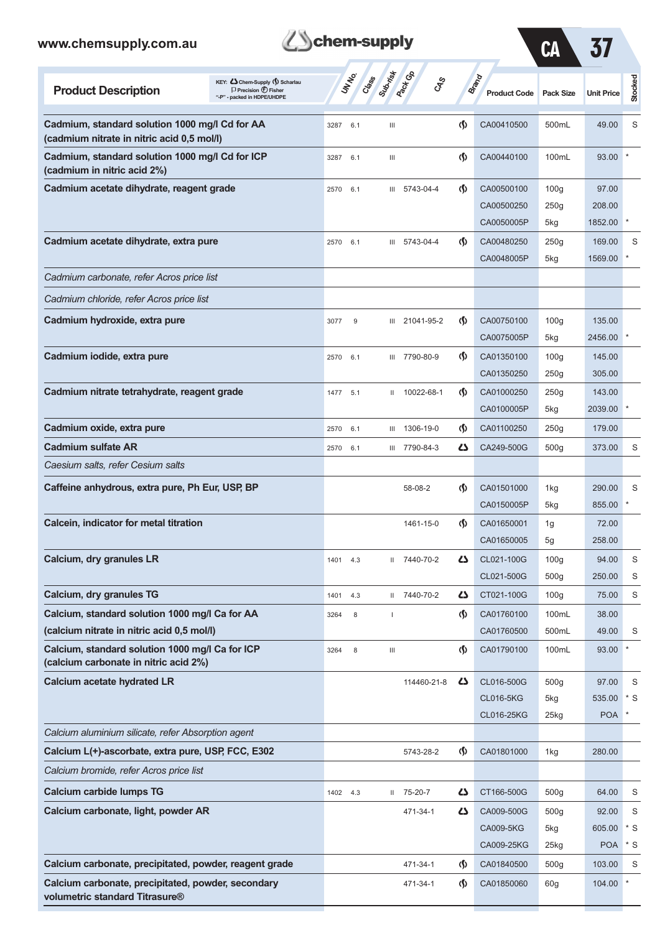| www.chemsupply.com.au                                                                        |                                                                                                 | chem-supply    |                                         |                               |                                              | CA                                   |                               |                  |
|----------------------------------------------------------------------------------------------|-------------------------------------------------------------------------------------------------|----------------|-----------------------------------------|-------------------------------|----------------------------------------------|--------------------------------------|-------------------------------|------------------|
| <b>Product Description</b>                                                                   | KEY: Cohem-Supply (5) Scharlau<br>$\Box$ Precision $\bigoplus$ Fisher<br>- packed in HDPE/UHDPE | UNIVO<br>Crass | Suprime<br><b>Pack</b> CA<br><b>GRS</b> |                               | <b>Brand</b><br><b>Product Code</b>          | <b>Pack Size</b>                     | <b>Unit Price</b>             | Stocked          |
| Cadmium, standard solution 1000 mg/l Cd for AA<br>(cadmium nitrate in nitric acid 0,5 mol/l) |                                                                                                 | 3287<br>6.1    | Ш                                       | $\langle \mathbf{\S} \rangle$ | CA00410500                                   | 500mL                                | 49.00                         | S                |
| Cadmium, standard solution 1000 mg/l Cd for ICP<br>(cadmium in nitric acid 2%)               |                                                                                                 | 3287<br>6.1    | Ш                                       | $\langle \mathbf{\langle}$    | CA00440100                                   | 100mL                                | 93.00                         |                  |
| Cadmium acetate dihydrate, reagent grade                                                     |                                                                                                 | 2570<br>6.1    | III 5743-04-4                           | $\langle \mathbf{\langle}$    | CA00500100<br>CA00500250<br>CA0050005P       | 100 <sub>g</sub><br>250g<br>5kg      | 97.00<br>208.00<br>1852.00    |                  |
| Cadmium acetate dihydrate, extra pure                                                        |                                                                                                 | 2570<br>6.1    | III 5743-04-4                           | $\langle \mathbf{\langle}$    | CA00480250<br>CA0048005P                     | 250g<br>5kg                          | 169.00<br>1569.00             | S                |
| Cadmium carbonate, refer Acros price list                                                    |                                                                                                 |                |                                         |                               |                                              |                                      |                               |                  |
| Cadmium chloride, refer Acros price list                                                     |                                                                                                 |                |                                         |                               |                                              |                                      |                               |                  |
| Cadmium hydroxide, extra pure                                                                |                                                                                                 | 9<br>3077      | III 21041-95-2                          | $\langle \mathbf{\S} \rangle$ | CA00750100<br>CA0075005P                     | 100 <sub>g</sub><br>5kg              | 135.00<br>2456.00             |                  |
| Cadmium iodide, extra pure                                                                   |                                                                                                 | 2570<br>6.1    | III 7790-80-9                           | $\langle \mathbf{\langle}$    | CA01350100<br>CA01350250                     | 100 <sub>g</sub><br>250g             | 145.00<br>305.00              |                  |
| Cadmium nitrate tetrahydrate, reagent grade                                                  |                                                                                                 | 1477 5.1       | II 10022-68-1                           | $\langle \mathbf{\S} \rangle$ | CA01000250<br>CA0100005P                     | 250g<br>5kg                          | 143.00<br>2039.00             |                  |
| Cadmium oxide, extra pure                                                                    |                                                                                                 | 2570<br>6.1    | III 1306-19-0                           | ⊛                             | CA01100250                                   | 250g                                 | 179.00                        |                  |
| <b>Cadmium sulfate AR</b>                                                                    |                                                                                                 | 2570<br>6.1    | III 7790-84-3                           | Ω                             | CA249-500G                                   | 500 <sub>g</sub>                     | 373.00                        | S                |
| Caesium salts, refer Cesium salts                                                            |                                                                                                 |                |                                         |                               |                                              |                                      |                               |                  |
| Caffeine anhydrous, extra pure, Ph Eur, USP, BP                                              |                                                                                                 |                | 58-08-2                                 | $\langle \mathbf{\S} \rangle$ | CA01501000<br>CA0150005P                     | 1kg<br>5kg                           | 290.00<br>855.00              | S                |
| Calcein, indicator for metal titration                                                       |                                                                                                 |                | 1461-15-0                               | $\langle \mathsf{S} \rangle$  | CA01650001<br>CA01650005                     | 1g<br>5g                             | 72.00<br>258.00               |                  |
| Calcium, dry granules LR                                                                     |                                                                                                 | 1401<br>4.3    | II 7440-70-2                            | Ω                             | CL021-100G<br>CL021-500G                     | 100 <sub>g</sub><br>500 <sub>g</sub> | 94.00<br>250.00               | $\mathsf S$<br>S |
| Calcium, dry granules TG                                                                     |                                                                                                 | 4.3<br>1401    | II 7440-70-2                            | Ω                             | CT021-100G                                   | 100 <sub>g</sub>                     | 75.00                         | S                |
| Calcium, standard solution 1000 mg/l Ca for AA<br>(calcium nitrate in nitric acid 0,5 mol/l) |                                                                                                 | 3264<br>8      |                                         | $\langle \mathbf{\S} \rangle$ | CA01760100<br>CA01760500                     | 100mL<br>500mL                       | 38.00<br>49.00                | S                |
| Calcium, standard solution 1000 mg/l Ca for ICP<br>(calcium carbonate in nitric acid 2%)     |                                                                                                 | 8<br>3264      | $\mathop{\rm III}$                      | $\langle \mathbf{\S} \rangle$ | CA01790100                                   | 100mL                                | 93.00                         |                  |
| <b>Calcium acetate hydrated LR</b>                                                           |                                                                                                 |                | 114460-21-8                             | ひ                             | CL016-500G<br><b>CL016-5KG</b><br>CL016-25KG | 500g<br>5kg<br>$25$ <sub>kg</sub>    | 97.00<br>535.00<br><b>POA</b> | S<br>$*$ S       |
| Calcium aluminium silicate, refer Absorption agent                                           |                                                                                                 |                |                                         |                               |                                              |                                      |                               |                  |
| Calcium L(+)-ascorbate, extra pure, USP, FCC, E302                                           |                                                                                                 |                | 5743-28-2                               | $\langle \mathbf{\S} \rangle$ | CA01801000                                   | 1kg                                  | 280.00                        |                  |
| Calcium bromide, refer Acros price list                                                      |                                                                                                 |                |                                         |                               |                                              |                                      |                               |                  |
| <b>Calcium carbide lumps TG</b>                                                              |                                                                                                 | 1402 4.3       | $11$ 75-20-7                            | 47                            | CT166-500G                                   | 500q                                 | 64.00                         | S                |
| Calcium carbonate, light, powder AR                                                          |                                                                                                 |                | 471-34-1                                | 47                            | CA009-500G                                   | 500 <sub>g</sub>                     | 92.00                         | S                |
|                                                                                              |                                                                                                 |                |                                         |                               | <b>CA009-5KG</b>                             | 5kg                                  | 605.00                        | $*$ S            |
|                                                                                              |                                                                                                 |                |                                         |                               | CA009-25KG                                   | $25$ kg                              | <b>POA</b>                    | $*$ S            |
| Calcium carbonate, precipitated, powder, reagent grade                                       |                                                                                                 |                | 471-34-1                                | $\langle \mathbf{\S} \rangle$ | CA01840500                                   | 500 <sub>g</sub>                     | 103.00                        | S                |
| Calcium carbonate, precipitated, powder, secondary                                           |                                                                                                 |                | 471-34-1                                | $\langle \mathsf{S} \rangle$  | CA01850060                                   | 60g                                  | 104.00                        |                  |

**volumetric standard Titrasure®**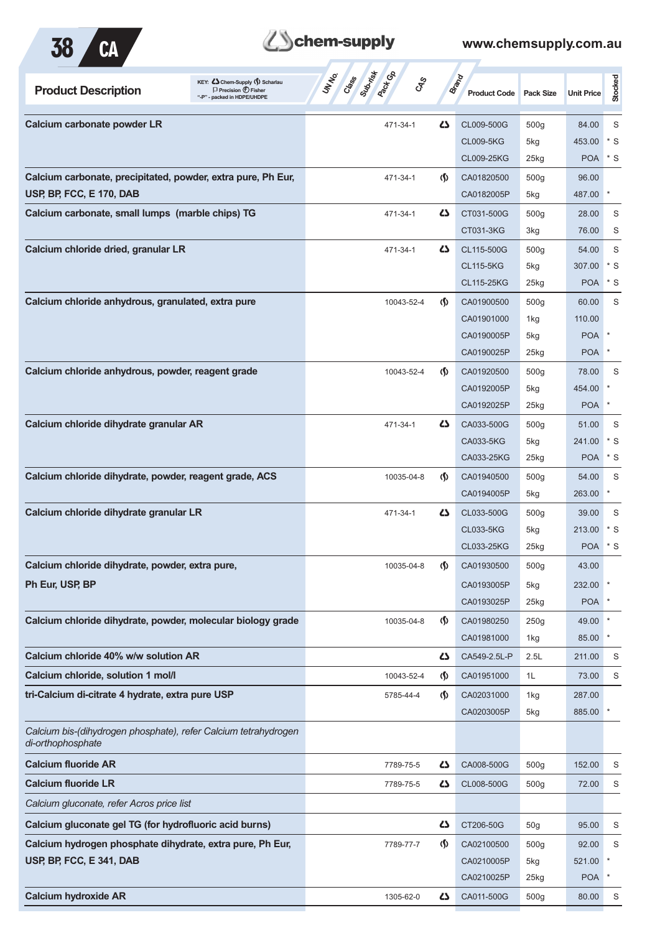

# Behem-supply

| KEY: C Chem-Supply () Scharlau<br><b>Product Description</b><br>$\Box$ Precision $\bigcirc$ Fisher<br>"-P" - packed in HDPE/UHDPE | Subsites<br><b>Pack</b> Co<br>UN NO.<br>Class 1<br><b>GRS</b> | Brand                              | <b>Product Code</b> | <b>Pack Size</b> | <b>Unit Price</b> | Stocked    |
|-----------------------------------------------------------------------------------------------------------------------------------|---------------------------------------------------------------|------------------------------------|---------------------|------------------|-------------------|------------|
| Calcium carbonate powder LR                                                                                                       | 471-34-1                                                      | 5                                  | CL009-500G          | 500g             | 84.00             | S          |
|                                                                                                                                   |                                                               |                                    | <b>CL009-5KG</b>    | 5kg              | 453.00            | * S        |
|                                                                                                                                   |                                                               |                                    | CL009-25KG          | $25$ kg          | <b>POA</b>        | $*$ S      |
| Calcium carbonate, precipitated, powder, extra pure, Ph Eur,                                                                      | 471-34-1                                                      | $\Phi$                             | CA01820500          | 500 <sub>g</sub> | 96.00             |            |
| USP, BP, FCC, E 170, DAB                                                                                                          |                                                               |                                    | CA0182005P          | 5kg              | 487.00            | $\ast$     |
| Calcium carbonate, small lumps (marble chips) TG                                                                                  | 471-34-1                                                      | ひ                                  | CT031-500G          | 500 <sub>g</sub> | 28.00             | S          |
|                                                                                                                                   |                                                               |                                    | CT031-3KG           | 3kg              | 76.00             | S          |
| Calcium chloride dried, granular LR                                                                                               | 471-34-1                                                      | 5                                  | CL115-500G          | 500g             | 54.00             | S          |
|                                                                                                                                   |                                                               |                                    | <b>CL115-5KG</b>    | 5kg              | 307.00            | $*$ S      |
|                                                                                                                                   |                                                               |                                    | CL115-25KG          | 25kg             | <b>POA</b>        | * S        |
| Calcium chloride anhydrous, granulated, extra pure                                                                                | 10043-52-4                                                    | $\Phi$                             | CA01900500          | 500 <sub>g</sub> | 60.00             | S          |
|                                                                                                                                   |                                                               |                                    | CA01901000          | 1kg              | 110.00            |            |
|                                                                                                                                   |                                                               |                                    | CA0190005P          | 5kg              | <b>POA</b>        |            |
|                                                                                                                                   |                                                               |                                    | CA0190025P          | 25kg             | POA               | $\ast$     |
| Calcium chloride anhydrous, powder, reagent grade                                                                                 | 10043-52-4                                                    | $\langle \mathbf{\S} \rangle$      | CA01920500          | 500 <sub>g</sub> | 78.00             | S          |
|                                                                                                                                   |                                                               |                                    | CA0192005P          | 5kg              | 454.00            |            |
|                                                                                                                                   |                                                               |                                    | CA0192025P          | 25kg             | <b>POA</b>        |            |
|                                                                                                                                   |                                                               |                                    |                     |                  |                   |            |
| Calcium chloride dihydrate granular AR                                                                                            | 471-34-1                                                      | 45                                 | CA033-500G          | 500 <sub>g</sub> | 51.00             | S<br>$*$ S |
|                                                                                                                                   |                                                               |                                    | CA033-5KG           | 5kg              | 241.00            | * S        |
|                                                                                                                                   |                                                               |                                    | CA033-25KG          | $25$ kg          | <b>POA</b>        |            |
| Calcium chloride dihydrate, powder, reagent grade, ACS                                                                            | 10035-04-8                                                    | $\langle \mathbf{\S} \rangle$      | CA01940500          | 500g             | 54.00             | S          |
|                                                                                                                                   |                                                               |                                    | CA0194005P          | 5kg              | 263.00            | $\ast$     |
| Calcium chloride dihydrate granular LR                                                                                            | 471-34-1                                                      | 5                                  | CL033-500G          | 500 <sub>g</sub> | 39.00             | S          |
|                                                                                                                                   |                                                               |                                    | <b>CL033-5KG</b>    | 5kg              | 213.00            | * S        |
|                                                                                                                                   |                                                               |                                    | CL033-25KG          | $25$ kg          | <b>POA</b>        | * S        |
| Calcium chloride dihydrate, powder, extra pure,                                                                                   | 10035-04-8                                                    | $\langle \mathbf{\rangle}$         | CA01930500          | 500g             | 43.00             |            |
| Ph Eur, USP, BP                                                                                                                   |                                                               |                                    | CA0193005P          | 5kg              | 232.00            |            |
|                                                                                                                                   |                                                               |                                    | CA0193025P          | 25kg             | <b>POA</b>        |            |
| Calcium chloride dihydrate, powder, molecular biology grade                                                                       | 10035-04-8                                                    | $\langle \mathbf{\langle} \rangle$ | CA01980250          | 250g             | 49.00             | $\ast$     |
|                                                                                                                                   |                                                               |                                    | CA01981000          | 1kg              | 85.00             | $\ast$     |
| Calcium chloride 40% w/w solution AR                                                                                              |                                                               | 42                                 | CA549-2.5L-P        | 2.5L             | 211.00            | S          |
| Calcium chloride, solution 1 mol/l                                                                                                | 10043-52-4                                                    | $\mathcal{S}$                      | CA01951000          | 1L               | 73.00             | S          |
| tri-Calcium di-citrate 4 hydrate, extra pure USP                                                                                  | 5785-44-4                                                     | $\langle \mathbf{\langle} \rangle$ | CA02031000          | 1kg              | 287.00            |            |
|                                                                                                                                   |                                                               |                                    | CA0203005P          | 5kg              | 885.00            | $\ast$     |
| Calcium bis-(dihydrogen phosphate), refer Calcium tetrahydrogen<br>di-orthophosphate                                              |                                                               |                                    |                     |                  |                   |            |
| <b>Calcium fluoride AR</b>                                                                                                        | 7789-75-5                                                     | 45                                 | CA008-500G          | 500 <sub>g</sub> | 152.00            | S          |
| <b>Calcium fluoride LR</b>                                                                                                        | 7789-75-5                                                     | 4                                  | CL008-500G          | 500 <sub>g</sub> | 72.00             | S          |
| Calcium gluconate, refer Acros price list                                                                                         |                                                               |                                    |                     |                  |                   |            |
| Calcium gluconate gel TG (for hydrofluoric acid burns)                                                                            |                                                               | 5                                  | CT206-50G           | 50 <sub>g</sub>  | 95.00             | S          |
| Calcium hydrogen phosphate dihydrate, extra pure, Ph Eur,                                                                         | 7789-77-7                                                     | $\Phi$                             | CA02100500          | 500 <sub>g</sub> | 92.00             | S          |
| USP, BP, FCC, E 341, DAB                                                                                                          |                                                               |                                    | CA0210005P          | 5kg              | 521.00            |            |
|                                                                                                                                   |                                                               |                                    | CA0210025P          | 25kg             | POA l             | $\ast$     |
| <b>Calcium hydroxide AR</b>                                                                                                       | 1305-62-0                                                     | 4                                  | CA011-500G          | 500 <sub>g</sub> | 80.00             | S          |
|                                                                                                                                   |                                                               |                                    |                     |                  |                   |            |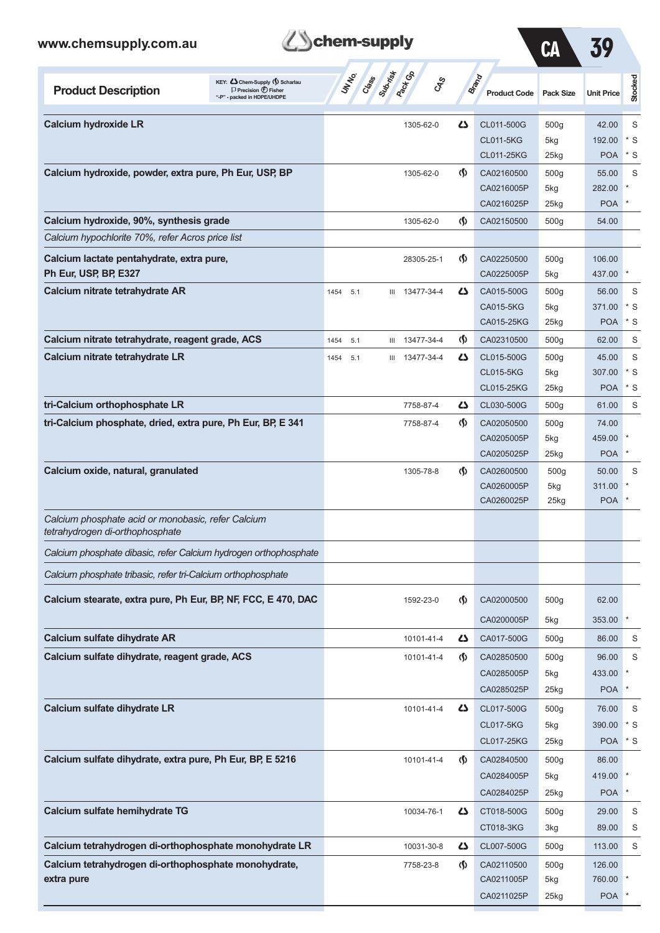| www.chemsupply.com.au                                                                 |                                                                                                    | chem-supply     |                                         |                                    |                                     | CA               | 39                   |         |
|---------------------------------------------------------------------------------------|----------------------------------------------------------------------------------------------------|-----------------|-----------------------------------------|------------------------------------|-------------------------------------|------------------|----------------------|---------|
| <b>Product Description</b>                                                            | KEY: Chem-Supply () Scharlau<br>$\Box$ Precision $\bigoplus$ Fisher<br>"-P" - packed in HDPE/UHDPE | UN NO.<br>Crass | Submist<br><b>Peck GR</b><br><b>GRS</b> |                                    | <b>Brand</b><br><b>Product Code</b> | <b>Pack Size</b> | <b>Unit Price</b>    | Stocked |
| <b>Calcium hydroxide LR</b>                                                           |                                                                                                    |                 | 1305-62-0                               | ひ                                  | CL011-500G                          | 500g             | 42.00                | S       |
|                                                                                       |                                                                                                    |                 |                                         |                                    | <b>CL011-5KG</b>                    | 5kg              | 192.00               | * S     |
|                                                                                       |                                                                                                    |                 |                                         |                                    | CL011-25KG                          | $25$ kg          | <b>POA</b>           | * S     |
| Calcium hydroxide, powder, extra pure, Ph Eur, USP, BP                                |                                                                                                    |                 | 1305-62-0                               | $\langle \mathbf{\langle} \rangle$ | CA02160500                          | 500g             | 55.00                | S       |
|                                                                                       |                                                                                                    |                 |                                         |                                    | CA0216005P                          | 5kg              | 282.00               |         |
|                                                                                       |                                                                                                    |                 |                                         |                                    | CA0216025P                          | $25$ kg          | <b>POA</b>           |         |
| Calcium hydroxide, 90%, synthesis grade                                               |                                                                                                    |                 | 1305-62-0                               | $\langle \mathsf{S} \rangle$       | CA02150500                          | 500g             | 54.00                |         |
| Calcium hypochlorite 70%, refer Acros price list                                      |                                                                                                    |                 |                                         |                                    |                                     |                  |                      |         |
| Calcium lactate pentahydrate, extra pure,                                             |                                                                                                    |                 | 28305-25-1                              | $\langle \mathbf{\langle} \rangle$ | CA02250500                          | 500g             | 106.00               |         |
| Ph Eur, USP, BP, E327                                                                 |                                                                                                    |                 |                                         |                                    | CA0225005P                          | 5kg              | 437.00               |         |
| Calcium nitrate tetrahydrate AR                                                       |                                                                                                    | 1454 5.1        | 13477-34-4<br>Ш                         | دے                                 | CA015-500G                          | 500g             | 56.00                | S       |
|                                                                                       |                                                                                                    |                 |                                         |                                    | CA015-5KG                           | 5kg              | 371.00               | * S     |
|                                                                                       |                                                                                                    |                 |                                         |                                    | CA015-25KG                          | 25kg             | <b>POA</b>           | * S     |
| Calcium nitrate tetrahydrate, reagent grade, ACS                                      |                                                                                                    | 1454<br>5.1     | 13477-34-4<br>Ш                         | $\langle \mathbf{\hat{y}} \rangle$ | CA02310500                          | 500g             | 62.00                | S       |
| Calcium nitrate tetrahydrate LR                                                       |                                                                                                    | 5.1<br>1454     | 13477-34-4<br>Ш                         | ひ                                  | CL015-500G                          | 500g             | 45.00                | S       |
|                                                                                       |                                                                                                    |                 |                                         |                                    | <b>CL015-5KG</b>                    | 5kg              | 307.00               | * S     |
|                                                                                       |                                                                                                    |                 |                                         |                                    | CL015-25KG                          | 25kg             | <b>POA</b>           | * S     |
| tri-Calcium orthophosphate LR                                                         |                                                                                                    |                 | 7758-87-4                               | دے                                 | CL030-500G                          | 500 <sub>g</sub> | 61.00                | S       |
| tri-Calcium phosphate, dried, extra pure, Ph Eur, BP, E 341                           |                                                                                                    |                 | 7758-87-4                               | $\langle \mathbf{\langle} \rangle$ | CA02050500                          | 500g             | 74.00                |         |
|                                                                                       |                                                                                                    |                 |                                         |                                    | CA0205005P                          | 5kg              | 459.00               |         |
|                                                                                       |                                                                                                    |                 |                                         |                                    | CA0205025P                          | 25kg             | <b>POA</b>           |         |
| Calcium oxide, natural, granulated                                                    |                                                                                                    |                 | 1305-78-8                               | $\langle \mathbf{\langle} \rangle$ | CA02600500                          | 500 <sub>g</sub> | 50.00                | S       |
|                                                                                       |                                                                                                    |                 |                                         |                                    | CA0260005P<br>CA0260025P            | 5kg<br>25kg      | 311.00<br><b>POA</b> |         |
| Calcium phosphate acid or monobasic, refer Calcium<br>tetrahydrogen di-orthophosphate |                                                                                                    |                 |                                         |                                    |                                     |                  |                      |         |
| Calcium phosphate dibasic, refer Calcium hydrogen orthophosphate                      |                                                                                                    |                 |                                         |                                    |                                     |                  |                      |         |
| Calcium phosphate tribasic, refer tri-Calcium orthophosphate                          |                                                                                                    |                 |                                         |                                    |                                     |                  |                      |         |
|                                                                                       |                                                                                                    |                 |                                         |                                    |                                     |                  |                      |         |
| Calcium stearate, extra pure, Ph Eur, BP, NF, FCC, E 470, DAC                         |                                                                                                    |                 | 1592-23-0                               | (§)                                | CA02000500                          | 500g             | 62.00                |         |
| Calcium sulfate dihydrate AR                                                          |                                                                                                    |                 | 10101-41-4                              | 5                                  | CA0200005P<br>CA017-500G            | 5kg<br>500g      | 353.00<br>86.00      | S       |
|                                                                                       |                                                                                                    |                 |                                         |                                    |                                     |                  |                      |         |
| Calcium sulfate dihydrate, reagent grade, ACS                                         |                                                                                                    |                 | 10101-41-4                              | $\langle \mathbf{\hat{y}} \rangle$ | CA02850500                          | 500g             | 96.00                | S       |
|                                                                                       |                                                                                                    |                 |                                         |                                    | CA0285005P                          | 5kg              | 433.00               | *       |
|                                                                                       |                                                                                                    |                 |                                         |                                    | CA0285025P                          | 25kg             | <b>POA</b>           |         |
| Calcium sulfate dihydrate LR                                                          |                                                                                                    |                 | 10101-41-4                              | 47                                 | CL017-500G                          | 500g             | 76.00                | S       |
|                                                                                       |                                                                                                    |                 |                                         |                                    | <b>CL017-5KG</b>                    | 5kg              | 390.00               | * S     |
|                                                                                       |                                                                                                    |                 |                                         |                                    | CL017-25KG                          | 25kg             | <b>POA</b>           | * S     |
| Calcium sulfate dihydrate, extra pure, Ph Eur, BP, E 5216                             |                                                                                                    |                 | 10101-41-4                              | $\langle \mathbf{\langle} \rangle$ | CA02840500                          | 500g             | 86.00                |         |
|                                                                                       |                                                                                                    |                 |                                         |                                    | CA0284005P                          | 5kg              | 419.00               |         |
|                                                                                       |                                                                                                    |                 |                                         |                                    | CA0284025P                          | 25kg             | POA <sup>*</sup>     |         |

**Calcium sulfate hemihydrate TG** 10034-76-1 **CD** 2000 500g 29.00 S

**Calcium tetrahydrogen di-orthophosphate monohydrate LR** 10031-30-8 CL007-500G 500g 113.00 S **Calcium tetrahydrogen di-orthophosphate monohydrate,** 7758-23-8 (1) CA02110500 500g 126.00 **extra pure** CA0211005P 5kg 760.00 \*

CT018-3KG 3kg 89.00 S

CA0211025P 25kg POA \*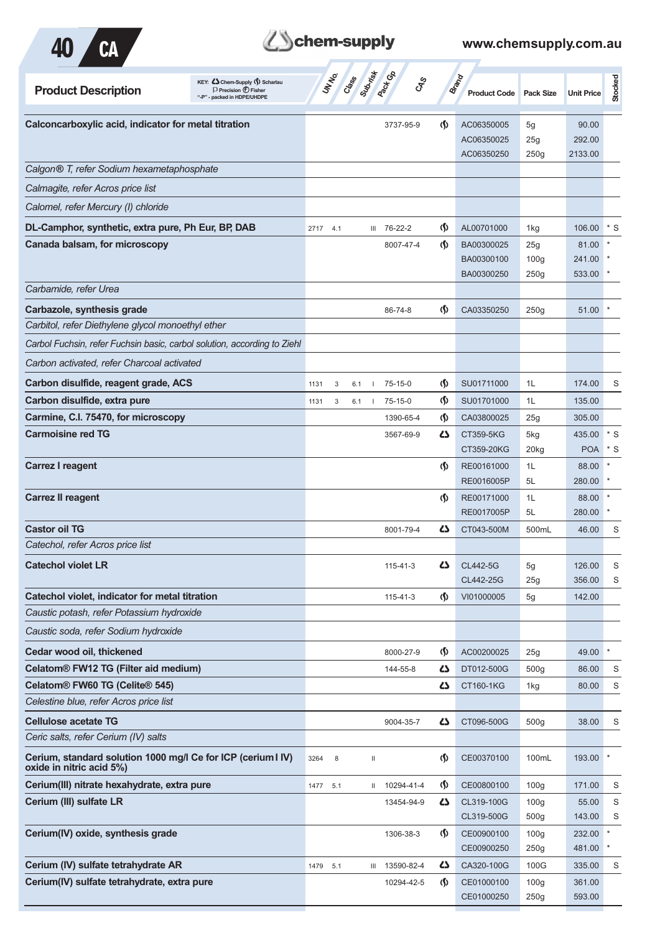

# Behem-supply

| KEY: Cohem-Supply (5) Scharlau<br><b>Product Description</b><br>$\Box$ Precision $\bigoplus$ Fisher<br>"-P" - packed in HDPE/UHDPE | <b>UNTER</b><br>Cass | Suprist<br>Pactocol<br><b>GRS</b> |                                    | <b>Brand</b><br><b>Product Code</b> | <b>Pack Size</b>         | <b>Unit Price</b> | Stocked      |
|------------------------------------------------------------------------------------------------------------------------------------|----------------------|-----------------------------------|------------------------------------|-------------------------------------|--------------------------|-------------------|--------------|
| Calconcarboxylic acid, indicator for metal titration                                                                               |                      | 3737-95-9                         | $\langle \mathbf{\langle} \rangle$ | AC06350005                          | 5g                       | 90.00             |              |
|                                                                                                                                    |                      |                                   |                                    | AC06350025                          | 25g                      | 292.00            |              |
|                                                                                                                                    |                      |                                   |                                    | AC06350250                          | 250g                     | 2133.00           |              |
| Calgon® T, refer Sodium hexametaphosphate                                                                                          |                      |                                   |                                    |                                     |                          |                   |              |
| Calmagite, refer Acros price list                                                                                                  |                      |                                   |                                    |                                     |                          |                   |              |
| Calomel, refer Mercury (I) chloride                                                                                                |                      |                                   |                                    |                                     |                          |                   |              |
| DL-Camphor, synthetic, extra pure, Ph Eur, BP, DAB                                                                                 | 2717 4.1             | III 76-22-2                       | $\langle \mathbf{\langle} \rangle$ | AL00701000                          | 1kg                      | 106.00            | $*$ S        |
| Canada balsam, for microscopy                                                                                                      |                      | 8007-47-4                         | $\langle \mathbf{\langle} \rangle$ | BA00300025                          | 25g                      | 81.00             |              |
|                                                                                                                                    |                      |                                   |                                    | BA00300100<br>BA00300250            | 100 <sub>g</sub><br>250g | 241.00<br>533.00  |              |
| Carbamide, refer Urea                                                                                                              |                      |                                   |                                    |                                     |                          |                   |              |
| Carbazole, synthesis grade                                                                                                         |                      | 86-74-8                           | $\langle \mathbf{\langle} \rangle$ | CA03350250                          | 250g                     | 51.00             |              |
| Carbitol, refer Diethylene glycol monoethyl ether                                                                                  |                      |                                   |                                    |                                     |                          |                   |              |
| Carbol Fuchsin, refer Fuchsin basic, carbol solution, according to Ziehl                                                           |                      |                                   |                                    |                                     |                          |                   |              |
| Carbon activated, refer Charcoal activated                                                                                         |                      |                                   |                                    |                                     |                          |                   |              |
| Carbon disulfide, reagent grade, ACS                                                                                               | 1131<br>3<br>6.1     | 75-15-0                           | $\langle \mathbf{\S} \rangle$      | SU01711000                          | 1L                       | 174.00            | S            |
| Carbon disulfide, extra pure                                                                                                       | 1131<br>3<br>6.1     | $75 - 15 - 0$                     | $\varphi$                          | SU01701000                          | 1L                       | 135.00            |              |
| Carmine, C.I. 75470, for microscopy                                                                                                |                      | 1390-65-4                         | $\langle \mathsf{S} \rangle$       | CA03800025                          | 25g                      | 305.00            |              |
| <b>Carmoisine red TG</b>                                                                                                           |                      | 3567-69-9                         | دے                                 | CT359-5KG                           | 5kg                      | 435.00            | $^\star$ S   |
|                                                                                                                                    |                      |                                   |                                    | CT359-20KG                          | 20kg                     | <b>POA</b>        | $*$ S        |
| <b>Carrez I reagent</b>                                                                                                            |                      |                                   | $\langle \mathbf{\S} \rangle$      | RE00161000                          | 1L                       | 88.00             |              |
|                                                                                                                                    |                      |                                   |                                    | RE0016005P                          | 5L                       | 280.00            |              |
| <b>Carrez II reagent</b>                                                                                                           |                      |                                   | $\langle \mathsf{S} \rangle$       | RE00171000<br>RE0017005P            | 1L<br>5L                 | 88.00<br>280.00   |              |
| <b>Castor oil TG</b>                                                                                                               |                      | 8001-79-4                         | دے                                 | CT043-500M                          | 500mL                    | 46.00             | S            |
| Catechol, refer Acros price list                                                                                                   |                      |                                   |                                    |                                     |                          |                   |              |
| <b>Catechol violet LR</b>                                                                                                          |                      | 115-41-3                          | Δ                                  | CL442-5G                            | 5g                       | 126.00            | S            |
|                                                                                                                                    |                      |                                   |                                    | CL442-25G                           | 25g                      | 356.00            | S            |
| Catechol violet, indicator for metal titration                                                                                     |                      | $115 - 41 - 3$                    | $\langle \mathsf{S} \rangle$       | VI01000005                          | 5g                       | 142.00            |              |
| Caustic potash, refer Potassium hydroxide                                                                                          |                      |                                   |                                    |                                     |                          |                   |              |
| Caustic soda, refer Sodium hydroxide                                                                                               |                      |                                   |                                    |                                     |                          |                   |              |
| Cedar wood oil, thickened                                                                                                          |                      | 8000-27-9                         | $\langle \mathbf{\S} \rangle$      | AC00200025                          | 25g                      | 49.00             | $\pmb{\ast}$ |
| Celatom® FW12 TG (Filter aid medium)                                                                                               |                      | 144-55-8                          | 5                                  | DT012-500G                          | 500 <sub>g</sub>         | 86.00             | S            |
| Celatom® FW60 TG (Celite® 545)                                                                                                     |                      |                                   | 4                                  | <b>CT160-1KG</b>                    | 1kg                      | 80.00             | S            |
| Celestine blue, refer Acros price list                                                                                             |                      |                                   |                                    |                                     |                          |                   |              |
| <b>Cellulose acetate TG</b>                                                                                                        |                      | 9004-35-7                         | 27                                 | CT096-500G                          | 500 <sub>g</sub>         | 38.00             | S            |
| Ceric salts, refer Cerium (IV) salts                                                                                               |                      |                                   |                                    |                                     |                          |                   |              |
| Cerium, standard solution 1000 mg/l Ce for ICP (cerium I IV)<br>oxide in nitric acid 5%)                                           | 3264<br>8            | Ш                                 | $\langle \mathbf{\S} \rangle$      | CE00370100                          | 100mL                    | 193.00            |              |
| Cerium(III) nitrate hexahydrate, extra pure                                                                                        | 1477<br>5.1          | II 10294-41-4                     | $\langle \mathsf{S} \rangle$       | CE00800100                          | 100 <sub>g</sub>         | 171.00            | S            |
| Cerium (III) sulfate LR                                                                                                            |                      | 13454-94-9                        | 4                                  | CL319-100G                          | 100 <sub>g</sub>         | 55.00             | S            |
|                                                                                                                                    |                      |                                   |                                    | CL319-500G                          | 500g                     | 143.00            | S            |
| Cerium(IV) oxide, synthesis grade                                                                                                  |                      | 1306-38-3                         | $\langle \mathsf{S} \rangle$       | CE00900100<br>CE00900250            | 100 <sub>g</sub><br>250g | 232.00<br>481.00  | $\ast$       |
| Cerium (IV) sulfate tetrahydrate AR                                                                                                | 1479<br>5.1          | 13590-82-4<br>Ш                   | ひ                                  | CA320-100G                          | 100G                     | 335.00            | S            |
| Cerium(IV) sulfate tetrahydrate, extra pure                                                                                        |                      | 10294-42-5                        | $\langle \mathbf{\S} \rangle$      | CE01000100                          | 100 <sub>g</sub>         | 361.00            |              |
|                                                                                                                                    |                      |                                   |                                    | CE01000250                          | 250g                     | 593.00            |              |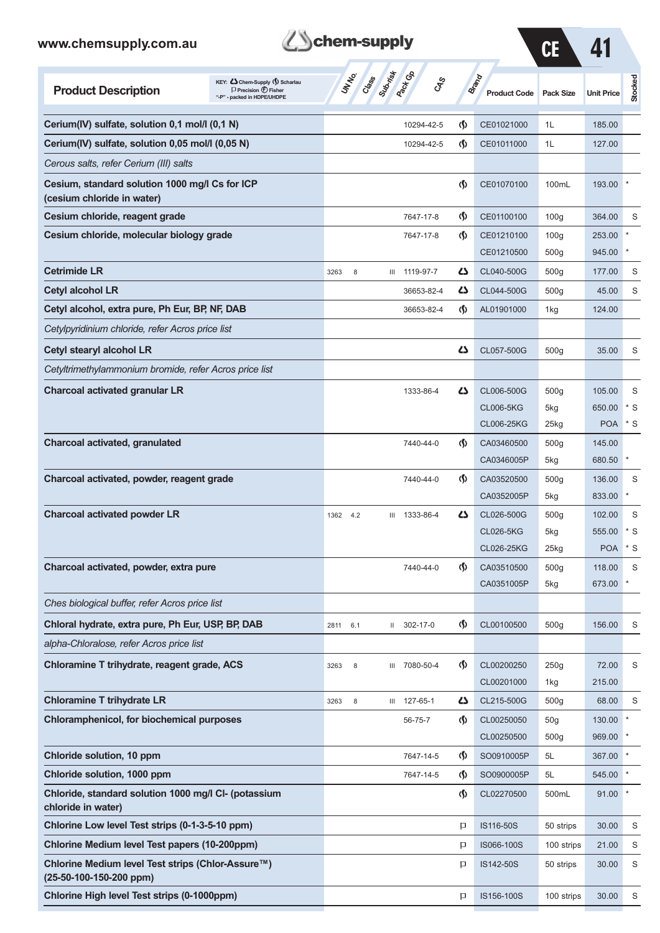| www.chemsupply.com.au                                                        |                                                                                                     | chem-supply           |                       |                                    |                                     | CE                                  |                   |         |
|------------------------------------------------------------------------------|-----------------------------------------------------------------------------------------------------|-----------------------|-----------------------|------------------------------------|-------------------------------------|-------------------------------------|-------------------|---------|
| <b>Product Description</b>                                                   | KEY: Cohem-Supply (5) Scharlau<br>$\Box$ Precision $\bigcirc$ Fisher<br>"-P" - packed in HDPE/UHDPE | <b>UNTER</b><br>Crass | Submist<br><b>GRS</b> |                                    | <b>Brand</b><br><b>Product Code</b> | <b>Pack Size</b>                    | <b>Unit Price</b> | Stocked |
| Cerium(IV) sulfate, solution 0,1 mol/l (0,1 N)                               |                                                                                                     |                       | 10294-42-5            | $\langle \mathbf{\langle} \rangle$ | CE01021000                          | 1L                                  | 185.00            |         |
| Cerium(IV) sulfate, solution 0,05 mol/l (0,05 N)                             |                                                                                                     |                       | 10294-42-5            | $\langle \mathbf{\S} \rangle$      | CE01011000                          | 1L                                  | 127.00            |         |
| Cerous salts, refer Cerium (III) salts                                       |                                                                                                     |                       |                       |                                    |                                     |                                     |                   |         |
| Cesium, standard solution 1000 mg/l Cs for ICP<br>(cesium chloride in water) |                                                                                                     |                       |                       | $\langle \mathbf{\S} \rangle$      | CE01070100                          | 100mL                               | 193.00            |         |
| Cesium chloride, reagent grade                                               |                                                                                                     |                       | 7647-17-8             | $\langle \mathbf{\langle} \rangle$ | CE01100100                          | 100 <sub>g</sub>                    | 364.00            | S       |
| Cesium chloride, molecular biology grade                                     |                                                                                                     |                       | 7647-17-8             | $\Phi$                             | CE01210100                          | 100 <sub>g</sub>                    | 253.00            |         |
|                                                                              |                                                                                                     |                       |                       |                                    | CE01210500                          | 500g                                | 945.00            |         |
| <b>Cetrimide LR</b>                                                          |                                                                                                     | 8<br>3263             | 1119-97-7<br>Ш        | 45                                 | CL040-500G                          | 500g                                | 177.00            | S       |
| <b>Cetyl alcohol LR</b>                                                      |                                                                                                     |                       | 36653-82-4            | ひ                                  | CL044-500G                          | 500g                                | 45.00             | S       |
| Cetyl alcohol, extra pure, Ph Eur, BP, NF, DAB                               |                                                                                                     |                       | 36653-82-4            | $\Phi$                             | AL01901000                          | 1kg                                 | 124.00            |         |
| Cetylpyridinium chloride, refer Acros price list                             |                                                                                                     |                       |                       |                                    |                                     |                                     |                   |         |
| Cetyl stearyl alcohol LR                                                     |                                                                                                     |                       |                       | دے                                 | CL057-500G                          | 500g                                | 35.00             | S       |
| Cetyltrimethylammonium bromide, refer Acros price list                       |                                                                                                     |                       |                       |                                    |                                     |                                     |                   |         |
| <b>Charcoal activated granular LR</b>                                        |                                                                                                     |                       | 1333-86-4             | 45                                 | CL006-500G                          | 500g                                | 105.00            | S       |
|                                                                              |                                                                                                     |                       |                       |                                    | <b>CL006-5KG</b>                    | 5kg                                 | 650.00            | * S     |
|                                                                              |                                                                                                     |                       |                       |                                    | CL006-25KG                          | $25$ kg                             | <b>POA</b>        | $*$ S   |
| Charcoal activated, granulated                                               |                                                                                                     |                       | 7440-44-0             | $\Phi$                             | CA03460500                          | 500g                                | 145.00            |         |
|                                                                              |                                                                                                     |                       |                       |                                    | CA0346005P                          | 5kg                                 | 680.50            | $\ast$  |
| Charcoal activated, powder, reagent grade                                    |                                                                                                     |                       | 7440-44-0             | <sub>(</sub> f)                    | CA03520500                          | 500g                                | 136.00            | S       |
|                                                                              |                                                                                                     |                       |                       |                                    | CA0352005P                          | 5kg                                 | 833.00            |         |
| <b>Charcoal activated powder LR</b>                                          |                                                                                                     | 1362<br>4.2           | 1333-86-4<br>Ш        | دے                                 | CL026-500G                          | 500 <sub>g</sub>                    | 102.00            | S       |
|                                                                              |                                                                                                     |                       |                       |                                    | <b>CL026-5KG</b>                    | 5kg                                 | 555.00            | * S     |
|                                                                              |                                                                                                     |                       |                       |                                    | CL026-25KG                          | 25kg                                | <b>POA</b>        | $^*$ S  |
| Charcoal activated, powder, extra pure                                       |                                                                                                     |                       | 7440-44-0             | $\langle \mathbf{\langle} \rangle$ | CA03510500<br>CA0351005P            | 500 <sub>g</sub><br>5kg             | 118.00<br>673.00  | S       |
| Ches biological buffer, refer Acros price list                               |                                                                                                     |                       |                       |                                    |                                     |                                     |                   |         |
| Chloral hydrate, extra pure, Ph Eur, USP, BP, DAB                            |                                                                                                     |                       |                       |                                    |                                     |                                     |                   |         |
|                                                                              |                                                                                                     | 2811<br>6.1           | II 302-17-0           | $\langle \mathbf{\S} \rangle$      | CL00100500                          | 500g                                | 156.00            | S       |
| alpha-Chloralose, refer Acros price list                                     |                                                                                                     |                       |                       |                                    |                                     |                                     |                   |         |
| Chloramine T trihydrate, reagent grade, ACS                                  |                                                                                                     | 3263<br>8             | III 7080-50-4         | $\langle \mathbf{\langle} \rangle$ | CL00200250                          | 250g                                | 72.00             | S       |
|                                                                              |                                                                                                     |                       |                       |                                    | CL00201000                          | 1kg                                 | 215.00            |         |
| <b>Chloramine T trihydrate LR</b>                                            |                                                                                                     | 3263<br>8             | 127-65-1<br>Ш         | ひ                                  | CL215-500G                          | 500g                                | 68.00             | S       |
| <b>Chloramphenicol, for biochemical purposes</b>                             |                                                                                                     |                       | 56-75-7               | $\langle \mathbf{\S} \rangle$      | CL00250050<br>CL00250500            | 50 <sub>g</sub><br>500 <sub>g</sub> | 130.00<br>969.00  |         |
| <b>Chloride solution, 10 ppm</b>                                             |                                                                                                     |                       | 7647-14-5             | ⊛                                  | SO0910005P                          | 5L                                  | 367.00            |         |
| Chloride solution, 1000 ppm                                                  |                                                                                                     |                       | 7647-14-5             | $\langle \mathbf{\S} \rangle$      | SO0900005P                          | 5L                                  | 545.00            |         |
| Chloride, standard solution 1000 mg/l CI- (potassium                         |                                                                                                     |                       |                       | $\langle \mathbf{\S} \rangle$      | CL02270500                          | 500mL                               | 91.00             |         |
| chloride in water)                                                           |                                                                                                     |                       |                       |                                    |                                     |                                     |                   |         |
| Chlorine Low level Test strips (0-1-3-5-10 ppm)                              |                                                                                                     |                       |                       | P                                  | IS116-50S                           | 50 strips                           | 30.00             | S       |
| Chlorine Medium level Test papers (10-200ppm)                                |                                                                                                     |                       |                       | P                                  | IS066-100S                          | 100 strips                          | 21.00             | S       |
| Chlorine Medium level Test strips (Chlor-Assure™)<br>(25-50-100-150-200 ppm) |                                                                                                     |                       |                       | P                                  | IS142-50S                           | 50 strips                           | 30.00             | S       |

**Z**Schem-supply

**Chlorine High level Test strips (0-1000ppm) IS156-100S** 100 strips 30.00 S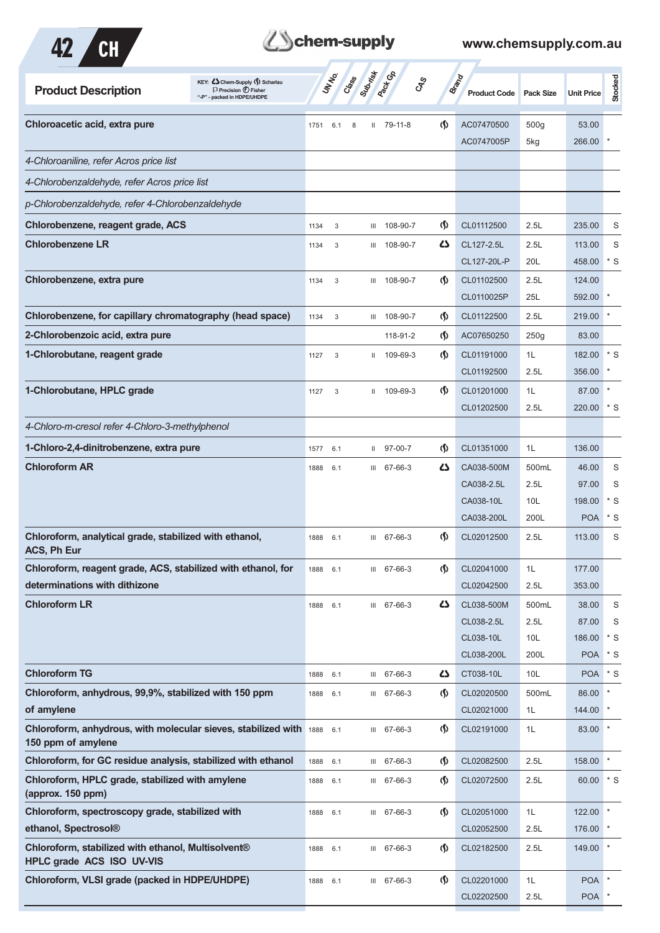



| KEY: C Chem-Supply (5) Scharlau<br><b>Product Description</b><br>$\Box$ Precision $\bigoplus$ Fisher<br>"-P" - packed in HDPE/UHDPE |      | UN NO. | Subsition<br>Cass |              | <b>Pack</b> Go     | <b>GRS</b>                         | <b>Brand</b><br><b>Product Code</b> | <b>Pack Size</b> | <b>Unit Price</b>    | Stocked        |
|-------------------------------------------------------------------------------------------------------------------------------------|------|--------|-------------------|--------------|--------------------|------------------------------------|-------------------------------------|------------------|----------------------|----------------|
| Chloroacetic acid, extra pure                                                                                                       | 1751 | 6.1    | 8                 |              | $11 \quad 79-11-8$ | $\langle \mathbf{\langle} \rangle$ | AC07470500                          | 500g             | 53.00                |                |
|                                                                                                                                     |      |        |                   |              |                    |                                    | AC0747005P                          | 5kg              | 266.00               |                |
| 4-Chloroaniline, refer Acros price list                                                                                             |      |        |                   |              |                    |                                    |                                     |                  |                      |                |
| 4-Chlorobenzaldehyde, refer Acros price list                                                                                        |      |        |                   |              |                    |                                    |                                     |                  |                      |                |
| p-Chlorobenzaldehyde, refer 4-Chlorobenzaldehyde                                                                                    |      |        |                   |              |                    |                                    |                                     |                  |                      |                |
| Chlorobenzene, reagent grade, ACS                                                                                                   | 1134 | 3      |                   | Ш            | 108-90-7           | $\langle \mathbf{\S} \rangle$      | CL01112500                          | 2.5L             | 235.00               | S              |
| <b>Chlorobenzene LR</b>                                                                                                             | 1134 | 3      |                   | Ш            | 108-90-7           | ひ                                  | CL127-2.5L                          | 2.5L             | 113.00               | S              |
|                                                                                                                                     |      |        |                   |              |                    |                                    | CL127-20L-P                         | 20L              | 458.00               | $*$ S          |
| Chlorobenzene, extra pure                                                                                                           | 1134 | 3      |                   | III          | 108-90-7           | $\langle \mathsf{S} \rangle$       | CL01102500                          | 2.5L             | 124.00               |                |
|                                                                                                                                     |      |        |                   |              |                    |                                    | CL0110025P                          | 25L              | 592.00               |                |
| Chlorobenzene, for capillary chromatography (head space)                                                                            | 1134 | 3      |                   | Ш            | 108-90-7           | $\langle \mathbf{\langle} \rangle$ | CL01122500                          | 2.5L             | 219.00               |                |
| 2-Chlorobenzoic acid, extra pure                                                                                                    |      |        |                   |              | 118-91-2           | $\langle \mathsf{S} \rangle$       | AC07650250                          | 250g             | 83.00                |                |
| 1-Chlorobutane, reagent grade                                                                                                       | 1127 | 3      |                   | $\mathbf{H}$ | 109-69-3           | $\langle \mathbf{\S} \rangle$      | CL01191000                          | 1L               | 182.00               | $*$ S          |
|                                                                                                                                     |      |        |                   |              |                    |                                    | CL01192500                          | 2.5L             | 356.00               |                |
| 1-Chlorobutane, HPLC grade                                                                                                          | 1127 | 3      |                   | $\mathbf{H}$ | 109-69-3           | (∫)                                | CL01201000                          | 1L               | 87.00                |                |
|                                                                                                                                     |      |        |                   |              |                    |                                    | CL01202500                          | 2.5L             | 220.00               | $*$ S          |
| 4-Chloro-m-cresol refer 4-Chloro-3-methylphenol                                                                                     |      |        |                   |              |                    |                                    |                                     |                  |                      |                |
| 1-Chloro-2,4-dinitrobenzene, extra pure                                                                                             | 1577 | 6.1    |                   | Ш            | 97-00-7            | $\langle \mathbf{\S} \rangle$      | CL01351000                          | 1L               | 136.00               |                |
| <b>Chloroform AR</b>                                                                                                                | 1888 | 6.1    |                   |              | III 67-66-3        | ひ                                  | CA038-500M                          | 500mL            | 46.00                | S              |
|                                                                                                                                     |      |        |                   |              |                    |                                    | CA038-2.5L                          | 2.5L             | 97.00                | S              |
|                                                                                                                                     |      |        |                   |              |                    |                                    | CA038-10L                           | 10L              | 198.00               | $*$ S          |
|                                                                                                                                     |      |        |                   |              |                    |                                    | CA038-200L                          | 200L             | <b>POA</b>           | $*$ S          |
| Chloroform, analytical grade, stabilized with ethanol,<br>ACS, Ph Eur                                                               | 1888 | 6.1    |                   |              | III 67-66-3        | (∫)                                | CL02012500                          | 2.5L             | 113.00               | S              |
| Chloroform, reagent grade, ACS, stabilized with ethanol, for                                                                        | 1888 | 6.1    |                   | Ш            | 67-66-3            | $\langle \mathbf{\S} \rangle$      | CL02041000                          | 1L               | 177.00               |                |
| determinations with dithizone                                                                                                       |      |        |                   |              |                    |                                    | CL02042500                          | 2.5L             | 353.00               |                |
| <b>Chloroform LR</b>                                                                                                                | 1888 | 6.1    |                   |              | III 67-66-3        | 5                                  | CL038-500M                          | 500mL            | 38.00                | S              |
|                                                                                                                                     |      |        |                   |              |                    |                                    | CL038-2.5L                          | 2.5L             | 87.00                | S              |
|                                                                                                                                     |      |        |                   |              |                    |                                    | CL038-10L<br>CL038-200L             | 10L<br>200L      | 186.00<br><b>POA</b> | $*$ S<br>$*$ S |
| <b>Chloroform TG</b>                                                                                                                | 1888 | 6.1    |                   |              | III 67-66-3        | 5                                  | CT038-10L                           | 10L              | <b>POA</b>           | $*$ S          |
| Chloroform, anhydrous, 99,9%, stabilized with 150 ppm                                                                               | 1888 | 6.1    |                   |              | III 67-66-3        | $\langle \mathbf{\S} \rangle$      | CL02020500                          | 500mL            | 86.00                |                |
| of amylene                                                                                                                          |      |        |                   |              |                    |                                    | CL02021000                          | 1L               | 144.00               |                |
| Chloroform, anhydrous, with molecular sieves, stabilized with 1888<br>150 ppm of amylene                                            |      | 6.1    |                   |              | III 67-66-3        | $\langle \mathsf{S} \rangle$       | CL02191000                          | 1L               | 83.00                |                |
| Chloroform, for GC residue analysis, stabilized with ethanol                                                                        | 1888 | 6.1    |                   |              | III 67-66-3        | $\langle \mathsf{S} \rangle$       | CL02082500                          | 2.5L             | 158.00               |                |
| Chloroform, HPLC grade, stabilized with amylene                                                                                     | 1888 | 6.1    |                   |              | III 67-66-3        | $\langle \mathbf{\S} \rangle$      | CL02072500                          | 2.5L             | 60.00                | $*$ S          |
| (approx. 150 ppm)                                                                                                                   |      |        |                   |              |                    |                                    |                                     |                  |                      |                |
| Chloroform, spectroscopy grade, stabilized with                                                                                     | 1888 | 6.1    |                   |              | III 67-66-3        | $\langle \mathbf{\S} \rangle$      | CL02051000                          | 1L               | 122.00               |                |
| ethanol, Spectrosol®                                                                                                                |      |        |                   |              |                    |                                    | CL02052500                          | 2.5L             | 176.00               |                |
| Chloroform, stabilized with ethanol, Multisolvent®<br>HPLC grade ACS ISO UV-VIS                                                     | 1888 | 6.1    |                   |              | III 67-66-3        | $\langle \mathsf{S} \rangle$       | CL02182500                          | 2.5L             | 149.00               |                |
| Chloroform, VLSI grade (packed in HDPE/UHDPE)                                                                                       | 1888 | 6.1    |                   |              | III 67-66-3        | $\langle \mathbf{\S} \rangle$      | CL02201000                          | 1L               | <b>POA</b>           |                |
|                                                                                                                                     |      |        |                   |              |                    |                                    | CL02202500                          | 2.5L             | <b>POA</b>           |                |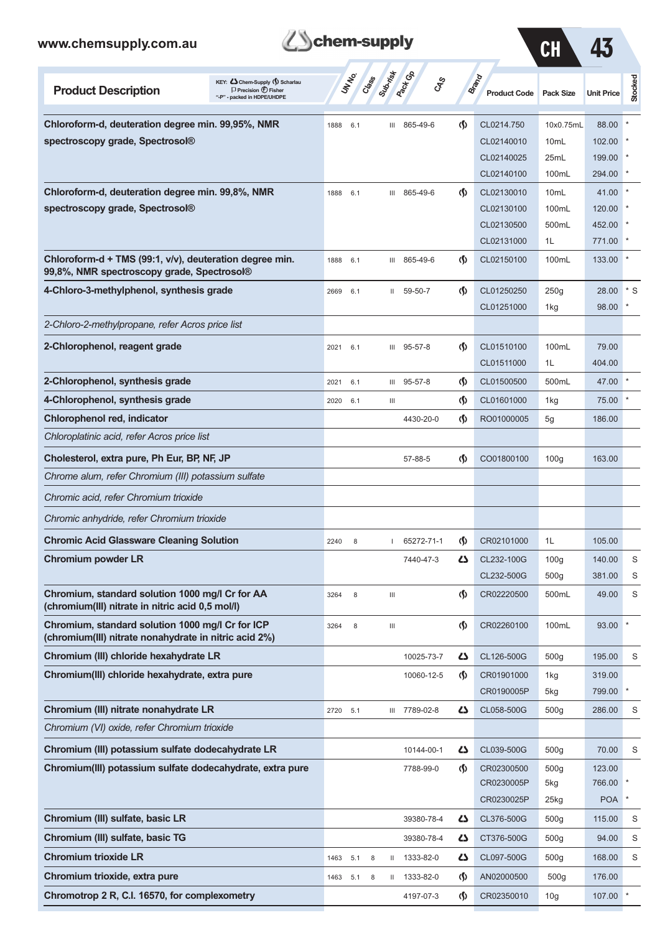

| ${\mathcal G}$ ${\mathcal H}$ |  |
|-------------------------------|--|
|                               |  |

| KEY: Cohem-Supply (5) Scharlau<br><b>Product Description</b><br>$\Box$ Precision $\bigoplus$ Fisher<br>"-P" - packed in HDPE/UHDPE |          | UN NO. | Class Suthist |                                    | Pack Co<br>GRS | <b>Brand</b>                       | <b>Product Code</b> | Pack Size          | <b>Unit Price</b> | Stocked |
|------------------------------------------------------------------------------------------------------------------------------------|----------|--------|---------------|------------------------------------|----------------|------------------------------------|---------------------|--------------------|-------------------|---------|
| Chloroform-d, deuteration degree min. 99,95%, NMR                                                                                  | 1888     | 6.1    |               | Ш                                  | 865-49-6       | G)                                 | CL0214.750          | 10x0.75mL          | 88.00             |         |
| spectroscopy grade, Spectrosol <sup>®</sup>                                                                                        |          |        |               |                                    |                |                                    | CL02140010          | 10 <sub>mL</sub>   | 102.00            |         |
|                                                                                                                                    |          |        |               |                                    |                |                                    | CL02140025          | 25mL               | 199.00            |         |
|                                                                                                                                    |          |        |               |                                    |                |                                    | CL02140100          | 100mL              | 294.00            |         |
| Chloroform-d, deuteration degree min. 99,8%, NMR                                                                                   | 1888     | 6.1    |               | Ш                                  | 865-49-6       | <sub>(</sub> f)                    | CL02130010          | 10mL               | 41.00             |         |
| spectroscopy grade, Spectrosol®                                                                                                    |          |        |               |                                    |                |                                    | CL02130100          | 100mL              | 120.00            |         |
|                                                                                                                                    |          |        |               |                                    |                |                                    | CL02130500          | 500mL              | 452.00            |         |
|                                                                                                                                    |          |        |               |                                    |                |                                    | CL02131000          | 1L                 | 771.00            |         |
| Chloroform-d + TMS (99:1, v/v), deuteration degree min.<br>99,8%, NMR spectroscopy grade, Spectrosol®                              | 1888     | 6.1    |               | Ш                                  | 865-49-6       | $\langle \mathbf{\S} \rangle$      | CL02150100          | 100mL              | 133.00            |         |
| 4-Chloro-3-methylphenol, synthesis grade                                                                                           | 2669     | 6.1    |               | Ш                                  | 59-50-7        | $\Phi$                             | CL01250250          | 250g               | 28.00             | $*$ S   |
|                                                                                                                                    |          |        |               |                                    |                |                                    | CL01251000          | 1kg                | 98.00             |         |
| 2-Chloro-2-methylpropane, refer Acros price list                                                                                   |          |        |               |                                    |                |                                    |                     |                    |                   |         |
| 2-Chlorophenol, reagent grade                                                                                                      | 2021     | 6.1    |               | Ш                                  | 95-57-8        | $\langle \mathbf{\langle} \rangle$ | CL01510100          | 100mL              | 79.00             |         |
|                                                                                                                                    |          |        |               |                                    |                |                                    | CL01511000          | 1L                 | 404.00            |         |
| 2-Chlorophenol, synthesis grade                                                                                                    | 2021     | 6.1    |               | Ш                                  | 95-57-8        | $\langle \mathbf{\S} \rangle$      | CL01500500          | 500mL              | 47.00             |         |
| 4-Chlorophenol, synthesis grade                                                                                                    | 2020     | 6.1    |               | Ш                                  |                | $\langle \mathbf{\S} \rangle$      | CL01601000          | 1kg                | 75.00             |         |
| Chlorophenol red, indicator                                                                                                        |          |        |               |                                    | 4430-20-0      | $\langle \mathbf{\S} \rangle$      | RO01000005          | 5g                 | 186.00            |         |
| Chloroplatinic acid, refer Acros price list                                                                                        |          |        |               |                                    |                |                                    |                     |                    |                   |         |
| Cholesterol, extra pure, Ph Eur, BP, NF, JP                                                                                        |          |        |               |                                    | 57-88-5        | $\langle \mathbf{\S} \rangle$      | CO01800100          | 100 <sub>g</sub>   | 163.00            |         |
| Chrome alum, refer Chromium (III) potassium sulfate                                                                                |          |        |               |                                    |                |                                    |                     |                    |                   |         |
| Chromic acid, refer Chromium trioxide                                                                                              |          |        |               |                                    |                |                                    |                     |                    |                   |         |
| Chromic anhydride, refer Chromium trioxide                                                                                         |          |        |               |                                    |                |                                    |                     |                    |                   |         |
| <b>Chromic Acid Glassware Cleaning Solution</b>                                                                                    | 2240     | 8      |               |                                    | 65272-71-1     | $\langle \mathbf{\langle} \rangle$ | CR02101000          | 1L                 | 105.00            |         |
| <b>Chromium powder LR</b>                                                                                                          |          |        |               |                                    | 7440-47-3      | 27                                 | CL232-100G          | 100 <sub>g</sub>   | 140.00            | S       |
|                                                                                                                                    |          |        |               |                                    |                |                                    | CL232-500G          | 500 <sub>g</sub>   | 381.00            | S       |
| Chromium, standard solution 1000 mg/l Cr for AA<br>(chromium(III) nitrate in nitric acid 0,5 mol/l)                                | 3264     | 8      |               | $\ensuremath{\mathsf{III}}\xspace$ |                | $\langle \mathbf{\S} \rangle$      | CR02220500          | 500mL              | 49.00             | S       |
| Chromium, standard solution 1000 mg/l Cr for ICP<br>(chromium(III) nitrate nonahydrate in nitric acid 2%)                          | 3264     | 8      |               | $\ensuremath{\mathsf{III}}\xspace$ |                | $\Phi$                             | CR02260100          | 100mL              | 93.00             |         |
| Chromium (III) chloride hexahydrate LR                                                                                             |          |        |               |                                    | 10025-73-7     | 47                                 | CL126-500G          | 500g               | 195.00            | S       |
| Chromium(III) chloride hexahydrate, extra pure                                                                                     |          |        |               |                                    | 10060-12-5     | $\langle \mathbf{\S} \rangle$      | CR01901000          | 1kg                | 319.00            |         |
|                                                                                                                                    |          |        |               |                                    |                |                                    | CR0190005P          | 5kg                | 799.00            |         |
| Chromium (III) nitrate nonahydrate LR                                                                                              | 2720 5.1 |        |               |                                    | III 7789-02-8  | 5                                  | CL058-500G          | 500 <sub>g</sub>   | 286.00            | S       |
| Chromium (VI) oxide, refer Chromium trioxide                                                                                       |          |        |               |                                    |                |                                    |                     |                    |                   |         |
| Chromium (III) potassium sulfate dodecahydrate LR                                                                                  |          |        |               |                                    | 10144-00-1     | دے                                 | CL039-500G          | 500 <sub>g</sub>   | 70.00             | S       |
| Chromium(III) potassium sulfate dodecahydrate, extra pure                                                                          |          |        |               |                                    | 7788-99-0      | $\langle \mathbf{\S} \rangle$      | CR02300500          | 500 <sub>g</sub>   | 123.00            |         |
|                                                                                                                                    |          |        |               |                                    |                |                                    | CR0230005P          | 5kg                | 766.00            |         |
|                                                                                                                                    |          |        |               |                                    |                |                                    | CR0230025P          | $25$ <sub>kg</sub> | <b>POA</b>        |         |
| Chromium (III) sulfate, basic LR                                                                                                   |          |        |               |                                    | 39380-78-4     | 47                                 | CL376-500G          | 500q               | 115.00            | S       |
| Chromium (III) sulfate, basic TG                                                                                                   |          |        |               |                                    | 39380-78-4     | 47                                 | CT376-500G          | 500 <sub>g</sub>   | 94.00             | S       |
| <b>Chromium trioxide LR</b>                                                                                                        | 1463     | 5.1    | 8             |                                    | II 1333-82-0   | 47                                 | CL097-500G          | 500 <sub>g</sub>   | 168.00            | S       |
| Chromium trioxide, extra pure                                                                                                      | 1463     | 5.1    | 8             | $\mathbf{II}$                      | 1333-82-0      | $\langle \mathbf{\S} \rangle$      | AN02000500          | 500 <sub>g</sub>   | 176.00            |         |
| Chromotrop 2 R, C.I. 16570, for complexometry                                                                                      |          |        |               |                                    | 4197-07-3      | $\langle \mathbf{\S} \rangle$      | CR02350010          | 10 <sub>g</sub>    | 107.00            |         |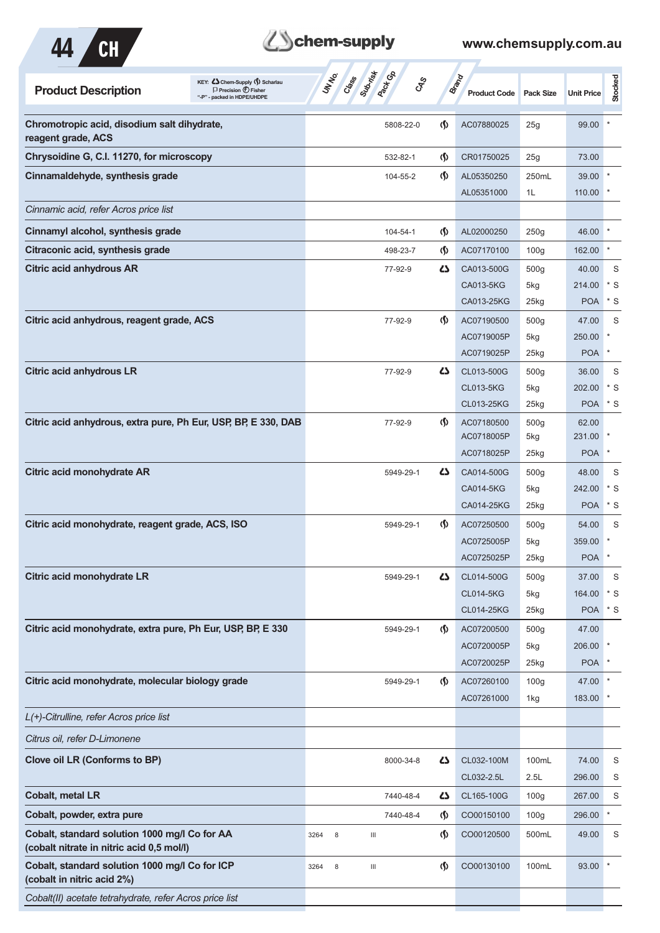

### **Z**Schem-supply

| KEY: Cohem-Supply (5) Scharlau<br><b>Product Description</b><br>$\Box$ Precision $\bigcirc$ Fisher<br>"-P" - packed in HDPE/UHDPE | Subsite<br><b>Pack GD</b><br>UN NO.<br>Class<br><b>GRS</b> |                                    | <b>Brand</b><br><b>Product Code</b> | <b>Pack Size</b> | <b>Unit Price</b> | Stocked     |
|-----------------------------------------------------------------------------------------------------------------------------------|------------------------------------------------------------|------------------------------------|-------------------------------------|------------------|-------------------|-------------|
| Chromotropic acid, disodium salt dihydrate,<br>reagent grade, ACS                                                                 | 5808-22-0                                                  | $\langle \mathbf{\S} \rangle$      | AC07880025                          | 25g              | 99.00             |             |
| Chrysoidine G, C.I. 11270, for microscopy                                                                                         | 532-82-1                                                   | $\langle \mathbf{\S} \rangle$      | CR01750025                          | 25g              | 73.00             |             |
| Cinnamaldehyde, synthesis grade                                                                                                   | 104-55-2                                                   | $\langle \mathbf{\langle} \rangle$ | AL05350250                          | 250mL            | 39.00             |             |
|                                                                                                                                   |                                                            |                                    | AL05351000                          | 1L               | 110.00            |             |
| Cinnamic acid, refer Acros price list                                                                                             |                                                            |                                    |                                     |                  |                   |             |
| Cinnamyl alcohol, synthesis grade                                                                                                 | 104-54-1                                                   | $\langle \mathbf{\S} \rangle$      | AL02000250                          | 250g             | 46.00             |             |
| Citraconic acid, synthesis grade                                                                                                  | 498-23-7                                                   | $\langle \mathsf{S} \rangle$       | AC07170100                          | 100 <sub>g</sub> | 162.00            |             |
| <b>Citric acid anhydrous AR</b>                                                                                                   | 77-92-9                                                    | 4                                  | CA013-500G                          | 500g             | 40.00             | S           |
|                                                                                                                                   |                                                            |                                    | CA013-5KG                           | 5kg              | 214.00            | $^*$ S      |
|                                                                                                                                   |                                                            |                                    | CA013-25KG                          | 25kg             | <b>POA</b>        | $*$ S       |
| Citric acid anhydrous, reagent grade, ACS                                                                                         | 77-92-9                                                    | <sub>(</sub> f)                    | AC07190500                          | 500g             | 47.00             | S           |
|                                                                                                                                   |                                                            |                                    | AC0719005P                          | 5kg              | 250.00            |             |
|                                                                                                                                   |                                                            |                                    | AC0719025P                          | 25kg             | <b>POA</b>        | $\ast$      |
| <b>Citric acid anhydrous LR</b>                                                                                                   | 77-92-9                                                    | <b>45</b>                          | CL013-500G                          | 500g             | 36.00             | S           |
|                                                                                                                                   |                                                            |                                    | <b>CL013-5KG</b>                    | 5kg              | 202.00            | $*$ S       |
|                                                                                                                                   |                                                            |                                    | CL013-25KG                          | 25kg             | <b>POA</b>        | $^*$ S      |
| Citric acid anhydrous, extra pure, Ph Eur, USP, BP, E 330, DAB                                                                    | 77-92-9                                                    | $\langle \mathbf{\langle} \rangle$ | AC07180500                          | 500g             | 62.00             |             |
|                                                                                                                                   |                                                            |                                    | AC0718005P                          | 5kg              | 231.00            |             |
|                                                                                                                                   |                                                            |                                    | AC0718025P                          | 25kg             | <b>POA</b>        | $\ast$      |
| Citric acid monohydrate AR                                                                                                        | 5949-29-1                                                  | 4                                  | CA014-500G                          | 500g             | 48.00             | S           |
|                                                                                                                                   |                                                            |                                    | CA014-5KG                           | 5kg              | 242.00            | $*$ S       |
|                                                                                                                                   |                                                            |                                    | CA014-25KG                          | 25kg             | <b>POA</b>        | $*$ S       |
| Citric acid monohydrate, reagent grade, ACS, ISO                                                                                  | 5949-29-1                                                  | $\langle \mathbf{\langle} \rangle$ | AC07250500                          | 500 <sub>g</sub> | 54.00             | S           |
|                                                                                                                                   |                                                            |                                    | AC0725005P                          | 5kg              | 359.00            |             |
|                                                                                                                                   |                                                            |                                    | AC0725025P                          | 25kg             | <b>POA</b>        |             |
| Citric acid monohydrate LR                                                                                                        | 5949-29-1                                                  | 45                                 | CL014-500G                          | 500g             | 37.00             | S           |
|                                                                                                                                   |                                                            |                                    | <b>CL014-5KG</b>                    | 5kg              | 164.00            | $\cdot$ s   |
|                                                                                                                                   |                                                            |                                    | CL014-25KG                          | 25kg             | <b>POA</b>        | $^{\ast}$ S |
| Citric acid monohydrate, extra pure, Ph Eur, USP, BP, E 330                                                                       | 5949-29-1                                                  | $\Phi$                             | AC07200500                          | 500g             | 47.00             |             |
|                                                                                                                                   |                                                            |                                    | AC0720005P                          | 5kg              | 206.00 *          |             |
|                                                                                                                                   |                                                            |                                    | AC0720025P                          | 25kg             | POA <sup>*</sup>  |             |
| Citric acid monohydrate, molecular biology grade                                                                                  | 5949-29-1                                                  | $\langle \mathbf{\langle} \rangle$ | AC07260100                          | 100 <sub>g</sub> | 47.00 *           |             |
|                                                                                                                                   |                                                            |                                    | AC07261000                          | 1kg              | 183.00 *          |             |
| L(+)-Citrulline, refer Acros price list                                                                                           |                                                            |                                    |                                     |                  |                   |             |
| Citrus oil, refer D-Limonene                                                                                                      |                                                            |                                    |                                     |                  |                   |             |
| Clove oil LR (Conforms to BP)                                                                                                     | 8000-34-8                                                  | 5                                  | CL032-100M                          | 100mL            | 74.00             | S           |
|                                                                                                                                   |                                                            |                                    | CL032-2.5L                          | 2.5L             | 296.00            | S           |
| Cobalt, metal LR                                                                                                                  | 7440-48-4                                                  | 5                                  | CL165-100G                          | 100 <sub>g</sub> | 267.00            | S           |
| Cobalt, powder, extra pure                                                                                                        | 7440-48-4                                                  | $\langle \mathbf{\hat{y}} \rangle$ | CO00150100                          | 100 <sub>g</sub> | 296.00            |             |
| Cobalt, standard solution 1000 mg/l Co for AA<br>(cobalt nitrate in nitric acid 0,5 mol/l)                                        | 8<br>3264<br>Ш                                             | $\langle \mathbf{\S} \rangle$      | CO00120500                          | 500mL            | 49.00             | S           |
| Cobalt, standard solution 1000 mg/l Co for ICP<br>(cobalt in nitric acid 2%)                                                      | $\ensuremath{\mathsf{III}}\xspace$<br>3264<br>8            | $\langle \mathbf{\S} \rangle$      | CO00130100                          | 100mL            | 93.00             |             |
| Cobalt(II) acetate tetrahydrate, refer Acros price list                                                                           |                                                            |                                    |                                     |                  |                   |             |
|                                                                                                                                   |                                                            |                                    |                                     |                  |                   |             |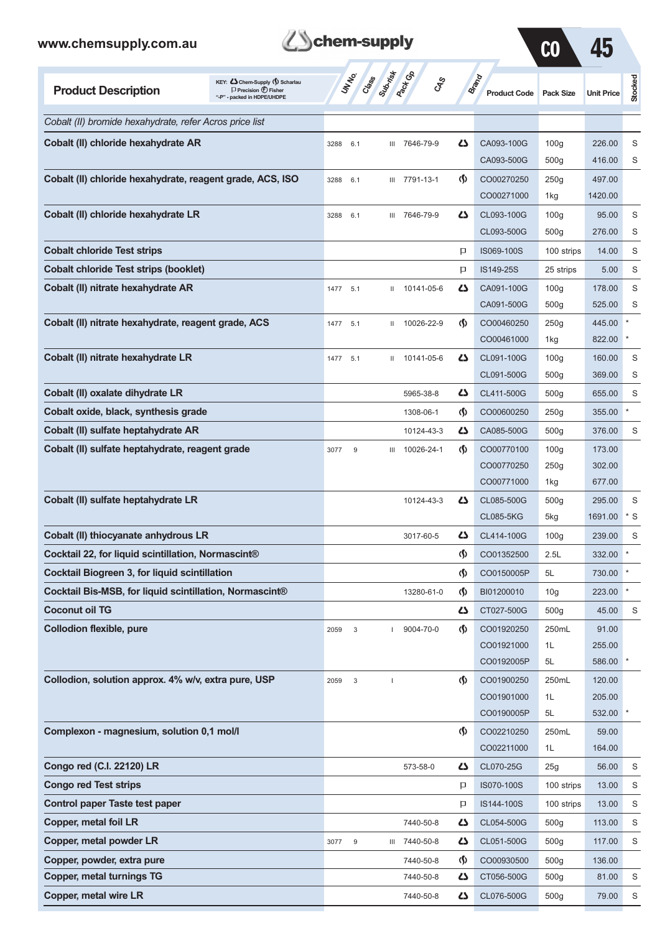

CO 45

| KEY: C Chem-Supply (5) Scharlau<br><b>Product Description</b><br>$\Box$ Precision $\bigoplus$ Fisher<br>"-P" - packed in HDPE/UHDPE |      | UN NO.<br>Class  | Submist | <b>Pack Go</b><br>GSS |                                    | Brand<br><b>Product Code</b>   | <b>Pack Size</b>        | <b>Unit Price</b> | Stocked     |
|-------------------------------------------------------------------------------------------------------------------------------------|------|------------------|---------|-----------------------|------------------------------------|--------------------------------|-------------------------|-------------------|-------------|
| Cobalt (II) bromide hexahydrate, refer Acros price list                                                                             |      |                  |         |                       |                                    |                                |                         |                   |             |
| Cobalt (II) chloride hexahydrate AR                                                                                                 | 3288 | 6.1              | Ш       | 7646-79-9             | 47                                 | CA093-100G                     | 100q                    | 226.00            | S           |
|                                                                                                                                     |      |                  |         |                       |                                    | CA093-500G                     | 500 <sub>g</sub>        | 416.00            | S           |
| Cobalt (II) chloride hexahydrate, reagent grade, ACS, ISO                                                                           | 3288 | 6.1              | Ш       | 7791-13-1             | $\langle \mathbf{\langle} \rangle$ | CO00270250                     | 250g                    | 497.00            |             |
|                                                                                                                                     |      |                  |         |                       |                                    | CO00271000                     | 1kg                     | 1420.00           |             |
| Cobalt (II) chloride hexahydrate LR                                                                                                 | 3288 | 6.1              | Ш       | 7646-79-9             | دے                                 | CL093-100G                     | 100 <sub>g</sub>        | 95.00             | S           |
|                                                                                                                                     |      |                  |         |                       |                                    | CL093-500G                     | 500 <sub>g</sub>        | 276.00            | S           |
| <b>Cobalt chloride Test strips</b>                                                                                                  |      |                  |         |                       | P                                  | IS069-100S                     | 100 strips              | 14.00             | S           |
| <b>Cobalt chloride Test strips (booklet)</b>                                                                                        |      |                  |         |                       | P                                  | IS149-25S                      | 25 strips               | 5.00              | S           |
| Cobalt (II) nitrate hexahydrate AR                                                                                                  | 1477 | 5.1              | Ш       | 10141-05-6            | دے                                 | CA091-100G                     | 100 <sub>g</sub>        | 178.00            | S           |
|                                                                                                                                     |      |                  |         |                       |                                    | CA091-500G                     | 500 <sub>g</sub>        | 525.00            | S           |
| Cobalt (II) nitrate hexahydrate, reagent grade, ACS                                                                                 | 1477 | 5.1              | Ш       | 10026-22-9            | $\langle \mathbf{\S} \rangle$      | CO00460250                     | 250g                    | 445.00            |             |
|                                                                                                                                     |      |                  |         |                       |                                    | CO00461000                     | 1kg                     | 822.00            |             |
| Cobalt (II) nitrate hexahydrate LR                                                                                                  | 1477 | 5.1              | Ш       | 10141-05-6            | ひ                                  | CL091-100G                     | 100q                    | 160.00            | S           |
|                                                                                                                                     |      |                  |         |                       |                                    | CL091-500G                     | 500 <sub>g</sub>        | 369.00            | S           |
| Cobalt (II) oxalate dihydrate LR                                                                                                    |      |                  |         | 5965-38-8             | دے                                 | CL411-500G                     | 500 <sub>g</sub>        | 655.00            | S           |
| Cobalt oxide, black, synthesis grade                                                                                                |      |                  |         | 1308-06-1             | $\langle \mathbf{\S} \rangle$      | CO00600250                     | 250g                    | 355.00            |             |
| Cobalt (II) sulfate heptahydrate AR                                                                                                 |      |                  |         | 10124-43-3            | دے                                 | CA085-500G                     | 500 <sub>g</sub>        | 376.00            | S           |
| Cobalt (II) sulfate heptahydrate, reagent grade                                                                                     | 3077 | 9                | Ш       | 10026-24-1            | $\langle \mathbf{\langle} \rangle$ | CO00770100                     | 100q                    | 173.00            |             |
|                                                                                                                                     |      |                  |         |                       |                                    | CO00770250                     | 250g                    | 302.00            |             |
|                                                                                                                                     |      |                  |         |                       |                                    | CO00771000                     | 1kg                     | 677.00            |             |
| Cobalt (II) sulfate heptahydrate LR                                                                                                 |      |                  |         | 10124-43-3            | دے                                 | CL085-500G<br><b>CL085-5KG</b> | 500 <sub>g</sub><br>5kg | 295.00<br>1691.00 | S<br>S<br>* |
| Cobalt (II) thiocyanate anhydrous LR                                                                                                |      |                  |         | 3017-60-5             | دے                                 | CL414-100G                     | 100 <sub>g</sub>        | 239.00            | S           |
| Cocktail 22, for liquid scintillation, Normascint®                                                                                  |      |                  |         |                       | (§)                                | CO01352500                     | 2.5L                    | 332.00            | $\star$     |
| <b>Cocktail Biogreen 3, for liquid scintillation</b>                                                                                |      |                  |         |                       | $\langle \mathbf{\S} \rangle$      | CO0150005P                     | 5L                      | 730.00            | $\ast$      |
| Cocktail Bis-MSB, for liquid scintillation, Normascint®                                                                             |      |                  |         |                       | $\langle \mathbf{\S} \rangle$      |                                |                         | 223.00            |             |
| <b>Coconut oil TG</b>                                                                                                               |      |                  |         | 13280-61-0            |                                    | BI01200010                     | 10 <sub>g</sub>         |                   |             |
|                                                                                                                                     |      |                  |         |                       | 47                                 | CT027-500G                     | 500 <sub>g</sub>        | 45.00             | S           |
| <b>Collodion flexible, pure</b>                                                                                                     | 2059 | 3                | T       | 9004-70-0             | $\langle \mathbf{\S} \rangle$      | CO01920250<br>CO01921000       | 250mL<br>1L             | 91.00<br>255.00   |             |
|                                                                                                                                     |      |                  |         |                       |                                    | CO0192005P                     | 5L                      | 586.00            |             |
| Collodion, solution approx. 4% w/v, extra pure, USP                                                                                 | 2059 | $\mathsf 3$      | I       |                       | $\langle \mathbf{\S} \rangle$      | CO01900250                     | 250mL                   | 120.00            |             |
|                                                                                                                                     |      |                  |         |                       |                                    | CO01901000                     | 1L                      | 205.00            |             |
|                                                                                                                                     |      |                  |         |                       |                                    | CO0190005P                     | 5L                      | 532.00            |             |
| Complexon - magnesium, solution 0,1 mol/l                                                                                           |      |                  |         |                       | $\langle \mathbf{\S} \rangle$      | CO02210250                     | 250mL                   | 59.00             |             |
|                                                                                                                                     |      |                  |         |                       |                                    | CO02211000                     | 1L                      | 164.00            |             |
| Congo red (C.I. 22120) LR                                                                                                           |      |                  |         | 573-58-0              | 47                                 | CL070-25G                      | 25g                     | 56.00             | S           |
| <b>Congo red Test strips</b>                                                                                                        |      |                  |         |                       | P                                  | IS070-100S                     | 100 strips              | 13.00             | S           |
| <b>Control paper Taste test paper</b>                                                                                               |      |                  |         |                       | P                                  | IS144-100S                     | 100 strips              | 13.00             | S           |
| <b>Copper, metal foil LR</b>                                                                                                        |      |                  |         | 7440-50-8             | 47                                 | CL054-500G                     | 500 <sub>g</sub>        | 113.00            | S           |
| Copper, metal powder LR                                                                                                             | 3077 | $\boldsymbol{9}$ | Ш       | 7440-50-8             | 47                                 | CL051-500G                     | 500 <sub>g</sub>        | 117.00            | S           |
| Copper, powder, extra pure                                                                                                          |      |                  |         | 7440-50-8             | $\langle \mathbf{\S} \rangle$      | CO00930500                     | 500 <sub>g</sub>        | 136.00            |             |
| <b>Copper, metal turnings TG</b>                                                                                                    |      |                  |         | 7440-50-8             | 47                                 | CT056-500G                     | 500g                    | 81.00             | S           |
| Copper, metal wire LR                                                                                                               |      |                  |         | 7440-50-8             | 45                                 | CL076-500G                     | 500g                    | 79.00             | S           |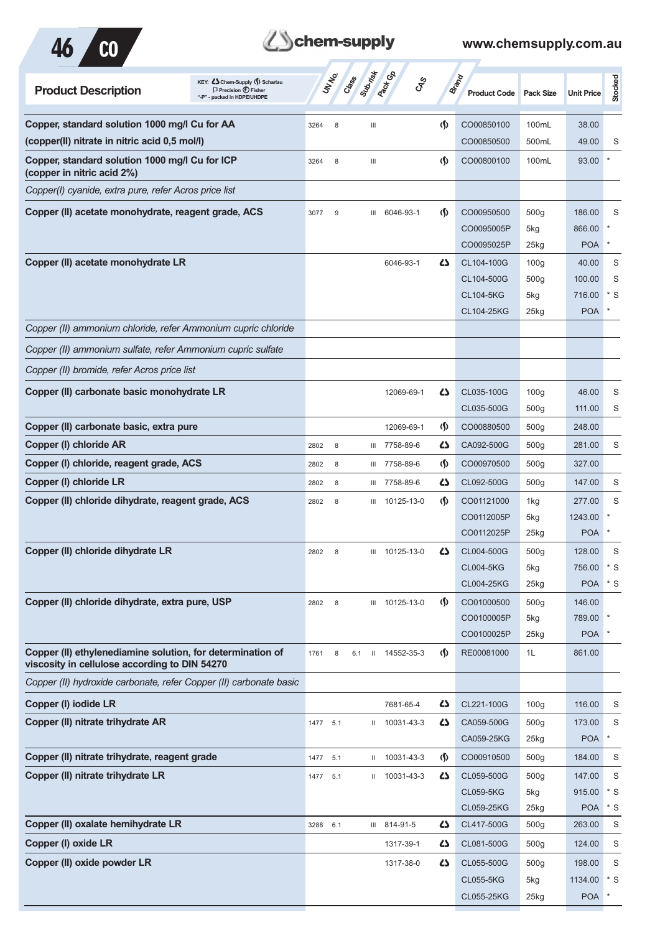



| KEY: Chem-Supply () Scharlau<br><b>Product Description</b><br>$\Box$ Precision $\bigcirc$ Fisher<br>"-P" - packed in HDPE/UHDPE | <b>UNTER</b> | Submish<br>Crass | <b>Pack G</b> B<br><b>GRS</b> |                                      | <b>Brand</b><br><b>Product Code</b>                        | <b>Pack Size</b>                                       | <b>Unit Price</b>                       | Stocked              |
|---------------------------------------------------------------------------------------------------------------------------------|--------------|------------------|-------------------------------|--------------------------------------|------------------------------------------------------------|--------------------------------------------------------|-----------------------------------------|----------------------|
| Copper, standard solution 1000 mg/l Cu for AA                                                                                   | 3264<br>8    | $\mathbf{III}$   |                               | $\langle \mathsf{S} \rangle$         | CO00850100                                                 | 100mL                                                  | 38.00                                   |                      |
| (copper(II) nitrate in nitric acid 0.5 mol/l)                                                                                   |              |                  |                               |                                      | CO00850500                                                 | 500mL                                                  | 49.00                                   | S                    |
| Copper, standard solution 1000 mg/l Cu for ICP<br>(copper in nitric acid 2%)                                                    | 3264<br>8    | $\mathbf{III}$   |                               | (\$)                                 | CO00800100                                                 | 100mL                                                  | 93.00                                   |                      |
| Copper(I) cyanide, extra pure, refer Acros price list                                                                           |              |                  |                               |                                      |                                                            |                                                        |                                         |                      |
| Copper (II) acetate monohydrate, reagent grade, ACS                                                                             | 9<br>3077    | Ш                | 6046-93-1                     | $\langle \mathbf{\S} \rangle$        | CO00950500<br>CO0095005P<br>CO0095025P                     | 500g<br>5kg<br>$25$ kg                                 | 186.00<br>866.00<br><b>POA</b>          | S<br>$\ast$          |
| Copper (II) acetate monohydrate LR                                                                                              |              |                  | 6046-93-1                     | ひ                                    | CL104-100G<br>CL104-500G<br><b>CL104-5KG</b><br>CL104-25KG | 100 <sub>g</sub><br>500 <sub>g</sub><br>5kg<br>$25$ kg | 40.00<br>100.00<br>716.00<br><b>POA</b> | S<br>S<br>$*$ S      |
| Copper (II) ammonium chloride, refer Ammonium cupric chloride                                                                   |              |                  |                               |                                      |                                                            |                                                        |                                         |                      |
| Copper (II) ammonium sulfate, refer Ammonium cupric sulfate                                                                     |              |                  |                               |                                      |                                                            |                                                        |                                         |                      |
| Copper (II) bromide, refer Acros price list                                                                                     |              |                  |                               |                                      |                                                            |                                                        |                                         |                      |
| Copper (II) carbonate basic monohydrate LR                                                                                      |              |                  | 12069-69-1                    | دے                                   | CL035-100G<br>CL035-500G                                   | 100 <sub>g</sub><br>500 <sub>g</sub>                   | 46.00<br>111.00                         | S<br>S               |
| Copper (II) carbonate basic, extra pure                                                                                         |              |                  | 12069-69-1                    | $\langle \mathbf{\mathbf{\Diamond}}$ | CO00880500                                                 | 500 <sub>g</sub>                                       | 248.00                                  |                      |
| Copper (I) chloride AR                                                                                                          | 2802<br>8    | Ш                | 7758-89-6                     | ひ                                    | CA092-500G                                                 | 500 <sub>g</sub>                                       | 281.00                                  | S                    |
| Copper (I) chloride, reagent grade, ACS                                                                                         | 2802<br>8    | Ш                | 7758-89-6                     | $\langle \mathbf{\langle} \rangle$   | CO00970500                                                 | 500 <sub>g</sub>                                       | 327.00                                  |                      |
| Copper (I) chloride LR                                                                                                          | 2802<br>8    | Ш                | 7758-89-6                     | دے                                   | CL092-500G                                                 | 500 <sub>g</sub>                                       | 147.00                                  | S                    |
| Copper (II) chloride dihydrate, reagent grade, ACS                                                                              | 8<br>2802    | Ш                | 10125-13-0                    | $\langle \mathbf{\langle} \rangle$   | CO01121000<br>CO0112005P<br>CO0112025P                     | 1kg<br>5kg<br>$25$ kg                                  | 277.00<br>1243.00<br><b>POA</b>         | S                    |
| Copper (II) chloride dihydrate LR                                                                                               | 2802<br>8    | Ш                | 10125-13-0                    | ひ                                    | CL004-500G<br><b>CL004-5KG</b><br>CL004-25KG               | 500 <sub>g</sub><br>5kg<br>$25$ <sub>kg</sub>          | 128.00<br>756.00<br><b>POA</b>          | S<br>* S<br>$*$ S    |
| Copper (II) chloride dihydrate, extra pure, USP                                                                                 | 2802<br>8    |                  | III 10125-13-0                | $\langle \mathbf{\langle} \rangle$   | CO01000500<br>CO0100005P<br>CO0100025P                     | 500g<br>5kg<br>25kg                                    | 146.00<br>789.00<br><b>POA</b>          |                      |
| Copper (II) ethylenediamine solution, for determination of<br>viscosity in cellulose according to DIN 54270                     | 1761<br>8    | 6.1              | II 14552-35-3                 | $\langle \mathbf{\mathbf{\Diamond}}$ | RE00081000                                                 | 1L                                                     | 861.00                                  |                      |
| Copper (II) hydroxide carbonate, refer Copper (II) carbonate basic                                                              |              |                  |                               |                                      |                                                            |                                                        |                                         |                      |
| Copper (I) iodide LR                                                                                                            |              |                  | 7681-65-4                     | 47                                   | CL221-100G                                                 | 100q                                                   | 116.00                                  | S                    |
| Copper (II) nitrate trihydrate AR                                                                                               | 1477 5.1     |                  | II 10031-43-3                 | 45                                   | CA059-500G<br>CA059-25KG                                   | 500 <sub>g</sub><br>25kg                               | 173.00<br><b>POA</b>                    | S<br>$\pmb{\ast}$    |
| Copper (II) nitrate trihydrate, reagent grade                                                                                   | 5.1<br>1477  |                  | II 10031-43-3                 | $\langle \mathsf{S} \rangle$         | CO00910500                                                 | 500 <sub>g</sub>                                       | 184.00                                  | S                    |
| Copper (II) nitrate trihydrate LR                                                                                               | 1477<br>5.1  |                  | II 10031-43-3                 | 45                                   | CL059-500G<br><b>CL059-5KG</b><br>CL059-25KG               | 500 <sub>g</sub><br>5kg<br>$25$ <sub>kg</sub>          | 147.00<br>915.00<br><b>POA</b>          | S<br>$*$ S<br>$*$ S  |
| Copper (II) oxalate hemihydrate LR                                                                                              | 6.1<br>3288  |                  | III 814-91-5                  | 47                                   | CL417-500G                                                 | 500 <sub>g</sub>                                       | 263.00                                  | S                    |
| Copper (I) oxide LR                                                                                                             |              |                  | 1317-39-1                     | 45                                   | CL081-500G                                                 | 500 <sub>g</sub>                                       | 124.00                                  | S                    |
| Copper (II) oxide powder LR                                                                                                     |              |                  | 1317-38-0                     | 47                                   | CL055-500G<br><b>CL055-5KG</b><br>CL055-25KG               | 500 <sub>g</sub><br>5kg<br>25kg                        | 198.00<br>1134.00<br><b>POA</b>         | S<br>$*$ S<br>$\ast$ |
|                                                                                                                                 |              |                  |                               |                                      |                                                            |                                                        |                                         |                      |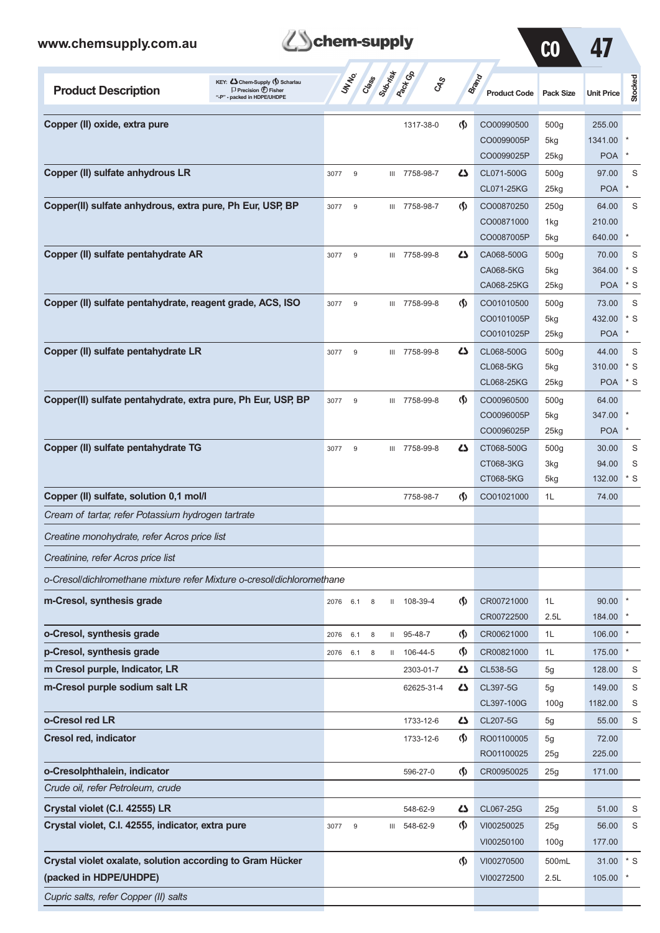### www.chemsupply.org

| com.au |                                                                                                    | chem-supply      |                    |
|--------|----------------------------------------------------------------------------------------------------|------------------|--------------------|
|        |                                                                                                    |                  |                    |
| 'n     | KEY: C Chem-Supply (5) Scharlau<br>$\Box$ Precision $\bigoplus$ Fisher<br>"D" seeked is UDDEAIUDDE | Pack Co<br>Class | Brand<br>duct Code |



| <b>Product Description</b>                                             | KEY: Cohem-Supply (5) Scharlau<br>$\Box$ Precision $\bigcirc$ Fisher<br>"-P" - packed in HDPE/UHDPE |          | <b>SARS</b>    | Class Supering |   | <b>GRS</b>    |                                    | <b>Brand</b><br><b>Product Code</b> | <b>Pack Size</b>   | <b>Unit Price</b> | <b>Stocked</b> |
|------------------------------------------------------------------------|-----------------------------------------------------------------------------------------------------|----------|----------------|----------------|---|---------------|------------------------------------|-------------------------------------|--------------------|-------------------|----------------|
| Copper (II) oxide, extra pure                                          |                                                                                                     |          |                |                |   | 1317-38-0     | $\langle \mathbf{\langle} \rangle$ | CO00990500                          | 500g               | 255.00            |                |
|                                                                        |                                                                                                     |          |                |                |   |               |                                    | CO0099005P                          | 5kg                | 1341.00           |                |
|                                                                        |                                                                                                     |          |                |                |   |               |                                    | CO0099025P                          | 25kg               | <b>POA</b>        |                |
| Copper (II) sulfate anhydrous LR                                       |                                                                                                     | 3077     | 9              |                |   | III 7758-98-7 | 4                                  | CL071-500G                          | 500 <sub>g</sub>   | 97.00             | S              |
|                                                                        |                                                                                                     |          |                |                |   |               |                                    | CL071-25KG                          | 25kg               | <b>POA</b>        |                |
| Copper(II) sulfate anhydrous, extra pure, Ph Eur, USP, BP              |                                                                                                     | 3077     | 9              |                |   | III 7758-98-7 | $\langle \mathbf{\langle} \rangle$ | CO00870250                          | 250g               | 64.00             | S              |
|                                                                        |                                                                                                     |          |                |                |   |               |                                    | CO00871000                          | 1kg                | 210.00            |                |
|                                                                        |                                                                                                     |          |                |                |   |               |                                    | CO0087005P                          | 5kg                | 640.00            | *              |
| Copper (II) sulfate pentahydrate AR                                    |                                                                                                     | 3077     | 9              |                |   | III 7758-99-8 | دے                                 | CA068-500G                          | 500 <sub>g</sub>   | 70.00             | S              |
|                                                                        |                                                                                                     |          |                |                |   |               |                                    | CA068-5KG                           | 5kg                | 364.00            | * S            |
|                                                                        |                                                                                                     |          |                |                |   |               |                                    | CA068-25KG                          | $25$ kg            | <b>POA</b>        | $*$ S          |
| Copper (II) sulfate pentahydrate, reagent grade, ACS, ISO              |                                                                                                     | 3077     | 9              |                |   | III 7758-99-8 | $\langle \mathbf{\langle} \rangle$ | CO01010500                          | 500 <sub>g</sub>   | 73.00             | S              |
|                                                                        |                                                                                                     |          |                |                |   |               |                                    | CO0101005P                          | 5kg                | 432.00            | * S            |
|                                                                        |                                                                                                     |          |                |                |   |               |                                    | CO0101025P                          | $25$ <sub>kg</sub> | <b>POA</b>        | $\ast$         |
| Copper (II) sulfate pentahydrate LR                                    |                                                                                                     | 3077     | 9              |                |   | III 7758-99-8 | دے                                 | CL068-500G                          | 500 <sub>g</sub>   | 44.00             | S              |
|                                                                        |                                                                                                     |          |                |                |   |               |                                    | <b>CL068-5KG</b>                    | 5kg                | 310.00            | $*$ S          |
|                                                                        |                                                                                                     |          |                |                |   |               |                                    | <b>CL068-25KG</b>                   | $25$ kg            | <b>POA</b>        | $*$ S          |
| Copper(II) sulfate pentahydrate, extra pure, Ph Eur, USP, BP           |                                                                                                     | 3077     | $\overline{9}$ |                |   | III 7758-99-8 | $\langle \mathbf{\langle} \rangle$ | CO00960500                          | 500g               | 64.00             |                |
|                                                                        |                                                                                                     |          |                |                |   |               |                                    | CO0096005P                          | 5kg                | 347.00            |                |
|                                                                        |                                                                                                     |          |                |                |   |               |                                    | CO0096025P                          | $25$ kg            | <b>POA</b>        |                |
| Copper (II) sulfate pentahydrate TG                                    |                                                                                                     | 3077     | 9              |                |   | III 7758-99-8 | دے                                 | CT068-500G                          | 500 <sub>g</sub>   | 30.00             | S              |
|                                                                        |                                                                                                     |          |                |                |   |               |                                    | CT068-3KG                           | 3kg                | 94.00             | S              |
|                                                                        |                                                                                                     |          |                |                |   |               |                                    | CT068-5KG                           | 5kg                | 132.00            | $*$ S          |
| Copper (II) sulfate, solution 0,1 mol/l                                |                                                                                                     |          |                |                |   | 7758-98-7     | $\Phi$                             | CO01021000                          | 1L                 | 74.00             |                |
| Cream of tartar, refer Potassium hydrogen tartrate                     |                                                                                                     |          |                |                |   |               |                                    |                                     |                    |                   |                |
| Creatine monohydrate, refer Acros price list                           |                                                                                                     |          |                |                |   |               |                                    |                                     |                    |                   |                |
| Creatinine, refer Acros price list                                     |                                                                                                     |          |                |                |   |               |                                    |                                     |                    |                   |                |
| o-Cresol/dichlromethane mixture refer Mixture o-cresol/dichloromethane |                                                                                                     |          |                |                |   |               |                                    |                                     |                    |                   |                |
| m-Cresol, synthesis grade                                              |                                                                                                     | 2076 6.1 |                | 8              |   | II 108-39-4   | $\Phi$                             | CR00721000                          | 1L                 | 90.00             |                |
|                                                                        |                                                                                                     |          |                |                |   |               |                                    | CR00722500                          | 2.5L               | 184.00            |                |
| o-Cresol, synthesis grade                                              |                                                                                                     | 2076     | 6.1            | 8              |   | II 95-48-7    | $\Phi$                             | CR00621000                          | 1L                 | 106.00            |                |
| p-Cresol, synthesis grade                                              |                                                                                                     | 2076     | 6.1            | 8              |   | II 106-44-5   | $\Phi$                             | CR00821000                          | 1L                 | 175.00            | $\ast$         |
| m Cresol purple, Indicator, LR                                         |                                                                                                     |          |                |                |   | 2303-01-7     | 47                                 | CL538-5G                            | 5g                 | 128.00            | S              |
| m-Cresol purple sodium salt LR                                         |                                                                                                     |          |                |                |   | 62625-31-4    | 5                                  | CL397-5G                            | 5g                 | 149.00            | S              |
|                                                                        |                                                                                                     |          |                |                |   |               |                                    | CL397-100G                          | 100 <sub>g</sub>   | 1182.00           | S              |
| o-Cresol red LR                                                        |                                                                                                     |          |                |                |   | 1733-12-6     | دے                                 | CL207-5G                            | 5g                 | 55.00             | S              |
| <b>Cresol red, indicator</b>                                           |                                                                                                     |          |                |                |   | 1733-12-6     | $\langle \mathbf{\hat{y}} \rangle$ | RO01100005                          | 5g                 | 72.00             |                |
|                                                                        |                                                                                                     |          |                |                |   |               |                                    | RO01100025                          | 25g                | 225.00            |                |
| o-Cresolphthalein, indicator                                           |                                                                                                     |          |                |                |   | 596-27-0      | $\langle \mathsf{S} \rangle$       | CR00950025                          | 25g                | 171.00            |                |
| Crude oil, refer Petroleum, crude                                      |                                                                                                     |          |                |                |   |               |                                    |                                     |                    |                   |                |
| Crystal violet (C.I. 42555) LR                                         |                                                                                                     |          |                |                |   | 548-62-9      | 5                                  | CL067-25G                           | 25g                | 51.00             | S              |
| Crystal violet, C.I. 42555, indicator, extra pure                      |                                                                                                     | 3077     | $9\,$          |                | Ш | 548-62-9      | $\langle \mathbf{\hat{y}} \rangle$ | VI00250025                          | 25g                | 56.00             | $\mathbb S$    |
|                                                                        |                                                                                                     |          |                |                |   |               |                                    | VI00250100                          | 100 <sub>g</sub>   | 177.00            |                |
| Crystal violet oxalate, solution according to Gram Hücker              |                                                                                                     |          |                |                |   |               | $\Phi$                             | VI00270500                          | 500mL              | 31.00             | $\cdot$ s      |
| (packed in HDPE/UHDPE)                                                 |                                                                                                     |          |                |                |   |               |                                    | VI00272500                          | 2.5L               | 105.00            |                |
|                                                                        |                                                                                                     |          |                |                |   |               |                                    |                                     |                    |                   |                |
| Cupric salts, refer Copper (II) salts                                  |                                                                                                     |          |                |                |   |               |                                    |                                     |                    |                   |                |

┯

−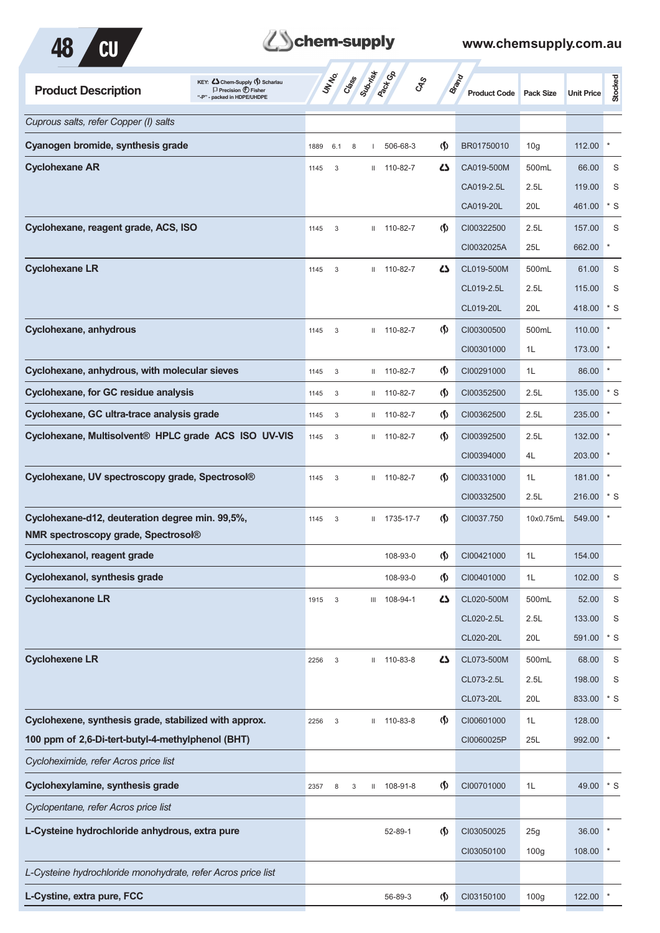



| <b>Product Description</b>                                                             | KEY: C Chem-Supply (5) Scharlau<br>$\Box$ Precision $\bigoplus$ Fisher<br>"-P" - packed in HDPE/UHDPE |      | <b>STAR</b> | Class |              | <b>Pacifica</b><br>CAS |                                      | <b>Brand</b><br><b>Product Code</b> | <b>Pack Size</b> | <b>Unit Price</b> | Stocked      |
|----------------------------------------------------------------------------------------|-------------------------------------------------------------------------------------------------------|------|-------------|-------|--------------|------------------------|--------------------------------------|-------------------------------------|------------------|-------------------|--------------|
| Cuprous salts, refer Copper (I) salts                                                  |                                                                                                       |      |             |       |              |                        |                                      |                                     |                  |                   |              |
| Cyanogen bromide, synthesis grade                                                      |                                                                                                       | 1889 | 6.1         | 8     |              | 506-68-3               | $\langle \mathbf{\S} \rangle$        | BR01750010                          | 10 <sub>g</sub>  | 112.00            | $\ast$       |
| <b>Cyclohexane AR</b>                                                                  |                                                                                                       | 1145 | 3           |       |              | II 110-82-7            | 47                                   | CA019-500M                          | 500mL            | 66.00             | S            |
|                                                                                        |                                                                                                       |      |             |       |              |                        |                                      | CA019-2.5L                          | 2.5L             | 119.00            | S            |
|                                                                                        |                                                                                                       |      |             |       |              |                        |                                      | CA019-20L                           | 20L              | 461.00            | $*$ S        |
| Cyclohexane, reagent grade, ACS, ISO                                                   |                                                                                                       | 1145 | 3           |       |              | $11 110-82-7$          | $\langle \mathbf{\langle} \rangle$   | CI00322500                          | 2.5L             | 157.00            | S            |
|                                                                                        |                                                                                                       |      |             |       |              |                        |                                      | CI0032025A                          | 25L              | 662.00            | ×            |
| <b>Cyclohexane LR</b>                                                                  |                                                                                                       | 1145 | 3           |       | Ш.           | 110-82-7               | 5                                    | CL019-500M                          | 500mL            | 61.00             | S            |
|                                                                                        |                                                                                                       |      |             |       |              |                        |                                      | CL019-2.5L                          | 2.5L             | 115.00            | S            |
|                                                                                        |                                                                                                       |      |             |       |              |                        |                                      | CL019-20L                           | 20L              | 418.00            | $*$ S        |
| Cyclohexane, anhydrous                                                                 |                                                                                                       | 1145 | 3           |       |              | II 110-82-7            | $\langle \mathbf{\S} \rangle$        | CI00300500                          | 500mL            | 110.00            |              |
|                                                                                        |                                                                                                       |      |             |       |              |                        |                                      | CI00301000                          | 1L               | 173.00            |              |
| Cyclohexane, anhydrous, with molecular sieves                                          |                                                                                                       | 1145 | 3           |       |              | $11 110-82-7$          | $\langle \mathbf{\mathbf{\Diamond}}$ | CI00291000                          | 1L               | 86.00             | $\ast$       |
| <b>Cyclohexane, for GC residue analysis</b>                                            |                                                                                                       | 1145 | 3           |       |              | $11 110-82-7$          | $\langle \mathbf{\S} \rangle$        | CI00352500                          | 2.5L             | 135.00            | $*$ S        |
| Cyclohexane, GC ultra-trace analysis grade                                             |                                                                                                       | 1145 | 3           |       | Ш.           | 110-82-7               | $\langle \mathbf{\S} \rangle$        | CI00362500                          | 2.5L             | 235.00            |              |
| Cyclohexane, Multisolvent® HPLC grade ACS ISO UV-VIS                                   |                                                                                                       | 1145 | 3           |       |              | $11 110-82-7$          | (∫)                                  | CI00392500                          | 2.5L             | 132.00            |              |
|                                                                                        |                                                                                                       |      |             |       |              |                        |                                      | CI00394000                          | 4L               | 203.00            | $\pmb{\ast}$ |
| Cyclohexane, UV spectroscopy grade, Spectrosol®                                        |                                                                                                       | 1145 | 3           |       |              | $11 110-82-7$          | $\langle \mathbf{\langle}$           | CI00331000                          | 1L               | 181.00            | $\ast$       |
|                                                                                        |                                                                                                       |      |             |       |              |                        |                                      | CI00332500                          | 2.5L             | 216.00            | * S          |
| Cyclohexane-d12, deuteration degree min. 99,5%,<br>NMR spectroscopy grade, Spectrosol® |                                                                                                       | 1145 | 3           |       | Ш.           | 1735-17-7              | $\langle \mathbf{\S} \rangle$        | CI0037.750                          | 10x0.75mL        | 549.00            |              |
| Cyclohexanol, reagent grade                                                            |                                                                                                       |      |             |       |              | 108-93-0               | $\langle \mathsf{S} \rangle$         | CI00421000                          | 1L               | 154.00            |              |
| Cyclohexanol, synthesis grade                                                          |                                                                                                       |      |             |       |              | 108-93-0               | $\varphi$                            | CI00401000                          | 1L               | 102.00            | S            |
| <b>Cyclohexanone LR</b>                                                                |                                                                                                       | 1915 | 3           |       | III          | 108-94-1               | 5                                    | CL020-500M                          | 500mL            | 52.00             | S            |
|                                                                                        |                                                                                                       |      |             |       |              |                        |                                      | CL020-2.5L                          | 2.5L             | 133.00            | S            |
|                                                                                        |                                                                                                       |      |             |       |              |                        |                                      | CL020-20L                           | 20L              | 591.00            | $*$ S        |
| <b>Cyclohexene LR</b>                                                                  |                                                                                                       | 2256 | 3           |       |              | $II$ 110-83-8          | 5                                    | CL073-500M                          | 500mL            | 68.00             | S            |
|                                                                                        |                                                                                                       |      |             |       |              |                        |                                      | CL073-2.5L                          | 2.5L             | 198.00            | S            |
|                                                                                        |                                                                                                       |      |             |       |              |                        |                                      | CL073-20L                           | 20L              | 833.00            | $^\star$ S   |
| Cyclohexene, synthesis grade, stabilized with approx.                                  |                                                                                                       | 2256 | 3           |       |              | $II$ 110-83-8          | $\langle \mathsf{S} \rangle$         | CI00601000                          | 1L               | 128.00            |              |
| 100 ppm of 2,6-Di-tert-butyl-4-methylphenol (BHT)                                      |                                                                                                       |      |             |       |              |                        |                                      | CI0060025P                          | 25L              | 992.00            | $\ast$       |
| Cycloheximide, refer Acros price list                                                  |                                                                                                       |      |             |       |              |                        |                                      |                                     |                  |                   |              |
| Cyclohexylamine, synthesis grade                                                       |                                                                                                       | 2357 | 8           | 3     | $\mathbf{H}$ | 108-91-8               | $\Phi$                               | CI00701000                          | 1L               | 49.00             | $*$ S        |
| Cyclopentane, refer Acros price list                                                   |                                                                                                       |      |             |       |              |                        |                                      |                                     |                  |                   |              |
| L-Cysteine hydrochloride anhydrous, extra pure                                         |                                                                                                       |      |             |       |              | 52-89-1                | $\varphi$                            | CI03050025                          | 25g              | 36.00             | $\ast$       |
|                                                                                        |                                                                                                       |      |             |       |              |                        |                                      | CI03050100                          | 100 <sub>g</sub> | 108.00            | $\ast$       |
| L-Cysteine hydrochloride monohydrate, refer Acros price list                           |                                                                                                       |      |             |       |              |                        |                                      |                                     |                  |                   |              |
| L-Cystine, extra pure, FCC                                                             |                                                                                                       |      |             |       |              | 56-89-3                | $\sp(5)$                             | CI03150100                          | 100g             | 122.00            |              |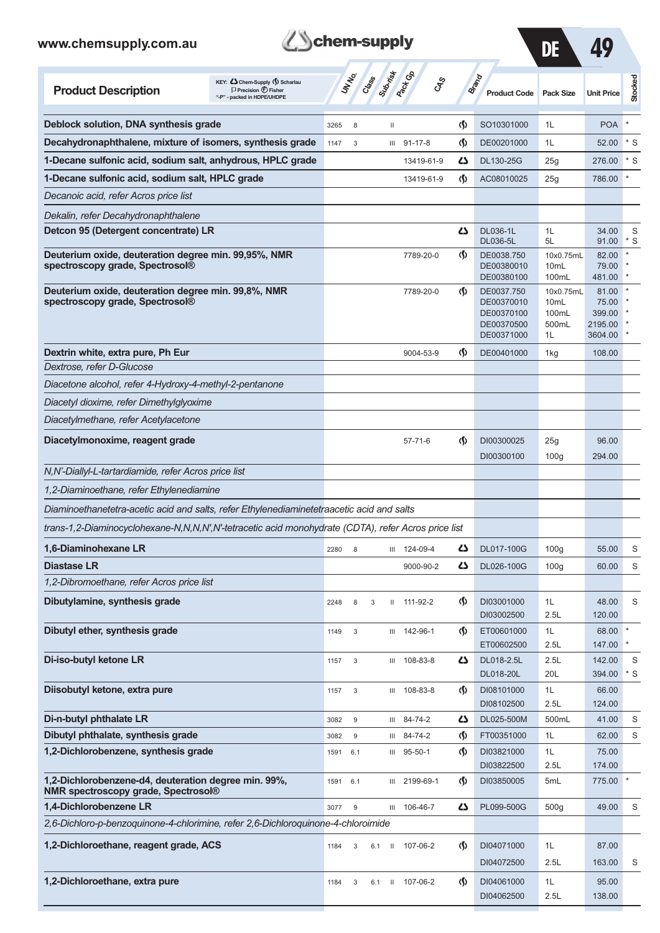

DE 49

| <b>Product Description</b>                                                                          | KEY: Cohem-Supply (5) Scharlau<br>$\Box$ Precision $\bigcirc$ Fisher<br>"-P" - packed in HDPE/UHDPE |      | UN NO.           | Class | Submist        | <b>Pack Go</b><br><b>GRS</b> |                                    | Brand<br><b>Product Code</b> Pack Size                             |                                              | <b>Unit Price</b>                              | Stocked         |
|-----------------------------------------------------------------------------------------------------|-----------------------------------------------------------------------------------------------------|------|------------------|-------|----------------|------------------------------|------------------------------------|--------------------------------------------------------------------|----------------------------------------------|------------------------------------------------|-----------------|
| Deblock solution, DNA synthesis grade                                                               |                                                                                                     | 3265 | 8                |       | Ш              |                              | $\langle \mathbf{\langle}$         | SO10301000                                                         | 1L                                           | <b>POA</b>                                     |                 |
| Decahydronaphthalene, mixture of isomers, synthesis grade                                           |                                                                                                     | 1147 | 3                |       | Ш              | $91 - 17 - 8$                | $\langle \mathbf{\langle} \rangle$ | DE00201000                                                         | 1L                                           | 52.00                                          | $*$ S           |
| 1-Decane sulfonic acid, sodium salt, anhydrous, HPLC grade                                          |                                                                                                     |      |                  |       |                | 13419-61-9                   | دے                                 | <b>DL130-25G</b>                                                   | 25g                                          | 276.00                                         | $*$ S           |
| 1-Decane sulfonic acid, sodium salt, HPLC grade                                                     |                                                                                                     |      |                  |       |                | 13419-61-9                   | $\langle \mathbf{\langle} \rangle$ | AC08010025                                                         | 25g                                          | 786.00                                         |                 |
| Decanoic acid, refer Acros price list                                                               |                                                                                                     |      |                  |       |                |                              |                                    |                                                                    |                                              |                                                |                 |
| Dekalin, refer Decahydronaphthalene                                                                 |                                                                                                     |      |                  |       |                |                              |                                    |                                                                    |                                              |                                                |                 |
| Detcon 95 (Detergent concentrate) LR                                                                |                                                                                                     |      |                  |       |                |                              | 27                                 | <b>DL036-1L</b>                                                    | 1L                                           | 34.00                                          | S               |
| Deuterium oxide, deuteration degree min. 99,95%, NMR<br>spectroscopy grade, Spectrosol®             |                                                                                                     |      |                  |       |                | 7789-20-0                    | $\langle \mathbf{\langle}$         | <b>DL036-5L</b><br>DE0038.750<br>DE00380010<br>DE00380100          | 5L<br>10x0.75mL<br>10 <sub>mL</sub><br>100mL | 91.00<br>82.00<br>79.00<br>481.00              | $*$ S           |
| Deuterium oxide, deuteration degree min. 99,8%, NMR<br>spectroscopy grade, Spectrosol®              |                                                                                                     |      |                  |       |                | 7789-20-0                    | $\langle \mathbf{\langle} \rangle$ | DE0037.750<br>DE00370010<br>DE00370100<br>DE00370500<br>DE00371000 | 10x0.75mL<br>10mL<br>100mL<br>500mL<br>1L    | 81.00<br>75.00<br>399.00<br>2195.00<br>3604.00 |                 |
| Dextrin white, extra pure, Ph Eur                                                                   |                                                                                                     |      |                  |       |                | 9004-53-9                    | $\langle \mathbf{\langle} \rangle$ | DE00401000                                                         | 1kg                                          | 108.00                                         |                 |
| Dextrose, refer D-Glucose                                                                           |                                                                                                     |      |                  |       |                |                              |                                    |                                                                    |                                              |                                                |                 |
| Diacetone alcohol, refer 4-Hydroxy-4-methyl-2-pentanone                                             |                                                                                                     |      |                  |       |                |                              |                                    |                                                                    |                                              |                                                |                 |
| Diacetyl dioxime, refer Dimethylglyoxime                                                            |                                                                                                     |      |                  |       |                |                              |                                    |                                                                    |                                              |                                                |                 |
| Diacetylmethane, refer Acetylacetone                                                                |                                                                                                     |      |                  |       |                |                              |                                    |                                                                    |                                              |                                                |                 |
| Diacetylmonoxime, reagent grade                                                                     |                                                                                                     |      |                  |       |                | $57 - 71 - 6$                | $\langle \mathbf{\langle}$         | DI00300025<br>DI00300100                                           | 25g<br>100 <sub>g</sub>                      | 96.00<br>294.00                                |                 |
| N,N'-Diallyl-L-tartardiamide, refer Acros price list                                                |                                                                                                     |      |                  |       |                |                              |                                    |                                                                    |                                              |                                                |                 |
| 1,2-Diaminoethane, refer Ethylenediamine                                                            |                                                                                                     |      |                  |       |                |                              |                                    |                                                                    |                                              |                                                |                 |
| Diaminoethanetetra-acetic acid and salts, refer Ethylenediaminetetraacetic acid and salts           |                                                                                                     |      |                  |       |                |                              |                                    |                                                                    |                                              |                                                |                 |
| trans-1,2-Diaminocyclohexane-N,N,N,N',N'-tetracetic acid monohydrate (CDTA), refer Acros price list |                                                                                                     |      |                  |       |                |                              |                                    |                                                                    |                                              |                                                |                 |
| 1,6-Diaminohexane LR                                                                                |                                                                                                     | 2280 | 8                |       |                | III 124-09-4                 | دے                                 | DL017-100G                                                         | 100 <sub>g</sub>                             | 55.00                                          | S               |
| <b>Diastase LR</b>                                                                                  |                                                                                                     |      |                  |       |                | 9000-90-2                    | 47                                 | DL026-100G                                                         | 100 <sub>g</sub>                             | 60.00                                          | S               |
| 1,2-Dibromoethane, refer Acros price list                                                           |                                                                                                     |      |                  |       |                |                              |                                    |                                                                    |                                              |                                                |                 |
| Dibutylamine, synthesis grade                                                                       |                                                                                                     | 2248 | 8                | 3     |                | $11 11 - 92 - 2$             | $\langle \mathbf{\langle} \rangle$ | DI03001000<br>DI03002500                                           | 1L<br>2.5L                                   | 48.00<br>120.00                                | S               |
| Dibutyl ether, synthesis grade                                                                      |                                                                                                     | 1149 | $\mathsf 3$      |       |                | III 142-96-1                 | $\langle \mathbf{\S} \rangle$      | ET00601000<br>ET00602500                                           | 1L<br>2.5L                                   | 68.00<br>147.00                                |                 |
| Di-iso-butyl ketone LR                                                                              |                                                                                                     | 1157 | 3                |       | $\mathbf{III}$ | 108-83-8                     | $\mathbf{Z}$                       | DL018-2.5L<br>DL018-20L                                            | 2.5L<br>20L                                  | 142.00<br>394.00                               | S<br>$^\star$ S |
| Diisobutyl ketone, extra pure                                                                       |                                                                                                     | 1157 | 3                |       | Ш              | 108-83-8                     | $\langle \mathbf{\S} \rangle$      | DI08101000<br>DI08102500                                           | 1L<br>2.5L                                   | 66.00<br>124.00                                |                 |
| Di-n-butyl phthalate LR                                                                             |                                                                                                     | 3082 | $\boldsymbol{9}$ |       | Ш              | 84-74-2                      | 47                                 | DL025-500M                                                         | 500mL                                        | 41.00                                          | S               |
| Dibutyl phthalate, synthesis grade                                                                  |                                                                                                     | 3082 | $\mathsf g$      |       | Ш              | 84-74-2                      | $\langle \mathbf{\S} \rangle$      | FT00351000                                                         | 1L                                           | 62.00                                          | S               |
| 1,2-Dichlorobenzene, synthesis grade                                                                |                                                                                                     | 1591 | 6.1              |       | Ш              | $95 - 50 - 1$                | $\langle \mathbf{\S} \rangle$      | DI03821000<br>DI03822500                                           | 1L<br>2.5L                                   | 75.00<br>174.00                                |                 |
| 1,2-Dichlorobenzene-d4, deuteration degree min. 99%,<br><b>NMR spectroscopy grade, Spectrosol®</b>  |                                                                                                     | 1591 | 6.1              |       | Ш              | 2199-69-1                    | $\langle \mathbf{\S} \rangle$      | DI03850005                                                         | 5mL                                          | 775.00                                         |                 |
| 1,4-Dichlorobenzene LR                                                                              |                                                                                                     | 3077 | $9\,$            |       |                | III 106-46-7                 | 47                                 | PL099-500G                                                         | 500 <sub>g</sub>                             | 49.00                                          | S               |
| 2,6-Dichloro-p-benzoquinone-4-chlorimine, refer 2,6-Dichloroquinone-4-chloroimide                   |                                                                                                     |      |                  |       |                |                              |                                    |                                                                    |                                              |                                                |                 |
| 1,2-Dichloroethane, reagent grade, ACS                                                              |                                                                                                     | 1184 | 3                | 6.1   | Ш              | 107-06-2                     | $\langle \mathbf{\S} \rangle$      | DI04071000<br>DI04072500                                           | 1L<br>2.5L                                   | 87.00<br>163.00                                | S               |
| 1,2-Dichloroethane, extra pure                                                                      |                                                                                                     | 1184 | 3                | 6.1   | $\mathbf{H}$   | 107-06-2                     | $\langle \mathbf{\S} \rangle$      | DI04061000                                                         | 1L                                           | 95.00                                          |                 |
|                                                                                                     |                                                                                                     |      |                  |       |                |                              |                                    | DI04062500                                                         | 2.5L                                         | 138.00                                         |                 |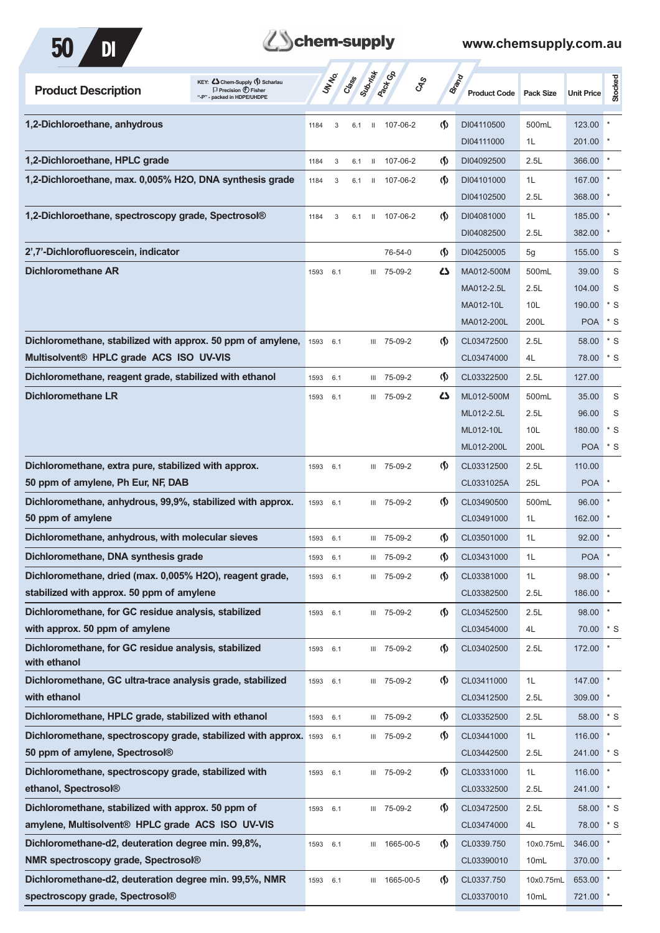



| <b>Product Description</b>                                           | KEY: C Chem-Supply (1) Scharlau<br>$\Box$ Precision $\bigoplus$ Fisher<br>- packed in HDPE/UHDPE |      | UN NO. | Submish<br>Crass    | <b>Pactice</b> | <b>GRS</b>                           | <b>Brand</b><br><b>Product Code</b> | <b>Pack Size</b> | <b>Unit Price</b> | Stocked      |
|----------------------------------------------------------------------|--------------------------------------------------------------------------------------------------|------|--------|---------------------|----------------|--------------------------------------|-------------------------------------|------------------|-------------------|--------------|
| 1,2-Dichloroethane, anhydrous                                        |                                                                                                  | 1184 | 3      | $\mathbf{H}$<br>6.1 | 107-06-2       | $\Phi$                               | DI04110500                          | 500mL            | 123.00            |              |
|                                                                      |                                                                                                  |      |        |                     |                |                                      | DI04111000                          | 1L               | 201.00            |              |
| 1,2-Dichloroethane, HPLC grade                                       |                                                                                                  | 1184 | 3      | 6.1<br>$\mathbf{H}$ | 107-06-2       | (\$)                                 | DI04092500                          | 2.5L             | 366.00            |              |
| 1,2-Dichloroethane, max. 0,005% H2O, DNA synthesis grade             |                                                                                                  | 1184 | 3      | 6.1<br>$\mathbf{H}$ | 107-06-2       | $\langle \mathbf{\langle}$           | DI04101000                          | 1L               | 167.00            |              |
|                                                                      |                                                                                                  |      |        |                     |                |                                      | DI04102500                          | 2.5L             | 368.00            |              |
| 1,2-Dichloroethane, spectroscopy grade, Spectrosol®                  |                                                                                                  | 1184 | 3      | 6.1<br>$\mathbf{H}$ | 107-06-2       | $\langle \mathsf{S} \rangle$         | DI04081000                          | 1L               | 185.00            |              |
|                                                                      |                                                                                                  |      |        |                     |                |                                      | DI04082500                          | 2.5L             | 382.00            |              |
| 2',7'-Dichlorofluorescein, indicator                                 |                                                                                                  |      |        |                     | 76-54-0        | $\langle \mathbf{\mathbf{\Diamond}}$ | DI04250005                          | 5g               | 155.00            | S            |
| <b>Dichloromethane AR</b>                                            |                                                                                                  | 1593 | 6.1    |                     | III 75-09-2    | ひ                                    | MA012-500M                          | 500mL            | 39.00             | S            |
|                                                                      |                                                                                                  |      |        |                     |                |                                      | MA012-2.5L                          | 2.5L             | 104.00            | S            |
|                                                                      |                                                                                                  |      |        |                     |                |                                      | MA012-10L                           | 10L              | 190.00            | * S          |
|                                                                      |                                                                                                  |      |        |                     |                |                                      | MA012-200L                          | 200L             | <b>POA</b>        | * S          |
| Dichloromethane, stabilized with approx. 50 ppm of amylene,          |                                                                                                  | 1593 | 6.1    |                     | III 75-09-2    | $\langle \mathbf{\langle} \rangle$   | CL03472500                          | 2.5L             | 58.00             | * S          |
| Multisolvent® HPLC grade ACS ISO UV-VIS                              |                                                                                                  |      |        |                     |                |                                      | CL03474000                          | 4L               | 78.00             | $*$ S        |
| Dichloromethane, reagent grade, stabilized with ethanol              |                                                                                                  | 1593 | 6.1    |                     | III 75-09-2    | $\langle \mathbf{\langle} \rangle$   | CL03322500                          | 2.5L             | 127.00            |              |
| <b>Dichloromethane LR</b>                                            |                                                                                                  | 1593 | 6.1    |                     | III 75-09-2    | 27                                   | ML012-500M                          | 500mL            | 35.00             | S            |
|                                                                      |                                                                                                  |      |        |                     |                |                                      | ML012-2.5L                          | 2.5L             | 96.00             | S            |
|                                                                      |                                                                                                  |      |        |                     |                |                                      | ML012-10L                           | 10L              | 180.00            | * S          |
|                                                                      |                                                                                                  |      |        |                     |                |                                      | ML012-200L                          | 200L             | <b>POA</b>        | * S          |
| Dichloromethane, extra pure, stabilized with approx.                 |                                                                                                  | 1593 | 6.1    |                     | III 75-09-2    | $\langle \mathbf{\langle} \rangle$   | CL03312500                          | 2.5L             | 110.00            |              |
| 50 ppm of amylene, Ph Eur, NF, DAB                                   |                                                                                                  |      |        |                     |                |                                      | CL0331025A                          | 25L              | <b>POA</b>        |              |
| Dichloromethane, anhydrous, 99,9%, stabilized with approx.           |                                                                                                  | 1593 | 6.1    |                     | III 75-09-2    | $\langle \mathbf{\langle} \rangle$   | CL03490500                          | 500mL            | 96.00             |              |
| 50 ppm of amylene                                                    |                                                                                                  |      |        |                     |                |                                      | CL03491000                          | 1L               | 162.00            |              |
| Dichloromethane, anhydrous, with molecular sieves                    |                                                                                                  | 1593 | 6.1    |                     | III 75-09-2    | $\langle \mathbf{\S} \rangle$        | CL03501000                          | 1L               | 92.00             |              |
| Dichloromethane, DNA synthesis grade                                 |                                                                                                  | 1593 | 6.1    |                     | III 75-09-2    | $\langle \mathbf{\S} \rangle$        | CL03431000                          | 1L               | <b>POA</b>        |              |
| Dichloromethane, dried (max. 0,005% H2O), reagent grade,             |                                                                                                  | 1593 | 6.1    |                     | III 75-09-2    | $\langle \mathbf{\langle} \rangle$   | CL03381000                          | 1L               | 98.00             | $\pmb{\ast}$ |
| stabilized with approx. 50 ppm of amylene                            |                                                                                                  |      |        |                     |                |                                      | CL03382500                          | 2.5L             | 186.00            |              |
| Dichloromethane, for GC residue analysis, stabilized                 |                                                                                                  | 1593 | 6.1    |                     | III 75-09-2    | $\langle \mathsf{S} \rangle$         | CL03452500                          | 2.5L             | 98.00             |              |
| with approx. 50 ppm of amylene                                       |                                                                                                  |      |        |                     |                |                                      | CL03454000                          | 4L               | 70.00             | $*$ S        |
| Dichloromethane, for GC residue analysis, stabilized<br>with ethanol |                                                                                                  | 1593 | 6.1    |                     | III 75-09-2    | $\langle \mathsf{S} \rangle$         | CL03402500                          | 2.5L             | 172.00            |              |
| Dichloromethane, GC ultra-trace analysis grade, stabilized           |                                                                                                  | 1593 | 6.1    |                     | III 75-09-2    | $\langle \mathbf{\S} \rangle$        | CL03411000                          | 1L               | 147.00            |              |
| with ethanol                                                         |                                                                                                  |      |        |                     |                |                                      | CL03412500                          | 2.5L             | 309.00            |              |
| Dichloromethane, HPLC grade, stabilized with ethanol                 |                                                                                                  | 1593 | 6.1    |                     | III 75-09-2    | $\Phi$                               | CL03352500                          | 2.5L             | 58.00             | $*$ S        |
| Dichloromethane, spectroscopy grade, stabilized with approx. 1593    |                                                                                                  |      | 6.1    |                     | III 75-09-2    | $\langle \mathbf{\langle} \rangle$   | CL03441000                          | 1L               | 116.00            |              |
| 50 ppm of amylene, Spectrosol <sup>®</sup>                           |                                                                                                  |      |        |                     |                |                                      | CL03442500                          | 2.5L             | 241.00            | * S          |
| Dichloromethane, spectroscopy grade, stabilized with                 |                                                                                                  | 1593 | 6.1    |                     | III 75-09-2    | $\langle \mathsf{S} \rangle$         | CL03331000                          | 1L               | 116.00            | $\star$      |
| ethanol, Spectrosol®                                                 |                                                                                                  |      |        |                     |                |                                      | CL03332500                          | 2.5L             | 241.00            |              |
| Dichloromethane, stabilized with approx. 50 ppm of                   |                                                                                                  | 1593 | 6.1    |                     | III 75-09-2    | $\langle \mathsf{S} \rangle$         | CL03472500                          | 2.5L             | 58.00             | $*$ S        |
| amylene, Multisolvent <sup>®</sup> HPLC grade ACS ISO UV-VIS         |                                                                                                  |      |        |                     |                |                                      | CL03474000                          | 4L               | 78.00             | $*$ S        |
| Dichloromethane-d2, deuteration degree min. 99,8%,                   |                                                                                                  | 1593 | 6.1    |                     | III 1665-00-5  | $\langle \mathbf{\S} \rangle$        | CL0339.750                          | 10x0.75mL        | 346.00            |              |
| NMR spectroscopy grade, Spectrosol®                                  |                                                                                                  |      |        |                     |                |                                      | CL03390010                          | 10mL             | 370.00            |              |
| Dichloromethane-d2, deuteration degree min. 99,5%, NMR               |                                                                                                  | 1593 | 6.1    | Ш                   | 1665-00-5      | $\langle \mathbf{\S} \rangle$        | CL0337.750                          | 10x0.75mL        | 653.00            |              |
| spectroscopy grade, Spectrosol®                                      |                                                                                                  |      |        |                     |                |                                      | CL03370010                          | 10mL             | 721.00            |              |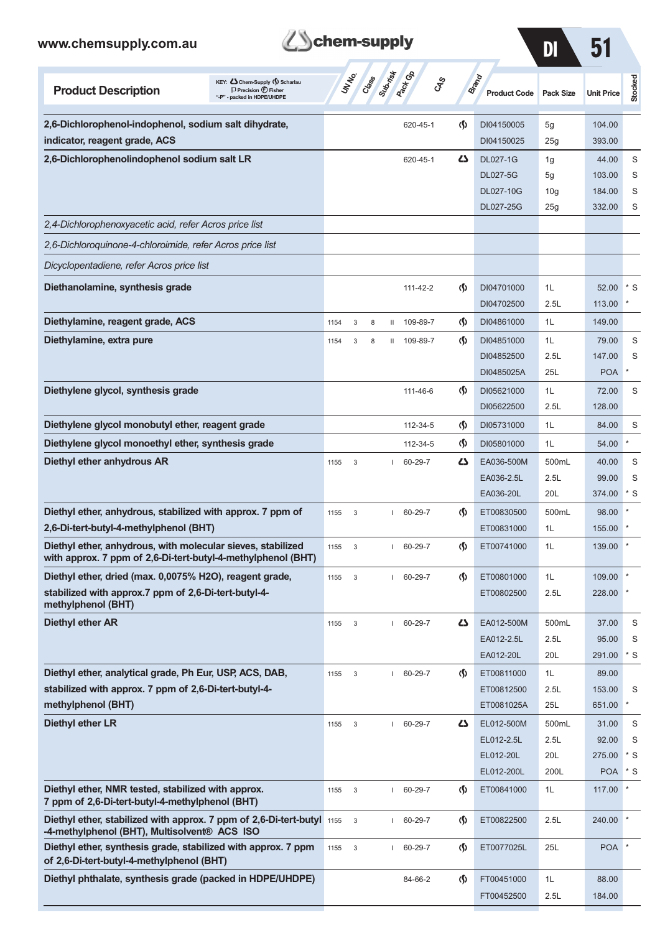



| <b>Product Description</b>                                                                                                  | KEY: Cohem-Supply (5) Scharlau<br>$\Box$ Precision $\bigcirc$ Fisher<br>"-P" - packed in HDPE/UHDPE | <b>UNTA</b>          |   | Class        | <b>Rack Co</b> | <b>GRS</b> |                                    | Brand<br><b>Product Code</b> | <b>Pack Size</b> | <b>Unit Price</b>    | Stocked      |
|-----------------------------------------------------------------------------------------------------------------------------|-----------------------------------------------------------------------------------------------------|----------------------|---|--------------|----------------|------------|------------------------------------|------------------------------|------------------|----------------------|--------------|
| 2,6-Dichlorophenol-indophenol, sodium salt dihydrate,                                                                       |                                                                                                     |                      |   |              | 620-45-1       |            | ற                                  | DI04150005                   | 5g               | 104.00               |              |
| indicator, reagent grade, ACS                                                                                               |                                                                                                     |                      |   |              |                |            |                                    | DI04150025                   | 25g              | 393.00               |              |
| 2,6-Dichlorophenolindophenol sodium salt LR                                                                                 |                                                                                                     |                      |   |              | 620-45-1       |            | دے                                 | <b>DL027-1G</b>              | 1g               | 44.00                | S            |
|                                                                                                                             |                                                                                                     |                      |   |              |                |            |                                    | <b>DL027-5G</b>              | 5g               | 103.00               | S            |
|                                                                                                                             |                                                                                                     |                      |   |              |                |            |                                    | <b>DL027-10G</b>             | 10 <sub>g</sub>  | 184.00               | S            |
|                                                                                                                             |                                                                                                     |                      |   |              |                |            |                                    | DL027-25G                    | 25g              | 332.00               | S            |
| 2,4-Dichlorophenoxyacetic acid, refer Acros price list                                                                      |                                                                                                     |                      |   |              |                |            |                                    |                              |                  |                      |              |
| 2,6-Dichloroquinone-4-chloroimide, refer Acros price list                                                                   |                                                                                                     |                      |   |              |                |            |                                    |                              |                  |                      |              |
| Dicyclopentadiene, refer Acros price list                                                                                   |                                                                                                     |                      |   |              |                |            |                                    |                              |                  |                      |              |
| Diethanolamine, synthesis grade                                                                                             |                                                                                                     |                      |   |              | 111-42-2       |            | $\langle \mathbf{\langle} \rangle$ | DI04701000                   | 1L               | 52.00                | $*$ S        |
|                                                                                                                             |                                                                                                     |                      |   |              |                |            |                                    | DI04702500                   | 2.5L             | 113.00               |              |
| Diethylamine, reagent grade, ACS                                                                                            |                                                                                                     | 3<br>1154            | 8 | Ш            | 109-89-7       |            | $\langle \mathbf{\langle} \rangle$ | DI04861000                   | 1L               | 149.00               |              |
| Diethylamine, extra pure                                                                                                    |                                                                                                     | 3<br>1154            | 8 | Ш            | 109-89-7       |            | $\langle \mathbf{\langle} \rangle$ | DI04851000                   | 1L               | 79.00                | S            |
|                                                                                                                             |                                                                                                     |                      |   |              |                |            |                                    | DI04852500                   | 2.5L             | 147.00               | S            |
|                                                                                                                             |                                                                                                     |                      |   |              |                |            |                                    | DI0485025A                   | 25L              | <b>POA</b>           |              |
| Diethylene glycol, synthesis grade                                                                                          |                                                                                                     |                      |   |              | 111-46-6       |            | $\langle \mathbf{\S} \rangle$      | DI05621000                   | 1L               | 72.00                | S            |
|                                                                                                                             |                                                                                                     |                      |   |              |                |            |                                    | DI05622500                   | 2.5L             | 128.00               |              |
| Diethylene glycol monobutyl ether, reagent grade                                                                            |                                                                                                     |                      |   |              | 112-34-5       |            | (∮)                                | DI05731000                   | 1L               | 84.00                | S            |
| Diethylene glycol monoethyl ether, synthesis grade                                                                          |                                                                                                     |                      |   |              | 112-34-5       |            | $\langle \mathbf{\langle} \rangle$ | DI05801000                   | 1L               | 54.00                | $\star$      |
| Diethyl ether anhydrous AR                                                                                                  |                                                                                                     | 1155<br>3            |   |              | 60-29-7        |            | دے                                 | EA036-500M                   | 500mL            | 40.00                | S            |
|                                                                                                                             |                                                                                                     |                      |   |              |                |            |                                    | EA036-2.5L                   | 2.5L             | 99.00                | S            |
|                                                                                                                             |                                                                                                     |                      |   |              |                |            |                                    | EA036-20L                    | 20L              | 374.00               | * S          |
| Diethyl ether, anhydrous, stabilized with approx. 7 ppm of                                                                  |                                                                                                     | 3<br>1155            |   |              | 60-29-7        |            | (\$)                               | ET00830500                   | 500mL            | 98.00                |              |
| 2,6-Di-tert-butyl-4-methylphenol (BHT)                                                                                      |                                                                                                     |                      |   |              |                |            |                                    | ET00831000                   | 1L               | 155.00               |              |
| Diethyl ether, anhydrous, with molecular sieves, stabilized<br>with approx. 7 ppm of 2,6-Di-tert-butyl-4-methylphenol (BHT) |                                                                                                     | 3<br>1155            |   |              | 60-29-7        |            | $\langle \mathbf{\langle} \rangle$ | ET00741000                   | 1L               | 139.00               |              |
| Diethyl ether, dried (max. 0,0075% H2O), reagent grade,                                                                     |                                                                                                     | 1155<br>3            |   |              | 60-29-7        |            | $\Phi$                             | ET00801000                   | 1L               | 109.00               |              |
| stabilized with approx.7 ppm of 2,6-Di-tert-butyl-4-<br>methylphenol (BHT)                                                  |                                                                                                     |                      |   |              |                |            |                                    | ET00802500                   | 2.5L             | 228.00               |              |
| <b>Diethyl ether AR</b>                                                                                                     |                                                                                                     | 3<br>1155            |   |              | 60-29-7        |            | 47                                 | EA012-500M                   | 500mL            | 37.00                | S            |
|                                                                                                                             |                                                                                                     |                      |   |              |                |            |                                    | EA012-2.5L                   | 2.5L             | 95.00                | S            |
|                                                                                                                             |                                                                                                     |                      |   |              |                |            |                                    | EA012-20L                    | 20L              | 291.00               | * S          |
| Diethyl ether, analytical grade, Ph Eur, USP, ACS, DAB,                                                                     |                                                                                                     | $\mathbf{3}$<br>1155 |   | $\mathbf{L}$ | 60-29-7        |            | $\Phi$                             | ET00811000                   | 1L               | 89.00                |              |
| stabilized with approx. 7 ppm of 2,6-Di-tert-butyl-4-                                                                       |                                                                                                     |                      |   |              |                |            |                                    | ET00812500                   | 2.5L             | 153.00               | S            |
| methylphenol (BHT)                                                                                                          |                                                                                                     |                      |   |              |                |            |                                    | ET0081025A                   | 25L              | 651.00               | $\ast$       |
| Diethyl ether LR                                                                                                            |                                                                                                     | 1155<br>3            |   |              | $1 60-29-7$    |            | 5                                  | EL012-500M                   | 500mL            | 31.00                | S            |
|                                                                                                                             |                                                                                                     |                      |   |              |                |            |                                    | EL012-2.5L                   | 2.5L             | 92.00                | S            |
|                                                                                                                             |                                                                                                     |                      |   |              |                |            |                                    | EL012-20L                    | 20L<br>200L      | 275.00<br><b>POA</b> | * S<br>$*$ S |
| Diethyl ether, NMR tested, stabilized with approx.                                                                          |                                                                                                     | 1155<br>$\mathbf{3}$ |   | $\mathbf{L}$ | 60-29-7        |            | $\Phi$                             | EL012-200L<br>ET00841000     | 1L               | 117.00               |              |
| 7 ppm of 2,6-Di-tert-butyl-4-methylphenol (BHT)                                                                             |                                                                                                     |                      |   |              |                |            |                                    |                              |                  |                      |              |
| Diethyl ether, stabilized with approx. 7 ppm of 2,6-Di-tert-butyl 1155<br>-4-methylphenol (BHT), Multisolvent® ACS ISO      |                                                                                                     | $\mathsf 3$          |   |              | 60-29-7        |            | $\langle \mathsf{S} \rangle$       | ET00822500                   | 2.5L             | 240.00               |              |
| Diethyl ether, synthesis grade, stabilized with approx. 7 ppm<br>of 2,6-Di-tert-butyl-4-methylphenol (BHT)                  |                                                                                                     | 1155<br>3            |   |              | 60-29-7        |            | $\Phi$                             | ET0077025L                   | 25L              | <b>POA</b>           |              |
| Diethyl phthalate, synthesis grade (packed in HDPE/UHDPE)                                                                   |                                                                                                     |                      |   |              | 84-66-2        |            | $\Phi$                             | FT00451000                   | 1L               | 88.00                |              |
|                                                                                                                             |                                                                                                     |                      |   |              |                |            |                                    | FT00452500                   | 2.5L             | 184.00               |              |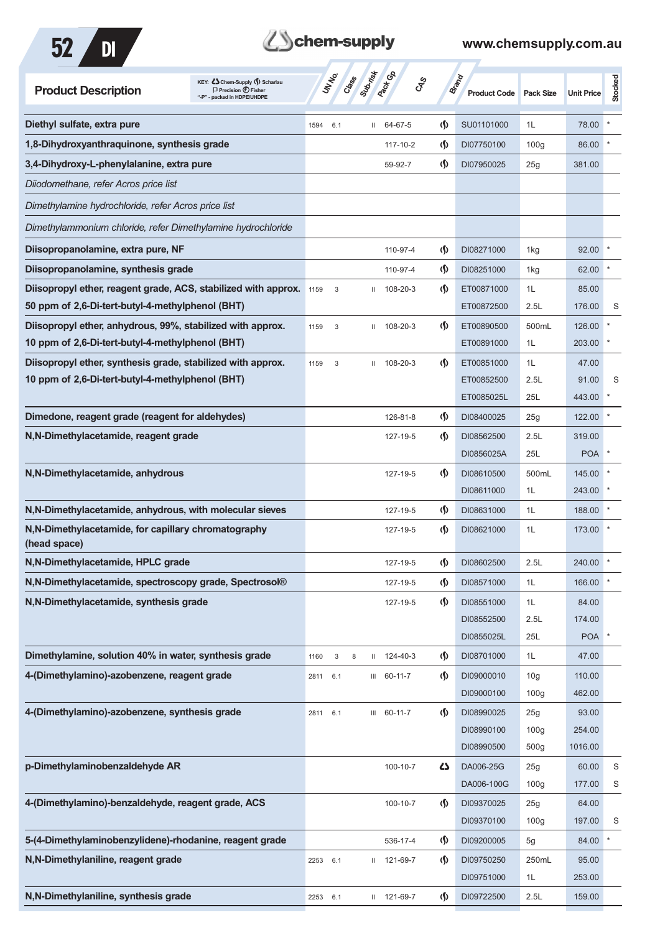



| KEY: Cohem-Supply (5) Scharlau<br><b>Product Description</b><br>$\Box$ Precision $\bigoplus$ Fisher<br>"-P" - packed in HDPE/UHDPE | UN NO.      | Suprime<br>Cass | <b>Pack</b> Go | <b>GRS</b>                           | <b>Brand</b><br><b>Product Code</b> | <b>Pack Size</b> | <b>Unit Price</b> | Stocked |
|------------------------------------------------------------------------------------------------------------------------------------|-------------|-----------------|----------------|--------------------------------------|-------------------------------------|------------------|-------------------|---------|
| Diethyl sulfate, extra pure                                                                                                        | 1594<br>6.1 | $\mathbf{H}$    | 64-67-5        | $\langle \mathbf{\S} \rangle$        | SU01101000                          | 1L               | 78.00             |         |
| 1,8-Dihydroxyanthraquinone, synthesis grade                                                                                        |             |                 | 117-10-2       | (\$)                                 | DI07750100                          | 100 <sub>g</sub> | 86.00             |         |
| 3,4-Dihydroxy-L-phenylalanine, extra pure                                                                                          |             |                 | 59-92-7        | $\langle \mathbf{\S} \rangle$        | DI07950025                          | 25g              | 381.00            |         |
| Diiodomethane, refer Acros price list                                                                                              |             |                 |                |                                      |                                     |                  |                   |         |
| Dimethylamine hydrochloride, refer Acros price list                                                                                |             |                 |                |                                      |                                     |                  |                   |         |
| Dimethylammonium chloride, refer Dimethylamine hydrochloride                                                                       |             |                 |                |                                      |                                     |                  |                   |         |
| Diisopropanolamine, extra pure, NF                                                                                                 |             |                 | 110-97-4       | <§                                   | DI08271000                          | 1kg              | 92.00             |         |
| Diisopropanolamine, synthesis grade                                                                                                |             |                 | 110-97-4       | $\langle \mathbf{\S} \rangle$        | DI08251000                          | 1kg              | 62.00             |         |
| Diisopropyl ether, reagent grade, ACS, stabilized with approx.                                                                     | 1159<br>3   | Ш               | 108-20-3       | (\$)                                 | ET00871000                          | 1L               | 85.00             |         |
| 50 ppm of 2,6-Di-tert-butyl-4-methylphenol (BHT)                                                                                   |             |                 |                |                                      | ET00872500                          | 2.5L             | 176.00            | S       |
| Diisopropyl ether, anhydrous, 99%, stabilized with approx.                                                                         | 1159<br>3   | $\mathbf{H}$    | 108-20-3       | $\langle \mathbf{\S} \rangle$        | ET00890500                          | 500mL            | 126.00            |         |
| 10 ppm of 2,6-Di-tert-butyl-4-methylphenol (BHT)                                                                                   |             |                 |                |                                      | ET00891000                          | 1L               | 203.00            |         |
| Diisopropyl ether, synthesis grade, stabilized with approx.                                                                        | 3<br>1159   | $\mathbf{H}$    | 108-20-3       | $\langle \mathbf{\S} \rangle$        | ET00851000                          | 1L               | 47.00             |         |
| 10 ppm of 2,6-Di-tert-butyl-4-methylphenol (BHT)                                                                                   |             |                 |                |                                      | ET00852500                          | 2.5L             | 91.00             | S       |
|                                                                                                                                    |             |                 |                |                                      | ET0085025L                          | 25L              | 443.00            |         |
| Dimedone, reagent grade (reagent for aldehydes)                                                                                    |             |                 | 126-81-8       | $\langle \mathbf{\S} \rangle$        | DI08400025                          | 25g              | 122.00            |         |
| N,N-Dimethylacetamide, reagent grade                                                                                               |             |                 | 127-19-5       | (\$)                                 | DI08562500                          | 2.5L             | 319.00            |         |
|                                                                                                                                    |             |                 |                |                                      | DI0856025A                          | 25L              | <b>POA</b>        |         |
| N,N-Dimethylacetamide, anhydrous                                                                                                   |             |                 | 127-19-5       | $\langle \mathbf{\S} \rangle$        | DI08610500                          | 500mL            | 145.00            |         |
|                                                                                                                                    |             |                 |                |                                      | DI08611000                          | 1L               | 243.00            |         |
| N, N-Dimethylacetamide, anhydrous, with molecular sieves                                                                           |             |                 | 127-19-5       | (\$)                                 | DI08631000                          | 1L               | 188.00            |         |
| N, N-Dimethylacetamide, for capillary chromatography<br>(head space)                                                               |             |                 | 127-19-5       | (\$)                                 | DI08621000                          | 1L               | 173.00            |         |
| N,N-Dimethylacetamide, HPLC grade                                                                                                  |             |                 | 127-19-5       | $\boldsymbol{\varphi}$               | DI08602500                          | 2.5L             | 240.00            |         |
| N,N-Dimethylacetamide, spectroscopy grade, Spectrosol®                                                                             |             |                 | 127-19-5       | $\langle \mathbf{\S} \rangle$        | DI08571000                          | 1L               | 166.00            |         |
| N,N-Dimethylacetamide, synthesis grade                                                                                             |             |                 | 127-19-5       | (∫)                                  | DI08551000                          | 1L               | 84.00             |         |
|                                                                                                                                    |             |                 |                |                                      | DI08552500                          | 2.5L             | 174.00            |         |
|                                                                                                                                    |             |                 |                |                                      | DI0855025L                          | 25L              | <b>POA</b>        |         |
| Dimethylamine, solution 40% in water, synthesis grade                                                                              | 1160<br>3   | Ш<br>8          | 124-40-3       | <§                                   | DI08701000                          | 1L               | 47.00             |         |
| 4-(Dimethylamino)-azobenzene, reagent grade                                                                                        | 6.1<br>2811 |                 | $III$ 60-11-7  | $\langle \mathbf{\mathbf{\Diamond}}$ | DI09000010                          | 10 <sub>g</sub>  | 110.00            |         |
|                                                                                                                                    |             |                 |                |                                      | DI09000100                          | 100 <sub>g</sub> | 462.00            |         |
| 4-(Dimethylamino)-azobenzene, synthesis grade                                                                                      | 6.1<br>2811 |                 | III 60-11-7    | $\varphi$                            | DI08990025                          | 25g              | 93.00             |         |
|                                                                                                                                    |             |                 |                |                                      | DI08990100                          | 100 <sub>g</sub> | 254.00            |         |
|                                                                                                                                    |             |                 |                |                                      | DI08990500                          | 500g             | 1016.00           |         |
| p-Dimethylaminobenzaldehyde AR                                                                                                     |             |                 | 100-10-7       | 4                                    | DA006-25G                           | 25g              | 60.00             | S       |
|                                                                                                                                    |             |                 |                |                                      | DA006-100G                          | 100 <sub>g</sub> | 177.00            | S       |
| 4-(Dimethylamino)-benzaldehyde, reagent grade, ACS                                                                                 |             |                 | 100-10-7       | $\langle \mathbf{\mathbf{\Diamond}}$ | DI09370025                          | 25g              | 64.00             |         |
|                                                                                                                                    |             |                 |                |                                      | DI09370100                          | 100 <sub>g</sub> | 197.00            | S       |
| 5-(4-Dimethylaminobenzylidene)-rhodanine, reagent grade                                                                            |             |                 | 536-17-4       | $\langle \mathbf{\mathbf{\Diamond}}$ | DI09200005                          | 5g               | 84.00             |         |
| N,N-Dimethylaniline, reagent grade                                                                                                 | 2253<br>6.1 | Ш               | 121-69-7       | $\langle \mathbf{\S} \rangle$        | DI09750250                          | 250mL            | 95.00             |         |
|                                                                                                                                    |             |                 |                |                                      | DI09751000                          | 1L               | 253.00            |         |
| N,N-Dimethylaniline, synthesis grade                                                                                               | 2253 6.1    |                 | II 121-69-7    | $\Phi$                               | DI09722500                          | 2.5L             | 159.00            |         |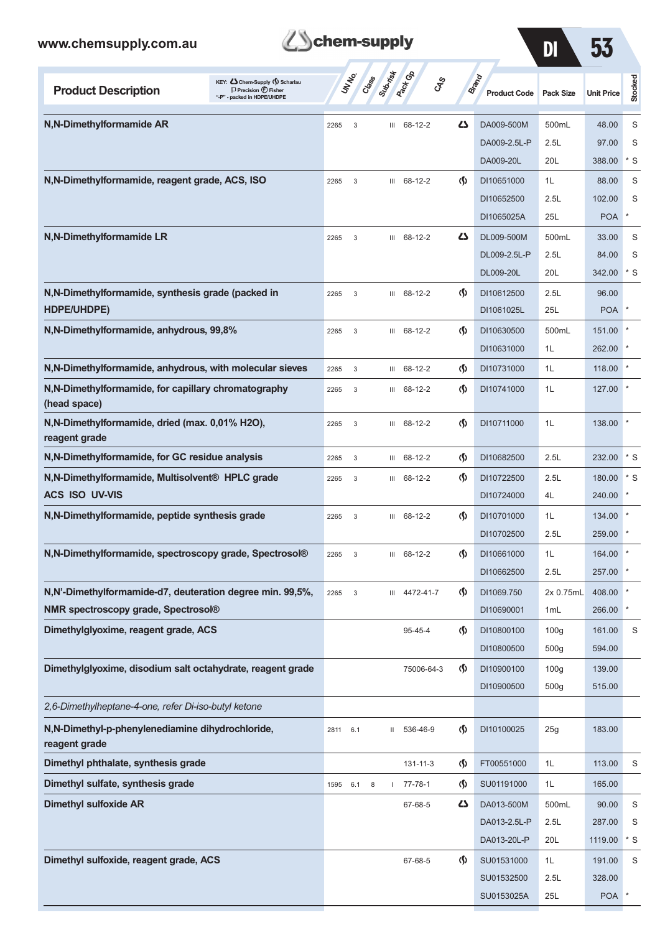

DI 53

| KEY: Cohem-Supply (5) Scharlau<br><b>Product Description</b><br>$\Box$ Precision $\bigoplus$ Fisher<br>"-P" - packed in HDPE/UHDPE |      | UNIVO<br>Creeks | Suprist | <b>Pack</b> Ga<br>CAS |                                    | <b>Brand</b><br><b>Product Code</b> | <b>Pack Size</b> | <b>Unit Price</b> | Stocked     |
|------------------------------------------------------------------------------------------------------------------------------------|------|-----------------|---------|-----------------------|------------------------------------|-------------------------------------|------------------|-------------------|-------------|
| N,N-Dimethylformamide AR                                                                                                           | 2265 | 3               | Ш       | 68-12-2               | دے                                 | DA009-500M                          | 500mL            | 48.00             | S           |
|                                                                                                                                    |      |                 |         |                       |                                    | DA009-2.5L-P                        | 2.5L             | 97.00             | S           |
|                                                                                                                                    |      |                 |         |                       |                                    | DA009-20L                           | 20L              | 388.00            | $*$ S       |
| N,N-Dimethylformamide, reagent grade, ACS, ISO                                                                                     | 2265 | 3               | Ш       | 68-12-2               | $\langle \mathbf{\langle} \rangle$ | DI10651000                          | 1L               | 88.00             | S           |
|                                                                                                                                    |      |                 |         |                       |                                    | DI10652500                          | 2.5L             | 102.00            | S           |
|                                                                                                                                    |      |                 |         |                       |                                    | DI1065025A                          | 25L              | <b>POA</b>        |             |
| N,N-Dimethylformamide LR                                                                                                           | 2265 | 3               |         | III 68-12-2           | Δ                                  | DL009-500M                          | 500mL            | 33.00             | S           |
|                                                                                                                                    |      |                 |         |                       |                                    | DL009-2.5L-P                        | 2.5L             | 84.00             | S           |
|                                                                                                                                    |      |                 |         |                       |                                    | DL009-20L                           | 20L              | 342.00            | $*$ S       |
| N,N-Dimethylformamide, synthesis grade (packed in                                                                                  | 2265 | 3               |         | III 68-12-2           | $\langle \mathbf{\langle}$         | DI10612500                          | 2.5L             | 96.00             |             |
| HDPE/UHDPE)                                                                                                                        |      |                 |         |                       |                                    | DI1061025L                          | 25L              | <b>POA</b>        |             |
| N,N-Dimethylformamide, anhydrous, 99,8%                                                                                            | 2265 | 3               | Ш       | 68-12-2               | ⊛                                  | DI10630500                          | 500mL            | 151.00            |             |
|                                                                                                                                    |      |                 |         |                       |                                    | DI10631000                          | 1L               | 262.00            |             |
| N, N-Dimethylformamide, anhydrous, with molecular sieves                                                                           | 2265 | 3               |         | III 68-12-2           | ⊛                                  | DI10731000                          | 1L               | 118.00            |             |
| N,N-Dimethylformamide, for capillary chromatography<br>(head space)                                                                | 2265 | 3               | Ш       | 68-12-2               | $\langle \mathbf{\S} \rangle$      | DI10741000                          | 1L               | 127.00            |             |
| N, N-Dimethylformamide, dried (max. 0,01% H2O),<br>reagent grade                                                                   | 2265 | 3               | Ш       | 68-12-2               | $\langle \mathbf{\langle} \rangle$ | DI10711000                          | 1L               | 138.00            |             |
| N,N-Dimethylformamide, for GC residue analysis                                                                                     | 2265 | 3               | Ш       | 68-12-2               | ⊛                                  | DI10682500                          | 2.5L             | 232.00            | $*$ S       |
| N,N-Dimethylformamide, Multisolvent® HPLC grade                                                                                    | 2265 | 3               | Ш       | 68-12-2               | $\langle \mathbf{\S} \rangle$      | DI10722500                          | 2.5L             | 180.00            | $*$ S       |
| <b>ACS ISO UV-VIS</b>                                                                                                              |      |                 |         |                       |                                    | DI10724000                          | 4L               | 240.00            |             |
| N,N-Dimethylformamide, peptide synthesis grade                                                                                     | 2265 | 3               |         | $III$ 68-12-2         | $\langle \mathbf{\langle}$         | DI10701000                          | 1L               | 134.00            |             |
|                                                                                                                                    |      |                 |         |                       |                                    | DI10702500                          | 2.5L             | 259.00            |             |
| N,N-Dimethylformamide, spectroscopy grade, Spectrosol®                                                                             | 2265 | 3               |         | $III$ 68-12-2         | $\langle \mathbf{\langle} \rangle$ | DI10661000                          | 1L               | 164.00            |             |
|                                                                                                                                    |      |                 |         |                       |                                    | DI10662500                          | 2.5L             | 257.00            |             |
| N,N'-Dimethylformamide-d7, deuteration degree min. 99,5%,                                                                          | 2265 | 3               |         | III 4472-41-7         | $\langle \mathbf{\S} \rangle$      | DI1069.750                          | 2x 0.75mL        | 408.00            |             |
| NMR spectroscopy grade, Spectrosol®                                                                                                |      |                 |         |                       |                                    | DI10690001                          | 1mL              | 266.00            |             |
| Dimethylglyoxime, reagent grade, ACS                                                                                               |      |                 |         | 95-45-4               | $\langle \mathbf{\S} \rangle$      | DI10800100                          | 100 <sub>g</sub> | 161.00            | S           |
|                                                                                                                                    |      |                 |         |                       |                                    | DI10800500                          | 500 <sub>g</sub> | 594.00            |             |
| Dimethylglyoxime, disodium salt octahydrate, reagent grade                                                                         |      |                 |         | 75006-64-3            | $\langle \mathbf{\S} \rangle$      | DI10900100                          | 100 <sub>g</sub> | 139.00            |             |
|                                                                                                                                    |      |                 |         |                       |                                    | DI10900500                          | 500g             | 515.00            |             |
| 2,6-Dimethylheptane-4-one, refer Di-iso-butyl ketone                                                                               |      |                 |         |                       |                                    |                                     |                  |                   |             |
| N,N-Dimethyl-p-phenylenediamine dihydrochloride,<br>reagent grade                                                                  | 2811 | 6.1             | Ш       | 536-46-9              | $\langle \mathbf{\S} \rangle$      | DI10100025                          | 25g              | 183.00            |             |
| Dimethyl phthalate, synthesis grade                                                                                                |      |                 |         | 131-11-3              | $\langle \mathbf{\S} \rangle$      | FT00551000                          | 1L               | 113.00            | S           |
| Dimethyl sulfate, synthesis grade                                                                                                  | 1595 | 6.1<br>8        |         | 77-78-1               | $\langle \mathbf{\S} \rangle$      | SU01191000                          | 1L               | 165.00            |             |
| <b>Dimethyl sulfoxide AR</b>                                                                                                       |      |                 |         | 67-68-5               | 5                                  | DA013-500M                          | 500mL            | 90.00             | $\mathsf S$ |
|                                                                                                                                    |      |                 |         |                       |                                    | DA013-2.5L-P                        | 2.5L             | 287.00            | S           |
|                                                                                                                                    |      |                 |         |                       |                                    | DA013-20L-P                         | 20L              | 1119.00           | $*$ S       |
| Dimethyl sulfoxide, reagent grade, ACS                                                                                             |      |                 |         | 67-68-5               | $\langle \mathbf{\S} \rangle$      | SU01531000                          | 1L               | 191.00            | S           |
|                                                                                                                                    |      |                 |         |                       |                                    | SU01532500                          | 2.5L             | 328.00            |             |
|                                                                                                                                    |      |                 |         |                       |                                    | SU0153025A                          | 25L              | <b>POA</b>        | $\ast$      |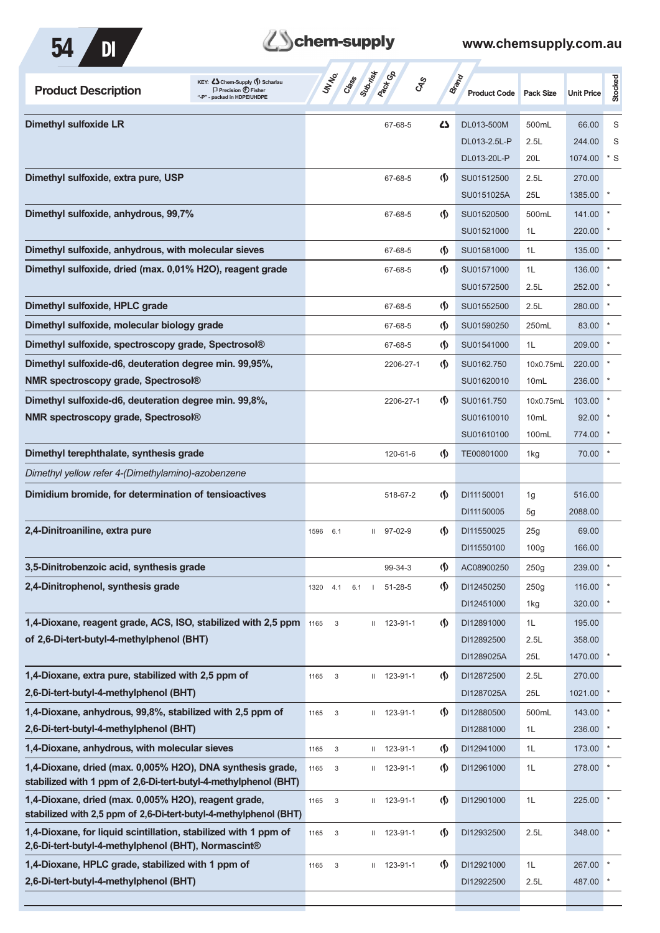

| <b>Product Description</b>                                                                                                | KEY: C Chem-Supply (5) Scharlau<br>$\Box$ Precision $\bigoplus$ Fisher<br>"-P" - packed in HDPE/UHDPE | Class<br>UNINO                     | <b>Pack</b> Ga<br>CAS |                                    | <b>Brand</b><br><b>Product Code</b> | <b>Pack Size</b> | <b>Unit Price</b> | Stocked |
|---------------------------------------------------------------------------------------------------------------------------|-------------------------------------------------------------------------------------------------------|------------------------------------|-----------------------|------------------------------------|-------------------------------------|------------------|-------------------|---------|
| <b>Dimethyl sulfoxide LR</b>                                                                                              |                                                                                                       |                                    | 67-68-5               | ひ                                  | DL013-500M                          | 500mL            | 66.00             | S       |
|                                                                                                                           |                                                                                                       |                                    |                       |                                    | DL013-2.5L-P                        | 2.5L             | 244.00            | S       |
|                                                                                                                           |                                                                                                       |                                    |                       |                                    | DL013-20L-P                         | 20L              | 1074.00           | $*$ S   |
| Dimethyl sulfoxide, extra pure, USP                                                                                       |                                                                                                       |                                    | 67-68-5               | $\langle \mathbf{\langle} \rangle$ | SU01512500                          | 2.5L             | 270.00            |         |
|                                                                                                                           |                                                                                                       |                                    |                       |                                    | SU0151025A                          | 25L              | 1385.00           |         |
| Dimethyl sulfoxide, anhydrous, 99,7%                                                                                      |                                                                                                       |                                    | 67-68-5               | $\langle \mathbf{\langle} \rangle$ | SU01520500                          | 500mL            | 141.00            |         |
|                                                                                                                           |                                                                                                       |                                    |                       |                                    | SU01521000                          | 1L               | 220.00            |         |
| Dimethyl sulfoxide, anhydrous, with molecular sieves                                                                      |                                                                                                       |                                    | 67-68-5               | $\langle \mathbf{\langle} \rangle$ | SU01581000                          | 1L               | 135.00            |         |
| Dimethyl sulfoxide, dried (max. 0,01% H2O), reagent grade                                                                 |                                                                                                       |                                    | 67-68-5               | $\langle \mathbf{\langle} \rangle$ | SU01571000                          | 1L               | 136.00            |         |
|                                                                                                                           |                                                                                                       |                                    |                       |                                    | SU01572500                          | 2.5L             | 252.00            |         |
| Dimethyl sulfoxide, HPLC grade                                                                                            |                                                                                                       |                                    | 67-68-5               | $\langle \mathbf{\langle} \rangle$ | SU01552500                          | 2.5L             | 280.00            |         |
| Dimethyl sulfoxide, molecular biology grade                                                                               |                                                                                                       |                                    | 67-68-5               | $\langle \mathbf{\langle} \rangle$ | SU01590250                          | 250mL            | 83.00             |         |
| Dimethyl sulfoxide, spectroscopy grade, Spectrosol®                                                                       |                                                                                                       |                                    | 67-68-5               | $\langle \mathbf{\langle} \rangle$ | SU01541000                          | 1L               | 209.00            |         |
| Dimethyl sulfoxide-d6, deuteration degree min. 99,95%,                                                                    |                                                                                                       |                                    | 2206-27-1             | $\langle \mathbf{\langle} \rangle$ | SU0162.750                          | 10x0.75mL        | 220.00            |         |
| <b>NMR spectroscopy grade, Spectrosol®</b>                                                                                |                                                                                                       |                                    |                       |                                    | SU01620010                          | 10mL             | 236.00            |         |
| Dimethyl sulfoxide-d6, deuteration degree min. 99,8%,                                                                     |                                                                                                       |                                    | 2206-27-1             | $\langle \mathbf{\langle} \rangle$ | SU0161.750                          | 10x0.75mL        | 103.00            |         |
| <b>NMR spectroscopy grade, Spectrosol®</b>                                                                                |                                                                                                       |                                    |                       |                                    | SU01610010                          | 10mL             | 92.00             |         |
|                                                                                                                           |                                                                                                       |                                    |                       |                                    | SU01610100                          | 100mL            | 774.00            |         |
| Dimethyl terephthalate, synthesis grade                                                                                   |                                                                                                       |                                    | 120-61-6              | $\langle \mathbf{\langle} \rangle$ | TE00801000                          | 1kg              | 70.00             |         |
| Dimethyl yellow refer 4-(Dimethylamino)-azobenzene                                                                        |                                                                                                       |                                    |                       |                                    |                                     |                  |                   |         |
| Dimidium bromide, for determination of tensioactives                                                                      |                                                                                                       |                                    | 518-67-2              | $\langle \mathbf{\langle} \rangle$ | DI11150001                          | 1g               | 516.00            |         |
|                                                                                                                           |                                                                                                       |                                    |                       |                                    | DI11150005                          | 5g               | 2088.00           |         |
| 2,4-Dinitroaniline, extra pure                                                                                            |                                                                                                       | 1596<br>6.1                        | $11$ 97-02-9          | $\langle \mathbf{\langle} \rangle$ | DI11550025                          | 25g              | 69.00             |         |
|                                                                                                                           |                                                                                                       |                                    |                       |                                    | DI11550100                          | 100 <sub>g</sub> | 166.00            |         |
| 3,5-Dinitrobenzoic acid, synthesis grade                                                                                  |                                                                                                       |                                    | 99-34-3               | $\langle \mathbf{\S} \rangle$      | AC08900250                          | 250g             | 239.00            |         |
| 2,4-Dinitrophenol, synthesis grade                                                                                        |                                                                                                       | 1320<br>4.1<br>6.1<br>$\mathbf{I}$ | $51 - 28 - 5$         | $\langle \mathbf{\hat{y}} \rangle$ | DI12450250                          | 250g             | 116.00            |         |
|                                                                                                                           |                                                                                                       |                                    |                       |                                    | DI12451000                          | 1kg              | 320.00            |         |
| 1,4-Dioxane, reagent grade, ACS, ISO, stabilized with 2,5 ppm                                                             |                                                                                                       | 3                                  | $11 123 - 91 - 1$     | $\langle \mathbf{\langle} \rangle$ | DI12891000                          | 1L               | 195.00            |         |
| of 2,6-Di-tert-butyl-4-methylphenol (BHT)                                                                                 |                                                                                                       |                                    |                       |                                    | DI12892500                          | 2.5L             | 358.00            |         |
|                                                                                                                           |                                                                                                       |                                    |                       |                                    | DI1289025A                          | 25L              | 1470.00           |         |
| 1,4-Dioxane, extra pure, stabilized with 2,5 ppm of                                                                       |                                                                                                       | 1165<br>$\sqrt{3}$                 | $11 123 - 91 - 1$     | $\langle \mathbf{\S} \rangle$      | DI12872500                          | 2.5L             | 270.00            |         |
| 2,6-Di-tert-butyl-4-methylphenol (BHT)                                                                                    |                                                                                                       |                                    |                       |                                    | DI1287025A                          | 25L              | 1021.00           |         |
| 1,4-Dioxane, anhydrous, 99,8%, stabilized with 2,5 ppm of                                                                 |                                                                                                       | 1165<br>$\sqrt{3}$                 | $11 123 - 91 - 1$     | $\langle \mathsf{S} \rangle$       | DI12880500                          | 500mL            | 143.00            |         |
| 2,6-Di-tert-butyl-4-methylphenol (BHT)                                                                                    |                                                                                                       |                                    |                       |                                    | DI12881000                          | 1L               | 236.00            |         |
| 1,4-Dioxane, anhydrous, with molecular sieves                                                                             |                                                                                                       | 1165<br>$\sqrt{3}$                 | $11 123 - 91 - 1$     | $\langle \mathbf{\langle} \rangle$ | DI12941000                          | 1L               | 173.00            |         |
| 1,4-Dioxane, dried (max. 0,005% H2O), DNA synthesis grade,                                                                |                                                                                                       | 1165<br>3                          | $11 123 - 91 - 1$     | $\langle \mathbf{\S} \rangle$      | DI12961000                          | 1L               | 278.00            |         |
| stabilized with 1 ppm of 2,6-Di-tert-butyl-4-methylphenol (BHT)                                                           |                                                                                                       |                                    |                       |                                    |                                     |                  |                   |         |
| 1,4-Dioxane, dried (max. 0,005% H2O), reagent grade,<br>stabilized with 2,5 ppm of 2,6-Di-tert-butyl-4-methylphenol (BHT) |                                                                                                       | 1165<br>$\sqrt{3}$                 | $11 123 - 91 - 1$     | $\langle \mathbf{\S} \rangle$      | DI12901000                          | 1L               | 225.00            |         |
| 1,4-Dioxane, for liquid scintillation, stabilized with 1 ppm of<br>2,6-Di-tert-butyl-4-methylphenol (BHT), Normascint®    |                                                                                                       | 1165<br>3                          | $11 123 - 91 - 1$     | $\langle \mathbf{\S} \rangle$      | DI12932500                          | 2.5L             | 348.00            |         |
| 1,4-Dioxane, HPLC grade, stabilized with 1 ppm of                                                                         |                                                                                                       | 1165<br>$\sqrt{3}$                 | $11 123 - 91 - 1$     | $\langle \mathbf{\S} \rangle$      | DI12921000                          | 1L               | 267.00            |         |
| 2,6-Di-tert-butyl-4-methylphenol (BHT)                                                                                    |                                                                                                       |                                    |                       |                                    | DI12922500                          | 2.5L             | 487.00            |         |
|                                                                                                                           |                                                                                                       |                                    |                       |                                    |                                     |                  |                   |         |
|                                                                                                                           |                                                                                                       |                                    |                       |                                    |                                     |                  |                   |         |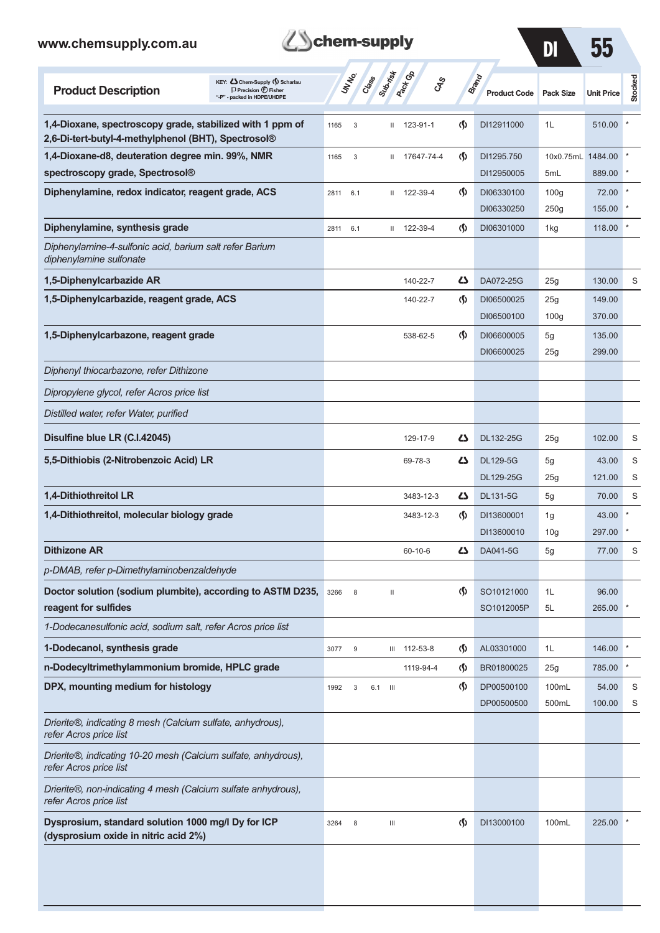| chem-supply<br>www.chemsupply.com.au                                                                                               |                                             | $\mathbf{D}$                 | 55                                 |                              |                          |                   |                |
|------------------------------------------------------------------------------------------------------------------------------------|---------------------------------------------|------------------------------|------------------------------------|------------------------------|--------------------------|-------------------|----------------|
| KEY: Cohem-Supply (5) Scharlau<br><b>Product Description</b><br>$\Box$ Precision $\bigoplus$ Fisher<br>"-P" - packed in HDPE/UHDPE | Subrist<br>UN NO.<br>Crass                  | <b>Pack Go</b><br><b>CAS</b> |                                    | Brand<br><b>Product Code</b> | <b>Pack Size</b>         | <b>Unit Price</b> | <b>Stocked</b> |
| 1,4-Dioxane, spectroscopy grade, stabilized with 1 ppm of<br>2,6-Di-tert-butyl-4-methylphenol (BHT), Spectrosol®                   | 1165<br>3                                   | 123-91-1<br>$\mathbf{II}$    | $\langle \mathbf{\S} \rangle$      | DI12911000                   | 1L                       | 510.00            |                |
| 1,4-Dioxane-d8, deuteration degree min. 99%, NMR                                                                                   | 3<br>1165                                   | 17647-74-4<br>$\mathbf{H}$   | $\langle \mathbf{\S} \rangle$      | DI1295.750                   | 10x0.75mL 1484.00        |                   |                |
| spectroscopy grade, Spectrosol®                                                                                                    |                                             |                              |                                    | DI12950005                   | 5mL                      | 889.00            |                |
| Diphenylamine, redox indicator, reagent grade, ACS                                                                                 | 2811<br>6.1                                 | 122-39-4<br>Ш                | $\langle \mathbf{\langle} \rangle$ | DI06330100<br>DI06330250     | 100 <sub>g</sub><br>250g | 72.00<br>155.00   |                |
| Diphenylamine, synthesis grade                                                                                                     | 2811<br>6.1                                 | 122-39-4<br>Ш                | $\langle \mathsf{S} \rangle$       | DI06301000                   | 1kg                      | 118.00            |                |
| Diphenylamine-4-sulfonic acid, barium salt refer Barium<br>diphenylamine sulfonate                                                 |                                             |                              |                                    |                              |                          |                   |                |
| 1,5-Diphenylcarbazide AR                                                                                                           |                                             | 140-22-7                     | دے                                 | DA072-25G                    | 25g                      | 130.00            | S              |
| 1,5-Diphenylcarbazide, reagent grade, ACS                                                                                          |                                             | 140-22-7                     | ற                                  | DI06500025<br>DI06500100     | 25g<br>100 <sub>g</sub>  | 149.00<br>370.00  |                |
| 1,5-Diphenylcarbazone, reagent grade                                                                                               |                                             | 538-62-5                     | ற                                  | DI06600005                   | 5g                       | 135.00            |                |
|                                                                                                                                    |                                             |                              |                                    | DI06600025                   | 25g                      | 299.00            |                |
| Diphenyl thiocarbazone, refer Dithizone                                                                                            |                                             |                              |                                    |                              |                          |                   |                |
| Dipropylene glycol, refer Acros price list                                                                                         |                                             |                              |                                    |                              |                          |                   |                |
| Distilled water, refer Water, purified                                                                                             |                                             |                              |                                    |                              |                          |                   |                |
| Disulfine blue LR (C.I.42045)                                                                                                      |                                             | 129-17-9                     | دے                                 | DL132-25G                    | 25g                      | 102.00            | S              |
| 5,5-Dithiobis (2-Nitrobenzoic Acid) LR                                                                                             |                                             | 69-78-3                      | دے                                 | <b>DL129-5G</b><br>DL129-25G | 5g<br>25g                | 43.00<br>121.00   | S<br>S         |
| 1,4-Dithiothreitol LR                                                                                                              |                                             | 3483-12-3                    | ひ                                  | <b>DL131-5G</b>              | 5g                       | 70.00             | S              |
| 1,4-Dithiothreitol, molecular biology grade                                                                                        |                                             | 3483-12-3                    | $\langle \mathsf{S} \rangle$       | DI13600001<br>DI13600010     | 1g<br>10 <sub>g</sub>    | 43.00<br>297.00   |                |
| <b>Dithizone AR</b>                                                                                                                |                                             | 60-10-6                      | دے                                 | DA041-5G                     | 5g                       | 77.00             | S              |
| p-DMAB, refer p-Dimethylaminobenzaldehyde                                                                                          |                                             |                              |                                    |                              |                          |                   |                |
| Doctor solution (sodium plumbite), according to ASTM D235,<br>reagent for sulfides                                                 | 8<br>3266                                   | $\mathbf{I}$                 | $\langle \mathbf{\S} \rangle$      | SO10121000<br>SO1012005P     | 1L<br>5L                 | 96.00<br>265.00   |                |
| 1-Dodecanesulfonic acid, sodium salt, refer Acros price list                                                                       |                                             |                              |                                    |                              |                          |                   |                |
| 1-Dodecanol, synthesis grade                                                                                                       | 9<br>3077                                   | 112-53-8<br>Ш                | (§)                                | AL03301000                   | 1L                       | 146.00            |                |
| n-Dodecyltrimethylammonium bromide, HPLC grade                                                                                     |                                             | 1119-94-4                    | (§)                                | BR01800025                   | 25g                      | 785.00            |                |
| DPX, mounting medium for histology                                                                                                 | 1992<br>3<br>$\overline{\mathbf{m}}$<br>6.1 |                              | (§)                                | DP00500100<br>DP00500500     | 100mL<br>500mL           | 54.00<br>100.00   | S<br>S         |
| Drierite®, indicating 8 mesh (Calcium sulfate, anhydrous),<br>refer Acros price list                                               |                                             |                              |                                    |                              |                          |                   |                |
| Drierite®, indicating 10-20 mesh (Calcium sulfate, anhydrous),<br>refer Acros price list                                           |                                             |                              |                                    |                              |                          |                   |                |
| Drierite®, non-indicating 4 mesh (Calcium sulfate anhydrous),<br>refer Acros price list                                            |                                             |                              |                                    |                              |                          |                   |                |
| Dysprosium, standard solution 1000 mg/l Dy for ICP<br>(dysprosium oxide in nitric acid 2%)                                         | 3264<br>8                                   | Ш                            | ற                                  | DI13000100                   | 100mL                    | 225.00            |                |
|                                                                                                                                    |                                             |                              |                                    |                              |                          |                   |                |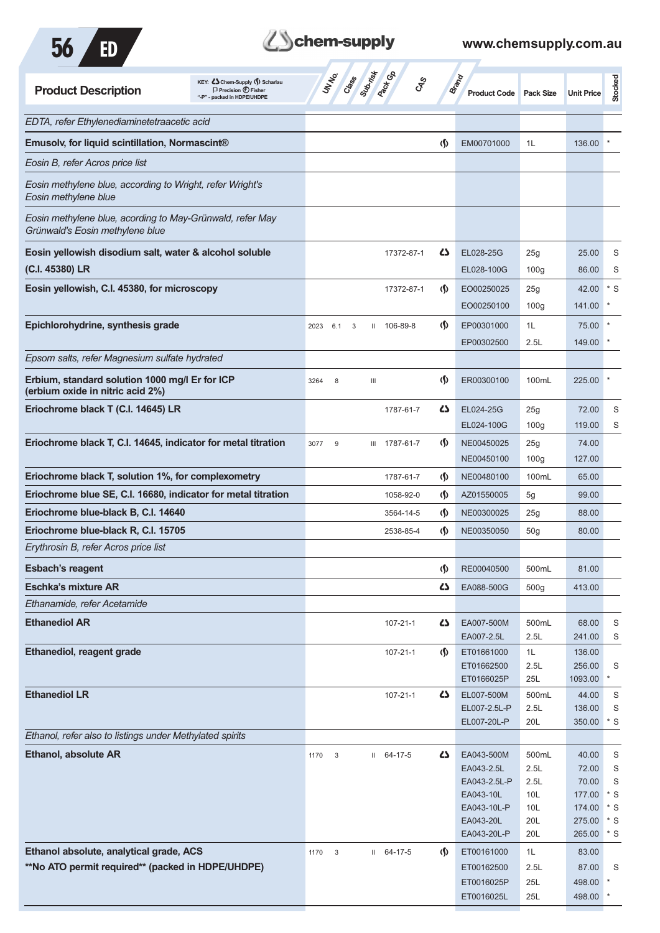



| KEY: Cohem-Supply () Scharlau<br><b>Product Description</b><br>$\Box$ Precision $\bigoplus$ Fisher<br>"-P" - packed in HDPE/UHDPE | Class Superior Co<br>UNIVO<br><b>GRS</b>      |                                    | Brand<br><b>Product Code</b> | <b>Pack Size</b> | <b>Unit Price</b> | Stocked        |
|-----------------------------------------------------------------------------------------------------------------------------------|-----------------------------------------------|------------------------------------|------------------------------|------------------|-------------------|----------------|
| EDTA, refer Ethylenediaminetetraacetic acid                                                                                       |                                               |                                    |                              |                  |                   |                |
| Emusolv, for liquid scintillation, Normascint®                                                                                    |                                               | $\langle \mathbf{\hat{y}}$         | EM00701000                   | 1L               | 136.00            |                |
| Eosin B, refer Acros price list                                                                                                   |                                               |                                    |                              |                  |                   |                |
| Eosin methylene blue, according to Wright, refer Wright's<br>Eosin methylene blue                                                 |                                               |                                    |                              |                  |                   |                |
| Eosin methylene blue, acording to May-Grünwald, refer May<br>Grünwald's Eosin methylene blue                                      |                                               |                                    |                              |                  |                   |                |
| Eosin yellowish disodium salt, water & alcohol soluble                                                                            | 17372-87-1                                    | 45                                 | EL028-25G                    | 25g              | 25.00             | S              |
| (C.I. 45380) LR                                                                                                                   |                                               |                                    | EL028-100G                   | 100 <sub>g</sub> | 86.00             | S              |
| Eosin yellowish, C.I. 45380, for microscopy                                                                                       | 17372-87-1                                    | $\langle \mathbf{\langle} \rangle$ | EO00250025                   | 25g              | 42.00             | $*$ S          |
|                                                                                                                                   |                                               |                                    | EO00250100                   | 100 <sub>g</sub> | 141.00            |                |
| Epichlorohydrine, synthesis grade                                                                                                 | II 106-89-8<br>2023<br>6.1<br>3               | $\langle \mathbf{\langle}$         | EP00301000                   | 1L               | 75.00             |                |
|                                                                                                                                   |                                               |                                    | EP00302500                   | 2.5L             | 149.00            |                |
| Epsom salts, refer Magnesium sulfate hydrated                                                                                     |                                               |                                    |                              |                  |                   |                |
| Erbium, standard solution 1000 mg/l Er for ICP<br>(erbium oxide in nitric acid 2%)                                                | 3264<br>8<br>$\mathop{\mathsf{III}}\nolimits$ | $\langle \mathbf{\S} \rangle$      | ER00300100                   | 100mL            | 225.00            |                |
| Eriochrome black T (C.I. 14645) LR                                                                                                | 1787-61-7                                     | 45                                 | EL024-25G                    | 25g              | 72.00             | S              |
|                                                                                                                                   |                                               |                                    | EL024-100G                   | 100 <sub>g</sub> | 119.00            | S              |
| Eriochrome black T, C.I. 14645, indicator for metal titration                                                                     | 3077<br>9<br>III 1787-61-7                    | $\langle \mathbf{\langle} \rangle$ | NE00450025                   | 25g              | 74.00             |                |
|                                                                                                                                   |                                               |                                    | NE00450100                   | 100 <sub>g</sub> | 127.00            |                |
| Eriochrome black T, solution 1%, for complexometry                                                                                | 1787-61-7                                     | $\langle \mathbf{\S} \rangle$      | NE00480100                   | 100mL            | 65.00             |                |
| Eriochrome blue SE, C.I. 16680, indicator for metal titration                                                                     | 1058-92-0                                     | $\langle \mathbf{\S} \rangle$      | AZ01550005                   | 5g               | 99.00             |                |
| Eriochrome blue-black B, C.I. 14640                                                                                               | 3564-14-5                                     | $\langle \mathbf{\S} \rangle$      | NE00300025                   | 25g              | 88.00             |                |
| Eriochrome blue-black R, C.I. 15705                                                                                               | 2538-85-4                                     | $\langle \mathbf{\langle}$         | NE00350050                   | 50 <sub>g</sub>  | 80.00             |                |
| Erythrosin B, refer Acros price list                                                                                              |                                               |                                    |                              |                  |                   |                |
| <b>Esbach's reagent</b>                                                                                                           |                                               | $\langle \mathsf{S} \rangle$       | RE00040500                   | 500mL            | 81.00             |                |
| <b>Eschka's mixture AR</b>                                                                                                        |                                               | 47                                 | EA088-500G                   | 500 <sub>g</sub> | 413.00            |                |
| Ethanamide, refer Acetamide                                                                                                       |                                               |                                    |                              |                  |                   |                |
| <b>Ethanediol AR</b>                                                                                                              | $107 - 21 - 1$                                | ひ                                  | EA007-500M                   | 500mL            | 68.00             | S              |
|                                                                                                                                   |                                               |                                    | EA007-2.5L                   | 2.5L             | 241.00            | S              |
| Ethanediol, reagent grade                                                                                                         | 107-21-1                                      | $\Phi$                             | ET01661000<br>ET01662500     | 1L<br>2.5L       | 136.00<br>256.00  | S              |
|                                                                                                                                   |                                               |                                    | ET0166025P                   | 25L              | 1093.00           |                |
| <b>Ethanediol LR</b>                                                                                                              | 107-21-1                                      | ひ                                  | EL007-500M                   | 500mL            | 44.00             | S              |
|                                                                                                                                   |                                               |                                    | EL007-2.5L-P                 | 2.5L             | 136.00            | S              |
| Ethanol, refer also to listings under Methylated spirits                                                                          |                                               |                                    | EL007-20L-P                  | 20L              | 350.00            | $^\star$ S     |
| <b>Ethanol, absolute AR</b>                                                                                                       | $11 \quad 64-17-5$<br>1170<br>3               | ひ                                  | EA043-500M                   | 500mL            | 40.00             | S              |
|                                                                                                                                   |                                               |                                    | EA043-2.5L                   | 2.5L             | 72.00             | S              |
|                                                                                                                                   |                                               |                                    | EA043-2.5L-P                 | 2.5L             | 70.00             | S              |
|                                                                                                                                   |                                               |                                    | EA043-10L<br>EA043-10L-P     | 10L<br>10L       | 177.00<br>174.00  | $*$ S<br>$*$ S |
|                                                                                                                                   |                                               |                                    | EA043-20L                    | 20L              | 275.00            | $*$ S          |
|                                                                                                                                   |                                               |                                    | EA043-20L-P                  | 20L              | 265.00            | $*$ S          |
| Ethanol absolute, analytical grade, ACS                                                                                           | $II$ 64-17-5<br>1170<br>3                     | $\langle \mathbf{\hat{y}} \rangle$ | ET00161000                   | 1L               | 83.00             |                |
| **No ATO permit required** (packed in HDPE/UHDPE)                                                                                 |                                               |                                    | ET00162500                   | 2.5L             | 87.00             | S              |
|                                                                                                                                   |                                               |                                    | ET0016025P<br>ET0016025L     | 25L<br>25L       | 498.00<br>498.00  |                |
|                                                                                                                                   |                                               |                                    |                              |                  |                   |                |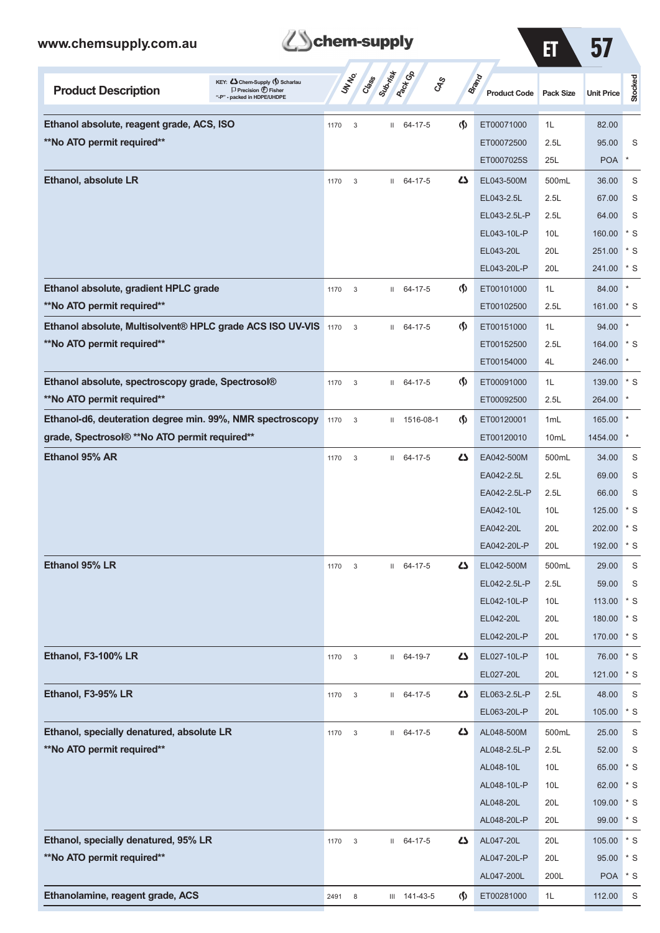

ET 57

| KEY: C Chem-Supply (5) Scharlau<br><b>Product Description</b><br>$\Box$ Precision $\bigoplus$ Fisher<br>"-P" - packed in HDPE/UHDPE |      | UN NO.<br>Cass            | Subsite      | <b>Pactice</b><br>$c_{\hspace{-1mm}S\hspace{-1mm}P}^S$ |                                    | Brand<br><b>Product Code</b> | <b>Pack Size</b> | <b>Unit Price</b> | <b>Stocked</b> |
|-------------------------------------------------------------------------------------------------------------------------------------|------|---------------------------|--------------|--------------------------------------------------------|------------------------------------|------------------------------|------------------|-------------------|----------------|
| Ethanol absolute, reagent grade, ACS, ISO                                                                                           | 1170 | 3                         | Ш            | 64-17-5                                                | $\langle \mathbf{\S} \rangle$      | ET00071000                   | 1L               | 82.00             |                |
| **No ATO permit required**                                                                                                          |      |                           |              |                                                        |                                    | ET00072500                   | 2.5L             | 95.00             | S              |
|                                                                                                                                     |      |                           |              |                                                        |                                    | ET0007025S                   | 25L              | <b>POA</b>        | $^{\star}$     |
| <b>Ethanol, absolute LR</b>                                                                                                         | 1170 | 3                         | $\mathbf{H}$ | 64-17-5                                                | ひ                                  | EL043-500M                   | 500mL            | 36.00             | S              |
|                                                                                                                                     |      |                           |              |                                                        |                                    | EL043-2.5L                   | 2.5L             | 67.00             | S              |
|                                                                                                                                     |      |                           |              |                                                        |                                    | EL043-2.5L-P                 | 2.5L             | 64.00             | S              |
|                                                                                                                                     |      |                           |              |                                                        |                                    | EL043-10L-P                  | 10 <sub>L</sub>  | 160.00            | $*$ S          |
|                                                                                                                                     |      |                           |              |                                                        |                                    | EL043-20L                    | 20L              | 251.00            | $*$ S          |
|                                                                                                                                     |      |                           |              |                                                        |                                    | EL043-20L-P                  | 20L              | 241.00            | $*$ S          |
| Ethanol absolute, gradient HPLC grade                                                                                               | 1170 | 3                         |              | $11 \quad 64-17-5$                                     | $\langle \mathbf{\langle} \rangle$ | ET00101000                   | 1L               | 84.00             | $\star$        |
| **No ATO permit required**                                                                                                          |      |                           |              |                                                        |                                    | ET00102500                   | 2.5L             | 161.00            | $*$ S          |
| Ethanol absolute, Multisolvent® HPLC grade ACS ISO UV-VIS 1170                                                                      |      | 3                         | $\mathbf{H}$ | 64-17-5                                                | (∮)                                | ET00151000                   | 1L               | 94.00             |                |
| **No ATO permit required**                                                                                                          |      |                           |              |                                                        |                                    | ET00152500                   | 2.5L             | 164.00            | $*$ S          |
|                                                                                                                                     |      |                           |              |                                                        |                                    | ET00154000                   | 4L               | 246.00            | $\star$        |
| Ethanol absolute, spectroscopy grade, Spectrosol®                                                                                   | 1170 | 3                         | $\mathbf{H}$ | 64-17-5                                                | $\Phi$                             | ET00091000                   | 1L               | 139.00            | $*$ S          |
| **No ATO permit required**                                                                                                          |      |                           |              |                                                        |                                    | ET00092500                   | 2.5L             | 264.00            |                |
| Ethanol-d6, deuteration degree min. 99%, NMR spectroscopy                                                                           | 1170 | 3                         | Ш            | 1516-08-1                                              | $\Phi$                             | ET00120001                   | 1 <sub>mL</sub>  | 165.00            |                |
| grade, Spectrosol® **No ATO permit required**                                                                                       |      |                           |              |                                                        |                                    | ET00120010                   | 10mL             | 1454.00           | $\ast$         |
| Ethanol 95% AR                                                                                                                      | 1170 | 3                         | Ш            | 64-17-5                                                | ひ                                  | EA042-500M                   | 500mL            | 34.00             | S              |
|                                                                                                                                     |      |                           |              |                                                        |                                    | EA042-2.5L                   | 2.5L             | 69.00             | S              |
|                                                                                                                                     |      |                           |              |                                                        |                                    | EA042-2.5L-P                 | 2.5L             | 66.00             | S              |
|                                                                                                                                     |      |                           |              |                                                        |                                    | EA042-10L                    | 10 <sub>L</sub>  | 125.00            | * S            |
|                                                                                                                                     |      |                           |              |                                                        |                                    | EA042-20L                    | 20L              | 202.00            | $*$ S          |
|                                                                                                                                     |      |                           |              |                                                        |                                    | EA042-20L-P                  | 20L              | 192.00            | $*$ S          |
| Ethanol 95% LR                                                                                                                      | 1170 | $\ensuremath{\mathsf{3}}$ | $\mathbf{H}$ | 64-17-5                                                | ረን                                 | EL042-500M                   | 500mL            | 29.00             | S              |
|                                                                                                                                     |      |                           |              |                                                        |                                    | EL042-2.5L-P                 | 2.5L             | 59.00             | S              |
|                                                                                                                                     |      |                           |              |                                                        |                                    | EL042-10L-P                  | 10 <sub>L</sub>  | 113.00            | $*$ S          |
|                                                                                                                                     |      |                           |              |                                                        |                                    | EL042-20L                    | 20L              | 180.00            | $*$ S          |
|                                                                                                                                     |      |                           |              |                                                        |                                    | EL042-20L-P                  | 20L              | 170.00            | $\cdot$ s      |
| Ethanol, F3-100% LR                                                                                                                 | 1170 | $\mathbf{3}$              |              | II 64-19-7                                             | 47                                 | EL027-10L-P                  | 10 <sub>L</sub>  | 76.00             | $*$ S          |
|                                                                                                                                     |      |                           |              |                                                        |                                    | EL027-20L                    | 20L              | 121.00            | $\cdot$ s      |
| Ethanol, F3-95% LR                                                                                                                  | 1170 | $\mathbf{3}$              |              | $11 \quad 64-17-5$                                     | 47                                 | EL063-2.5L-P                 | 2.5L             | 48.00             | $\mathsf S$    |
|                                                                                                                                     |      |                           |              |                                                        |                                    | EL063-20L-P                  | 20L              | 105.00            | $*$ S          |
| Ethanol, specially denatured, absolute LR                                                                                           | 1170 | $\ensuremath{\mathsf{3}}$ |              | $II$ 64-17-5                                           | 47                                 | AL048-500M                   | 500mL            | 25.00             | S              |
| **No ATO permit required**                                                                                                          |      |                           |              |                                                        |                                    | AL048-2.5L-P                 | 2.5L             | 52.00             | S              |
|                                                                                                                                     |      |                           |              |                                                        |                                    | AL048-10L                    | 10 <sub>L</sub>  | 65.00             | $*$ S          |
|                                                                                                                                     |      |                           |              |                                                        |                                    | AL048-10L-P                  | 10L              | 62.00             | $*$ S          |
|                                                                                                                                     |      |                           |              |                                                        |                                    | AL048-20L                    | 20L              | 109.00            | $*$ S          |
|                                                                                                                                     |      |                           |              |                                                        |                                    | AL048-20L-P                  | 20L              | 99.00             | $\mathbf{S}$   |
| Ethanol, specially denatured, 95% LR                                                                                                | 1170 | $\mathbf{3}$              |              | $11 \quad 64-17-5$                                     | 45                                 | AL047-20L                    | 20L              | 105.00            | $*$ S          |
| **No ATO permit required**                                                                                                          |      |                           |              |                                                        |                                    | AL047-20L-P                  | 20L              | 95.00             | $*$ S          |
|                                                                                                                                     |      |                           |              |                                                        |                                    | AL047-200L                   | 200L             | <b>POA</b>        | $\cdot$ s      |
| Ethanolamine, reagent grade, ACS                                                                                                    | 2491 | 8                         |              | III 141-43-5                                           | $\langle \mathsf{S} \rangle$       | ET00281000                   | 1L               | 112.00            | S              |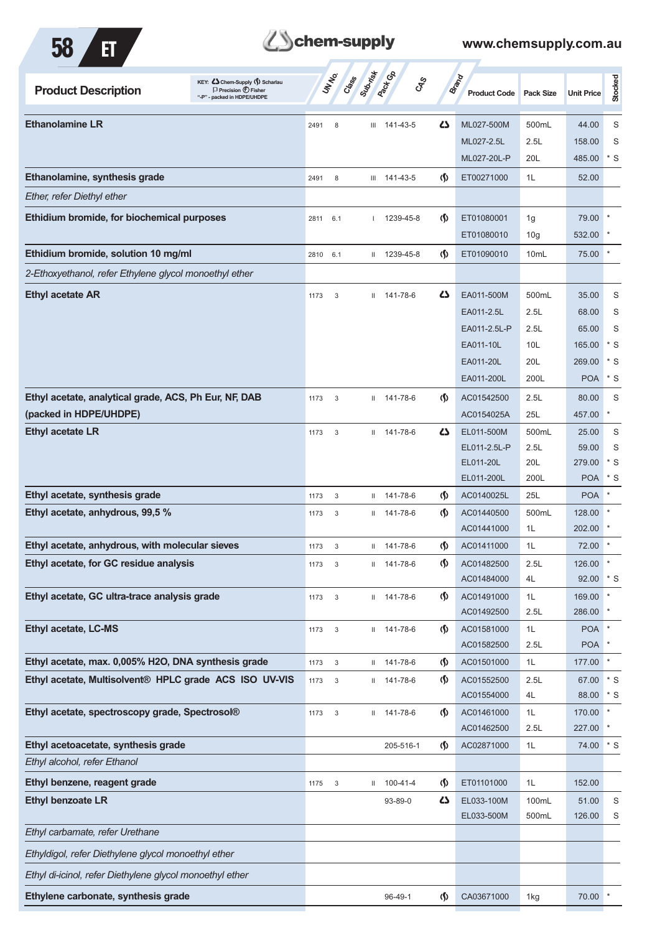

# **Them-supply**

| KEY: C Chem-Supply (5) Scharlau<br><b>Product Description</b><br>$\Box$ Precision $\bigoplus$ Fisher<br>"-P" - packed in HDPE/UHDPE |      | UN NO. | Subsition<br>Class | <b>Pactice</b>    | <b>GRS</b>                         | <b>Brand</b><br><b>Product Code</b> | <b>Pack Size</b> | <b>Unit Price</b>     | Stocked      |
|-------------------------------------------------------------------------------------------------------------------------------------|------|--------|--------------------|-------------------|------------------------------------|-------------------------------------|------------------|-----------------------|--------------|
| <b>Ethanolamine LR</b>                                                                                                              | 2491 | 8      |                    | $III$ 141-43-5    | ひ                                  | ML027-500M                          | 500mL            | 44.00                 | S            |
|                                                                                                                                     |      |        |                    |                   |                                    | ML027-2.5L                          | 2.5L             | 158.00                | S            |
|                                                                                                                                     |      |        |                    |                   |                                    | ML027-20L-P                         | 20L              | 485.00                | * S          |
| Ethanolamine, synthesis grade                                                                                                       | 2491 | 8      |                    | $III$ 141-43-5    | $\varphi$                          | ET00271000                          | 1L               | 52.00                 |              |
| Ether, refer Diethyl ether                                                                                                          |      |        |                    |                   |                                    |                                     |                  |                       |              |
| Ethidium bromide, for biochemical purposes                                                                                          | 2811 | 6.1    |                    | 1239-45-8         | $\langle \mathbf{\langle} \rangle$ | ET01080001                          | 1g               | 79.00                 |              |
|                                                                                                                                     |      |        |                    |                   |                                    | ET01080010                          | 10 <sub>g</sub>  | 532.00                |              |
| Ethidium bromide, solution 10 mg/ml                                                                                                 | 2810 | 6.1    |                    | $11$ 1239-45-8    | $\langle \mathbf{\S} \rangle$      | ET01090010                          | 10 <sub>mL</sub> | 75.00                 | $\ast$       |
| 2-Ethoxyethanol, refer Ethylene glycol monoethyl ether                                                                              |      |        |                    |                   |                                    |                                     |                  |                       |              |
| <b>Ethyl acetate AR</b>                                                                                                             | 1173 | 3      | $\mathbf{H}$       | 141-78-6          | 47                                 | EA011-500M                          | 500mL            | 35.00                 | S            |
|                                                                                                                                     |      |        |                    |                   |                                    | EA011-2.5L                          | 2.5L             | 68.00                 | S            |
|                                                                                                                                     |      |        |                    |                   |                                    | EA011-2.5L-P                        | 2.5L             | 65.00                 | S            |
|                                                                                                                                     |      |        |                    |                   |                                    | EA011-10L                           | 10L              | 165.00                | $*$ S        |
|                                                                                                                                     |      |        |                    |                   |                                    | EA011-20L                           | 20L              | 269.00                | $*$ S        |
|                                                                                                                                     |      |        |                    |                   |                                    | EA011-200L                          | 200L             | <b>POA</b>            | $*$ S        |
| Ethyl acetate, analytical grade, ACS, Ph Eur, NF, DAB                                                                               | 1173 | 3      | Ш.                 | 141-78-6          | $\langle \mathbf{\S} \rangle$      | AC01542500                          | 2.5L             | 80.00                 | S            |
| (packed in HDPE/UHDPE)                                                                                                              |      |        |                    |                   |                                    | AC0154025A                          | 25L              | 457.00                | $\ast$       |
| <b>Ethyl acetate LR</b>                                                                                                             | 1173 | 3      |                    | $11 141 - 78 - 6$ | 47                                 | EL011-500M                          | 500mL            | 25.00                 | S            |
|                                                                                                                                     |      |        |                    |                   |                                    | EL011-2.5L-P                        | 2.5L             | 59.00                 | S            |
|                                                                                                                                     |      |        |                    |                   |                                    | EL011-20L                           | 20L              | 279.00                | * S          |
|                                                                                                                                     |      |        |                    |                   |                                    | EL011-200L                          | 200L             | <b>POA</b>            | $*$ S        |
| Ethyl acetate, synthesis grade                                                                                                      | 1173 | 3      | $\mathbf{H}$       | 141-78-6          | $\langle \mathbf{\langle} \rangle$ | AC0140025L                          | 25L              | <b>POA</b>            |              |
| Ethyl acetate, anhydrous, 99,5 %                                                                                                    | 1173 | 3      |                    | $11 141 - 78 - 6$ | $\langle \mathbf{\langle} \rangle$ | AC01440500                          | 500mL            | 128.00                |              |
|                                                                                                                                     |      |        |                    |                   |                                    | AC01441000                          | 1L               | 202.00                |              |
| Ethyl acetate, anhydrous, with molecular sieves                                                                                     | 1173 | 3      |                    | $11 141 - 78 - 6$ | $\langle \mathbf{\S} \rangle$      | AC01411000                          | 1L               | 72.00                 |              |
| Ethyl acetate, for GC residue analysis                                                                                              | 1173 |        | Ш                  | 141-78-6          | $\varphi$                          | AC01482500<br>AC01484000            | 2.5L<br>4L       | 126.00 *<br>92.00 * S |              |
| Ethyl acetate, GC ultra-trace analysis grade                                                                                        | 1173 | 3      |                    | $11 141 - 78 - 6$ | $\langle \mathbf{\S} \rangle$      | AC01491000                          | 1L               | 169.00                | $\pmb{\ast}$ |
|                                                                                                                                     |      |        |                    |                   |                                    | AC01492500                          | 2.5L             | 286.00                |              |
| Ethyl acetate, LC-MS                                                                                                                | 1173 | 3      |                    | $11 141 - 78 - 6$ | $\langle \mathsf{S} \rangle$       | AC01581000                          | 1L               | <b>POA</b>            |              |
|                                                                                                                                     |      |        |                    |                   |                                    | AC01582500                          | 2.5L             | <b>POA</b>            |              |
| Ethyl acetate, max. 0,005% H2O, DNA synthesis grade                                                                                 | 1173 | $_{3}$ |                    | $11$ 141-78-6     | $\langle \mathsf{S} \rangle$       | AC01501000                          | 1L               | 177.00                | $\ast$       |
| Ethyl acetate, Multisolvent® HPLC grade ACS ISO UV-VIS                                                                              | 1173 | $_{3}$ |                    | $11 141 - 78 - 6$ | $\langle \mathbf{\S} \rangle$      | AC01552500                          | 2.5L             | 67.00                 | $\mathbf{S}$ |
|                                                                                                                                     |      |        |                    |                   |                                    | AC01554000                          | 4L               | 88.00                 | $*$ S        |
| Ethyl acetate, spectroscopy grade, Spectrosol®                                                                                      | 1173 | 3      |                    | $11 141 - 78 - 6$ | $\langle \mathbf{\langle} \rangle$ | AC01461000                          | 1L               | 170.00                | $\star$      |
|                                                                                                                                     |      |        |                    |                   |                                    | AC01462500                          | 2.5L             | 227.00                | $\ast$       |
| Ethyl acetoacetate, synthesis grade                                                                                                 |      |        |                    | 205-516-1         | $\langle \mathsf{S} \rangle$       | AC02871000                          | 1L               | 74.00 * S             |              |
| Ethyl alcohol, refer Ethanol                                                                                                        |      |        |                    |                   |                                    |                                     |                  |                       |              |
| Ethyl benzene, reagent grade                                                                                                        | 1175 | 3      |                    | $11 100 - 41 - 4$ | $\langle \mathsf{S} \rangle$       | ET01101000                          | 1L               | 152.00                |              |
| <b>Ethyl benzoate LR</b>                                                                                                            |      |        |                    | 93-89-0           | 5                                  | EL033-100M                          | 100mL            | 51.00                 | S            |
| Ethyl carbamate, refer Urethane                                                                                                     |      |        |                    |                   |                                    | EL033-500M                          | 500mL            | 126.00                | S            |
|                                                                                                                                     |      |        |                    |                   |                                    |                                     |                  |                       |              |
| Ethyldigol, refer Diethylene glycol monoethyl ether                                                                                 |      |        |                    |                   |                                    |                                     |                  |                       |              |
| Ethyl di-icinol, refer Diethylene glycol monoethyl ether                                                                            |      |        |                    |                   |                                    |                                     |                  |                       |              |
| Ethylene carbonate, synthesis grade                                                                                                 |      |        |                    | 96-49-1           | $\mathfrak{g}$                     | CA03671000                          | 1kg              | 70.00                 |              |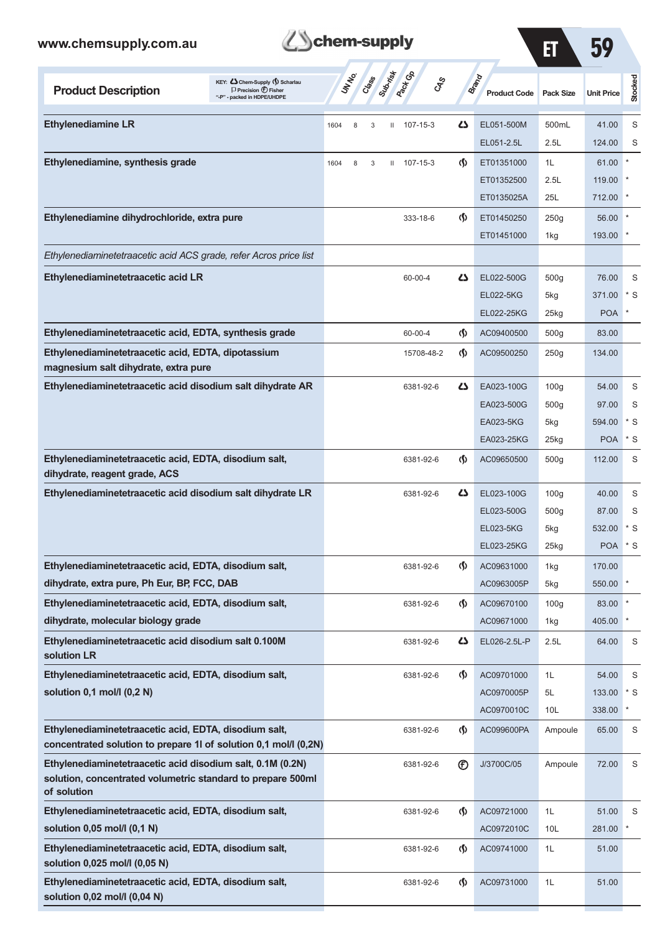

7

| ET | 50<br>JY |
|----|----------|
|    |          |

| KEY: Cohem-Supply (5) Scharlau<br><b>Product Description</b><br>$\Box$ Precision $\bigcirc$ Fisher<br>"-P" - packed in HDPE/UHDPE | <b>Rack Co</b><br><b>ST Class String</b><br>$c_{\hspace{-1mm}S\hspace{-1mm}P}^S$ |                               | <b>Brand</b><br><b>Product Code</b> | <b>Pack Size</b> | <b>Unit Price</b> | Stocked |
|-----------------------------------------------------------------------------------------------------------------------------------|----------------------------------------------------------------------------------|-------------------------------|-------------------------------------|------------------|-------------------|---------|
| <b>Ethylenediamine LR</b>                                                                                                         | 107-15-3<br>1604<br>8<br>3<br>Ш                                                  | ひ                             | EL051-500M                          | 500mL            | 41.00             | S       |
|                                                                                                                                   |                                                                                  |                               | EL051-2.5L                          | 2.5L             | 124.00            | S       |
| Ethylenediamine, synthesis grade                                                                                                  | 107-15-3<br>1604<br>8<br>3<br>$\mathbf{H}$                                       | (\$)                          | ET01351000                          | 1L               | 61.00             |         |
|                                                                                                                                   |                                                                                  |                               | ET01352500                          | 2.5L             | 119.00            |         |
|                                                                                                                                   |                                                                                  |                               | ET0135025A                          | 25L              | 712.00            |         |
| Ethylenediamine dihydrochloride, extra pure                                                                                       | 333-18-6                                                                         | ற                             | ET01450250                          | 250g             | 56.00             |         |
|                                                                                                                                   |                                                                                  |                               | ET01451000                          | 1kg              | 193.00            |         |
| Ethylenediaminetetraacetic acid ACS grade, refer Acros price list                                                                 |                                                                                  |                               |                                     |                  |                   |         |
| Ethylenediaminetetraacetic acid LR                                                                                                | 60-00-4                                                                          | ひ                             | EL022-500G                          | 500g             | 76.00             | S       |
|                                                                                                                                   |                                                                                  |                               | EL022-5KG                           | 5kg              | 371.00            | * S     |
|                                                                                                                                   |                                                                                  |                               | EL022-25KG                          | 25kg             | <b>POA</b>        |         |
| Ethylenediaminetetraacetic acid, EDTA, synthesis grade                                                                            | 60-00-4                                                                          | (§)                           | AC09400500                          | 500g             | 83.00             |         |
| Ethylenediaminetetraacetic acid, EDTA, dipotassium<br>magnesium salt dihydrate, extra pure                                        | 15708-48-2                                                                       | (∮)                           | AC09500250                          | 250g             | 134.00            |         |
| Ethylenediaminetetraacetic acid disodium salt dihydrate AR                                                                        | 6381-92-6                                                                        | ひ                             | EA023-100G                          | 100q             | 54.00             | S       |
|                                                                                                                                   |                                                                                  |                               | EA023-500G                          | 500g             | 97.00             | S       |
|                                                                                                                                   |                                                                                  |                               | EA023-5KG                           | 5kg              | 594.00            | * S     |
|                                                                                                                                   |                                                                                  |                               | EA023-25KG                          | 25kg             | <b>POA</b>        | * S     |
| Ethylenediaminetetraacetic acid, EDTA, disodium salt,<br>dihydrate, reagent grade, ACS                                            | 6381-92-6                                                                        | $\langle \mathbf{\S} \rangle$ | AC09650500                          | 500g             | 112.00            | S       |
| Ethylenediaminetetraacetic acid disodium salt dihydrate LR                                                                        | 6381-92-6                                                                        | ひ                             | EL023-100G                          | 100q             | 40.00             | S       |
|                                                                                                                                   |                                                                                  |                               | EL023-500G                          | 500g             | 87.00             | S       |
|                                                                                                                                   |                                                                                  |                               | EL023-5KG                           | 5kg              | 532.00            | * S     |
|                                                                                                                                   |                                                                                  |                               | EL023-25KG                          | 25kg             | <b>POA</b>        | $*$ S   |
| Ethylenediaminetetraacetic acid, EDTA, disodium salt,                                                                             | 6381-92-6                                                                        | (∫)                           | AC09631000                          | 1kg              | 170.00            |         |
| dihydrate, extra pure, Ph Eur, BP, FCC, DAB                                                                                       |                                                                                  |                               | AC0963005P                          | 5kg              | 550.00 *          |         |
| Ethylenediaminetetraacetic acid, EDTA, disodium salt,                                                                             | 6381-92-6                                                                        | (∮)                           | AC09670100                          | 100 <sub>g</sub> | 83.00             |         |
| dihydrate, molecular biology grade                                                                                                |                                                                                  |                               | AC09671000                          | 1kg              | 405.00            |         |
| Ethylenediaminetetraacetic acid disodium salt 0.100M<br>solution LR                                                               | 6381-92-6                                                                        | 47                            | EL026-2.5L-P                        | 2.5L             | 64.00             | S       |
| Ethylenediaminetetraacetic acid, EDTA, disodium salt,                                                                             | 6381-92-6                                                                        | $\Phi$                        | AC09701000                          | 1L               | 54.00             | S       |
| solution 0,1 mol/l (0,2 N)                                                                                                        |                                                                                  |                               | AC0970005P                          | 5L               | 133.00            | * S     |
|                                                                                                                                   |                                                                                  |                               | AC0970010C                          | 10 <sub>L</sub>  | 338.00            |         |
| Ethylenediaminetetraacetic acid, EDTA, disodium salt,<br>concentrated solution to prepare 1l of solution 0,1 mol/l (0,2N)         | 6381-92-6                                                                        | (§)                           | AC099600PA                          | Ampoule          | 65.00             | S       |
| Ethylenediaminetetraacetic acid disodium salt, 0.1M (0.2N)                                                                        | 6381-92-6                                                                        | $^{\circledR}$                | J/3700C/05                          | Ampoule          | 72.00             | S       |
| solution, concentrated volumetric standard to prepare 500ml<br>of solution                                                        |                                                                                  |                               |                                     |                  |                   |         |
| Ethylenediaminetetraacetic acid, EDTA, disodium salt,                                                                             | 6381-92-6                                                                        | (§)                           | AC09721000                          | 1L               | 51.00             | S       |
| solution 0,05 mol/l (0,1 N)                                                                                                       |                                                                                  |                               | AC0972010C                          | 10 <sub>L</sub>  | 281.00            |         |
| Ethylenediaminetetraacetic acid, EDTA, disodium salt,<br>solution 0,025 mol/l (0,05 N)                                            | 6381-92-6                                                                        | (§)                           | AC09741000                          | 1L               | 51.00             |         |
| Ethylenediaminetetraacetic acid, EDTA, disodium salt,<br>solution 0,02 mol/l (0,04 N)                                             | 6381-92-6                                                                        | (§)                           | AC09731000                          | 1L               | 51.00             |         |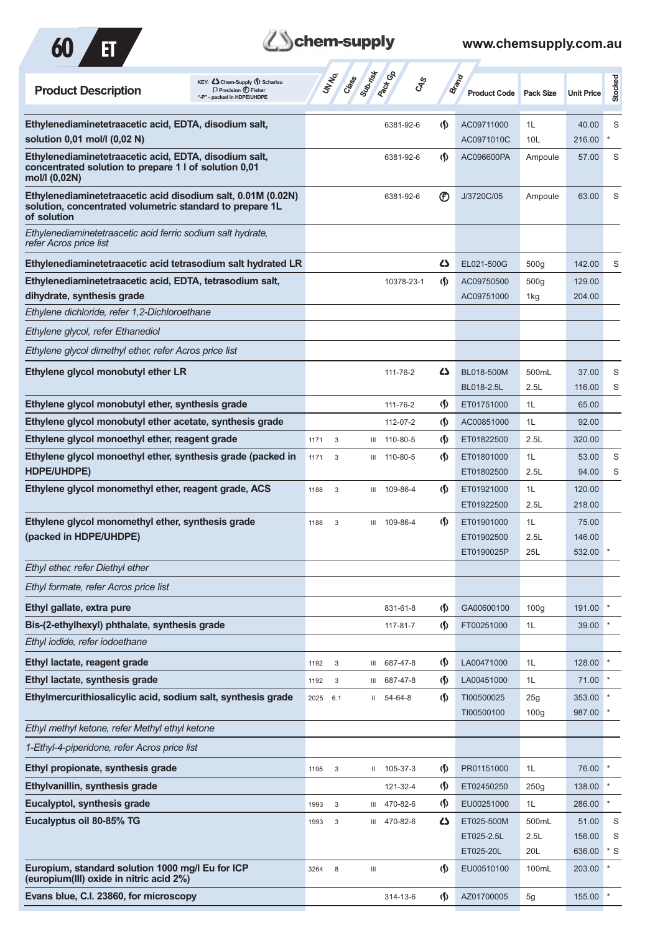

## **Z**Schem-supply

| KEY: C Chem-Supply (5) Scharlau<br><b>Product Description</b><br>$\Box$ Precision $\bigoplus$ Fisher<br>- packed in HDPE/UHDPE          | Suprist<br><b>UNTER</b><br>Crass                | <b>Pactice</b><br><b>GRS</b> | Brand                              | <b>Product Code</b>      | <b>Pack Size</b>        | <b>Unit Price</b> | Stocked |
|-----------------------------------------------------------------------------------------------------------------------------------------|-------------------------------------------------|------------------------------|------------------------------------|--------------------------|-------------------------|-------------------|---------|
| Ethylenediaminetetraacetic acid, EDTA, disodium salt,<br>solution 0,01 mol/l (0,02 N)                                                   |                                                 | 6381-92-6                    | <sub>(</sub> f)                    | AC09711000<br>AC0971010C | 1L<br>10L               | 40.00<br>216.00   | S       |
| Ethylenediaminetetraacetic acid, EDTA, disodium salt,<br>concentrated solution to prepare 1 l of solution 0,01<br>mol/l (0,02N)         |                                                 | 6381-92-6                    | $\langle \mathbf{\langle} \rangle$ | AC096600PA               | Ampoule                 | 57.00             | S       |
| Ethylenediaminetetraacetic acid disodium salt, 0.01M (0.02N)<br>solution, concentrated volumetric standard to prepare 1L<br>of solution |                                                 | 6381-92-6                    | $^{\circledR}$                     | J/3720C/05               | Ampoule                 | 63.00             | S       |
| Ethylenediaminetetraacetic acid ferric sodium salt hydrate,<br>refer Acros price list                                                   |                                                 |                              |                                    |                          |                         |                   |         |
| Ethylenediaminetetraacetic acid tetrasodium salt hydrated LR                                                                            |                                                 |                              | 27                                 | EL021-500G               | 500 <sub>g</sub>        | 142.00            | S       |
| Ethylenediaminetetraacetic acid, EDTA, tetrasodium salt,<br>dihydrate, synthesis grade                                                  |                                                 | 10378-23-1                   | (∫)                                | AC09750500<br>AC09751000 | 500 <sub>g</sub><br>1kg | 129.00<br>204.00  |         |
| Ethylene dichloride, refer 1,2-Dichloroethane                                                                                           |                                                 |                              |                                    |                          |                         |                   |         |
| Ethylene glycol, refer Ethanediol                                                                                                       |                                                 |                              |                                    |                          |                         |                   |         |
| Ethylene glycol dimethyl ether, refer Acros price list                                                                                  |                                                 |                              |                                    |                          |                         |                   |         |
| Ethylene glycol monobutyl ether LR                                                                                                      |                                                 | 111-76-2                     | 27                                 | BL018-500M<br>BL018-2.5L | 500mL<br>2.5L           | 37.00<br>116.00   | S<br>S  |
| Ethylene glycol monobutyl ether, synthesis grade                                                                                        |                                                 | 111-76-2                     | $\langle \mathbf{\S} \rangle$      | ET01751000               | 1L                      | 65.00             |         |
| Ethylene glycol monobutyl ether acetate, synthesis grade                                                                                |                                                 | 112-07-2                     | $\langle \mathbf{\langle}$         | AC00851000               | 1L                      | 92.00             |         |
| Ethylene glycol monoethyl ether, reagent grade                                                                                          | 3<br>1171<br>Ш                                  | 110-80-5                     | $\langle \mathbf{\S} \rangle$      | ET01822500               | 2.5L                    | 320.00            |         |
| Ethylene glycol monoethyl ether, synthesis grade (packed in                                                                             | 1171<br>3<br>Ш                                  | 110-80-5                     | <sub>(</sub> f)                    | ET01801000               | 1L                      | 53.00             | S       |
| HDPE/UHDPE)<br>Ethylene glycol monomethyl ether, reagent grade, ACS                                                                     | 1188<br>3<br>Ш                                  | 109-86-4                     | $\langle \mathbf{\langle} \rangle$ | ET01802500<br>ET01921000 | 2.5L<br>1L              | 94.00<br>120.00   | S       |
|                                                                                                                                         |                                                 |                              |                                    | ET01922500               | 2.5L                    | 218.00            |         |
| Ethylene glycol monomethyl ether, synthesis grade                                                                                       | 1188<br>3                                       | III 109-86-4                 | (∫)                                | ET01901000               | 1L                      | 75.00             |         |
| (packed in HDPE/UHDPE)                                                                                                                  |                                                 |                              |                                    | ET01902500<br>ET0190025P | 2.5L<br>25L             | 146.00<br>532.00  |         |
| Ethyl ether, refer Diethyl ether                                                                                                        |                                                 |                              |                                    |                          |                         |                   |         |
| Ethyl formate, refer Acros price list                                                                                                   |                                                 |                              |                                    |                          |                         |                   |         |
| Ethyl gallate, extra pure                                                                                                               |                                                 | 831-61-8                     | $\langle \mathbf{\S} \rangle$      | GA00600100               | 100 <sub>g</sub>        | 191.00            |         |
| Bis-(2-ethylhexyl) phthalate, synthesis grade                                                                                           |                                                 | 117-81-7                     | $\varphi$                          | FT00251000               | 1L                      | 39.00             |         |
| Ethyl iodide, refer iodoethane                                                                                                          |                                                 |                              |                                    |                          |                         |                   |         |
| Ethyl lactate, reagent grade                                                                                                            | $\sqrt{3}$<br>1192<br>Ш                         | 687-47-8                     | $\varphi$                          | LA00471000               | 1L                      | 128.00            |         |
| Ethyl lactate, synthesis grade                                                                                                          | 3<br>1192<br>Ш                                  | 687-47-8                     | $\Phi$                             | LA00451000               | 1L                      | 71.00             |         |
| Ethylmercurithiosalicylic acid, sodium salt, synthesis grade                                                                            | 2025<br>6.1                                     | $II$ 54-64-8                 | (∫)                                | TI00500025               | 25g                     | 353.00            |         |
|                                                                                                                                         |                                                 |                              |                                    | TI00500100               | 100 <sub>g</sub>        | 987.00            |         |
| Ethyl methyl ketone, refer Methyl ethyl ketone                                                                                          |                                                 |                              |                                    |                          |                         |                   |         |
| 1-Ethyl-4-piperidone, refer Acros price list                                                                                            |                                                 |                              |                                    |                          |                         |                   |         |
| Ethyl propionate, synthesis grade                                                                                                       | 1195<br>3<br>Ш.                                 | 105-37-3                     | $\varphi$                          | PR01151000               | 1L                      | 76.00             | $\ast$  |
| Ethylvanillin, synthesis grade                                                                                                          |                                                 | 121-32-4                     | $\langle \mathbf{\hat{y}}$         | ET02450250               | 250g                    | 138.00            | $\ast$  |
| Eucalyptol, synthesis grade                                                                                                             | 1993<br>3<br>Ш                                  | 470-82-6                     | $\langle \mathbf{\S} \rangle$      | EU00251000               | 1L                      | 286.00            |         |
| Eucalyptus oil 80-85% TG                                                                                                                | 1993<br>3                                       | III 470-82-6                 | 5                                  | ET025-500M               | 500mL                   | 51.00             | S       |
|                                                                                                                                         |                                                 |                              |                                    | ET025-2.5L               | 2.5L                    | 156.00            | S       |
|                                                                                                                                         |                                                 |                              |                                    | ET025-20L                | 20L                     | 636.00            | $*$ S   |
| Europium, standard solution 1000 mg/l Eu for ICP<br>(europium(III) oxide in nitric acid 2%)                                             | 3264<br>8<br>$\ensuremath{\mathsf{III}}\xspace$ |                              | $\langle \mathbf{\S} \rangle$      | EU00510100               | 100mL                   | 203.00            | $\ast$  |
| Evans blue, C.I. 23860, for microscopy                                                                                                  |                                                 | 314-13-6                     | $\varphi$                          | AZ01700005               | 5g                      | 155.00            |         |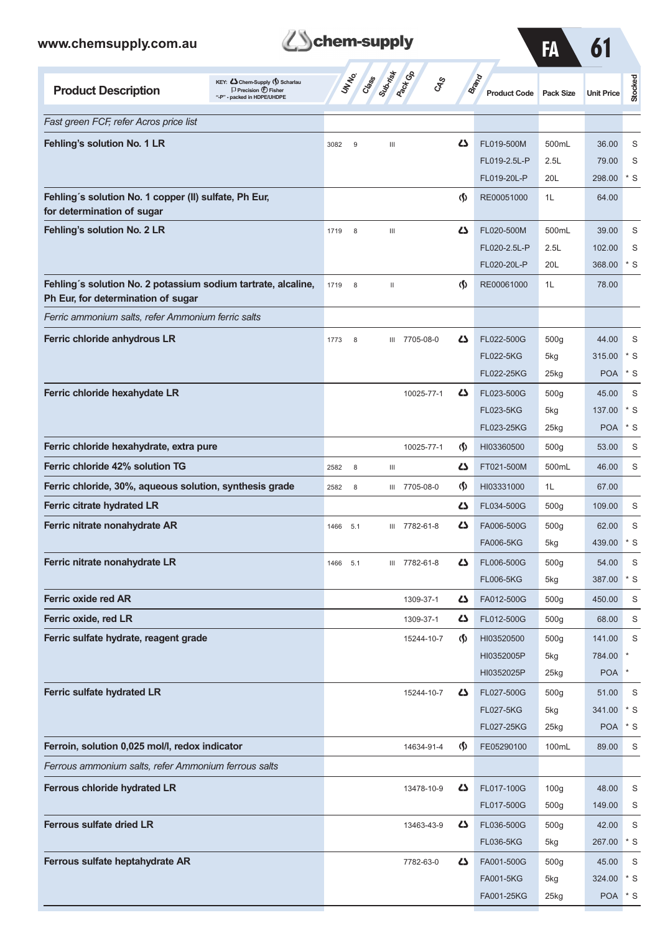

FA 61

| KEY: C Chem-Supply (5) Scharlau<br><b>Product Description</b><br>$\Box$ Precision $\bigoplus$ Fisher<br>"-P" - packed in HDPE/UHDPE | UN NO.<br>Creation | Sugarist<br><b>Pack</b> Ga<br><b>GRS</b> |                                    | <b>Brand</b><br><b>Product Code</b> | <b>Pack Size</b> | <b>Unit Price</b> | Stocked |
|-------------------------------------------------------------------------------------------------------------------------------------|--------------------|------------------------------------------|------------------------------------|-------------------------------------|------------------|-------------------|---------|
| Fast green FCF, refer Acros price list                                                                                              |                    |                                          |                                    |                                     |                  |                   |         |
| Fehling's solution No. 1 LR                                                                                                         | 3082<br>9          | Ш                                        | دے                                 | FL019-500M                          | 500mL            | 36.00             | S       |
|                                                                                                                                     |                    |                                          |                                    | FL019-2.5L-P                        | 2.5L             | 79.00             | S       |
|                                                                                                                                     |                    |                                          |                                    | FL019-20L-P                         | 20L              | 298.00            | $*$ S   |
| Fehling's solution No. 1 copper (II) sulfate, Ph Eur,<br>for determination of sugar                                                 |                    |                                          | $\langle \mathbf{\langle} \rangle$ | RE00051000                          | 1L               | 64.00             |         |
| Fehling's solution No. 2 LR                                                                                                         | 8<br>1719          | $\ensuremath{\mathsf{III}}\xspace$       | دے                                 | FL020-500M                          | 500mL            | 39.00             | S       |
|                                                                                                                                     |                    |                                          |                                    | FL020-2.5L-P                        | 2.5L             | 102.00            | S       |
|                                                                                                                                     |                    |                                          |                                    | FL020-20L-P                         | 20L              | 368.00            | * S     |
| Fehling's solution No. 2 potassium sodium tartrate, alcaline,<br>Ph Eur, for determination of sugar                                 | 1719<br>8          | $\mathbf{II}$                            | $\langle \mathbf{\S} \rangle$      | RE00061000                          | 1L               | 78.00             |         |
| Ferric ammonium salts, refer Ammonium ferric salts                                                                                  |                    |                                          |                                    |                                     |                  |                   |         |
| Ferric chloride anhydrous LR                                                                                                        | 1773<br>8          | 7705-08-0<br>Ш                           | دے                                 | FL022-500G                          | 500g             | 44.00             | S       |
|                                                                                                                                     |                    |                                          |                                    | <b>FL022-5KG</b>                    | 5kg              | 315.00            | * S     |
|                                                                                                                                     |                    |                                          |                                    | FL022-25KG                          | 25kg             | <b>POA</b>        | * S     |
| Ferric chloride hexahydate LR                                                                                                       |                    | 10025-77-1                               | دے                                 | FL023-500G                          | 500 <sub>g</sub> | 45.00             | S       |
|                                                                                                                                     |                    |                                          |                                    | <b>FL023-5KG</b>                    | 5kg              | 137.00            | * S     |
|                                                                                                                                     |                    |                                          |                                    | FL023-25KG                          | 25kg             | <b>POA</b>        | * S     |
| Ferric chloride hexahydrate, extra pure                                                                                             |                    | 10025-77-1                               | $\langle \mathbf{\langle} \rangle$ | HI03360500                          | 500g             | 53.00             | S       |
| Ferric chloride 42% solution TG                                                                                                     | 2582<br>8          | Ш                                        | دے                                 | FT021-500M                          | 500mL            | 46.00             | S       |
| Ferric chloride, 30%, aqueous solution, synthesis grade                                                                             | 8<br>2582          | 7705-08-0<br>Ш                           | $\Phi$                             | HI03331000                          | 1L               | 67.00             |         |
| <b>Ferric citrate hydrated LR</b>                                                                                                   |                    |                                          | دے                                 | FL034-500G                          | 500g             | 109.00            | S       |
| Ferric nitrate nonahydrate AR                                                                                                       | 1466<br>5.1        | 7782-61-8<br>Ш                           | دے                                 | FA006-500G                          | 500 <sub>g</sub> | 62.00             | S       |
|                                                                                                                                     |                    |                                          |                                    | <b>FA006-5KG</b>                    | 5kg              | 439.00            | * S     |
| Ferric nitrate nonahydrate LR                                                                                                       | 1466<br>5.1        | 7782-61-8<br>Ш                           | 45                                 | FL006-500G                          | 500g             | 54.00             | S       |
|                                                                                                                                     |                    |                                          |                                    | <b>FL006-5KG</b>                    | 5kg              | 387.00            | $*$ S   |
| Ferric oxide red AR                                                                                                                 |                    | 1309-37-1                                | 5                                  | FA012-500G                          | 500g             | 450.00            | S       |
| Ferric oxide, red LR                                                                                                                |                    | 1309-37-1                                | 5                                  | FL012-500G                          | 500g             | 68.00             | S       |
| Ferric sulfate hydrate, reagent grade                                                                                               |                    | 15244-10-7                               | $\Phi$                             | HI03520500                          | 500g             | 141.00            | S       |
|                                                                                                                                     |                    |                                          |                                    | HI0352005P                          | 5kg              | 784.00            | $\ast$  |
|                                                                                                                                     |                    |                                          |                                    | HI0352025P                          | 25kg             | <b>POA</b>        | *       |
| Ferric sulfate hydrated LR                                                                                                          |                    | 15244-10-7                               | 5                                  | FL027-500G                          | 500g             | 51.00             | S       |
|                                                                                                                                     |                    |                                          |                                    | <b>FL027-5KG</b>                    | 5kg              | 341.00            | $*$ S   |
|                                                                                                                                     |                    |                                          |                                    | FL027-25KG                          | 25kg             | <b>POA</b>        | * S     |
| Ferroin, solution 0,025 mol/l, redox indicator                                                                                      |                    | 14634-91-4                               | $\Phi$                             | FE05290100                          | 100mL            | 89.00             | S       |
| Ferrous ammonium salts, refer Ammonium ferrous salts                                                                                |                    |                                          |                                    |                                     |                  |                   |         |
| Ferrous chloride hydrated LR                                                                                                        |                    | 13478-10-9                               | 45                                 | FL017-100G                          | 100 <sub>g</sub> | 48.00             | S       |
|                                                                                                                                     |                    |                                          |                                    | FL017-500G                          | 500g             | 149.00            | S       |
| <b>Ferrous sulfate dried LR</b>                                                                                                     |                    | 13463-43-9                               | 5                                  | FL036-500G                          | 500g             | 42.00             | S       |
|                                                                                                                                     |                    |                                          |                                    | <b>FL036-5KG</b>                    | 5kg              | 267.00            | $*$ S   |
| Ferrous sulfate heptahydrate AR                                                                                                     |                    | 7782-63-0                                | 5                                  | FA001-500G                          | 500g             | 45.00             | S       |
|                                                                                                                                     |                    |                                          |                                    | <b>FA001-5KG</b>                    | 5kg              | 324.00            | * S     |
|                                                                                                                                     |                    |                                          |                                    | FA001-25KG                          | 25kg             | POA * S           |         |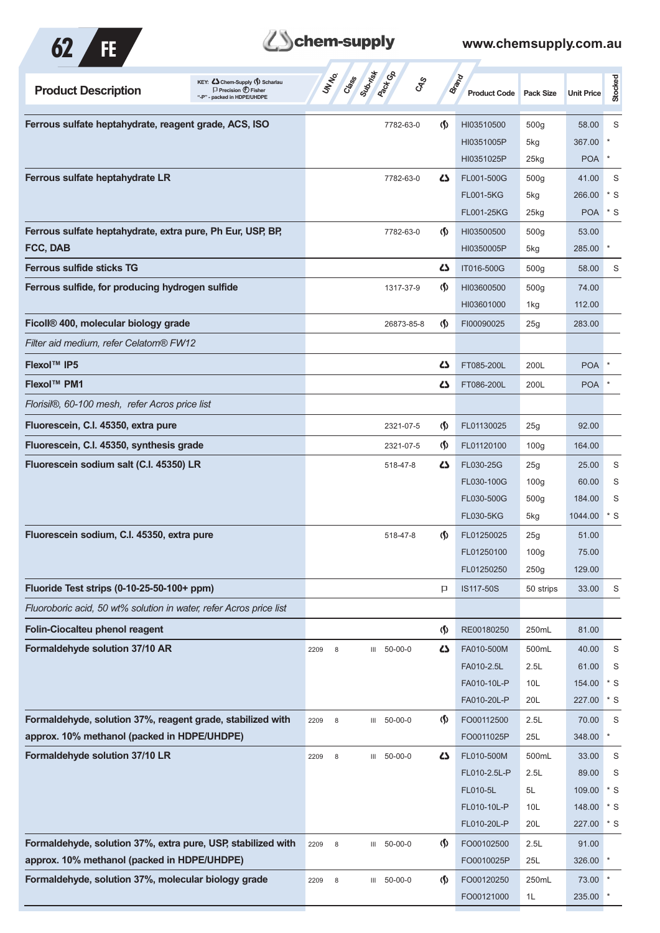

# **Them-supply**

| KEY: Cohem-Supply (5) Scharlau<br><b>Product Description</b><br>$\Box$ Precision $\bigoplus$ Fisher<br>"-P" - packed in HDPE/UHDPE | Subsition<br><b>Pack</b> Co<br><b>UNTER</b><br>Creeks | <b>GRS</b>                         | <b>Brand</b><br><b>Product Code</b> | <b>Pack Size</b> | <b>Unit Price</b> | Stocked        |
|------------------------------------------------------------------------------------------------------------------------------------|-------------------------------------------------------|------------------------------------|-------------------------------------|------------------|-------------------|----------------|
| Ferrous sulfate heptahydrate, reagent grade, ACS, ISO                                                                              | 7782-63-0                                             | $\Phi$                             | HI03510500                          | 500 <sub>g</sub> | 58.00             | S              |
|                                                                                                                                    |                                                       |                                    | HI0351005P                          | 5kg              | 367.00            |                |
|                                                                                                                                    |                                                       |                                    | HI0351025P                          | 25kg             | <b>POA</b>        |                |
| Ferrous sulfate heptahydrate LR                                                                                                    | 7782-63-0                                             | 45                                 | FL001-500G                          | 500 <sub>g</sub> | 41.00             | S              |
|                                                                                                                                    |                                                       |                                    | <b>FL001-5KG</b>                    | 5kg              | 266.00            | $*$ S          |
|                                                                                                                                    |                                                       |                                    | FL001-25KG                          | 25kg             | <b>POA</b>        | $*$ S          |
| Ferrous sulfate heptahydrate, extra pure, Ph Eur, USP, BP,                                                                         | 7782-63-0                                             | $\Phi$                             | HI03500500                          | 500 <sub>g</sub> | 53.00             |                |
| FCC, DAB                                                                                                                           |                                                       |                                    | HI0350005P                          | 5kg              | 285.00            |                |
| <b>Ferrous sulfide sticks TG</b>                                                                                                   |                                                       | دے                                 | IT016-500G                          | 500q             | 58.00             | S              |
| Ferrous sulfide, for producing hydrogen sulfide                                                                                    | 1317-37-9                                             | $\langle \mathbf{\langle} \rangle$ | HI03600500                          | 500 <sub>g</sub> | 74.00             |                |
|                                                                                                                                    |                                                       |                                    | HI03601000                          | 1kg              | 112.00            |                |
| Ficoll® 400, molecular biology grade                                                                                               | 26873-85-8                                            | $\langle \mathsf{S} \rangle$       | FI00090025                          | 25g              | 283.00            |                |
| Filter aid medium, refer Celatom® FW12                                                                                             |                                                       |                                    |                                     |                  |                   |                |
| <b>Flexol™ IP5</b>                                                                                                                 |                                                       | دے                                 | FT085-200L                          | 200L             | <b>POA</b>        |                |
| Flexol™ PM1                                                                                                                        |                                                       | 45                                 | FT086-200L                          | 200L             | <b>POA</b>        |                |
| Florisil®, 60-100 mesh, refer Acros price list                                                                                     |                                                       |                                    |                                     |                  |                   |                |
| Fluorescein, C.I. 45350, extra pure                                                                                                | 2321-07-5                                             | $\langle \mathbf{\langle} \rangle$ | FL01130025                          | 25g              | 92.00             |                |
| Fluorescein, C.I. 45350, synthesis grade                                                                                           | 2321-07-5                                             | $\langle \mathbf{\langle} \rangle$ | FL01120100                          | 100 <sub>g</sub> | 164.00            |                |
| Fluorescein sodium salt (C.I. 45350) LR                                                                                            | 518-47-8                                              | 45                                 | FL030-25G                           | 25g              | 25.00             | S              |
|                                                                                                                                    |                                                       |                                    | FL030-100G                          | 100 <sub>g</sub> | 60.00             | S              |
|                                                                                                                                    |                                                       |                                    | FL030-500G                          | 500 <sub>g</sub> | 184.00            | S              |
|                                                                                                                                    |                                                       |                                    | <b>FL030-5KG</b>                    | 5kg              | 1044.00           | $*$ S          |
| Fluorescein sodium, C.I. 45350, extra pure                                                                                         | 518-47-8                                              | $\Phi$                             | FL01250025                          | 25g              | 51.00             |                |
|                                                                                                                                    |                                                       |                                    | FL01250100                          | 100g             | 75.00             |                |
|                                                                                                                                    |                                                       |                                    | FL01250250                          | 250g             | 129.00            |                |
| Fluoride Test strips (0-10-25-50-100+ ppm)                                                                                         |                                                       | P                                  | IS117-50S                           | 50 strips        | 33.00             | S              |
| Fluoroboric acid, 50 wt% solution in water, refer Acros price list                                                                 |                                                       |                                    |                                     |                  |                   |                |
| <b>Folin-Ciocalteu phenol reagent</b>                                                                                              |                                                       | $\langle \mathsf{S} \rangle$       | RE00180250                          | 250mL            | 81.00             |                |
| Formaldehyde solution 37/10 AR                                                                                                     | III 50-00-0<br>2209<br>8                              | 4                                  | FA010-500M                          | 500mL            | 40.00             | S              |
|                                                                                                                                    |                                                       |                                    | FA010-2.5L                          | 2.5L             | 61.00             | S              |
|                                                                                                                                    |                                                       |                                    | FA010-10L-P                         | 10L              | 154.00            | $*$ S          |
|                                                                                                                                    |                                                       |                                    | FA010-20L-P                         | 20L              | 227.00            | $*$ S          |
| Formaldehyde, solution 37%, reagent grade, stabilized with                                                                         | III 50-00-0<br>2209<br>8                              | $\langle \mathbf{\langle} \rangle$ | FO00112500                          | 2.5L             | 70.00             | $\mathsf S$    |
| approx. 10% methanol (packed in HDPE/UHDPE)                                                                                        |                                                       |                                    | FO0011025P                          | 25L              | 348.00            | $\ast$         |
| Formaldehyde solution 37/10 LR                                                                                                     | III 50-00-0<br>2209<br>8                              | 45                                 | FL010-500M                          | 500mL            | 33.00             | S              |
|                                                                                                                                    |                                                       |                                    | FL010-2.5L-P                        | 2.5L             | 89.00             | S              |
|                                                                                                                                    |                                                       |                                    | FL010-5L<br>FL010-10L-P             | 5L<br>10L        | 109.00<br>148.00  | $*$ S<br>$*$ S |
|                                                                                                                                    |                                                       |                                    | FL010-20L-P                         | 20L              | 227.00            | $*$ S          |
| Formaldehyde, solution 37%, extra pure, USP, stabilized with                                                                       | 2209<br>8<br>50-00-0<br>III                           | $\Phi$                             | FO00102500                          | 2.5L             | 91.00             |                |
| approx. 10% methanol (packed in HDPE/UHDPE)                                                                                        |                                                       |                                    | FO0010025P                          | 25L              | 326.00            | $\ast$         |
| Formaldehyde, solution 37%, molecular biology grade                                                                                | III 50-00-0<br>2209<br>$\,$ 8 $\,$                    | $\langle \mathbf{\S} \rangle$      | FO00120250                          | 250mL            | 73.00             |                |
|                                                                                                                                    |                                                       |                                    | FO00121000                          | 1L               | 235.00            |                |
|                                                                                                                                    |                                                       |                                    |                                     |                  |                   |                |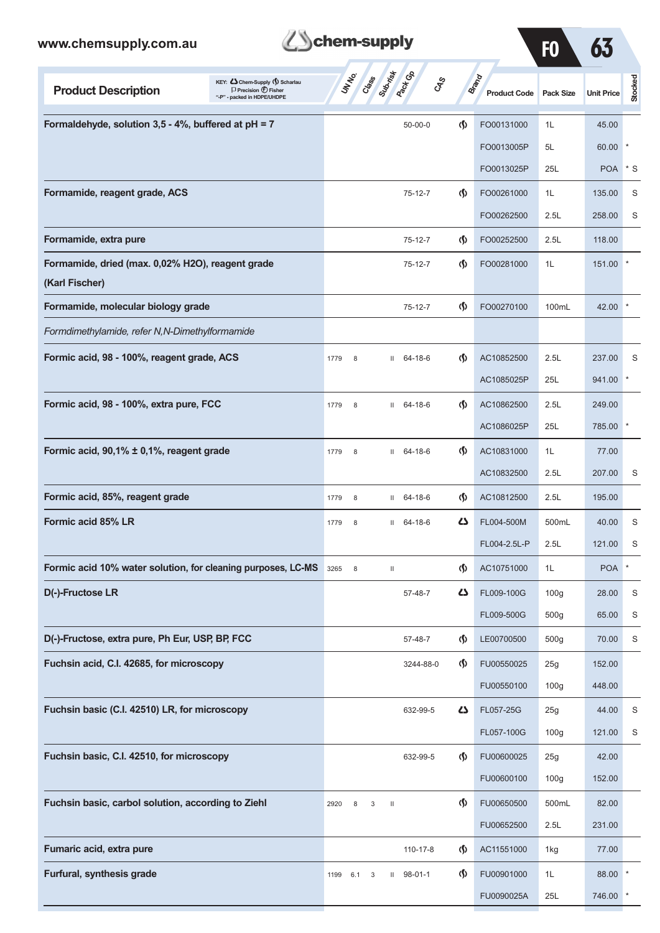| <b>Z</b> Schem-supply |
|-----------------------|
|                       |

| www.chemsupply.com.au                                                                                                            | chem-supply                                     |                                       |                                     | F <sub>0</sub>   |                   |                |
|----------------------------------------------------------------------------------------------------------------------------------|-------------------------------------------------|---------------------------------------|-------------------------------------|------------------|-------------------|----------------|
| KEY: Chem-Supply () Scharlau<br><b>Product Description</b><br>$\Box$ Precision $\bigoplus$ Fisher<br>"-P" - packed in HDPE/UHDPE | Submist<br><b>STATE</b><br>Creeks<br><b>CAS</b> |                                       | <b>Brand</b><br><b>Product Code</b> | <b>Pack Size</b> | <b>Unit Price</b> | <b>Stocked</b> |
| Formaldehyde, solution $3,5$ - 4%, buffered at pH = 7                                                                            | $50 - 00 - 0$                                   | $\langle \mathbf{\langle} \rangle$    | FO00131000                          | 1L               | 45.00             |                |
|                                                                                                                                  |                                                 |                                       | FO0013005P                          | 5L               | 60.00             |                |
|                                                                                                                                  |                                                 |                                       | FO0013025P                          | 25L              | <b>POA</b>        | $*$ S          |
| Formamide, reagent grade, ACS                                                                                                    | 75-12-7                                         | $\langle \mathbf{\S} \rangle$         | FO00261000                          | 1L               | 135.00            | S              |
|                                                                                                                                  |                                                 |                                       | FO00262500                          | 2.5L             | 258.00            | S              |
| Formamide, extra pure                                                                                                            | 75-12-7                                         | $\langle \mathbf{\S} \rangle$         | FO00252500                          | 2.5L             | 118.00            |                |
| Formamide, dried (max. 0,02% H2O), reagent grade<br>(Karl Fischer)                                                               | 75-12-7                                         | $\langle \mathbf{\S} \rangle$         | FO00281000                          | 1L               | 151.00            |                |
| Formamide, molecular biology grade                                                                                               | 75-12-7                                         | $\spadesuit$                          | FO00270100                          | 100mL            | 42.00             |                |
| Formdimethylamide, refer N,N-Dimethylformamide                                                                                   |                                                 |                                       |                                     |                  |                   |                |
| Formic acid, 98 - 100%, reagent grade, ACS                                                                                       | $II$ 64-18-6<br>1779<br>8                       | $\langle \mathbf{\langle} \rangle$    | AC10852500                          | 2.5L             | 237.00            | S              |
|                                                                                                                                  |                                                 |                                       | AC1085025P                          | 25L              | 941.00            | *              |
| Formic acid, 98 - 100%, extra pure, FCC                                                                                          | $II$ 64-18-6<br>1779<br>8                       | $\langle \mathbf{\S} \rangle$         | AC10862500                          | 2.5L             | 249.00            |                |
|                                                                                                                                  |                                                 |                                       | AC1086025P                          | 25L              | 785.00            |                |
| Formic acid, 90,1% ± 0,1%, reagent grade                                                                                         | $II$ 64-18-6<br>1779<br>8                       | $\langle \mathbf{\S} \rangle$         | AC10831000                          | 1L               | 77.00             |                |
|                                                                                                                                  |                                                 |                                       | AC10832500                          | 2.5L             | 207.00            | S              |
| Formic acid, 85%, reagent grade                                                                                                  | $II$ 64-18-6<br>1779<br>8                       | $\langle \mathbf{\S} \rangle$         | AC10812500                          | 2.5L             | 195.00            |                |
| Formic acid 85% LR                                                                                                               | $11 \quad 64-18-6$<br>8<br>1779                 | 47                                    | FL004-500M                          | 500mL            | 40.00             | S              |
|                                                                                                                                  |                                                 |                                       | FL004-2.5L-P                        | 2.5L             | 121.00            | S              |
| Formic acid 10% water solution, for cleaning purposes, LC-MS 3265 8                                                              | $\mathbf{H}$                                    | $\langle \mathbf{\hat{y}} \rangle$    | AC10751000                          | 1L               | POA <sup>*</sup>  |                |
| D(-)-Fructose LR                                                                                                                 | 57-48-7                                         | 4                                     | FL009-100G                          | 100 <sub>g</sub> | 28.00             | S              |
|                                                                                                                                  |                                                 |                                       | FL009-500G                          | 500 <sub>g</sub> | 65.00             | S              |
| D(-)-Fructose, extra pure, Ph Eur, USP, BP, FCC                                                                                  | 57-48-7                                         | $\langle \mathbf{\S} \rangle$         | LE00700500                          | 500 <sub>g</sub> | 70.00             | S              |
| Fuchsin acid, C.I. 42685, for microscopy                                                                                         | 3244-88-0                                       | $\Phi$                                | FU00550025                          | 25g              | 152.00            |                |
|                                                                                                                                  |                                                 |                                       | FU00550100                          | 100 <sub>g</sub> | 448.00            |                |
| Fuchsin basic (C.I. 42510) LR, for microscopy                                                                                    | 632-99-5                                        | 47                                    | FL057-25G                           | 25g              | 44.00             | S              |
|                                                                                                                                  |                                                 |                                       | FL057-100G                          | 100 <sub>g</sub> | 121.00            | S              |
| Fuchsin basic, C.I. 42510, for microscopy                                                                                        | 632-99-5                                        | $\Phi$                                | FU00600025                          | 25g              | 42.00             |                |
|                                                                                                                                  |                                                 |                                       | FU00600100                          | 100 <sub>g</sub> | 152.00            |                |
| Fuchsin basic, carbol solution, according to Ziehl                                                                               | 2920<br>8<br>3<br>$\mathbf{H}$                  | $\langle \mathbf{\S} \rangle$         | FU00650500                          | 500mL            | 82.00             |                |
|                                                                                                                                  |                                                 |                                       | FU00652500                          | 2.5L             | 231.00            |                |
| Fumaric acid, extra pure                                                                                                         | 110-17-8                                        | $\langle \mathbf{\S} \rangle$         | AC11551000                          | 1kg              | 77.00             |                |
| Furfural, synthesis grade                                                                                                        | $11$ 98-01-1<br>1199<br>6.1<br>3                | $\langle \mathbf{\mathbf{r}} \rangle$ | FU00901000                          | 1L               | 88.00             |                |
|                                                                                                                                  |                                                 |                                       | FU0090025A                          | 25L              | 746.00 *          |                |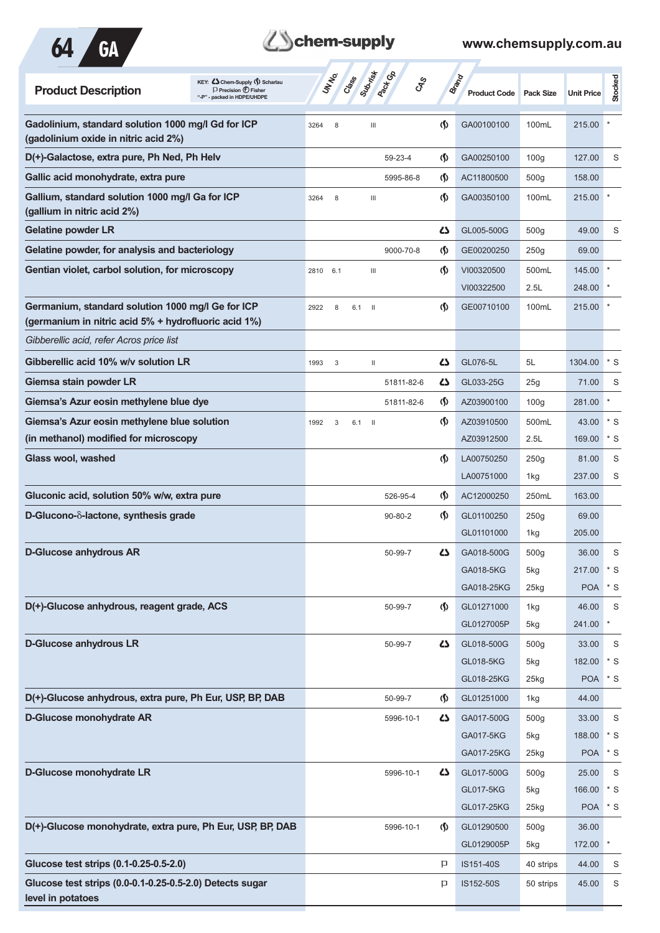

## **Z**Schem-supply

| KEY: Cohem-Supply (5) Scharlau<br><b>Product Description</b><br>$\Box$ Precision $\bigoplus$ Fisher<br>backed in HDPE/UHDPE | Submist<br><b>Pact GA</b><br>UNINO<br>Crass<br><b>GRS</b> |                                    | <b>Brand</b><br><b>Product Code</b> | <b>Pack Size</b> | <b>Unit Price</b> | <b>Stocked</b> |
|-----------------------------------------------------------------------------------------------------------------------------|-----------------------------------------------------------|------------------------------------|-------------------------------------|------------------|-------------------|----------------|
| Gadolinium, standard solution 1000 mg/l Gd for ICP<br>(gadolinium oxide in nitric acid 2%)                                  | $\mathbf{III}$<br>3264<br>8                               | $\langle \mathsf{S} \rangle$       | GA00100100                          | 100mL            | 215.00            |                |
| D(+)-Galactose, extra pure, Ph Ned, Ph Helv                                                                                 | 59-23-4                                                   | $\langle \mathbf{\S} \rangle$      | GA00250100                          | 100q             | 127.00            | S              |
| Gallic acid monohydrate, extra pure                                                                                         | 5995-86-8                                                 | $\langle \mathbf{\langle} \rangle$ | AC11800500                          | 500 <sub>g</sub> | 158.00            |                |
| Gallium, standard solution 1000 mg/l Ga for ICP<br>(gallium in nitric acid 2%)                                              | 3264<br>8<br>$\mathop{\mathsf{III}}\nolimits$             | $\langle \mathbf{\S} \rangle$      | GA00350100                          | 100mL            | 215.00            |                |
| <b>Gelatine powder LR</b>                                                                                                   |                                                           | ひ                                  | GL005-500G                          | 500 <sub>g</sub> | 49.00             | S              |
| Gelatine powder, for analysis and bacteriology                                                                              | 9000-70-8                                                 | $\langle \mathbf{\langle} \rangle$ | GE00200250                          | 250g             | 69.00             |                |
| Gentian violet, carbol solution, for microscopy                                                                             | 2810<br>6.1<br>$\mathop{\mathsf{III}}\nolimits$           | $\langle \mathbf{\S} \rangle$      | VI00320500<br>VI00322500            | 500mL<br>2.5L    | 145.00<br>248.00  |                |
| Germanium, standard solution 1000 mg/l Ge for ICP<br>(germanium in nitric acid 5% + hydrofluoric acid 1%)                   | 2922<br>8<br>6.1<br>- II                                  | $\langle \mathbf{\langle}$         | GE00710100                          | 100mL            | 215.00            |                |
| Gibberellic acid, refer Acros price list                                                                                    |                                                           |                                    |                                     |                  |                   |                |
| Gibberellic acid 10% w/v solution LR                                                                                        | 1993<br>3<br>$\mathbf{H}$                                 | دے                                 | GL076-5L                            | 5L               | 1304.00           | $*$ S          |
| Giemsa stain powder LR                                                                                                      | 51811-82-6                                                | ひ                                  | GL033-25G                           | 25g              | 71.00             | S              |
| Giemsa's Azur eosin methylene blue dye                                                                                      | 51811-82-6                                                | $\langle \mathbf{\hat{y}} \rangle$ | AZ03900100                          | 100 <sub>g</sub> | 281.00            | $\ast$         |
| Giemsa's Azur eosin methylene blue solution                                                                                 | 1992<br>3<br>6.1<br>- 11                                  | $\langle \mathbf{\langle} \rangle$ | AZ03910500                          | 500mL            | 43.00             | $*$ S          |
| (in methanol) modified for microscopy                                                                                       |                                                           |                                    | AZ03912500                          | 2.5L             | 169.00            | $*$ S          |
| Glass wool, washed                                                                                                          |                                                           | $\langle \mathbf{\S} \rangle$      | LA00750250                          | 250g             | 81.00             | S              |
|                                                                                                                             |                                                           |                                    | LA00751000                          | 1kg              | 237.00            | S              |
| Gluconic acid, solution 50% w/w, extra pure                                                                                 | 526-95-4                                                  | $\langle \mathbf{\S} \rangle$      | AC12000250                          | 250mL            | 163.00            |                |
| D-Glucono- $\delta$ -lactone, synthesis grade                                                                               | $90 - 80 - 2$                                             | $\langle \mathbf{\S} \rangle$      | GL01100250                          | 250g             | 69.00             |                |
|                                                                                                                             |                                                           |                                    | GL01101000                          | 1kg              | 205.00            |                |
| <b>D-Glucose anhydrous AR</b>                                                                                               | 50-99-7                                                   | 47                                 | GA018-500G                          | 500 <sub>g</sub> | 36.00             | S              |
|                                                                                                                             |                                                           |                                    | GA018-5KG                           | 5kg              | 217.00            | $*$ S          |
|                                                                                                                             |                                                           |                                    | GA018-25KG                          | 25kg             | <b>POA</b>        | $*$ S          |
| D(+)-Glucose anhydrous, reagent grade, ACS                                                                                  | 50-99-7                                                   | $\langle \mathbf{\langle} \rangle$ | GL01271000                          | 1kg              | 46.00             | $\mathsf S$    |
|                                                                                                                             |                                                           |                                    | GL0127005P                          | 5kg              | 241.00            | $\ast$         |
| <b>D-Glucose anhydrous LR</b>                                                                                               | 50-99-7                                                   | 5                                  | GL018-500G                          | 500 <sub>g</sub> | 33.00             | $\mathsf S$    |
|                                                                                                                             |                                                           |                                    | GL018-5KG<br>GL018-25KG             | 5kg<br>25kg      | 182.00<br>POA * S | $*$ S          |
| D(+)-Glucose anhydrous, extra pure, Ph Eur, USP, BP, DAB                                                                    | 50-99-7                                                   | $\langle \mathbf{\hat{y}} \rangle$ | GL01251000                          | 1kg              | 44.00             |                |
| <b>D-Glucose monohydrate AR</b>                                                                                             | 5996-10-1                                                 | 4                                  | GA017-500G                          | 500 <sub>g</sub> | 33.00             | $\mathsf S$    |
|                                                                                                                             |                                                           |                                    | GA017-5KG                           | 5kg              | 188.00            | $*$ S          |
|                                                                                                                             |                                                           |                                    | GA017-25KG                          | 25kg             | <b>POA</b>        | $*$ S          |
| D-Glucose monohydrate LR                                                                                                    | 5996-10-1                                                 | 4                                  | GL017-500G                          | 500 <sub>g</sub> | 25.00             | S              |
|                                                                                                                             |                                                           |                                    | GL017-5KG                           | 5kg              | 166.00            | $*$ S          |
|                                                                                                                             |                                                           |                                    | GL017-25KG                          | 25kg             | <b>POA</b>        | $^\ast$ S      |
| D(+)-Glucose monohydrate, extra pure, Ph Eur, USP, BP, DAB                                                                  | 5996-10-1                                                 | $\langle \mathbf{\langle} \rangle$ | GL01290500                          | 500 <sub>g</sub> | 36.00             |                |
|                                                                                                                             |                                                           |                                    | GL0129005P                          | 5kg              | 172.00            | $\ast$         |
| Glucose test strips (0.1-0.25-0.5-2.0)                                                                                      |                                                           | P                                  | IS151-40S                           | 40 strips        | 44.00             | S              |
| Glucose test strips (0.0-0.1-0.25-0.5-2.0) Detects sugar<br>level in potatoes                                               |                                                           | P                                  | IS152-50S                           | 50 strips        | 45.00             | S              |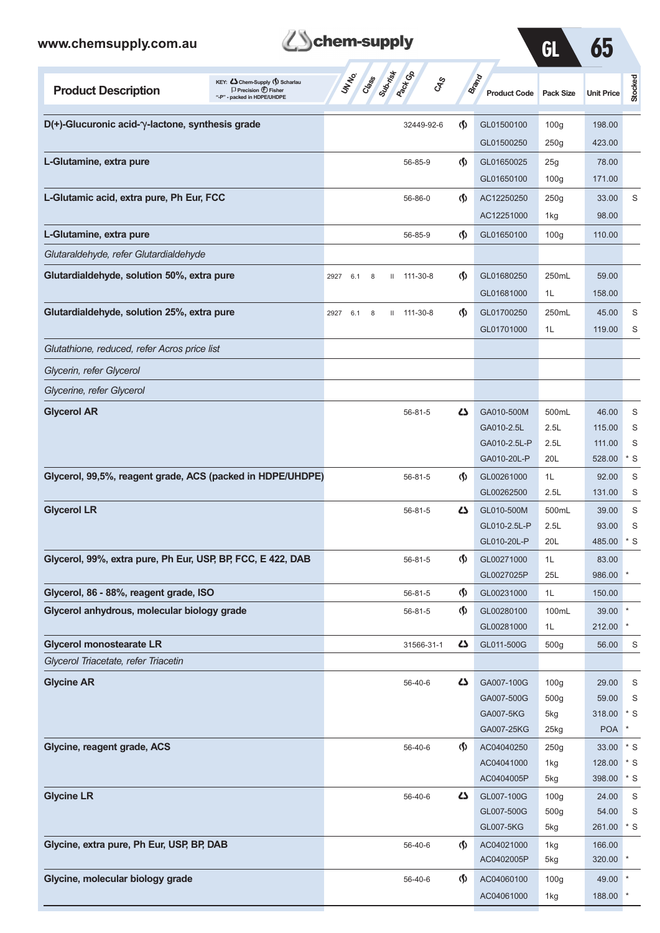| www.chemsupply.com.au                                                                                                            | chem-supply                                                             |                                    |                              | GL               | 65                   |                          |
|----------------------------------------------------------------------------------------------------------------------------------|-------------------------------------------------------------------------|------------------------------------|------------------------------|------------------|----------------------|--------------------------|
| KEY: Chem-Supply () Scharlau<br><b>Product Description</b><br>$\Box$ Precision $\bigoplus$ Fisher<br>"-P" - packed in HDPE/UHDPE | Subsition<br><b>Pack</b> CR<br>UN NO.<br>Crass<br>$c_{X}^{\mathcal{S}}$ |                                    | Brand<br><b>Product Code</b> | <b>Pack Size</b> | <b>Unit Price</b>    | Stocked                  |
| $D(+)$ -Glucuronic acid- $\gamma$ -lactone, synthesis grade                                                                      | 32449-92-6                                                              | $\langle \mathbf{\langle} \rangle$ | GL01500100                   | 100 <sub>g</sub> | 198.00               |                          |
|                                                                                                                                  |                                                                         |                                    | GL01500250                   | 250g             | 423.00               |                          |
| L-Glutamine, extra pure                                                                                                          | 56-85-9                                                                 | $\langle \mathbf{\langle} \rangle$ | GL01650025                   | 25g              | 78.00                |                          |
|                                                                                                                                  |                                                                         |                                    | GL01650100                   | 100 <sub>g</sub> | 171.00               |                          |
| L-Glutamic acid, extra pure, Ph Eur, FCC                                                                                         | 56-86-0                                                                 | $\langle \mathbf{\langle} \rangle$ | AC12250250                   | 250g             | 33.00                | S                        |
|                                                                                                                                  |                                                                         |                                    | AC12251000                   | 1kg              | 98.00                |                          |
| L-Glutamine, extra pure                                                                                                          | 56-85-9                                                                 | (§)                                | GL01650100                   | 100 <sub>g</sub> | 110.00               |                          |
| Glutaraldehyde, refer Glutardialdehyde                                                                                           |                                                                         |                                    |                              |                  |                      |                          |
| Glutardialdehyde, solution 50%, extra pure                                                                                       | 111-30-8<br>6.1<br>2927<br>8<br>Ш                                       | $\langle \mathbf{\langle} \rangle$ | GL01680250                   | 250mL            | 59.00                |                          |
|                                                                                                                                  |                                                                         |                                    | GL01681000                   | 1L               | 158.00               |                          |
| Glutardialdehyde, solution 25%, extra pure                                                                                       | 111-30-8<br>2927<br>6.1<br>$\mathbf{H}$<br>8                            | $\langle \mathbf{\langle} \rangle$ | GL01700250                   | 250mL            | 45.00                | S                        |
|                                                                                                                                  |                                                                         |                                    | GL01701000                   | 1L               | 119.00               | S                        |
| Glutathione, reduced, refer Acros price list                                                                                     |                                                                         |                                    |                              |                  |                      |                          |
| Glycerin, refer Glycerol                                                                                                         |                                                                         |                                    |                              |                  |                      |                          |
| Glycerine, refer Glycerol                                                                                                        |                                                                         |                                    |                              |                  |                      |                          |
| <b>Glycerol AR</b>                                                                                                               | $56 - 81 - 5$                                                           | <b>45</b>                          | GA010-500M                   | 500mL            | 46.00                | S                        |
|                                                                                                                                  |                                                                         |                                    | GA010-2.5L                   | 2.5L             | 115.00               | S                        |
|                                                                                                                                  |                                                                         |                                    | GA010-2.5L-P                 | 2.5L             | 111.00               | S                        |
|                                                                                                                                  |                                                                         |                                    | GA010-20L-P                  | 20L              | 528.00               | $*$ S                    |
| Glycerol, 99,5%, reagent grade, ACS (packed in HDPE/UHDPE)                                                                       | $56 - 81 - 5$                                                           | $\langle \mathbf{\S} \rangle$      | GL00261000                   | 1L               | 92.00                | S                        |
|                                                                                                                                  |                                                                         |                                    | GL00262500                   | 2.5L             | 131.00               | S                        |
| <b>Glycerol LR</b>                                                                                                               | $56 - 81 - 5$                                                           | Ω                                  | GL010-500M<br>GL010-2.5L-P   | 500mL<br>2.5L    | 39.00                | S<br>S                   |
|                                                                                                                                  |                                                                         |                                    | GL010-20L-P                  | 20L              | 93.00<br>485.00      | $^*$ S                   |
| Glycerol, 99%, extra pure, Ph Eur, USP, BP, FCC, E 422, DAB                                                                      | $56 - 81 - 5$                                                           | $\langle \mathbf{\S} \rangle$      | GL00271000                   | 1L               | 83.00                |                          |
|                                                                                                                                  |                                                                         |                                    | GL0027025P                   | 25L              | 986.00               |                          |
| Glycerol, 86 - 88%, reagent grade, ISO                                                                                           | $56 - 81 - 5$                                                           | $\langle \mathsf{S} \rangle$       | GL00231000                   | 1L               | 150.00               |                          |
| Glycerol anhydrous, molecular biology grade                                                                                      | 56-81-5                                                                 | $\langle \mathbf{\S} \rangle$      | GL00280100                   | 100mL            | $39.00$ *            |                          |
|                                                                                                                                  |                                                                         |                                    | GL00281000                   | 1L               | 212.00 *             |                          |
| <b>Glycerol monostearate LR</b>                                                                                                  | 31566-31-1                                                              | 5                                  | GL011-500G                   | 500g             | 56.00                | S                        |
| Glycerol Triacetate, refer Triacetin                                                                                             |                                                                         |                                    |                              |                  |                      |                          |
| <b>Glycine AR</b>                                                                                                                | 56-40-6                                                                 | 45                                 | GA007-100G                   | 100 <sub>g</sub> | 29.00                | S                        |
|                                                                                                                                  |                                                                         |                                    | GA007-500G                   | 500g             | 59.00                | S                        |
|                                                                                                                                  |                                                                         |                                    | GA007-5KG                    | 5kg              | 318.00<br><b>POA</b> | $\mathbf{S}^*$<br>$\ast$ |
|                                                                                                                                  |                                                                         |                                    | GA007-25KG                   | 25kg             |                      |                          |
| Glycine, reagent grade, ACS                                                                                                      | 56-40-6                                                                 | $\langle \mathbf{\langle} \rangle$ | AC04040250<br>AC04041000     | 250g<br>1kg      | 33.00<br>128.00      | $\cdot$ s<br>$*$ S       |
|                                                                                                                                  |                                                                         |                                    | AC0404005P                   | 5kg              | 398.00               | $*$ S                    |
| <b>Glycine LR</b>                                                                                                                | 56-40-6                                                                 | 4                                  | GL007-100G                   | 100 <sub>g</sub> | 24.00                | S                        |
|                                                                                                                                  |                                                                         |                                    | GL007-500G                   | 500g             | 54.00                | S                        |
|                                                                                                                                  |                                                                         |                                    | GL007-5KG                    | 5kg              | 261.00 * S           |                          |
| Glycine, extra pure, Ph Eur, USP, BP, DAB                                                                                        | 56-40-6                                                                 | $\mathcal{S}$                      | AC04021000                   | 1kg              | 166.00               |                          |
|                                                                                                                                  |                                                                         |                                    | AC0402005P                   | 5kg              | 320.00 *             |                          |
| Glycine, molecular biology grade                                                                                                 | 56-40-6                                                                 | $\langle \mathbf{\S} \rangle$      | AC04060100                   | 100 <sub>g</sub> | 49.00 *              |                          |

AC04061000 1kg 188.00 \*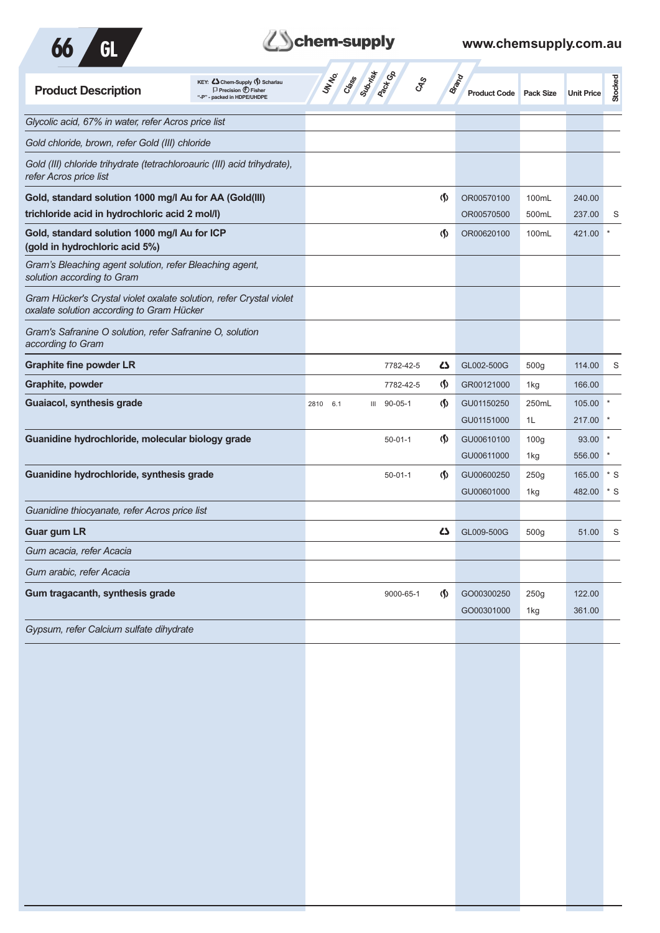

# **Zohem-supply** www.chemsupply.com.au

| <b>Product Description</b>                                                                                       | KEY: Cohem-Supply (5) Scharlau<br>$\Box$ Precision $\bigoplus$ Fisher<br>"-P" - packed in HDPE/UHDPE |             | <b>ST Class State Co.</b> | <b>CAS</b>                 | <b>Brand</b><br><b>Product Code</b> Pack Size |                  | <b>Unit Price</b> | Stocked |
|------------------------------------------------------------------------------------------------------------------|------------------------------------------------------------------------------------------------------|-------------|---------------------------|----------------------------|-----------------------------------------------|------------------|-------------------|---------|
| Glycolic acid, 67% in water, refer Acros price list                                                              |                                                                                                      |             |                           |                            |                                               |                  |                   |         |
| Gold chloride, brown, refer Gold (III) chloride                                                                  |                                                                                                      |             |                           |                            |                                               |                  |                   |         |
| Gold (III) chloride trihydrate (tetrachloroauric (III) acid trihydrate),<br>refer Acros price list               |                                                                                                      |             |                           |                            |                                               |                  |                   |         |
| Gold, standard solution 1000 mg/l Au for AA (Gold(III)                                                           |                                                                                                      |             |                           | (\$)                       | OR00570100                                    | 100mL            | 240.00            |         |
| trichloride acid in hydrochloric acid 2 mol/l)                                                                   |                                                                                                      |             |                           |                            | OR00570500                                    | 500mL            | 237.00            | S       |
| Gold, standard solution 1000 mg/l Au for ICP<br>(gold in hydrochloric acid 5%)                                   |                                                                                                      |             |                           | (\$)                       | OR00620100                                    | 100mL            | 421.00            |         |
| Gram's Bleaching agent solution, refer Bleaching agent,<br>solution according to Gram                            |                                                                                                      |             |                           |                            |                                               |                  |                   |         |
| Gram Hücker's Crystal violet oxalate solution, refer Crystal violet<br>oxalate solution according to Gram Hücker |                                                                                                      |             |                           |                            |                                               |                  |                   |         |
| Gram's Safranine O solution, refer Safranine O, solution<br>according to Gram                                    |                                                                                                      |             |                           |                            |                                               |                  |                   |         |
| <b>Graphite fine powder LR</b>                                                                                   |                                                                                                      |             | 7782-42-5                 | ひ                          | GL002-500G                                    | 500g             | 114.00            | S       |
| Graphite, powder                                                                                                 |                                                                                                      |             | 7782-42-5                 | (∮)                        | GR00121000                                    | 1kg              | 166.00            |         |
| Guaiacol, synthesis grade                                                                                        |                                                                                                      | 2810<br>6.1 | $90 - 05 - 1$<br>Ш        | (\$)                       | GU01150250                                    | 250mL            | 105.00            |         |
|                                                                                                                  |                                                                                                      |             |                           |                            | GU01151000                                    | 1L               | 217.00            |         |
| Guanidine hydrochloride, molecular biology grade                                                                 |                                                                                                      |             | $50 - 01 - 1$             | (\$)                       | GU00610100                                    | 100 <sub>g</sub> | 93.00             |         |
|                                                                                                                  |                                                                                                      |             |                           |                            | GU00611000                                    | 1kg              | 556.00            |         |
| Guanidine hydrochloride, synthesis grade                                                                         |                                                                                                      |             | $50 - 01 - 1$             | $\langle \mathbf{\langle}$ | GU00600250                                    | 250g             | 165.00            | $*$ S   |
|                                                                                                                  |                                                                                                      |             |                           |                            | GU00601000                                    | 1kg              | 482.00            | * S     |
| Guanidine thiocyanate, refer Acros price list                                                                    |                                                                                                      |             |                           |                            |                                               |                  |                   |         |
| <b>Guar gum LR</b>                                                                                               |                                                                                                      |             |                           | دے                         | GL009-500G                                    | 500g             | 51.00             | S       |
| Gum acacia, refer Acacia                                                                                         |                                                                                                      |             |                           |                            |                                               |                  |                   |         |
| Gum arabic, refer Acacia                                                                                         |                                                                                                      |             |                           |                            |                                               |                  |                   |         |
| Gum tragacanth, synthesis grade                                                                                  |                                                                                                      |             | 9000-65-1                 | (∮)                        | GO00300250                                    | 250g             | 122.00            |         |
|                                                                                                                  |                                                                                                      |             |                           |                            | GO00301000                                    | 1kg              | 361.00            |         |
| Gypsum, refer Calcium sulfate dihydrate                                                                          |                                                                                                      |             |                           |                            |                                               |                  |                   |         |
|                                                                                                                  |                                                                                                      |             |                           |                            |                                               |                  |                   |         |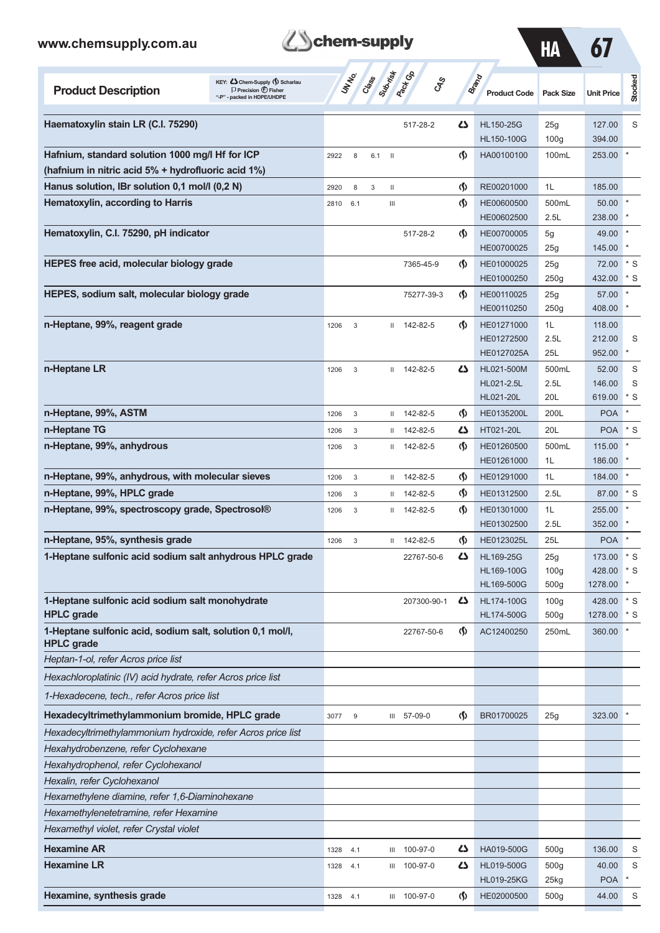| www.chemsupply.com.au                                                                                                              | chem-supply |                  |                       |                              |                                    |                                        | <b>HA</b>                                   | 67                          |                     |
|------------------------------------------------------------------------------------------------------------------------------------|-------------|------------------|-----------------------|------------------------------|------------------------------------|----------------------------------------|---------------------------------------------|-----------------------------|---------------------|
| KEY: Cohem-Supply (5) Scharlau<br><b>Product Description</b><br>$\Box$ Precision $\bigoplus$ Fisher<br>"-P" - packed in HDPE/UHDPE |             | UN NO.<br>Class  | Subsition             | <b>Pack</b> Go<br><b>GRS</b> |                                    | <b>Brand</b><br><b>Product Code</b>    | <b>Pack Size</b>                            | <b>Unit Price</b>           | Stocked             |
| Haematoxylin stain LR (C.I. 75290)                                                                                                 |             |                  |                       | 517-28-2                     | دے                                 | <b>HL150-25G</b><br><b>HL150-100G</b>  | 25g<br>100 <sub>g</sub>                     | 127.00<br>394.00            | S                   |
| Hafnium, standard solution 1000 mg/l Hf for ICP<br>(hafnium in nitric acid 5% + hydrofluoric acid 1%)                              | 2922        | 8                | 6.1<br>$\blacksquare$ |                              | (\$)                               | HA00100100                             | 100mL                                       | 253.00                      |                     |
| Hanus solution, IBr solution 0,1 mol/l (0,2 N)                                                                                     | 2920        | 8                | 3<br>Ш                |                              | $\Phi$                             | RE00201000                             | 1L                                          | 185.00                      |                     |
| Hematoxylin, according to Harris                                                                                                   | 2810        | 6.1              | Ш                     |                              | $\Phi$                             | HE00600500<br>HE00602500               | 500mL<br>2.5L                               | 50.00<br>238.00             |                     |
| Hematoxylin, C.I. 75290, pH indicator                                                                                              |             |                  |                       | 517-28-2                     | $\langle \mathbf{\langle} \rangle$ | HE00700005<br>HE00700025               | 5g<br>25g                                   | 49.00<br>145.00             |                     |
| HEPES free acid, molecular biology grade                                                                                           |             |                  |                       | 7365-45-9                    | $\langle \mathbf{\S} \rangle$      | HE01000025<br>HE01000250               | 25g<br>250g                                 | 72.00<br>432.00             | $*$ S<br>$*$ S      |
| HEPES, sodium salt, molecular biology grade                                                                                        |             |                  |                       | 75277-39-3                   | $\langle \mathbf{\langle}$         | HE00110025<br>HE00110250               | 25g<br>250g                                 | 57.00<br>408.00             |                     |
| n-Heptane, 99%, reagent grade                                                                                                      | 1206        | 3                |                       | $11$ 142-82-5                | $\langle \mathbf{\langle} \rangle$ | HE01271000<br>HE01272500<br>HE0127025A | 1L<br>2.5L<br>25L                           | 118.00<br>212.00<br>952.00  | S                   |
| n-Heptane LR                                                                                                                       | 1206        | 3                |                       | $11$ 142-82-5                | دے                                 | HL021-500M<br>HL021-2.5L<br>HL021-20L  | 500mL<br>2.5L<br>20L                        | 52.00<br>146.00<br>619.00   | S<br>S<br>* S       |
| n-Heptane, 99%, ASTM                                                                                                               | 1206        | 3                | Ш                     | 142-82-5                     | $\Phi$                             | HE0135200L                             | 200L                                        | <b>POA</b>                  | $\star$             |
| n-Heptane TG                                                                                                                       | 1206        | 3                | $\mathbf{H}$          | 142-82-5                     | دے                                 | HT021-20L                              | 20L                                         | <b>POA</b>                  | $*$ S               |
| n-Heptane, 99%, anhydrous                                                                                                          | 1206        | 3                | $\mathbf{H}$          | 142-82-5                     | $\langle \mathbf{\langle} \rangle$ | HE01260500<br>HE01261000               | 500mL<br>1L                                 | 115.00<br>186.00            |                     |
| n-Heptane, 99%, anhydrous, with molecular sieves                                                                                   | 1206        | 3                | Ш                     | 142-82-5                     | $\Phi$                             | HE01291000                             | 1L                                          | 184.00                      | $\star$             |
| n-Heptane, 99%, HPLC grade                                                                                                         | 1206        | 3                | Ш                     | 142-82-5                     | $\Phi$                             | HE01312500                             | 2.5L                                        | 87.00                       | $*$ S               |
| n-Heptane, 99%, spectroscopy grade, Spectrosol®                                                                                    | 1206        | 3                | Ш                     | 142-82-5                     | $\Phi$                             | HE01301000<br>HE01302500               | 1L<br>2.5L                                  | 255.00<br>352.00            |                     |
| n-Heptane, 95%, synthesis grade                                                                                                    | 1206        | 3                | Ш                     | 142-82-5                     | $\langle \mathbf{\S} \rangle$      | HE0123025L                             | 25L                                         | <b>POA</b>                  | $\star$             |
| 1-Heptane sulfonic acid sodium salt anhydrous HPLC grade                                                                           |             |                  |                       | 22767-50-6                   | Δ                                  | HL169-25G<br>HL169-100G<br>HL169-500G  | 25g<br>100 <sub>g</sub><br>500 <sub>g</sub> | 173.00<br>428.00<br>1278.00 | $^\star$ S<br>$*$ S |
| 1-Heptane sulfonic acid sodium salt monohydrate<br><b>HPLC</b> grade                                                               |             |                  |                       | 207300-90-1                  | ひ                                  | HL174-100G<br>HL174-500G               | 100 <sub>g</sub><br>500g                    | 428.00<br>1278.00           | $*$ S<br>* S        |
| 1-Heptane sulfonic acid, sodium salt, solution 0,1 mol/l,<br><b>HPLC</b> grade                                                     |             |                  |                       | 22767-50-6                   | $\Phi$                             | AC12400250                             | 250mL                                       | 360.00                      |                     |
| Heptan-1-ol, refer Acros price list                                                                                                |             |                  |                       |                              |                                    |                                        |                                             |                             |                     |
| Hexachloroplatinic (IV) acid hydrate, refer Acros price list                                                                       |             |                  |                       |                              |                                    |                                        |                                             |                             |                     |
| 1-Hexadecene, tech., refer Acros price list                                                                                        |             |                  |                       |                              |                                    |                                        |                                             |                             |                     |
| Hexadecyltrimethylammonium bromide, HPLC grade                                                                                     | 3077        | $\boldsymbol{9}$ |                       | III 57-09-0                  | $\Phi$                             | BR01700025                             | 25g                                         | 323.00                      |                     |
| Hexadecyltrimethylammonium hydroxide, refer Acros price list                                                                       |             |                  |                       |                              |                                    |                                        |                                             |                             |                     |
| Hexahydrobenzene, refer Cyclohexane                                                                                                |             |                  |                       |                              |                                    |                                        |                                             |                             |                     |
| Hexahydrophenol, refer Cyclohexanol                                                                                                |             |                  |                       |                              |                                    |                                        |                                             |                             |                     |
| Hexalin, refer Cyclohexanol                                                                                                        |             |                  |                       |                              |                                    |                                        |                                             |                             |                     |
| Hexamethylene diamine, refer 1,6-Diaminohexane                                                                                     |             |                  |                       |                              |                                    |                                        |                                             |                             |                     |
| Hexamethylenetetramine, refer Hexamine                                                                                             |             |                  |                       |                              |                                    |                                        |                                             |                             |                     |
| Hexamethyl violet, refer Crystal violet                                                                                            |             |                  |                       |                              |                                    |                                        |                                             |                             |                     |
| <b>Hexamine AR</b>                                                                                                                 | 1328        | 4.1              | Ш                     | 100-97-0                     | 45                                 | HA019-500G                             | 500 <sub>g</sub>                            | 136.00                      | S                   |
| <b>Hexamine LR</b>                                                                                                                 | 1328        | 4.1              | Ш                     | 100-97-0                     | 47                                 | HL019-500G                             | 500g                                        | 40.00                       | S                   |
|                                                                                                                                    |             |                  |                       |                              |                                    | <b>HL019-25KG</b>                      | 25kg                                        | <b>POA</b>                  |                     |
| Hexamine, synthesis grade                                                                                                          | 1328        | 4.1              |                       | III 100-97-0                 | $\Phi$                             | HE02000500                             | 500g                                        | 44.00                       | S                   |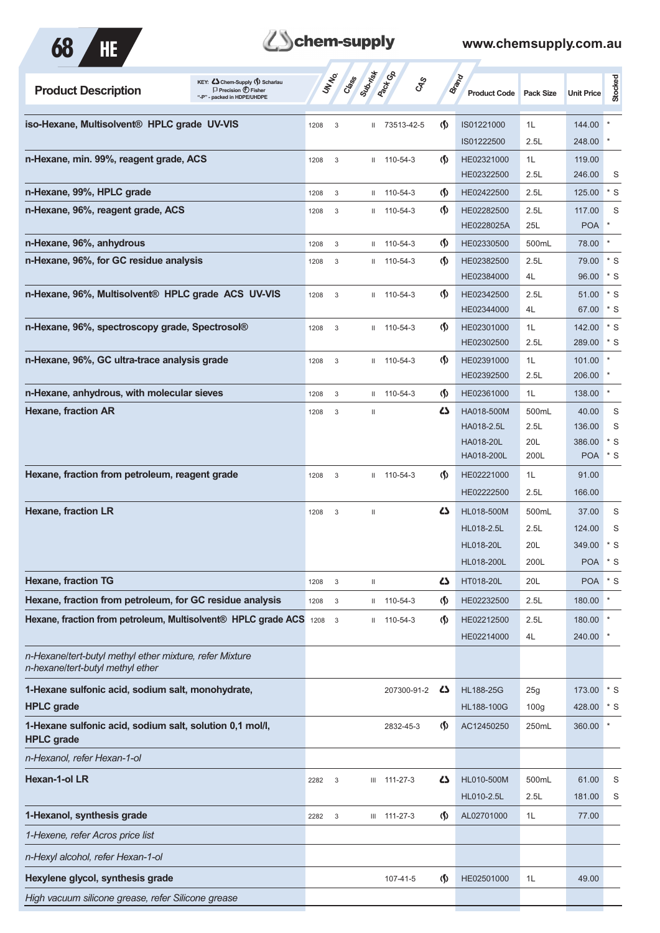



| KEY: Cohem-Supply (5) Scharlau<br><b>Product Description</b><br>$\Box$ Precision $\bigcirc$ Fisher<br>"-P" - packed in HDPE/UHDPE |      | UNIVO<br>Crass | Subrist      | <b>Pack</b> Ga<br><b>GRS</b> |                               | <b>Brand</b><br><b>Product Code</b> | <b>Pack Size</b> | <b>Unit Price</b> | Stocked        |
|-----------------------------------------------------------------------------------------------------------------------------------|------|----------------|--------------|------------------------------|-------------------------------|-------------------------------------|------------------|-------------------|----------------|
| iso-Hexane, Multisolvent <sup>®</sup> HPLC grade UV-VIS                                                                           | 1208 | 3              |              | II 73513-42-5                | $\langle \mathbf{\S} \rangle$ | IS01221000                          | 1L               | 144.00            |                |
|                                                                                                                                   |      |                |              |                              |                               | IS01222500                          | 2.5L             | 248.00            | $\ast$         |
| n-Hexane, min. 99%, reagent grade, ACS                                                                                            | 1208 | 3              | Ш.           | 110-54-3                     | $\langle \mathbf{\S} \rangle$ | HE02321000                          | 1L               | 119.00            |                |
| n-Hexane, 99%, HPLC grade                                                                                                         | 1208 | 3              | Ш.           | 110-54-3                     | $\varphi$                     | HE02322500<br>HE02422500            | 2.5L<br>2.5L     | 246.00<br>125.00  | S<br>$*$ S     |
| n-Hexane, 96%, reagent grade, ACS                                                                                                 | 1208 | 3              | Ш.           | 110-54-3                     | (∫)                           | HE02282500                          | 2.5L             | 117.00            | S              |
|                                                                                                                                   |      |                |              |                              |                               | HE0228025A                          | 25L              | <b>POA</b>        | $\ast$         |
| n-Hexane, 96%, anhydrous                                                                                                          | 1208 | 3              | $\mathbf{H}$ | 110-54-3                     | $\langle \mathbf{\S} \rangle$ | HE02330500                          | 500mL            | 78.00             | $\pmb{\ast}$   |
| n-Hexane, 96%, for GC residue analysis                                                                                            | 1208 | 3              |              | $11 110 - 54 - 3$            | (∫)                           | HE02382500                          | 2.5L             | 79.00             | $*$ S          |
|                                                                                                                                   |      |                |              |                              |                               | HE02384000                          | 4L               | 96.00             | * S            |
| n-Hexane, 96%, Multisolvent® HPLC grade ACS UV-VIS                                                                                | 1208 | 3              |              | $11 110 - 54 - 3$            | (∫)                           | HE02342500                          | 2.5L             | 51.00             | * S            |
|                                                                                                                                   |      |                |              |                              |                               | HE02344000                          | 4L               | 67.00             | $*$ S          |
| n-Hexane, 96%, spectroscopy grade, Spectrosol®                                                                                    | 1208 | 3              |              | $11 110 - 54 - 3$            | (∫)                           | HE02301000<br>HE02302500            | 1L<br>2.5L       | 142.00<br>289.00  | $*$ S<br>$*$ S |
| n-Hexane, 96%, GC ultra-trace analysis grade                                                                                      | 1208 | 3              |              | $11 110 - 54 - 3$            | (∫)                           | HE02391000                          | 1L               | 101.00            | $\ast$         |
|                                                                                                                                   |      |                |              |                              |                               | HE02392500                          | 2.5L             | 206.00            | $\ast$         |
| n-Hexane, anhydrous, with molecular sieves                                                                                        | 1208 | 3              |              | $11 110 - 54 - 3$            | $\langle \mathbf{\S} \rangle$ | HE02361000                          | 1L               | 138.00            | $\ast$         |
| <b>Hexane, fraction AR</b>                                                                                                        | 1208 | 3              | Ш            |                              | 42                            | HA018-500M                          | 500mL            | 40.00             | S              |
|                                                                                                                                   |      |                |              |                              |                               | HA018-2.5L                          | 2.5L             | 136.00            | S              |
|                                                                                                                                   |      |                |              |                              |                               | <b>HA018-20L</b>                    | 20L              | 386.00            | $*$ S          |
|                                                                                                                                   |      |                |              |                              |                               | HA018-200L                          | 200L             | <b>POA</b>        | $*$ S          |
| Hexane, fraction from petroleum, reagent grade                                                                                    | 1208 | 3              |              | $11 110 - 54 - 3$            | $\langle \mathbf{\S} \rangle$ | HE02221000<br>HE02222500            | 1L<br>2.5L       | 91.00<br>166.00   |                |
| <b>Hexane, fraction LR</b>                                                                                                        | 1208 |                |              |                              | 45                            | HL018-500M                          | 500mL            | 37.00             | S              |
|                                                                                                                                   |      | 3              | Ш            |                              |                               | HL018-2.5L                          | 2.5L             | 124.00            | S              |
|                                                                                                                                   |      |                |              |                              |                               | <b>HL018-20L</b>                    | 20L              | 349.00            | * S            |
|                                                                                                                                   |      |                |              |                              |                               | HL018-200L                          | 200L             | <b>POA</b>        | $*$ S          |
| <b>Hexane, fraction TG</b>                                                                                                        | 1208 | $\sqrt{3}$     | Ш            |                              | ひ                             | HT018-20L                           | 20L              | POA * S           |                |
| Hexane, fraction from petroleum, for GC residue analysis                                                                          | 1208 | $_{3}$         |              | $11 110 - 54 - 3$            | $\varphi$                     | HE02232500                          | 2.5L             | 180.00            | $\pmb{\ast}$   |
| Hexane, fraction from petroleum, Multisolvent® HPLC grade ACS 1208                                                                |      | 3              |              | $11 110 - 54 - 3$            | $\langle \mathbf{\S} \rangle$ | HE02212500                          | 2.5L             | 180.00            |                |
|                                                                                                                                   |      |                |              |                              |                               | HE02214000                          | 4L               | 240.00            |                |
| n-Hexane/tert-butyl methyl ether mixture, refer Mixture<br>n-hexane/tert-butyl methyl ether                                       |      |                |              |                              |                               |                                     |                  |                   |                |
| 1-Hexane sulfonic acid, sodium salt, monohydrate,                                                                                 |      |                |              | 207300-91-2                  | 5                             | <b>HL188-25G</b>                    | 25g              | 173.00            | $*$ S          |
| <b>HPLC</b> grade                                                                                                                 |      |                |              |                              |                               | HL188-100G                          | 100 <sub>g</sub> | 428.00            | $*$ S          |
| 1-Hexane sulfonic acid, sodium salt, solution 0,1 mol/l,<br><b>HPLC</b> grade                                                     |      |                |              | 2832-45-3                    | $\langle \mathsf{S} \rangle$  | AC12450250                          | 250mL            | 360.00            | $\ast$         |
| n-Hexanol, refer Hexan-1-ol                                                                                                       |      |                |              |                              |                               |                                     |                  |                   |                |
| Hexan-1-ol LR                                                                                                                     | 2282 | 3              |              | $III$ 111-27-3               | 45                            | HL010-500M                          | 500mL            | 61.00             | S              |
|                                                                                                                                   |      |                |              |                              |                               | HL010-2.5L                          | 2.5L             | 181.00            | S              |
| 1-Hexanol, synthesis grade                                                                                                        | 2282 | 3              |              | III 111-27-3                 | $\langle \mathsf{S} \rangle$  | AL02701000                          | 1L               | 77.00             |                |
| 1-Hexene, refer Acros price list                                                                                                  |      |                |              |                              |                               |                                     |                  |                   |                |
| n-Hexyl alcohol, refer Hexan-1-ol                                                                                                 |      |                |              |                              |                               |                                     |                  |                   |                |
| Hexylene glycol, synthesis grade                                                                                                  |      |                |              | 107-41-5                     | $\langle \mathbf{\S} \rangle$ | HE02501000                          | 1L               | 49.00             |                |
| High vacuum silicone grease, refer Silicone grease                                                                                |      |                |              |                              |                               |                                     |                  |                   |                |
|                                                                                                                                   |      |                |              |                              |                               |                                     |                  |                   |                |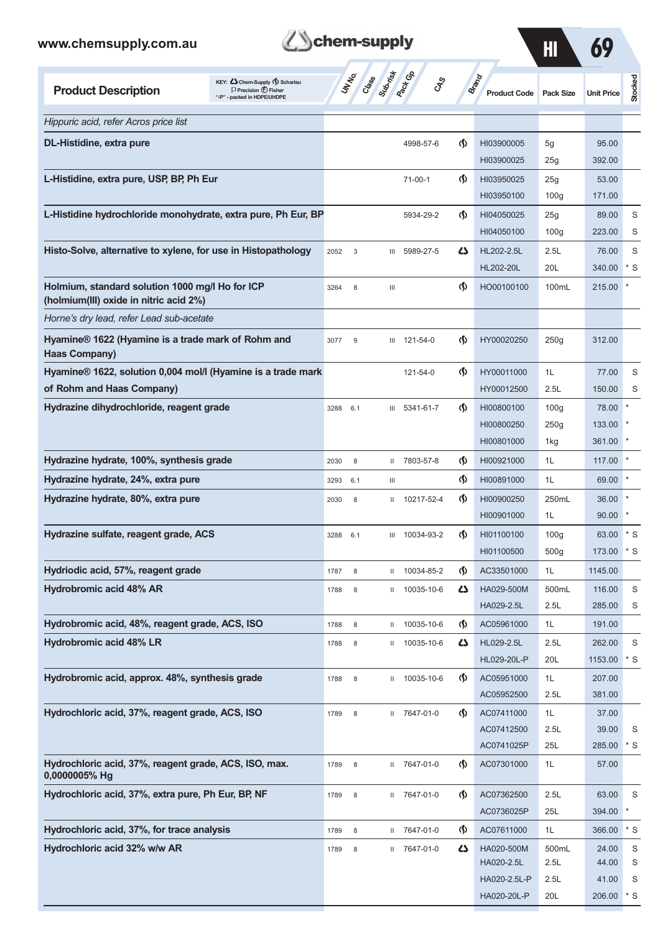| www.chemsupply.com.au                                                                                                                  | chem-supply         |                                          |                                    |                              | $\overline{\mathbf{H}}$ | 69                |                  |
|----------------------------------------------------------------------------------------------------------------------------------------|---------------------|------------------------------------------|------------------------------------|------------------------------|-------------------------|-------------------|------------------|
| KEY: <<br>Chem-Supply ( ) Scharlau<br><b>Product Description</b><br>$\Box$ Precision $\bigoplus$ Fisher<br>"-P" - packed in HDPE/UHDPE | UN NO.<br>Class     | <b>Rept CB</b><br>Supering<br><b>GRS</b> |                                    | Brand<br><b>Product Code</b> | <b>Pack Size</b>        | <b>Unit Price</b> | Stocked          |
| Hippuric acid, refer Acros price list                                                                                                  |                     |                                          |                                    |                              |                         |                   |                  |
| DL-Histidine, extra pure                                                                                                               |                     | 4998-57-6                                | $\langle \mathbf{\langle}$         | HI03900005                   | 5g                      | 95.00             |                  |
|                                                                                                                                        |                     |                                          |                                    | HI03900025                   | 25g                     | 392.00            |                  |
| L-Histidine, extra pure, USP, BP, Ph Eur                                                                                               |                     | $71-00-1$                                | $\langle \mathbf{\S} \rangle$      | HI03950025                   | 25g                     | 53.00             |                  |
| L-Histidine hydrochloride monohydrate, extra pure, Ph Eur, BP                                                                          |                     | 5934-29-2                                | $\langle \mathbf{\S} \rangle$      | HI03950100<br>HI04050025     | 100 <sub>g</sub>        | 171.00<br>89.00   |                  |
|                                                                                                                                        |                     |                                          |                                    | HI04050100                   | 25g<br>100 <sub>g</sub> | 223.00            | S<br>S           |
| Histo-Solve, alternative to xylene, for use in Histopathology                                                                          | 2052<br>$\mathsf 3$ | 5989-27-5<br>Ш                           | Δ                                  | HL202-2.5L                   | 2.5L                    | 76.00             | S                |
|                                                                                                                                        |                     |                                          |                                    | HL202-20L                    | 20L                     | 340.00            | $*$ S            |
| Holmium, standard solution 1000 mg/l Ho for ICP<br>(holmium(III) oxide in nitric acid 2%)                                              | 3264<br>8           | Ш                                        | $\langle \mathbf{\S} \rangle$      | HO00100100                   | 100mL                   | 215.00            |                  |
| Horne's dry lead, refer Lead sub-acetate                                                                                               |                     |                                          |                                    |                              |                         |                   |                  |
| Hyamine® 1622 (Hyamine is a trade mark of Rohm and<br><b>Haas Company)</b>                                                             | 3077<br>9           | 121-54-0<br>III                          | ⊛                                  | HY00020250                   | 250g                    | 312.00            |                  |
| Hyamine® 1622, solution 0,004 mol/l (Hyamine is a trade mark                                                                           |                     | 121-54-0                                 | $\langle \mathbf{\langle} \rangle$ | HY00011000                   | 1L                      | 77.00             | S                |
| of Rohm and Haas Company)                                                                                                              |                     |                                          |                                    | HY00012500                   | 2.5L                    | 150.00            | S                |
| Hydrazine dihydrochloride, reagent grade                                                                                               | 3288<br>6.1         | III 5341-61-7                            | $\langle \mathbf{\langle} \rangle$ | HI00800100                   | 100 <sub>g</sub>        | 78.00             |                  |
|                                                                                                                                        |                     |                                          |                                    | HI00800250<br>HI00801000     | 250g<br>1kg             | 133.00<br>361.00  |                  |
| Hydrazine hydrate, 100%, synthesis grade                                                                                               | 8<br>2030           | 7803-57-8<br>Ш                           | $\langle \mathbf{\S} \rangle$      | HI00921000                   | 1L                      | 117.00            |                  |
| Hydrazine hydrate, 24%, extra pure                                                                                                     | 3293<br>6.1         | Ш                                        | ⊛                                  | HI00891000                   | 1L                      | 69.00             |                  |
| Hydrazine hydrate, 80%, extra pure                                                                                                     | 2030<br>8           | 10217-52-4<br>$\mathbf{H}$               | $\langle \mathbf{\langle} \rangle$ | HI00900250                   | 250mL                   | 36.00             |                  |
|                                                                                                                                        |                     |                                          |                                    | HI00901000                   | 1L                      | 90.00             |                  |
| Hydrazine sulfate, reagent grade, ACS                                                                                                  | 3288<br>6.1         | III 10034-93-2                           | $\langle \rangle$                  | HI01100100                   | 100g                    | 63.00             | $*$ S            |
|                                                                                                                                        |                     |                                          |                                    | HI01100500                   | 500g                    | 173.00            | $*$ S            |
| Hydriodic acid, 57%, reagent grade                                                                                                     | 1787<br>8           | 10034-85-2<br>Ш                          | $\langle \mathbf{\S} \rangle$      | AC33501000                   | 1L                      | 1145.00           |                  |
| <b>Hydrobromic acid 48% AR</b>                                                                                                         | $\,$ 8 $\,$<br>1788 | 10035-10-6<br>Ш                          | 5                                  | HA029-500M<br>HA029-2.5L     | 500mL<br>2.5L           | 116.00<br>285.00  | $\mathbb S$<br>S |
| Hydrobromic acid, 48%, reagent grade, ACS, ISO                                                                                         | 8<br>1788           | II 10035-10-6                            | $\langle \mathbf{\S} \rangle$      | AC05961000                   | 1L                      | 191.00            |                  |
| <b>Hydrobromic acid 48% LR</b>                                                                                                         | $\,$ 8 $\,$<br>1788 | 10035-10-6<br>Ш                          | 5                                  | HL029-2.5L                   | 2.5L                    | 262.00            | $\mathbf S$      |
|                                                                                                                                        |                     |                                          |                                    | HL029-20L-P                  | 20L                     | 1153.00           | $^\star$ S       |
| Hydrobromic acid, approx. 48%, synthesis grade                                                                                         | 1788<br>8           | II 10035-10-6                            | $\langle \mathbf{\S} \rangle$      | AC05951000                   | 1L                      | 207.00            |                  |
|                                                                                                                                        |                     |                                          |                                    | AC05952500                   | 2.5L                    | 381.00            |                  |
| Hydrochloric acid, 37%, reagent grade, ACS, ISO                                                                                        | 8<br>1789           | II 7647-01-0                             | $\langle \mathbf{\S} \rangle$      | AC07411000                   | 1L                      | 37.00             |                  |
|                                                                                                                                        |                     |                                          |                                    | AC07412500<br>AC0741025P     | 2.5L<br>25L             | 39.00<br>285.00   | S<br>$*$ S       |
| Hydrochloric acid, 37%, reagent grade, ACS, ISO, max.<br>0,0000005% Hg                                                                 | 8<br>1789           | II 7647-01-0                             | $\langle \mathbf{\S} \rangle$      | AC07301000                   | 1L                      | 57.00             |                  |
| Hydrochloric acid, 37%, extra pure, Ph Eur, BP, NF                                                                                     | 1789<br>8           | II 7647-01-0                             | ⊛                                  | AC07362500                   | 2.5L                    | 63.00             | S                |
|                                                                                                                                        |                     |                                          |                                    | AC0736025P                   | 25L                     | 394.00            | $\star$          |
| Hydrochloric acid, 37%, for trace analysis                                                                                             | 1789<br>$\,$ 8 $\,$ | 7647-01-0<br>Ш                           | $\langle \mathbf{\S} \rangle$      | AC07611000                   | 1L                      | 366.00            | $*$ S            |
| Hydrochloric acid 32% w/w AR                                                                                                           | $\,$ 8 $\,$<br>1789 | II 7647-01-0                             | 5                                  | HA020-500M<br>HA020-2.5L     | 500mL<br>2.5L           | 24.00<br>44.00    | S<br>S           |
|                                                                                                                                        |                     |                                          |                                    | HA020-2.5L-P                 | 2.5L                    | 41.00             | S                |

**Z**Schem-supply

HA020-20L-P 20L 206.00 \* S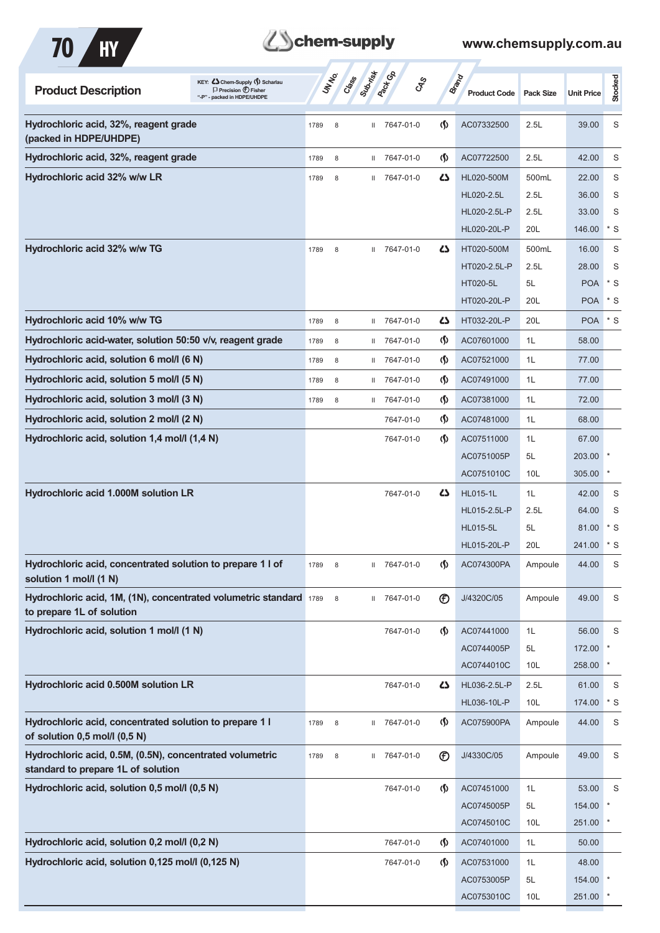

| KEY: Cohem-Supply (5) Scharlau<br><b>Product Description</b><br>$\Box$ Precision $\bigoplus$ Fisher<br>"-P" - packed in HDPE/UHDPE |      | UN NO.      | Submistr<br>Class | <b>Pack</b> Ga | <b>GRS</b>                         | <b>Brand</b> | <b>Product Code</b> | <b>Pack Size</b> | <b>Unit Price</b> | Stocked     |
|------------------------------------------------------------------------------------------------------------------------------------|------|-------------|-------------------|----------------|------------------------------------|--------------|---------------------|------------------|-------------------|-------------|
| Hydrochloric acid, 32%, reagent grade<br>(packed in HDPE/UHDPE)                                                                    | 1789 | 8           | $\mathbf{H}$      | 7647-01-0      | $\langle \mathsf{S} \rangle$       |              | AC07332500          | 2.5L             | 39.00             | S           |
| Hydrochloric acid, 32%, reagent grade                                                                                              | 1789 | 8           | $\mathbf{H}$      | 7647-01-0      | $\langle \mathsf{S} \rangle$       |              | AC07722500          | 2.5L             | 42.00             | S           |
| Hydrochloric acid 32% w/w LR                                                                                                       | 1789 | 8           | Ш.                | 7647-01-0      |                                    | ひ            | HL020-500M          | 500mL            | 22.00             | S           |
|                                                                                                                                    |      |             |                   |                |                                    |              | HL020-2.5L          | 2.5L             | 36.00             | S           |
|                                                                                                                                    |      |             |                   |                |                                    |              | HL020-2.5L-P        | 2.5L             | 33.00             | S           |
|                                                                                                                                    |      |             |                   |                |                                    |              | HL020-20L-P         | 20L              | 146.00            | * S         |
| Hydrochloric acid 32% w/w TG                                                                                                       | 1789 | 8           | $\mathbf{H}$      | 7647-01-0      |                                    | 45           | HT020-500M          | 500mL            | 16.00             | S           |
|                                                                                                                                    |      |             |                   |                |                                    |              | HT020-2.5L-P        | 2.5L             | 28.00             | S           |
|                                                                                                                                    |      |             |                   |                |                                    |              | HT020-5L            | 5L               | <b>POA</b>        | $*$ S       |
|                                                                                                                                    |      |             |                   |                |                                    |              | HT020-20L-P         | 20L              | <b>POA</b>        | $*$ S       |
| Hydrochloric acid 10% w/w TG                                                                                                       | 1789 | 8           | $\mathbf{H}$      | 7647-01-0      | دے                                 |              | HT032-20L-P         | 20L              | <b>POA</b>        | $*$ S       |
| Hydrochloric acid-water, solution 50:50 v/v, reagent grade                                                                         | 1789 | 8           | Ш                 | 7647-01-0      | $\langle \mathbf{\S} \rangle$      |              | AC07601000          | 1L               | 58.00             |             |
| Hydrochloric acid, solution 6 mol/l (6 N)                                                                                          | 1789 | 8           | Ш.                | 7647-01-0      | $\langle \mathbf{\S} \rangle$      |              | AC07521000          | 1L               | 77.00             |             |
| Hydrochloric acid, solution 5 mol/l (5 N)                                                                                          | 1789 | 8           | Ш.                | 7647-01-0      | $\langle \mathbf{\S} \rangle$      |              | AC07491000          | 1L               | 77.00             |             |
| Hydrochloric acid, solution 3 mol/l (3 N)                                                                                          | 1789 | 8           | Ш.                | 7647-01-0      | $\langle \mathbf{\hat{y}}$         |              | AC07381000          | 1L               | 72.00             |             |
| Hydrochloric acid, solution 2 mol/l (2 N)                                                                                          |      |             |                   | 7647-01-0      | $\langle \mathbf{\S} \rangle$      |              | AC07481000          | 1L               | 68.00             |             |
| Hydrochloric acid, solution 1,4 mol/l (1,4 N)                                                                                      |      |             |                   | 7647-01-0      | $\langle \mathbf{\langle} \rangle$ |              | AC07511000          | 1L               | 67.00             |             |
|                                                                                                                                    |      |             |                   |                |                                    |              | AC0751005P          | 5L               | 203.00            |             |
|                                                                                                                                    |      |             |                   |                |                                    |              | AC0751010C          | 10L              | 305.00            |             |
| Hydrochloric acid 1.000M solution LR                                                                                               |      |             |                   | 7647-01-0      |                                    | ひ            | <b>HL015-1L</b>     | 1L               | 42.00             | S           |
|                                                                                                                                    |      |             |                   |                |                                    |              | HL015-2.5L-P        | 2.5L             | 64.00             | S           |
|                                                                                                                                    |      |             |                   |                |                                    |              | <b>HL015-5L</b>     | 5L               | 81.00             | $*$ S       |
|                                                                                                                                    |      |             |                   |                |                                    |              | HL015-20L-P         | 20L              | 241.00            | $*$ S       |
| Hydrochloric acid, concentrated solution to prepare 1 l of<br>solution 1 mol/l (1 N)                                               | 1789 | 8           | Ш.                | 7647-01-0      | $\langle \mathbf{\S} \rangle$      |              | AC074300PA          | Ampoule          | 44.00             | S           |
| Hydrochloric acid, 1M, (1N), concentrated volumetric standard 1789<br>to prepare 1L of solution                                    |      | 8           |                   | II 7647-01-0   | $^{\circledR}$                     |              | J/4320C/05          | Ampoule          | 49.00             | S           |
| Hydrochloric acid, solution 1 mol/l (1 N)                                                                                          |      |             |                   | 7647-01-0      | $\langle \mathbf{\S} \rangle$      |              | AC07441000          | 1L               | 56.00             | S           |
|                                                                                                                                    |      |             |                   |                |                                    |              | AC0744005P          | 5L               | 172.00            |             |
|                                                                                                                                    |      |             |                   |                |                                    |              | AC0744010C          | 10L              | 258.00            |             |
| Hydrochloric acid 0.500M solution LR                                                                                               |      |             |                   | 7647-01-0      |                                    | 5            | HL036-2.5L-P        | 2.5L             | 61.00             | S           |
|                                                                                                                                    |      |             |                   |                |                                    |              | HL036-10L-P         | 10 <sub>L</sub>  | 174.00            | $*$ S       |
| Hydrochloric acid, concentrated solution to prepare 1 l<br>of solution 0,5 mol/l (0,5 N)                                           | 1789 | $\,$ 8 $\,$ |                   | II 7647-01-0   | $\langle \mathbf{\S} \rangle$      |              | AC075900PA          | Ampoule          | 44.00             | S           |
| Hydrochloric acid, 0.5M, (0.5N), concentrated volumetric<br>standard to prepare 1L of solution                                     | 1789 | $\,$ 8 $\,$ |                   | II 7647-01-0   | $^{\circledR}$                     |              | J/4330C/05          | Ampoule          | 49.00             | S           |
| Hydrochloric acid, solution 0,5 mol/l (0,5 N)                                                                                      |      |             |                   | 7647-01-0      |                                    | $\Phi$       | AC07451000          | 1L               | 53.00             | $\mathsf S$ |
|                                                                                                                                    |      |             |                   |                |                                    |              | AC0745005P          | 5L               | 154.00            |             |
|                                                                                                                                    |      |             |                   |                |                                    |              | AC0745010C          | 10L              | 251.00            |             |
| Hydrochloric acid, solution 0,2 mol/l (0,2 N)                                                                                      |      |             |                   | 7647-01-0      | $\langle \mathbf{\S} \rangle$      |              | AC07401000          | 1L               | 50.00             |             |
| Hydrochloric acid, solution 0,125 mol/l (0,125 N)                                                                                  |      |             |                   | 7647-01-0      | $\langle \mathbf{\S} \rangle$      |              | AC07531000          | 1L               | 48.00             |             |
|                                                                                                                                    |      |             |                   |                |                                    |              | AC0753005P          | 5L               | 154.00            |             |
|                                                                                                                                    |      |             |                   |                |                                    |              | AC0753010C          | 10 <sub>L</sub>  | 251.00            | $\ast$      |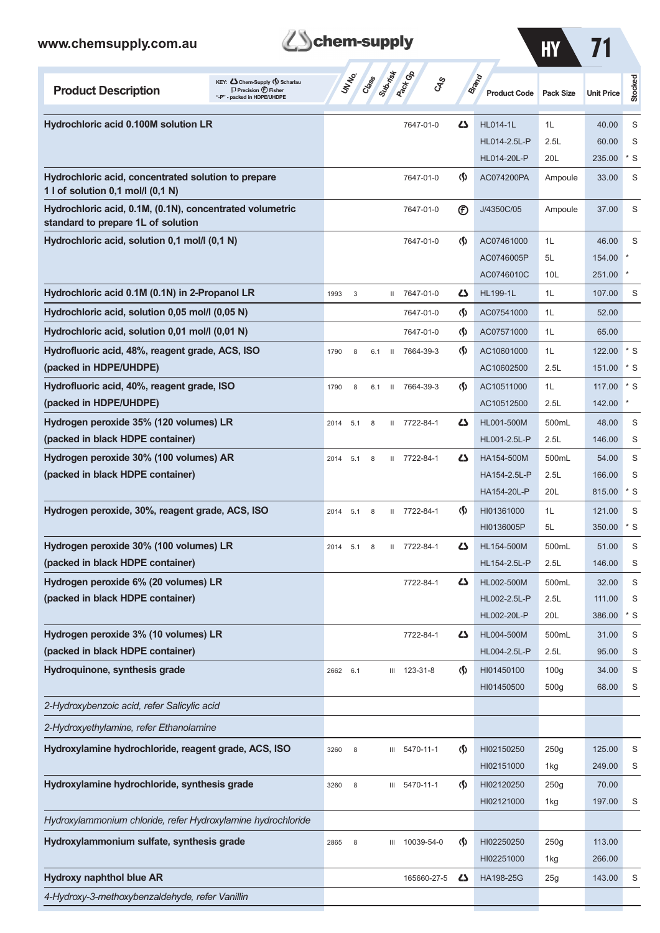*4-Hydroxy-3-methoxybenzaldehyde, refer Vanillin*

### **Product Description**<br>
Precision  $\bigcirc$  **Fisher**<br>  $\bigcirc$  **Precision**  $\bigcirc$  **<b>Fisher Class Sub-risk Pack Gp Brand**  $\sigma$  **Product Code Pack Size Unit Price HY** 71 **Stocked Hydrochloric acid 0.100M solution LR** 7647-01-0 **43** HL014-1L 1L 40.00 S HL014-2.5L-P 2.5L 60.00 S HL014-20L-P 20L 235.00 \* S **Hydrochloric acid, concentrated solution to prepare 1992 12:2000 12:300 12:300 12:300 12:300 12:300 12:300 12:300 12:47-01-0 12:47-01-0 12:47-01-0 12:47-01-0 12:47-01-0 12:47-01-0 12:47-01-0 12:47-01-0 12:47-01-0 12:47: 1 l of solution 0,1 mol/l (0,1 N)** Hydrochloric acid, 0.1M, (0.1N), concentrated volumetric **7647-01-0** 7647-01-0 <sup>7647-01-0</sup> DJ/4350C/05 Ampoule 37.00 S **standard to prepare 1L of solution Hydrochloric acid, solution 0,1 mol/l (0,1 N)**  $7647-01-0$  (**AC07461000** 1L 46.00 S AC0746005P 5L 154.00 AC0746010C 10L 251.00 **Hydrochloric acid 0.1M (0.1N) in 2-Propanol LR** 1993 3 II 7647-01-0 **43** HL199-1L 1L 107.00 S **Hydrochloric acid, solution 0,05 mol/l (0,05 N)** 7647-01-0 **(1)** AC07541000 1L 52.00 **Hydrochloric acid, solution 0,01 mol/l (0,01 N)** 7647-01-0 **(1)** AC07571000 1L 65.00 **Hydrofluoric acid, 48%, reagent grade, ACS, ISO** 1790 8 6.1 II 7664-39-3 (5) AC10601000 1L 122.00 \* S **(packed in HDPE/UHDPE) AC10602500** 2.5L 151.00 \* S **Hydrofluoric acid, 40%, reagent grade, ISO 1888 1790 8 6.1 II 7664-39-3 (S)** AC10511000 1L 117.00 \* S **(packed in HDPE/UHDPE) AC10512500** 2.5L 142.00 **Hydrogen peroxide 35% (120 volumes) LR** 2014 5.1 8 II 7722-84-1 **43** HL001-500M 500mL 48.00 S **(packed in black HDPE container) HL001-2.5L-P** 2.5L 146.00 S **Hydrogen peroxide 30% (100 volumes) AR** 2014 5.1 8 II 7722-84-1 **43** HA154-500M 500mL 54.00 S **(packed in black HDPE container) HA154-2.5L-P** 2.5L 166.00 S HA154-20L-P 20L 815.00 \* S **Hydrogen peroxide, 30%, reagent grade, ACS, ISO** 2014 5.1 8 II 7722-84-1 **(1)** HI01361000 1L 121.00 S HI0136005P 5L 350.00 \* S **Hydrogen peroxide 30% (100 volumes) LR** 2014 5.1 8 II 7722-84-1 **43** HL154-500M 500mL 51.00 S **(packed in black HDPE container) HL154-2.5L-P** 2.5L 146.00 S **Hydrogen peroxide 6% (20 volumes) LR 1980 COVID-8000 COVID-82.00 COVID-82.00 COVID-82.00 S (packed in black HDPE container) HL002-2.5L-P** 2.5L 111.00 S HL002-20L-P 20L 386.00 \* S **Hydrogen peroxide 3% (10 volumes) LR** 7722-84-1 HL004-500M 500mL 31.00 S **(packed in black HDPE container) HL004-2.5L-P** 2.5L 95.00 S **Hydroquinone, synthesis grade** 2662 6.1 III 123-31-8 (1) HI01450100 100g 34.00 S HI01450500 500g 68.00 S *2-Hydroxybenzoic acid, refer Salicylic acid 2-Hydroxyethylamine, refer Ethanolamine* **Hydroxylamine hydrochloride, reagent grade, ACS, ISO** 3260 8 III 5470-11-1 (1) HI02150250 250g 125.00 S HI02151000 1kg 249.00 S **Hydroxylamine hydrochloride, synthesis grade** 3260 8 III 5470-11-1 **(1)** HI02120250 250g 70.00 HI02121000 1kg 197.00 S *Hydroxylammonium chloride, refer Hydroxylamine hydrochloride* **Hydroxylammonium sulfate, synthesis grade** 2865 8 III 10039-54-0 (1) HI02250250 250g 113.00 HI02251000 1kg 266.00 **Hydroxy naphthol blue AR** 165660-27-5 **43** HA198-25G 25g 143.00 S

**Schem-supply**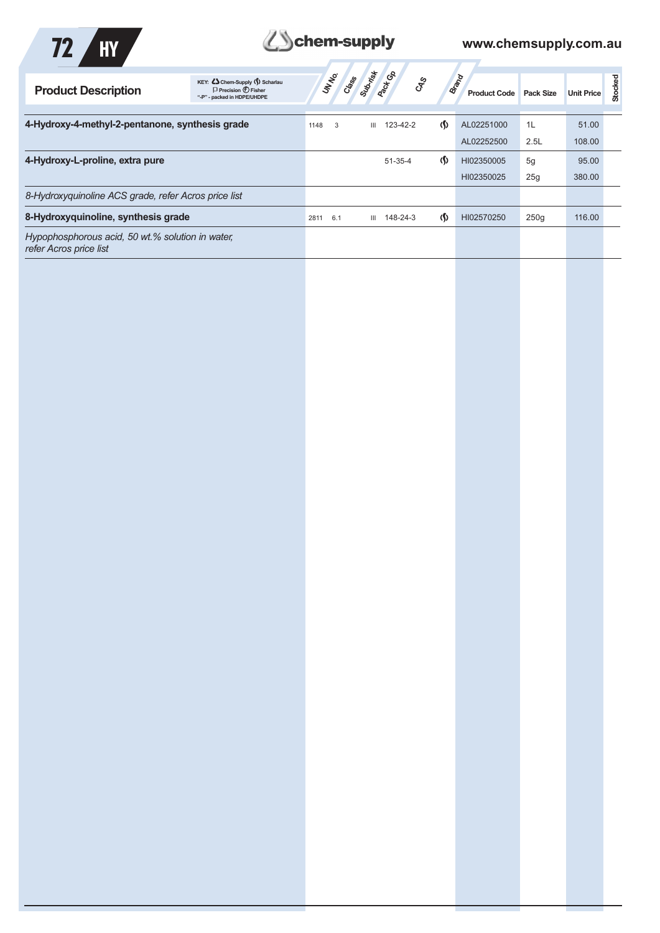

# **ZSchem-supply** www.chemsupply.com.au

7

| <b>Product Description</b>                                                 | KEY: <>> Chem-Supply (\) Scharlau<br>$\Box$ Precision $\bigoplus$ Fisher<br>"-P" - packed in HDPE/UHDPE |             | <b>STATE OF STRATEGIC</b> S | ್ಯೇ                          | Brand<br><b>Product Code</b> | <b>Pack Size</b> | <b>Unit Price</b> | Stocked |
|----------------------------------------------------------------------------|---------------------------------------------------------------------------------------------------------|-------------|-----------------------------|------------------------------|------------------------------|------------------|-------------------|---------|
|                                                                            |                                                                                                         |             |                             |                              |                              |                  |                   |         |
| 4-Hydroxy-4-methyl-2-pentanone, synthesis grade                            |                                                                                                         | 1148<br>3   | 123-42-2<br>Ш               | $\langle \mathsf{S} \rangle$ | AL02251000                   | 1L               | 51.00             |         |
|                                                                            |                                                                                                         |             |                             |                              | AL02252500                   | 2.5L             | 108.00            |         |
| 4-Hydroxy-L-proline, extra pure                                            |                                                                                                         |             | $51 - 35 - 4$               | $\langle \mathbf{\langle}$   | HI02350005                   | 5g               | 95.00             |         |
|                                                                            |                                                                                                         |             |                             |                              | HI02350025                   | 25g              | 380.00            |         |
| 8-Hydroxyguinoline ACS grade, refer Acros price list                       |                                                                                                         |             |                             |                              |                              |                  |                   |         |
| 8-Hydroxyquinoline, synthesis grade                                        |                                                                                                         | 2811<br>6.1 | 148-24-3<br>Ш               | $\langle \langle$            | HI02570250                   | 250q             | 116.00            |         |
| Hypophosphorous acid, 50 wt.% solution in water,<br>refer Acros price list |                                                                                                         |             |                             |                              |                              |                  |                   |         |
|                                                                            |                                                                                                         |             |                             |                              |                              |                  |                   |         |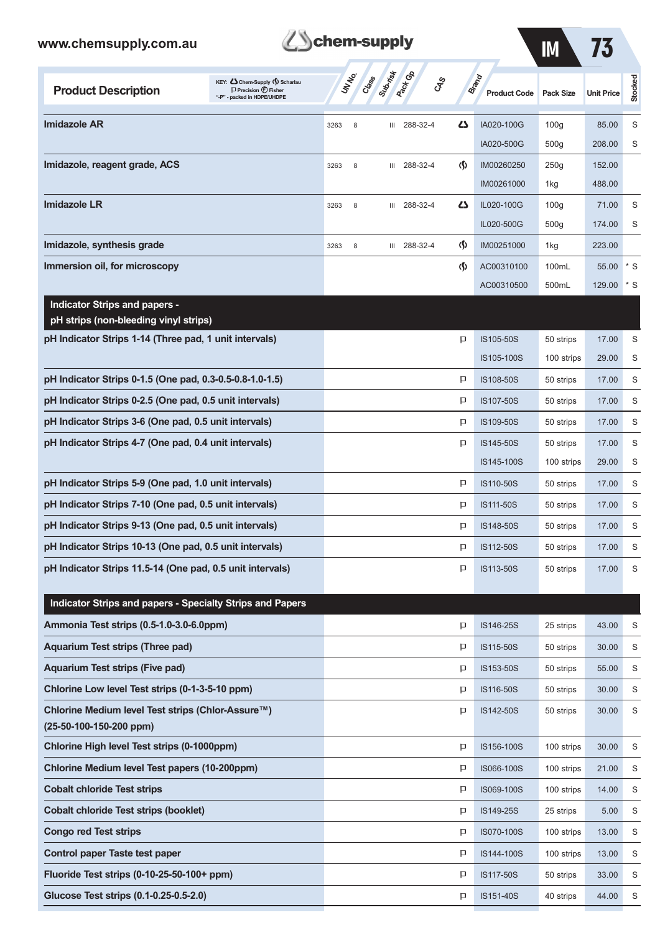| ww.chemsupply.com.au                                                          |                                                                                                      |      |        | chem-supply      |                              |                               |                                     | $\mathsf{I}\mathsf{M}$ | 73                |         |
|-------------------------------------------------------------------------------|------------------------------------------------------------------------------------------------------|------|--------|------------------|------------------------------|-------------------------------|-------------------------------------|------------------------|-------------------|---------|
| <b>Product Description</b>                                                    | KEY: Cohem-Supply (5) Scharlau<br>$\Box$ Precision $\bigoplus$ Fisher<br>"-P" - packed in HDPE/UHDPE |      | UN NO. | Submist<br>Crass | <b>Pack Go</b><br><b>GRS</b> |                               | <b>Brand</b><br><b>Product Code</b> | <b>Pack Size</b>       | <b>Unit Price</b> | Stocked |
| Imidazole AR                                                                  |                                                                                                      | 3263 | 8      | Ш                | 288-32-4                     | دے                            | IA020-100G                          | 100q                   | 85.00             | S       |
|                                                                               |                                                                                                      |      |        |                  |                              |                               | IA020-500G                          | 500q                   | 208.00            | S       |
| Imidazole, reagent grade, ACS                                                 |                                                                                                      | 3263 | 8      | Ш                | 288-32-4                     | $\langle \mathbf{\S} \rangle$ | IM00260250                          | 250g                   | 152.00            |         |
|                                                                               |                                                                                                      |      |        |                  |                              |                               | IM00261000                          | 1kg                    | 488.00            |         |
| <b>Imidazole LR</b>                                                           |                                                                                                      | 3263 | 8      | Ш                | 288-32-4                     | 4                             | IL020-100G                          | 100 <sub>g</sub>       | 71.00             | S       |
|                                                                               |                                                                                                      |      |        |                  |                              |                               | IL020-500G                          | 500g                   | 174.00            | S       |
| Imidazole, synthesis grade                                                    |                                                                                                      | 3263 | 8      | Ш                | 288-32-4                     | $\langle \mathbf{\S} \rangle$ | IM00251000                          | 1kg                    | 223.00            |         |
| Immersion oil, for microscopy                                                 |                                                                                                      |      |        |                  |                              | $\langle \mathbf{\S} \rangle$ | AC00310100                          | 100mL                  | 55.00             | $*$ S   |
|                                                                               |                                                                                                      |      |        |                  |                              |                               | AC00310500                          | 500mL                  | 129.00            | * S     |
| <b>Indicator Strips and papers -</b><br>pH strips (non-bleeding vinyl strips) |                                                                                                      |      |        |                  |                              |                               |                                     |                        |                   |         |
| pH Indicator Strips 1-14 (Three pad, 1 unit intervals)                        |                                                                                                      |      |        |                  |                              | p                             | IS105-50S                           | 50 strips              | 17.00             | S       |
|                                                                               |                                                                                                      |      |        |                  |                              |                               | IS105-100S                          | 100 strips             | 29.00             | S       |
| pH Indicator Strips 0-1.5 (One pad, 0.3-0.5-0.8-1.0-1.5)                      |                                                                                                      |      |        |                  |                              | p                             | IS108-50S                           | 50 strips              | 17.00             | S       |
| pH Indicator Strips 0-2.5 (One pad, 0.5 unit intervals)                       |                                                                                                      |      |        |                  |                              | p                             | IS107-50S                           | 50 strips              | 17.00             | S       |
| pH Indicator Strips 3-6 (One pad, 0.5 unit intervals)                         |                                                                                                      |      |        |                  |                              | p                             | IS109-50S                           | 50 strips              | 17.00             | S       |
| pH Indicator Strips 4-7 (One pad, 0.4 unit intervals)                         |                                                                                                      |      |        |                  |                              | P                             | IS145-50S                           | 50 strips              | 17.00             | S       |
|                                                                               |                                                                                                      |      |        |                  |                              |                               | IS145-100S                          | 100 strips             | 29.00             | S       |
| pH Indicator Strips 5-9 (One pad, 1.0 unit intervals)                         |                                                                                                      |      |        |                  |                              | p                             | IS110-50S                           | 50 strips              | 17.00             | S       |
| pH Indicator Strips 7-10 (One pad, 0.5 unit intervals)                        |                                                                                                      |      |        |                  |                              | P                             | IS111-50S                           | 50 strips              | 17.00             | S       |
| pH Indicator Strips 9-13 (One pad, 0.5 unit intervals)                        |                                                                                                      |      |        |                  |                              | p                             | IS148-50S                           | 50 strips              | 17.00             | S       |

**pH Indicator Strips 10-13 (One pad, 0.5 unit intervals) ICC 100 S P** IS112-50S 50 strips 17.00 S **pH Indicator Strips 11.5-14 (One pad, 0.5 unit intervals) ISLE EXECUTE:** IS113-50S 50 strips 17.00 S **Indicator Strips and papers - Specialty Strips and Papers**

| marcator othps and papers - opecially othps and rapers                       |   |            |            |       |   |
|------------------------------------------------------------------------------|---|------------|------------|-------|---|
| Ammonia Test strips (0.5-1.0-3.0-6.0ppm)                                     | Þ | IS146-25S  | 25 strips  | 43.00 | S |
| <b>Aquarium Test strips (Three pad)</b>                                      | Þ | IS115-50S  | 50 strips  | 30.00 | S |
| <b>Aguarium Test strips (Five pad)</b>                                       | Þ | IS153-50S  | 50 strips  | 55.00 | S |
| Chlorine Low level Test strips (0-1-3-5-10 ppm)                              | P | IS116-50S  | 50 strips  | 30.00 | S |
| Chlorine Medium level Test strips (Chlor-Assure™)<br>(25-50-100-150-200 ppm) | P | IS142-50S  | 50 strips  | 30.00 | S |
| Chlorine High level Test strips (0-1000ppm)                                  | Þ | IS156-100S | 100 strips | 30.00 | S |
| Chlorine Medium level Test papers (10-200ppm)                                | Þ | IS066-100S | 100 strips | 21.00 | S |
| <b>Cobalt chloride Test strips</b>                                           | P | IS069-100S | 100 strips | 14.00 | S |
| <b>Cobalt chloride Test strips (booklet)</b>                                 | Þ | IS149-25S  | 25 strips  | 5.00  | S |
| <b>Congo red Test strips</b>                                                 | Þ | IS070-100S | 100 strips | 13.00 | S |
| Control paper Taste test paper                                               | Þ | IS144-100S | 100 strips | 13.00 | S |
| Fluoride Test strips $(0-10-25-50-100+$ ppm)                                 | Þ | IS117-50S  | 50 strips  | 33.00 | S |
| Glucose Test strips (0.1-0.25-0.5-2.0)                                       | p | IS151-40S  | 40 strips  | 44.00 | S |
|                                                                              |   |            |            |       |   |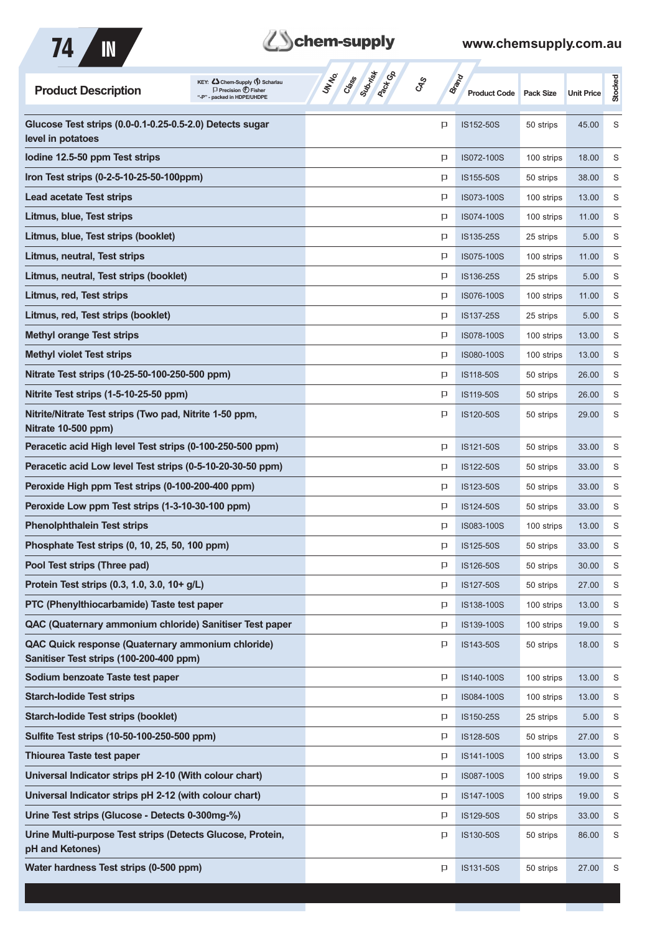

# **Z**Schem-supply

### **www.chemsupply.com.au**

m.

a a

| KEY: C Chem-Supply (5) Scharlau<br><b>Product Description</b><br>$\Box$ Precision $\bigoplus$ Fisher<br>- packed in HDPE/UHDPE | Subrist<br>UN NO.<br>Crass<br><b>GRS</b> | <b>Brand</b> | <b>Product Code</b> | <b>Pack Size</b> | <b>Unit Price</b> | Stocked |
|--------------------------------------------------------------------------------------------------------------------------------|------------------------------------------|--------------|---------------------|------------------|-------------------|---------|
| Glucose Test strips (0.0-0.1-0.25-0.5-2.0) Detects sugar<br>level in potatoes                                                  |                                          | p            | IS152-50S           | 50 strips        | 45.00             | S       |
| lodine 12.5-50 ppm Test strips                                                                                                 |                                          | P            | IS072-100S          | 100 strips       | 18.00             | S       |
| Iron Test strips (0-2-5-10-25-50-100ppm)                                                                                       |                                          | P            | IS155-50S           | 50 strips        | 38.00             | S       |
| <b>Lead acetate Test strips</b>                                                                                                |                                          | P            | IS073-100S          | 100 strips       | 13.00             | S       |
| Litmus, blue, Test strips                                                                                                      |                                          | P            | IS074-100S          | 100 strips       | 11.00             | S       |
| Litmus, blue, Test strips (booklet)                                                                                            |                                          | P            | IS135-25S           | 25 strips        | 5.00              | S       |
| Litmus, neutral, Test strips                                                                                                   |                                          | P            | IS075-100S          | 100 strips       | 11.00             | S       |
| Litmus, neutral, Test strips (booklet)                                                                                         |                                          | P            | IS136-25S           | 25 strips        | 5.00              | S       |
| Litmus, red, Test strips                                                                                                       |                                          | P            | IS076-100S          | 100 strips       | 11.00             | S       |
| Litmus, red, Test strips (booklet)                                                                                             |                                          | P            | IS137-25S           | 25 strips        | 5.00              | S       |
| <b>Methyl orange Test strips</b>                                                                                               |                                          | P            | IS078-100S          | 100 strips       | 13.00             | S       |
| <b>Methyl violet Test strips</b>                                                                                               |                                          | p            | IS080-100S          | 100 strips       | 13.00             | S       |
| Nitrate Test strips (10-25-50-100-250-500 ppm)                                                                                 |                                          | P            | IS118-50S           | 50 strips        | 26.00             | S       |
| Nitrite Test strips (1-5-10-25-50 ppm)                                                                                         |                                          | P            | IS119-50S           | 50 strips        | 26.00             | S       |
| Nitrite/Nitrate Test strips (Two pad, Nitrite 1-50 ppm,<br>Nitrate 10-500 ppm)                                                 |                                          | P            | IS120-50S           | 50 strips        | 29.00             | S       |
| Peracetic acid High level Test strips (0-100-250-500 ppm)                                                                      |                                          | P            | IS121-50S           | 50 strips        | 33.00             | S       |
| Peracetic acid Low level Test strips (0-5-10-20-30-50 ppm)                                                                     |                                          | P            | IS122-50S           | 50 strips        | 33.00             | S       |
| Peroxide High ppm Test strips (0-100-200-400 ppm)                                                                              |                                          | P            | IS123-50S           | 50 strips        | 33.00             | S       |
| Peroxide Low ppm Test strips (1-3-10-30-100 ppm)                                                                               |                                          | P            | IS124-50S           | 50 strips        | 33.00             | S       |
| <b>Phenolphthalein Test strips</b>                                                                                             |                                          | P            | IS083-100S          | 100 strips       | 13.00             | S       |
| Phosphate Test strips (0, 10, 25, 50, 100 ppm)                                                                                 |                                          | P            | IS125-50S           | 50 strips        | 33.00             | S       |
| Pool Test strips (Three pad)                                                                                                   |                                          | P            | IS126-50S           | 50 strips        | 30.00             | S       |
| Protein Test strips (0.3, 1.0, 3.0, 10+ g/L)                                                                                   |                                          | P            | IS127-50S           | 50 strips        | 27.00             | S       |
| PTC (Phenylthiocarbamide) Taste test paper                                                                                     |                                          | P            | IS138-100S          | 100 strips       | 13.00             | S       |
| QAC (Quaternary ammonium chloride) Sanitiser Test paper                                                                        |                                          | P            | IS139-100S          | 100 strips       | 19.00             | S       |
| QAC Quick response (Quaternary ammonium chloride)<br>Sanitiser Test strips (100-200-400 ppm)                                   |                                          | P            | IS143-50S           | 50 strips        | 18.00             | S       |
| Sodium benzoate Taste test paper                                                                                               |                                          | P            | IS140-100S          | 100 strips       | 13.00             | S       |
| <b>Starch-lodide Test strips</b>                                                                                               |                                          | P            | IS084-100S          | 100 strips       | 13.00             | S       |
| <b>Starch-lodide Test strips (booklet)</b>                                                                                     |                                          | P            | IS150-25S           | 25 strips        | 5.00              | S       |
| Sulfite Test strips (10-50-100-250-500 ppm)                                                                                    |                                          | P            | IS128-50S           | 50 strips        | 27.00             | S       |
| <b>Thiourea Taste test paper</b>                                                                                               |                                          | P            | IS141-100S          | 100 strips       | 13.00             | S       |
| Universal Indicator strips pH 2-10 (With colour chart)                                                                         |                                          | P            | IS087-100S          | 100 strips       | 19.00             | S       |
| Universal Indicator strips pH 2-12 (with colour chart)                                                                         |                                          | P            | IS147-100S          | 100 strips       | 19.00             | S       |
| Urine Test strips (Glucose - Detects 0-300mg-%)                                                                                |                                          | P            | IS129-50S           | 50 strips        | 33.00             | S       |
| Urine Multi-purpose Test strips (Detects Glucose, Protein,<br>pH and Ketones)                                                  |                                          | P            | IS130-50S           | 50 strips        | 86.00             | S       |
| Water hardness Test strips (0-500 ppm)                                                                                         |                                          | P            | IS131-50S           | 50 strips        | 27.00             | S       |

т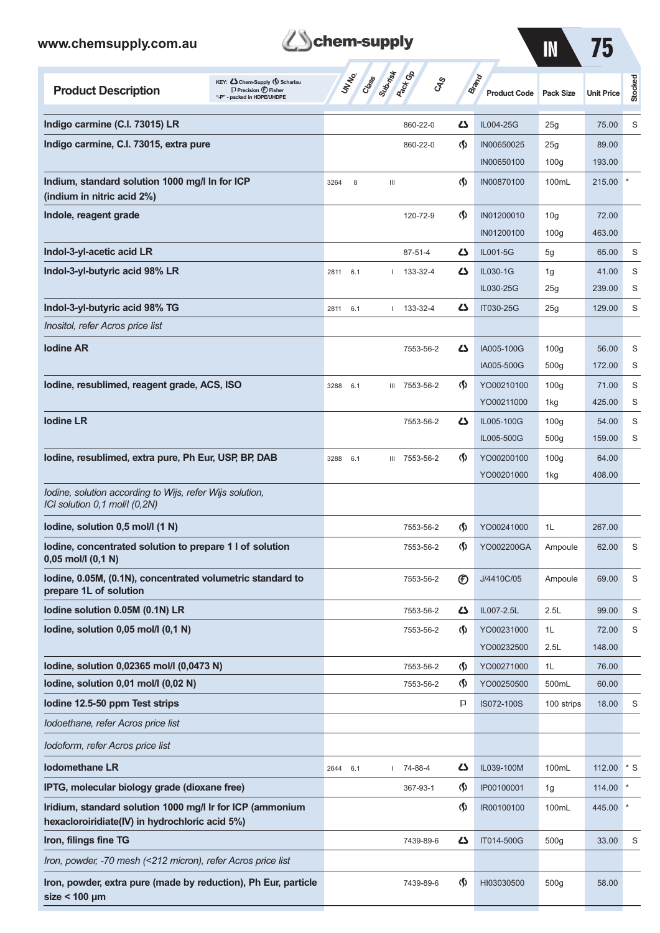**size < 100 µm**

| www.chemsupply.com.au                                                                                                            | chem-supply                                               |                                    | $\blacksquare$                      | 75                      |                   |           |
|----------------------------------------------------------------------------------------------------------------------------------|-----------------------------------------------------------|------------------------------------|-------------------------------------|-------------------------|-------------------|-----------|
| KEY: Chem-Supply () Scharlau<br><b>Product Description</b><br>$\Box$ Precision $\bigoplus$ Fisher<br>"-P" - packed in HDPE/UHDPE | Suprist<br><b>Pack</b> CA<br><b>UNTER</b><br>Crass<br>CAS |                                    | <b>Brand</b><br><b>Product Code</b> | <b>Pack Size</b>        | <b>Unit Price</b> | Stocked   |
| Indigo carmine (C.I. 73015) LR                                                                                                   | 860-22-0                                                  | دے                                 | IL004-25G                           | 25g                     | 75.00             | S         |
| Indigo carmine, C.I. 73015, extra pure                                                                                           | 860-22-0                                                  | $\langle \mathbf{\hat{y}} \rangle$ | IN00650025                          | 25g                     | 89.00             |           |
|                                                                                                                                  |                                                           |                                    | IN00650100                          | 100 <sub>g</sub>        | 193.00            |           |
| Indium, standard solution 1000 mg/l In for ICP<br>(indium in nitric acid 2%)                                                     | 8<br>$\ensuremath{\mathsf{III}}\xspace$<br>3264           | ⊛                                  | IN00870100                          | 100mL                   | 215.00            |           |
| Indole, reagent grade                                                                                                            | 120-72-9                                                  | $\langle \mathbf{\langle}$         | IN01200010                          | 10 <sub>g</sub>         | 72.00             |           |
|                                                                                                                                  |                                                           |                                    | IN01200100                          | 100 <sub>g</sub>        | 463.00            |           |
| Indol-3-yl-acetic acid LR                                                                                                        | $87 - 51 - 4$                                             | ひ                                  | IL001-5G                            | 5g                      | 65.00             | S         |
| Indol-3-yl-butyric acid 98% LR                                                                                                   | 133-32-4<br>2811 6.1                                      | 45                                 | IL030-1G                            | 1g                      | 41.00             | S         |
|                                                                                                                                  |                                                           |                                    | IL030-25G                           | 25g                     | 239.00            | S         |
| Indol-3-yl-butyric acid 98% TG                                                                                                   | $1 133 - 32 - 4$<br>2811 6.1                              | 47                                 | IT030-25G                           | 25g                     | 129.00            | S         |
| Inositol, refer Acros price list                                                                                                 |                                                           |                                    |                                     |                         |                   |           |
| <b>lodine AR</b>                                                                                                                 | 7553-56-2                                                 | Ω                                  | IA005-100G                          | 100 <sub>g</sub>        | 56.00             | S         |
| lodine, resublimed, reagent grade, ACS, ISO                                                                                      |                                                           | $\langle \mathbf{\langle} \rangle$ | IA005-500G                          | 500 <sub>g</sub>        | 172.00            | S         |
|                                                                                                                                  | III 7553-56-2<br>3288<br>6.1                              |                                    | YO00210100<br>YO00211000            | 100 <sub>g</sub><br>1kg | 71.00<br>425.00   | S<br>S    |
| <b>Iodine LR</b>                                                                                                                 | 7553-56-2                                                 | دے                                 | IL005-100G                          | 100 <sub>g</sub>        | 54.00             | S         |
|                                                                                                                                  |                                                           |                                    | IL005-500G                          | 500 <sub>g</sub>        | 159.00            | S         |
| lodine, resublimed, extra pure, Ph Eur, USP, BP, DAB                                                                             | III 7553-56-2<br>3288<br>6.1                              | $\Phi$                             | YO00200100                          | 100 <sub>g</sub>        | 64.00             |           |
|                                                                                                                                  |                                                           |                                    | YO00201000                          | 1kg                     | 408.00            |           |
| Iodine, solution according to Wijs, refer Wijs solution,<br>ICI solution 0,1 mol/l (0,2N)                                        |                                                           |                                    |                                     |                         |                   |           |
| lodine, solution 0,5 mol/l (1 N)                                                                                                 | 7553-56-2                                                 | Ø,                                 | YO00241000                          | 1L                      | 267.00            |           |
| lodine, concentrated solution to prepare 1 l of solution<br>$0,05$ mol/l $(0,1 N)$                                               | 7553-56-2                                                 | ⊛                                  | YO002200GA                          | Ampoule                 | 62.00             | S         |
| lodine, 0.05M, (0.1N), concentrated volumetric standard to<br>prepare 1L of solution                                             | 7553-56-2                                                 | $^{\circledR}$                     | J/4410C/05                          | Ampoule                 | 69.00             | S         |
| lodine solution 0.05M (0.1N) LR                                                                                                  | 7553-56-2                                                 | 45                                 | IL007-2.5L                          | 2.5L                    | 99.00             | S         |
| lodine, solution 0,05 mol/l (0,1 N)                                                                                              | 7553-56-2                                                 | $\langle \mathbf{\hat{y}} \rangle$ | YO00231000                          | 1L                      | 72.00             | S         |
|                                                                                                                                  |                                                           |                                    | YO00232500                          | 2.5L                    | 148.00            |           |
| lodine, solution 0,02365 mol/l (0,0473 N)                                                                                        | 7553-56-2                                                 | ⊛                                  | YO00271000                          | 1L                      | 76.00             |           |
| lodine, solution 0,01 mol/l (0,02 N)                                                                                             | 7553-56-2                                                 | $\Phi$                             | YO00250500                          | 500mL                   | 60.00             |           |
| lodine 12.5-50 ppm Test strips                                                                                                   |                                                           | P                                  | IS072-100S                          | 100 strips              | 18.00             | S         |
| Iodoethane, refer Acros price list                                                                                               |                                                           |                                    |                                     |                         |                   |           |
| <i>Iodoform, refer Acros price list</i>                                                                                          |                                                           |                                    |                                     |                         |                   |           |
| <b>Iodomethane LR</b>                                                                                                            | 74-88-4<br>2644<br>6.1                                    | 42                                 | IL039-100M                          | 100mL                   | 112.00            | $^*$ S    |
| IPTG, molecular biology grade (dioxane free)                                                                                     | 367-93-1                                                  | ⊛                                  | IP00100001                          | 1g                      | 114.00            | $^{\ast}$ |
| Iridium, standard solution 1000 mg/l Ir for ICP (ammonium<br>hexacloroiridiate(IV) in hydrochloric acid 5%)                      |                                                           | $\langle \mathbf{\S} \rangle$      | IR00100100                          | 100mL                   | 445.00            |           |
| Iron, filings fine TG                                                                                                            | 7439-89-6                                                 | دے                                 | IT014-500G                          | 500 <sub>g</sub>        | 33.00             | S         |
| Iron, powder, -70 mesh (<212 micron), refer Acros price list                                                                     |                                                           |                                    |                                     |                         |                   |           |
| Iron, powder, extra pure (made by reduction), Ph Eur, particle                                                                   | 7439-89-6                                                 | $\Phi$                             | HI03030500                          | 500g                    | 58.00             |           |

**Them-supply**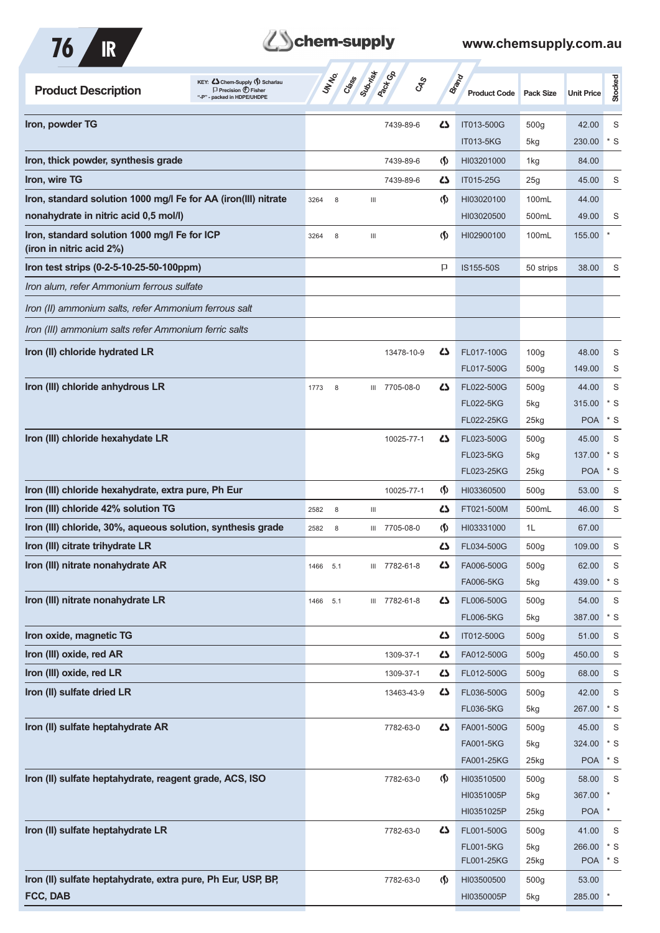

# **B**chem-supply

| KEY: C Chem-Supply (5) Scharlau<br><b>Product Description</b><br>$\Box$ Precision $\bigoplus$ Fisher<br>"-P" - packed in HDPE/UHDPE | Subsition<br><b>Pack</b> Ga<br><b>UNTER</b><br>Crass | $\mathcal{S}_{\mathcal{S}}$                      | <b>Brand</b><br><b>Product Code</b> | <b>Pack Size</b> | <b>Unit Price</b>    | Stocked      |
|-------------------------------------------------------------------------------------------------------------------------------------|------------------------------------------------------|--------------------------------------------------|-------------------------------------|------------------|----------------------|--------------|
| Iron, powder TG                                                                                                                     |                                                      | ひ<br>7439-89-6                                   | IT013-500G                          | 500 <sub>g</sub> | 42.00                | S            |
|                                                                                                                                     |                                                      |                                                  | IT013-5KG                           | 5kg              | 230.00               | * S          |
| Iron, thick powder, synthesis grade                                                                                                 |                                                      | $\langle \mathbf{\S} \rangle$<br>7439-89-6       | HI03201000                          | 1kg              | 84.00                |              |
| Iron, wire TG                                                                                                                       |                                                      | ひ<br>7439-89-6                                   | IT015-25G                           | 25g              | 45.00                | S            |
| Iron, standard solution 1000 mg/l Fe for AA (iron(III) nitrate                                                                      | 3264<br>8<br>Ш                                       | $\langle \mathbf{\langle}$                       | HI03020100                          | 100mL            | 44.00                |              |
| nonahydrate in nitric acid 0,5 mol/l)                                                                                               |                                                      |                                                  | HI03020500                          | 500mL            | 49.00                | S            |
| Iron, standard solution 1000 mg/l Fe for ICP<br>(iron in nitric acid 2%)                                                            | $\ensuremath{\mathsf{III}}\xspace$<br>3264<br>8      | $\langle \mathbf{\langle} \rangle$               | HI02900100                          | 100mL            | 155.00               |              |
| Iron test strips (0-2-5-10-25-50-100ppm)                                                                                            |                                                      | P                                                | IS155-50S                           | 50 strips        | 38.00                | S            |
| Iron alum, refer Ammonium ferrous sulfate                                                                                           |                                                      |                                                  |                                     |                  |                      |              |
| Iron (II) ammonium salts, refer Ammonium ferrous salt                                                                               |                                                      |                                                  |                                     |                  |                      |              |
| Iron (III) ammonium salts refer Ammonium ferric salts                                                                               |                                                      |                                                  |                                     |                  |                      |              |
| Iron (II) chloride hydrated LR                                                                                                      |                                                      | 45<br>13478-10-9                                 | FL017-100G                          | 100 <sub>g</sub> | 48.00                | S            |
|                                                                                                                                     |                                                      |                                                  | FL017-500G                          | 500 <sub>g</sub> | 149.00               | S            |
| Iron (III) chloride anhydrous LR                                                                                                    | III 7705-08-0<br>1773<br>8                           | ひ                                                | FL022-500G                          | 500 <sub>g</sub> | 44.00                | S            |
|                                                                                                                                     |                                                      |                                                  | <b>FL022-5KG</b>                    | 5kg              | 315.00               | * S          |
|                                                                                                                                     |                                                      |                                                  | FL022-25KG                          | 25kg             | <b>POA</b>           | $*$ S        |
| Iron (III) chloride hexahydate LR                                                                                                   |                                                      | ひ<br>10025-77-1                                  | FL023-500G                          | 500 <sub>g</sub> | 45.00                | S            |
|                                                                                                                                     |                                                      |                                                  | <b>FL023-5KG</b>                    | 5kg              | 137.00               | * S          |
|                                                                                                                                     |                                                      |                                                  | FL023-25KG                          | $25$ kg          | <b>POA</b>           | $*$ S        |
| Iron (III) chloride hexahydrate, extra pure, Ph Eur                                                                                 |                                                      | $\langle \mathbf{\hat{y}} \rangle$<br>10025-77-1 | HI03360500                          | 500 <sub>g</sub> | 53.00                | S            |
| Iron (III) chloride 42% solution TG                                                                                                 | Ш<br>2582<br>8                                       | دے                                               | FT021-500M                          | 500mL            | 46.00                | S            |
| Iron (III) chloride, 30%, aqueous solution, synthesis grade                                                                         | 2582<br>8<br>Ш                                       | $\langle \mathbf{\S} \rangle$<br>7705-08-0       | HI03331000                          | 1L               | 67.00                |              |
| Iron (III) citrate trihydrate LR                                                                                                    |                                                      | 5                                                | FL034-500G                          | 500 <sub>g</sub> | 109.00               | S            |
| Iron (III) nitrate nonahydrate AR                                                                                                   | 1466 5.1<br>Ш                                        | 7782-61-8<br><u>ሪ</u>                            | FA006-500G                          | 500 <sub>g</sub> | 62.00                | S            |
|                                                                                                                                     |                                                      |                                                  | FA006-5KG                           | 5kg              | 439.00               | $*$ S        |
| Iron (III) nitrate nonahydrate LR                                                                                                   | III 7782-61-8<br>5.1<br>1466                         | 5                                                | FL006-500G<br><b>FL006-5KG</b>      | 500g<br>5kg      | 54.00<br>387.00      | S<br>$*$ S   |
| Iron oxide, magnetic TG                                                                                                             |                                                      | 5                                                | IT012-500G                          | 500 <sub>g</sub> | 51.00                | S            |
| Iron (III) oxide, red AR                                                                                                            |                                                      | 1309-37-1<br>42                                  | FA012-500G                          | 500 <sub>g</sub> | 450.00               | S            |
| Iron (III) oxide, red LR                                                                                                            |                                                      | 5<br>1309-37-1                                   | FL012-500G                          | 500 <sub>g</sub> | 68.00                | S            |
| Iron (II) sulfate dried LR                                                                                                          |                                                      | 5<br>13463-43-9                                  | FL036-500G                          | 500 <sub>g</sub> | 42.00                | S            |
|                                                                                                                                     |                                                      |                                                  | FL036-5KG                           | 5kg              | 267.00               | $*$ S        |
| Iron (II) sulfate heptahydrate AR                                                                                                   |                                                      | 5<br>7782-63-0                                   | FA001-500G                          | 500g             | 45.00                | S            |
|                                                                                                                                     |                                                      |                                                  | FA001-5KG                           | 5kg              | 324.00               | $*$ S        |
|                                                                                                                                     |                                                      |                                                  | FA001-25KG                          | 25kg             | <b>POA</b>           | $*$ S        |
| Iron (II) sulfate heptahydrate, reagent grade, ACS, ISO                                                                             |                                                      | $\Phi$<br>7782-63-0                              | HI03510500                          | 500 <sub>g</sub> | 58.00                | S            |
|                                                                                                                                     |                                                      |                                                  | HI0351005P                          | 5kg              | 367.00               | $\ast$       |
|                                                                                                                                     |                                                      |                                                  | HI0351025P                          | 25kg             | <b>POA</b>           | $\ast$       |
| Iron (II) sulfate heptahydrate LR                                                                                                   |                                                      | 7782-63-0<br>45                                  | FL001-500G                          | 500g             | 41.00                | S            |
|                                                                                                                                     |                                                      |                                                  | <b>FL001-5KG</b><br>FL001-25KG      | 5kg<br>25kg      | 266.00<br><b>POA</b> | $*$ S<br>* S |
| Iron (II) sulfate heptahydrate, extra pure, Ph Eur, USP, BP,                                                                        |                                                      | $\langle \mathbf{\S} \rangle$<br>7782-63-0       | HI03500500                          | 500g             | 53.00                |              |
| FCC, DAB                                                                                                                            |                                                      |                                                  | HI0350005P                          | 5kg              | 285.00               | $\pmb{\ast}$ |
|                                                                                                                                     |                                                      |                                                  |                                     |                  |                      |              |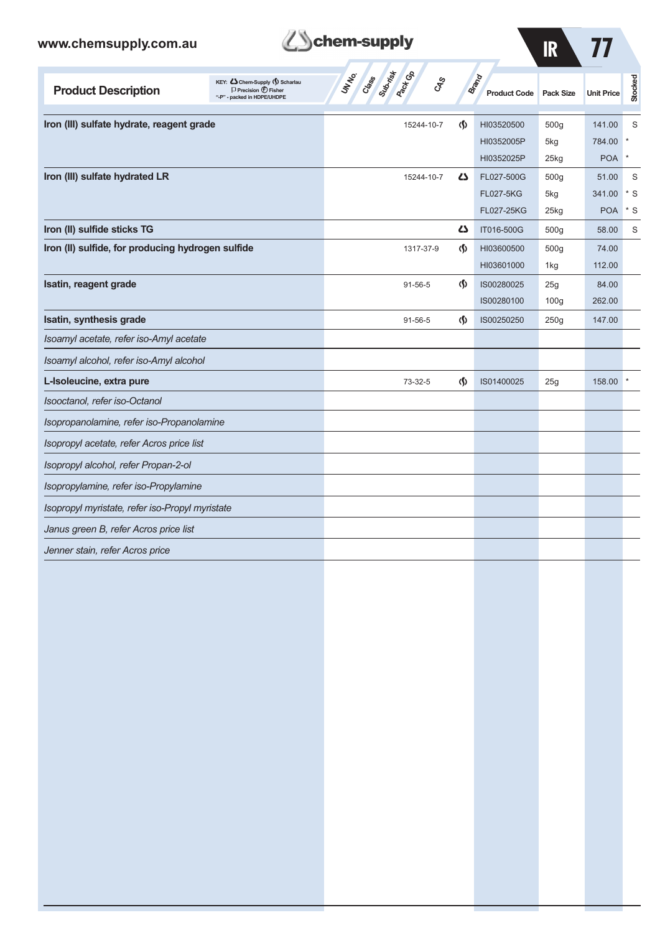| www.chemsupply.com.au                             |                                                                                                         | chem-supply                                    |                               |                              | <b>IR</b>          |                   |              |
|---------------------------------------------------|---------------------------------------------------------------------------------------------------------|------------------------------------------------|-------------------------------|------------------------------|--------------------|-------------------|--------------|
| <b>Product Description</b>                        | KEY: <>> Chem-Supply (\) Scharlau<br>$\Box$ Precision $\bigoplus$ Fisher<br>"-P" - packed in HDPE/UHDPE | Class<br><b>Pactice</b><br>UNIVO<br><b>CAS</b> |                               | Brand<br><b>Product Code</b> | <b>Pack Size</b>   | <b>Unit Price</b> | Stocked      |
| Iron (III) sulfate hydrate, reagent grade         |                                                                                                         | 15244-10-7                                     | G)                            | HI03520500                   | 500q               | 141.00            | S            |
|                                                   |                                                                                                         |                                                |                               | HI0352005P                   | 5kg                | 784.00            |              |
|                                                   |                                                                                                         |                                                |                               | HI0352025P                   | 25kg               | <b>POA</b>        | $\pmb{\ast}$ |
| Iron (III) sulfate hydrated LR                    |                                                                                                         | 15244-10-7                                     | 5                             | FL027-500G                   | 500g               | 51.00             | S            |
|                                                   |                                                                                                         |                                                |                               | <b>FL027-5KG</b>             | 5kg                | 341.00            | * S          |
|                                                   |                                                                                                         |                                                |                               | FL027-25KG                   | $25$ <sub>kg</sub> | <b>POA</b>        | * S          |
| Iron (II) sulfide sticks TG                       |                                                                                                         |                                                | 27                            | IT016-500G                   | 500g               | 58.00             | S            |
| Iron (II) sulfide, for producing hydrogen sulfide |                                                                                                         | 1317-37-9                                      | $\langle \mathbf{\S} \rangle$ | HI03600500                   | 500 <sub>g</sub>   | 74.00             |              |
|                                                   |                                                                                                         |                                                |                               | HI03601000                   | 1kg                | 112.00            |              |
| Isatin, reagent grade                             |                                                                                                         | $91 - 56 - 5$                                  | $\Phi$                        | IS00280025                   | 25g                | 84.00             |              |
|                                                   |                                                                                                         |                                                |                               | IS00280100                   | 100 <sub>g</sub>   | 262.00            |              |
| Isatin, synthesis grade                           |                                                                                                         | $91 - 56 - 5$                                  | $\langle \mathsf{S} \rangle$  | IS00250250                   | 250g               | 147.00            |              |
| Isoamyl acetate, refer iso-Amyl acetate           |                                                                                                         |                                                |                               |                              |                    |                   |              |
| Isoamyl alcohol, refer iso-Amyl alcohol           |                                                                                                         |                                                |                               |                              |                    |                   |              |
| L-Isoleucine, extra pure                          |                                                                                                         | 73-32-5                                        | $\langle \mathsf{S} \rangle$  | IS01400025                   | 25g                | 158.00            |              |
| Isooctanol, refer iso-Octanol                     |                                                                                                         |                                                |                               |                              |                    |                   |              |
| Isopropanolamine, refer iso-Propanolamine         |                                                                                                         |                                                |                               |                              |                    |                   |              |
| Isopropyl acetate, refer Acros price list         |                                                                                                         |                                                |                               |                              |                    |                   |              |
| Isopropyl alcohol, refer Propan-2-ol              |                                                                                                         |                                                |                               |                              |                    |                   |              |
| Isopropylamine, refer iso-Propylamine             |                                                                                                         |                                                |                               |                              |                    |                   |              |
| Isopropyl myristate, refer iso-Propyl myristate   |                                                                                                         |                                                |                               |                              |                    |                   |              |
| Janus green B, refer Acros price list             |                                                                                                         |                                                |                               |                              |                    |                   |              |
| Jenner stain, refer Acros price                   |                                                                                                         |                                                |                               |                              |                    |                   |              |
|                                                   |                                                                                                         |                                                |                               |                              |                    |                   |              |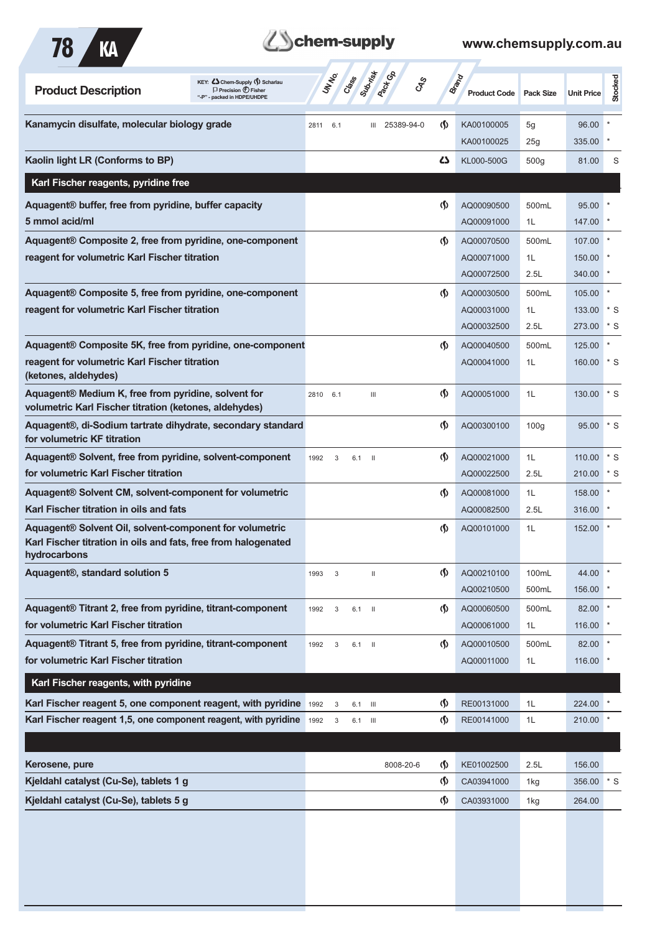

## **Z**Schem-supply

| KEY: C Chem-Supply (5) Scharlau<br><b>Product Description</b><br>$\Box$ Precision $\bigoplus$ Fisher<br>- packed in HDPE/UHDPE            | UN NO. |                           | Class    | Subrist<br><b>Pactice</b>        | CAS                                  | <b>Brand</b><br><b>Product Code</b> | <b>Pack Size</b> | <b>Unit Price</b> | Stocked           |
|-------------------------------------------------------------------------------------------------------------------------------------------|--------|---------------------------|----------|----------------------------------|--------------------------------------|-------------------------------------|------------------|-------------------|-------------------|
| Kanamycin disulfate, molecular biology grade                                                                                              | 2811   | 6.1                       |          | 25389-94-0<br>Ш                  | $\langle \mathbf{\langle} \rangle$   | KA00100005                          | 5g               | 96.00             |                   |
|                                                                                                                                           |        |                           |          |                                  |                                      | KA00100025                          | 25g              | 335.00            |                   |
| Kaolin light LR (Conforms to BP)                                                                                                          |        |                           |          |                                  | دے                                   | KL000-500G                          | 500 <sub>g</sub> | 81.00             | S                 |
| Karl Fischer reagents, pyridine free                                                                                                      |        |                           |          |                                  |                                      |                                     |                  |                   |                   |
| Aquagent® buffer, free from pyridine, buffer capacity                                                                                     |        |                           |          |                                  | $\langle \mathbf{\langle}$           | AQ00090500                          | 500mL            | 95.00             |                   |
| 5 mmol acid/ml                                                                                                                            |        |                           |          |                                  |                                      | AQ00091000                          | 1L               | 147.00            |                   |
| Aquagent <sup>®</sup> Composite 2, free from pyridine, one-component                                                                      |        |                           |          |                                  | $\langle \mathbf{\langle}$           | AQ00070500                          | 500mL            | 107.00            |                   |
| reagent for volumetric Karl Fischer titration                                                                                             |        |                           |          |                                  |                                      | AQ00071000                          | 1L               | 150.00            |                   |
|                                                                                                                                           |        |                           |          |                                  |                                      | AQ00072500                          | 2.5L             | 340.00            |                   |
| Aquagent® Composite 5, free from pyridine, one-component                                                                                  |        |                           |          |                                  | $\langle \mathbf{\langle}$           | AQ00030500                          | 500mL            | 105.00            |                   |
| reagent for volumetric Karl Fischer titration                                                                                             |        |                           |          |                                  |                                      | AQ00031000                          | 1L               | 133.00            | $*$ S             |
|                                                                                                                                           |        |                           |          |                                  |                                      | AQ00032500                          | 2.5L             | 273.00            | $*_{\mathcal{S}}$ |
| Aquagent® Composite 5K, free from pyridine, one-component                                                                                 |        |                           |          |                                  | $\langle \mathbf{\S} \rangle$        | AQ00040500                          | 500mL            | 125.00            |                   |
| reagent for volumetric Karl Fischer titration<br>(ketones, aldehydes)                                                                     |        |                           |          |                                  |                                      | AQ00041000                          | 1L               | 160.00            | $*$ S             |
| Aquagent® Medium K, free from pyridine, solvent for<br>volumetric Karl Fischer titration (ketones, aldehydes)                             | 2810   | 6.1                       |          | $\mathop{\mathsf{III}}\nolimits$ | $\langle \mathbf{\S} \rangle$        | AQ00051000                          | 1L               | 130.00            | $^*$ S            |
| Aquagent®, di-Sodium tartrate dihydrate, secondary standard<br>for volumetric KF titration                                                |        |                           |          |                                  | $\langle \mathbf{\langle}$           | AQ00300100                          | 100 <sub>g</sub> | 95.00             | $*$ S             |
| Aquagent® Solvent, free from pyridine, solvent-component                                                                                  | 1992   | 3                         | 6.1      | $\blacksquare$                   | $\langle \mathbf{\S} \rangle$        | AQ00021000                          | 1L               | 110.00            | $*_{\mathcal{S}}$ |
| for volumetric Karl Fischer titration                                                                                                     |        |                           |          |                                  |                                      | AQ00022500                          | 2.5L             | 210.00            | * S               |
| Aquagent <sup>®</sup> Solvent CM, solvent-component for volumetric                                                                        |        |                           |          |                                  | $\langle \mathbf{\langle}$           | AQ00081000                          | 1L               | 158.00            |                   |
| Karl Fischer titration in oils and fats                                                                                                   |        |                           |          |                                  |                                      | AQ00082500                          | 2.5L             | 316.00            |                   |
| Aquagent® Solvent Oil, solvent-component for volumetric<br>Karl Fischer titration in oils and fats, free from halogenated<br>hydrocarbons |        |                           |          |                                  | $\langle \mathbf{\S} \rangle$        | AQ00101000                          | 1L               | 152.00            |                   |
| Aquagent®, standard solution 5                                                                                                            | 1993   | 3                         |          | $\mathbf{H}$                     | $\langle \mathbf{\mathbf{\Diamond}}$ | AQ00210100                          | 100mL            | 44.00             |                   |
|                                                                                                                                           |        |                           |          |                                  |                                      | AQ00210500                          | 500mL            | 156.00            |                   |
| Aquagent® Titrant 2, free from pyridine, titrant-component                                                                                | 1992   | 3                         | 6.1      | $\blacksquare$                   | $\Phi$                               | AQ00060500                          | 500mL            | 82.00             |                   |
| for volumetric Karl Fischer titration                                                                                                     |        |                           |          |                                  |                                      | AQ00061000                          | 1L               | 116.00            |                   |
| Aquagent® Titrant 5, free from pyridine, titrant-component                                                                                | 1992   | 3                         | $6.1$ II |                                  | $\langle \mathbf{\S} \rangle$        | AQ00010500                          | 500mL            | 82.00             |                   |
| for volumetric Karl Fischer titration                                                                                                     |        |                           |          |                                  |                                      | AQ00011000                          | 1L               | 116.00            |                   |
| Karl Fischer reagents, with pyridine                                                                                                      |        |                           |          |                                  |                                      |                                     |                  |                   |                   |
| Karl Fischer reagent 5, one component reagent, with pyridine                                                                              | 1992   | 3                         | 6.1      | $\overline{\mathbf{m}}$          | $\langle \mathsf{S} \rangle$         | RE00131000                          | 1L               | 224.00            |                   |
| Karl Fischer reagent 1,5, one component reagent, with pyridine                                                                            | 1992   | $\ensuremath{\mathsf{3}}$ | 6.1      | - III                            | $\Phi$                               | RE00141000                          | 1L               | 210.00            |                   |
|                                                                                                                                           |        |                           |          |                                  |                                      |                                     |                  |                   |                   |
| Kerosene, pure                                                                                                                            |        |                           |          | 8008-20-6                        | $\langle \mathbf{\mathbf{\Diamond}}$ | KE01002500                          | 2.5L             | 156.00            |                   |
| Kjeldahl catalyst (Cu-Se), tablets 1 g                                                                                                    |        |                           |          |                                  | $\varphi$                            | CA03941000                          | 1kg              | 356.00            | $*$ S             |
| Kjeldahl catalyst (Cu-Se), tablets 5 g                                                                                                    |        |                           |          |                                  | $\Phi$                               | CA03931000                          | 1kg              | 264.00            |                   |
|                                                                                                                                           |        |                           |          |                                  |                                      |                                     |                  |                   |                   |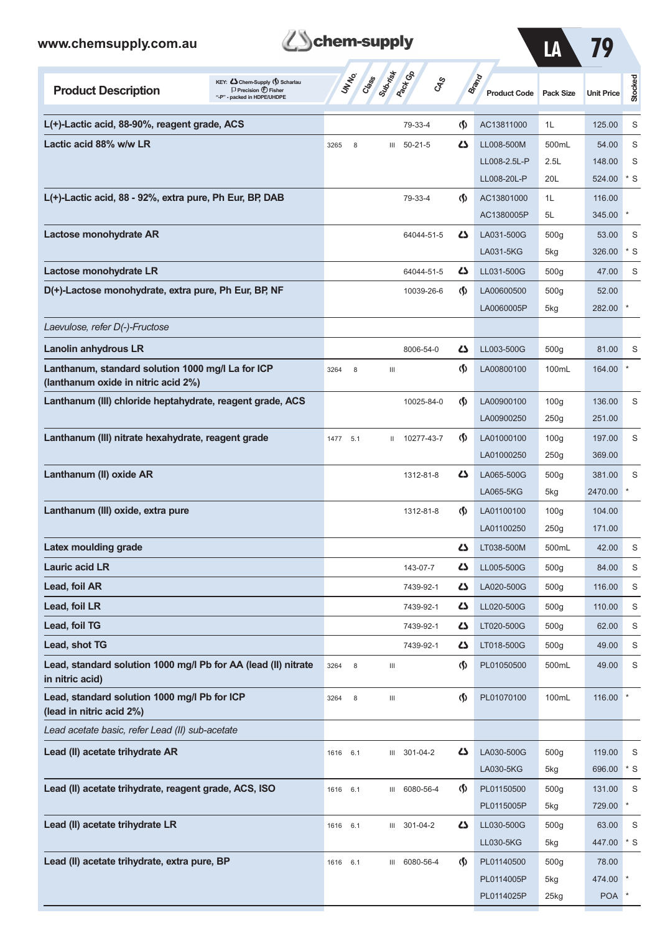

LA 79

| KEY: C Chem-Supply () Scharlau<br><b>Product Description</b><br>$\Box$ Precision $\bigoplus$ Fisher<br>"-P" - packed in HDPE/UHDPE | UNINO               | Class Superinted |               | <b>CAS</b>                         | <b>Brand</b><br><b>Product Code</b> | <b>Pack Size</b> | <b>Unit Price</b>          | Stocked |
|------------------------------------------------------------------------------------------------------------------------------------|---------------------|------------------|---------------|------------------------------------|-------------------------------------|------------------|----------------------------|---------|
| L(+)-Lactic acid, 88-90%, reagent grade, ACS                                                                                       |                     |                  | 79-33-4       | $\langle \mathbf{\langle}$         | AC13811000                          | 1L               | 125.00                     | S       |
| Lactic acid 88% w/w LR                                                                                                             | 3265<br>8           | Ш                | $50 - 21 - 5$ | دے                                 | LL008-500M                          | 500mL            | 54.00                      | S       |
|                                                                                                                                    |                     |                  |               |                                    | LL008-2.5L-P                        | 2.5L             | 148.00                     | S       |
|                                                                                                                                    |                     |                  |               |                                    | LL008-20L-P                         | 20L              | 524.00                     | $*$ S   |
| L(+)-Lactic acid, 88 - 92%, extra pure, Ph Eur, BP, DAB                                                                            |                     |                  | 79-33-4       | $\langle \mathbf{\langle}$         | AC13801000                          | 1L               | 116.00                     |         |
|                                                                                                                                    |                     |                  |               |                                    | AC1380005P                          | 5L               | 345.00                     |         |
| Lactose monohydrate AR                                                                                                             |                     |                  | 64044-51-5    | Δ                                  | LA031-500G                          | 500 <sub>g</sub> | 53.00                      | S       |
|                                                                                                                                    |                     |                  |               |                                    | LA031-5KG                           | 5kg              | 326.00                     | * S     |
| Lactose monohydrate LR                                                                                                             |                     |                  | 64044-51-5    | 47                                 | LL031-500G                          | 500 <sub>g</sub> | 47.00                      | S       |
| D(+)-Lactose monohydrate, extra pure, Ph Eur, BP, NF                                                                               |                     |                  | 10039-26-6    | $\langle \mathbf{\langle}$         | LA00600500                          | 500 <sub>g</sub> | 52.00                      |         |
|                                                                                                                                    |                     |                  |               |                                    | LA0060005P                          | 5kg              | 282.00                     |         |
| Laevulose, refer D(-)-Fructose                                                                                                     |                     |                  |               |                                    |                                     |                  |                            |         |
| <b>Lanolin anhydrous LR</b>                                                                                                        |                     |                  | 8006-54-0     | 47                                 | LL003-500G                          | 500 <sub>g</sub> | 81.00                      | S       |
| Lanthanum, standard solution 1000 mg/l La for ICP<br>(lanthanum oxide in nitric acid 2%)                                           | 3264<br>8           | Ш                |               | $\langle \mathbf{\langle} \rangle$ | LA00800100                          | 100mL            | 164.00                     |         |
| Lanthanum (III) chloride heptahydrate, reagent grade, ACS                                                                          |                     |                  | 10025-84-0    | ⊛                                  | LA00900100                          | 100 <sub>g</sub> | 136.00                     | S       |
|                                                                                                                                    |                     |                  |               |                                    | LA00900250                          | 250g             | 251.00                     |         |
| Lanthanum (III) nitrate hexahydrate, reagent grade                                                                                 | 1477 5.1            | Ш                | 10277-43-7    | ⊛                                  | LA01000100                          | 100 <sub>g</sub> | 197.00                     | S       |
|                                                                                                                                    |                     |                  |               |                                    | LA01000250                          | 250g             | 369.00                     |         |
| Lanthanum (II) oxide AR                                                                                                            |                     |                  | 1312-81-8     | Δ                                  | LA065-500G                          | 500 <sub>g</sub> | 381.00                     | S       |
|                                                                                                                                    |                     |                  |               |                                    | LA065-5KG                           | 5kg              | 2470.00                    |         |
| Lanthanum (III) oxide, extra pure                                                                                                  |                     |                  | 1312-81-8     | $\langle \mathbf{\langle}$         | LA01100100                          | 100 <sub>g</sub> | 104.00                     |         |
|                                                                                                                                    |                     |                  |               |                                    | LA01100250                          | 250g             | 171.00                     |         |
| Latex moulding grade                                                                                                               |                     |                  |               | دے                                 | LT038-500M                          | 500mL            | 42.00                      | S       |
| <b>Lauric acid LR</b>                                                                                                              |                     |                  | 143-07-7      | 27                                 | LL005-500G                          | 500g             | 84.00                      | S       |
| Lead, foil AR                                                                                                                      |                     |                  | 7439-92-1     | 45                                 | LA020-500G                          | 500 <sub>g</sub> | 116.00                     | S       |
| Lead, foil LR                                                                                                                      |                     |                  | 7439-92-1     | 47                                 | LL020-500G                          | 500 <sub>g</sub> | 110.00                     | S       |
| Lead, foil TG                                                                                                                      |                     |                  | 7439-92-1     | 47                                 | LT020-500G                          | 500 <sub>g</sub> | 62.00                      | S       |
| Lead, shot TG                                                                                                                      |                     |                  | 7439-92-1     | 45                                 | LT018-500G                          | 500 <sub>g</sub> | 49.00                      | S       |
| Lead, standard solution 1000 mg/l Pb for AA (lead (II) nitrate<br>in nitric acid)                                                  | $\,$ 8 $\,$<br>3264 | Ш                |               | $\langle \mathbf{\S} \rangle$      | PL01050500                          | 500mL            | 49.00                      | S       |
| Lead, standard solution 1000 mg/l Pb for ICP<br>(lead in nitric acid 2%)                                                           | 8<br>3264           | Ш                |               | $\langle \mathbf{\S} \rangle$      | PL01070100                          | 100mL            | 116.00                     |         |
| Lead acetate basic, refer Lead (II) sub-acetate                                                                                    |                     |                  |               |                                    |                                     |                  |                            |         |
| Lead (II) acetate trihydrate AR                                                                                                    | 1616 6.1            |                  | III 301-04-2  | 4                                  | LA030-500G                          | 500 <sub>g</sub> | 119.00                     | S       |
|                                                                                                                                    |                     |                  |               |                                    | LA030-5KG                           | 5kg              | 696.00                     | $*$ S   |
| Lead (II) acetate trihydrate, reagent grade, ACS, ISO                                                                              | 6.1<br>1616         | Ш                | 6080-56-4     | $\langle \mathbf{\S} \rangle$      | PL01150500                          | 500 <sub>g</sub> | 131.00                     | S       |
|                                                                                                                                    |                     |                  |               |                                    | PL0115005P                          | 5kg              | 729.00                     |         |
| Lead (II) acetate trihydrate LR                                                                                                    | 1616 6.1            |                  | III 301-04-2  | 4                                  | LL030-500G                          | 500 <sub>g</sub> | 63.00                      | S       |
|                                                                                                                                    |                     |                  |               |                                    | LL030-5KG                           | 5kg              | 447.00                     | $*$ S   |
| Lead (II) acetate trihydrate, extra pure, BP                                                                                       | 1616<br>6.1         | Ш                | 6080-56-4     | $\langle \mathbf{\S} \rangle$      | PL01140500                          | 500 <sub>g</sub> | 78.00                      |         |
|                                                                                                                                    |                     |                  |               |                                    | PL0114005P                          | 5kg              | 474.00<br>POA <sup>*</sup> |         |
|                                                                                                                                    |                     |                  |               |                                    | PL0114025P                          | 25kg             |                            |         |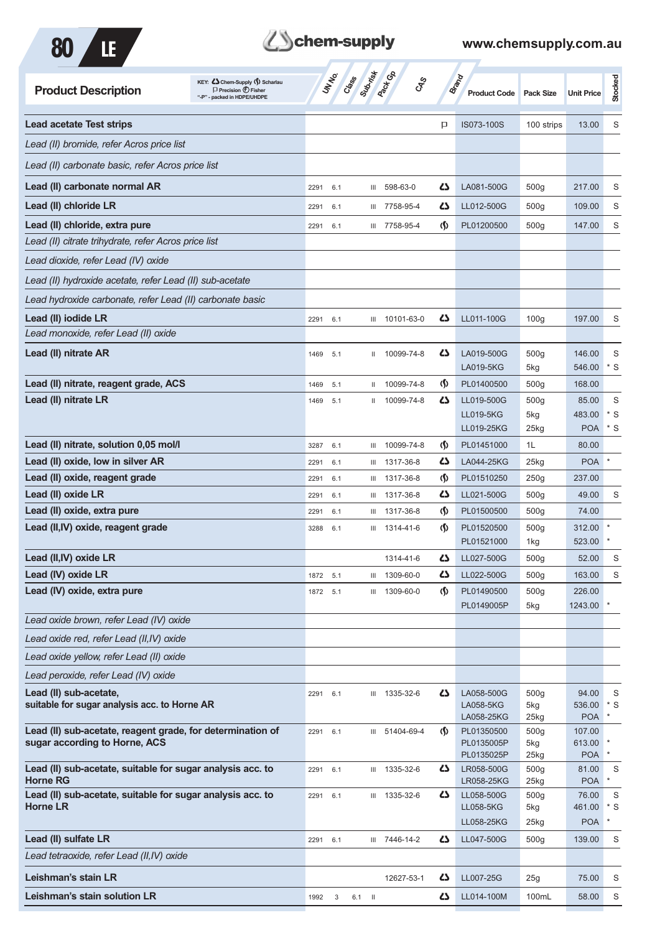



| <b>Product Description</b>                                                    | KEY: Cohem-Supply () Scharlau<br>$\Box$ Precision $\bigcirc$ Fisher<br>"-P" - packed in HDPE/UHDPE |              | UN NO. | Crass    | Submist<br>$\mathcal{S}_{\mathcal{S}}$ |                                      | <b>Brand</b><br><b>Product Code</b> | <b>Pack Size</b>        | <b>Unit Price</b>   | Stocked     |
|-------------------------------------------------------------------------------|----------------------------------------------------------------------------------------------------|--------------|--------|----------|----------------------------------------|--------------------------------------|-------------------------------------|-------------------------|---------------------|-------------|
| <b>Lead acetate Test strips</b>                                               |                                                                                                    |              |        |          |                                        | P                                    | IS073-100S                          | 100 strips              | 13.00               | S           |
| Lead (II) bromide, refer Acros price list                                     |                                                                                                    |              |        |          |                                        |                                      |                                     |                         |                     |             |
| Lead (II) carbonate basic, refer Acros price list                             |                                                                                                    |              |        |          |                                        |                                      |                                     |                         |                     |             |
| Lead (II) carbonate normal AR                                                 |                                                                                                    | 2291         | 6.1    | Ш        | 598-63-0                               | Ω                                    | LA081-500G                          | 500 <sub>g</sub>        | 217.00              | S           |
| Lead (II) chloride LR                                                         |                                                                                                    | 2291         | 6.1    | Ш        | 7758-95-4                              | Ω                                    | LL012-500G                          | 500 <sub>g</sub>        | 109.00              | S           |
| Lead (II) chloride, extra pure                                                |                                                                                                    | 2291         | 6.1    |          | III 7758-95-4                          | $\langle \mathbf{\S} \rangle$        | PL01200500                          | 500 <sub>g</sub>        | 147.00              | S           |
| Lead (II) citrate trihydrate, refer Acros price list                          |                                                                                                    |              |        |          |                                        |                                      |                                     |                         |                     |             |
| Lead dioxide, refer Lead (IV) oxide                                           |                                                                                                    |              |        |          |                                        |                                      |                                     |                         |                     |             |
| Lead (II) hydroxide acetate, refer Lead (II) sub-acetate                      |                                                                                                    |              |        |          |                                        |                                      |                                     |                         |                     |             |
| Lead hydroxide carbonate, refer Lead (II) carbonate basic                     |                                                                                                    |              |        |          |                                        |                                      |                                     |                         |                     |             |
| Lead (II) iodide LR                                                           |                                                                                                    | 2291         | 6.1    |          | III 10101-63-0                         | دے                                   | LL011-100G                          | 100 <sub>g</sub>        | 197.00              | S           |
| Lead monoxide, refer Lead (II) oxide                                          |                                                                                                    |              |        |          |                                        |                                      |                                     |                         |                     |             |
| Lead (II) nitrate AR                                                          |                                                                                                    | 1469         | 5.1    | Ш.       | 10099-74-8                             | Ω                                    | LA019-500G                          | 500 <sub>g</sub>        | 146.00              | S           |
|                                                                               |                                                                                                    |              |        |          |                                        |                                      | LA019-5KG                           | 5kg                     | 546.00              | $*$ S       |
| Lead (II) nitrate, reagent grade, ACS                                         |                                                                                                    | 1469         | 5.1    | Ш.       | 10099-74-8                             | $\langle \mathbf{\mathbf{\Diamond}}$ | PL01400500                          | 500 <sub>g</sub>        | 168.00              |             |
| Lead (II) nitrate LR                                                          |                                                                                                    | 1469         | 5.1    | Ш        | 10099-74-8                             | 45                                   | LL019-500G                          | 500 <sub>g</sub>        | 85.00               | S           |
|                                                                               |                                                                                                    |              |        |          |                                        |                                      | LL019-5KG                           | 5kg                     | 483.00              | $*$ S       |
| Lead (II) nitrate, solution 0,05 mol/l                                        |                                                                                                    |              | 6.1    |          | 10099-74-8                             | $\langle \mathbf{\mathbf{\Diamond}}$ | LL019-25KG<br>PL01451000            | 25kg<br>1L              | <b>POA</b><br>80.00 | $*$ S       |
| Lead (II) oxide, low in silver AR                                             |                                                                                                    | 3287<br>2291 | 6.1    | Ш<br>Ш   | 1317-36-8                              | Ω                                    | LA044-25KG                          | $25$ kg                 | <b>POA</b>          |             |
| Lead (II) oxide, reagent grade                                                |                                                                                                    | 2291         | 6.1    | Ш        | 1317-36-8                              | <u> (\$)</u>                         | PL01510250                          | 250g                    | 237.00              |             |
| Lead (II) oxide LR                                                            |                                                                                                    | 2291         | 6.1    | Ш        | 1317-36-8                              | 42                                   | LL021-500G                          | 500 <sub>g</sub>        | 49.00               | S           |
| Lead (II) oxide, extra pure                                                   |                                                                                                    | 2291         | 6.1    | Ш        | 1317-36-8                              | (\$)                                 | PL01500500                          | 500 <sub>g</sub>        | 74.00               |             |
| Lead (II, IV) oxide, reagent grade                                            |                                                                                                    | 3288         | 6.1    | Ш        | 1314-41-6                              | $\langle \mathbf{\S} \rangle$        | PL01520500                          | 500 <sub>g</sub>        | 312.00              |             |
|                                                                               |                                                                                                    |              |        |          |                                        |                                      | PL01521000                          | 1kg                     | 523.00              |             |
| Lead (II, IV) oxide LR                                                        |                                                                                                    |              |        |          | 1314-41-6                              | 25                                   | LL027-500G                          | 500g                    | 52.00               | S           |
| Lead (IV) oxide LR                                                            |                                                                                                    | 1872 5.1     |        | Ш        | 1309-60-0                              | 42                                   | LL022-500G                          | 500 <sub>g</sub>        | 163.00              | S           |
| Lead (IV) oxide, extra pure                                                   |                                                                                                    | 1872         | 5.1    |          | III 1309-60-0                          | $\langle \mathbf{\S} \rangle$        | PL01490500                          | 500g                    | 226.00              |             |
| Lead oxide brown, refer Lead (IV) oxide                                       |                                                                                                    |              |        |          |                                        |                                      | PL0149005P                          | 5kg                     | 1243.00             |             |
| Lead oxide red, refer Lead (II,IV) oxide                                      |                                                                                                    |              |        |          |                                        |                                      |                                     |                         |                     |             |
|                                                                               |                                                                                                    |              |        |          |                                        |                                      |                                     |                         |                     |             |
| Lead oxide yellow, refer Lead (II) oxide                                      |                                                                                                    |              |        |          |                                        |                                      |                                     |                         |                     |             |
| Lead peroxide, refer Lead (IV) oxide                                          |                                                                                                    |              |        |          |                                        |                                      |                                     |                         |                     |             |
| Lead (II) sub-acetate,<br>suitable for sugar analysis acc. to Horne AR        |                                                                                                    | 2291 6.1     |        |          | III 1335-32-6                          | 45                                   | LA058-500G<br>LA058-5KG             | 500 <sub>g</sub><br>5kg | 94.00<br>536.00     | S<br>$*$ S  |
|                                                                               |                                                                                                    |              |        |          |                                        |                                      | LA058-25KG                          | 25kg                    | POA l               | $\ast$      |
| Lead (II) sub-acetate, reagent grade, for determination of                    |                                                                                                    | 2291         | 6.1    |          | III 51404-69-4                         | $\langle \mathbf{\mathbf{\Diamond}}$ | PL01350500                          | 500 <sub>g</sub>        | 107.00              |             |
| sugar according to Horne, ACS                                                 |                                                                                                    |              |        |          |                                        |                                      | PL0135005P<br>PL0135025P            | 5kg<br>25kg             | 613.00<br>POA       | $\ast$      |
| Lead (II) sub-acetate, suitable for sugar analysis acc. to<br><b>Horne RG</b> |                                                                                                    | 2291         | 6.1    |          | III 1335-32-6                          | 42                                   | LR058-500G<br>LR058-25KG            | 500g<br>25kg            | 81.00<br><b>POA</b> | S<br>$\ast$ |
| Lead (II) sub-acetate, suitable for sugar analysis acc. to                    |                                                                                                    | 2291         | 6.1    |          | III 1335-32-6                          | 42                                   | LL058-500G                          | 500g                    | 76.00               | S           |
| <b>Horne LR</b>                                                               |                                                                                                    |              |        |          |                                        |                                      | LL058-5KG                           | 5kg                     | 461.00              | $*$ S       |
|                                                                               |                                                                                                    |              |        |          |                                        |                                      | LL058-25KG                          | 25kg                    | POA                 | $\ast$      |
| Lead (II) sulfate LR                                                          |                                                                                                    | 2291 6.1     |        |          | III 7446-14-2                          | 42                                   | LL047-500G                          | 500 <sub>g</sub>        | 139.00              | S           |
| Lead tetraoxide, refer Lead (II,IV) oxide                                     |                                                                                                    |              |        |          |                                        |                                      |                                     |                         |                     |             |
| Leishman's stain LR                                                           |                                                                                                    |              |        |          | 12627-53-1                             | 42                                   | LL007-25G                           | 25g                     | 75.00               | S           |
| Leishman's stain solution LR                                                  |                                                                                                    | 1992         | 3      | $6.1$ II |                                        | 45                                   | LL014-100M                          | 100mL                   | 58.00               | $\mathbf S$ |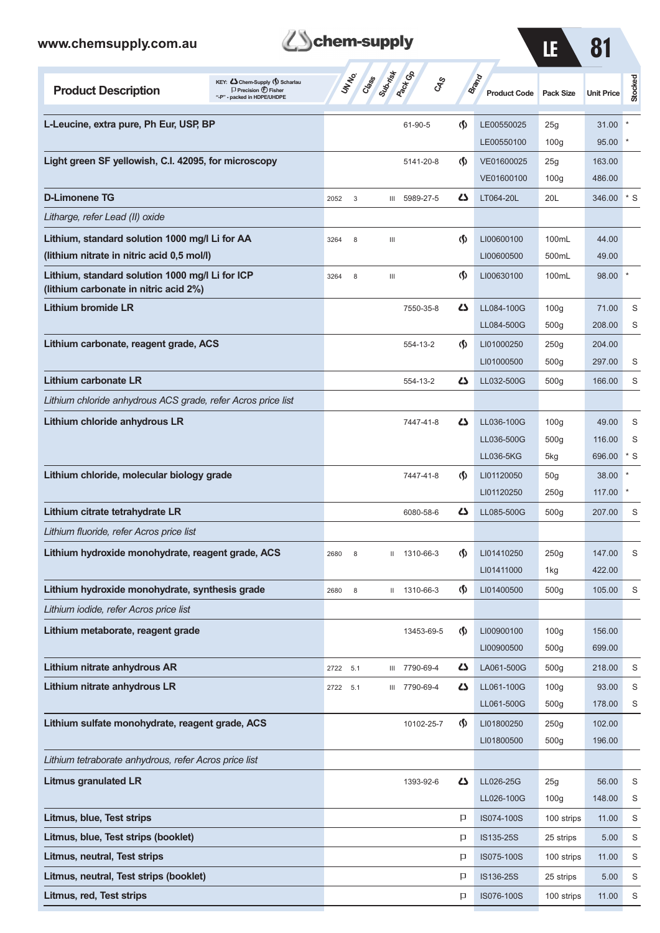| chem-supply<br>www.chemsupply.com.au<br>81<br>LE                                                                                   |          |       |                  |                              |                                    |                              |                          |                   |             |
|------------------------------------------------------------------------------------------------------------------------------------|----------|-------|------------------|------------------------------|------------------------------------|------------------------------|--------------------------|-------------------|-------------|
| KEY: Cohem-Supply (5) Scharlau<br><b>Product Description</b><br>$\Box$ Precision $\bigoplus$ Fisher<br>"-P" - packed in HDPE/UHDPE | UN NO.   | Creek | <b>Submitted</b> | <b>Rack Co</b><br><b>CAS</b> |                                    | Brand<br><b>Product Code</b> | <b>Pack Size</b>         | <b>Unit Price</b> | Stocked     |
| L-Leucine, extra pure, Ph Eur, USP, BP                                                                                             |          |       |                  | 61-90-5                      | $\langle \mathbf{\langle} \rangle$ | LE00550025                   | 25g                      | 31.00             |             |
|                                                                                                                                    |          |       |                  |                              |                                    | LE00550100                   | 100 <sub>g</sub>         | 95.00             |             |
| Light green SF yellowish, C.I. 42095, for microscopy                                                                               |          |       |                  | 5141-20-8                    | $\langle \mathbf{\langle} \rangle$ | VE01600025                   | 25g                      | 163.00            |             |
| <b>D-Limonene TG</b>                                                                                                               | 2052     | 3     | $\mathbf{m}$     | 5989-27-5                    | $\mathbf{Z}$                       | VE01600100<br>LT064-20L      | 100 <sub>g</sub><br>20L  | 486.00<br>346.00  | $*$ S       |
| Litharge, refer Lead (II) oxide                                                                                                    |          |       |                  |                              |                                    |                              |                          |                   |             |
| Lithium, standard solution 1000 mg/l Li for AA                                                                                     | 3264     | 8     | Ш                |                              | $\langle \mathbf{\S} \rangle$      | LI00600100                   | 100mL                    | 44.00             |             |
| (lithium nitrate in nitric acid 0,5 mol/l)                                                                                         |          |       |                  |                              |                                    | LI00600500                   | 500mL                    | 49.00             |             |
| Lithium, standard solution 1000 mg/l Li for ICP<br>(lithium carbonate in nitric acid 2%)                                           | 3264     | 8     | Ш                |                              | $\langle \mathbf{\S} \rangle$      | LI00630100                   | 100mL                    | 98.00             |             |
| Lithium bromide LR                                                                                                                 |          |       |                  | 7550-35-8                    | Ω                                  | LL084-100G                   | 100 <sub>g</sub>         | 71.00             | S           |
|                                                                                                                                    |          |       |                  |                              |                                    | LL084-500G                   | 500 <sub>g</sub>         | 208.00            | S           |
| Lithium carbonate, reagent grade, ACS                                                                                              |          |       |                  | 554-13-2                     | $\langle \mathbf{\langle} \rangle$ | LI01000250                   | 250g                     | 204.00            |             |
|                                                                                                                                    |          |       |                  |                              |                                    | LI01000500                   | 500 <sub>g</sub>         | 297.00            | S           |
| <b>Lithium carbonate LR</b>                                                                                                        |          |       |                  | 554-13-2                     | دے                                 | LL032-500G                   | 500g                     | 166.00            | S           |
| Lithium chloride anhydrous ACS grade, refer Acros price list                                                                       |          |       |                  |                              |                                    |                              |                          |                   |             |
| Lithium chloride anhydrous LR                                                                                                      |          |       |                  | 7447-41-8                    | ひ                                  | LL036-100G                   | 100q                     | 49.00             | S           |
|                                                                                                                                    |          |       |                  |                              |                                    | LL036-500G                   | 500 <sub>g</sub>         | 116.00            | S           |
|                                                                                                                                    |          |       |                  |                              |                                    | LL036-5KG                    | 5kg                      | 696.00            | * S         |
| Lithium chloride, molecular biology grade                                                                                          |          |       |                  | 7447-41-8                    | $\Phi$                             | LI01120050                   | 50 <sub>g</sub>          | 38.00             |             |
|                                                                                                                                    |          |       |                  |                              |                                    | LI01120250                   | 250g                     | 117.00            |             |
| Lithium citrate tetrahydrate LR                                                                                                    |          |       |                  | 6080-58-6                    | ひ                                  | LL085-500G                   | 500g                     | 207.00            | S           |
| Lithium fluoride, refer Acros price list                                                                                           |          |       |                  |                              |                                    |                              |                          |                   |             |
| Lithium hydroxide monohydrate, reagent grade, ACS                                                                                  | 2680     | 8     |                  | II 1310-66-3                 | $\langle \mathbf{\langle} \rangle$ | LI01410250                   | 250g                     | 147.00            | S           |
|                                                                                                                                    |          |       |                  |                              |                                    | LI01411000                   | 1kg                      | 422.00            |             |
| Lithium hydroxide monohydrate, synthesis grade                                                                                     | 2680     | 8     |                  | II 1310-66-3                 | $\langle \mathbf{\S} \rangle$      | LI01400500                   | 500 <sub>g</sub>         | 105.00            | S           |
| Lithium iodide, refer Acros price list                                                                                             |          |       |                  |                              |                                    |                              |                          |                   |             |
| Lithium metaborate, reagent grade                                                                                                  |          |       |                  | 13453-69-5                   | $\langle \mathbf{\S} \rangle$      | LI00900100                   | 100q                     | 156.00            |             |
|                                                                                                                                    |          |       |                  |                              |                                    | LI00900500                   | 500 <sub>g</sub>         | 699.00            |             |
| Lithium nitrate anhydrous AR                                                                                                       | 2722     | 5.1   |                  | III 7790-69-4                | 47                                 | LA061-500G                   | 500 <sub>g</sub>         | 218.00            | S           |
| Lithium nitrate anhydrous LR                                                                                                       | 2722 5.1 |       |                  | III 7790-69-4                | 47                                 | LL061-100G                   | 100 <sub>g</sub>         | 93.00             | $\mathbf S$ |
|                                                                                                                                    |          |       |                  |                              |                                    | LL061-500G                   | 500 <sub>g</sub>         | 178.00            | S           |
| Lithium sulfate monohydrate, reagent grade, ACS                                                                                    |          |       |                  | 10102-25-7                   | $\langle \mathbf{\S} \rangle$      | LI01800250<br>LI01800500     | 250g<br>500 <sub>g</sub> | 102.00<br>196.00  |             |
| Lithium tetraborate anhydrous, refer Acros price list                                                                              |          |       |                  |                              |                                    |                              |                          |                   |             |
|                                                                                                                                    |          |       |                  |                              |                                    |                              |                          |                   |             |
| <b>Litmus granulated LR</b>                                                                                                        |          |       |                  | 1393-92-6                    | 47                                 | LL026-25G                    | 25g                      | 56.00<br>148.00   | S           |
| Litmus, blue, Test strips                                                                                                          |          |       |                  |                              |                                    | LL026-100G                   | 100 <sub>g</sub>         | 11.00             | S           |
|                                                                                                                                    |          |       |                  |                              | P                                  | IS074-100S                   | 100 strips               |                   | S           |
| Litmus, blue, Test strips (booklet)                                                                                                |          |       |                  |                              | P                                  | IS135-25S                    | 25 strips                | 5.00              | S           |
| <b>Litmus, neutral, Test strips</b>                                                                                                |          |       |                  |                              | P                                  | IS075-100S                   | 100 strips               | 11.00             | S           |
| Litmus, neutral, Test strips (booklet)                                                                                             |          |       |                  |                              | P                                  | IS136-25S                    | 25 strips                | 5.00              | S           |

**Litmus, red, Test strips ISO76-100S** 100 strips 11.00 S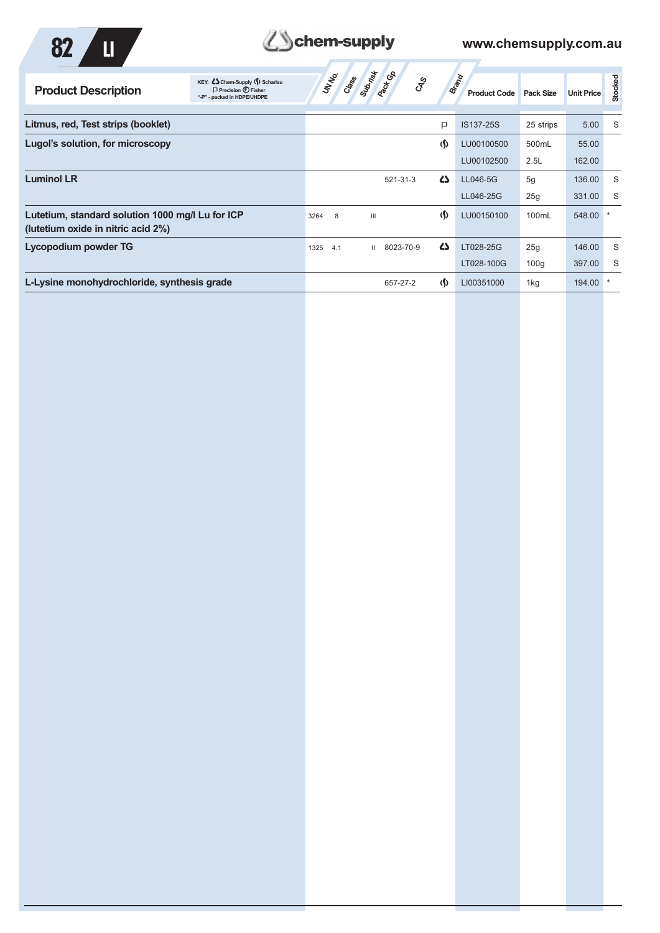



| KEY: Cohem-Supply (5) Scharlau<br>$\Box$ Precision $\bigoplus$ Fisher<br><b>Product Description</b><br>"-P" - packed in HDPE/UHDPE | Class Subdivist<br>UN NO.<br>್ನೇ         |                                   | Brand<br><b>Product Code</b> | Pack Size | <b>Unit Price</b> | Stocked |
|------------------------------------------------------------------------------------------------------------------------------------|------------------------------------------|-----------------------------------|------------------------------|-----------|-------------------|---------|
| Litmus, red, Test strips (booklet)                                                                                                 |                                          | P                                 | IS137-25S                    | 25 strips | 5.00              | S       |
| Lugol's solution, for microscopy                                                                                                   |                                          | $\langle \mathbf{\S} \rangle$     | LU00100500                   | 500mL     | 55.00             |         |
|                                                                                                                                    |                                          |                                   | LU00102500                   | 2.5L      | 162.00            |         |
| <b>Luminol LR</b>                                                                                                                  | 521-31-3                                 | $\mathbf{Z}$                      | LL046-5G                     | 5g        | 136.00            | S       |
|                                                                                                                                    |                                          |                                   | LL046-25G                    | 25g       | 331.00            | S       |
| Lutetium, standard solution 1000 mg/l Lu for ICP<br>(lutetium oxide in nitric acid 2%)                                             | $\mathbf{III}$<br>8<br>3264              | (\$)                              | LU00150100                   | 100mL     | 548.00            |         |
| <b>Lycopodium powder TG</b>                                                                                                        | 8023-70-9<br>1325<br>4.1<br>$\mathbf{H}$ | $\mathbf{Z}$                      | LT028-25G                    | 25g       | 146.00            | S       |
|                                                                                                                                    |                                          |                                   | LT028-100G                   | 100q      | 397.00            | S       |
| L-Lysine monohydrochloride, synthesis grade                                                                                        | 657-27-2                                 | $\langle \mathbf{\Omega} \rangle$ | LI00351000                   | 1kg       | 194.00            |         |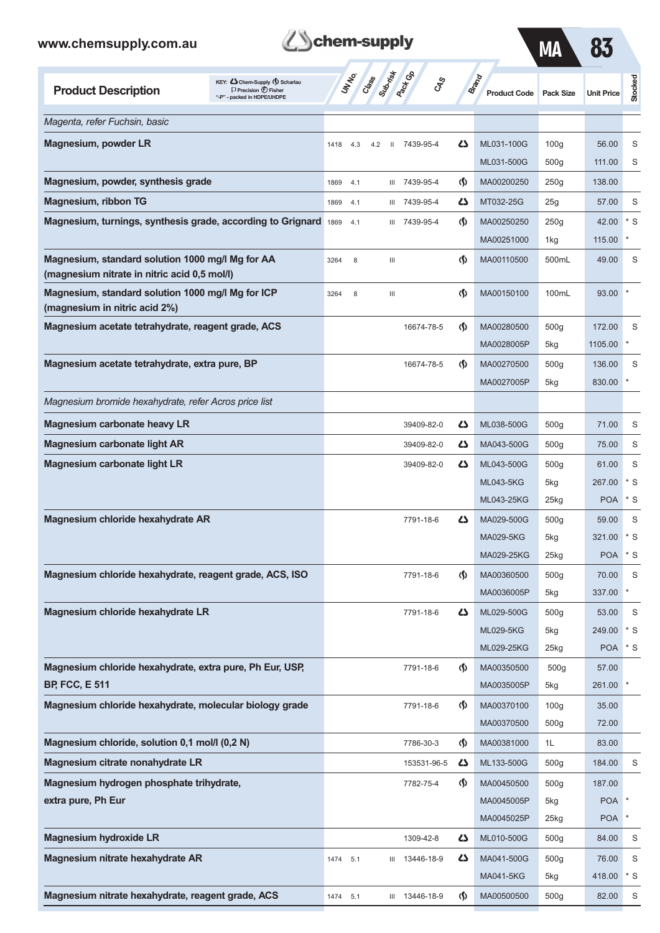

MA 83

| KEY: Cohem-Supply (5) Scharlau<br><b>Product Description</b><br>$\Box$ Precision $\bigcirc$ Fisher<br>"-P" - packed in HDPE/UHDPE | UN NO.      | Submist<br>Class    | <b>Pack</b> Ga<br><b>GRS</b> |                               | <b>Brand</b><br><b>Product Code</b> | <b>Pack Size</b> | <b>Unit Price</b> | Stocked    |
|-----------------------------------------------------------------------------------------------------------------------------------|-------------|---------------------|------------------------------|-------------------------------|-------------------------------------|------------------|-------------------|------------|
| Magenta, refer Fuchsin, basic                                                                                                     |             |                     |                              |                               |                                     |                  |                   |            |
| Magnesium, powder LR                                                                                                              | 1418<br>4.3 | $\mathbf{H}$<br>4.2 | 7439-95-4                    | دے                            | ML031-100G                          | 100 <sub>g</sub> | 56.00             | S          |
|                                                                                                                                   |             |                     |                              |                               | ML031-500G                          | 500 <sub>g</sub> | 111.00            | S          |
| Magnesium, powder, synthesis grade                                                                                                | 1869<br>4.1 | Ш                   | 7439-95-4                    | $\langle \mathbf{\langle}$    | MA00200250                          | 250g             | 138.00            |            |
| <b>Magnesium, ribbon TG</b>                                                                                                       | 1869<br>4.1 | Ш                   | 7439-95-4                    | دے                            | MT032-25G                           | 25g              | 57.00             | S          |
| Magnesium, turnings, synthesis grade, according to Grignard                                                                       | 1869<br>4.1 | Ш                   | 7439-95-4                    | $\langle \mathbf{\S} \rangle$ | MA00250250                          | 250g             | 42.00             | $*$ S      |
|                                                                                                                                   |             |                     |                              |                               | MA00251000                          | 1kg              | 115.00            |            |
| Magnesium, standard solution 1000 mg/l Mg for AA<br>(magnesium nitrate in nitric acid 0,5 mol/l)                                  | 3264<br>8   | Ш                   |                              | $\langle \mathbf{\S} \rangle$ | MA00110500                          | 500mL            | 49.00             | S          |
| Magnesium, standard solution 1000 mg/l Mg for ICP<br>(magnesium in nitric acid 2%)                                                | 8<br>3264   | Ш                   |                              | $\langle \mathbf{\S} \rangle$ | MA00150100                          | 100mL            | 93.00             |            |
| Magnesium acetate tetrahydrate, reagent grade, ACS                                                                                |             |                     | 16674-78-5                   | $\langle \mathbf{\langle}$    | MA00280500                          | 500 <sub>g</sub> | 172.00            | S          |
|                                                                                                                                   |             |                     |                              |                               | MA0028005P                          | 5kg              | 1105.00           | *          |
| Magnesium acetate tetrahydrate, extra pure, BP                                                                                    |             |                     | 16674-78-5                   | $\langle \mathbf{\langle}$    | MA00270500                          | 500 <sub>g</sub> | 136.00            | S          |
|                                                                                                                                   |             |                     |                              |                               | MA0027005P                          | 5kg              | 830.00            |            |
| Magnesium bromide hexahydrate, refer Acros price list                                                                             |             |                     |                              |                               |                                     |                  |                   |            |
| <b>Magnesium carbonate heavy LR</b>                                                                                               |             |                     | 39409-82-0                   | دے                            | ML038-500G                          | 500 <sub>g</sub> | 71.00             | S          |
| <b>Magnesium carbonate light AR</b>                                                                                               |             |                     | 39409-82-0                   | دے                            | MA043-500G                          | 500 <sub>g</sub> | 75.00             | S          |
| <b>Magnesium carbonate light LR</b>                                                                                               |             |                     | 39409-82-0                   | Ω                             | ML043-500G                          | 500 <sub>g</sub> | 61.00             | S          |
|                                                                                                                                   |             |                     |                              |                               | <b>ML043-5KG</b>                    | 5kg              | 267.00            | $*$ S      |
|                                                                                                                                   |             |                     |                              |                               | ML043-25KG                          | $25$ kg          | <b>POA</b>        | $*$ S      |
| Magnesium chloride hexahydrate AR                                                                                                 |             |                     | 7791-18-6                    | دے                            | MA029-500G                          | 500 <sub>g</sub> | 59.00             | S          |
|                                                                                                                                   |             |                     |                              |                               | MA029-5KG                           | 5kg              | 321.00            | $*$ S      |
|                                                                                                                                   |             |                     |                              |                               | MA029-25KG                          | 25kg             | <b>POA</b>        | $*$ S      |
| Magnesium chloride hexahydrate, reagent grade, ACS, ISO                                                                           |             |                     | 7791-18-6                    | $\langle \mathbf{\langle}$    | MA00360500                          | 500g             | 70.00             | S          |
|                                                                                                                                   |             |                     |                              |                               | MA0036005P                          | 5kg              | 337.00            |            |
| Magnesium chloride hexahydrate LR                                                                                                 |             |                     | 7791-18-6                    | 77                            | ML029-500G<br><b>ML029-5KG</b>      | 500g<br>5kg      | 53.00<br>249.00   | S<br>$*$ S |
|                                                                                                                                   |             |                     |                              |                               | ML029-25KG                          | 25kg             | <b>POA</b>        | $*$ S      |
| Magnesium chloride hexahydrate, extra pure, Ph Eur, USP,                                                                          |             |                     | 7791-18-6                    | ⊛                             | MA00350500                          | 500g             | 57.00             |            |
| <b>BP, FCC, E 511</b>                                                                                                             |             |                     |                              |                               | MA0035005P                          | 5kg              | 261.00            |            |
| Magnesium chloride hexahydrate, molecular biology grade                                                                           |             |                     | 7791-18-6                    | ⊛                             | MA00370100                          | 100 <sub>g</sub> | 35.00             |            |
|                                                                                                                                   |             |                     |                              |                               | MA00370500                          | 500g             | 72.00             |            |
| Magnesium chloride, solution 0,1 mol/l (0,2 N)                                                                                    |             |                     | 7786-30-3                    | ⊛                             | MA00381000                          | 1L               | 83.00             |            |
| Magnesium citrate nonahydrate LR                                                                                                  |             |                     | 153531-96-5                  | 45                            | ML133-500G                          | 500g             | 184.00            | S          |
| Magnesium hydrogen phosphate trihydrate,                                                                                          |             |                     | 7782-75-4                    | ⊛                             | MA00450500                          | 500g             | 187.00            |            |
| extra pure, Ph Eur                                                                                                                |             |                     |                              |                               | MA0045005P                          | 5kg              | <b>POA</b>        |            |
|                                                                                                                                   |             |                     |                              |                               | MA0045025P                          | $25$ kg          | <b>POA</b>        |            |
| <b>Magnesium hydroxide LR</b>                                                                                                     |             |                     | 1309-42-8                    | 77                            | ML010-500G                          | 500g             | 84.00             | S          |
| Magnesium nitrate hexahydrate AR                                                                                                  | 1474<br>5.1 | Ш                   | 13446-18-9                   | 45                            | MA041-500G                          | 500g             | 76.00             | S          |
|                                                                                                                                   |             |                     |                              |                               | MA041-5KG                           | 5kg              | 418.00            | $*$ S      |
| Magnesium nitrate hexahydrate, reagent grade, ACS                                                                                 | 1474<br>5.1 |                     | III 13446-18-9               | $\langle \mathbf{\S} \rangle$ | MA00500500                          | 500g             | 82.00             | S          |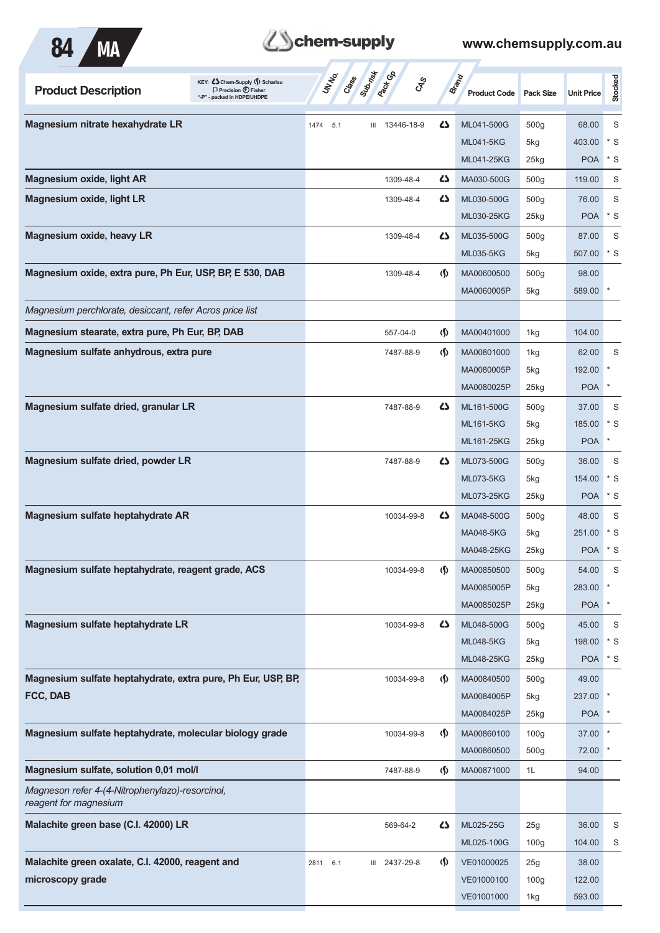

# Behem-supply

| KEY: C Chem-Supply (1) Scharlau<br><b>Product Description</b><br>$\Box$ Precision $\bigoplus$ Fisher<br>packed in HDPE/UHDPE | Subsite<br><b>Pack</b> Co<br>UN NO.<br>Cass<br><b>GRS</b> |                                    | <b>Brand</b><br><b>Product Code</b> | Pack Size        | <b>Unit Price</b> | <b>Stocked</b> |
|------------------------------------------------------------------------------------------------------------------------------|-----------------------------------------------------------|------------------------------------|-------------------------------------|------------------|-------------------|----------------|
| Magnesium nitrate hexahydrate LR                                                                                             | 13446-18-9<br>1474<br>5.1<br>Ш                            | 5                                  | ML041-500G                          | 500g             | 68.00             | S              |
|                                                                                                                              |                                                           |                                    | <b>ML041-5KG</b>                    | 5kg              | 403.00            | $*$ S          |
|                                                                                                                              |                                                           |                                    | ML041-25KG                          | 25kg             | <b>POA</b>        | * S            |
| <b>Magnesium oxide, light AR</b>                                                                                             | 1309-48-4                                                 | 4                                  | MA030-500G                          | 500 <sub>g</sub> | 119.00            | S              |
| <b>Magnesium oxide, light LR</b>                                                                                             | 1309-48-4                                                 | ひ                                  | ML030-500G                          | 500 <sub>g</sub> | 76.00             | S              |
|                                                                                                                              |                                                           |                                    | ML030-25KG                          | 25kg             | <b>POA</b>        | $*$ S          |
| Magnesium oxide, heavy LR                                                                                                    | 1309-48-4                                                 | 47                                 | ML035-500G                          | 500 <sub>g</sub> | 87.00             | S              |
|                                                                                                                              |                                                           |                                    | <b>ML035-5KG</b>                    | 5kg              | 507.00            | $*$ S          |
| Magnesium oxide, extra pure, Ph Eur, USP, BP, E 530, DAB                                                                     | 1309-48-4                                                 | $\langle \mathbf{\langle} \rangle$ | MA00600500                          | 500 <sub>g</sub> | 98.00             |                |
|                                                                                                                              |                                                           |                                    | MA0060005P                          | 5kg              | 589.00            |                |
| Magnesium perchlorate, desiccant, refer Acros price list                                                                     |                                                           |                                    |                                     |                  |                   |                |
| Magnesium stearate, extra pure, Ph Eur, BP, DAB                                                                              | 557-04-0                                                  | $\langle \mathbf{\langle} \rangle$ | MA00401000                          | 1kg              | 104.00            |                |
| Magnesium sulfate anhydrous, extra pure                                                                                      | 7487-88-9                                                 | $\langle \mathbf{\langle} \rangle$ | MA00801000                          | 1kg              | 62.00             | S              |
|                                                                                                                              |                                                           |                                    | MA0080005P                          | 5kg              | 192.00            |                |
|                                                                                                                              |                                                           |                                    | MA0080025P                          | 25kg             | <b>POA</b>        | $\ast$         |
| Magnesium sulfate dried, granular LR                                                                                         | 7487-88-9                                                 | 4                                  | ML161-500G                          | 500 <sub>g</sub> | 37.00             | S              |
|                                                                                                                              |                                                           |                                    | <b>ML161-5KG</b>                    | 5kg              | 185.00            | $*$ S          |
|                                                                                                                              |                                                           |                                    | ML161-25KG                          | $25$ kg          | <b>POA</b>        | $\ast$         |
| Magnesium sulfate dried, powder LR                                                                                           | 7487-88-9                                                 | 45                                 | ML073-500G                          | 500 <sub>g</sub> | 36.00             | S              |
|                                                                                                                              |                                                           |                                    | <b>ML073-5KG</b>                    | 5kg              | 154.00            | $*$ S          |
|                                                                                                                              |                                                           |                                    | ML073-25KG                          | 25kg             | <b>POA</b>        | $*$ S          |
| Magnesium sulfate heptahydrate AR                                                                                            | 10034-99-8                                                | 45                                 | MA048-500G                          | 500 <sub>g</sub> | 48.00             | S              |
|                                                                                                                              |                                                           |                                    | <b>MA048-5KG</b>                    | 5kg              | 251.00            | $*$ S          |
|                                                                                                                              |                                                           |                                    | MA048-25KG                          | 25kg             | <b>POA</b>        | * S            |
| Magnesium sulfate heptahydrate, reagent grade, ACS                                                                           | 10034-99-8                                                | $\langle \mathbf{\langle} \rangle$ | MA00850500                          | 500g             | 54.00             | S              |
|                                                                                                                              |                                                           |                                    | MA0085005P                          | 5kg              | 283.00            |                |
|                                                                                                                              |                                                           |                                    | MA0085025P                          | 25kg             | <b>POA</b>        | $\ast$         |
| Magnesium sulfate heptahydrate LR                                                                                            | 10034-99-8                                                | 5                                  | ML048-500G                          | 500g             | 45.00             | S              |
|                                                                                                                              |                                                           |                                    | <b>ML048-5KG</b>                    | 5kg              | 198.00            | $*$ S          |
|                                                                                                                              |                                                           |                                    | ML048-25KG                          | 25kg             | <b>POA</b>        | $^\star$ S     |
| Magnesium sulfate heptahydrate, extra pure, Ph Eur, USP, BP,                                                                 | 10034-99-8                                                | $\langle \mathbf{\hat{y}} \rangle$ | MA00840500                          | 500g             | 49.00             |                |
| FCC, DAB                                                                                                                     |                                                           |                                    | MA0084005P                          | 5kg              | 237.00 *          |                |
|                                                                                                                              |                                                           |                                    | MA0084025P                          | 25kg             | <b>POA</b>        |                |
| Magnesium sulfate heptahydrate, molecular biology grade                                                                      | 10034-99-8                                                | $\langle \mathbf{\hat{y}} \rangle$ | MA00860100                          | 100 <sub>g</sub> | 37.00             |                |
|                                                                                                                              |                                                           |                                    | MA00860500                          | 500g             | 72.00             |                |
| Magnesium sulfate, solution 0,01 mol/l                                                                                       | 7487-88-9                                                 | $\langle \mathbf{\S} \rangle$      | MA00871000                          | 1L               | 94.00             |                |
| Magneson refer 4-(4-Nitrophenylazo)-resorcinol,<br>reagent for magnesium                                                     |                                                           |                                    |                                     |                  |                   |                |
| Malachite green base (C.I. 42000) LR                                                                                         | 569-64-2                                                  | 45                                 | ML025-25G                           | 25g              | 36.00             | S              |
|                                                                                                                              |                                                           |                                    | ML025-100G                          | 100 <sub>g</sub> | 104.00            | S              |
| Malachite green oxalate, C.I. 42000, reagent and                                                                             | III 2437-29-8<br>6.1<br>2811                              | $\Phi$                             | VE01000025                          | 25g              | 38.00             |                |
| microscopy grade                                                                                                             |                                                           |                                    | VE01000100                          | 100 <sub>g</sub> | 122.00            |                |
|                                                                                                                              |                                                           |                                    | VE01001000                          | 1kg              | 593.00            |                |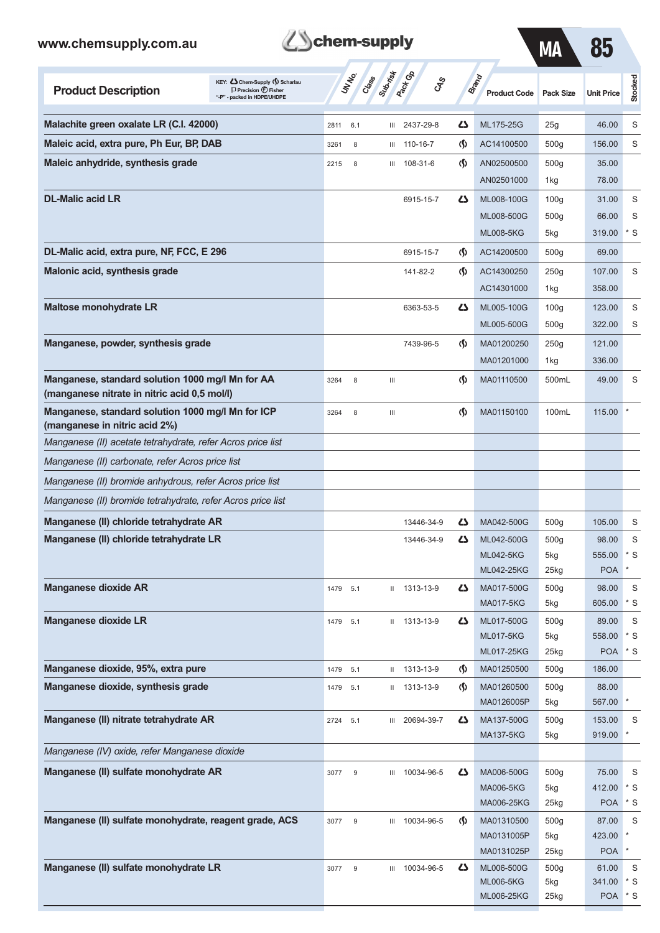|  |  | <b>Z</b> Schem-supply |
|--|--|-----------------------|
|--|--|-----------------------|

| MА | O. |
|----|----|
|----|----|

| <b>Product Description</b>                                                                       | KEY: Chem-Supply (\$) Scharlau<br>$\Box$ Precision $\bigoplus$ Fisher<br>"-P" - packed in HDPE/UHDPE |          | <b>UNTER</b>     | Supring<br>Creek | <b>Pack GA</b><br>GSS |                               | Brand<br><b>Product Code</b>   | <b>Pack Size</b>        | <b>Unit Price</b>    | Stocked     |
|--------------------------------------------------------------------------------------------------|------------------------------------------------------------------------------------------------------|----------|------------------|------------------|-----------------------|-------------------------------|--------------------------------|-------------------------|----------------------|-------------|
| Malachite green oxalate LR (C.I. 42000)                                                          |                                                                                                      | 2811     | 6.1              | Ш                | 2437-29-8             | دے                            | ML175-25G                      | 25g                     | 46.00                | S           |
| Maleic acid, extra pure, Ph Eur, BP, DAB                                                         |                                                                                                      | 3261     | 8                | Ш                | 110-16-7              | ⊛                             | AC14100500                     | 500 <sub>g</sub>        | 156.00               | S           |
| Maleic anhydride, synthesis grade                                                                |                                                                                                      | 2215     | 8                | Ш                | 108-31-6              | ⊛                             | AN02500500                     | 500 <sub>g</sub>        | 35.00                |             |
|                                                                                                  |                                                                                                      |          |                  |                  |                       |                               | AN02501000                     | 1kg                     | 78.00                |             |
| <b>DL-Malic acid LR</b>                                                                          |                                                                                                      |          |                  |                  | 6915-15-7             | Ω                             | ML008-100G                     | 100 <sub>g</sub>        | 31.00                | S           |
|                                                                                                  |                                                                                                      |          |                  |                  |                       |                               | ML008-500G                     | 500 <sub>g</sub>        | 66.00                | S           |
|                                                                                                  |                                                                                                      |          |                  |                  |                       |                               | <b>ML008-5KG</b>               | 5kg                     | 319.00               | $*$ S       |
| DL-Malic acid, extra pure, NF, FCC, E 296                                                        |                                                                                                      |          |                  |                  | 6915-15-7             | $\langle \mathbf{\S} \rangle$ | AC14200500                     | 500 <sub>g</sub>        | 69.00                |             |
| Malonic acid, synthesis grade                                                                    |                                                                                                      |          |                  |                  | 141-82-2              | $\langle \mathbf{\S} \rangle$ | AC14300250                     | 250g                    | 107.00               | S           |
|                                                                                                  |                                                                                                      |          |                  |                  |                       |                               | AC14301000                     | 1kg                     | 358.00               |             |
| <b>Maltose monohydrate LR</b>                                                                    |                                                                                                      |          |                  |                  | 6363-53-5             | 47                            | ML005-100G                     | 100 <sub>g</sub>        | 123.00               | S           |
|                                                                                                  |                                                                                                      |          |                  |                  |                       |                               | ML005-500G                     | 500g                    | 322.00               | S           |
| Manganese, powder, synthesis grade                                                               |                                                                                                      |          |                  |                  | 7439-96-5             | ⊛                             | MA01200250                     | 250g                    | 121.00               |             |
|                                                                                                  |                                                                                                      |          |                  |                  |                       |                               | MA01201000                     | 1kg                     | 336.00               |             |
| Manganese, standard solution 1000 mg/l Mn for AA<br>(manganese nitrate in nitric acid 0,5 mol/l) |                                                                                                      | 3264     | 8                | Ш                |                       | $\langle \mathbf{\S} \rangle$ | MA01110500                     | 500mL                   | 49.00                | S           |
| Manganese, standard solution 1000 mg/l Mn for ICP<br>(manganese in nitric acid 2%)               |                                                                                                      | 3264     | 8                | Ш                |                       | $\langle \mathbf{\S} \rangle$ | MA01150100                     | 100mL                   | 115.00               |             |
| Manganese (II) acetate tetrahydrate, refer Acros price list                                      |                                                                                                      |          |                  |                  |                       |                               |                                |                         |                      |             |
| Manganese (II) carbonate, refer Acros price list                                                 |                                                                                                      |          |                  |                  |                       |                               |                                |                         |                      |             |
| Manganese (II) bromide anhydrous, refer Acros price list                                         |                                                                                                      |          |                  |                  |                       |                               |                                |                         |                      |             |
| Manganese (II) bromide tetrahydrate, refer Acros price list                                      |                                                                                                      |          |                  |                  |                       |                               |                                |                         |                      |             |
| Manganese (II) chloride tetrahydrate AR                                                          |                                                                                                      |          |                  |                  | 13446-34-9            | Ω                             | MA042-500G                     | 500 <sub>g</sub>        | 105.00               | S           |
| Manganese (II) chloride tetrahydrate LR                                                          |                                                                                                      |          |                  |                  | 13446-34-9            | دے                            | ML042-500G                     | 500g                    | 98.00                | S           |
|                                                                                                  |                                                                                                      |          |                  |                  |                       |                               | <b>ML042-5KG</b>               | 5kg                     | 555.00               | * S         |
|                                                                                                  |                                                                                                      |          |                  |                  |                       |                               | ML042-25KG                     | 25kg                    | <b>POA</b>           | $\ast$      |
| <b>Manganese dioxide AR</b>                                                                      |                                                                                                      | 1479 5.1 |                  | Ш                | 1313-13-9             | 47                            | MA017-500G                     | 500g                    | 98.00                | S           |
| <b>Manganese dioxide LR</b>                                                                      |                                                                                                      |          |                  |                  |                       | 47                            | MA017-5KG                      | 5kg                     | 605.00               | $*$ S<br>S  |
|                                                                                                  |                                                                                                      | 1479 5.1 |                  |                  | II 1313-13-9          |                               | ML017-500G<br><b>ML017-5KG</b> | 500 <sub>g</sub><br>5kg | 89.00<br>558.00      | * S         |
|                                                                                                  |                                                                                                      |          |                  |                  |                       |                               | ML017-25KG                     | 25kg                    | <b>POA</b>           | $^\star$ S  |
| Manganese dioxide, 95%, extra pure                                                               |                                                                                                      | 1479     | 5.1              | Ш                | 1313-13-9             | $\langle \mathbf{\S} \rangle$ | MA01250500                     | 500 <sub>g</sub>        | 186.00               |             |
| Manganese dioxide, synthesis grade                                                               |                                                                                                      | 1479     | 5.1              |                  | $11$ 1313-13-9        | $\langle \mathbf{\S} \rangle$ | MA01260500                     | 500 <sub>g</sub>        | 88.00                |             |
|                                                                                                  |                                                                                                      |          |                  |                  |                       |                               | MA0126005P                     | 5kg                     | 567.00               |             |
| Manganese (II) nitrate tetrahydrate AR                                                           |                                                                                                      | 2724 5.1 |                  | Ш                | 20694-39-7            | دے                            | MA137-500G<br>MA137-5KG        | 500 <sub>g</sub><br>5kg | 153.00<br>919.00     | S<br>$\ast$ |
| Manganese (IV) oxide, refer Manganese dioxide                                                    |                                                                                                      |          |                  |                  |                       |                               |                                |                         |                      |             |
| Manganese (II) sulfate monohydrate AR                                                            |                                                                                                      | 3077     | $9\,$            | Ш                | 10034-96-5            | 45                            | MA006-500G                     | 500 <sub>g</sub>        | 75.00                | S           |
|                                                                                                  |                                                                                                      |          |                  |                  |                       |                               | <b>MA006-5KG</b>               | 5kg                     | 412.00               | $^\star$ S  |
|                                                                                                  |                                                                                                      |          |                  |                  |                       |                               | MA006-25KG                     | 25kg                    | <b>POA</b>           | $*$ S       |
| Manganese (II) sulfate monohydrate, reagent grade, ACS                                           |                                                                                                      | 3077     | $\boldsymbol{9}$ | Ш                | 10034-96-5            | $\langle \mathbf{\S} \rangle$ | MA01310500                     | 500 <sub>g</sub>        | 87.00                | S<br>$\ast$ |
|                                                                                                  |                                                                                                      |          |                  |                  |                       |                               | MA0131005P<br>MA0131025P       | 5kg<br>25kg             | 423.00<br><b>POA</b> | $\ast$      |
| Manganese (II) sulfate monohydrate LR                                                            |                                                                                                      | 3077     | $\boldsymbol{9}$ | Ш                | 10034-96-5            | دے                            | ML006-500G                     | 500 <sub>g</sub>        | 61.00                | S           |
|                                                                                                  |                                                                                                      |          |                  |                  |                       |                               | <b>ML006-5KG</b>               | 5kg                     | 341.00               | * S         |
|                                                                                                  |                                                                                                      |          |                  |                  |                       |                               | ML006-25KG                     | 25kg                    | <b>POA</b>           | $*$ S       |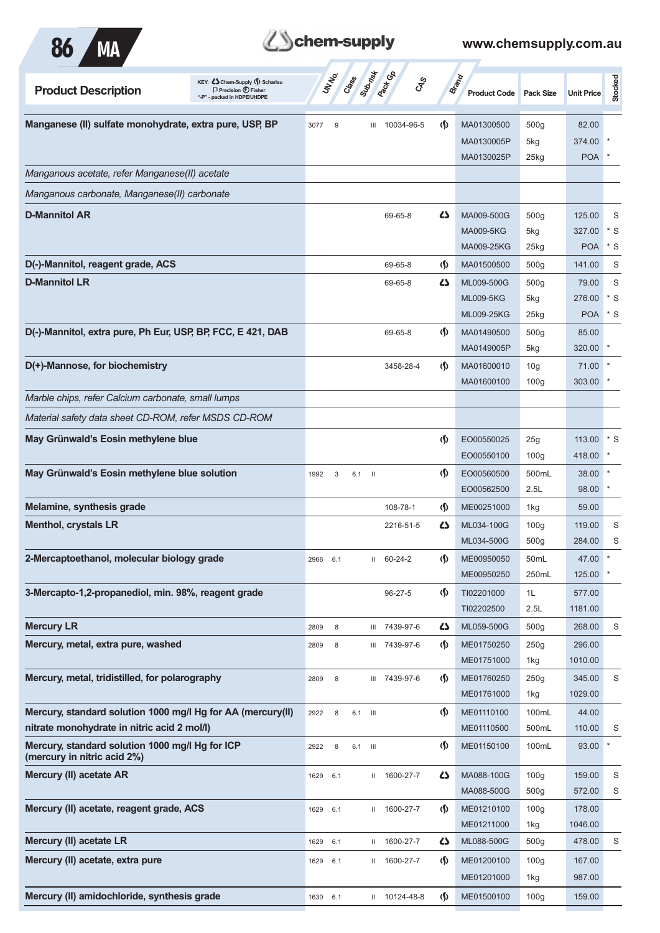

| <b>Product Description</b>                                                     | KEY: Chem-Supply (5) Scharlau<br>$\Box$ Precision $\bigoplus$ Fisher<br>"-P" - packed in HDPE/UHDPE | UN NO.      | Class Superior Co. | <b>GRS</b>    |                                    | <b>Brand</b><br><b>Product Code</b> | <b>Pack Size</b> | <b>Unit Price</b> | Stocked |
|--------------------------------------------------------------------------------|-----------------------------------------------------------------------------------------------------|-------------|--------------------|---------------|------------------------------------|-------------------------------------|------------------|-------------------|---------|
| Manganese (II) sulfate monohydrate, extra pure, USP, BP                        |                                                                                                     | 3077<br>9   | Ш                  | 10034-96-5    | $\langle \mathbf{\langle} \rangle$ | MA01300500                          | 500 <sub>g</sub> | 82.00             |         |
|                                                                                |                                                                                                     |             |                    |               |                                    | MA0130005P                          | 5kg              | 374.00            |         |
|                                                                                |                                                                                                     |             |                    |               |                                    | MA0130025P                          | $25$ kg          | <b>POA</b>        |         |
| Manganous acetate, refer Manganese(II) acetate                                 |                                                                                                     |             |                    |               |                                    |                                     |                  |                   |         |
| Manganous carbonate, Manganese(II) carbonate                                   |                                                                                                     |             |                    |               |                                    |                                     |                  |                   |         |
| <b>D-Mannitol AR</b>                                                           |                                                                                                     |             |                    | 69-65-8       | دے                                 | MA009-500G                          | 500 <sub>g</sub> | 125.00            | S       |
|                                                                                |                                                                                                     |             |                    |               |                                    | <b>MA009-5KG</b>                    | 5kg              | 327.00            | $*$ S   |
|                                                                                |                                                                                                     |             |                    |               |                                    | MA009-25KG                          | $25$ kg          | <b>POA</b>        | $*$ S   |
| D(-)-Mannitol, reagent grade, ACS                                              |                                                                                                     |             |                    | 69-65-8       | <u> (\$)</u>                       | MA01500500                          | 500 <sub>g</sub> | 141.00            | S       |
| <b>D-Mannitol LR</b>                                                           |                                                                                                     |             |                    | 69-65-8       | ひ                                  | ML009-500G                          | 500 <sub>g</sub> | 79.00             | S       |
|                                                                                |                                                                                                     |             |                    |               |                                    | <b>ML009-5KG</b>                    | 5kg              | 276.00            | $*$ S   |
|                                                                                |                                                                                                     |             |                    |               |                                    | <b>ML009-25KG</b>                   | $25$ kg          | <b>POA</b>        | $*$ S   |
| D(-)-Mannitol, extra pure, Ph Eur, USP, BP, FCC, E 421, DAB                    |                                                                                                     |             |                    | 69-65-8       | (\$)                               | MA01490500                          | 500 <sub>g</sub> | 85.00             |         |
|                                                                                |                                                                                                     |             |                    |               |                                    | MA0149005P                          | 5kg              | 320.00            |         |
| D(+)-Mannose, for biochemistry                                                 |                                                                                                     |             |                    | 3458-28-4     | (\$)                               | MA01600010                          | 10 <sub>g</sub>  | 71.00             |         |
|                                                                                |                                                                                                     |             |                    |               |                                    | MA01600100                          | 100 <sub>g</sub> | 303.00            |         |
| Marble chips, refer Calcium carbonate, small lumps                             |                                                                                                     |             |                    |               |                                    |                                     |                  |                   |         |
| Material safety data sheet CD-ROM, refer MSDS CD-ROM                           |                                                                                                     |             |                    |               |                                    |                                     |                  |                   |         |
| May Grünwald's Eosin methylene blue                                            |                                                                                                     |             |                    |               | $\langle \mathbf{\langle} \rangle$ | EO00550025                          | 25g              | 113.00            | $*$ S   |
|                                                                                |                                                                                                     |             |                    |               |                                    | EO00550100                          | 100 <sub>g</sub> | 418.00            |         |
| May Grünwald's Eosin methylene blue solution                                   |                                                                                                     | 1992<br>3   | 6.1<br>- 11        |               | $\langle \mathbf{\langle} \rangle$ | EO00560500                          | 500mL            | 38.00             |         |
|                                                                                |                                                                                                     |             |                    |               |                                    | EO00562500                          | 2.5L             | 98.00             |         |
| Melamine, synthesis grade                                                      |                                                                                                     |             |                    | 108-78-1      | $\varphi$                          | ME00251000                          | 1kg              | 59.00             |         |
| <b>Menthol, crystals LR</b>                                                    |                                                                                                     |             |                    | 2216-51-5     | دے                                 | ML034-100G                          | 100 <sub>g</sub> | 119.00            | S       |
|                                                                                |                                                                                                     |             |                    |               |                                    | ML034-500G                          | 500 <sub>g</sub> | 284.00            | S       |
| 2-Mercaptoethanol, molecular biology grade                                     |                                                                                                     | 2966 6.1    | $\mathbf{II}$      | 60-24-2       | $\langle \mathbf{\S} \rangle$      | ME00950050                          | 50 <sub>mL</sub> | 47.00             | $\star$ |
|                                                                                |                                                                                                     |             |                    |               |                                    | ME00950250                          | 250mL            | 125.00 *          |         |
| 3-Mercapto-1,2-propanediol, min. 98%, reagent grade                            |                                                                                                     |             |                    | 96-27-5       | $\varphi$                          | TI02201000                          | 1L               | 577.00            |         |
|                                                                                |                                                                                                     |             |                    |               |                                    | TI02202500                          | 2.5L             | 1181.00           |         |
| <b>Mercury LR</b>                                                              |                                                                                                     | 2809<br>8   |                    | III 7439-97-6 | 27                                 | ML059-500G                          | 500 <sub>g</sub> | 268.00            | S       |
| Mercury, metal, extra pure, washed                                             |                                                                                                     | 2809<br>8   |                    | III 7439-97-6 | $\langle \mathbf{\S} \rangle$      | ME01750250                          | 250g             | 296.00            |         |
|                                                                                |                                                                                                     |             |                    |               |                                    | ME01751000                          | 1kg              | 1010.00           |         |
| Mercury, metal, tridistilled, for polarography                                 |                                                                                                     | 2809<br>8   |                    | III 7439-97-6 | <u> (\$)</u>                       | ME01760250                          | 250g             | 345.00            | S       |
|                                                                                |                                                                                                     |             |                    |               |                                    | ME01761000                          | 1kg              | 1029.00           |         |
| Mercury, standard solution 1000 mg/l Hg for AA (mercury(II)                    |                                                                                                     | 2922<br>8   | 6.1 III            |               | $\langle \mathbf{\S} \rangle$      | ME01110100                          | 100mL            | 44.00             |         |
| nitrate monohydrate in nitric acid 2 mol/l)                                    |                                                                                                     |             |                    |               |                                    | ME01110500                          | 500mL            | 110.00            | S       |
| Mercury, standard solution 1000 mg/l Hg for ICP<br>(mercury in nitric acid 2%) |                                                                                                     | 2922<br>8   | 6.1 III            |               | $\langle \mathbf{\S} \rangle$      | ME01150100                          | 100mL            | 93.00             |         |
| Mercury (II) acetate AR                                                        |                                                                                                     | 1629<br>6.1 | $\mathbf{H}$       | 1600-27-7     | دے                                 | MA088-100G                          | 100 <sub>g</sub> | 159.00            | S       |
|                                                                                |                                                                                                     |             |                    |               |                                    | MA088-500G                          | 500 <sub>g</sub> | 572.00            | S       |
| Mercury (II) acetate, reagent grade, ACS                                       |                                                                                                     | 1629<br>6.1 |                    | II 1600-27-7  | (\$)                               | ME01210100                          | 100 <sub>g</sub> | 178.00            |         |
|                                                                                |                                                                                                     |             |                    |               |                                    | ME01211000                          | 1kg              | 1046.00           |         |
| Mercury (II) acetate LR                                                        |                                                                                                     | 1629<br>6.1 | Ш.                 | 1600-27-7     | 5                                  | ML088-500G                          | 500 <sub>g</sub> | 478.00            | S       |
| Mercury (II) acetate, extra pure                                               |                                                                                                     | 1629<br>6.1 |                    | II 1600-27-7  | $\langle \mathbf{\S} \rangle$      | ME01200100                          | 100 <sub>g</sub> | 167.00            |         |
|                                                                                |                                                                                                     |             |                    |               |                                    | ME01201000                          | 1kg              | 987.00            |         |
| Mercury (II) amidochloride, synthesis grade                                    |                                                                                                     | 1630 6.1    |                    | II 10124-48-8 | $\langle \mathbf{\langle} \rangle$ | ME01500100                          | 100 <sub>g</sub> | 159.00            |         |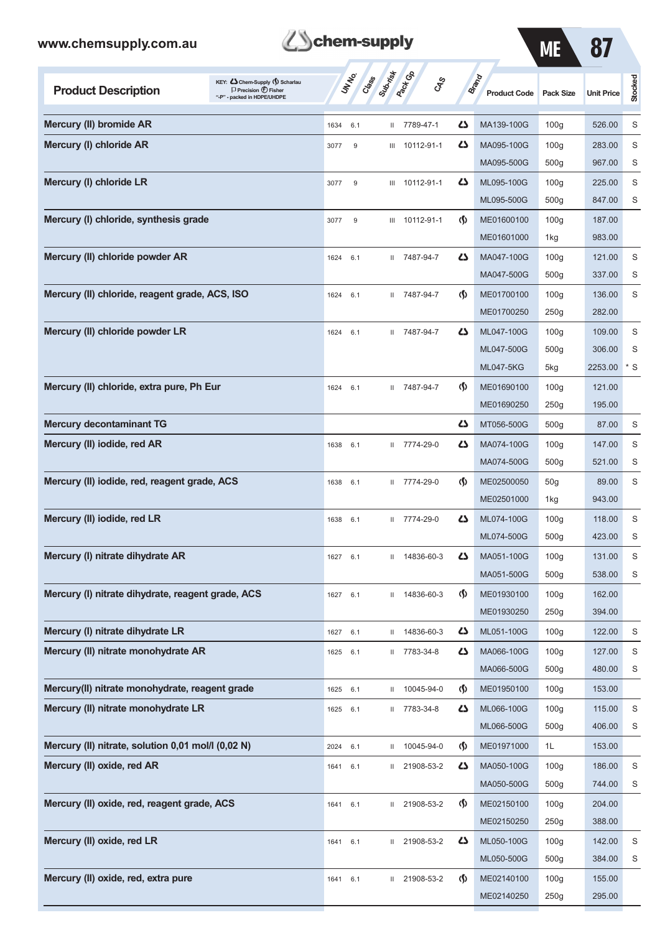| <b>Z</b> Schem-supply |
|-----------------------|
|                       |

| www.chemsupply.com.au                              |                                                                                                      | chem-supply   |                                     |                |                                    |                                     | <b>ME</b>        | 87                |         |
|----------------------------------------------------|------------------------------------------------------------------------------------------------------|---------------|-------------------------------------|----------------|------------------------------------|-------------------------------------|------------------|-------------------|---------|
| <b>Product Description</b>                         | KEY: Cohem-Supply (5) Scharlau<br>$\Box$ Precision $\bigoplus$ Fisher<br>"-P" - packed in HDPE/UHDPE | <b>UNTER</b>  | Submist<br><b>Pack</b> Ga<br>Crease | <b>GRS</b>     |                                    | <b>Brand</b><br><b>Product Code</b> | <b>Pack Size</b> | <b>Unit Price</b> | Stocked |
| Mercury (II) bromide AR                            |                                                                                                      | 6.1<br>1634   |                                     | II 7789-47-1   | 45                                 | MA139-100G                          | 100 <sub>g</sub> | 526.00            | S       |
| Mercury (I) chloride AR                            |                                                                                                      | 9<br>3077     |                                     | III 10112-91-1 | Ω                                  | MA095-100G                          | 100 <sub>g</sub> | 283.00            | S       |
|                                                    |                                                                                                      |               |                                     |                |                                    | MA095-500G                          | 500 <sub>g</sub> | 967.00            | S       |
| Mercury (I) chloride LR                            |                                                                                                      | $9\,$<br>3077 |                                     | III 10112-91-1 | Δ                                  | ML095-100G                          | 100 <sub>g</sub> | 225.00            | S       |
|                                                    |                                                                                                      |               |                                     |                |                                    | ML095-500G                          | 500 <sub>g</sub> | 847.00            | S       |
| Mercury (I) chloride, synthesis grade              |                                                                                                      | 3077<br>9     |                                     | III 10112-91-1 | $\langle \mathbf{\langle} \rangle$ | ME01600100                          | 100 <sub>g</sub> | 187.00            |         |
|                                                    |                                                                                                      |               |                                     |                |                                    | ME01601000                          | 1kg              | 983.00            |         |
| Mercury (II) chloride powder AR                    |                                                                                                      | 1624<br>6.1   |                                     | II 7487-94-7   | Δ                                  | MA047-100G                          | 100 <sub>g</sub> | 121.00            | S       |
|                                                    |                                                                                                      |               |                                     |                |                                    | MA047-500G                          | 500 <sub>g</sub> | 337.00            | S       |
| Mercury (II) chloride, reagent grade, ACS, ISO     |                                                                                                      | 1624<br>6.1   |                                     | II 7487-94-7   | ⊛                                  | ME01700100                          | 100 <sub>g</sub> | 136.00            | S       |
|                                                    |                                                                                                      |               |                                     |                |                                    | ME01700250                          | 250g             | 282.00            |         |
| Mercury (II) chloride powder LR                    |                                                                                                      | 1624<br>6.1   |                                     | II 7487-94-7   | Ω                                  | ML047-100G                          | 100 <sub>g</sub> | 109.00            | S       |
|                                                    |                                                                                                      |               |                                     |                |                                    | ML047-500G                          | 500g             | 306.00            | S       |
|                                                    |                                                                                                      |               |                                     |                |                                    | <b>ML047-5KG</b>                    | 5kg              | 2253.00           | * S     |
| Mercury (II) chloride, extra pure, Ph Eur          |                                                                                                      | 1624<br>6.1   |                                     | II 7487-94-7   | ⊛                                  | ME01690100                          | 100 <sub>g</sub> | 121.00            |         |
|                                                    |                                                                                                      |               |                                     |                |                                    | ME01690250                          | 250g             | 195.00            |         |
| <b>Mercury decontaminant TG</b>                    |                                                                                                      |               |                                     |                | دے                                 | MT056-500G                          | 500 <sub>g</sub> | 87.00             | S       |
| Mercury (II) iodide, red AR                        |                                                                                                      | 1638<br>6.1   |                                     | II 7774-29-0   | Ω                                  | MA074-100G                          | 100 <sub>g</sub> | 147.00            | S       |
|                                                    |                                                                                                      |               |                                     |                |                                    | MA074-500G                          | 500 <sub>g</sub> | 521.00            | S       |
| Mercury (II) iodide, red, reagent grade, ACS       |                                                                                                      | 1638<br>6.1   |                                     | II 7774-29-0   | ⊛                                  | ME02500050                          | 50 <sub>g</sub>  | 89.00             | S       |
|                                                    |                                                                                                      |               |                                     |                |                                    | ME02501000                          | 1kg              | 943.00            |         |
| Mercury (II) iodide, red LR                        |                                                                                                      | 1638<br>6.1   |                                     | II 7774-29-0   | دے                                 | ML074-100G                          | 100 <sub>g</sub> | 118.00            | S       |
|                                                    |                                                                                                      |               |                                     |                |                                    | ML074-500G                          | 500g             | 423.00            | S       |
| Mercury (I) nitrate dihydrate AR                   |                                                                                                      | 1627<br>6.1   |                                     | II 14836-60-3  | Ω                                  | MA051-100G                          | 100q             | 131.00            | S       |
|                                                    |                                                                                                      |               |                                     |                |                                    | MA051-500G                          | 500 <sub>g</sub> | 538.00            | S       |
| Mercury (I) nitrate dihydrate, reagent grade, ACS  |                                                                                                      | 6.1<br>1627   |                                     | II 14836-60-3  | $\langle \mathbf{\S} \rangle$      | ME01930100                          | 100 <sub>g</sub> | 162.00            |         |
|                                                    |                                                                                                      |               |                                     |                |                                    | ME01930250                          | 250g             | 394.00            |         |
| Mercury (I) nitrate dihydrate LR                   |                                                                                                      | 6.1<br>1627   | $\mathbf{H}$                        | 14836-60-3     | 5                                  | ML051-100G                          | 100 <sub>g</sub> | 122.00            | S       |
| Mercury (II) nitrate monohydrate AR                |                                                                                                      | 6.1<br>1625   |                                     | II 7783-34-8   | 45                                 | MA066-100G                          | 100q             | 127.00            | S       |
|                                                    |                                                                                                      |               |                                     |                |                                    | MA066-500G                          | 500 <sub>g</sub> | 480.00            | S       |
| Mercury(II) nitrate monohydrate, reagent grade     |                                                                                                      | 1625<br>6.1   |                                     | II 10045-94-0  | $\langle \mathbf{\S} \rangle$      | ME01950100                          | 100 <sub>g</sub> | 153.00            |         |
| Mercury (II) nitrate monohydrate LR                |                                                                                                      | 1625<br>6.1   |                                     | II 7783-34-8   | 47                                 | ML066-100G                          | 100 <sub>g</sub> | 115.00            | S       |
|                                                    |                                                                                                      |               |                                     |                |                                    | ML066-500G                          | 500g             | 406.00            | S       |
| Mercury (II) nitrate, solution 0,01 mol/l (0,02 N) |                                                                                                      | 2024<br>6.1   |                                     | II 10045-94-0  | $\Phi$                             | ME01971000                          | 1L               | 153.00            |         |
| Mercury (II) oxide, red AR                         |                                                                                                      | 1641 6.1      |                                     | II 21908-53-2  | 5                                  | MA050-100G                          | 100 <sub>g</sub> | 186.00            | S       |
|                                                    |                                                                                                      |               |                                     |                |                                    | MA050-500G                          | 500 <sub>g</sub> | 744.00            | S       |
| Mercury (II) oxide, red, reagent grade, ACS        |                                                                                                      | 6.1<br>1641   |                                     | II 21908-53-2  | $\langle \mathbf{\S} \rangle$      | ME02150100                          | 100 <sub>g</sub> | 204.00            |         |
|                                                    |                                                                                                      |               |                                     |                |                                    | ME02150250                          | 250g             | 388.00            |         |
| Mercury (II) oxide, red LR                         |                                                                                                      | 1641<br>6.1   |                                     | II 21908-53-2  | 5                                  | ML050-100G                          | 100 <sub>g</sub> | 142.00            | S       |
|                                                    |                                                                                                      |               |                                     |                |                                    | ML050-500G                          | 500 <sub>g</sub> | 384.00            | S       |
| Mercury (II) oxide, red, extra pure                |                                                                                                      | 1641<br>6.1   |                                     | II 21908-53-2  | $\langle \mathbf{\S} \rangle$      | ME02140100                          | 100 <sub>g</sub> | 155.00            |         |
|                                                    |                                                                                                      |               |                                     |                |                                    | ME02140250                          | 250g             | 295.00            |         |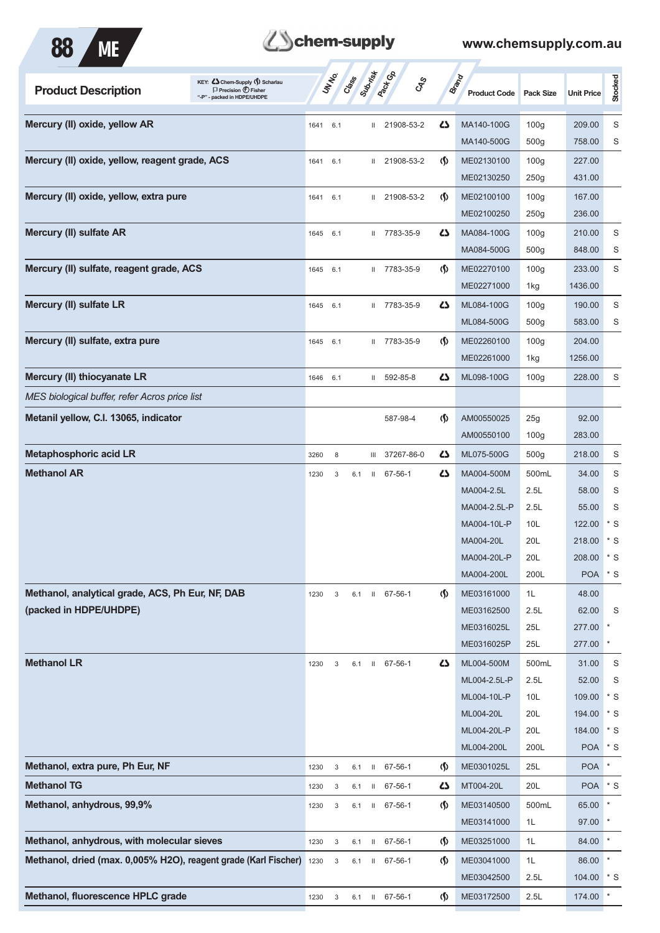



| KEY: C Chem-Supply (5) Scharlau<br><b>Product Description</b><br>$\Box$ Precision $\bigoplus$ Fisher<br>"-P" - packed in HDPE/UHDPE |          | UN NO. | Cass ( | Superior     | <b>Pack</b> Col | $c_{\hspace{-1mm}S\hspace{-1mm}P}^S$ | <b>Brand</b><br><b>Product Code</b> | <b>Pack Size</b> | <b>Unit Price</b> | Stocked           |
|-------------------------------------------------------------------------------------------------------------------------------------|----------|--------|--------|--------------|-----------------|--------------------------------------|-------------------------------------|------------------|-------------------|-------------------|
| Mercury (II) oxide, yellow AR                                                                                                       | 1641     | 6.1    |        | $\mathbf{H}$ | 21908-53-2      | ひ                                    | MA140-100G                          | 100 <sub>g</sub> | 209.00            | S                 |
|                                                                                                                                     |          |        |        |              |                 |                                      | MA140-500G                          | 500 <sub>g</sub> | 758.00            | S                 |
| Mercury (II) oxide, yellow, reagent grade, ACS                                                                                      | 1641     | 6.1    |        | $\mathbf{H}$ | 21908-53-2      | $\langle \mathbf{\langle}$           | ME02130100                          | 100 <sub>g</sub> | 227.00            |                   |
|                                                                                                                                     |          |        |        |              |                 |                                      | ME02130250                          | 250g             | 431.00            |                   |
| Mercury (II) oxide, yellow, extra pure                                                                                              | 1641     | 6.1    |        | Ш.           | 21908-53-2      | $\langle \mathbf{\langle}$           | ME02100100                          | 100 <sub>g</sub> | 167.00            |                   |
|                                                                                                                                     |          |        |        |              |                 |                                      | ME02100250                          | 250g             | 236.00            |                   |
| Mercury (II) sulfate AR                                                                                                             | 1645     | 6.1    |        |              | II 7783-35-9    | 5                                    | MA084-100G                          | 100 <sub>g</sub> | 210.00            | S                 |
|                                                                                                                                     |          |        |        |              |                 |                                      | MA084-500G                          | 500 <sub>g</sub> | 848.00            | S                 |
| Mercury (II) sulfate, reagent grade, ACS                                                                                            | 1645     | 6.1    |        |              | II 7783-35-9    | $\langle \mathbf{\S} \rangle$        | ME02270100                          | 100 <sub>g</sub> | 233.00            | S                 |
|                                                                                                                                     |          |        |        |              |                 |                                      | ME02271000                          | 1kg              | 1436.00           |                   |
| Mercury (II) sulfate LR                                                                                                             | 1645     | 6.1    |        |              | II 7783-35-9    | 5                                    | ML084-100G                          | 100 <sub>g</sub> | 190.00            | S                 |
|                                                                                                                                     |          |        |        |              |                 |                                      | ML084-500G                          | 500 <sub>g</sub> | 583.00            | S                 |
| Mercury (II) sulfate, extra pure                                                                                                    | 1645     | 6.1    |        |              | II 7783-35-9    | $\langle \mathbf{\hat{y}}$           | ME02260100                          | 100 <sub>g</sub> | 204.00            |                   |
|                                                                                                                                     |          |        |        |              |                 |                                      | ME02261000                          | 1kg              | 1256.00           |                   |
| Mercury (II) thiocyanate LR                                                                                                         | 1646 6.1 |        |        |              | II 592-85-8     | 5                                    | ML098-100G                          | 100 <sub>g</sub> | 228.00            | S                 |
| MES biological buffer, refer Acros price list                                                                                       |          |        |        |              |                 |                                      |                                     |                  |                   |                   |
| Metanil yellow, C.I. 13065, indicator                                                                                               |          |        |        |              | 587-98-4        | $\langle \mathbf{\langle}$           | AM00550025                          | 25g              | 92.00             |                   |
|                                                                                                                                     |          |        |        |              |                 |                                      | AM00550100                          | 100 <sub>g</sub> | 283.00            |                   |
| <b>Metaphosphoric acid LR</b>                                                                                                       | 3260     | 8      |        |              | III 37267-86-0  | Ω                                    | ML075-500G                          | 500g             | 218.00            | S                 |
| <b>Methanol AR</b>                                                                                                                  | 1230     | 3      | 6.1    | H            | 67-56-1         | 45                                   | MA004-500M                          | 500mL            | 34.00             | S                 |
|                                                                                                                                     |          |        |        |              |                 |                                      | MA004-2.5L                          | 2.5L             | 58.00             | S                 |
|                                                                                                                                     |          |        |        |              |                 |                                      | MA004-2.5L-P                        | 2.5L             | 55.00             | S                 |
|                                                                                                                                     |          |        |        |              |                 |                                      | MA004-10L-P                         | 10L              | 122.00            | $*$ S             |
|                                                                                                                                     |          |        |        |              |                 |                                      | MA004-20L                           | 20L              | 218.00            | $*$ S             |
|                                                                                                                                     |          |        |        |              |                 |                                      | MA004-20L-P                         | 20L              | 208.00            | $\mathbf{\ast}$ s |
|                                                                                                                                     |          |        |        |              |                 |                                      | MA004-200L                          | 200L             | <b>POA</b>        | $^*$ S            |
| Methanol, analytical grade, ACS, Ph Eur, NF, DAB                                                                                    | 1230     | 3      | 6.1    |              | II 67-56-1      | $\langle \mathbf{\S} \rangle$        | ME03161000                          | 1L               | 48.00             |                   |
| (packed in HDPE/UHDPE)                                                                                                              |          |        |        |              |                 |                                      | ME03162500                          | 2.5L             | 62.00             | S                 |
|                                                                                                                                     |          |        |        |              |                 |                                      | ME0316025L                          | 25L              | 277.00            | $\star$           |
|                                                                                                                                     |          |        |        |              |                 |                                      | ME0316025P                          | 25L              | 277.00            | $\ast$            |
| <b>Methanol LR</b>                                                                                                                  | 1230     | 3      |        |              | 6.1 II 67-56-1  | 47                                   | ML004-500M                          | 500mL            | 31.00             | S                 |
|                                                                                                                                     |          |        |        |              |                 |                                      | ML004-2.5L-P                        | 2.5L             | 52.00             | S                 |
|                                                                                                                                     |          |        |        |              |                 |                                      | ML004-10L-P                         | 10L              | 109.00            | $*$ S             |
|                                                                                                                                     |          |        |        |              |                 |                                      | ML004-20L                           | 20L              | 194.00            | $*$ S             |
|                                                                                                                                     |          |        |        |              |                 |                                      | ML004-20L-P                         | 20L              | 184.00            | $*$ S             |
|                                                                                                                                     |          |        |        |              |                 |                                      | ML004-200L                          | 200L             | <b>POA</b>        | $^*$ S            |
| Methanol, extra pure, Ph Eur, NF                                                                                                    | 1230     | 3      | 6.1    | $\mathbf{H}$ | 67-56-1         | $\langle \mathsf{S} \rangle$         | ME0301025L                          | 25L              | <b>POA</b>        | $\ast$            |
| <b>Methanol TG</b>                                                                                                                  | 1230     | 3      | 6.1    | $\mathbf{H}$ | 67-56-1         | 5                                    | MT004-20L                           | 20L              | <b>POA</b>        | $^*$ S            |
| Methanol, anhydrous, 99,9%                                                                                                          | 1230     | 3      | 6.1    | $\mathbf{H}$ | 67-56-1         | $\langle \mathbf{\S} \rangle$        | ME03140500                          | 500mL            | 65.00             | $\ast$            |
|                                                                                                                                     |          |        |        |              |                 |                                      | ME03141000                          | 1L               | 97.00             |                   |
| Methanol, anhydrous, with molecular sieves                                                                                          | 1230     | 3      | 6.1    | $\,$ H $\,$  | 67-56-1         | $\varphi$                            | ME03251000                          | 1L               | 84.00             | $\star$           |
| Methanol, dried (max. 0,005% H2O), reagent grade (Karl Fischer)                                                                     | 1230     | 3      | 6.1    | $\mathbf{H}$ | 67-56-1         | $\langle \mathbf{\S} \rangle$        | ME03041000                          | 1L               | 86.00             | $\ast$            |
|                                                                                                                                     |          |        |        |              |                 |                                      | ME03042500                          | 2.5L             | 104.00            | * S               |
| Methanol, fluorescence HPLC grade                                                                                                   | 1230     | 3      | 6.1    | $\mathbf{H}$ | 67-56-1         | $\varphi$                            | ME03172500                          | 2.5L             | 174.00            | $\star$           |
|                                                                                                                                     |          |        |        |              |                 |                                      |                                     |                  |                   |                   |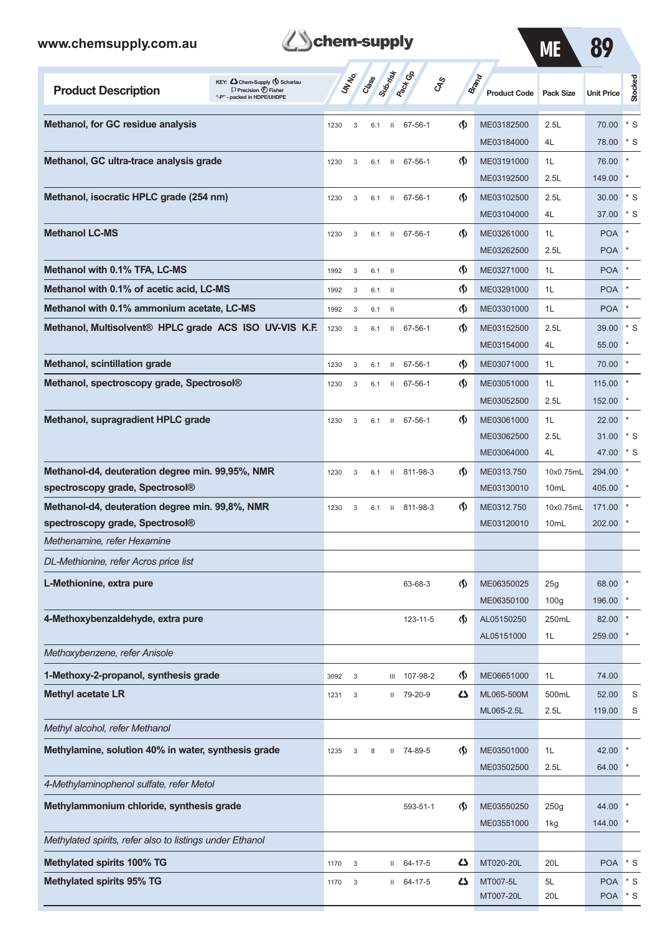

ME 89

| KEY: C Chem-Supply (5) Scharlau<br><b>Product Description</b><br>$\Box$ Precision $\bigoplus$ Fisher<br>"-P" - packed in HDPE/UHDPE |      | UN NO.     | Crass | Submistr      | <b>Pack Go</b>   | <b>CAS</b>                         | <b>Brand</b><br><b>Product Code</b> | <b>Pack Size</b> | <b>Unit Price</b>     | Stocked    |
|-------------------------------------------------------------------------------------------------------------------------------------|------|------------|-------|---------------|------------------|------------------------------------|-------------------------------------|------------------|-----------------------|------------|
| Methanol, for GC residue analysis                                                                                                   | 1230 | 3          | 6.1   | $\mathbf{H}$  | 67-56-1          | $\langle \mathbf{\S} \rangle$      | ME03182500                          | 2.5L             | 70.00                 | $*$ S      |
|                                                                                                                                     |      |            |       |               |                  |                                    | ME03184000                          | 4L               | 78.00                 | $*$ S      |
| Methanol, GC ultra-trace analysis grade                                                                                             | 1230 | 3          | 6.1   | Ш             | 67-56-1          | $\langle \mathbf{\langle} \rangle$ | ME03191000                          | 1L               | 76.00                 |            |
|                                                                                                                                     |      |            |       |               |                  |                                    | ME03192500                          | 2.5L             | 149.00                |            |
| Methanol, isocratic HPLC grade (254 nm)                                                                                             | 1230 | 3          | 6.1   | Ш             | 67-56-1          | $\langle \mathbf{\langle} \rangle$ | ME03102500                          | 2.5L             | 30.00                 | $*$ S      |
|                                                                                                                                     |      |            |       |               |                  |                                    | ME03104000                          | 4L               | 37.00                 | * S        |
| <b>Methanol LC-MS</b>                                                                                                               | 1230 | 3          | 6.1   | $\mathbf{II}$ | 67-56-1          | $\langle \mathbf{\langle} \rangle$ | ME03261000                          | 1L               | <b>POA</b>            |            |
|                                                                                                                                     |      |            |       |               |                  |                                    | ME03262500                          | 2.5L             | POA                   |            |
| Methanol with 0.1% TFA, LC-MS                                                                                                       | 1992 | 3          | 6.1   | $\mathbf{H}$  |                  | $\Phi$                             | ME03271000                          | 1L               | <b>POA</b>            |            |
| Methanol with 0.1% of acetic acid, LC-MS                                                                                            | 1992 | 3          | 6.1   | $\mathbf{I}$  |                  | $\Phi$                             | ME03291000                          | 1L               | <b>POA</b>            |            |
| Methanol with 0.1% ammonium acetate, LC-MS                                                                                          | 1992 | 3          | 6.1   | - H           |                  | $\Phi$                             | ME03301000                          | 1L               | <b>POA</b>            |            |
| Methanol, Multisolvent® HPLC grade ACS ISO UV-VIS K.F.                                                                              | 1230 | 3          | 6.1   | $\mathbf{H}$  | 67-56-1          | $\langle \mathbf{\langle} \rangle$ | ME03152500                          | 2.5L             | 39.00                 | $*$ S      |
|                                                                                                                                     |      |            |       |               |                  |                                    | ME03154000                          | 4L               | 55.00                 |            |
| Methanol, scintillation grade                                                                                                       | 1230 | 3          | 6.1   |               | $11 67 - 56 - 1$ | $\langle \mathbf{\langle} \rangle$ | ME03071000                          | 1L               | 70.00                 |            |
| Methanol, spectroscopy grade, Spectrosol®                                                                                           | 1230 | 3          | 6.1   | Ш             | 67-56-1          | $\langle \mathbf{\langle} \rangle$ | ME03051000<br>ME03052500            | 1L<br>2.5L       | 115.00<br>152.00      |            |
| Methanol, supragradient HPLC grade                                                                                                  |      |            |       |               |                  | $\langle \mathbf{\langle} \rangle$ |                                     | 1L               |                       |            |
|                                                                                                                                     | 1230 | 3          | 6.1   | $\mathbf{II}$ | 67-56-1          |                                    | ME03061000<br>ME03062500            | 2.5L             | 22.00<br>31.00        | $*$ S      |
|                                                                                                                                     |      |            |       |               |                  |                                    | ME03064000                          | 4L               | 47.00                 | * S        |
| Methanol-d4, deuteration degree min. 99,95%, NMR                                                                                    | 1230 | 3          | 6.1   | $\mathbf{H}$  | 811-98-3         | $\langle \mathbf{\langle} \rangle$ | ME0313.750                          | 10x0.75mL        | 294.00                |            |
| spectroscopy grade, Spectrosol <sup>®</sup>                                                                                         |      |            |       |               |                  |                                    | ME03130010                          | 10mL             | 405.00                |            |
| Methanol-d4, deuteration degree min. 99,8%, NMR                                                                                     | 1230 | 3          | 6.1   | $\mathbf{H}$  | 811-98-3         | $\langle \mathbf{\langle} \rangle$ | ME0312.750                          | 10x0.75mL        | 171.00                |            |
| spectroscopy grade, Spectrosol <sup>®</sup>                                                                                         |      |            |       |               |                  |                                    | ME03120010                          | 10 <sub>mL</sub> | 202.00                |            |
| Methenamine, refer Hexamine                                                                                                         |      |            |       |               |                  |                                    |                                     |                  |                       |            |
| DL-Methionine, refer Acros price list                                                                                               |      |            |       |               |                  |                                    |                                     |                  |                       |            |
| L-Methionine, extra pure                                                                                                            |      |            |       |               | 63-68-3          | $\Phi$                             | ME06350025                          | 25g              | 68.00                 |            |
|                                                                                                                                     |      |            |       |               |                  |                                    | ME06350100                          | 100 <sub>g</sub> | 196.00                |            |
| 4-Methoxybenzaldehyde, extra pure                                                                                                   |      |            |       |               | 123-11-5         | $\langle \mathbf{\hat{y}} \rangle$ | AL05150250                          | 250mL            | 82.00                 |            |
|                                                                                                                                     |      |            |       |               |                  |                                    | AL05151000                          | 1L               | 259.00                |            |
| Methoxybenzene, refer Anisole                                                                                                       |      |            |       |               |                  |                                    |                                     |                  |                       |            |
| 1-Methoxy-2-propanol, synthesis grade                                                                                               | 3092 | 3          |       |               | III 107-98-2     | $\Phi$                             | ME06651000                          | 1L               | 74.00                 |            |
| <b>Methyl acetate LR</b>                                                                                                            | 1231 | $\sqrt{3}$ |       | Ш             | 79-20-9          | 45                                 | ML065-500M                          | 500mL            | 52.00                 | S          |
|                                                                                                                                     |      |            |       |               |                  |                                    | ML065-2.5L                          | 2.5L             | 119.00                | S          |
| Methyl alcohol, refer Methanol                                                                                                      |      |            |       |               |                  |                                    |                                     |                  |                       |            |
| Methylamine, solution 40% in water, synthesis grade                                                                                 | 1235 | 3          | 8     |               | II 74-89-5       | $\Phi$                             | ME03501000                          | 1L               | 42.00                 |            |
|                                                                                                                                     |      |            |       |               |                  |                                    | ME03502500                          | 2.5L             | 64.00                 |            |
| 4-Methylaminophenol sulfate, refer Metol                                                                                            |      |            |       |               |                  |                                    |                                     |                  |                       |            |
| Methylammonium chloride, synthesis grade                                                                                            |      |            |       |               | 593-51-1         | $\langle \mathbf{\hat{y}} \rangle$ | ME03550250                          | 250g             | 44.00                 |            |
|                                                                                                                                     |      |            |       |               |                  |                                    | ME03551000                          | 1kg              | 144.00                |            |
| Methylated spirits, refer also to listings under Ethanol                                                                            |      |            |       |               |                  |                                    |                                     |                  |                       |            |
| Methylated spirits 100% TG                                                                                                          | 1170 | 3          |       | Ш             | 64-17-5          | 5                                  | MT020-20L                           | 20L              | <b>POA</b>            | $*$ S      |
| <b>Methylated spirits 95% TG</b>                                                                                                    | 1170 | 3          |       | Ш             | 64-17-5          | 47                                 | MT007-5L<br>MT007-20L               | 5L<br>20L        | <b>POA</b><br>POA * S | $^\star$ S |
|                                                                                                                                     |      |            |       |               |                  |                                    |                                     |                  |                       |            |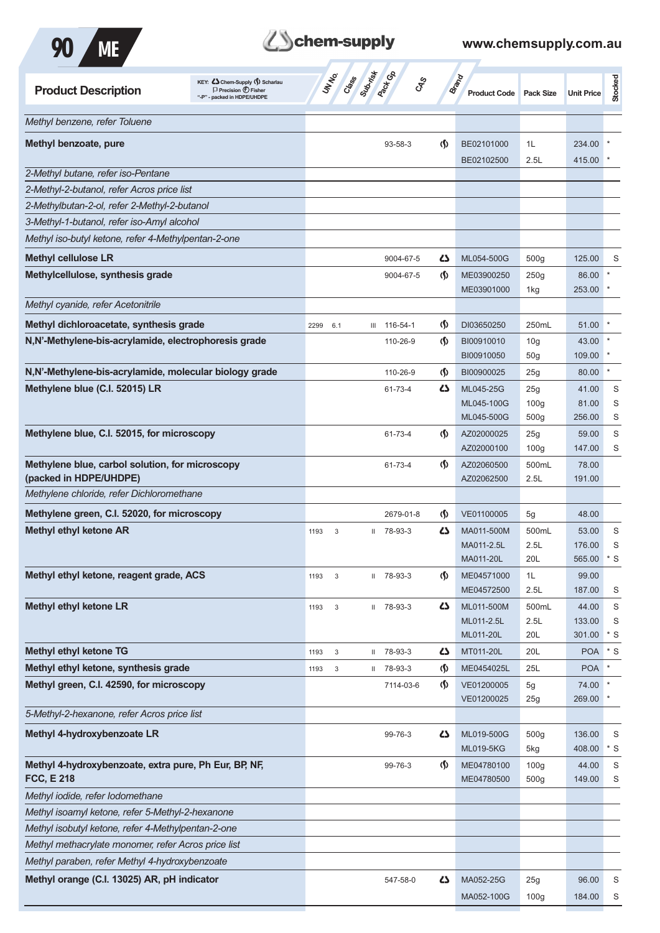

| <b>Product Description</b>                             | KEY: C Chem-Supply (5) Scharlau<br>$\Box$ Precision $\bigoplus$ Fisher<br>"-P" - packed in HDPE/UHDPE |      | UNINO  | Class Superior Co | <b>GRS</b>   |                               | Brand<br><b>Product Code</b> | <b>Pack Size</b> | <b>Unit Price</b> | Stocked     |
|--------------------------------------------------------|-------------------------------------------------------------------------------------------------------|------|--------|-------------------|--------------|-------------------------------|------------------------------|------------------|-------------------|-------------|
| Methyl benzene, refer Toluene                          |                                                                                                       |      |        |                   |              |                               |                              |                  |                   |             |
| Methyl benzoate, pure                                  |                                                                                                       |      |        |                   | 93-58-3      | $\langle \mathbf{\S} \rangle$ | BE02101000                   | 1L               | 234.00            |             |
|                                                        |                                                                                                       |      |        |                   |              |                               | BE02102500                   | 2.5L             | 415.00            |             |
| 2-Methyl butane, refer iso-Pentane                     |                                                                                                       |      |        |                   |              |                               |                              |                  |                   |             |
| 2-Methyl-2-butanol, refer Acros price list             |                                                                                                       |      |        |                   |              |                               |                              |                  |                   |             |
| 2-Methylbutan-2-ol, refer 2-Methyl-2-butanol           |                                                                                                       |      |        |                   |              |                               |                              |                  |                   |             |
| 3-Methyl-1-butanol, refer iso-Amyl alcohol             |                                                                                                       |      |        |                   |              |                               |                              |                  |                   |             |
| Methyl iso-butyl ketone, refer 4-Methylpentan-2-one    |                                                                                                       |      |        |                   |              |                               |                              |                  |                   |             |
| <b>Methyl cellulose LR</b>                             |                                                                                                       |      |        |                   | 9004-67-5    | 47                            | ML054-500G                   | 500 <sub>g</sub> | 125.00            | S           |
| Methylcellulose, synthesis grade                       |                                                                                                       |      |        |                   | 9004-67-5    | $\langle \mathbf{\S} \rangle$ | ME03900250                   | 250g             | 86.00             |             |
| Methyl cyanide, refer Acetonitrile                     |                                                                                                       |      |        |                   |              |                               | ME03901000                   | 1kg              | 253.00            |             |
| Methyl dichloroacetate, synthesis grade                |                                                                                                       | 2299 | 6.1    | Ш                 | 116-54-1     | (∫)                           | DI03650250                   | 250mL            | 51.00             |             |
| N,N'-Methylene-bis-acrylamide, electrophoresis grade   |                                                                                                       |      |        |                   | 110-26-9     | $\langle \mathbf{\S} \rangle$ | BI00910010                   | 10 <sub>g</sub>  | 43.00             |             |
|                                                        |                                                                                                       |      |        |                   |              |                               | BI00910050                   | 50 <sub>g</sub>  | 109.00            |             |
| N,N'-Methylene-bis-acrylamide, molecular biology grade |                                                                                                       |      |        |                   | 110-26-9     | $\langle \mathbf{\hat{y}}$    | BI00900025                   | 25g              | 80.00             | $\ast$      |
| Methylene blue (C.I. 52015) LR                         |                                                                                                       |      |        |                   | 61-73-4      | 5                             | ML045-25G                    | 25g              | 41.00             | S           |
|                                                        |                                                                                                       |      |        |                   |              |                               | ML045-100G                   | 100 <sub>g</sub> | 81.00             | S           |
|                                                        |                                                                                                       |      |        |                   |              |                               | ML045-500G                   | 500 <sub>g</sub> | 256.00            | S           |
| Methylene blue, C.I. 52015, for microscopy             |                                                                                                       |      |        |                   | 61-73-4      | $\langle \mathbf{\S} \rangle$ | AZ02000025                   | 25g              | 59.00             | S           |
|                                                        |                                                                                                       |      |        |                   |              |                               | AZ02000100                   | 100 <sub>g</sub> | 147.00            | S           |
| Methylene blue, carbol solution, for microscopy        |                                                                                                       |      |        |                   | 61-73-4      | $\langle \mathbf{\langle}$    | AZ02060500                   | 500mL            | 78.00             |             |
| (packed in HDPE/UHDPE)                                 |                                                                                                       |      |        |                   |              |                               | AZ02062500                   | 2.5L             | 191.00            |             |
| Methylene chloride, refer Dichloromethane              |                                                                                                       |      |        |                   |              |                               |                              |                  |                   |             |
| Methylene green, C.I. 52020, for microscopy            |                                                                                                       |      |        |                   | 2679-01-8    | $\langle \mathsf{S} \rangle$  | VE01100005                   | 5g               | 48.00             |             |
| <b>Methyl ethyl ketone AR</b>                          |                                                                                                       | 1193 | 3      |                   | $1178-93-3$  | ひ                             | MA011-500M                   | 500mL            | 53.00             | S           |
|                                                        |                                                                                                       |      |        |                   |              |                               | MA011-2.5L<br>MA011-20L      | 2.5L<br>20L      | 176.00<br>565.00  | S<br>* S    |
| Methyl ethyl ketone, reagent grade, ACS                |                                                                                                       | 1193 | 3      |                   | II 78-93-3   | $\langle \mathsf{S} \rangle$  | ME04571000                   | 1L               | 99.00             |             |
|                                                        |                                                                                                       |      |        |                   |              |                               | ME04572500                   | 2.5L             | 187.00            | S           |
| <b>Methyl ethyl ketone LR</b>                          |                                                                                                       | 1193 | 3      |                   | $11$ 78-93-3 | 5                             | ML011-500M                   | 500mL            | 44.00             | S           |
|                                                        |                                                                                                       |      |        |                   |              |                               | ML011-2.5L                   | 2.5L             | 133.00            | S           |
|                                                        |                                                                                                       |      |        |                   |              |                               | ML011-20L                    | 20L              | 301.00            | $*$ S       |
| <b>Methyl ethyl ketone TG</b>                          |                                                                                                       | 1193 | 3      | $\mathbf{H}$      | 78-93-3      | 5                             | MT011-20L                    | 20L              | <b>POA</b>        | $^\star$ S  |
| Methyl ethyl ketone, synthesis grade                   |                                                                                                       | 1193 | $_{3}$ | Ш                 | 78-93-3      | $\spadesuit$                  | ME0454025L                   | 25L              | <b>POA</b>        | $\star$     |
| Methyl green, C.I. 42590, for microscopy               |                                                                                                       |      |        |                   | 7114-03-6    | $\langle \mathbf{\S} \rangle$ | VE01200005                   | 5g               | 74.00             | $\star$     |
|                                                        |                                                                                                       |      |        |                   |              |                               | VE01200025                   | 25g              | 269.00            |             |
| 5-Methyl-2-hexanone, refer Acros price list            |                                                                                                       |      |        |                   |              |                               |                              |                  |                   |             |
| Methyl 4-hydroxybenzoate LR                            |                                                                                                       |      |        |                   | 99-76-3      | 5                             | ML019-500G                   | 500g             | 136.00            | S           |
|                                                        |                                                                                                       |      |        |                   |              |                               | <b>ML019-5KG</b>             | 5kg              | 408.00            | $*$ S       |
| Methyl 4-hydroxybenzoate, extra pure, Ph Eur, BP, NF,  |                                                                                                       |      |        |                   | 99-76-3      | $\Phi$                        | ME04780100                   | 100 <sub>g</sub> | 44.00             | $\mathbf S$ |
| <b>FCC, E 218</b>                                      |                                                                                                       |      |        |                   |              |                               | ME04780500                   | 500 <sub>g</sub> | 149.00            | S           |
| Methyl iodide, refer lodomethane                       |                                                                                                       |      |        |                   |              |                               |                              |                  |                   |             |
| Methyl isoamyl ketone, refer 5-Methyl-2-hexanone       |                                                                                                       |      |        |                   |              |                               |                              |                  |                   |             |
| Methyl isobutyl ketone, refer 4-Methylpentan-2-one     |                                                                                                       |      |        |                   |              |                               |                              |                  |                   |             |
| Methyl methacrylate monomer, refer Acros price list    |                                                                                                       |      |        |                   |              |                               |                              |                  |                   |             |
| Methyl paraben, refer Methyl 4-hydroxybenzoate         |                                                                                                       |      |        |                   |              |                               |                              |                  |                   |             |
| Methyl orange (C.I. 13025) AR, pH indicator            |                                                                                                       |      |        |                   | 547-58-0     | 5                             | MA052-25G                    | 25g              | 96.00             | S           |
|                                                        |                                                                                                       |      |        |                   |              |                               | MA052-100G                   | 100 <sub>g</sub> | 184.00            | S           |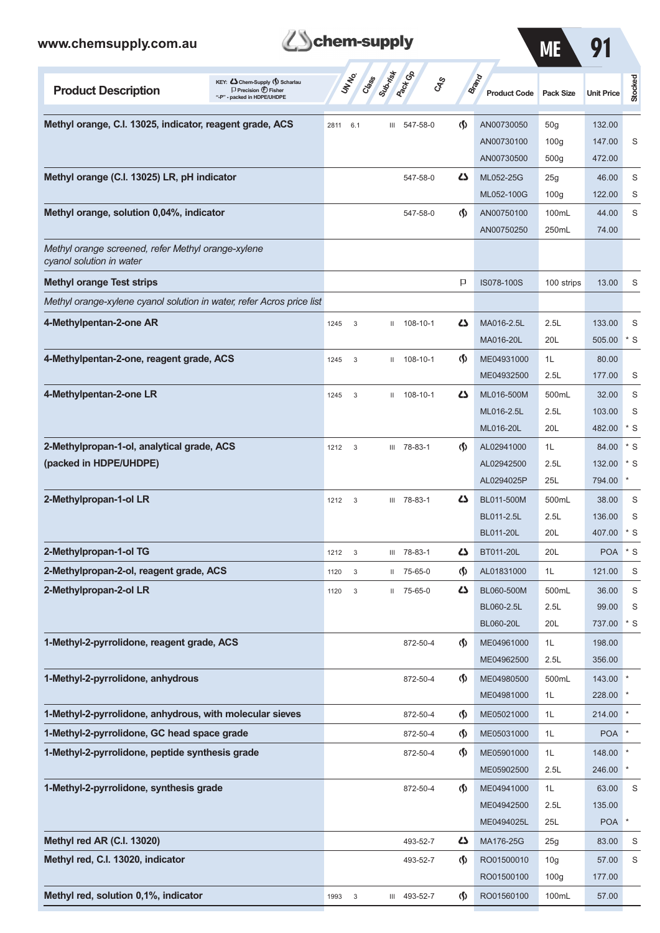| www.chemsupply.com.au                                                                                                              | chem-supply                                          |                                    |                                     | <b>ME</b>        | 91                |             |
|------------------------------------------------------------------------------------------------------------------------------------|------------------------------------------------------|------------------------------------|-------------------------------------|------------------|-------------------|-------------|
| KEY: Cohem-Supply (5) Scharlau<br><b>Product Description</b><br>$\Box$ Precision $\bigoplus$ Fisher<br>"-P" - packed in HDPE/UHDPE | Superinte<br><b>Pack Go</b><br><b>UNTER</b><br>Crass | GSS                                | <b>Brand</b><br><b>Product Code</b> | <b>Pack Size</b> | <b>Unit Price</b> | Stocked     |
| Methyl orange, C.I. 13025, indicator, reagent grade, ACS                                                                           | III 547-58-0<br>2811<br>6.1                          | $\langle \mathbf{\S} \rangle$      | AN00730050                          | 50 <sub>g</sub>  | 132.00            |             |
|                                                                                                                                    |                                                      |                                    | AN00730100                          | 100 <sub>g</sub> | 147.00            | S           |
|                                                                                                                                    |                                                      |                                    | AN00730500                          | 500 <sub>g</sub> | 472.00            |             |
| Methyl orange (C.I. 13025) LR, pH indicator                                                                                        | 547-58-0                                             | دے                                 | ML052-25G                           | 25g              | 46.00             | S           |
|                                                                                                                                    |                                                      |                                    | ML052-100G                          | 100 <sub>g</sub> | 122.00            | S           |
| Methyl orange, solution 0,04%, indicator                                                                                           | 547-58-0                                             | $\langle \mathbf{\langle} \rangle$ | AN00750100                          | 100mL            | 44.00             | S           |
|                                                                                                                                    |                                                      |                                    | AN00750250                          | 250mL            | 74.00             |             |
| Methyl orange screened, refer Methyl orange-xylene<br>cyanol solution in water                                                     |                                                      |                                    |                                     |                  |                   |             |
| <b>Methyl orange Test strips</b>                                                                                                   |                                                      | P                                  | IS078-100S                          | 100 strips       | 13.00             | S           |
| Methyl orange-xylene cyanol solution in water, refer Acros price list                                                              |                                                      |                                    |                                     |                  |                   |             |
| 4-Methylpentan-2-one AR                                                                                                            | $11 108 - 10 - 1$<br>1245<br>3                       | دے                                 | MA016-2.5L                          | 2.5L             | 133.00            | S           |
|                                                                                                                                    |                                                      |                                    | MA016-20L                           | 20L              | 505.00            | $*$ S       |
| 4-Methylpentan-2-one, reagent grade, ACS                                                                                           | 108-10-1<br>1245<br>3<br>$\mathbf{H}$                | $\langle \mathbf{\langle} \rangle$ | ME04931000                          | 1L               | 80.00             |             |
|                                                                                                                                    |                                                      |                                    | ME04932500                          | 2.5L             | 177.00            | S           |
| 4-Methylpentan-2-one LR                                                                                                            | $11 108 - 10 - 1$<br>1245<br>3                       | دے                                 | ML016-500M                          | 500mL            | 32.00             | S           |
|                                                                                                                                    |                                                      |                                    | ML016-2.5L                          | 2.5L             | 103.00            | S           |
|                                                                                                                                    |                                                      |                                    | ML016-20L                           | 20L              | 482.00            | $*$ S       |
| 2-Methylpropan-1-ol, analytical grade, ACS                                                                                         | III 78-83-1<br>1212<br>3                             | $\langle \mathbf{\S} \rangle$      | AL02941000                          | 1L               | 84.00             | $*$ S       |
| (packed in HDPE/UHDPE)                                                                                                             |                                                      |                                    | AL02942500                          | 2.5L             | 132.00            | $*$ S       |
|                                                                                                                                    |                                                      |                                    | AL0294025P                          | 25L              | 794.00            | *           |
| 2-Methylpropan-1-ol LR                                                                                                             | III 78-83-1<br>1212<br>3                             | دے                                 | BL011-500M                          | 500mL            | 38.00             | S           |
|                                                                                                                                    |                                                      |                                    | BL011-2.5L                          | 2.5L             | 136.00            | S           |
|                                                                                                                                    |                                                      |                                    | BL011-20L                           | 20L              | 407.00            | $*$ S       |
| 2-Methylpropan-1-ol TG                                                                                                             | III 78-83-1<br>$\mathbf{3}$<br>1212                  | 47                                 | BT011-20L                           | 20L              | <b>POA</b>        | $^\star$ S  |
| 2-Methylpropan-2-ol, reagent grade, ACS                                                                                            | $\ensuremath{\mathsf{3}}$<br>$11$ 75-65-0<br>1120    | $\langle \mathsf{S} \rangle$       | AL01831000                          | 1L               | 121.00            | S           |
| 2-Methylpropan-2-ol LR                                                                                                             | II 75-65-0<br>1120<br>3                              | 77                                 | BL060-500M                          | 500mL            | 36.00             | S           |
|                                                                                                                                    |                                                      |                                    | BL060-2.5L                          | 2.5L             | 99.00             | S           |
|                                                                                                                                    |                                                      |                                    | BL060-20L                           | 20L              | 737.00            | $*$ S       |
| 1-Methyl-2-pyrrolidone, reagent grade, ACS                                                                                         | 872-50-4                                             | $\langle \mathsf{S} \rangle$       | ME04961000                          | 1L               | 198.00            |             |
|                                                                                                                                    |                                                      |                                    | ME04962500                          | 2.5L             | 356.00            |             |
| 1-Methyl-2-pyrrolidone, anhydrous                                                                                                  | 872-50-4                                             | $\langle \mathbf{\S} \rangle$      | ME04980500                          | 500mL            | 143.00            |             |
|                                                                                                                                    |                                                      |                                    | ME04981000                          | 1L               | 228.00            |             |
| 1-Methyl-2-pyrrolidone, anhydrous, with molecular sieves                                                                           | 872-50-4                                             | $\langle \mathbf{\S} \rangle$      | ME05021000                          | 1L               | 214.00            | $\ast$      |
| 1-Methyl-2-pyrrolidone, GC head space grade                                                                                        | 872-50-4                                             | $\Phi$                             | ME05031000                          | 1L               | POA <sup>*</sup>  |             |
| 1-Methyl-2-pyrrolidone, peptide synthesis grade                                                                                    | 872-50-4                                             | $\Phi$                             | ME05901000                          | 1L               | 148.00            |             |
|                                                                                                                                    |                                                      |                                    | ME05902500                          | 2.5L             | 246.00            |             |
| 1-Methyl-2-pyrrolidone, synthesis grade                                                                                            | 872-50-4                                             | $\langle \mathsf{S} \rangle$       | ME04941000                          | 1L               | 63.00             | $\mathsf S$ |
|                                                                                                                                    |                                                      |                                    | ME04942500                          | 2.5L             | 135.00            |             |
|                                                                                                                                    |                                                      |                                    | ME0494025L                          | 25L              | <b>POA</b>        | $\star$     |
| Methyl red AR (C.I. 13020)                                                                                                         | 493-52-7                                             | 77                                 | MA176-25G                           | 25g              | 83.00             | $\mathbb S$ |
| Methyl red, C.I. 13020, indicator                                                                                                  | 493-52-7                                             | $\langle \mathsf{S} \rangle$       | RO01500010                          | 10 <sub>g</sub>  | 57.00             | $\mathbf S$ |
|                                                                                                                                    |                                                      |                                    | RO01500100                          | 100 <sub>g</sub> | 177.00            |             |

**Methyl red, solution 0,1%, indicator** 1993 1993 3 III 493-52-7 (1) RO01560100 100mL 57.00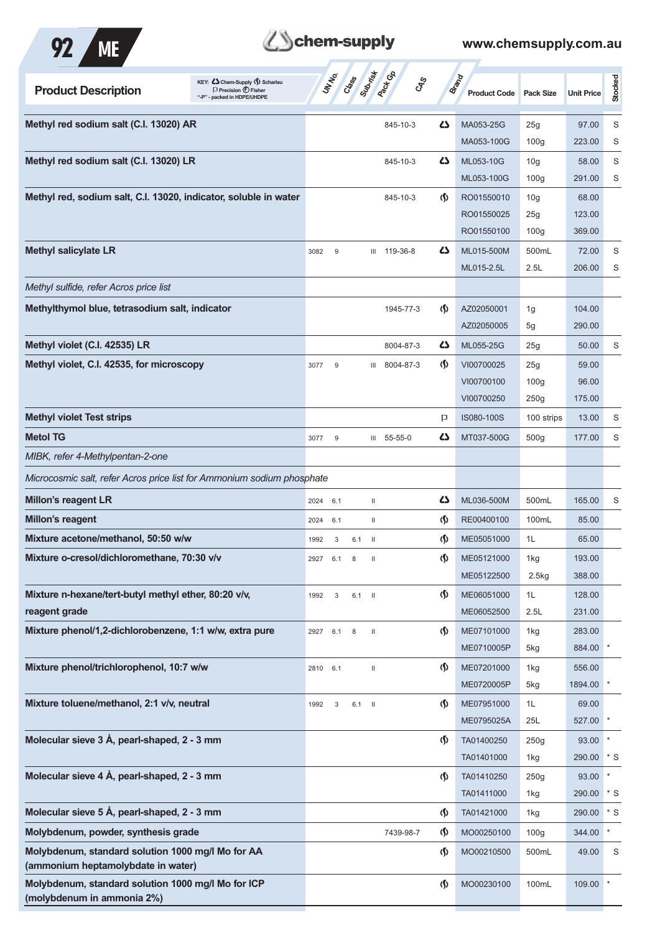

# **Z**Schem-supply

| Methyl red sodium salt (C.I. 13020) AR<br>ひ<br>MA053-25G<br>845-10-3<br>25g<br>97.00<br>MA053-100G<br>100 <sub>g</sub><br>223.00<br>Methyl red sodium salt (C.I. 13020) LR<br>ひ<br>ML053-10G<br>10 <sub>g</sub><br>58.00<br>845-10-3<br>100 <sub>g</sub><br>291.00<br>ML053-100G<br>Methyl red, sodium salt, C.I. 13020, indicator, soluble in water<br>$\langle \mathbf{\S} \rangle$<br>RO01550010<br>68.00<br>845-10-3<br>10 <sub>g</sub><br>RO01550025<br>123.00<br>25g<br>100 <sub>g</sub><br>369.00<br>RO01550100<br><b>Methyl salicylate LR</b><br>45<br>ML015-500M<br>500mL<br>72.00<br>$9\,$<br>119-36-8<br>3082<br>Ш<br>ML015-2.5L<br>2.5L<br>206.00<br>S<br>Methyl sulfide, refer Acros price list<br>Methylthymol blue, tetrasodium salt, indicator<br>(∫)<br>AZ02050001<br>104.00<br>1945-77-3<br>1g<br>AZ02050005<br>290.00<br>5g<br>Methyl violet (C.I. 42535) LR<br>47<br>S<br>ML055-25G<br>50.00<br>8004-87-3<br>25g<br>Methyl violet, C.I. 42535, for microscopy<br>$\langle \mathbf{\S} \rangle$<br>VI00700025<br>25g<br>59.00<br>8004-87-3<br>3077<br>9<br>Ш<br>VI00700100<br>100 <sub>g</sub><br>96.00<br>250g<br>175.00<br>VI00700250<br><b>Methyl violet Test strips</b><br>13.00<br>P<br>IS080-100S<br>100 strips<br><b>Metol TG</b><br>55-55-0<br>47<br>MT037-500G<br>500 <sub>g</sub><br>177.00<br>3077<br>9<br>Ш<br>MIBK, refer 4-Methylpentan-2-one<br>Microcosmic salt, refer Acros price list for Ammonium sodium phosphate<br><b>Millon's reagent LR</b><br>500mL<br>47<br>ML036-500M<br>165.00<br>S<br>6.1<br>2024<br>Ш<br>Millon's reagent<br>$\varphi$<br>RE00400100<br>100mL<br>85.00<br>2024<br>Ш<br>6.1<br>Mixture acetone/methanol, 50:50 w/w<br>$\langle \mathbf{\hat{y}}$<br>ME05051000<br>65.00<br>1L<br>1992<br>$6.1$ II<br>3<br>Mixture o-cresol/dichloromethane, 70:30 v/v<br>$\langle \mathbf{\S} \rangle$<br>ME05121000<br>193.00<br>1kg<br>2927<br>6.1<br>8<br>$\mathbf{H}$<br>388.00<br>ME05122500<br>2.5kg<br>Mixture n-hexane/tert-butyl methyl ether, 80:20 v/v,<br>$\langle \mathsf{S} \rangle$<br>ME06051000<br>1L<br>128.00<br>1992<br>$6.1$ II<br>3<br>reagent grade<br>2.5L<br>ME06052500<br>231.00<br>Mixture phenol/1,2-dichlorobenzene, 1:1 w/w, extra pure<br>$\varphi$<br>ME07101000<br>283.00<br>1kg<br>2927 6.1<br>$\,8\,$<br>$\mathbf{H}$<br>884.00<br>ME0710005P<br>5kg<br>Mixture phenol/trichlorophenol, 10:7 w/w<br>$\langle \mathsf{S} \rangle$<br>556.00<br>ME07201000<br>1kg<br>2810<br>6.1<br>$\rm H$<br>ME0720005P<br>1894.00<br>5kg<br>Mixture toluene/methanol, 2:1 v/v, neutral<br>$\langle \mathbf{\S} \rangle$<br>ME07951000<br>1L<br>69.00<br>1992<br>3<br>$6.1$ II<br>ME0795025A<br>25L<br>527.00<br>Molecular sieve 3 Å, pearl-shaped, 2 - 3 mm<br>$\varphi$<br>TA01400250<br>93.00<br>250g<br>290.00 * S<br>TA01401000<br>1kg<br>Molecular sieve 4 Å, pearl-shaped, 2 - 3 mm<br>$\langle \mathbf{\S} \rangle$<br>TA01410250<br>250g<br>93.00<br>TA01411000<br>290.00<br>1kg<br>Molecular sieve 5 Å, pearl-shaped, 2 - 3 mm<br>$\langle \mathbf{\S} \rangle$<br>TA01421000<br>290.00<br>1kg<br>Molybdenum, powder, synthesis grade<br>$\star$<br>$\langle \mathbf{\S} \rangle$<br>7439-98-7<br>MO00250100<br>100 <sub>g</sub><br>344.00<br>Molybdenum, standard solution 1000 mg/l Mo for AA<br>$\langle \mathbf{\S} \rangle$<br>MO00210500<br>500mL<br>49.00<br>(ammonium heptamolybdate in water)<br>Molybdenum, standard solution 1000 mg/l Mo for ICP<br>$\langle \mathbf{\langle}$<br>MO00230100<br>100mL<br>109.00<br>$\ast$<br>(molybdenum in ammonia 2%) | <b>Product Description</b> | KEY: Cohem-Supply () Scharlau<br>$\Box$ Precision $\bigoplus$ Fisher<br>packed in HDPE/UHDPE | UN NO. | Class | Suprist | <b>Pack</b> CB<br>$\mathcal{S}_{\infty}$ | <b>Brand</b><br><b>Product Code</b> | <b>Pack Size</b> | <b>Unit Price</b> | Stocked |
|--------------------------------------------------------------------------------------------------------------------------------------------------------------------------------------------------------------------------------------------------------------------------------------------------------------------------------------------------------------------------------------------------------------------------------------------------------------------------------------------------------------------------------------------------------------------------------------------------------------------------------------------------------------------------------------------------------------------------------------------------------------------------------------------------------------------------------------------------------------------------------------------------------------------------------------------------------------------------------------------------------------------------------------------------------------------------------------------------------------------------------------------------------------------------------------------------------------------------------------------------------------------------------------------------------------------------------------------------------------------------------------------------------------------------------------------------------------------------------------------------------------------------------------------------------------------------------------------------------------------------------------------------------------------------------------------------------------------------------------------------------------------------------------------------------------------------------------------------------------------------------------------------------------------------------------------------------------------------------------------------------------------------------------------------------------------------------------------------------------------------------------------------------------------------------------------------------------------------------------------------------------------------------------------------------------------------------------------------------------------------------------------------------------------------------------------------------------------------------------------------------------------------------------------------------------------------------------------------------------------------------------------------------------------------------------------------------------------------------------------------------------------------------------------------------------------------------------------------------------------------------------------------------------------------------------------------------------------------------------------------------------------------------------------------------------------------------------------------------------------------------------------------------------------------------------------------------------------------------------------------------------------------------------------------------------------------------------------------------------------------------------------------------------------------------------------------------------------------------------------------------------------------------------------------|----------------------------|----------------------------------------------------------------------------------------------|--------|-------|---------|------------------------------------------|-------------------------------------|------------------|-------------------|---------|
|                                                                                                                                                                                                                                                                                                                                                                                                                                                                                                                                                                                                                                                                                                                                                                                                                                                                                                                                                                                                                                                                                                                                                                                                                                                                                                                                                                                                                                                                                                                                                                                                                                                                                                                                                                                                                                                                                                                                                                                                                                                                                                                                                                                                                                                                                                                                                                                                                                                                                                                                                                                                                                                                                                                                                                                                                                                                                                                                                                                                                                                                                                                                                                                                                                                                                                                                                                                                                                                                                                                                                  |                            |                                                                                              |        |       |         |                                          |                                     |                  |                   | S       |
|                                                                                                                                                                                                                                                                                                                                                                                                                                                                                                                                                                                                                                                                                                                                                                                                                                                                                                                                                                                                                                                                                                                                                                                                                                                                                                                                                                                                                                                                                                                                                                                                                                                                                                                                                                                                                                                                                                                                                                                                                                                                                                                                                                                                                                                                                                                                                                                                                                                                                                                                                                                                                                                                                                                                                                                                                                                                                                                                                                                                                                                                                                                                                                                                                                                                                                                                                                                                                                                                                                                                                  |                            |                                                                                              |        |       |         |                                          |                                     |                  |                   | S       |
|                                                                                                                                                                                                                                                                                                                                                                                                                                                                                                                                                                                                                                                                                                                                                                                                                                                                                                                                                                                                                                                                                                                                                                                                                                                                                                                                                                                                                                                                                                                                                                                                                                                                                                                                                                                                                                                                                                                                                                                                                                                                                                                                                                                                                                                                                                                                                                                                                                                                                                                                                                                                                                                                                                                                                                                                                                                                                                                                                                                                                                                                                                                                                                                                                                                                                                                                                                                                                                                                                                                                                  |                            |                                                                                              |        |       |         |                                          |                                     |                  |                   | S       |
|                                                                                                                                                                                                                                                                                                                                                                                                                                                                                                                                                                                                                                                                                                                                                                                                                                                                                                                                                                                                                                                                                                                                                                                                                                                                                                                                                                                                                                                                                                                                                                                                                                                                                                                                                                                                                                                                                                                                                                                                                                                                                                                                                                                                                                                                                                                                                                                                                                                                                                                                                                                                                                                                                                                                                                                                                                                                                                                                                                                                                                                                                                                                                                                                                                                                                                                                                                                                                                                                                                                                                  |                            |                                                                                              |        |       |         |                                          |                                     |                  |                   | S       |
|                                                                                                                                                                                                                                                                                                                                                                                                                                                                                                                                                                                                                                                                                                                                                                                                                                                                                                                                                                                                                                                                                                                                                                                                                                                                                                                                                                                                                                                                                                                                                                                                                                                                                                                                                                                                                                                                                                                                                                                                                                                                                                                                                                                                                                                                                                                                                                                                                                                                                                                                                                                                                                                                                                                                                                                                                                                                                                                                                                                                                                                                                                                                                                                                                                                                                                                                                                                                                                                                                                                                                  |                            |                                                                                              |        |       |         |                                          |                                     |                  |                   |         |
|                                                                                                                                                                                                                                                                                                                                                                                                                                                                                                                                                                                                                                                                                                                                                                                                                                                                                                                                                                                                                                                                                                                                                                                                                                                                                                                                                                                                                                                                                                                                                                                                                                                                                                                                                                                                                                                                                                                                                                                                                                                                                                                                                                                                                                                                                                                                                                                                                                                                                                                                                                                                                                                                                                                                                                                                                                                                                                                                                                                                                                                                                                                                                                                                                                                                                                                                                                                                                                                                                                                                                  |                            |                                                                                              |        |       |         |                                          |                                     |                  |                   |         |
|                                                                                                                                                                                                                                                                                                                                                                                                                                                                                                                                                                                                                                                                                                                                                                                                                                                                                                                                                                                                                                                                                                                                                                                                                                                                                                                                                                                                                                                                                                                                                                                                                                                                                                                                                                                                                                                                                                                                                                                                                                                                                                                                                                                                                                                                                                                                                                                                                                                                                                                                                                                                                                                                                                                                                                                                                                                                                                                                                                                                                                                                                                                                                                                                                                                                                                                                                                                                                                                                                                                                                  |                            |                                                                                              |        |       |         |                                          |                                     |                  |                   |         |
|                                                                                                                                                                                                                                                                                                                                                                                                                                                                                                                                                                                                                                                                                                                                                                                                                                                                                                                                                                                                                                                                                                                                                                                                                                                                                                                                                                                                                                                                                                                                                                                                                                                                                                                                                                                                                                                                                                                                                                                                                                                                                                                                                                                                                                                                                                                                                                                                                                                                                                                                                                                                                                                                                                                                                                                                                                                                                                                                                                                                                                                                                                                                                                                                                                                                                                                                                                                                                                                                                                                                                  |                            |                                                                                              |        |       |         |                                          |                                     |                  |                   | S       |
|                                                                                                                                                                                                                                                                                                                                                                                                                                                                                                                                                                                                                                                                                                                                                                                                                                                                                                                                                                                                                                                                                                                                                                                                                                                                                                                                                                                                                                                                                                                                                                                                                                                                                                                                                                                                                                                                                                                                                                                                                                                                                                                                                                                                                                                                                                                                                                                                                                                                                                                                                                                                                                                                                                                                                                                                                                                                                                                                                                                                                                                                                                                                                                                                                                                                                                                                                                                                                                                                                                                                                  |                            |                                                                                              |        |       |         |                                          |                                     |                  |                   |         |
|                                                                                                                                                                                                                                                                                                                                                                                                                                                                                                                                                                                                                                                                                                                                                                                                                                                                                                                                                                                                                                                                                                                                                                                                                                                                                                                                                                                                                                                                                                                                                                                                                                                                                                                                                                                                                                                                                                                                                                                                                                                                                                                                                                                                                                                                                                                                                                                                                                                                                                                                                                                                                                                                                                                                                                                                                                                                                                                                                                                                                                                                                                                                                                                                                                                                                                                                                                                                                                                                                                                                                  |                            |                                                                                              |        |       |         |                                          |                                     |                  |                   |         |
|                                                                                                                                                                                                                                                                                                                                                                                                                                                                                                                                                                                                                                                                                                                                                                                                                                                                                                                                                                                                                                                                                                                                                                                                                                                                                                                                                                                                                                                                                                                                                                                                                                                                                                                                                                                                                                                                                                                                                                                                                                                                                                                                                                                                                                                                                                                                                                                                                                                                                                                                                                                                                                                                                                                                                                                                                                                                                                                                                                                                                                                                                                                                                                                                                                                                                                                                                                                                                                                                                                                                                  |                            |                                                                                              |        |       |         |                                          |                                     |                  |                   |         |
|                                                                                                                                                                                                                                                                                                                                                                                                                                                                                                                                                                                                                                                                                                                                                                                                                                                                                                                                                                                                                                                                                                                                                                                                                                                                                                                                                                                                                                                                                                                                                                                                                                                                                                                                                                                                                                                                                                                                                                                                                                                                                                                                                                                                                                                                                                                                                                                                                                                                                                                                                                                                                                                                                                                                                                                                                                                                                                                                                                                                                                                                                                                                                                                                                                                                                                                                                                                                                                                                                                                                                  |                            |                                                                                              |        |       |         |                                          |                                     |                  |                   |         |
|                                                                                                                                                                                                                                                                                                                                                                                                                                                                                                                                                                                                                                                                                                                                                                                                                                                                                                                                                                                                                                                                                                                                                                                                                                                                                                                                                                                                                                                                                                                                                                                                                                                                                                                                                                                                                                                                                                                                                                                                                                                                                                                                                                                                                                                                                                                                                                                                                                                                                                                                                                                                                                                                                                                                                                                                                                                                                                                                                                                                                                                                                                                                                                                                                                                                                                                                                                                                                                                                                                                                                  |                            |                                                                                              |        |       |         |                                          |                                     |                  |                   |         |
|                                                                                                                                                                                                                                                                                                                                                                                                                                                                                                                                                                                                                                                                                                                                                                                                                                                                                                                                                                                                                                                                                                                                                                                                                                                                                                                                                                                                                                                                                                                                                                                                                                                                                                                                                                                                                                                                                                                                                                                                                                                                                                                                                                                                                                                                                                                                                                                                                                                                                                                                                                                                                                                                                                                                                                                                                                                                                                                                                                                                                                                                                                                                                                                                                                                                                                                                                                                                                                                                                                                                                  |                            |                                                                                              |        |       |         |                                          |                                     |                  |                   |         |
|                                                                                                                                                                                                                                                                                                                                                                                                                                                                                                                                                                                                                                                                                                                                                                                                                                                                                                                                                                                                                                                                                                                                                                                                                                                                                                                                                                                                                                                                                                                                                                                                                                                                                                                                                                                                                                                                                                                                                                                                                                                                                                                                                                                                                                                                                                                                                                                                                                                                                                                                                                                                                                                                                                                                                                                                                                                                                                                                                                                                                                                                                                                                                                                                                                                                                                                                                                                                                                                                                                                                                  |                            |                                                                                              |        |       |         |                                          |                                     |                  |                   |         |
|                                                                                                                                                                                                                                                                                                                                                                                                                                                                                                                                                                                                                                                                                                                                                                                                                                                                                                                                                                                                                                                                                                                                                                                                                                                                                                                                                                                                                                                                                                                                                                                                                                                                                                                                                                                                                                                                                                                                                                                                                                                                                                                                                                                                                                                                                                                                                                                                                                                                                                                                                                                                                                                                                                                                                                                                                                                                                                                                                                                                                                                                                                                                                                                                                                                                                                                                                                                                                                                                                                                                                  |                            |                                                                                              |        |       |         |                                          |                                     |                  |                   | S       |
|                                                                                                                                                                                                                                                                                                                                                                                                                                                                                                                                                                                                                                                                                                                                                                                                                                                                                                                                                                                                                                                                                                                                                                                                                                                                                                                                                                                                                                                                                                                                                                                                                                                                                                                                                                                                                                                                                                                                                                                                                                                                                                                                                                                                                                                                                                                                                                                                                                                                                                                                                                                                                                                                                                                                                                                                                                                                                                                                                                                                                                                                                                                                                                                                                                                                                                                                                                                                                                                                                                                                                  |                            |                                                                                              |        |       |         |                                          |                                     |                  |                   | S       |
|                                                                                                                                                                                                                                                                                                                                                                                                                                                                                                                                                                                                                                                                                                                                                                                                                                                                                                                                                                                                                                                                                                                                                                                                                                                                                                                                                                                                                                                                                                                                                                                                                                                                                                                                                                                                                                                                                                                                                                                                                                                                                                                                                                                                                                                                                                                                                                                                                                                                                                                                                                                                                                                                                                                                                                                                                                                                                                                                                                                                                                                                                                                                                                                                                                                                                                                                                                                                                                                                                                                                                  |                            |                                                                                              |        |       |         |                                          |                                     |                  |                   |         |
|                                                                                                                                                                                                                                                                                                                                                                                                                                                                                                                                                                                                                                                                                                                                                                                                                                                                                                                                                                                                                                                                                                                                                                                                                                                                                                                                                                                                                                                                                                                                                                                                                                                                                                                                                                                                                                                                                                                                                                                                                                                                                                                                                                                                                                                                                                                                                                                                                                                                                                                                                                                                                                                                                                                                                                                                                                                                                                                                                                                                                                                                                                                                                                                                                                                                                                                                                                                                                                                                                                                                                  |                            |                                                                                              |        |       |         |                                          |                                     |                  |                   |         |
|                                                                                                                                                                                                                                                                                                                                                                                                                                                                                                                                                                                                                                                                                                                                                                                                                                                                                                                                                                                                                                                                                                                                                                                                                                                                                                                                                                                                                                                                                                                                                                                                                                                                                                                                                                                                                                                                                                                                                                                                                                                                                                                                                                                                                                                                                                                                                                                                                                                                                                                                                                                                                                                                                                                                                                                                                                                                                                                                                                                                                                                                                                                                                                                                                                                                                                                                                                                                                                                                                                                                                  |                            |                                                                                              |        |       |         |                                          |                                     |                  |                   |         |
|                                                                                                                                                                                                                                                                                                                                                                                                                                                                                                                                                                                                                                                                                                                                                                                                                                                                                                                                                                                                                                                                                                                                                                                                                                                                                                                                                                                                                                                                                                                                                                                                                                                                                                                                                                                                                                                                                                                                                                                                                                                                                                                                                                                                                                                                                                                                                                                                                                                                                                                                                                                                                                                                                                                                                                                                                                                                                                                                                                                                                                                                                                                                                                                                                                                                                                                                                                                                                                                                                                                                                  |                            |                                                                                              |        |       |         |                                          |                                     |                  |                   |         |
|                                                                                                                                                                                                                                                                                                                                                                                                                                                                                                                                                                                                                                                                                                                                                                                                                                                                                                                                                                                                                                                                                                                                                                                                                                                                                                                                                                                                                                                                                                                                                                                                                                                                                                                                                                                                                                                                                                                                                                                                                                                                                                                                                                                                                                                                                                                                                                                                                                                                                                                                                                                                                                                                                                                                                                                                                                                                                                                                                                                                                                                                                                                                                                                                                                                                                                                                                                                                                                                                                                                                                  |                            |                                                                                              |        |       |         |                                          |                                     |                  |                   |         |
|                                                                                                                                                                                                                                                                                                                                                                                                                                                                                                                                                                                                                                                                                                                                                                                                                                                                                                                                                                                                                                                                                                                                                                                                                                                                                                                                                                                                                                                                                                                                                                                                                                                                                                                                                                                                                                                                                                                                                                                                                                                                                                                                                                                                                                                                                                                                                                                                                                                                                                                                                                                                                                                                                                                                                                                                                                                                                                                                                                                                                                                                                                                                                                                                                                                                                                                                                                                                                                                                                                                                                  |                            |                                                                                              |        |       |         |                                          |                                     |                  |                   |         |
|                                                                                                                                                                                                                                                                                                                                                                                                                                                                                                                                                                                                                                                                                                                                                                                                                                                                                                                                                                                                                                                                                                                                                                                                                                                                                                                                                                                                                                                                                                                                                                                                                                                                                                                                                                                                                                                                                                                                                                                                                                                                                                                                                                                                                                                                                                                                                                                                                                                                                                                                                                                                                                                                                                                                                                                                                                                                                                                                                                                                                                                                                                                                                                                                                                                                                                                                                                                                                                                                                                                                                  |                            |                                                                                              |        |       |         |                                          |                                     |                  |                   |         |
|                                                                                                                                                                                                                                                                                                                                                                                                                                                                                                                                                                                                                                                                                                                                                                                                                                                                                                                                                                                                                                                                                                                                                                                                                                                                                                                                                                                                                                                                                                                                                                                                                                                                                                                                                                                                                                                                                                                                                                                                                                                                                                                                                                                                                                                                                                                                                                                                                                                                                                                                                                                                                                                                                                                                                                                                                                                                                                                                                                                                                                                                                                                                                                                                                                                                                                                                                                                                                                                                                                                                                  |                            |                                                                                              |        |       |         |                                          |                                     |                  |                   |         |
|                                                                                                                                                                                                                                                                                                                                                                                                                                                                                                                                                                                                                                                                                                                                                                                                                                                                                                                                                                                                                                                                                                                                                                                                                                                                                                                                                                                                                                                                                                                                                                                                                                                                                                                                                                                                                                                                                                                                                                                                                                                                                                                                                                                                                                                                                                                                                                                                                                                                                                                                                                                                                                                                                                                                                                                                                                                                                                                                                                                                                                                                                                                                                                                                                                                                                                                                                                                                                                                                                                                                                  |                            |                                                                                              |        |       |         |                                          |                                     |                  |                   |         |
|                                                                                                                                                                                                                                                                                                                                                                                                                                                                                                                                                                                                                                                                                                                                                                                                                                                                                                                                                                                                                                                                                                                                                                                                                                                                                                                                                                                                                                                                                                                                                                                                                                                                                                                                                                                                                                                                                                                                                                                                                                                                                                                                                                                                                                                                                                                                                                                                                                                                                                                                                                                                                                                                                                                                                                                                                                                                                                                                                                                                                                                                                                                                                                                                                                                                                                                                                                                                                                                                                                                                                  |                            |                                                                                              |        |       |         |                                          |                                     |                  |                   |         |
|                                                                                                                                                                                                                                                                                                                                                                                                                                                                                                                                                                                                                                                                                                                                                                                                                                                                                                                                                                                                                                                                                                                                                                                                                                                                                                                                                                                                                                                                                                                                                                                                                                                                                                                                                                                                                                                                                                                                                                                                                                                                                                                                                                                                                                                                                                                                                                                                                                                                                                                                                                                                                                                                                                                                                                                                                                                                                                                                                                                                                                                                                                                                                                                                                                                                                                                                                                                                                                                                                                                                                  |                            |                                                                                              |        |       |         |                                          |                                     |                  |                   |         |
|                                                                                                                                                                                                                                                                                                                                                                                                                                                                                                                                                                                                                                                                                                                                                                                                                                                                                                                                                                                                                                                                                                                                                                                                                                                                                                                                                                                                                                                                                                                                                                                                                                                                                                                                                                                                                                                                                                                                                                                                                                                                                                                                                                                                                                                                                                                                                                                                                                                                                                                                                                                                                                                                                                                                                                                                                                                                                                                                                                                                                                                                                                                                                                                                                                                                                                                                                                                                                                                                                                                                                  |                            |                                                                                              |        |       |         |                                          |                                     |                  |                   |         |
|                                                                                                                                                                                                                                                                                                                                                                                                                                                                                                                                                                                                                                                                                                                                                                                                                                                                                                                                                                                                                                                                                                                                                                                                                                                                                                                                                                                                                                                                                                                                                                                                                                                                                                                                                                                                                                                                                                                                                                                                                                                                                                                                                                                                                                                                                                                                                                                                                                                                                                                                                                                                                                                                                                                                                                                                                                                                                                                                                                                                                                                                                                                                                                                                                                                                                                                                                                                                                                                                                                                                                  |                            |                                                                                              |        |       |         |                                          |                                     |                  |                   |         |
|                                                                                                                                                                                                                                                                                                                                                                                                                                                                                                                                                                                                                                                                                                                                                                                                                                                                                                                                                                                                                                                                                                                                                                                                                                                                                                                                                                                                                                                                                                                                                                                                                                                                                                                                                                                                                                                                                                                                                                                                                                                                                                                                                                                                                                                                                                                                                                                                                                                                                                                                                                                                                                                                                                                                                                                                                                                                                                                                                                                                                                                                                                                                                                                                                                                                                                                                                                                                                                                                                                                                                  |                            |                                                                                              |        |       |         |                                          |                                     |                  |                   |         |
|                                                                                                                                                                                                                                                                                                                                                                                                                                                                                                                                                                                                                                                                                                                                                                                                                                                                                                                                                                                                                                                                                                                                                                                                                                                                                                                                                                                                                                                                                                                                                                                                                                                                                                                                                                                                                                                                                                                                                                                                                                                                                                                                                                                                                                                                                                                                                                                                                                                                                                                                                                                                                                                                                                                                                                                                                                                                                                                                                                                                                                                                                                                                                                                                                                                                                                                                                                                                                                                                                                                                                  |                            |                                                                                              |        |       |         |                                          |                                     |                  |                   |         |
|                                                                                                                                                                                                                                                                                                                                                                                                                                                                                                                                                                                                                                                                                                                                                                                                                                                                                                                                                                                                                                                                                                                                                                                                                                                                                                                                                                                                                                                                                                                                                                                                                                                                                                                                                                                                                                                                                                                                                                                                                                                                                                                                                                                                                                                                                                                                                                                                                                                                                                                                                                                                                                                                                                                                                                                                                                                                                                                                                                                                                                                                                                                                                                                                                                                                                                                                                                                                                                                                                                                                                  |                            |                                                                                              |        |       |         |                                          |                                     |                  |                   |         |
|                                                                                                                                                                                                                                                                                                                                                                                                                                                                                                                                                                                                                                                                                                                                                                                                                                                                                                                                                                                                                                                                                                                                                                                                                                                                                                                                                                                                                                                                                                                                                                                                                                                                                                                                                                                                                                                                                                                                                                                                                                                                                                                                                                                                                                                                                                                                                                                                                                                                                                                                                                                                                                                                                                                                                                                                                                                                                                                                                                                                                                                                                                                                                                                                                                                                                                                                                                                                                                                                                                                                                  |                            |                                                                                              |        |       |         |                                          |                                     |                  |                   |         |
|                                                                                                                                                                                                                                                                                                                                                                                                                                                                                                                                                                                                                                                                                                                                                                                                                                                                                                                                                                                                                                                                                                                                                                                                                                                                                                                                                                                                                                                                                                                                                                                                                                                                                                                                                                                                                                                                                                                                                                                                                                                                                                                                                                                                                                                                                                                                                                                                                                                                                                                                                                                                                                                                                                                                                                                                                                                                                                                                                                                                                                                                                                                                                                                                                                                                                                                                                                                                                                                                                                                                                  |                            |                                                                                              |        |       |         |                                          |                                     |                  |                   |         |
|                                                                                                                                                                                                                                                                                                                                                                                                                                                                                                                                                                                                                                                                                                                                                                                                                                                                                                                                                                                                                                                                                                                                                                                                                                                                                                                                                                                                                                                                                                                                                                                                                                                                                                                                                                                                                                                                                                                                                                                                                                                                                                                                                                                                                                                                                                                                                                                                                                                                                                                                                                                                                                                                                                                                                                                                                                                                                                                                                                                                                                                                                                                                                                                                                                                                                                                                                                                                                                                                                                                                                  |                            |                                                                                              |        |       |         |                                          |                                     |                  |                   | $*$ S   |
|                                                                                                                                                                                                                                                                                                                                                                                                                                                                                                                                                                                                                                                                                                                                                                                                                                                                                                                                                                                                                                                                                                                                                                                                                                                                                                                                                                                                                                                                                                                                                                                                                                                                                                                                                                                                                                                                                                                                                                                                                                                                                                                                                                                                                                                                                                                                                                                                                                                                                                                                                                                                                                                                                                                                                                                                                                                                                                                                                                                                                                                                                                                                                                                                                                                                                                                                                                                                                                                                                                                                                  |                            |                                                                                              |        |       |         |                                          |                                     |                  |                   | $*$ S   |
|                                                                                                                                                                                                                                                                                                                                                                                                                                                                                                                                                                                                                                                                                                                                                                                                                                                                                                                                                                                                                                                                                                                                                                                                                                                                                                                                                                                                                                                                                                                                                                                                                                                                                                                                                                                                                                                                                                                                                                                                                                                                                                                                                                                                                                                                                                                                                                                                                                                                                                                                                                                                                                                                                                                                                                                                                                                                                                                                                                                                                                                                                                                                                                                                                                                                                                                                                                                                                                                                                                                                                  |                            |                                                                                              |        |       |         |                                          |                                     |                  |                   |         |
|                                                                                                                                                                                                                                                                                                                                                                                                                                                                                                                                                                                                                                                                                                                                                                                                                                                                                                                                                                                                                                                                                                                                                                                                                                                                                                                                                                                                                                                                                                                                                                                                                                                                                                                                                                                                                                                                                                                                                                                                                                                                                                                                                                                                                                                                                                                                                                                                                                                                                                                                                                                                                                                                                                                                                                                                                                                                                                                                                                                                                                                                                                                                                                                                                                                                                                                                                                                                                                                                                                                                                  |                            |                                                                                              |        |       |         |                                          |                                     |                  |                   | S       |
|                                                                                                                                                                                                                                                                                                                                                                                                                                                                                                                                                                                                                                                                                                                                                                                                                                                                                                                                                                                                                                                                                                                                                                                                                                                                                                                                                                                                                                                                                                                                                                                                                                                                                                                                                                                                                                                                                                                                                                                                                                                                                                                                                                                                                                                                                                                                                                                                                                                                                                                                                                                                                                                                                                                                                                                                                                                                                                                                                                                                                                                                                                                                                                                                                                                                                                                                                                                                                                                                                                                                                  |                            |                                                                                              |        |       |         |                                          |                                     |                  |                   |         |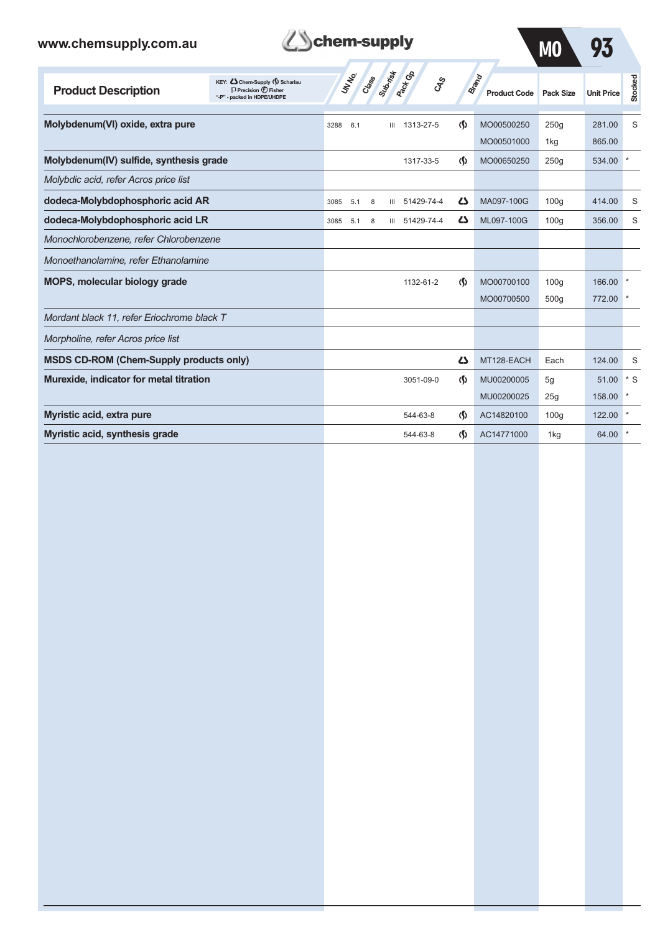| www.chemsupply.com.au                          |                                                                                                       | chem-supply  |       |                |                        |                                    |                              | M <sub>0</sub>   | 93                |         |
|------------------------------------------------|-------------------------------------------------------------------------------------------------------|--------------|-------|----------------|------------------------|------------------------------------|------------------------------|------------------|-------------------|---------|
| <b>Product Description</b>                     | KEY: C Chem-Supply (5) Scharlau<br>$\Box$ Precision $\bigoplus$ Fisher<br>"-P" - packed in HDPE/UHDPE | <b>UNTER</b> | Class | Submist        | <b>Pack G</b> B<br>GSS |                                    | Brand<br><b>Product Code</b> | <b>Pack Size</b> | <b>Unit Price</b> | Stocked |
| Molybdenum(VI) oxide, extra pure               |                                                                                                       | 3288<br>6.1  |       | Ш              | 1313-27-5              | $\langle \mathbf{\Omega} \rangle$  | MO00500250                   | 250q             | 281.00            | S       |
|                                                |                                                                                                       |              |       |                |                        |                                    | MO00501000                   | 1kg              | 865.00            |         |
| Molybdenum(IV) sulfide, synthesis grade        |                                                                                                       |              |       |                | 1317-33-5              | $\langle \mathbf{\langle} \rangle$ | MO00650250                   | 250q             | 534.00            | $\star$ |
| Molybdic acid, refer Acros price list          |                                                                                                       |              |       |                |                        |                                    |                              |                  |                   |         |
| dodeca-Molybdophosphoric acid AR               |                                                                                                       | 3085<br>5.1  | 8     | Ш              | 51429-74-4             | دے                                 | MA097-100G                   | 100q             | 414.00            | S       |
| dodeca-Molybdophosphoric acid LR               |                                                                                                       | 3085<br>5.1  | 8     | $\mathbf{III}$ | 51429-74-4             | دے                                 | ML097-100G                   | 100q             | 356.00            | S       |
| Monochlorobenzene, refer Chlorobenzene         |                                                                                                       |              |       |                |                        |                                    |                              |                  |                   |         |
| Monoethanolamine, refer Ethanolamine           |                                                                                                       |              |       |                |                        |                                    |                              |                  |                   |         |
| <b>MOPS, molecular biology grade</b>           |                                                                                                       |              |       |                | 1132-61-2              | $\Phi$                             | MO00700100                   | 100q             | 166.00            |         |
|                                                |                                                                                                       |              |       |                |                        |                                    | MO00700500                   | 500q             | 772.00            |         |
| Mordant black 11, refer Eriochrome black T     |                                                                                                       |              |       |                |                        |                                    |                              |                  |                   |         |
| Morpholine, refer Acros price list             |                                                                                                       |              |       |                |                        |                                    |                              |                  |                   |         |
| <b>MSDS CD-ROM (Chem-Supply products only)</b> |                                                                                                       |              |       |                |                        | 27                                 | MT128-EACH                   | Each             | 124.00            | S       |
| Murexide, indicator for metal titration        |                                                                                                       |              |       |                | 3051-09-0              | $\Phi$                             | MU00200005                   | 5g               | 51.00             | $*$ S   |
|                                                |                                                                                                       |              |       |                |                        |                                    | MU00200025                   | 25q              | 158.00            |         |
| Myristic acid, extra pure                      |                                                                                                       |              |       |                | 544-63-8               | $\Phi$                             | AC14820100                   | 100q             | 122.00            |         |
| Myristic acid, synthesis grade                 |                                                                                                       |              |       |                | 544-63-8               | $\Phi$                             | AC14771000                   | 1kg              | 64.00             |         |

**Them-supply**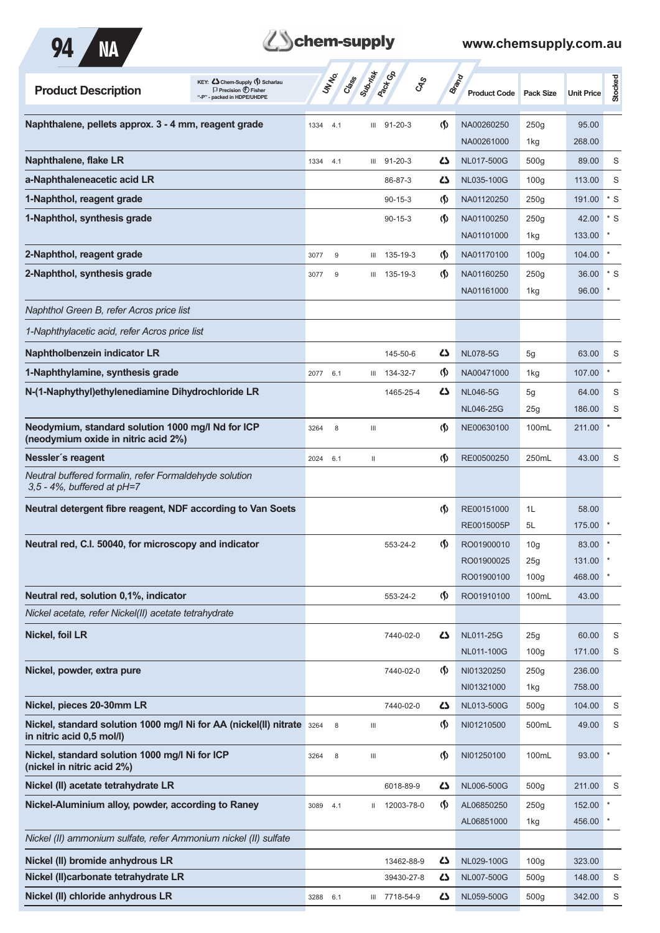

# **Them-supply**

| KEY: Cohem-Supply (5) Scharlau<br><b>Product Description</b><br>$\Box$ Precision $\bigoplus$ Fisher<br>- packed in HDPE/UHDPE |          | UN NO.<br>Crass | Submish                            | <b>Pack</b> Ga | <b>GRS</b>                         | <b>Brand</b><br><b>Product Code</b> | <b>Pack Size</b>        | <b>Unit Price</b> | Stocked |
|-------------------------------------------------------------------------------------------------------------------------------|----------|-----------------|------------------------------------|----------------|------------------------------------|-------------------------------------|-------------------------|-------------------|---------|
| Naphthalene, pellets approx. 3 - 4 mm, reagent grade                                                                          | 1334     | 4.1             | III                                | $91 - 20 - 3$  | $\langle \mathbf{\langle} \rangle$ | NA00260250                          | 250g                    | 95.00             |         |
| Naphthalene, flake LR                                                                                                         | 1334     | 4.1             | Ш                                  | $91 - 20 - 3$  | دے                                 | NA00261000<br>NL017-500G            | 1kg<br>500 <sub>g</sub> | 268.00<br>89.00   | S       |
| a-Naphthaleneacetic acid LR                                                                                                   |          |                 |                                    | 86-87-3        | 27                                 | NL035-100G                          | 100 <sub>g</sub>        | 113.00            | S       |
| 1-Naphthol, reagent grade                                                                                                     |          |                 |                                    | $90 - 15 - 3$  | $\langle \mathbf{\S} \rangle$      | NA01120250                          | 250g                    | 191.00            | $*$ S   |
| 1-Naphthol, synthesis grade                                                                                                   |          |                 |                                    | $90 - 15 - 3$  | $\langle \mathbf{\S} \rangle$      | NA01100250                          | 250g                    | 42.00             | $*$ S   |
|                                                                                                                               |          |                 |                                    |                |                                    | NA01101000                          | 1kg                     | 133.00            |         |
| 2-Naphthol, reagent grade                                                                                                     | 3077     | $9\,$           | Ш                                  | 135-19-3       | <u> (\$)</u>                       | NA01170100                          | 100 <sub>g</sub>        | 104.00            |         |
| 2-Naphthol, synthesis grade                                                                                                   | 3077     | 9               | Ш                                  | 135-19-3       | $\langle \mathbf{\langle} \rangle$ | NA01160250                          | 250g                    | 36.00             | $*$ S   |
|                                                                                                                               |          |                 |                                    |                |                                    | NA01161000                          | 1kg                     | 96.00             |         |
| Naphthol Green B, refer Acros price list                                                                                      |          |                 |                                    |                |                                    |                                     |                         |                   |         |
| 1-Naphthylacetic acid, refer Acros price list                                                                                 |          |                 |                                    |                |                                    |                                     |                         |                   |         |
| Naphtholbenzein indicator LR                                                                                                  |          |                 |                                    | 145-50-6       | Ω                                  | <b>NL078-5G</b>                     | 5g                      | 63.00             | S       |
| 1-Naphthylamine, synthesis grade                                                                                              | 2077 6.1 |                 |                                    | III 134-32-7   | $\langle \mathbf{\S} \rangle$      | NA00471000                          | 1kg                     | 107.00            |         |
| N-(1-Naphythyl)ethylenediamine Dihydrochloride LR                                                                             |          |                 |                                    | 1465-25-4      | دے                                 | <b>NL046-5G</b>                     | 5g                      | 64.00             | S       |
|                                                                                                                               |          |                 |                                    |                |                                    | <b>NL046-25G</b>                    | 25g                     | 186.00            | S       |
| Neodymium, standard solution 1000 mg/l Nd for ICP<br>(neodymium oxide in nitric acid 2%)                                      | 3264     | 8               | $\ensuremath{\mathsf{III}}\xspace$ |                | $\langle \mathbf{\S} \rangle$      | NE00630100                          | 100mL                   | 211.00            |         |
| Nessler's reagent                                                                                                             | 2024     | 6.1             | Ш                                  |                | $\langle \mathbf{\S} \rangle$      | RE00500250                          | 250mL                   | 43.00             | S       |
| Neutral buffered formalin, refer Formaldehyde solution<br>$3,5 - 4\%$ , buffered at $pH = 7$                                  |          |                 |                                    |                |                                    |                                     |                         |                   |         |
| Neutral detergent fibre reagent, NDF according to Van Soets                                                                   |          |                 |                                    |                | $\langle \mathbf{\S} \rangle$      | RE00151000                          | 1L                      | 58.00             |         |
|                                                                                                                               |          |                 |                                    |                |                                    | RE0015005P                          | 5L                      | 175.00            |         |
| Neutral red, C.I. 50040, for microscopy and indicator                                                                         |          |                 |                                    | 553-24-2       | (\$)                               | RO01900010                          | 10 <sub>g</sub>         | 83.00             |         |
|                                                                                                                               |          |                 |                                    |                |                                    | RO01900025                          | 25g                     | 131.00            |         |
|                                                                                                                               |          |                 |                                    |                |                                    | RO01900100                          | 100 <sub>g</sub>        | 468.00            |         |
| Neutral red, solution 0,1%, indicator<br>Nickel acetate, refer Nickel(II) acetate tetrahydrate                                |          |                 |                                    | 553-24-2       | $\langle \mathsf{S} \rangle$       | RO01910100                          | 100mL                   | 43.00             |         |
|                                                                                                                               |          |                 |                                    |                |                                    |                                     |                         |                   |         |
| Nickel, foil LR                                                                                                               |          |                 |                                    | 7440-02-0      | ひ                                  | NL011-25G<br>NL011-100G             | 25g<br>100 <sub>g</sub> | 60.00<br>171.00   | S<br>S  |
| Nickel, powder, extra pure                                                                                                    |          |                 |                                    | 7440-02-0      | $\langle \mathbf{\langle} \rangle$ | NI01320250                          | 250g                    | 236.00            |         |
|                                                                                                                               |          |                 |                                    |                |                                    | NI01321000                          | 1kg                     | 758.00            |         |
| Nickel, pieces 20-30mm LR                                                                                                     |          |                 |                                    | 7440-02-0      | 42                                 | NL013-500G                          | 500 <sub>g</sub>        | 104.00            | S       |
| Nickel, standard solution 1000 mg/l Ni for AA (nickel(II) nitrate 3264<br>in nitric acid 0,5 mol/l)                           |          | $\,$ 8 $\,$     | $\mathbf{III}$                     |                | <u> (\$)</u>                       | NI01210500                          | 500mL                   | 49.00             | S       |
| Nickel, standard solution 1000 mg/l Ni for ICP<br>(nickel in nitric acid 2%)                                                  | 3264     | 8               | $\ensuremath{\mathsf{III}}\xspace$ |                | $\varphi$                          | NI01250100                          | 100mL                   | 93.00             |         |
| Nickel (II) acetate tetrahydrate LR                                                                                           |          |                 |                                    | 6018-89-9      | 27                                 | NL006-500G                          | 500q                    | 211.00            | S       |
| Nickel-Aluminium alloy, powder, according to Raney                                                                            | 3089     | 4.1             |                                    | II 12003-78-0  | $\langle \mathbf{\S} \rangle$      | AL06850250                          | 250g                    | 152.00            |         |
|                                                                                                                               |          |                 |                                    |                |                                    | AL06851000                          | 1kg                     | 456.00            |         |
| Nickel (II) ammonium sulfate, refer Ammonium nickel (II) sulfate                                                              |          |                 |                                    |                |                                    |                                     |                         |                   |         |
| Nickel (II) bromide anhydrous LR                                                                                              |          |                 |                                    | 13462-88-9     | 27                                 | NL029-100G                          | 100 <sub>g</sub>        | 323.00            |         |
| Nickel (II) carbonate tetrahy drate LR                                                                                        |          |                 |                                    | 39430-27-8     | 42                                 | NL007-500G                          | 500 <sub>g</sub>        | 148.00            | S       |
| Nickel (II) chloride anhydrous LR                                                                                             | 3288     | 6.1             |                                    | III 7718-54-9  | 5                                  | NL059-500G                          | 500 <sub>g</sub>        | 342.00            | S       |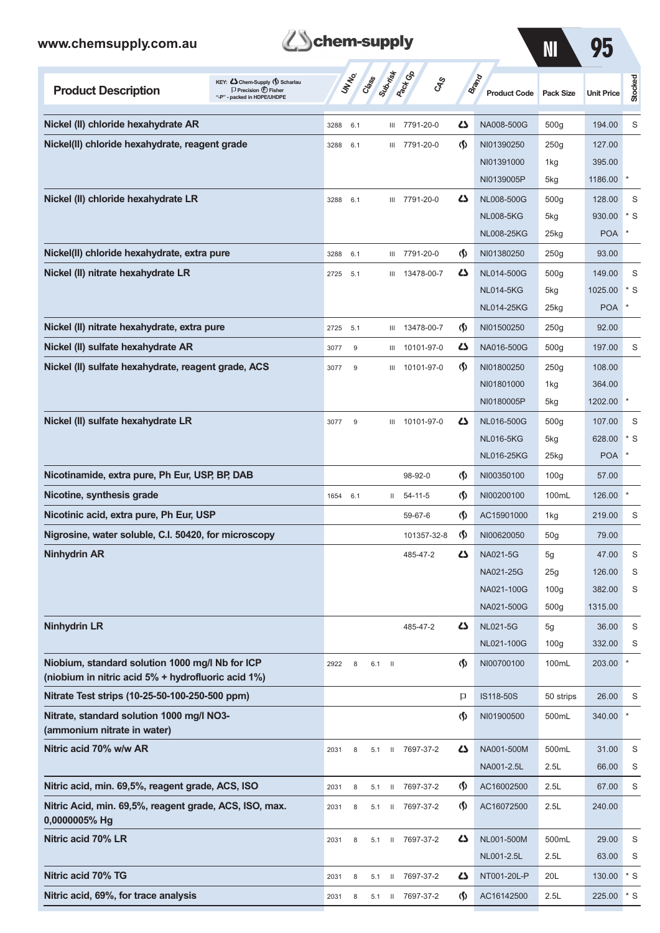| KEY: Cohem-Supply (5) Scharlau<br><b>Product Description</b><br>$\Box$ Precision $\bigoplus$ Fisher<br>"-P" - packed in HDPE/UHDPE | UNINO       | Crass | Suprise      | <b>Pack G</b> B | <b>GRS</b>  |                                    | Brand<br><b>Product Code</b> | <b>Pack Size</b> | <b>Unit Price</b> | Stocked   |
|------------------------------------------------------------------------------------------------------------------------------------|-------------|-------|--------------|-----------------|-------------|------------------------------------|------------------------------|------------------|-------------------|-----------|
| Nickel (II) chloride hexahydrate AR                                                                                                | 3288        | 6.1   |              | III 7791-20-0   |             | دے                                 | NA008-500G                   | 500g             | 194.00            | S         |
| Nickel(II) chloride hexahydrate, reagent grade                                                                                     | 3288        | 6.1   |              | III 7791-20-0   |             | $\langle \mathbf{\langle} \rangle$ | NI01390250                   | 250g             | 127.00            |           |
|                                                                                                                                    |             |       |              |                 |             |                                    | NI01391000                   | 1kg              | 395.00            |           |
|                                                                                                                                    |             |       |              |                 |             |                                    | NI0139005P                   | 5kg              | 1186.00           |           |
| Nickel (II) chloride hexahydrate LR                                                                                                | 3288        | 6.1   |              | III 7791-20-0   |             | دے                                 | NL008-500G                   | 500g             | 128.00            | S         |
|                                                                                                                                    |             |       |              |                 |             |                                    | <b>NL008-5KG</b>             | 5kg              | 930.00            | $*$ S     |
|                                                                                                                                    |             |       |              |                 |             |                                    | <b>NL008-25KG</b>            | 25kg             | <b>POA</b>        |           |
| Nickel(II) chloride hexahydrate, extra pure                                                                                        | 3288        | 6.1   |              | III 7791-20-0   |             | $\Phi$                             | NI01380250                   | 250g             | 93.00             |           |
| Nickel (II) nitrate hexahydrate LR                                                                                                 | 2725        | 5.1   |              | III 13478-00-7  |             | Ω                                  | NL014-500G                   | 500 <sub>g</sub> | 149.00            | S         |
|                                                                                                                                    |             |       |              |                 |             |                                    | <b>NL014-5KG</b>             | 5kg              | 1025.00           | $*$ S     |
|                                                                                                                                    |             |       |              |                 |             |                                    | <b>NL014-25KG</b>            | 25kg             | <b>POA</b>        |           |
| Nickel (II) nitrate hexahydrate, extra pure                                                                                        | 2725<br>5.1 |       |              | III 13478-00-7  |             | $\langle \mathbf{\S} \rangle$      | NI01500250                   | 250g             | 92.00             |           |
| Nickel (II) sulfate hexahydrate AR                                                                                                 | 3077        | 9     | Ш            |                 | 10101-97-0  | دے                                 | NA016-500G                   | 500g             | 197.00            | S         |
| Nickel (II) sulfate hexahydrate, reagent grade, ACS                                                                                | 3077        | 9     |              | III 10101-97-0  |             | $\langle \mathbf{\S} \rangle$      | NI01800250                   | 250g             | 108.00            |           |
|                                                                                                                                    |             |       |              |                 |             |                                    | NI01801000                   | 1kg              | 364.00            |           |
|                                                                                                                                    |             |       |              |                 |             |                                    | NI0180005P                   | 5kg              | 1202.00           |           |
| Nickel (II) sulfate hexahydrate LR                                                                                                 | 3077        | 9     | Ш            |                 | 10101-97-0  | Ω                                  | NL016-500G                   | 500 <sub>g</sub> | 107.00            | S         |
|                                                                                                                                    |             |       |              |                 |             |                                    | <b>NL016-5KG</b>             | 5kg              | 628.00            | $*$ S     |
|                                                                                                                                    |             |       |              |                 |             |                                    | <b>NL016-25KG</b>            | 25kg             | <b>POA</b>        |           |
| Nicotinamide, extra pure, Ph Eur, USP, BP, DAB                                                                                     |             |       |              | 98-92-0         |             | (\$)                               | NI00350100                   | 100 <sub>g</sub> | 57.00             |           |
| Nicotine, synthesis grade                                                                                                          | 1654        | 6.1   | $\mathbf{H}$ | $54 - 11 - 5$   |             | $\langle \mathbf{\S} \rangle$      | NI00200100                   | 100mL            | 126.00            |           |
| Nicotinic acid, extra pure, Ph Eur, USP                                                                                            |             |       |              | 59-67-6         |             | (§)                                | AC15901000                   | 1kg              | 219.00            | S         |
| Nigrosine, water soluble, C.I. 50420, for microscopy                                                                               |             |       |              |                 | 101357-32-8 | $\langle \mathbf{\langle}$         | NI00620050                   | 50g              | 79.00             |           |
| <b>Ninhydrin AR</b>                                                                                                                |             |       |              | 485-47-2        |             | ω                                  | NA021-5G                     | 5g               | 47.00             | S         |
|                                                                                                                                    |             |       |              |                 |             |                                    | NA021-25G                    | 25g              | 126.00            | S         |
|                                                                                                                                    |             |       |              |                 |             |                                    | NA021-100G                   | 100 <sub>g</sub> | 382.00            | S         |
|                                                                                                                                    |             |       |              |                 |             |                                    | NA021-500G                   | 500 <sub>g</sub> | 1315.00           |           |
| <b>Ninhydrin LR</b>                                                                                                                |             |       |              | 485-47-2        |             | Ω                                  | <b>NL021-5G</b>              | 5g               | 36.00             | S         |
|                                                                                                                                    |             |       |              |                 |             |                                    | NL021-100G                   | 100 <sub>g</sub> | 332.00            | S         |
| Niobium, standard solution 1000 mg/l Nb for ICP<br>(niobium in nitric acid 5% + hydrofluoric acid 1%)                              | 2922        | 8     | $6.1$ II     |                 |             | ⊛                                  | NI00700100                   | 100mL            | 203.00            | $^{\ast}$ |
| Nitrate Test strips (10-25-50-100-250-500 ppm)                                                                                     |             |       |              |                 |             | P                                  | IS118-50S                    | 50 strips        | 26.00             | S         |
| Nitrate, standard solution 1000 mg/l NO3-<br>(ammonium nitrate in water)                                                           |             |       |              |                 |             | $\spadesuit$                       | NI01900500                   | 500mL            | 340.00            | $^{\ast}$ |
| Nitric acid 70% w/w AR                                                                                                             | 2031        | 8     | 5.1          | II 7697-37-2    |             | 47                                 | NA001-500M                   | 500mL            | 31.00             | S         |
|                                                                                                                                    |             |       |              |                 |             |                                    | NA001-2.5L                   | 2.5L             | 66.00             | S         |
| Nitric acid, min. 69,5%, reagent grade, ACS, ISO                                                                                   | 2031        | 8     | 5.1          | II 7697-37-2    |             | $\langle \mathbf{\S} \rangle$      | AC16002500                   | 2.5L             | 67.00             | S         |
| Nitric Acid, min. 69,5%, reagent grade, ACS, ISO, max.<br>0,0000005% Hg                                                            | 2031        | 8     | 5.1          | II 7697-37-2    |             | $\langle \mathbf{\S} \rangle$      | AC16072500                   | 2.5L             | 240.00            |           |
| Nitric acid 70% LR                                                                                                                 | 2031        | 8     | 5.1          | II 7697-37-2    |             | 47                                 | NL001-500M                   | 500mL            | 29.00             | S         |
|                                                                                                                                    |             |       |              |                 |             |                                    | NL001-2.5L                   | 2.5L             | 63.00             | S         |
| Nitric acid 70% TG                                                                                                                 | 2031        | 8     | 5.1          | II 7697-37-2    |             | 77                                 | NT001-20L-P                  | 20L              | 130.00            | $*$ S     |
|                                                                                                                                    |             |       |              |                 |             |                                    |                              |                  |                   |           |

Lehem-supply

**Nitric acid, 69%, for trace analysis** 2031 8 5.1 II 7697-37-2 (1) AC16142500 2.5L 225.00 \* S

**NI 95**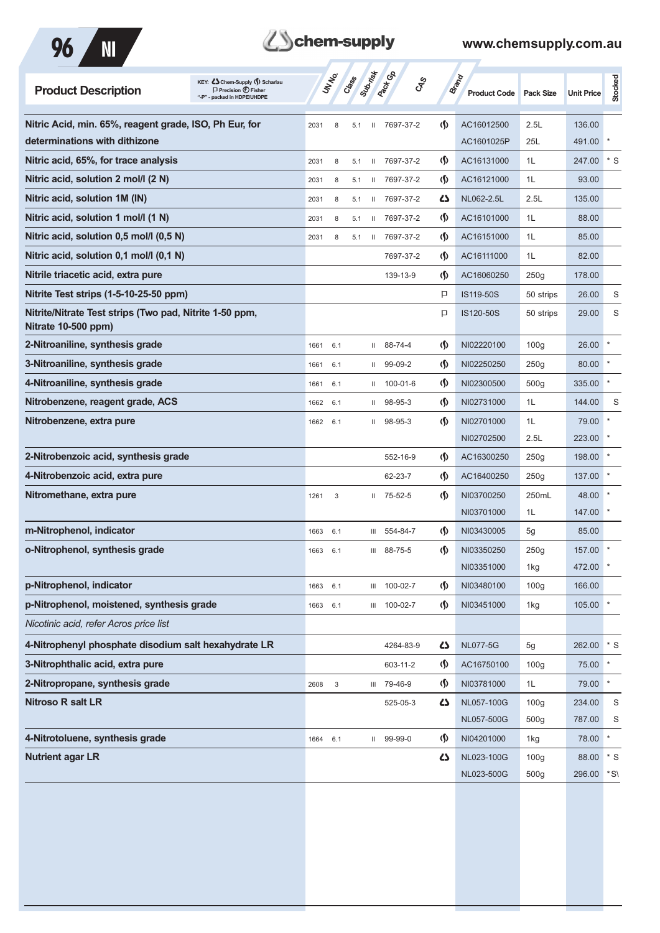

| <b>Product Description</b>                                                     | KEY: C Chem-Supply (5) Scharlau<br>$\Box$ Precision $\bigoplus$ Fisher<br>"-P" - packed in HDPE/UHDPE |      | UN NO.                  | Crass | Submist      | <b>PROT</b> GA<br><b>GRS</b> |                                    | <b>Brand</b><br><b>Product Code</b> | <b>Pack Size</b> | <b>Unit Price</b> | Stocked |
|--------------------------------------------------------------------------------|-------------------------------------------------------------------------------------------------------|------|-------------------------|-------|--------------|------------------------------|------------------------------------|-------------------------------------|------------------|-------------------|---------|
| Nitric Acid, min. 65%, reagent grade, ISO, Ph Eur, for                         |                                                                                                       | 2031 | 8                       | 5.1   | $\mathbf{H}$ | 7697-37-2                    | $\langle \mathbf{\langle} \rangle$ | AC16012500                          | 2.5L             | 136.00            |         |
| determinations with dithizone                                                  |                                                                                                       |      |                         |       |              |                              |                                    | AC1601025P                          | 25L              | 491.00            |         |
| Nitric acid, 65%, for trace analysis                                           |                                                                                                       | 2031 | 8                       | 5.1   | $\mathbf{H}$ | 7697-37-2                    | $\langle \mathbf{\langle} \rangle$ | AC16131000                          | 1L               | 247.00            | * S     |
| Nitric acid, solution 2 mol/l (2 N)                                            |                                                                                                       | 2031 | 8                       | 5.1   | Ш            | 7697-37-2                    | $\langle \mathbf{\langle} \rangle$ | AC16121000                          | 1L               | 93.00             |         |
| Nitric acid, solution 1M (IN)                                                  |                                                                                                       | 2031 | 8                       | 5.1   | Ш            | 7697-37-2                    | 45                                 | NL062-2.5L                          | 2.5L             | 135.00            |         |
| Nitric acid, solution 1 mol/l (1 N)                                            |                                                                                                       | 2031 | 8                       | 5.1   | Ш            | 7697-37-2                    | $\langle \mathbf{\S} \rangle$      | AC16101000                          | 1L               | 88.00             |         |
| Nitric acid, solution 0,5 mol/l (0,5 N)                                        |                                                                                                       | 2031 | 8                       | 5.1   | Ш            | 7697-37-2                    | $\langle \mathbf{\langle} \rangle$ | AC16151000                          | 1L               | 85.00             |         |
| Nitric acid, solution 0,1 mol/l (0,1 N)                                        |                                                                                                       |      |                         |       |              | 7697-37-2                    | $\langle \mathbf{\S} \rangle$      | AC16111000                          | 1L               | 82.00             |         |
| Nitrile triacetic acid, extra pure                                             |                                                                                                       |      |                         |       |              | 139-13-9                     | $\langle \mathbf{\langle} \rangle$ | AC16060250                          | 250q             | 178.00            |         |
| Nitrite Test strips (1-5-10-25-50 ppm)                                         |                                                                                                       |      |                         |       |              |                              | P                                  | IS119-50S                           | 50 strips        | 26.00             | S       |
| Nitrite/Nitrate Test strips (Two pad, Nitrite 1-50 ppm,<br>Nitrate 10-500 ppm) |                                                                                                       |      |                         |       |              |                              | P                                  | IS120-50S                           | 50 strips        | 29.00             | S       |
| 2-Nitroaniline, synthesis grade                                                |                                                                                                       | 1661 | 6.1                     |       | $\mathbf{H}$ | 88-74-4                      | $\langle \mathbf{\langle} \rangle$ | NI02220100                          | 100q             | 26.00             |         |
| 3-Nitroaniline, synthesis grade                                                |                                                                                                       | 1661 | 6.1                     |       | $\mathbf{H}$ | 99-09-2                      | $\langle \mathbf{\hat{y}}$         | NI02250250                          | 250g             | 80.00             |         |
| 4-Nitroaniline, synthesis grade                                                |                                                                                                       | 1661 | 6.1                     |       | $\mathbf{H}$ | 100-01-6                     | $\langle \mathbf{\hat{y}}$         | NI02300500                          | 500 <sub>g</sub> | 335.00            |         |
| Nitrobenzene, reagent grade, ACS                                               |                                                                                                       | 1662 | 6.1                     |       | Ш            | 98-95-3                      | $\langle \mathbf{\hat{y}}$         | NI02731000                          | 1L               | 144.00            | S       |
| Nitrobenzene, extra pure                                                       |                                                                                                       | 1662 | 6.1                     |       | Ш.           | 98-95-3                      | $\langle \mathbf{\langle}$         | NI02701000<br>NI02702500            | 1L<br>2.5L       | 79.00<br>223.00   |         |
| 2-Nitrobenzoic acid, synthesis grade                                           |                                                                                                       |      |                         |       |              | 552-16-9                     | $\langle \mathbf{\langle} \rangle$ | AC16300250                          | 250g             | 198.00            |         |
| 4-Nitrobenzoic acid, extra pure                                                |                                                                                                       |      |                         |       |              | 62-23-7                      | $\langle \mathbf{\S} \rangle$      | AC16400250                          | 250g             | 137.00            |         |
| Nitromethane, extra pure                                                       |                                                                                                       | 1261 | 3                       |       | $\mathbf{H}$ | 75-52-5                      | $\langle \mathbf{\langle} \rangle$ | NI03700250<br>NI03701000            | 250mL<br>1L      | 48.00<br>147.00   |         |
| m-Nitrophenol, indicator                                                       |                                                                                                       | 1663 | 6.1                     |       | Ш            | 554-84-7                     | $\langle \mathbf{\S} \rangle$      | NI03430005                          | 5g               | 85.00             |         |
| o-Nitrophenol, synthesis grade                                                 |                                                                                                       | 1663 | 6.1                     |       | Ш            | 88-75-5                      | $\langle \mathbf{\langle} \rangle$ | NI03350250                          | 250g             | 157.00            |         |
|                                                                                |                                                                                                       |      |                         |       |              |                              |                                    | NI03351000                          | 1kg              | 472.00            |         |
| p-Nitrophenol, indicator                                                       |                                                                                                       | 1663 | 6.1                     |       |              | III 100-02-7                 | $\Phi$                             | NI03480100                          | 100 <sub>g</sub> | 166.00            |         |
| p-Nitrophenol, moistened, synthesis grade                                      |                                                                                                       | 1663 | 6.1                     |       |              | III 100-02-7                 | ⊛                                  | NI03451000                          | 1kg              | 105.00            |         |
| Nicotinic acid, refer Acros price list                                         |                                                                                                       |      |                         |       |              |                              |                                    |                                     |                  |                   |         |
| 4-Nitrophenyl phosphate disodium salt hexahydrate LR                           |                                                                                                       |      |                         |       |              | 4264-83-9                    | 47                                 | <b>NL077-5G</b>                     | 5g               | 262.00            | $*$ S   |
| 3-Nitrophthalic acid, extra pure                                               |                                                                                                       |      |                         |       |              | 603-11-2                     | $\langle \mathbf{\S} \rangle$      | AC16750100                          | 100 <sub>g</sub> | 75.00             |         |
| 2-Nitropropane, synthesis grade                                                |                                                                                                       | 2608 | $\overline{\mathbf{3}}$ |       |              | III 79-46-9                  | ⊛                                  | NI03781000                          | 1L               | 79.00             |         |
| <b>Nitroso R salt LR</b>                                                       |                                                                                                       |      |                         |       |              | 525-05-3                     | 47                                 | NL057-100G                          | 100 <sub>g</sub> | 234.00            | S       |
|                                                                                |                                                                                                       |      |                         |       |              |                              |                                    | NL057-500G                          | 500g             | 787.00            | S       |
| 4-Nitrotoluene, synthesis grade                                                |                                                                                                       | 1664 | 6.1                     |       |              | II 99-99-0                   | $\varphi$                          | NI04201000                          | 1kg              | 78.00             | $\ast$  |
| <b>Nutrient agar LR</b>                                                        |                                                                                                       |      |                         |       |              |                              | 47                                 | NL023-100G                          | 100 <sub>g</sub> | 88.00             | $*$ S   |
|                                                                                |                                                                                                       |      |                         |       |              |                              |                                    | NL023-500G                          | 500g             | 296.00            | *S\     |
|                                                                                |                                                                                                       |      |                         |       |              |                              |                                    |                                     |                  |                   |         |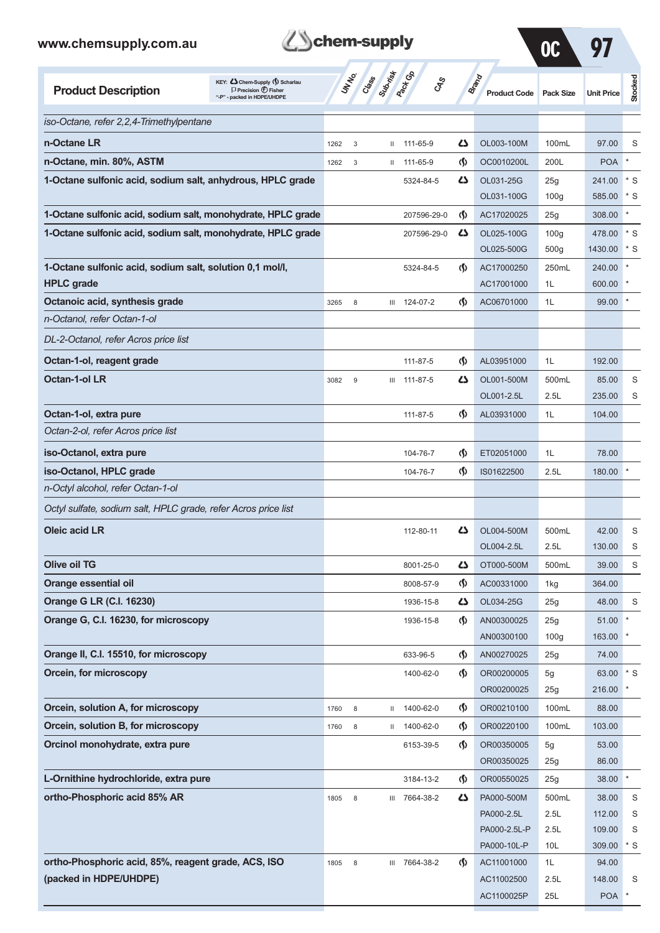

 $\Omega$   $\Omega$   $\Omega$   $\Omega$ 

AC1100025P 25L POA \*

|                                                                                                                                   |      |              |                  |               |                                    |                                     | Ul               |                   |           |
|-----------------------------------------------------------------------------------------------------------------------------------|------|--------------|------------------|---------------|------------------------------------|-------------------------------------|------------------|-------------------|-----------|
| KEY: Cohem-Supply (5) Scharlau<br><b>Product Description</b><br>$\Box$ Precision $\bigcirc$ Fisher<br>"-P" - packed in HDPE/UHDPE |      | <b>UNTER</b> | Cases Superinted |               | <b>GRS</b>                         | <b>Brand</b><br><b>Product Code</b> | <b>Pack Size</b> | <b>Unit Price</b> | Stocked   |
| iso-Octane, refer 2,2,4-Trimethylpentane                                                                                          |      |              |                  |               |                                    |                                     |                  |                   |           |
| n-Octane LR                                                                                                                       | 1262 | 3            |                  | $11 11-65-9$  | Ω                                  | OL003-100M                          | 100mL            | 97.00             | S         |
| n-Octane, min. 80%, ASTM                                                                                                          | 1262 | $\mathsf 3$  |                  | $11 11-65-9$  | $\langle \mathbf{\S} \rangle$      | OC0010200L                          | 200L             | <b>POA</b>        |           |
| 1-Octane sulfonic acid, sodium salt, anhydrous, HPLC grade                                                                        |      |              |                  | 5324-84-5     | ひ                                  | OL031-25G                           | 25g              | 241.00            | $\cdot$ s |
|                                                                                                                                   |      |              |                  |               |                                    | OL031-100G                          | 100 <sub>g</sub> | 585.00            | * S       |
| 1-Octane sulfonic acid, sodium salt, monohydrate, HPLC grade                                                                      |      |              |                  | 207596-29-0   | $\langle \mathbf{\S} \rangle$      | AC17020025                          | 25g              | 308.00            | $\star$   |
| 1-Octane sulfonic acid, sodium salt, monohydrate, HPLC grade                                                                      |      |              |                  | 207596-29-0   | 45                                 | OL025-100G                          | 100 <sub>g</sub> | 478.00            | $\cdot$ s |
|                                                                                                                                   |      |              |                  |               |                                    | OL025-500G                          | 500g             | 1430.00           | $^*$ S    |
| 1-Octane sulfonic acid, sodium salt, solution 0,1 mol/l,                                                                          |      |              |                  | 5324-84-5     | $\Phi$                             | AC17000250                          | 250mL            | 240.00            |           |
| <b>HPLC</b> grade                                                                                                                 |      |              |                  |               |                                    | AC17001000                          | 1L               | 600.00            |           |
| Octanoic acid, synthesis grade                                                                                                    | 3265 | 8            |                  | III 124-07-2  | $\Phi$                             | AC06701000                          | 1L               | 99.00             |           |
| n-Octanol, refer Octan-1-ol                                                                                                       |      |              |                  |               |                                    |                                     |                  |                   |           |
| DL-2-Octanol, refer Acros price list                                                                                              |      |              |                  |               |                                    |                                     |                  |                   |           |
| Octan-1-ol, reagent grade                                                                                                         |      |              |                  | 111-87-5      | $\Phi$                             | AL03951000                          | 1L               | 192.00            |           |
| <b>Octan-1-ol LR</b>                                                                                                              | 3082 | 9            |                  | III 111-87-5  | ひ                                  | OL001-500M                          | 500mL            | 85.00             | S         |
|                                                                                                                                   |      |              |                  |               |                                    | OL001-2.5L                          | 2.5L             | 235.00            | S         |
| Octan-1-ol, extra pure                                                                                                            |      |              |                  | 111-87-5      | $\langle \mathbf{\S} \rangle$      | AL03931000                          | 1L               | 104.00            |           |
| Octan-2-ol, refer Acros price list                                                                                                |      |              |                  |               |                                    |                                     |                  |                   |           |
| iso-Octanol, extra pure                                                                                                           |      |              |                  | 104-76-7      | $\langle \mathbf{\langle} \rangle$ | ET02051000                          | 1L               | 78.00             |           |
| iso-Octanol, HPLC grade                                                                                                           |      |              |                  | 104-76-7      | $\langle \mathbf{\langle} \rangle$ | IS01622500                          | 2.5L             | 180.00            |           |
| n-Octyl alcohol, refer Octan-1-ol                                                                                                 |      |              |                  |               |                                    |                                     |                  |                   |           |
| Octyl sulfate, sodium salt, HPLC grade, refer Acros price list                                                                    |      |              |                  |               |                                    |                                     |                  |                   |           |
| <b>Oleic acid LR</b>                                                                                                              |      |              |                  | 112-80-11     | ひ                                  | OL004-500M                          | 500mL            | 42.00             | S         |
|                                                                                                                                   |      |              |                  |               |                                    | OL004-2.5L                          | 2.5L             | 130.00            | S         |
| <b>Olive oil TG</b>                                                                                                               |      |              |                  | 8001-25-0     | دے                                 | OT000-500M                          | 500mL            | 39.00             | S         |
| <b>Orange essential oil</b>                                                                                                       |      |              |                  | 8008-57-9     | $\langle \mathbf{\S} \rangle$      | AC00331000                          | 1kg              | 364.00            |           |
| Orange G LR (C.I. 16230)                                                                                                          |      |              |                  | 1936-15-8     | 77                                 | OL034-25G                           | 25g              | 48.00             | S         |
| Orange G, C.I. 16230, for microscopy                                                                                              |      |              |                  | 1936-15-8     | $\Phi$                             | AN00300025                          | 25g              | 51.00             |           |
|                                                                                                                                   |      |              |                  |               |                                    | AN00300100                          | 100 <sub>g</sub> | 163.00            |           |
| Orange II, C.I. 15510, for microscopy                                                                                             |      |              |                  | 633-96-5      | $\langle \mathbf{\langle} \rangle$ | AN00270025                          | 25g              | 74.00             |           |
| Orcein, for microscopy                                                                                                            |      |              |                  | 1400-62-0     | $\Phi$                             | OR00200005                          | 5g               | 63.00 * S         |           |
|                                                                                                                                   |      |              |                  |               |                                    | OR00200025                          | 25g              | 216.00            |           |
| Orcein, solution A, for microscopy                                                                                                | 1760 | $\,$ 8 $\,$  | Ш.               | 1400-62-0     | $\langle \mathbf{\S} \rangle$      | OR00210100                          | 100mL            | 88.00             |           |
| Orcein, solution B, for microscopy                                                                                                | 1760 | 8            |                  | II 1400-62-0  | $\langle \mathbf{\S} \rangle$      | OR00220100                          | 100mL            | 103.00            |           |
| Orcinol monohydrate, extra pure                                                                                                   |      |              |                  | 6153-39-5     | $\langle \mathbf{\langle} \rangle$ | OR00350005<br>OR00350025            | 5g<br>25g        | 53.00<br>86.00    |           |
| L-Ornithine hydrochloride, extra pure                                                                                             |      |              |                  | 3184-13-2     | $\langle \mathsf{S} \rangle$       | OR00550025                          | 25g              | 38.00             | $\star$   |
| ortho-Phosphoric acid 85% AR                                                                                                      |      |              |                  | III 7664-38-2 | 45                                 | PA000-500M                          | 500mL            | 38.00             | S         |
|                                                                                                                                   | 1805 | 8            |                  |               |                                    | PA000-2.5L                          | 2.5L             | 112.00            | S         |
|                                                                                                                                   |      |              |                  |               |                                    | PA000-2.5L-P                        | 2.5L             | 109.00            | S         |
|                                                                                                                                   |      |              |                  |               |                                    | PA000-10L-P                         | 10L              | 309.00            | $\cdot$ s |
| ortho-Phosphoric acid, 85%, reagent grade, ACS, ISO                                                                               | 1805 | $\,8\,$      |                  | III 7664-38-2 | $\langle \mathbf{\S} \rangle$      | AC11001000                          | 1L               | 94.00             |           |

**(packed in HDPE/UHDPE)** 8 (packed in HDPE/UHDPE)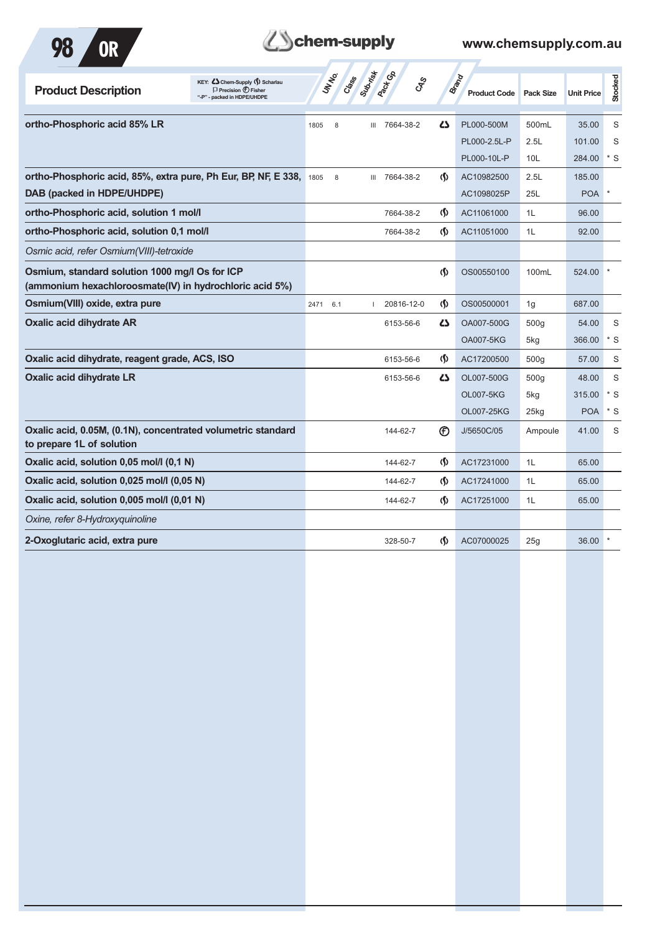



| KEY: Cohem-Supply (5) Scharlau<br><b>Product Description</b><br>$\Box$ Precision $\bigcirc$ Fisher<br>"-P" - packed in HDPE/UHDPE | Subrist<br><b>Pact G</b> B<br><b>UNTER</b><br>Crass<br><b>GRS</b> |                                    | <b>Brand</b><br><b>Product Code</b> | Pack Size          | <b>Unit Price</b> | Stocked |
|-----------------------------------------------------------------------------------------------------------------------------------|-------------------------------------------------------------------|------------------------------------|-------------------------------------|--------------------|-------------------|---------|
| ortho-Phosphoric acid 85% LR                                                                                                      | III 7664-38-2<br>1805<br>8                                        | <b>45</b>                          | PL000-500M                          | 500mL              | 35.00             | S       |
|                                                                                                                                   |                                                                   |                                    | PL000-2.5L-P                        | 2.5L               | 101.00            | S       |
|                                                                                                                                   |                                                                   |                                    | PL000-10L-P                         | 10L                | 284.00            | $*$ S   |
| ortho-Phosphoric acid, 85%, extra pure, Ph Eur, BP, NF, E 338,                                                                    | 7664-38-2<br>1805<br>8<br>Ш                                       | $\langle \mathbf{\langle} \rangle$ | AC10982500                          | 2.5L               | 185.00            |         |
| DAB (packed in HDPE/UHDPE)                                                                                                        |                                                                   |                                    | AC1098025P                          | 25L                | <b>POA</b>        |         |
| ortho-Phosphoric acid, solution 1 mol/l                                                                                           | 7664-38-2                                                         | $\langle \mathbf{\S} \rangle$      | AC11061000                          | 1L                 | 96.00             |         |
| ortho-Phosphoric acid, solution 0.1 mol/l                                                                                         | 7664-38-2                                                         | (\$)                               | AC11051000                          | 1L                 | 92.00             |         |
| Osmic acid, refer Osmium(VIII)-tetroxide                                                                                          |                                                                   |                                    |                                     |                    |                   |         |
| Osmium, standard solution 1000 mg/l Os for ICP<br>(ammonium hexachloroosmate(IV) in hydrochloric acid 5%)                         |                                                                   | $\langle \mathsf{S} \rangle$       | OS00550100                          | 100mL              | 524.00            |         |
| Osmium(VIII) oxide, extra pure                                                                                                    | 2471<br>6.1<br>20816-12-0                                         | $\langle \mathbf{\S} \rangle$      | OS00500001                          | 1g                 | 687.00            |         |
| <b>Oxalic acid dihydrate AR</b>                                                                                                   | 6153-56-6                                                         | ひ                                  | OA007-500G                          | 500g               | 54.00             | S       |
|                                                                                                                                   |                                                                   |                                    | <b>OA007-5KG</b>                    | 5kg                | 366.00            | $*$ S   |
| Oxalic acid dihydrate, reagent grade, ACS, ISO                                                                                    | 6153-56-6                                                         | $\langle \mathbf{\langle} \rangle$ | AC17200500                          | 500g               | 57.00             | S       |
| <b>Oxalic acid dihydrate LR</b>                                                                                                   | 6153-56-6                                                         | $\mathbf{Z}$                       | OL007-500G                          | 500a               | 48.00             | S       |
|                                                                                                                                   |                                                                   |                                    | <b>OL007-5KG</b>                    | 5kg                | 315.00            | * S     |
|                                                                                                                                   |                                                                   |                                    | OL007-25KG                          | $25$ <sub>kg</sub> | <b>POA</b>        | $*$ S   |
| Oxalic acid, 0.05M, (0.1N), concentrated volumetric standard<br>to prepare 1L of solution                                         | 144-62-7                                                          | $^{\circledR}$                     | J/5650C/05                          | Ampoule            | 41.00             | S       |
| Oxalic acid, solution 0,05 mol/l (0,1 N)                                                                                          | 144-62-7                                                          | $\langle \mathbf{\langle} \rangle$ | AC17231000                          | 1L                 | 65.00             |         |
| Oxalic acid, solution 0,025 mol/l (0,05 N)                                                                                        | 144-62-7                                                          | $\langle \mathbf{\S} \rangle$      | AC17241000                          | 1L                 | 65.00             |         |
| Oxalic acid, solution 0,005 mol/l (0,01 N)                                                                                        | 144-62-7                                                          | (\$)                               | AC17251000                          | 1L                 | 65.00             |         |
| Oxine, refer 8-Hydroxyquinoline                                                                                                   |                                                                   |                                    |                                     |                    |                   |         |
| 2-Oxoglutaric acid, extra pure                                                                                                    | 328-50-7                                                          | $\langle \mathbf{\langle} \rangle$ | AC07000025                          | 25g                | 36.00             |         |
|                                                                                                                                   |                                                                   |                                    |                                     |                    |                   |         |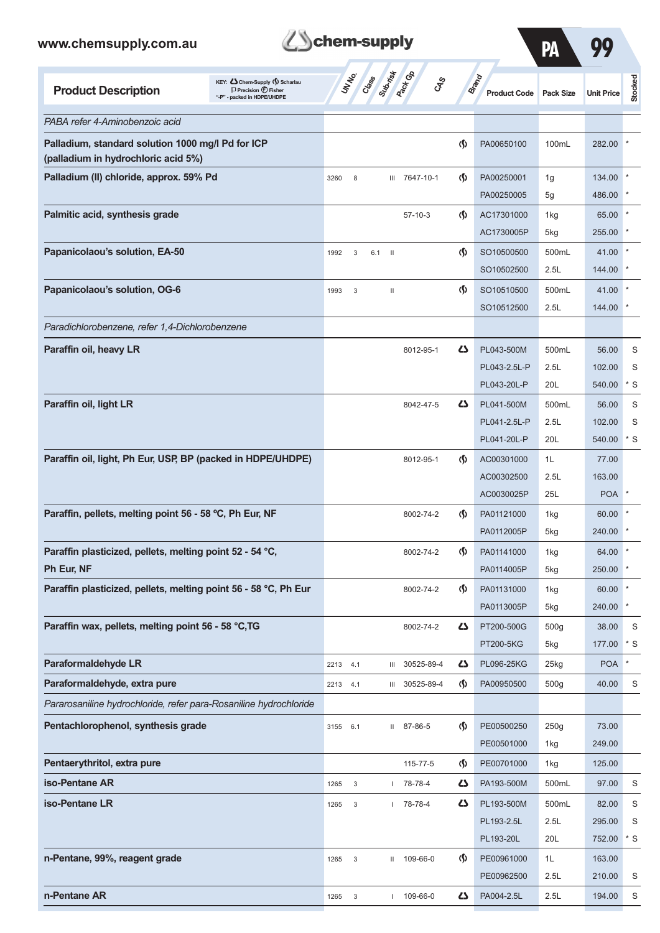*PABA refer 4-Aminobenzoic acid*

**(palladium in hydrochloric acid 5%)** 

Palladium, standard solution 1000 mg/l Pd for ICP

**Product Description**<br>
Precision  $\bigcirc$  **Fisher**<br>  $\bigcirc$  **Precision**  $\bigcirc$  **<b>Fisher** 



| supply                  |        |                                     | PA               |                   |         |
|-------------------------|--------|-------------------------------------|------------------|-------------------|---------|
| Submist<br>Class<br>್ಯೇ |        | <b>Brand</b><br><b>Product Code</b> | <b>Pack Size</b> | <b>Unit Price</b> | Stocked |
|                         |        |                                     |                  |                   |         |
|                         | $\Phi$ | PA00650100                          | 100mL            | 282.00            | $\ast$  |
| 7647-10-1<br>Ш          | $\Phi$ | PA00250001                          | 1g               | 134.00            | $\ast$  |
|                         |        | PA00250005                          | 5g               | 486.00            | $\ast$  |
| $57-10-3$               | $\Phi$ | AC17301000                          | 1kg              | 65.00             | $\ast$  |
|                         |        | AC1730005P                          | 5kg              | 255.00            | $\ast$  |
| $\mathbf{I}$<br>6.1     | (§     | SO10500500                          | 500mL            | 41.00             | $\ast$  |

| Palladium (II) chloride, approx. 59% Pd                           | 3260     | 8            |     | Ш                        | 7647-10-1      | $\Phi$                             | PA00250001   | 1g               | 134.00     |             |
|-------------------------------------------------------------------|----------|--------------|-----|--------------------------|----------------|------------------------------------|--------------|------------------|------------|-------------|
|                                                                   |          |              |     |                          |                |                                    | PA00250005   | 5g               | 486.00     |             |
| Palmitic acid, synthesis grade                                    |          |              |     |                          | $57 - 10 - 3$  | $\Phi$                             | AC17301000   | 1kg              | 65.00      |             |
|                                                                   |          |              |     |                          |                |                                    | AC1730005P   | 5kg              | 255.00 *   |             |
| Papanicolaou's solution, EA-50                                    | 1992     | 3            | 6.1 | $\overline{\phantom{0}}$ |                | $\langle \mathbf{\hat{y}} \rangle$ | SO10500500   | 500mL            | 41.00      |             |
|                                                                   |          |              |     |                          |                |                                    | SO10502500   | 2.5L             | 144.00     |             |
| Papanicolaou's solution, OG-6                                     | 1993     | $\mathbf{3}$ |     | $\,$ II                  |                | $\Phi$                             | SO10510500   | 500mL            | 41.00      |             |
|                                                                   |          |              |     |                          |                |                                    | SO10512500   | 2.5L             | 144.00     |             |
| Paradichlorobenzene, refer 1,4-Dichlorobenzene                    |          |              |     |                          |                |                                    |              |                  |            |             |
| Paraffin oil, heavy LR                                            |          |              |     |                          | 8012-95-1      | 5                                  | PL043-500M   | 500mL            | 56.00      | S           |
|                                                                   |          |              |     |                          |                |                                    | PL043-2.5L-P | 2.5L             | 102.00     | S           |
|                                                                   |          |              |     |                          |                |                                    | PL043-20L-P  | 20L              | 540.00     | $*$ S       |
| Paraffin oil, light LR                                            |          |              |     |                          | 8042-47-5      | 5                                  | PL041-500M   | 500mL            | 56.00      | S           |
|                                                                   |          |              |     |                          |                |                                    | PL041-2.5L-P | 2.5L             | 102.00     | S           |
|                                                                   |          |              |     |                          |                |                                    | PL041-20L-P  | 20L              | 540.00     | * S         |
| Paraffin oil, light, Ph Eur, USP, BP (packed in HDPE/UHDPE)       |          |              |     |                          | 8012-95-1      | $\Phi$                             | AC00301000   | 1L               | 77.00      |             |
|                                                                   |          |              |     |                          |                |                                    | AC00302500   | 2.5L             | 163.00     |             |
|                                                                   |          |              |     |                          |                |                                    | AC0030025P   | 25L              | POA *      |             |
| Paraffin, pellets, melting point 56 - 58 °C, Ph Eur, NF           |          |              |     |                          | 8002-74-2      | $\Phi$                             | PA01121000   | 1kg              | 60.00      |             |
|                                                                   |          |              |     |                          |                |                                    | PA0112005P   | 5kg              | 240.00 *   |             |
| Paraffin plasticized, pellets, melting point 52 - 54 °C,          |          |              |     |                          | 8002-74-2      | $\langle \mathbf{\S} \rangle$      | PA01141000   | 1kg              | 64.00      |             |
| Ph Eur, NF                                                        |          |              |     |                          |                |                                    | PA0114005P   | 5kg              | 250.00     |             |
| Paraffin plasticized, pellets, melting point 56 - 58 °C, Ph Eur   |          |              |     |                          | 8002-74-2      | $\langle \mathbf{\langle} \rangle$ | PA01131000   | 1kg              | 60.00      |             |
|                                                                   |          |              |     |                          |                |                                    | PA0113005P   | 5kg              | 240.00     |             |
| Paraffin wax, pellets, melting point 56 - 58 °C, TG               |          |              |     |                          | 8002-74-2      | 45                                 | PT200-500G   | 500 <sub>g</sub> | 38.00      | S           |
|                                                                   |          |              |     |                          |                |                                    | PT200-5KG    | 5kg              | 177.00     | * S         |
| Paraformaldehyde LR                                               | 2213     | 4.1          |     |                          | 30525-89-4     |                                    | PL096-25KG   | 25kg             | <b>POA</b> |             |
| Paraformaldehyde, extra pure                                      | 2213 4.1 |              |     |                          | III 30525-89-4 | $\langle \mathbf{\hat{y}} \rangle$ | PA00950500   | 500 <sub>g</sub> | 40.00      | S           |
| Pararosaniline hydrochloride, refer para-Rosaniline hydrochloride |          |              |     |                          |                |                                    |              |                  |            |             |
| Pentachlorophenol, synthesis grade                                | 3155 6.1 |              |     |                          | II 87-86-5     | $\varphi$                          | PE00500250   | 250g             | 73.00      |             |
|                                                                   |          |              |     |                          |                |                                    | PE00501000   | 1kg              | 249.00     |             |
| Pentaerythritol, extra pure                                       |          |              |     |                          | 115-77-5       | $\langle \mathsf{S} \rangle$       | PE00701000   | 1kg              | 125.00     |             |
| iso-Pentane AR                                                    | 1265     | $\mathbf{3}$ |     |                          | 78-78-4        | 45                                 | PA193-500M   | 500mL            | 97.00      | S           |
| iso-Pentane LR                                                    | 1265     | 3            |     | $\mathbf{L}$             | 78-78-4        | 4                                  | PL193-500M   | 500mL            | 82.00      | S           |
|                                                                   |          |              |     |                          |                |                                    | PL193-2.5L   | 2.5L             | 295.00     | S           |
|                                                                   |          |              |     |                          |                |                                    | PL193-20L    | 20L              | 752.00     | $^\star$ S  |
| n-Pentane, 99%, reagent grade                                     | 1265     | $\mathbf{3}$ |     | Ш                        | 109-66-0       | $\Phi$                             | PE00961000   | 1L               | 163.00     |             |
|                                                                   |          |              |     |                          |                |                                    | PE00962500   | 2.5L             | 210.00     | S           |
| n-Pentane AR                                                      | 1265     | $\mathbf{3}$ |     | $\overline{\phantom{a}}$ | 109-66-0       | 4                                  | PA004-2.5L   | 2.5L             | 194.00     | $\mathbb S$ |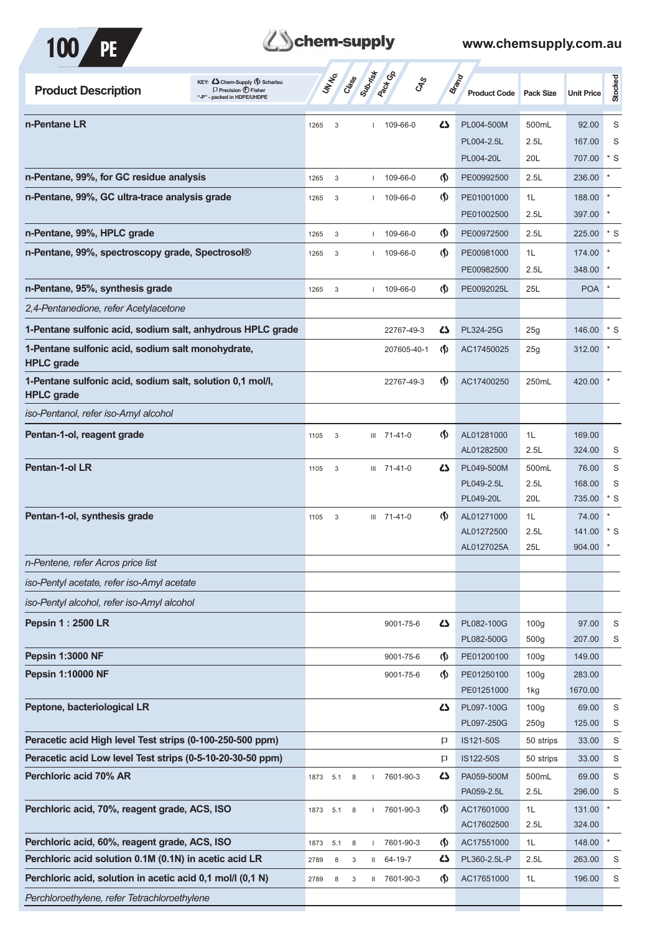

| KEY: Cohem-Supply (5) Scharlau<br><b>Product Description</b><br>$\Box$ Precision $\bigcirc$ Fisher<br>"-P" - packed in HDPE/UHDPE |      | <b>UNTER</b> | Subsition<br>Crass | <b>Pack</b> Ga<br>$c_{\rm x}^2$ |                               | <b>Brand</b><br><b>Product Code</b> | <b>Pack Size</b>         | <b>Unit Price</b> | Stocked           |
|-----------------------------------------------------------------------------------------------------------------------------------|------|--------------|--------------------|---------------------------------|-------------------------------|-------------------------------------|--------------------------|-------------------|-------------------|
| n-Pentane LR                                                                                                                      | 1265 | 3            |                    | 109-66-0                        | 4                             | PL004-500M                          | 500mL                    | 92.00             | S                 |
|                                                                                                                                   |      |              |                    |                                 |                               | PL004-2.5L                          | 2.5L                     | 167.00            | S                 |
|                                                                                                                                   |      |              |                    |                                 |                               | PL004-20L                           | 20L                      | 707.00            | $*$ S             |
| n-Pentane, 99%, for GC residue analysis                                                                                           | 1265 | 3            |                    | 109-66-0                        | $\langle \mathsf{S} \rangle$  | PE00992500                          | 2.5L                     | 236.00            |                   |
| n-Pentane, 99%, GC ultra-trace analysis grade                                                                                     | 1265 | 3            |                    | 109-66-0                        | $\langle \mathbf{\S} \rangle$ | PE01001000                          | 1L                       | 188.00            |                   |
|                                                                                                                                   |      |              |                    |                                 |                               | PE01002500                          | 2.5L                     | 397.00            |                   |
| n-Pentane, 99%, HPLC grade                                                                                                        | 1265 | 3            |                    | 109-66-0                        | $\langle \mathbf{\S} \rangle$ | PE00972500                          | 2.5L                     | 225.00            | $*$ S             |
| n-Pentane, 99%, spectroscopy grade, Spectrosol®                                                                                   | 1265 | 3            |                    | 109-66-0                        | (∫)                           | PE00981000                          | 1L                       | 174.00            |                   |
|                                                                                                                                   |      |              |                    |                                 |                               | PE00982500                          | 2.5L                     | 348.00            |                   |
| n-Pentane, 95%, synthesis grade                                                                                                   | 1265 | 3            |                    | 109-66-0                        | $\langle \mathbf{\S} \rangle$ | PE0092025L                          | 25L                      | <b>POA</b>        |                   |
| 2,4-Pentanedione, refer Acetylacetone                                                                                             |      |              |                    |                                 |                               |                                     |                          |                   |                   |
| 1-Pentane sulfonic acid, sodium salt, anhydrous HPLC grade                                                                        |      |              |                    | 22767-49-3                      | 42                            | PL324-25G                           | 25g                      | 146.00            | $*_{\mathcal{S}}$ |
| 1-Pentane sulfonic acid, sodium salt monohydrate,<br><b>HPLC</b> grade                                                            |      |              |                    | 207605-40-1                     | $\Phi$                        | AC17450025                          | 25g                      | 312.00            |                   |
| 1-Pentane sulfonic acid, sodium salt, solution 0,1 mol/l,<br><b>HPLC</b> grade                                                    |      |              |                    | 22767-49-3                      | $\Phi$                        | AC17400250                          | 250mL                    | 420.00            |                   |
| iso-Pentanol, refer iso-Amyl alcohol                                                                                              |      |              |                    |                                 |                               |                                     |                          |                   |                   |
| Pentan-1-ol, reagent grade                                                                                                        | 1105 | 3            |                    | $III$ 71-41-0                   | $\langle \mathbf{\S} \rangle$ | AL01281000                          | 1L                       | 169.00            |                   |
|                                                                                                                                   |      |              |                    |                                 |                               | AL01282500                          | 2.5L                     | 324.00            | S                 |
| <b>Pentan-1-ol LR</b>                                                                                                             | 1105 | 3            |                    | III 71-41-0                     | 4                             | PL049-500M                          | 500mL                    | 76.00             | S                 |
|                                                                                                                                   |      |              |                    |                                 |                               | PL049-2.5L                          | 2.5L                     | 168.00            | S                 |
|                                                                                                                                   |      |              |                    |                                 |                               | PL049-20L                           | 20L                      | 735.00            | $*$ S             |
| Pentan-1-ol, synthesis grade                                                                                                      | 1105 | 3            |                    | III 71-41-0                     | $\Phi$                        | AL01271000                          | 1L                       | 74.00             |                   |
|                                                                                                                                   |      |              |                    |                                 |                               | AL01272500<br>AL0127025A            | 2.5L<br>25L              | 141.00<br>904.00  | $*$ S<br>$\ast$   |
| n-Pentene, refer Acros price list                                                                                                 |      |              |                    |                                 |                               |                                     |                          |                   |                   |
| iso-Pentyl acetate, refer iso-Amyl acetate                                                                                        |      |              |                    |                                 |                               |                                     |                          |                   |                   |
| iso-Pentyl alcohol, refer iso-Amyl alcohol                                                                                        |      |              |                    |                                 |                               |                                     |                          |                   |                   |
| <b>Pepsin 1: 2500 LR</b>                                                                                                          |      |              |                    | 9001-75-6                       | 5                             | PL082-100G                          | 100 <sub>g</sub>         | 97.00             | S                 |
|                                                                                                                                   |      |              |                    |                                 |                               | PL082-500G                          | 500 <sub>g</sub>         | 207.00            | S                 |
| <b>Pepsin 1:3000 NF</b>                                                                                                           |      |              |                    | 9001-75-6                       | $\langle \mathbf{\S} \rangle$ | PE01200100                          | 100 <sub>g</sub>         | 149.00            |                   |
| <b>Pepsin 1:10000 NF</b>                                                                                                          |      |              |                    | 9001-75-6                       | $\langle \mathbf{\S} \rangle$ | PE01250100                          | 100 <sub>g</sub>         | 283.00            |                   |
|                                                                                                                                   |      |              |                    |                                 |                               | PE01251000                          | 1kg                      | 1670.00           |                   |
| Peptone, bacteriological LR                                                                                                       |      |              |                    |                                 | 5                             | PL097-100G<br>PL097-250G            | 100 <sub>g</sub><br>250g | 69.00<br>125.00   | $\mathbb S$<br>S  |
| Peracetic acid High level Test strips (0-100-250-500 ppm)                                                                         |      |              |                    |                                 | $\mathsf{p}$                  | IS121-50S                           | 50 strips                | 33.00             | S                 |
| Peracetic acid Low level Test strips (0-5-10-20-30-50 ppm)                                                                        |      |              |                    |                                 | P                             | IS122-50S                           | 50 strips                | 33.00             | S                 |
| Perchloric acid 70% AR                                                                                                            | 1873 | 5.1          | 8                  | 7601-90-3                       | 45                            | PA059-500M                          | 500mL                    | 69.00             | $\mathbf S$       |
|                                                                                                                                   |      |              |                    |                                 |                               | PA059-2.5L                          | 2.5L                     | 296.00            | S                 |
| Perchloric acid, 70%, reagent grade, ACS, ISO                                                                                     | 1873 | 5.1          | 8                  | 7601-90-3                       | $\langle \mathsf{S} \rangle$  | AC17601000                          | 1L                       | 131.00            | $\star$           |
|                                                                                                                                   |      |              |                    |                                 |                               | AC17602500                          | 2.5L                     | 324.00            |                   |
| Perchloric acid, 60%, reagent grade, ACS, ISO                                                                                     | 1873 | 5.1          | 8                  | 7601-90-3                       | $\langle \mathbf{\S} \rangle$ | AC17551000                          | 1L                       | 148.00            | $\pmb{\ast}$      |
| Perchloric acid solution 0.1M (0.1N) in acetic acid LR                                                                            | 2789 | 8            | 3                  | $II$ 64-19-7                    | 42                            | PL360-2.5L-P                        | 2.5L                     | 263.00            | S                 |
| Perchloric acid, solution in acetic acid 0,1 mol/l (0,1 N)                                                                        | 2789 | 8            | 3                  | II 7601-90-3                    | $\langle \mathbf{\S} \rangle$ | AC17651000                          | 1L                       | 196.00            | S                 |
| Perchloroethylene, refer Tetrachloroethylene                                                                                      |      |              |                    |                                 |                               |                                     |                          |                   |                   |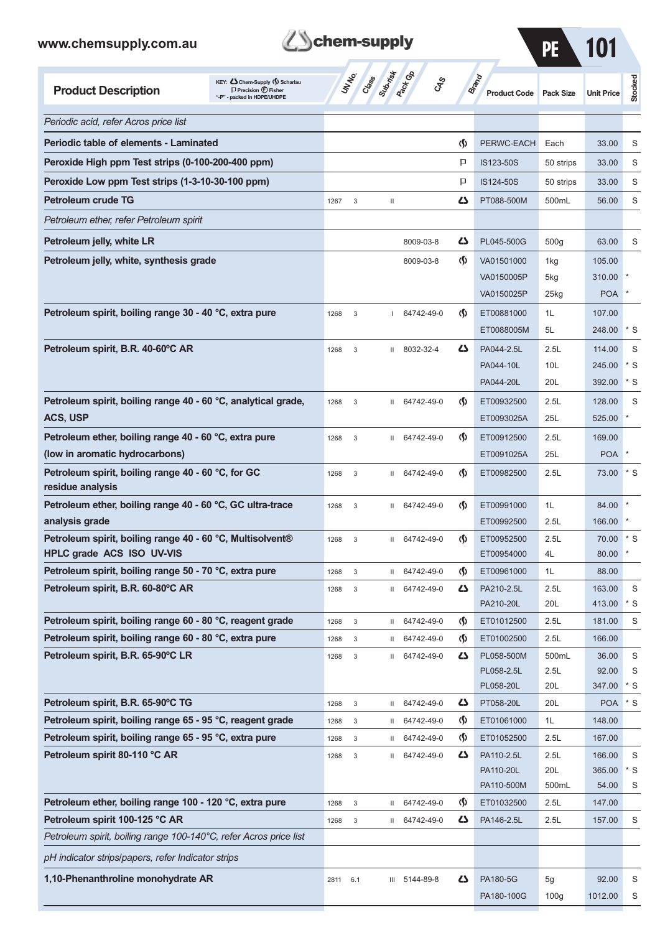



| <b>Product Description</b>                                                                 | KEY: Cohem-Supply (5) Scharlau<br>$\Box$ Precision $\bigcirc$ Fisher<br>"-P" - packed in HDPE/UHDPE | UN NO.       | Class Subdivideo               |         |                          | CAS                                | Brand | <b>Product Code</b>      | <b>Pack Size</b> | <b>Unit Price</b> | Stocked     |
|--------------------------------------------------------------------------------------------|-----------------------------------------------------------------------------------------------------|--------------|--------------------------------|---------|--------------------------|------------------------------------|-------|--------------------------|------------------|-------------------|-------------|
| Periodic acid, refer Acros price list                                                      |                                                                                                     |              |                                |         |                          |                                    |       |                          |                  |                   |             |
| <b>Periodic table of elements - Laminated</b>                                              |                                                                                                     |              |                                |         |                          | ⊛                                  |       | PERWC-EACH               | Each             | 33.00             | S           |
| Peroxide High ppm Test strips (0-100-200-400 ppm)                                          |                                                                                                     |              |                                |         |                          | p                                  |       | IS123-50S                | 50 strips        | 33.00             | S           |
| Peroxide Low ppm Test strips (1-3-10-30-100 ppm)                                           |                                                                                                     |              |                                |         |                          | P                                  |       | IS124-50S                | 50 strips        | 33.00             | S           |
| <b>Petroleum crude TG</b>                                                                  |                                                                                                     | 1267         | 3                              | Ш       |                          | دے                                 |       | PT088-500M               | 500mL            | 56.00             | S           |
| Petroleum ether, refer Petroleum spirit                                                    |                                                                                                     |              |                                |         |                          |                                    |       |                          |                  |                   |             |
| Petroleum jelly, white LR                                                                  |                                                                                                     |              |                                |         | 8009-03-8                | دے                                 |       | PL045-500G               | 500g             | 63.00             | S           |
| Petroleum jelly, white, synthesis grade                                                    |                                                                                                     |              |                                |         | 8009-03-8                | $\langle \mathbf{\langle} \rangle$ |       | VA01501000               | 1kg              | 105.00            |             |
|                                                                                            |                                                                                                     |              |                                |         |                          |                                    |       | VA0150005P               | 5kg              | 310.00            |             |
|                                                                                            |                                                                                                     |              |                                |         |                          |                                    |       | VA0150025P               | 25kg             | <b>POA</b>        |             |
| Petroleum spirit, boiling range 30 - 40 °C, extra pure                                     |                                                                                                     | 1268         | 3                              |         | 64742-49-0               | $\langle \mathbf{\langle} \rangle$ |       | ET00881000               | 1L               | 107.00            |             |
|                                                                                            |                                                                                                     |              |                                |         |                          |                                    |       | ET0088005M               | 5L               | 248.00            | * S         |
| Petroleum spirit, B.R. 40-60°C AR                                                          |                                                                                                     | 1268         | 3                              | Ш       | 8032-32-4                | دے                                 |       | PA044-2.5L               | 2.5L             | 114.00            | S           |
|                                                                                            |                                                                                                     |              |                                |         |                          |                                    |       | PA044-10L                | 10L              | 245.00            | * S         |
|                                                                                            |                                                                                                     |              |                                |         |                          |                                    |       | PA044-20L                | 20L              | 392.00            | * S         |
| Petroleum spirit, boiling range 40 - 60 °C, analytical grade,                              |                                                                                                     | 1268         | $\mathsf 3$                    | Ш       | 64742-49-0               | $\langle \mathbf{\langle} \rangle$ |       | ET00932500               | 2.5L             | 128.00            | S           |
| ACS, USP                                                                                   |                                                                                                     |              |                                |         |                          |                                    |       | ET0093025A               | 25L              | 525.00            |             |
| Petroleum ether, boiling range 40 - 60 °C, extra pure                                      |                                                                                                     | 1268         | 3                              | Ш       | 64742-49-0               | $\langle \mathbf{\langle} \rangle$ |       | ET00912500               | 2.5L             | 169.00            |             |
| (low in aromatic hydrocarbons)                                                             |                                                                                                     |              |                                |         |                          |                                    |       | ET0091025A               | 25L              | <b>POA</b>        |             |
| Petroleum spirit, boiling range 40 - 60 °C, for GC<br>residue analysis                     |                                                                                                     | 1268         | $\mathsf 3$                    | Ш       | 64742-49-0               | $\langle \mathbf{\langle} \rangle$ |       | ET00982500               | 2.5L             | 73.00             | $*$ S       |
| Petroleum ether, boiling range 40 - 60 °C, GC ultra-trace                                  |                                                                                                     | 1268         | 3                              | Ш       | 64742-49-0               | $\langle \mathbf{\langle} \rangle$ |       | ET00991000               | 1L               | 84.00             |             |
| analysis grade                                                                             |                                                                                                     |              |                                |         |                          |                                    |       | ET00992500               | 2.5L             | 166.00            |             |
| Petroleum spirit, boiling range 40 - 60 °C, Multisolvent®                                  |                                                                                                     | 1268         | 3                              | Ш       | 64742-49-0               | $\langle \mathbf{\langle} \rangle$ |       | ET00952500               | 2.5L             | 70.00             | $*$ S       |
| <b>HPLC grade ACS ISO UV-VIS</b><br>Petroleum spirit, boiling range 50 - 70 °C, extra pure |                                                                                                     |              |                                |         |                          | $\boldsymbol{\varphi}$             |       | ET00954000               | 4L               | 80.00<br>88.00    |             |
| Petroleum spirit, B.R. 60-80°C AR                                                          |                                                                                                     | 1268<br>1268 | $\ensuremath{\mathsf{3}}$<br>3 | Ш.<br>Ш | 64742-49-0<br>64742-49-0 | 45                                 |       | ET00961000<br>PA210-2.5L | 1L<br>2.5L       | 163.00            | S           |
|                                                                                            |                                                                                                     |              |                                |         |                          |                                    |       | PA210-20L                | 20L              | 413.00            | $*$ S       |
| Petroleum spirit, boiling range 60 - 80 °C, reagent grade                                  |                                                                                                     | 1268         | $\ensuremath{\mathsf{3}}$      | Ш       | 64742-49-0               | $\Phi$                             |       | ET01012500               | 2.5L             | 181.00            | S           |
| Petroleum spirit, boiling range 60 - 80 °C, extra pure                                     |                                                                                                     | 1268         | 3                              | Ш       | 64742-49-0               | $\Phi$                             |       | ET01002500               | 2.5L             | 166.00            |             |
| Petroleum spirit, B.R. 65-90°C LR                                                          |                                                                                                     | 1268         | $\ensuremath{\mathsf{3}}$      | Ш       | 64742-49-0               | 4                                  |       | PL058-500M               | 500mL            | 36.00             | $\mathsf S$ |
|                                                                                            |                                                                                                     |              |                                |         |                          |                                    |       | PL058-2.5L               | 2.5L             | 92.00             | S           |
|                                                                                            |                                                                                                     |              |                                |         |                          |                                    |       | PL058-20L                | 20L              | 347.00            | * S         |
| Petroleum spirit, B.R. 65-90°C TG                                                          |                                                                                                     | 1268         | $\ensuremath{\mathsf{3}}$      | Ш       | 64742-49-0               | 47                                 |       | PT058-20L                | 20L              | <b>POA</b>        | $*$ S       |
| Petroleum spirit, boiling range 65 - 95 °C, reagent grade                                  |                                                                                                     | 1268         | $\ensuremath{\mathsf{3}}$      | Ш       | 64742-49-0               | $\varphi$                          |       | ET01061000               | 1L               | 148.00            |             |
| Petroleum spirit, boiling range 65 - 95 °C, extra pure<br>Petroleum spirit 80-110 °C AR    |                                                                                                     | 1268         | $\ensuremath{\mathsf{3}}$      | Ш       | 64742-49-0<br>64742-49-0 | $\varphi$<br>47                    |       | ET01052500<br>PA110-2.5L | 2.5L<br>2.5L     | 167.00<br>166.00  | S           |
|                                                                                            |                                                                                                     | 1268         | $\ensuremath{\mathsf{3}}$      | Ш       |                          |                                    |       | PA110-20L                | 20L              | 365.00            | $*$ S       |
|                                                                                            |                                                                                                     |              |                                |         |                          |                                    |       | PA110-500M               | 500mL            | 54.00             | S           |
| Petroleum ether, boiling range 100 - 120 °C, extra pure                                    |                                                                                                     | 1268         | $\ensuremath{\mathsf{3}}$      | Ш       | 64742-49-0               | $\Phi$                             |       | ET01032500               | 2.5L             | 147.00            |             |
| Petroleum spirit 100-125 °C AR                                                             |                                                                                                     | 1268         | 3                              | Ш       | 64742-49-0               | 47                                 |       | PA146-2.5L               | 2.5L             | 157.00            | $\mathsf S$ |
| Petroleum spirit, boiling range 100-140°C, refer Acros price list                          |                                                                                                     |              |                                |         |                          |                                    |       |                          |                  |                   |             |
| pH indicator strips/papers, refer Indicator strips                                         |                                                                                                     |              |                                |         |                          |                                    |       |                          |                  |                   |             |
| 1,10-Phenanthroline monohydrate AR                                                         |                                                                                                     | 2811         | 6.1                            | Ш       | 5144-89-8                | 5                                  |       | PA180-5G                 | 5 <sub>g</sub>   | 92.00             | S           |
|                                                                                            |                                                                                                     |              |                                |         |                          |                                    |       | PA180-100G               | 100 <sub>g</sub> | 1012.00           | S           |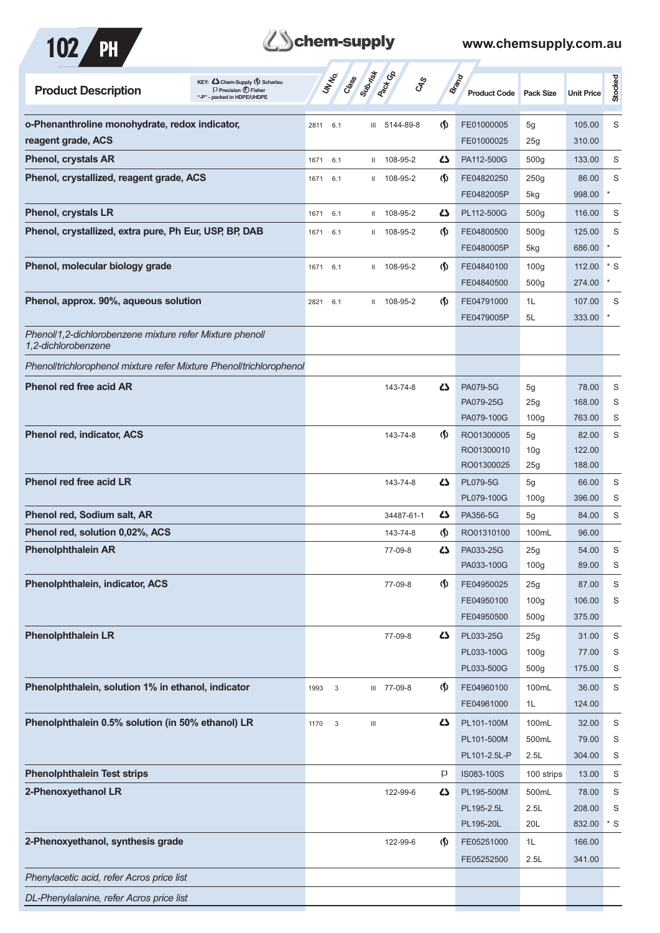

| <b>Product Description</b>                                                      | KEY: Cohem-Supply (5) Scharlau<br>$\Box$ Precision $\bigoplus$ Fisher<br>"-P" - packed in HDPE/UHDPE |      | UN NO. | Class                              | <b>Pactice</b><br><b>GRS</b> |                                    | <b>Brand</b><br><b>Product Code</b> | <b>Pack Size</b>       | <b>Unit Price</b> | Stocked |
|---------------------------------------------------------------------------------|------------------------------------------------------------------------------------------------------|------|--------|------------------------------------|------------------------------|------------------------------------|-------------------------------------|------------------------|-------------------|---------|
| o-Phenanthroline monohydrate, redox indicator,                                  |                                                                                                      | 2811 | 6.1    |                                    | III 5144-89-8                | $\langle \mathbf{\langle} \rangle$ | FE01000005                          | 5g                     | 105.00            | S       |
| reagent grade, ACS                                                              |                                                                                                      |      |        |                                    |                              |                                    | FE01000025                          | 25g                    | 310.00            |         |
| <b>Phenol, crystals AR</b>                                                      |                                                                                                      | 1671 | 6.1    |                                    | $11$ 108-95-2                | دے                                 | PA112-500G                          | 500q                   | 133.00            | S       |
| Phenol, crystallized, reagent grade, ACS                                        |                                                                                                      | 1671 | 6.1    |                                    | $11$ 108-95-2                | $\langle \mathbf{\langle} \rangle$ | FE04820250                          | 250g                   | 86.00             | S       |
|                                                                                 |                                                                                                      |      |        |                                    |                              |                                    | FE0482005P                          | 5kg                    | 998.00            | $\ast$  |
| <b>Phenol, crystals LR</b>                                                      |                                                                                                      | 1671 | 6.1    | $\mathbf{H}$                       | 108-95-2                     | دے                                 | PL112-500G                          | 500 <sub>g</sub>       | 116.00            | S       |
| Phenol, crystallized, extra pure, Ph Eur, USP, BP, DAB                          |                                                                                                      | 1671 | 6.1    |                                    | $11$ 108-95-2                | $\langle \mathbf{\langle} \rangle$ | FE04800500                          | 500 <sub>g</sub>       | 125.00            | S       |
|                                                                                 |                                                                                                      |      |        |                                    |                              |                                    | FE0480005P                          | 5kg                    | 686.00            |         |
| Phenol, molecular biology grade                                                 |                                                                                                      | 1671 | 6.1    |                                    | $11$ 108-95-2                | $\langle \mathbf{\langle} \rangle$ | FE04840100                          | 100 <sub>g</sub>       | 112.00            | $*$ S   |
|                                                                                 |                                                                                                      |      |        |                                    |                              |                                    | FE04840500                          | 500 <sub>g</sub>       | 274.00            | $\star$ |
| Phenol, approx. 90%, aqueous solution                                           |                                                                                                      | 2821 | 6.1    |                                    | II 108-95-2                  | $\Phi$                             | FE04791000                          | 1L                     | 107.00            | S       |
|                                                                                 |                                                                                                      |      |        |                                    |                              |                                    | FE0479005P                          | 5L                     | 333.00            | $\ast$  |
| Phenoll1,2-dichlorobenzene mixture refer Mixture phenoll<br>1.2-dichlorobenzene |                                                                                                      |      |        |                                    |                              |                                    |                                     |                        |                   |         |
| Phenolltrichlorophenol mixture refer Mixture Phenolltrichlorophenol             |                                                                                                      |      |        |                                    |                              |                                    |                                     |                        |                   |         |
| <b>Phenol red free acid AR</b>                                                  |                                                                                                      |      |        |                                    | 143-74-8                     | 45                                 | PA079-5G                            | 5g                     | 78.00             | S       |
|                                                                                 |                                                                                                      |      |        |                                    |                              |                                    | PA079-25G                           | 25g                    | 168.00            | S       |
|                                                                                 |                                                                                                      |      |        |                                    |                              |                                    | PA079-100G                          | 100 <sub>g</sub>       | 763.00            | S       |
| <b>Phenol red, indicator, ACS</b>                                               |                                                                                                      |      |        |                                    | 143-74-8                     | $\Phi$                             | RO01300005                          | 5g                     | 82.00             | S       |
|                                                                                 |                                                                                                      |      |        |                                    |                              |                                    | RO01300010<br>RO01300025            | 10 <sub>g</sub><br>25g | 122.00<br>188.00  |         |
| <b>Phenol red free acid LR</b>                                                  |                                                                                                      |      |        |                                    | 143-74-8                     | 45                                 | <b>PL079-5G</b>                     | 5g                     | 66.00             | S       |
|                                                                                 |                                                                                                      |      |        |                                    |                              |                                    | PL079-100G                          | 100 <sub>g</sub>       | 396.00            | S       |
| Phenol red, Sodium salt, AR                                                     |                                                                                                      |      |        |                                    | 34487-61-1                   | 42                                 | PA356-5G                            | 5g                     | 84.00             | S       |
| Phenol red, solution 0,02%, ACS                                                 |                                                                                                      |      |        |                                    | 143-74-8                     | $\langle \mathbf{\langle} \rangle$ | RO01310100                          | 100mL                  | 96.00             |         |
| <b>Phenolphthalein AR</b>                                                       |                                                                                                      |      |        |                                    | 77-09-8                      | ひ                                  | PA033-25G                           | 25g                    | 54.00             | S       |
|                                                                                 |                                                                                                      |      |        |                                    |                              |                                    | PA033-100G                          | 100 <sub>g</sub>       | 89.00             | S       |
| Phenolphthalein, indicator, ACS                                                 |                                                                                                      |      |        |                                    | 77-09-8                      | $\langle \mathbf{\S} \rangle$      | FE04950025                          | 25g                    | 87.00             | S       |
|                                                                                 |                                                                                                      |      |        |                                    |                              |                                    | FE04950100                          | 100g                   | 106.00            | S       |
|                                                                                 |                                                                                                      |      |        |                                    |                              |                                    | FE04950500                          | 500 <sub>g</sub>       | 375.00            |         |
| <b>Phenolphthalein LR</b>                                                       |                                                                                                      |      |        |                                    | 77-09-8                      | 4                                  | PL033-25G                           | 25g                    | 31.00             | S       |
|                                                                                 |                                                                                                      |      |        |                                    |                              |                                    | PL033-100G                          | 100 <sub>g</sub>       | 77.00             | S       |
|                                                                                 |                                                                                                      |      |        |                                    |                              |                                    | PL033-500G                          | 500g                   | 175.00            | S       |
| Phenolphthalein, solution 1% in ethanol, indicator                              |                                                                                                      | 1993 | 3      |                                    | III 77-09-8                  | $\Phi$                             | FE04960100                          | 100mL                  | 36.00             | S       |
|                                                                                 |                                                                                                      |      |        |                                    |                              |                                    | FE04961000                          | 1L                     | 124.00            |         |
| Phenolphthalein 0.5% solution (in 50% ethanol) LR                               |                                                                                                      | 1170 | 3      | $\ensuremath{\mathsf{III}}\xspace$ |                              | ひ                                  | PL101-100M                          | 100mL                  | 32.00             | S       |
|                                                                                 |                                                                                                      |      |        |                                    |                              |                                    | PL101-500M<br>PL101-2.5L-P          | 500mL<br>2.5L          | 79.00<br>304.00   | S<br>S  |
| <b>Phenolphthalein Test strips</b>                                              |                                                                                                      |      |        |                                    |                              | P                                  | IS083-100S                          | 100 strips             | 13.00             | S       |
| 2-Phenoxyethanol LR                                                             |                                                                                                      |      |        |                                    | 122-99-6                     | 5                                  | PL195-500M                          | 500mL                  | 78.00             | S       |
|                                                                                 |                                                                                                      |      |        |                                    |                              |                                    | PL195-2.5L                          | 2.5L                   | 208.00            | S       |
|                                                                                 |                                                                                                      |      |        |                                    |                              |                                    | PL195-20L                           | 20L                    | 832.00            | $*$ S   |
| 2-Phenoxyethanol, synthesis grade                                               |                                                                                                      |      |        |                                    | 122-99-6                     | $\langle \mathbf{\langle} \rangle$ | FE05251000                          | 1L                     | 166.00            |         |
|                                                                                 |                                                                                                      |      |        |                                    |                              |                                    | FE05252500                          | 2.5L                   | 341.00            |         |
| Phenylacetic acid, refer Acros price list                                       |                                                                                                      |      |        |                                    |                              |                                    |                                     |                        |                   |         |
| DL-Phenylalanine, refer Acros price list                                        |                                                                                                      |      |        |                                    |                              |                                    |                                     |                        |                   |         |
|                                                                                 |                                                                                                      |      |        |                                    |                              |                                    |                                     |                        |                   |         |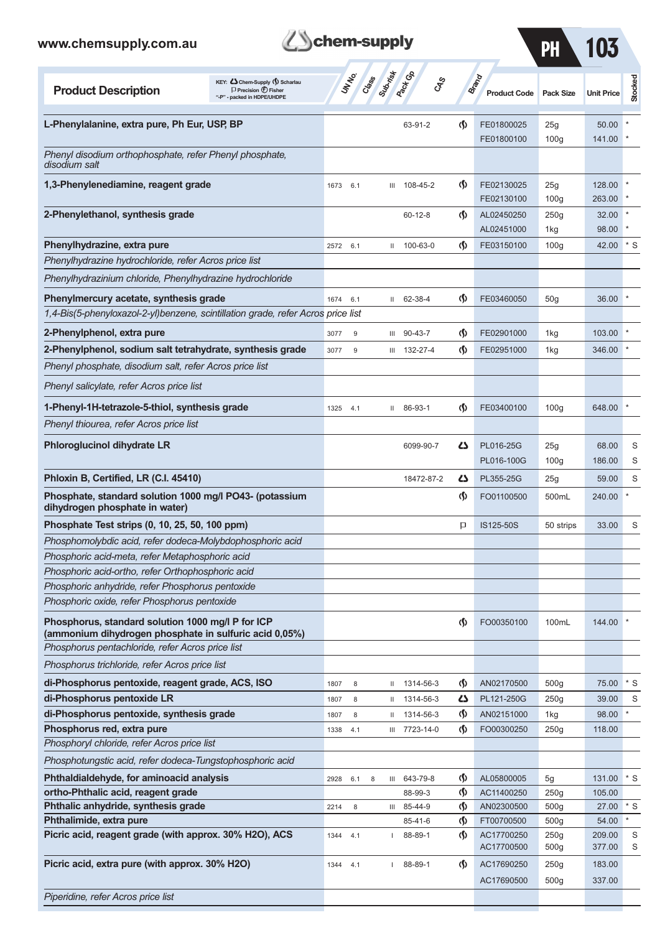

**Schem-supply**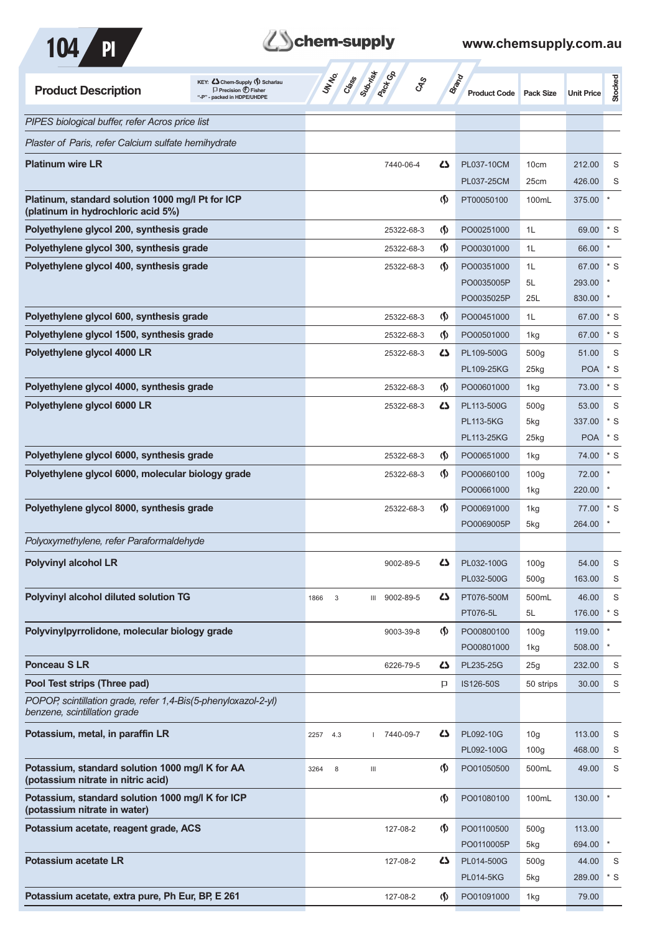



| <b>Product Description</b>                                                                     | KEY: C Chem-Supply (5) Scharlau<br>$\Box$ Precision $\bigoplus$ Fisher<br>"-P" - packed in HDPE/UHDPE | UNIVO<br>Class | Subsition of<br><b>GRS</b>         |                               | <b>Brand</b><br><b>Product Code</b> | Pack Size        | <b>Unit Price</b> | Stocked   |
|------------------------------------------------------------------------------------------------|-------------------------------------------------------------------------------------------------------|----------------|------------------------------------|-------------------------------|-------------------------------------|------------------|-------------------|-----------|
| PIPES biological buffer, refer Acros price list                                                |                                                                                                       |                |                                    |                               |                                     |                  |                   |           |
| Plaster of Paris, refer Calcium sulfate hemihydrate                                            |                                                                                                       |                |                                    |                               |                                     |                  |                   |           |
| <b>Platinum wire LR</b>                                                                        |                                                                                                       |                | 7440-06-4                          | 45                            | PL037-10CM                          | 10cm             | 212.00            | S         |
|                                                                                                |                                                                                                       |                |                                    |                               | PL037-25CM                          | 25cm             | 426.00            | S         |
| Platinum, standard solution 1000 mg/l Pt for ICP<br>(platinum in hydrochloric acid 5%)         |                                                                                                       |                |                                    | $\langle \mathbf{\S} \rangle$ | PT00050100                          | 100mL            | 375.00            |           |
| Polyethylene glycol 200, synthesis grade                                                       |                                                                                                       |                | 25322-68-3                         | $\langle \mathbf{\S} \rangle$ | PO00251000                          | 1L               | 69.00             | $*$ S     |
| Polyethylene glycol 300, synthesis grade                                                       |                                                                                                       |                | 25322-68-3                         | $\langle \mathbf{\S} \rangle$ | PO00301000                          | 1L               | 66.00             |           |
| Polyethylene glycol 400, synthesis grade                                                       |                                                                                                       |                | 25322-68-3                         | $\langle \mathsf{S} \rangle$  | PO00351000                          | 1L               | 67.00             | $*$ S     |
|                                                                                                |                                                                                                       |                |                                    |                               | PO0035005P                          | 5L               | 293.00            |           |
|                                                                                                |                                                                                                       |                |                                    |                               | PO0035025P                          | 25L              | 830.00            |           |
| Polyethylene glycol 600, synthesis grade                                                       |                                                                                                       |                | 25322-68-3                         | $\langle \mathbf{\S} \rangle$ | PO00451000                          | 1L               | 67.00             | $*$ S     |
| Polyethylene glycol 1500, synthesis grade                                                      |                                                                                                       |                | 25322-68-3                         | $\langle \mathbf{\S} \rangle$ | PO00501000                          | 1kg              | 67.00             | $*$ S     |
| Polyethylene glycol 4000 LR                                                                    |                                                                                                       |                | 25322-68-3                         | 45                            | PL109-500G                          | 500 <sub>g</sub> | 51.00             | S         |
|                                                                                                |                                                                                                       |                |                                    |                               | PL109-25KG                          | 25kg             | <b>POA</b>        | $*$ S     |
| Polyethylene glycol 4000, synthesis grade                                                      |                                                                                                       |                | 25322-68-3                         | $\langle \mathbf{\S} \rangle$ | PO00601000                          | 1kg              | 73.00             | $^\ast$ S |
| Polyethylene glycol 6000 LR                                                                    |                                                                                                       |                | 25322-68-3                         | 42                            | PL113-500G                          | 500 <sub>g</sub> | 53.00             | S         |
|                                                                                                |                                                                                                       |                |                                    |                               | <b>PL113-5KG</b>                    | 5kg              | 337.00            | $*$ S     |
|                                                                                                |                                                                                                       |                |                                    |                               | <b>PL113-25KG</b>                   | 25kg             | <b>POA</b>        | $*$ S     |
| Polyethylene glycol 6000, synthesis grade                                                      |                                                                                                       |                | 25322-68-3                         | $\Phi$                        | PO00651000                          | 1kg              | 74.00             | $*$ S     |
| Polyethylene glycol 6000, molecular biology grade                                              |                                                                                                       |                | 25322-68-3                         | $\langle \mathbf{\S} \rangle$ | PO00660100                          | 100 <sub>g</sub> | 72.00             |           |
|                                                                                                |                                                                                                       |                |                                    |                               | PO00661000                          | 1kg              | 220.00            |           |
| Polyethylene glycol 8000, synthesis grade                                                      |                                                                                                       |                | 25322-68-3                         | $\langle \mathbf{\S} \rangle$ | PO00691000                          | 1kg              | 77.00             | $*$ S     |
|                                                                                                |                                                                                                       |                |                                    |                               | PO0069005P                          | 5kg              | 264.00            |           |
| Polyoxymethylene, refer Paraformaldehyde                                                       |                                                                                                       |                |                                    |                               |                                     |                  |                   |           |
| <b>Polyvinyl alcohol LR</b>                                                                    |                                                                                                       |                | 9002-89-5                          | 47                            | PL032-100G                          | 100 <sub>g</sub> | 54.00             | S         |
|                                                                                                |                                                                                                       |                |                                    |                               | PL032-500G                          | 500g             | 163.00            | S         |
| Polyvinyl alcohol diluted solution TG                                                          |                                                                                                       | 3<br>1866      | 9002-89-5<br>III                   | ひ                             | PT076-500M                          | 500mL            | 46.00             | S         |
|                                                                                                |                                                                                                       |                |                                    |                               | PT076-5L                            | 5L               | 176.00            | * S       |
| Polyvinylpyrrolidone, molecular biology grade                                                  |                                                                                                       |                | 9003-39-8                          | $\langle \mathsf{S} \rangle$  | PO00800100                          | 100 <sub>g</sub> | 119.00            |           |
|                                                                                                |                                                                                                       |                |                                    |                               | PO00801000                          | 1kg              | 508.00            |           |
| <b>Ponceau SLR</b>                                                                             |                                                                                                       |                | 6226-79-5                          | 47                            | PL235-25G                           | 25g              | 232.00            | S         |
| Pool Test strips (Three pad)                                                                   |                                                                                                       |                |                                    | P                             | IS126-50S                           | 50 strips        | 30.00             | S         |
| POPOP, scintillation grade, refer 1,4-Bis(5-phenyloxazol-2-yl)<br>benzene, scintillation grade |                                                                                                       |                |                                    |                               |                                     |                  |                   |           |
| Potassium, metal, in paraffin LR                                                               |                                                                                                       | 2257<br>4.3    | 7440-09-7                          | ひ                             | PL092-10G                           | 10 <sub>g</sub>  | 113.00            | S         |
|                                                                                                |                                                                                                       |                |                                    |                               | PL092-100G                          | 100 <sub>g</sub> | 468.00            | S         |
| Potassium, standard solution 1000 mg/l K for AA<br>(potassium nitrate in nitric acid)          |                                                                                                       | 3264<br>8      | $\ensuremath{\mathsf{III}}\xspace$ | (∫)                           | PO01050500                          | 500mL            | 49.00             | S         |
| Potassium, standard solution 1000 mg/l K for ICP<br>(potassium nitrate in water)               |                                                                                                       |                |                                    | $\langle \mathbf{\hat{y}}$    | PO01080100                          | 100mL            | 130.00            |           |
| Potassium acetate, reagent grade, ACS                                                          |                                                                                                       |                | 127-08-2                           | $\langle \mathbf{\S} \rangle$ | PO01100500                          | 500 <sub>g</sub> | 113.00            |           |
|                                                                                                |                                                                                                       |                |                                    |                               | PO0110005P                          | 5kg              | 694.00            |           |
| Potassium acetate LR                                                                           |                                                                                                       |                | 127-08-2                           | 5                             | PL014-500G                          | 500 <sub>g</sub> | 44.00             | S         |
|                                                                                                |                                                                                                       |                |                                    |                               | <b>PL014-5KG</b>                    | 5kg              | 289.00            | $*$ S     |
| Potassium acetate, extra pure, Ph Eur, BP, E 261                                               |                                                                                                       |                | 127-08-2                           | $\langle \mathsf{S} \rangle$  | PO01091000                          | 1kg              | 79.00             |           |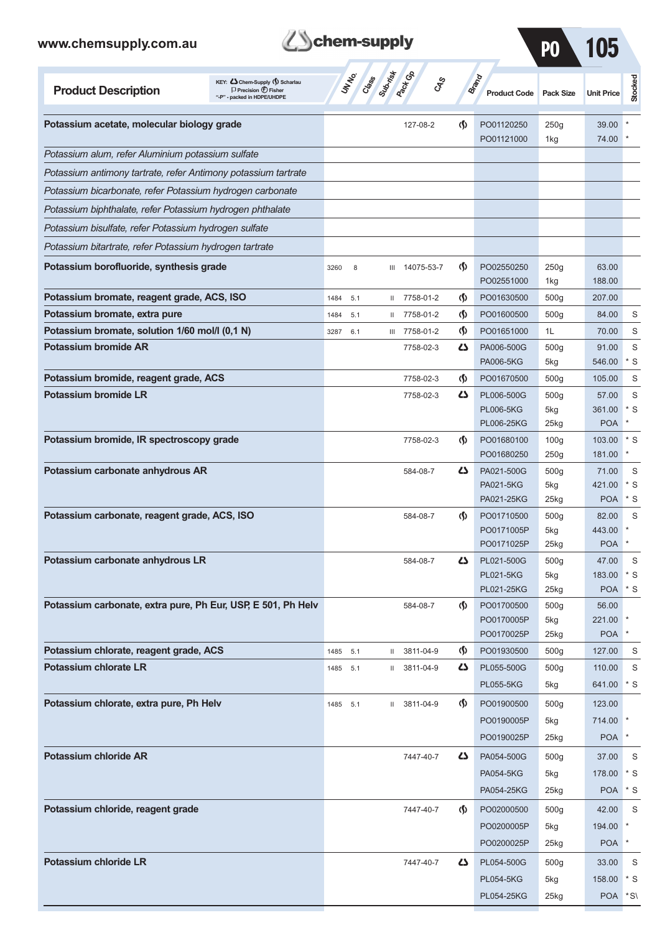



| www.chemsupply.com.au                                          |                                                                                                    | <b>Schem-supply</b> |                          |         |                       |                                    |                                                     | PO                              | 105                              |                          |
|----------------------------------------------------------------|----------------------------------------------------------------------------------------------------|---------------------|--------------------------|---------|-----------------------|------------------------------------|-----------------------------------------------------|---------------------------------|----------------------------------|--------------------------|
| <b>Product Description</b>                                     | KEY: Chem-Supply () Scharlau<br>$\Box$ Precision $\bigoplus$ Fisher<br>"-P" - packed in HDPE/UHDPE |                     | <b>UNTER</b><br>Creation | Submist | <b>Pack</b> GB<br>GRS |                                    | <b>Brand</b><br><b>Product Code</b>                 | <b>Pack Size</b>                | <b>Unit Price</b>                | Stocked                  |
| Potassium acetate, molecular biology grade                     |                                                                                                    |                     |                          |         | 127-08-2              | $\langle \mathbf{\S} \rangle$      | PO01120250<br>PO01121000                            | 250g<br>1kg                     | 39.00<br>74.00                   |                          |
| Potassium alum, refer Aluminium potassium sulfate              |                                                                                                    |                     |                          |         |                       |                                    |                                                     |                                 |                                  |                          |
| Potassium antimony tartrate, refer Antimony potassium tartrate |                                                                                                    |                     |                          |         |                       |                                    |                                                     |                                 |                                  |                          |
| Potassium bicarbonate, refer Potassium hydrogen carbonate      |                                                                                                    |                     |                          |         |                       |                                    |                                                     |                                 |                                  |                          |
| Potassium biphthalate, refer Potassium hydrogen phthalate      |                                                                                                    |                     |                          |         |                       |                                    |                                                     |                                 |                                  |                          |
| Potassium bisulfate, refer Potassium hydrogen sulfate          |                                                                                                    |                     |                          |         |                       |                                    |                                                     |                                 |                                  |                          |
| Potassium bitartrate, refer Potassium hydrogen tartrate        |                                                                                                    |                     |                          |         |                       |                                    |                                                     |                                 |                                  |                          |
| Potassium borofluoride, synthesis grade                        |                                                                                                    | 3260                | 8                        | Ш       | 14075-53-7            | $\langle \mathbf{\S} \rangle$      | PO02550250<br>PO02551000                            | 250g<br>1kg                     | 63.00<br>188.00                  |                          |
| Potassium bromate, reagent grade, ACS, ISO                     |                                                                                                    | 1484                | 5.1                      | Ш       | 7758-01-2             | (∮)                                | PO01630500                                          | 500g                            | 207.00                           |                          |
| Potassium bromate, extra pure                                  |                                                                                                    | 1484                | 5.1                      | Ш       | 7758-01-2             | (∮)                                | PO01600500                                          | 500 <sub>g</sub>                | 84.00                            | S                        |
| Potassium bromate, solution 1/60 mol/l (0,1 N)                 |                                                                                                    | 3287                | 6.1                      | Ш       | 7758-01-2             | (∮)                                | PO01651000                                          | 1L                              | 70.00                            | S                        |
| <b>Potassium bromide AR</b>                                    |                                                                                                    |                     |                          |         | 7758-02-3             | ひ                                  | PA006-500G<br><b>PA006-5KG</b>                      | 500 <sub>g</sub><br>5kg         | 91.00<br>546.00                  | S<br>* S                 |
| Potassium bromide, reagent grade, ACS                          |                                                                                                    |                     |                          |         | 7758-02-3             | (∮)                                | PO01670500                                          | 500g                            | 105.00                           | S                        |
| <b>Potassium bromide LR</b>                                    |                                                                                                    |                     |                          |         | 7758-02-3             | Ω                                  | PL006-500G<br><b>PL006-5KG</b><br><b>PL006-25KG</b> | 500 <sub>g</sub><br>5kg<br>25kg | 57.00<br>361.00<br><b>POA</b>    | S<br>* S                 |
| Potassium bromide, IR spectroscopy grade                       |                                                                                                    |                     |                          |         | 7758-02-3             | $\langle \mathbf{\S} \rangle$      | PO01680100<br>PO01680250                            | 100 <sub>g</sub><br>250g        | 103.00<br>181.00                 | $*$ S                    |
| Potassium carbonate anhydrous AR                               |                                                                                                    |                     |                          |         | 584-08-7              | Ω                                  | PA021-500G<br><b>PA021-5KG</b><br>PA021-25KG        | 500g<br>5kg<br>25kg             | 71.00<br>421.00<br><b>POA</b>    | S<br>* S<br>* S          |
| Potassium carbonate, reagent grade, ACS, ISO                   |                                                                                                    |                     |                          |         | 584-08-7              | $\langle \mathbf{\S} \rangle$      | PO01710500<br>PO0171005P<br>PO0171025P              | 500 <sub>g</sub><br>5kg<br>25kg | 82.00<br>443.00<br><b>POA</b>    | S                        |
| Potassium carbonate anhydrous LR                               |                                                                                                    |                     |                          |         | 584-08-7              | 4                                  | PL021-500G<br><b>PL021-5KG</b><br>PL021-25KG        | 500g<br>5kg<br>25kg             | 47.00<br>183.00<br><b>POA</b>    | S<br>$^\star$ S<br>$*$ S |
| Potassium carbonate, extra pure, Ph Eur, USP, E 501, Ph Helv   |                                                                                                    |                     |                          |         | 584-08-7              | $\langle \mathbf{\langle} \rangle$ | PO01700500<br>PO0170005P<br>PO0170025P              | 500g<br>5kg<br>25kg             | 56.00<br>221.00<br><b>POA</b>    |                          |
| Potassium chlorate, reagent grade, ACS                         |                                                                                                    | 1485 5.1            |                          |         | II 3811-04-9          | (∮)                                | PO01930500                                          | 500 <sub>g</sub>                | 127.00                           | S                        |
| <b>Potassium chlorate LR</b>                                   |                                                                                                    | 1485 5.1            |                          | Ш       | 3811-04-9             | 42                                 | PL055-500G<br><b>PL055-5KG</b>                      | 500g<br>5kg                     | 110.00<br>641.00                 | S<br>* S                 |
| Potassium chlorate, extra pure, Ph Helv                        |                                                                                                    | 1485 5.1            |                          |         | II 3811-04-9          | $\langle \mathsf{S} \rangle$       | PO01900500<br>PO0190005P<br>PO0190025P              | 500g<br>5kg<br>25kg             | 123.00<br>714.00 *<br><b>POA</b> | $\ast$                   |
| <b>Potassium chloride AR</b>                                   |                                                                                                    |                     |                          |         | 7447-40-7             | 4                                  | PA054-500G<br><b>PA054-5KG</b>                      | 500 <sub>g</sub><br>5kg         | 37.00<br>178.00                  | S<br>$*$ S               |
|                                                                |                                                                                                    |                     |                          |         |                       |                                    | PA054-25KG                                          | 25kg                            | <b>POA</b>                       | $^\star$ S               |
| Potassium chloride, reagent grade                              |                                                                                                    |                     |                          |         | 7447-40-7             | (§)                                | PO02000500                                          | 500g                            | 42.00                            | S                        |
|                                                                |                                                                                                    |                     |                          |         |                       |                                    | PO0200005P<br>PO0200025P                            | 5kg<br>25kg                     | 194.00<br><b>POA</b>             | $\ast$<br>$\ast$         |
| <b>Potassium chloride LR</b>                                   |                                                                                                    |                     |                          |         | 7447-40-7             | 45                                 | PL054-500G                                          | 500g                            | 33.00                            | S                        |
|                                                                |                                                                                                    |                     |                          |         |                       |                                    | <b>PL054-5KG</b>                                    | 5kg                             | 158.00                           | * S                      |
|                                                                |                                                                                                    |                     |                          |         |                       |                                    | PL054-25KG                                          | 25kg                            | POA *S\                          |                          |
|                                                                |                                                                                                    |                     |                          |         |                       |                                    |                                                     |                                 |                                  |                          |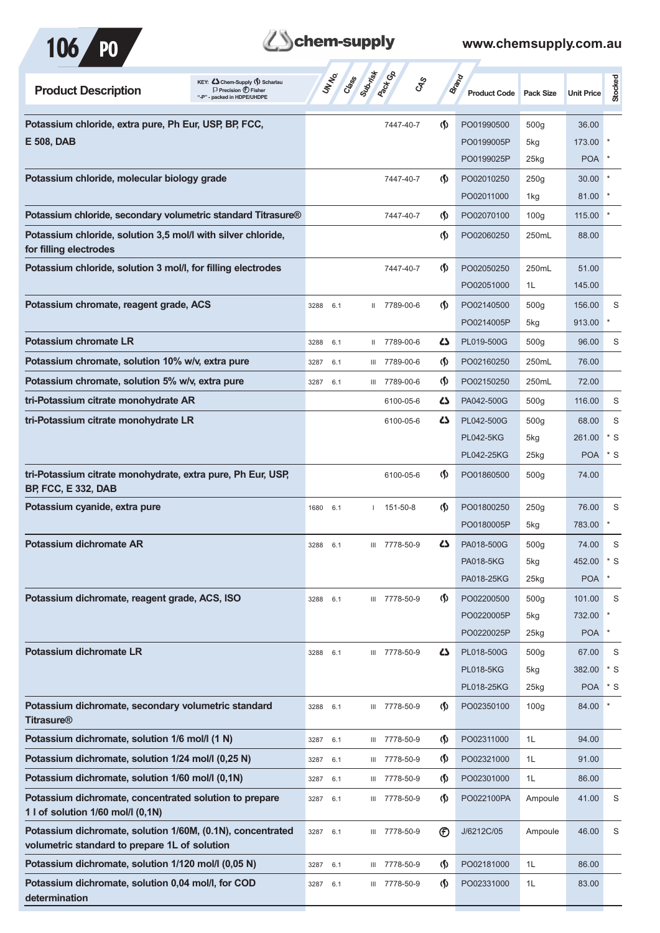

# **B**chem-supply

| KEY: C Chem-Supply (5) Scharlau<br><b>Product Description</b><br>$\Box$ Precision $\bigoplus$ Fisher<br>- packed in HDPE/UHDPE | UN NO.<br>Class | Submist<br><b>Pack</b> Ga | <b>GRS</b>                         | <b>Brand</b><br><b>Product Code</b> | <b>Pack Size</b> | <b>Unit Price</b> | Stocked      |
|--------------------------------------------------------------------------------------------------------------------------------|-----------------|---------------------------|------------------------------------|-------------------------------------|------------------|-------------------|--------------|
| Potassium chloride, extra pure, Ph Eur, USP, BP, FCC,                                                                          |                 | 7447-40-7                 | <sub>(</sub> f)                    | PO01990500                          | 500 <sub>g</sub> | 36.00             |              |
| E 508, DAB                                                                                                                     |                 |                           |                                    | PO0199005P                          | 5kg              | 173.00            |              |
|                                                                                                                                |                 |                           |                                    | PO0199025P                          | $25$ kg          | POA               |              |
| Potassium chloride, molecular biology grade                                                                                    |                 | 7447-40-7                 | (∫)                                | PO02010250                          | 250g             | 30.00             |              |
|                                                                                                                                |                 |                           |                                    | PO02011000                          | 1kg              | 81.00             |              |
| Potassium chloride, secondary volumetric standard Titrasure®                                                                   |                 | 7447-40-7                 | (∫)                                | PO02070100                          | 100 <sub>g</sub> | 115.00            |              |
| Potassium chloride, solution 3,5 mol/l with silver chloride,<br>for filling electrodes                                         |                 |                           | $\langle \mathbf{\S} \rangle$      | PO02060250                          | 250mL            | 88.00             |              |
| Potassium chloride, solution 3 mol/l, for filling electrodes                                                                   |                 | 7447-40-7                 | $\langle \mathbf{\langle} \rangle$ | PO02050250                          | 250mL            | 51.00             |              |
|                                                                                                                                |                 |                           |                                    | PO02051000                          | 1L               | 145.00            |              |
| Potassium chromate, reagent grade, ACS                                                                                         | 3288<br>6.1     | II 7789-00-6              | $\langle \mathbf{\langle} \rangle$ | PO02140500                          | 500g             | 156.00            | S            |
|                                                                                                                                |                 |                           |                                    | PO0214005P                          | 5kg              | 913.00            | $\ast$       |
| <b>Potassium chromate LR</b>                                                                                                   | 3288<br>6.1     | 7789-00-6<br>Ш.           | 47                                 | PL019-500G                          | 500 <sub>g</sub> | 96.00             | S            |
| Potassium chromate, solution 10% w/v, extra pure                                                                               | 3287<br>6.1     | III 7789-00-6             | (∫)                                | PO02160250                          | 250mL            | 76.00             |              |
| Potassium chromate, solution 5% w/v, extra pure                                                                                | 6.1<br>3287     | III 7789-00-6             | $\langle \mathbf{\S} \rangle$      | PO02150250                          | 250mL            | 72.00             |              |
| tri-Potassium citrate monohydrate AR                                                                                           |                 | 6100-05-6                 | ひ                                  | PA042-500G                          | 500 <sub>g</sub> | 116.00            | S            |
| tri-Potassium citrate monohydrate LR                                                                                           |                 | 6100-05-6                 | ひ                                  | PL042-500G                          | 500 <sub>g</sub> | 68.00             | S            |
|                                                                                                                                |                 |                           |                                    | <b>PL042-5KG</b>                    | 5kg              | 261.00            | * S          |
|                                                                                                                                |                 |                           |                                    | PL042-25KG                          | $25$ kg          | <b>POA</b>        | * S          |
| tri-Potassium citrate monohydrate, extra pure, Ph Eur, USP,<br><b>BP, FCC, E 332, DAB</b>                                      |                 | 6100-05-6                 | (∫)                                | PO01860500                          | 500 <sub>g</sub> | 74.00             |              |
| Potassium cyanide, extra pure                                                                                                  | 6.1<br>1680     | 151-50-8                  | (∫)                                | PO01800250                          | 250g             | 76.00             | S            |
|                                                                                                                                |                 |                           |                                    | PO0180005P                          | 5kg              | 783.00            |              |
| Potassium dichromate AR                                                                                                        | 3288<br>6.1     | III 7778-50-9             | 27                                 | PA018-500G                          | 500 <sub>g</sub> | 74.00             | S            |
|                                                                                                                                |                 |                           |                                    | PA018-5KG                           | 5kg              | 452.00            | $* S$        |
|                                                                                                                                |                 |                           |                                    | PA018-25KG                          | $25$ kg          | <b>POA</b>        | $\pmb{\ast}$ |
| Potassium dichromate, reagent grade, ACS, ISO                                                                                  | 3288<br>6.1     | III 7778-50-9             | (∫)                                | PO02200500                          | 500 <sub>g</sub> | 101.00            | S            |
|                                                                                                                                |                 |                           |                                    | PO0220005P                          | 5kg              | 732.00            |              |
|                                                                                                                                |                 |                           |                                    | PO0220025P                          | $25$ kg          | <b>POA</b>        | $\pmb{\ast}$ |
| Potassium dichromate LR                                                                                                        | 6.1<br>3288     | III 7778-50-9             | 5                                  | PL018-500G                          | 500 <sub>g</sub> | 67.00             | S            |
|                                                                                                                                |                 |                           |                                    | <b>PL018-5KG</b>                    | 5kg              | 382.00            | $*$ S        |
|                                                                                                                                |                 |                           |                                    | PL018-25KG                          | 25kg             | <b>POA</b>        | $*$ S        |
| Potassium dichromate, secondary volumetric standard<br><b>Titrasure®</b>                                                       | 3288<br>6.1     | III 7778-50-9             | $\langle \mathbf{\S} \rangle$      | PO02350100                          | 100 <sub>g</sub> | 84.00             |              |
| Potassium dichromate, solution 1/6 mol/l (1 N)                                                                                 | 3287<br>6.1     | III 7778-50-9             | $\langle \mathbf{\hat{y}}$         | PO02311000                          | 1L               | 94.00             |              |
| Potassium dichromate, solution 1/24 mol/l (0,25 N)                                                                             | 3287<br>6.1     | III 7778-50-9             | $\langle \mathbf{\S} \rangle$      | PO02321000                          | 1L               | 91.00             |              |
| Potassium dichromate, solution 1/60 mol/l (0,1N)                                                                               | 3287<br>6.1     | III 7778-50-9             | $\langle \mathbf{\S} \rangle$      | PO02301000                          | 1L               | 86.00             |              |
| Potassium dichromate, concentrated solution to prepare<br>1 l of solution 1/60 mol/l (0,1N)                                    | 3287<br>6.1     | III 7778-50-9             | $\langle \mathbf{\S} \rangle$      | PO022100PA                          | Ampoule          | 41.00             | S            |
| Potassium dichromate, solution 1/60M, (0.1N), concentrated<br>volumetric standard to prepare 1L of solution                    | 6.1<br>3287     | III 7778-50-9             | $^{\circledR}$                     | J/6212C/05                          | Ampoule          | 46.00             | S            |
| Potassium dichromate, solution 1/120 mol/l (0,05 N)                                                                            | 3287<br>6.1     | III 7778-50-9             | $\langle \mathbf{\S} \rangle$      | PO02181000                          | 1L               | 86.00             |              |
| Potassium dichromate, solution 0,04 mol/l, for COD<br>determination                                                            | 3287<br>6.1     | III 7778-50-9             | (∫)                                | PO02331000                          | 1L               | 83.00             |              |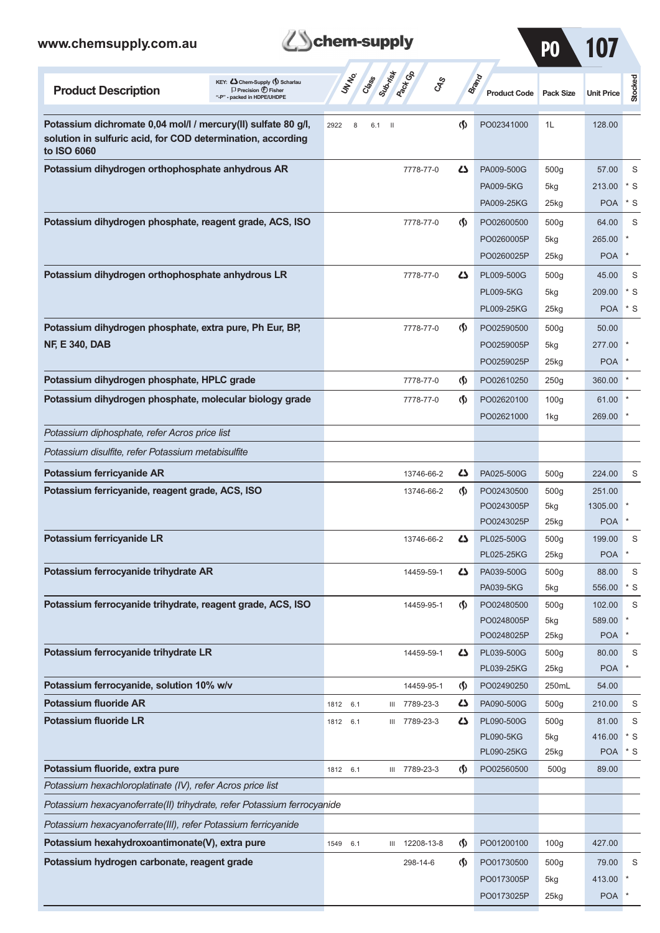|  | <b>B</b> chem-supply |
|--|----------------------|
|--|----------------------|

 $\sim$ 

| www.chemsupply.com.au                                                                                                                       | chem-supply                                                                                                                                                                                         |                                    |                                                     | PO                                 |                                 |                     |
|---------------------------------------------------------------------------------------------------------------------------------------------|-----------------------------------------------------------------------------------------------------------------------------------------------------------------------------------------------------|------------------------------------|-----------------------------------------------------|------------------------------------|---------------------------------|---------------------|
| KEY: Cohem-Supply (5) Scharlau<br><b>Product Description</b><br>$\Box$ Precision $\bigcirc$ Fisher<br>"-P" - packed in HDPE/UHDPE           | <b>Pack G</b> B<br>Suprist<br>UNINO<br>Creeks<br>$c_{\hspace{-1pt}\scriptscriptstyle\chi\hspace{-1pt}\scriptscriptstyle\chi\hspace{-1pt}\scriptscriptstyle\chi\hspace{-1pt}\scriptscriptstyle\chi}$ |                                    | <b>Brand</b><br><b>Product Code</b>                 | <b>Pack Size</b>                   | <b>Unit Price</b>               | Stocked             |
| Potassium dichromate 0,04 mol/l / mercury(II) sulfate 80 g/l,<br>solution in sulfuric acid, for COD determination, according<br>to ISO 6060 | 2922<br>8<br>$\mathbf{H}$<br>6.1                                                                                                                                                                    | $\langle \langle \rangle$          | PO02341000                                          | 1L                                 | 128.00                          |                     |
| Potassium dihydrogen orthophosphate anhydrous AR                                                                                            | 7778-77-0                                                                                                                                                                                           | ひ                                  | PA009-500G<br><b>PA009-5KG</b><br>PA009-25KG        | 500 <sub>g</sub><br>5kg<br>25kg    | 57.00<br>213.00<br><b>POA</b>   | S<br>$*$ S<br>$*$ S |
| Potassium dihydrogen phosphate, reagent grade, ACS, ISO                                                                                     | 7778-77-0                                                                                                                                                                                           | $\langle \mathbf{\langle} \rangle$ | PO02600500<br>PO0260005P<br>PO0260025P              | 500 <sub>g</sub><br>5kg<br>$25$ kg | 64.00<br>265.00<br><b>POA</b>   | S<br>$\ast$         |
| Potassium dihydrogen orthophosphate anhydrous LR                                                                                            | 7778-77-0                                                                                                                                                                                           | ひ                                  | PL009-500G<br><b>PL009-5KG</b><br><b>PL009-25KG</b> | 500q<br>5kg<br>$25$ <sub>kg</sub>  | 45.00<br>209.00<br><b>POA</b>   | S<br>$*$ S<br>$*$ S |
| Potassium dihydrogen phosphate, extra pure, Ph Eur, BP,<br><b>NF, E 340, DAB</b>                                                            | 7778-77-0                                                                                                                                                                                           | $\langle \mathbf{\langle} \rangle$ | PO02590500<br>PO0259005P<br>PO0259025P              | 500 <sub>g</sub><br>5kg<br>$25$ kg | 50.00<br>277.00<br><b>POA</b>   |                     |
| Potassium dihydrogen phosphate, HPLC grade                                                                                                  | 7778-77-0                                                                                                                                                                                           | $\langle \mathbf{\langle} \rangle$ | PO02610250                                          | 250g                               | 360.00                          |                     |
| Potassium dihydrogen phosphate, molecular biology grade                                                                                     | 7778-77-0                                                                                                                                                                                           | $\langle \mathbf{\langle} \rangle$ | PO02620100<br>PO02621000                            | 100 <sub>g</sub><br>1kg            | 61.00<br>269.00                 |                     |
| Potassium diphosphate, refer Acros price list                                                                                               |                                                                                                                                                                                                     |                                    |                                                     |                                    |                                 |                     |
| Potassium disulfite, refer Potassium metabisulfite                                                                                          |                                                                                                                                                                                                     |                                    |                                                     |                                    |                                 |                     |
| Potassium ferricyanide AR                                                                                                                   | 13746-66-2                                                                                                                                                                                          | دے                                 | PA025-500G                                          | 500 <sub>g</sub>                   | 224.00                          | S                   |
| Potassium ferricyanide, reagent grade, ACS, ISO                                                                                             | 13746-66-2                                                                                                                                                                                          | $\langle \mathbf{\langle} \rangle$ | PO02430500<br>PO0243005P<br>PO0243025P              | 500 <sub>g</sub><br>5kg<br>$25$ kg | 251.00<br>1305.00<br><b>POA</b> |                     |
| Potassium ferricyanide LR                                                                                                                   | 13746-66-2                                                                                                                                                                                          | دے                                 | PL025-500G<br>PL025-25KG                            | 500 <sub>g</sub><br>25kg           | 199.00<br><b>POA</b>            | S                   |
| Potassium ferrocyanide trihydrate AR                                                                                                        | 14459-59-1                                                                                                                                                                                          | دے                                 | PA039-500G<br>PA039-5KG                             | 500 <sub>g</sub><br>5kg            | 88.00<br>556.00                 | S<br>* S            |
| Potassium ferrocyanide trihydrate, reagent grade, ACS, ISO                                                                                  | 14459-95-1                                                                                                                                                                                          | $\langle \mathbf{\S} \rangle$      | PO02480500<br>PO0248005P<br>PO0248025P              | 500 <sub>g</sub><br>5kg<br>25kg    | 102.00<br>589.00<br><b>POA</b>  | S                   |
| Potassium ferrocyanide trihydrate LR                                                                                                        | 14459-59-1                                                                                                                                                                                          | دے                                 | PL039-500G<br>PL039-25KG                            | 500 <sub>g</sub><br>25kg           | 80.00<br><b>POA</b>             | S                   |
| Potassium ferrocyanide, solution 10% w/v                                                                                                    | 14459-95-1                                                                                                                                                                                          | ⊛                                  | PO02490250                                          | 250mL                              | 54.00                           |                     |
| <b>Potassium fluoride AR</b>                                                                                                                | 7789-23-3<br>1812<br>6.1<br>Ш                                                                                                                                                                       | 47                                 | PA090-500G                                          | 500 <sub>g</sub>                   | 210.00                          | S                   |
| <b>Potassium fluoride LR</b>                                                                                                                | 7789-23-3<br>1812 6.1<br>Ш                                                                                                                                                                          | 42                                 | PL090-500G<br><b>PL090-5KG</b><br>PL090-25KG        | 500 <sub>g</sub><br>5kg<br>25kg    | 81.00<br>416.00<br><b>POA</b>   | S<br>$*$ S<br>$*$ S |
| Potassium fluoride, extra pure                                                                                                              | III 7789-23-3<br>1812 6.1                                                                                                                                                                           | $\langle \mathbf{\S} \rangle$      | PO02560500                                          | 500g                               | 89.00                           |                     |
| Potassium hexachloroplatinate (IV), refer Acros price list                                                                                  |                                                                                                                                                                                                     |                                    |                                                     |                                    |                                 |                     |
| Potassium hexacyanoferrate(II) trihydrate, refer Potassium ferrocyanide                                                                     |                                                                                                                                                                                                     |                                    |                                                     |                                    |                                 |                     |
| Potassium hexacyanoferrate(III), refer Potassium ferricyanide                                                                               |                                                                                                                                                                                                     |                                    |                                                     |                                    |                                 |                     |
| Potassium hexahydroxoantimonate(V), extra pure                                                                                              | 12208-13-8<br>1549<br>6.1<br>Ш                                                                                                                                                                      | $\langle \mathbf{\S} \rangle$      | PO01200100                                          | 100 <sub>g</sub>                   | 427.00                          |                     |
| Potassium hydrogen carbonate, reagent grade                                                                                                 | 298-14-6                                                                                                                                                                                            | $\Phi$                             | PO01730500                                          | 500 <sub>g</sub>                   | 79.00                           | S                   |
|                                                                                                                                             |                                                                                                                                                                                                     |                                    | PO0173005P                                          | 5kg                                | 413.00                          |                     |
|                                                                                                                                             |                                                                                                                                                                                                     |                                    | PO0173025P                                          | 25kg                               | POA <sup>*</sup>                |                     |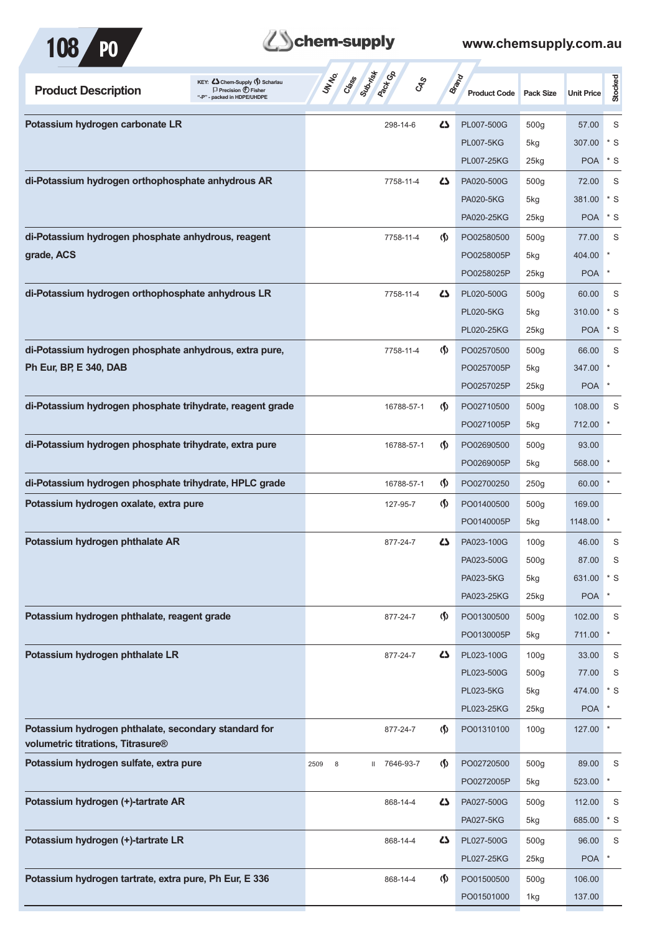

| <b>Product Description</b>                                                                | KEY: Chem-Supply () Scharlau<br>$\Box$ Precision $\bigoplus$ Fisher<br>"-P" - packed in HDPE/UHDPE | Class<br><b>Pack G</b> B<br>UNIVO<br><b>GRS</b> |                                    | <b>Brand</b><br><b>Product Code</b> | Pack Size        | <b>Unit Price</b> | Stocked     |
|-------------------------------------------------------------------------------------------|----------------------------------------------------------------------------------------------------|-------------------------------------------------|------------------------------------|-------------------------------------|------------------|-------------------|-------------|
| Potassium hydrogen carbonate LR                                                           |                                                                                                    | 298-14-6                                        | 4                                  | PL007-500G                          | 500g             | 57.00             | S           |
|                                                                                           |                                                                                                    |                                                 |                                    | <b>PL007-5KG</b>                    | 5kg              | 307.00            | * S         |
|                                                                                           |                                                                                                    |                                                 |                                    | PL007-25KG                          | 25kg             | <b>POA</b>        | $*$ S       |
| di-Potassium hydrogen orthophosphate anhydrous AR                                         |                                                                                                    | 7758-11-4                                       | 4                                  | PA020-500G                          | 500g             | 72.00             | S           |
|                                                                                           |                                                                                                    |                                                 |                                    | <b>PA020-5KG</b>                    | 5kg              | 381.00            | $*$ S       |
|                                                                                           |                                                                                                    |                                                 |                                    | PA020-25KG                          | 25kg             | <b>POA</b>        | * S         |
| di-Potassium hydrogen phosphate anhydrous, reagent                                        |                                                                                                    | 7758-11-4                                       | $\Phi$                             | PO02580500                          | 500 <sub>g</sub> | 77.00             | S           |
| grade, ACS                                                                                |                                                                                                    |                                                 |                                    | PO0258005P                          | 5kg              | 404.00            | $\ast$      |
|                                                                                           |                                                                                                    |                                                 |                                    | PO0258025P                          | 25kg             | <b>POA</b>        | $\ast$      |
| di-Potassium hydrogen orthophosphate anhydrous LR                                         |                                                                                                    | 7758-11-4                                       | 4                                  | PL020-500G                          | 500 <sub>g</sub> | 60.00             | S           |
|                                                                                           |                                                                                                    |                                                 |                                    | <b>PL020-5KG</b>                    | 5kg              | 310.00            | * S         |
|                                                                                           |                                                                                                    |                                                 |                                    | PL020-25KG                          | 25kg             | <b>POA</b>        | $*$ S       |
| di-Potassium hydrogen phosphate anhydrous, extra pure,                                    |                                                                                                    | 7758-11-4                                       | $\Phi$                             | PO02570500                          | 500 <sub>g</sub> | 66.00             | S           |
| Ph Eur, BP, E 340, DAB                                                                    |                                                                                                    |                                                 |                                    | PO0257005P                          | 5kg              | 347.00            | $\ast$      |
|                                                                                           |                                                                                                    |                                                 |                                    | PO0257025P                          | 25kg             | <b>POA</b>        |             |
| di-Potassium hydrogen phosphate trihydrate, reagent grade                                 |                                                                                                    | 16788-57-1                                      | $\Phi$                             | PO02710500                          | 500 <sub>g</sub> | 108.00            | S           |
|                                                                                           |                                                                                                    |                                                 |                                    | PO0271005P                          | 5kg              | 712.00            | $\ast$      |
| di-Potassium hydrogen phosphate trihydrate, extra pure                                    |                                                                                                    | 16788-57-1                                      | $\langle \mathbf{\langle} \rangle$ | PO02690500                          | 500 <sub>g</sub> | 93.00             |             |
|                                                                                           |                                                                                                    |                                                 |                                    | PO0269005P                          | 5kg              | 568.00            |             |
| di-Potassium hydrogen phosphate trihydrate, HPLC grade                                    |                                                                                                    | 16788-57-1                                      | $\langle \mathbf{\S} \rangle$      | PO02700250                          | 250g             | 60.00             |             |
| Potassium hydrogen oxalate, extra pure                                                    |                                                                                                    | 127-95-7                                        | $\langle \mathbf{\langle} \rangle$ | PO01400500                          | 500 <sub>g</sub> | 169.00            |             |
|                                                                                           |                                                                                                    |                                                 |                                    | PO0140005P                          | 5kg              | 1148.00           |             |
| Potassium hydrogen phthalate AR                                                           |                                                                                                    | 877-24-7                                        | 4                                  | PA023-100G                          | 100 <sub>g</sub> | 46.00             | S           |
|                                                                                           |                                                                                                    |                                                 |                                    | PA023-500G                          | 500 <sub>g</sub> | 87.00             | S           |
|                                                                                           |                                                                                                    |                                                 |                                    | PA023-5KG                           | 5kg              | 631.00            | $^*$ S      |
|                                                                                           |                                                                                                    |                                                 |                                    | PA023-25KG                          | 25kg             | <b>POA</b>        | $\star$     |
| Potassium hydrogen phthalate, reagent grade                                               |                                                                                                    | 877-24-7                                        | $\langle \mathsf{S} \rangle$       | PO01300500                          | 500g             | 102.00            | S           |
|                                                                                           |                                                                                                    |                                                 |                                    | PO0130005P                          | 5kg              | 711.00            | $\ast$      |
| Potassium hydrogen phthalate LR                                                           |                                                                                                    | 877-24-7                                        | 42                                 | PL023-100G                          | 100 <sub>g</sub> | 33.00             | S           |
|                                                                                           |                                                                                                    |                                                 |                                    | PL023-500G                          | 500 <sub>g</sub> | 77.00             | S           |
|                                                                                           |                                                                                                    |                                                 |                                    | <b>PL023-5KG</b>                    | 5kg              | 474.00            | $*$ S       |
|                                                                                           |                                                                                                    |                                                 |                                    | PL023-25KG                          | 25kg             | <b>POA</b>        | $\star$     |
| Potassium hydrogen phthalate, secondary standard for<br>volumetric titrations, Titrasure® |                                                                                                    | 877-24-7                                        | $\Phi$                             | PO01310100                          | 100 <sub>g</sub> | 127.00            | $\ast$      |
| Potassium hydrogen sulfate, extra pure                                                    |                                                                                                    | II 7646-93-7<br>2509<br>8                       | $\langle \mathsf{S} \rangle$       | PO02720500                          | 500g             | 89.00             | S           |
|                                                                                           |                                                                                                    |                                                 |                                    | PO0272005P                          | 5kg              | 523.00            | $\ast$      |
| Potassium hydrogen (+)-tartrate AR                                                        |                                                                                                    | 868-14-4                                        | 42                                 | PA027-500G                          | 500 <sub>g</sub> | 112.00            | S           |
|                                                                                           |                                                                                                    |                                                 |                                    | PA027-5KG                           | 5kg              | 685.00            | $*$ S       |
| Potassium hydrogen (+)-tartrate LR                                                        |                                                                                                    | 868-14-4                                        | 42                                 | PL027-500G                          | 500 <sub>g</sub> | 96.00             | $\mathsf S$ |
|                                                                                           |                                                                                                    |                                                 |                                    | PL027-25KG                          | 25kg             | <b>POA</b>        |             |
| Potassium hydrogen tartrate, extra pure, Ph Eur, E 336                                    |                                                                                                    | 868-14-4                                        | $\Phi$                             | PO01500500                          | 500 <sub>g</sub> | 106.00            |             |
|                                                                                           |                                                                                                    |                                                 |                                    | PO01501000                          | 1kg              | 137.00            |             |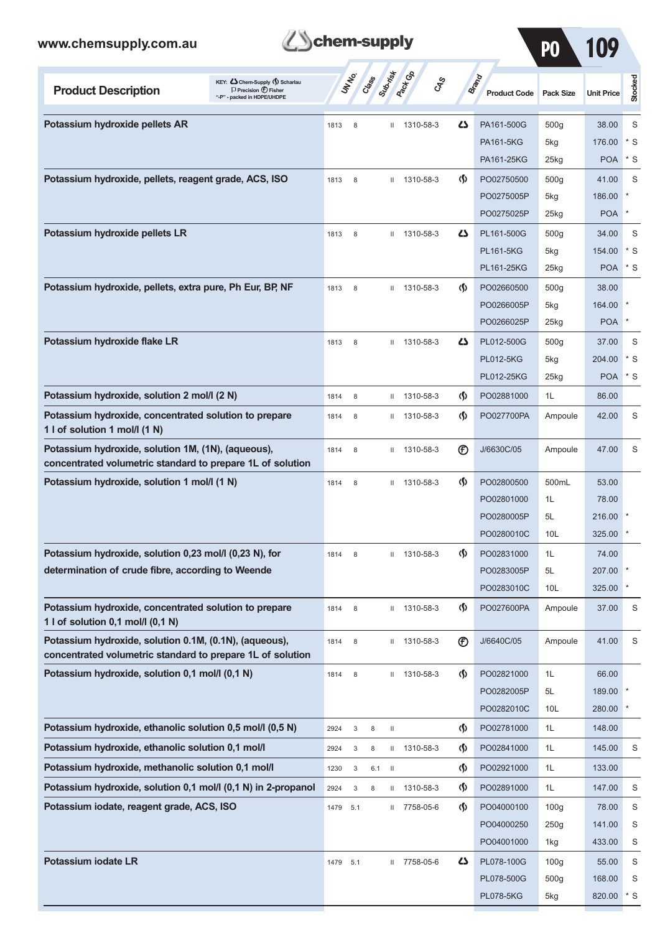

PO 109

| KEY: Cohem-Supply (5) Scharlau<br><b>Product Description</b><br>$\Box$ Precision $\bigoplus$ Fisher<br>"-P" - packed in HDPE/UHDPE | UN NO.                            | Crass | Submist                  | <b>Pack GA</b> | <b>GRS</b>                         | <b>Brand</b><br><b>Product Code</b> | <b>Pack Size</b> | <b>Unit Price</b> | <b>Stocked</b> |
|------------------------------------------------------------------------------------------------------------------------------------|-----------------------------------|-------|--------------------------|----------------|------------------------------------|-------------------------------------|------------------|-------------------|----------------|
| Potassium hydroxide pellets AR                                                                                                     | 8<br>1813                         |       | $\mathbf{H}$             | 1310-58-3      | ひ                                  | PA161-500G                          | 500g             | 38.00             | S              |
|                                                                                                                                    |                                   |       |                          |                |                                    | <b>PA161-5KG</b>                    | 5kg              | 176.00            | $*$ S          |
|                                                                                                                                    |                                   |       |                          |                |                                    | PA161-25KG                          | 25kg             | <b>POA</b>        | $*$ S          |
| Potassium hydroxide, pellets, reagent grade, ACS, ISO                                                                              | 1813<br>8                         |       | $\mathbf{H}$             | 1310-58-3      | $\langle \mathbf{\langle} \rangle$ | PO02750500                          | 500 <sub>g</sub> | 41.00             | S              |
|                                                                                                                                    |                                   |       |                          |                |                                    | PO0275005P                          | 5kg              | 186.00            |                |
|                                                                                                                                    |                                   |       |                          |                |                                    | PO0275025P                          | $25$ kg          | <b>POA</b>        | *              |
| Potassium hydroxide pellets LR                                                                                                     | 1813<br>8                         |       | Ш                        | 1310-58-3      | دے                                 | PL161-500G                          | 500g             | 34.00             | S              |
|                                                                                                                                    |                                   |       |                          |                |                                    | <b>PL161-5KG</b>                    | 5kg              | 154.00            | $*$ S          |
|                                                                                                                                    |                                   |       |                          |                |                                    | PL161-25KG                          | 25kg             | <b>POA</b>        | $*$ S          |
| Potassium hydroxide, pellets, extra pure, Ph Eur, BP, NF                                                                           | 1813<br>8                         |       | $\mathbf{H}$             | 1310-58-3      | $\langle \langle \rangle$          | PO02660500                          | 500 <sub>g</sub> | 38.00             |                |
|                                                                                                                                    |                                   |       |                          |                |                                    | PO0266005P                          | 5kg              | 164.00            |                |
|                                                                                                                                    |                                   |       |                          |                |                                    | PO0266025P                          | $25$ kg          | <b>POA</b>        | *              |
| Potassium hydroxide flake LR                                                                                                       | 1813<br>8                         |       | $\mathbf{H}$             | 1310-58-3      | 45                                 | PL012-500G                          | 500 <sub>g</sub> | 37.00             | S              |
|                                                                                                                                    |                                   |       |                          |                |                                    | <b>PL012-5KG</b>                    | 5kg              | 204.00            | $*$ S          |
|                                                                                                                                    |                                   |       |                          |                |                                    | PL012-25KG                          | $25$ kg          | <b>POA</b>        | $*$ S          |
| Potassium hydroxide, solution 2 mol/l (2 N)                                                                                        | 8<br>1814                         |       | $\mathbf{H}$             | 1310-58-3      | $\Phi$                             | PO02881000                          | 1L               | 86.00             |                |
| Potassium hydroxide, concentrated solution to prepare<br>1 I of solution 1 mol/l (1 N)                                             | 8<br>1814                         |       | $\mathbf{H}$             | 1310-58-3      | $\langle \mathbf{\langle} \rangle$ | PO027700PA                          | Ampoule          | 42.00             | S              |
| Potassium hydroxide, solution 1M, (1N), (aqueous),<br>concentrated volumetric standard to prepare 1L of solution                   | 8<br>1814                         |       | Ш                        | 1310-58-3      | $^{\circledR}$                     | J/6630C/05                          | Ampoule          | 47.00             | S              |
| Potassium hydroxide, solution 1 mol/l (1 N)                                                                                        | 1814<br>8                         |       | $\mathbf{H}$             | 1310-58-3      | $\langle \mathbf{\langle} \rangle$ | PO02800500                          | 500mL            | 53.00             |                |
|                                                                                                                                    |                                   |       |                          |                |                                    | PO02801000                          | 1L               | 78.00             |                |
|                                                                                                                                    |                                   |       |                          |                |                                    | PO0280005P                          | 5L               | 216.00            |                |
|                                                                                                                                    |                                   |       |                          |                |                                    | PO0280010C                          | 10 <sub>L</sub>  | 325.00            |                |
| Potassium hydroxide, solution 0,23 mol/l (0,23 N), for                                                                             | 8<br>1814                         |       | Ш                        | 1310-58-3      | $\langle \mathbf{\S} \rangle$      | PO02831000                          | 1L               | 74.00             |                |
| determination of crude fibre, according to Weende                                                                                  |                                   |       |                          |                |                                    | PO0283005P                          | 5L               | 207.00            |                |
|                                                                                                                                    |                                   |       |                          |                |                                    | PO0283010C                          | 10L              | 325.00            |                |
| Potassium hydroxide, concentrated solution to prepare<br>1 l of solution 0,1 mol/l (0,1 N)                                         | 1814<br>8                         |       | Ш                        | 1310-58-3      | Պ                                  | PO027600PA                          | Ampoule          | 37.00             | S              |
| Potassium hydroxide, solution 0.1M, (0.1N), (aqueous),<br>concentrated volumetric standard to prepare 1L of solution               | 1814<br>8                         |       | Ш                        | 1310-58-3      | $^{\circledR}$                     | J/6640C/05                          | Ampoule          | 41.00             | S              |
| Potassium hydroxide, solution 0,1 mol/l (0,1 N)                                                                                    | 1814<br>8                         |       | $\mathbf{H}$             | 1310-58-3      | (∮)                                | PO02821000                          | 1L               | 66.00             |                |
|                                                                                                                                    |                                   |       |                          |                |                                    | PO0282005P                          | 5L               | 189.00            |                |
|                                                                                                                                    |                                   |       |                          |                |                                    | PO0282010C                          | 10 <sub>L</sub>  | 280.00            |                |
| Potassium hydroxide, ethanolic solution 0,5 mol/l (0,5 N)                                                                          | 2924<br>3                         | 8     | $\mathbf{H}$             |                | $\Phi$                             | PO02781000                          | 1L               | 148.00            |                |
| Potassium hydroxide, ethanolic solution 0,1 mol/l                                                                                  | $\ensuremath{\mathsf{3}}$<br>2924 | 8     | Ш                        | 1310-58-3      | $\Phi$                             | PO02841000                          | 1L               | 145.00            | S              |
| Potassium hydroxide, methanolic solution 0,1 mol/l                                                                                 | 1230<br>3                         | 6.1   | $\overline{\phantom{0}}$ |                | $\varphi$                          | PO02921000                          | 1L               | 133.00            |                |
| Potassium hydroxide, solution 0,1 mol/l (0,1 N) in 2-propanol                                                                      | 2924<br>$\ensuremath{\mathsf{3}}$ | 8     | Ш                        | 1310-58-3      | $\Phi$                             | PO02891000                          | 1L               | 147.00            | $\mathbf S$    |
| Potassium iodate, reagent grade, ACS, ISO                                                                                          | 1479<br>5.1                       |       | Ш                        | 7758-05-6      | (∮)                                | PO04000100                          | 100q             | 78.00             | $\mathbf S$    |
|                                                                                                                                    |                                   |       |                          |                |                                    | PO04000250                          | 250g             | 141.00            | S              |
|                                                                                                                                    |                                   |       |                          |                |                                    | PO04001000                          | 1kg              | 433.00            | S              |
| <b>Potassium iodate LR</b>                                                                                                         | 1479 5.1                          |       | Ш                        | 7758-05-6      | ひ                                  | PL078-100G                          | 100q             | 55.00             | S              |
|                                                                                                                                    |                                   |       |                          |                |                                    | PL078-500G                          | 500 <sub>g</sub> | 168.00            | S              |
|                                                                                                                                    |                                   |       |                          |                |                                    | <b>PL078-5KG</b>                    | 5kg              | 820.00            | $\cdot$ s      |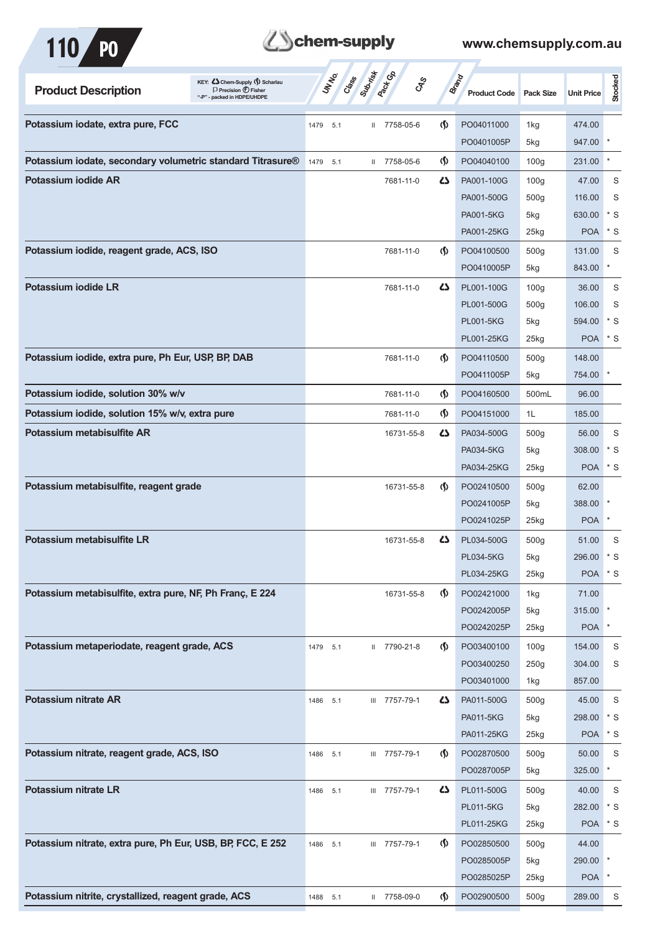

## **Z**Schem-supply

| <b>Product Description</b>                                 | KEY: Cohem-Supply (5) Scharlau<br>$\Box$ Precision $\bigoplus$ Fisher<br>"-P" - packed in HDPE/UHDPE | UN NO.<br>Class | Submist<br><b>Pack C</b> B | <b>GRS</b>                         | Brand<br><b>Product Code</b> | <b>Pack Size</b>   | <b>Unit Price</b> | Stocked |
|------------------------------------------------------------|------------------------------------------------------------------------------------------------------|-----------------|----------------------------|------------------------------------|------------------------------|--------------------|-------------------|---------|
| Potassium iodate, extra pure, FCC                          |                                                                                                      | 1479<br>5.1     | II 7758-05-6               | $\langle \mathbf{\langle} \rangle$ | PO04011000                   | 1kg                | 474.00            |         |
|                                                            |                                                                                                      |                 |                            |                                    | PO0401005P                   | 5kg                | 947.00            |         |
| Potassium iodate, secondary volumetric standard Titrasure® |                                                                                                      | 1479<br>5.1     | 7758-05-6<br>$\mathbf{H}$  | (∫)                                | PO04040100                   | 100 <sub>g</sub>   | 231.00            | $\star$ |
| Potassium jodide AR                                        |                                                                                                      |                 | 7681-11-0                  | ひ                                  | PA001-100G                   | 100q               | 47.00             | S       |
|                                                            |                                                                                                      |                 |                            |                                    | PA001-500G                   | 500 <sub>g</sub>   | 116.00            | S       |
|                                                            |                                                                                                      |                 |                            |                                    | <b>PA001-5KG</b>             | 5kg                | 630.00            | * S     |
|                                                            |                                                                                                      |                 |                            |                                    | PA001-25KG                   | 25kg               | <b>POA</b>        | $*$ S   |
| Potassium iodide, reagent grade, ACS, ISO                  |                                                                                                      |                 | 7681-11-0                  | $\langle \mathbf{\S} \rangle$      | PO04100500                   | 500 <sub>g</sub>   | 131.00            | S       |
|                                                            |                                                                                                      |                 |                            |                                    | PO0410005P                   | 5kg                | 843.00            | $\ast$  |
| Potassium iodide LR                                        |                                                                                                      |                 | 7681-11-0                  | ひ                                  | PL001-100G                   | 100 <sub>g</sub>   | 36.00             | S       |
|                                                            |                                                                                                      |                 |                            |                                    | PL001-500G                   | 500 <sub>g</sub>   | 106.00            | S       |
|                                                            |                                                                                                      |                 |                            |                                    | <b>PL001-5KG</b>             | 5kg                | 594.00            | * S     |
|                                                            |                                                                                                      |                 |                            |                                    | PL001-25KG                   | 25kg               | <b>POA</b>        | $*$ S   |
| Potassium iodide, extra pure, Ph Eur, USP, BP, DAB         |                                                                                                      |                 | 7681-11-0                  | $\langle \mathbf{\S} \rangle$      | PO04110500                   | 500 <sub>g</sub>   | 148.00            |         |
|                                                            |                                                                                                      |                 |                            |                                    | PO0411005P                   | 5kg                | 754.00            |         |
| Potassium iodide, solution 30% w/v                         |                                                                                                      |                 | 7681-11-0                  | (∫)                                | PO04160500                   | 500mL              | 96.00             |         |
| Potassium iodide, solution 15% w/v, extra pure             |                                                                                                      |                 | 7681-11-0                  | (∫)                                | PO04151000                   | 1L                 | 185.00            |         |
| Potassium metabisulfite AR                                 |                                                                                                      |                 | 16731-55-8                 | ひ                                  | PA034-500G                   | 500q               | 56.00             | S       |
|                                                            |                                                                                                      |                 |                            |                                    | PA034-5KG                    | 5kg                | 308.00            | $*$ S   |
|                                                            |                                                                                                      |                 |                            |                                    | PA034-25KG                   | 25kg               | <b>POA</b>        | $*$ S   |
| Potassium metabisulfite, reagent grade                     |                                                                                                      |                 | 16731-55-8                 | $\langle \mathbf{\S} \rangle$      | PO02410500                   | 500 <sub>g</sub>   | 62.00             |         |
|                                                            |                                                                                                      |                 |                            |                                    | PO0241005P                   | 5kg                | 388.00            |         |
|                                                            |                                                                                                      |                 |                            |                                    | PO0241025P                   | 25kg               | <b>POA</b>        | $\ast$  |
| Potassium metabisulfite LR                                 |                                                                                                      |                 | 16731-55-8                 | Ω                                  | PL034-500G                   | 500 <sub>g</sub>   | 51.00             | S       |
|                                                            |                                                                                                      |                 |                            |                                    | <b>PL034-5KG</b>             | 5kg                | 296.00            | $*$ S   |
|                                                            |                                                                                                      |                 |                            |                                    | PL034-25KG                   | $25$ <sub>kg</sub> | POA * S           |         |
| Potassium metabisulfite, extra pure, NF, Ph Franç, E 224   |                                                                                                      |                 | 16731-55-8                 | $\Phi$                             | PO02421000                   | 1kg                | 71.00             |         |
|                                                            |                                                                                                      |                 |                            |                                    | PO0242005P                   | 5kg                | 315.00            |         |
|                                                            |                                                                                                      |                 |                            |                                    | PO0242025P                   | $25$ <sub>kg</sub> | <b>POA</b>        |         |
| Potassium metaperiodate, reagent grade, ACS                |                                                                                                      | 1479 5.1        | II 7790-21-8               | $\Phi$                             | PO03400100                   | 100 <sub>g</sub>   | 154.00            | S       |
|                                                            |                                                                                                      |                 |                            |                                    | PO03400250                   | 250g               | 304.00            | S       |
|                                                            |                                                                                                      |                 |                            |                                    | PO03401000                   | 1kg                | 857.00            |         |
| <b>Potassium nitrate AR</b>                                |                                                                                                      | 1486 5.1        | III 7757-79-1              | ひ                                  | PA011-500G                   | 500 <sub>g</sub>   | 45.00             | S       |
|                                                            |                                                                                                      |                 |                            |                                    | <b>PA011-5KG</b>             | 5kg                | 298.00            | $*$ S   |
|                                                            |                                                                                                      |                 |                            |                                    | PA011-25KG                   | 25kg               | <b>POA</b>        | $*$ S   |
| Potassium nitrate, reagent grade, ACS, ISO                 |                                                                                                      | 1486 5.1        | III 7757-79-1              | $\Phi$                             | PO02870500                   | 500 <sub>g</sub>   | 50.00             | S       |
|                                                            |                                                                                                      |                 |                            |                                    | PO0287005P                   | 5kg                | 325.00            | $\ast$  |
| <b>Potassium nitrate LR</b>                                |                                                                                                      | 1486 5.1        | III 7757-79-1              | ひ                                  | PL011-500G                   | 500 <sub>g</sub>   | 40.00             | S       |
|                                                            |                                                                                                      |                 |                            |                                    | <b>PL011-5KG</b>             | 5kg                | 282.00            | $*$ S   |
|                                                            |                                                                                                      |                 |                            |                                    | PL011-25KG                   | 25kg               | POA * S           |         |
| Potassium nitrate, extra pure, Ph Eur, USB, BP, FCC, E 252 |                                                                                                      | 1486 5.1        | III 7757-79-1              | $\Phi$                             | PO02850500                   | 500 <sub>g</sub>   | 44.00             |         |
|                                                            |                                                                                                      |                 |                            |                                    | PO0285005P                   | 5kg                | 290.00            | $\ast$  |
|                                                            |                                                                                                      |                 |                            |                                    | PO0285025P                   | 25kg               | <b>POA</b>        | $\ast$  |
| Potassium nitrite, crystallized, reagent grade, ACS        |                                                                                                      | 1488<br>5.1     | II 7758-09-0               | $\langle \mathbf{\S} \rangle$      | PO02900500                   | 500 <sub>g</sub>   | 289.00            | S       |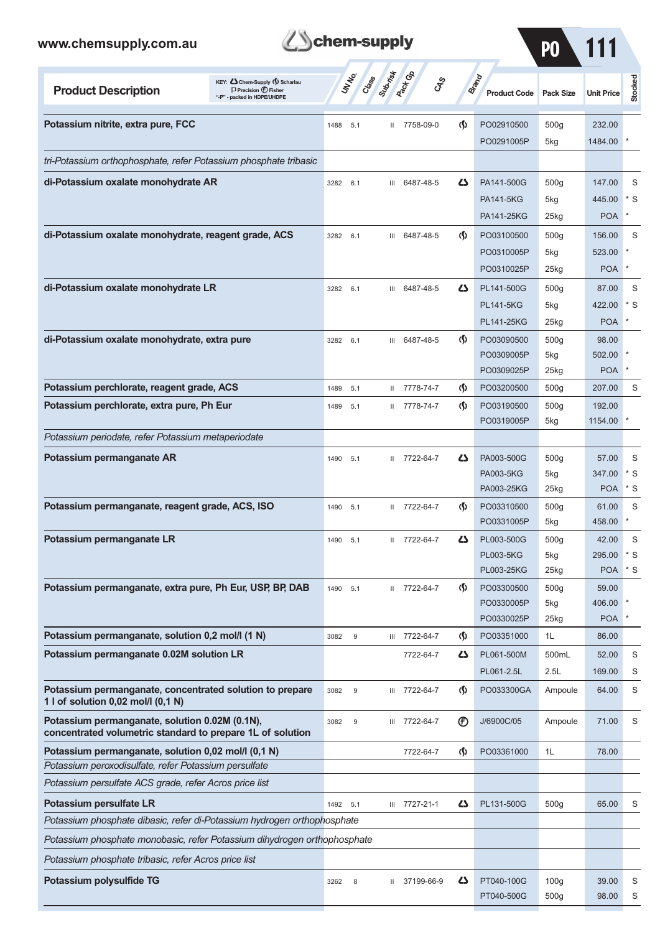### www.cher

| www.chemsupply.com.au                                            |                                                                                                       | chem-supply<br><b>UT NO</b> Superintendence |                           |              |                              | P <sub>0</sub>   | 111               |         |
|------------------------------------------------------------------|-------------------------------------------------------------------------------------------------------|---------------------------------------------|---------------------------|--------------|------------------------------|------------------|-------------------|---------|
| <b>Product Description</b>                                       | KEY: C Chem-Supply (5) Scharlau<br>$\Box$ Precision $\bigoplus$ Fisher<br>"-P" - packed in HDPE/UHDPE |                                             | ್ಯೇ                       |              | Brand<br><b>Product Code</b> | <b>Pack Size</b> | <b>Unit Price</b> | Stocked |
| Potassium nitrite, extra pure, FCC                               |                                                                                                       | 5.1<br>1488                                 | 7758-09-0<br>$\mathbf{H}$ | $\Phi$       | PO02910500<br>PO0291005P     | 500g<br>5kg      | 232.00<br>1484.00 |         |
| tri-Potassium orthophosphate, refer Potassium phosphate tribasic |                                                                                                       |                                             |                           |              |                              |                  |                   |         |
| di-Potassium oxalate monohydrate AR                              |                                                                                                       | 3282<br>6.1                                 | 6487-48-5<br>Ш            | $\mathbf{Z}$ | PA141-500G                   | 500q             | 147.00            | S       |
|                                                                  |                                                                                                       |                                             |                           |              | <b>PA141-5KG</b>             | 5kg              | 445.00            | $*$ S   |
|                                                                  |                                                                                                       |                                             |                           |              | PA141-25KG                   | 25kg             | <b>POA</b>        |         |
| di-Potassium oxalate monohydrate, reagent grade, ACS             |                                                                                                       | 3282<br>6.1                                 | 6487-48-5<br>Ш            | K)           | PO03100500                   | 500q             | 156.00            | S       |
|                                                                  |                                                                                                       |                                             |                           |              | PO0310005P                   | 5kg              | 523.00            |         |

|                                                                                                              |          |        |              |               |                                    | PO0310025P       | 25kg             | <b>POA</b> |            |
|--------------------------------------------------------------------------------------------------------------|----------|--------|--------------|---------------|------------------------------------|------------------|------------------|------------|------------|
| di-Potassium oxalate monohydrate LR                                                                          | 3282     | 6.1    |              | III 6487-48-5 | ひ                                  | PL141-500G       | 500 <sub>g</sub> | 87.00      | S          |
|                                                                                                              |          |        |              |               |                                    | <b>PL141-5KG</b> | 5kg              | 422.00     | * S        |
|                                                                                                              |          |        |              |               |                                    | PL141-25KG       | 25kg             | <b>POA</b> |            |
| di-Potassium oxalate monohydrate, extra pure                                                                 | 3282 6.1 |        | Ш            | 6487-48-5     | $\langle \mathbf{\langle} \rangle$ | PO03090500       | 500 <sub>g</sub> | 98.00      |            |
|                                                                                                              |          |        |              |               |                                    | PO0309005P       | 5kg              | 502.00     |            |
|                                                                                                              |          |        |              |               |                                    | PO0309025P       | 25kg             | <b>POA</b> |            |
| Potassium perchlorate, reagent grade, ACS                                                                    | 1489     | $-5.1$ | $\mathbf{H}$ | 7778-74-7     | ற                                  | PO03200500       | 500 <sub>g</sub> | 207.00     | S          |
| Potassium perchlorate, extra pure, Ph Eur                                                                    | 1489     | 5.1    | $\mathbf{H}$ | 7778-74-7     | $\langle \mathbf{\S} \rangle$      | PO03190500       | 500g             | 192.00     |            |
|                                                                                                              |          |        |              |               |                                    | PO0319005P       | 5kg              | 1154.00    |            |
| Potassium periodate, refer Potassium metaperiodate                                                           |          |        |              |               |                                    |                  |                  |            |            |
| Potassium permanganate AR                                                                                    | 1490 5.1 |        | Ш            | 7722-64-7     | ひ                                  | PA003-500G       | 500g             | 57.00      | S          |
|                                                                                                              |          |        |              |               |                                    | PA003-5KG        | 5kg              | 347.00     | * S        |
|                                                                                                              |          |        |              |               |                                    | PA003-25KG       | 25kg             | <b>POA</b> | * S        |
| Potassium permanganate, reagent grade, ACS, ISO                                                              | 1490     | 5.1    |              | II 7722-64-7  | $\Phi$                             | PO03310500       | 500g             | 61.00      | S          |
|                                                                                                              |          |        |              |               |                                    | PO0331005P       | 5kg              | 458.00     |            |
| Potassium permanganate LR                                                                                    | 1490     | 5.1    |              | II 7722-64-7  | Ω                                  | PL003-500G       | 500 <sub>g</sub> | 42.00      | S          |
|                                                                                                              |          |        |              |               |                                    | <b>PL003-5KG</b> | 5kg              | 295.00     | $*$ S      |
|                                                                                                              |          |        |              |               |                                    | PL003-25KG       | 25kg             | <b>POA</b> | $^\star$ S |
| Potassium permanganate, extra pure, Ph Eur, USP, BP, DAB                                                     | 1490 5.1 |        | Ш            | 7722-64-7     | $\langle \mathbf{\S} \rangle$      | PO03300500       | 500g             | 59.00      |            |
|                                                                                                              |          |        |              |               |                                    | PO0330005P       | 5kg              | 406.00     |            |
|                                                                                                              |          |        |              |               |                                    | PO0330025P       | 25kg             | <b>POA</b> |            |
| Potassium permanganate, solution 0,2 mol/l (1 N)                                                             | 3082     | 9      |              | III 7722-64-7 | $\Phi$                             | PO03351000       | 1L               | 86.00      |            |
| Potassium permanganate 0.02M solution LR                                                                     |          |        |              | 7722-64-7     | 45                                 | PL061-500M       | 500mL            | 52.00      | S          |
|                                                                                                              |          |        |              |               |                                    | PL061-2.5L       | 2.5L             | 169.00     | S          |
| Potassium permanganate, concentrated solution to prepare<br>1 l of solution 0,02 mol/l (0,1 N)               | 3082     | 9      |              | III 7722-64-7 | (§)                                | PO033300GA       | Ampoule          | 64.00      | S          |
| Potassium permanganate, solution 0.02M (0.1N),<br>concentrated volumetric standard to prepare 1L of solution | 3082     | 9      | Ш            | 7722-64-7     | $^{\circledR}$                     | J/6900C/05       | Ampoule          | 71.00      | S          |
| Potassium permanganate, solution 0,02 mol/l (0,1 N)                                                          |          |        |              | 7722-64-7     | (§                                 | PO03361000       | 1L               | 78.00      |            |
| Potassium peroxodisulfate, refer Potassium persulfate                                                        |          |        |              |               |                                    |                  |                  |            |            |
| Potassium persulfate ACS grade, refer Acros price list                                                       |          |        |              |               |                                    |                  |                  |            |            |
| Potassium persulfate LR                                                                                      | 1492 5.1 |        | Ш            | 7727-21-1     | 42                                 | PL131-500G       | 500g             | 65.00      | S          |
| Potassium phosphate dibasic, refer di-Potassium hydrogen orthophosphate                                      |          |        |              |               |                                    |                  |                  |            |            |
| Potassium phosphate monobasic, refer Potassium dihydrogen orthophosphate                                     |          |        |              |               |                                    |                  |                  |            |            |
| Potassium phosphate tribasic, refer Acros price list                                                         |          |        |              |               |                                    |                  |                  |            |            |
| Potassium polysulfide TG                                                                                     | 3262     | 8      | Ш            | 37199-66-9    | 45                                 | PT040-100G       | 100 <sub>g</sub> | 39.00      | S          |
|                                                                                                              |          |        |              |               |                                    | PT040-500G       | 500g             | 98.00      | S          |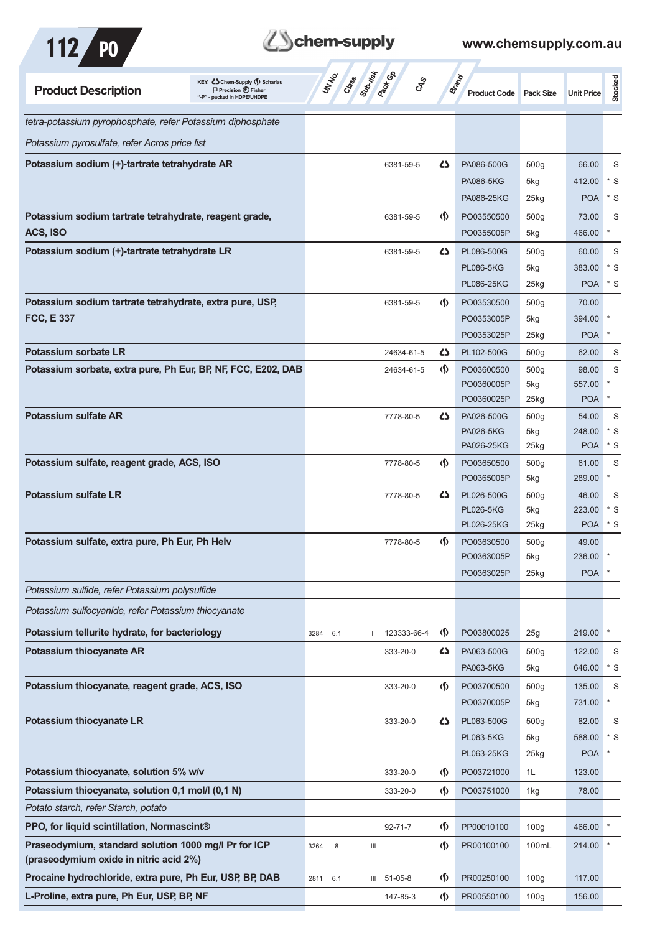



| <b>Product Description</b>                                    | KEY: C Chem-Supply (5) Scharlau<br>$\Box$ Precision $\bigoplus$ Fisher<br>"-P" - packed in HDPE/UHDPE | UNINO<br>Creece     | Suprist<br><b>Pacifican</b><br><b>GRS</b> |                                    | <b>Brand</b><br><b>Product Code</b> | <b>Pack Size</b>        | <b>Unit Price</b> | Stocked      |
|---------------------------------------------------------------|-------------------------------------------------------------------------------------------------------|---------------------|-------------------------------------------|------------------------------------|-------------------------------------|-------------------------|-------------------|--------------|
| tetra-potassium pyrophosphate, refer Potassium diphosphate    |                                                                                                       |                     |                                           |                                    |                                     |                         |                   |              |
| Potassium pyrosulfate, refer Acros price list                 |                                                                                                       |                     |                                           |                                    |                                     |                         |                   |              |
| Potassium sodium (+)-tartrate tetrahydrate AR                 |                                                                                                       |                     | 6381-59-5                                 | 45                                 | PA086-500G                          | 500g                    | 66.00             | S            |
|                                                               |                                                                                                       |                     |                                           |                                    | <b>PA086-5KG</b>                    | 5kg                     | 412.00            | $*$ S        |
|                                                               |                                                                                                       |                     |                                           |                                    | PA086-25KG                          | 25kg                    | <b>POA</b>        | $*$ S        |
| Potassium sodium tartrate tetrahydrate, reagent grade,        |                                                                                                       |                     | 6381-59-5                                 | $\Phi$                             | PO03550500                          | 500 <sub>g</sub>        | 73.00             | S            |
| ACS, ISO                                                      |                                                                                                       |                     |                                           |                                    | PO0355005P                          | 5kg                     | 466.00            | ×            |
| Potassium sodium (+)-tartrate tetrahydrate LR                 |                                                                                                       |                     | 6381-59-5                                 | <b>45</b>                          | PL086-500G                          | 500 <sub>g</sub>        | 60.00             | S            |
|                                                               |                                                                                                       |                     |                                           |                                    | <b>PL086-5KG</b>                    | 5kg                     | 383.00            | $*$ S        |
|                                                               |                                                                                                       |                     |                                           |                                    | PL086-25KG                          | 25kg                    | <b>POA</b>        | $*$ S        |
| Potassium sodium tartrate tetrahydrate, extra pure, USP,      |                                                                                                       |                     | 6381-59-5                                 | $\langle \mathbf{\langle} \rangle$ | PO03530500                          | 500 <sub>g</sub>        | 70.00             |              |
| <b>FCC, E 337</b>                                             |                                                                                                       |                     |                                           |                                    | PO0353005P                          | 5kg                     | 394.00            |              |
|                                                               |                                                                                                       |                     |                                           |                                    | PO0353025P                          | $25$ kg                 | <b>POA</b>        |              |
| Potassium sorbate LR                                          |                                                                                                       |                     | 24634-61-5                                | 27                                 | PL102-500G                          | 500 <sub>g</sub>        | 62.00             | S            |
| Potassium sorbate, extra pure, Ph Eur, BP, NF, FCC, E202, DAB |                                                                                                       |                     | 24634-61-5                                | $\langle \mathbf{\S} \rangle$      | PO03600500                          | 500 <sub>g</sub>        | 98.00             | S            |
|                                                               |                                                                                                       |                     |                                           |                                    | PO0360005P                          | 5kg                     | 557.00            |              |
| <b>Potassium sulfate AR</b>                                   |                                                                                                       |                     |                                           |                                    | PO0360025P                          | 25kg                    | <b>POA</b>        |              |
|                                                               |                                                                                                       |                     | 7778-80-5                                 | 27                                 | PA026-500G<br><b>PA026-5KG</b>      | 500 <sub>g</sub><br>5kg | 54.00<br>248.00   | S<br>$*$ S   |
|                                                               |                                                                                                       |                     |                                           |                                    | PA026-25KG                          | 25kg                    | <b>POA</b>        | $*$ S        |
| Potassium sulfate, reagent grade, ACS, ISO                    |                                                                                                       |                     | 7778-80-5                                 | $\Phi$                             | PO03650500                          | 500 <sub>g</sub>        | 61.00             | S            |
|                                                               |                                                                                                       |                     |                                           |                                    | PO0365005P                          | 5kg                     | 289.00            | $\ast$       |
| <b>Potassium sulfate LR</b>                                   |                                                                                                       |                     | 7778-80-5                                 | 5                                  | PL026-500G                          | 500 <sub>g</sub>        | 46.00             | S            |
|                                                               |                                                                                                       |                     |                                           |                                    | <b>PL026-5KG</b>                    | 5kg                     | 223.00            | * S          |
|                                                               |                                                                                                       |                     |                                           |                                    | PL026-25KG                          | $25$ kg                 | <b>POA</b>        | $*$ S        |
| Potassium sulfate, extra pure, Ph Eur, Ph Helv                |                                                                                                       |                     | 7778-80-5                                 | $\langle \mathbf{\langle} \rangle$ | PO03630500<br>PO0363005P            | 500 <sub>g</sub><br>5kg | 49.00<br>236.00   |              |
|                                                               |                                                                                                       |                     |                                           |                                    | PO0363025P                          | 25kg                    | <b>POA</b>        |              |
| Potassium sulfide, refer Potassium polysulfide                |                                                                                                       |                     |                                           |                                    |                                     |                         |                   |              |
| Potassium sulfocyanide, refer Potassium thiocyanate           |                                                                                                       |                     |                                           |                                    |                                     |                         |                   |              |
| Potassium tellurite hydrate, for bacteriology                 |                                                                                                       |                     |                                           |                                    |                                     |                         |                   | $\pmb{\ast}$ |
|                                                               |                                                                                                       | 3284<br>6.1         | 123333-66-4<br>Ш                          | (∮)                                | PO03800025                          | 25g                     | 219.00            |              |
| <b>Potassium thiocyanate AR</b>                               |                                                                                                       |                     | 333-20-0                                  | 5                                  | PA063-500G<br>PA063-5KG             | 500 <sub>g</sub>        | 122.00<br>646.00  | S<br>$*$ S   |
| Potassium thiocyanate, reagent grade, ACS, ISO                |                                                                                                       |                     |                                           |                                    |                                     | 5kg                     |                   |              |
|                                                               |                                                                                                       |                     | 333-20-0                                  | $\langle \mathbf{\langle} \rangle$ | PO03700500<br>PO0370005P            | 500g<br>5kg             | 135.00<br>731.00  | S            |
| <b>Potassium thiocyanate LR</b>                               |                                                                                                       |                     | 333-20-0                                  | 5                                  | PL063-500G                          | 500 <sub>g</sub>        | 82.00             | S            |
|                                                               |                                                                                                       |                     |                                           |                                    | <b>PL063-5KG</b>                    | 5kg                     | 588.00            | $*$ S        |
|                                                               |                                                                                                       |                     |                                           |                                    | PL063-25KG                          | 25kg                    | <b>POA</b>        |              |
| Potassium thiocyanate, solution 5% w/v                        |                                                                                                       |                     | 333-20-0                                  | $\langle \mathbf{\S} \rangle$      | PO03721000                          | 1L                      | 123.00            |              |
| Potassium thiocyanate, solution 0,1 mol/l (0,1 N)             |                                                                                                       |                     | 333-20-0                                  | $\langle \mathbf{\S} \rangle$      | PO03751000                          | 1kg                     | 78.00             |              |
| Potato starch, refer Starch, potato                           |                                                                                                       |                     |                                           |                                    |                                     |                         |                   |              |
| PPO, for liquid scintillation, Normascint®                    |                                                                                                       |                     | $92 - 71 - 7$                             | $\langle \mathbf{\S} \rangle$      | PP00010100                          | 100 <sub>g</sub>        | 466.00            |              |
| Praseodymium, standard solution 1000 mg/l Pr for ICP          |                                                                                                       | 3264<br>$\,$ 8 $\,$ | $\ensuremath{\mathsf{III}}\xspace$        | $\varphi$                          | PR00100100                          | 100mL                   | 214.00            |              |
| (praseodymium oxide in nitric acid 2%)                        |                                                                                                       |                     |                                           |                                    |                                     |                         |                   |              |
| Procaine hydrochloride, extra pure, Ph Eur, USP, BP, DAB      |                                                                                                       | 2811<br>6.1         | III 51-05-8                               | $\langle \mathbf{\S} \rangle$      | PR00250100                          | 100 <sub>g</sub>        | 117.00            |              |
| L-Proline, extra pure, Ph Eur, USP, BP, NF                    |                                                                                                       |                     | 147-85-3                                  | $\langle \mathbf{\S} \rangle$      | PR00550100                          | 100 <sub>g</sub>        | 156.00            |              |
|                                                               |                                                                                                       |                     |                                           |                                    |                                     |                         |                   |              |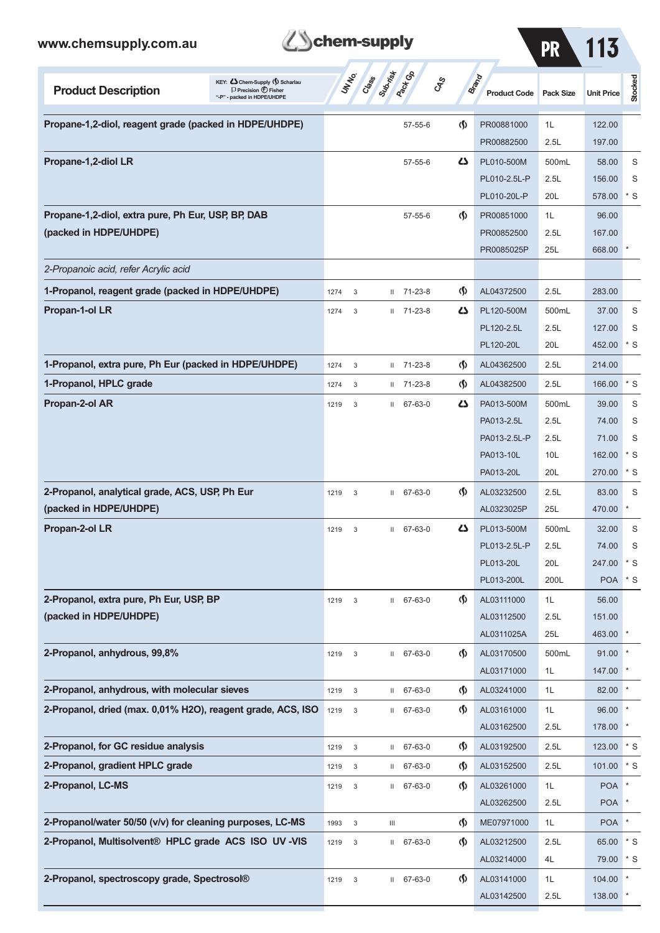

| <b>PR</b> |  | 113 |
|-----------|--|-----|
|           |  |     |
|           |  |     |

| KEY: Cohem-Supply (5) Scharlau<br><b>Product Description</b><br>$\Box$ Precision $\bigcirc$ Fisher<br>"-P" - packed in HDPE/UHDPE |                                   | <b>ST Cases</b> Survive Re         | CAS                                | <b>Brand</b><br><b>Product Code</b> | <b>Pack Size</b> | <b>Unit Price</b> | <b>Stocked</b> |
|-----------------------------------------------------------------------------------------------------------------------------------|-----------------------------------|------------------------------------|------------------------------------|-------------------------------------|------------------|-------------------|----------------|
| Propane-1,2-diol, reagent grade (packed in HDPE/UHDPE)                                                                            |                                   | $57 - 55 - 6$                      | $\langle \mathbf{\langle} \rangle$ | PR00881000                          | 1L               | 122.00            |                |
|                                                                                                                                   |                                   |                                    |                                    | PR00882500                          | 2.5L             | 197.00            |                |
| Propane-1,2-diol LR                                                                                                               |                                   | $57 - 55 - 6$                      | ひ                                  | PL010-500M                          | 500mL            | 58.00             | S              |
|                                                                                                                                   |                                   |                                    |                                    | PL010-2.5L-P                        | 2.5L             | 156.00            | S              |
|                                                                                                                                   |                                   |                                    |                                    | PL010-20L-P                         | 20L              | 578.00            | * S            |
| Propane-1,2-diol, extra pure, Ph Eur, USP, BP, DAB                                                                                |                                   | $57 - 55 - 6$                      | $\langle \mathbf{\S} \rangle$      | PR00851000                          | 1L               | 96.00             |                |
| (packed in HDPE/UHDPE)                                                                                                            |                                   |                                    |                                    | PR00852500                          | 2.5L             | 167.00            |                |
|                                                                                                                                   |                                   |                                    |                                    | PR0085025P                          | 25L              | 668.00            |                |
| 2-Propanoic acid, refer Acrylic acid                                                                                              |                                   |                                    |                                    |                                     |                  |                   |                |
| 1-Propanol, reagent grade (packed in HDPE/UHDPE)                                                                                  | 1274<br>3                         | $11 \quad 71 - 23 - 8$             | $\langle \mathbf{\langle} \rangle$ | AL04372500                          | 2.5L             | 283.00            |                |
| Propan-1-ol LR                                                                                                                    | 1274<br>3                         | 71-23-8<br>$\mathbf{H}$            | دے                                 | PL120-500M                          | 500mL            | 37.00             | S              |
|                                                                                                                                   |                                   |                                    |                                    | PL120-2.5L                          | 2.5L             | 127.00            | S              |
|                                                                                                                                   |                                   |                                    |                                    | PL120-20L                           | 20L              | 452.00            | * S            |
| 1-Propanol, extra pure, Ph Eur (packed in HDPE/UHDPE)                                                                             | 1274<br>3                         | $11 \quad 71 - 23 - 8$             | $\langle \mathbf{\S} \rangle$      | AL04362500                          | 2.5L             | 214.00            |                |
| 1-Propanol, HPLC grade                                                                                                            | 1274<br>3                         | $11 \quad 71 - 23 - 8$             | $\langle \mathbf{\langle} \rangle$ | AL04382500                          | 2.5L             | 166.00            | $*$ S          |
| Propan-2-ol AR                                                                                                                    | 1219<br>3                         | 67-63-0<br>$\mathbf{H}$            | دے                                 | PA013-500M                          | 500mL            | 39.00             | S              |
|                                                                                                                                   |                                   |                                    |                                    | PA013-2.5L                          | 2.5L             | 74.00             | S              |
|                                                                                                                                   |                                   |                                    |                                    | PA013-2.5L-P                        | 2.5L             | 71.00             | S              |
|                                                                                                                                   |                                   |                                    |                                    | PA013-10L                           | 10L              | 162.00            | * S            |
|                                                                                                                                   |                                   |                                    |                                    | PA013-20L                           | 20L              | 270.00            | * S            |
| 2-Propanol, analytical grade, ACS, USP, Ph Eur                                                                                    | 1219<br>3                         | 67-63-0<br>$\mathbf{H}$            | ⊛                                  | AL03232500                          | 2.5L             | 83.00             | S              |
| (packed in HDPE/UHDPE)                                                                                                            |                                   |                                    |                                    | AL0323025P                          | 25L              | 470.00            | *              |
| Propan-2-ol LR                                                                                                                    | 1219<br>3                         | $11 67 - 63 - 0$                   | 77                                 | PL013-500M                          | 500mL            | 32.00             | S              |
|                                                                                                                                   |                                   |                                    |                                    | PL013-2.5L-P                        | 2.5L             | 74.00             | S              |
|                                                                                                                                   |                                   |                                    |                                    | PL013-20L                           | 20L              | 247.00            | $*$ S          |
|                                                                                                                                   |                                   |                                    |                                    | PL013-200L                          | 200L             | POA * S           |                |
| 2-Propanol, extra pure, Ph Eur, USP, BP                                                                                           | $\mathbf{3}$<br>1219              | $II$ 67-63-0                       | $\langle \mathbf{\S} \rangle$      | AL03111000                          | 1L               | 56.00             |                |
| (packed in HDPE/UHDPE)                                                                                                            |                                   |                                    |                                    | AL03112500                          | 2.5L             | 151.00            |                |
|                                                                                                                                   |                                   |                                    |                                    | AL0311025A                          | 25L              | 463.00            |                |
| 2-Propanol, anhydrous, 99,8%                                                                                                      | 1219<br>3                         | $II$ 67-63-0                       | $\langle \mathbf{\langle} \rangle$ | AL03170500                          | 500mL            | 91.00             |                |
|                                                                                                                                   |                                   |                                    |                                    | AL03171000                          | 1L               | 147.00            |                |
| 2-Propanol, anhydrous, with molecular sieves                                                                                      | 1219<br>3                         | II 67-63-0                         | $\langle \mathbf{\S} \rangle$      | AL03241000                          | 1L               | 82.00             |                |
| 2-Propanol, dried (max. 0,01% H2O), reagent grade, ACS, ISO                                                                       | 1219<br>$\ensuremath{\mathsf{3}}$ | II 67-63-0                         | $\Phi$                             | AL03161000                          | 1L               | 96.00             |                |
|                                                                                                                                   |                                   |                                    |                                    | AL03162500                          | 2.5L             | 178.00            |                |
| 2-Propanol, for GC residue analysis                                                                                               | $\sqrt{3}$<br>1219                | $II$ 67-63-0                       | $\langle \mathbf{\S} \rangle$      | AL03192500                          | 2.5L             | 123.00            | $*$ S          |
| 2-Propanol, gradient HPLC grade                                                                                                   | 1219<br>$\ensuremath{\mathsf{3}}$ | 67-63-0<br>$\mathbf{H}$            | $\langle \mathbf{\S} \rangle$      | AL03152500                          | 2.5L             | 101.00            | $*$ S          |
| 2-Propanol, LC-MS                                                                                                                 | $\ensuremath{\mathsf{3}}$<br>1219 | 67-63-0<br>Ш                       | $\langle \mathbf{\hat{y}} \rangle$ | AL03261000                          | 1L               | <b>POA</b>        |                |
|                                                                                                                                   |                                   |                                    |                                    | AL03262500                          | 2.5L             | <b>POA</b>        |                |
| 2-Propanol/water 50/50 (v/v) for cleaning purposes, LC-MS                                                                         | $\ensuremath{\mathsf{3}}$<br>1993 | $\ensuremath{\mathsf{III}}\xspace$ | $\langle \mathbf{\S} \rangle$      | ME07971000                          | 1L               | <b>POA</b>        |                |
| 2-Propanol, Multisolvent® HPLC grade ACS ISO UV -VIS                                                                              | 1219<br>$\ensuremath{\mathsf{3}}$ | 67-63-0<br>Ш.                      | $\Phi$                             | AL03212500                          | 2.5L             | 65.00 * S         |                |
|                                                                                                                                   |                                   |                                    |                                    | AL03214000                          | 4L               | 79.00             | $*$ S          |
| 2-Propanol, spectroscopy grade, Spectrosol <sup>®</sup>                                                                           | $\mathbf{3}$<br>1219              | 67-63-0<br>Ш                       | $\langle \mathbf{\S} \rangle$      | AL03141000                          | 1L               | 104.00            |                |
|                                                                                                                                   |                                   |                                    |                                    | AL03142500                          | 2.5L             | 138.00 *          |                |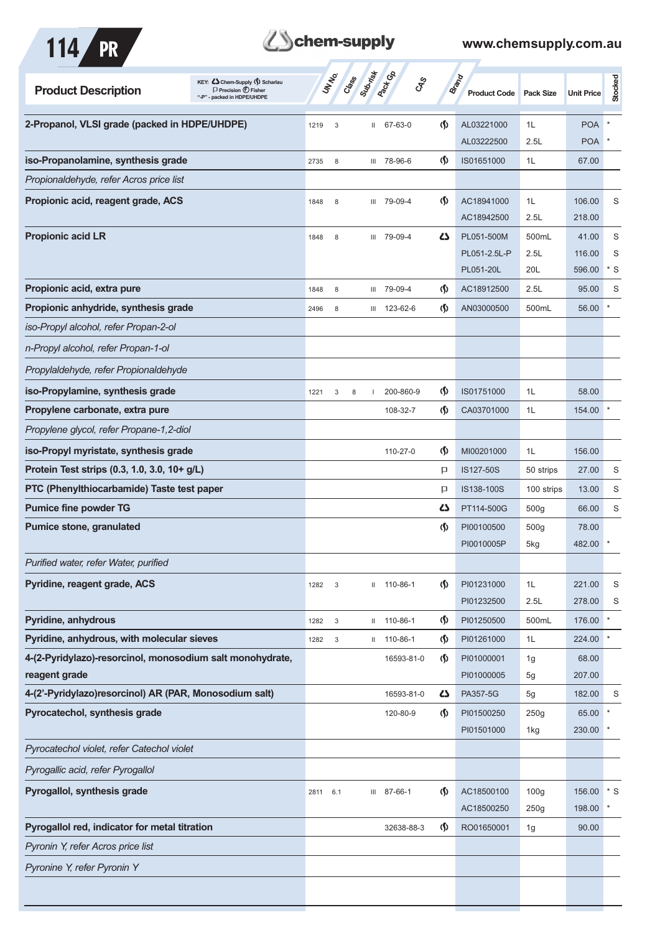

## **Z**Schem-supply

| KEY: C Chem-Supply (5) Scharlau<br><b>Product Description</b><br>$\Box$ Precision $\bigoplus$ Fisher<br>backed in HDPE/UHDPE |      | UN NO.                    | Crass | Submish | <b>Pack G</b> B<br>CAS |                                    | <b>Brand</b><br><b>Product Code</b> | <b>Pack Size</b>         | <b>Unit Price</b> | <b>Stocked</b>       |
|------------------------------------------------------------------------------------------------------------------------------|------|---------------------------|-------|---------|------------------------|------------------------------------|-------------------------------------|--------------------------|-------------------|----------------------|
| 2-Propanol, VLSI grade (packed in HDPE/UHDPE)                                                                                | 1219 | 3                         |       | Ш.      | 67-63-0                | $\langle \mathsf{S} \rangle$       | AL03221000                          | 1L                       | <b>POA</b>        |                      |
|                                                                                                                              |      |                           |       |         |                        |                                    | AL03222500                          | 2.5L                     | <b>POA</b>        |                      |
| iso-Propanolamine, synthesis grade                                                                                           | 2735 | 8                         |       |         | III 78-96-6            | $\varphi$                          | IS01651000                          | 1L                       | 67.00             |                      |
| Propionaldehyde, refer Acros price list                                                                                      |      |                           |       |         |                        |                                    |                                     |                          |                   |                      |
| Propionic acid, reagent grade, ACS                                                                                           | 1848 | 8                         |       |         | III 79-09-4            | $\langle \mathbf{\langle} \rangle$ | AC18941000<br>AC18942500            | 1L<br>2.5L               | 106.00<br>218.00  | S                    |
| <b>Propionic acid LR</b>                                                                                                     | 1848 | 8                         |       |         | III 79-09-4            | 5                                  | PL051-500M                          | 500mL                    | 41.00             | S                    |
|                                                                                                                              |      |                           |       |         |                        |                                    | PL051-2.5L-P                        | 2.5L                     | 116.00            | S                    |
|                                                                                                                              |      |                           |       |         |                        |                                    | PL051-20L                           | 20L                      | 596.00            | $*$ S                |
| Propionic acid, extra pure                                                                                                   | 1848 | 8                         |       |         | III 79-09-4            | $\langle \mathbf{\S} \rangle$      | AC18912500                          | 2.5L                     | 95.00             | S                    |
| Propionic anhydride, synthesis grade                                                                                         | 2496 | 8                         |       | Ш       | 123-62-6               | $\varphi$                          | AN03000500                          | 500mL                    | 56.00             | $\ast$               |
| iso-Propyl alcohol, refer Propan-2-ol                                                                                        |      |                           |       |         |                        |                                    |                                     |                          |                   |                      |
| n-Propyl alcohol, refer Propan-1-ol                                                                                          |      |                           |       |         |                        |                                    |                                     |                          |                   |                      |
| Propylaldehyde, refer Propionaldehyde                                                                                        |      |                           |       |         |                        |                                    |                                     |                          |                   |                      |
| iso-Propylamine, synthesis grade                                                                                             | 1221 | 3                         | 8     |         | 200-860-9              | $\langle \mathbf{\S} \rangle$      | IS01751000                          | 1L                       | 58.00             |                      |
| Propylene carbonate, extra pure                                                                                              |      |                           |       |         | 108-32-7               | $\langle \mathbf{\S} \rangle$      | CA03701000                          | 1L                       | 154.00            |                      |
| Propylene glycol, refer Propane-1,2-diol                                                                                     |      |                           |       |         |                        |                                    |                                     |                          |                   |                      |
| iso-Propyl myristate, synthesis grade                                                                                        |      |                           |       |         | 110-27-0               | $\langle \mathbf{\S} \rangle$      | MI00201000                          | 1L                       | 156.00            |                      |
| Protein Test strips (0.3, 1.0, 3.0, 10+ g/L)                                                                                 |      |                           |       |         |                        | P                                  | IS127-50S                           | 50 strips                | 27.00             | S                    |
| PTC (Phenylthiocarbamide) Taste test paper                                                                                   |      |                           |       |         |                        | P                                  | IS138-100S                          | 100 strips               | 13.00             | S                    |
| <b>Pumice fine powder TG</b>                                                                                                 |      |                           |       |         |                        | 5                                  | PT114-500G                          | 500 <sub>g</sub>         | 66.00             | S                    |
| <b>Pumice stone, granulated</b>                                                                                              |      |                           |       |         |                        | $\varphi$                          | PI00100500                          | 500g                     | 78.00             |                      |
|                                                                                                                              |      |                           |       |         |                        |                                    | PI0010005P                          | 5kg                      | 482.00            |                      |
| Purified water, refer Water, purified                                                                                        |      |                           |       |         |                        |                                    |                                     |                          |                   |                      |
| Pyridine, reagent grade, ACS                                                                                                 | 1282 | 3                         |       |         | $11 110-86-1$          | $\langle \mathbf{\S} \rangle$      | PI01231000<br>PI01232500            | 1L<br>2.5L               | 221.00<br>278.00  | S<br>S               |
| Pyridine, anhydrous                                                                                                          | 1282 | $\ensuremath{\mathsf{3}}$ |       | Ш.      | 110-86-1               | $\langle \mathbf{\S} \rangle$      | PI01250500                          | 500mL                    | 176.00            | $\pmb{\ast}$         |
| Pyridine, anhydrous, with molecular sieves                                                                                   | 1282 | $_{3}$                    |       |         | $11 110-86-1$          | $\langle \mathbf{\S} \rangle$      | PI01261000                          | 1L                       | 224.00            | $\ast$               |
| 4-(2-Pyridylazo)-resorcinol, monosodium salt monohydrate,                                                                    |      |                           |       |         | 16593-81-0             | $\langle \mathbf{\S} \rangle$      | PI01000001                          | 1g                       | 68.00             |                      |
| reagent grade                                                                                                                |      |                           |       |         |                        |                                    | PI01000005                          | 5g                       | 207.00            |                      |
| 4-(2'-Pyridylazo)resorcinol) AR (PAR, Monosodium salt)                                                                       |      |                           |       |         | 16593-81-0             | 5                                  | PA357-5G                            | 5g                       | 182.00            | S                    |
| Pyrocatechol, synthesis grade                                                                                                |      |                           |       |         | 120-80-9               | $\langle \mathbf{\S} \rangle$      | PI01500250<br>PI01501000            | 250g<br>1kg              | 65.00<br>230.00   |                      |
| Pyrocatechol violet, refer Catechol violet                                                                                   |      |                           |       |         |                        |                                    |                                     |                          |                   |                      |
| Pyrogallic acid, refer Pyrogallol                                                                                            |      |                           |       |         |                        |                                    |                                     |                          |                   |                      |
| Pyrogallol, synthesis grade                                                                                                  | 2811 | 6.1                       |       |         | III 87-66-1            | $\langle \mathbf{\S} \rangle$      | AC18500100<br>AC18500250            | 100 <sub>g</sub><br>250g | 156.00<br>198.00  | $^\star$ S<br>$\ast$ |
| Pyrogallol red, indicator for metal titration                                                                                |      |                           |       |         | 32638-88-3             | $\langle \mathbf{\S} \rangle$      | RO01650001                          | 1g                       | 90.00             |                      |
| Pyronin Y, refer Acros price list                                                                                            |      |                           |       |         |                        |                                    |                                     |                          |                   |                      |
|                                                                                                                              |      |                           |       |         |                        |                                    |                                     |                          |                   |                      |
| Pyronine Y, refer Pyronin Y                                                                                                  |      |                           |       |         |                        |                                    |                                     |                          |                   |                      |
|                                                                                                                              |      |                           |       |         |                        |                                    |                                     |                          |                   |                      |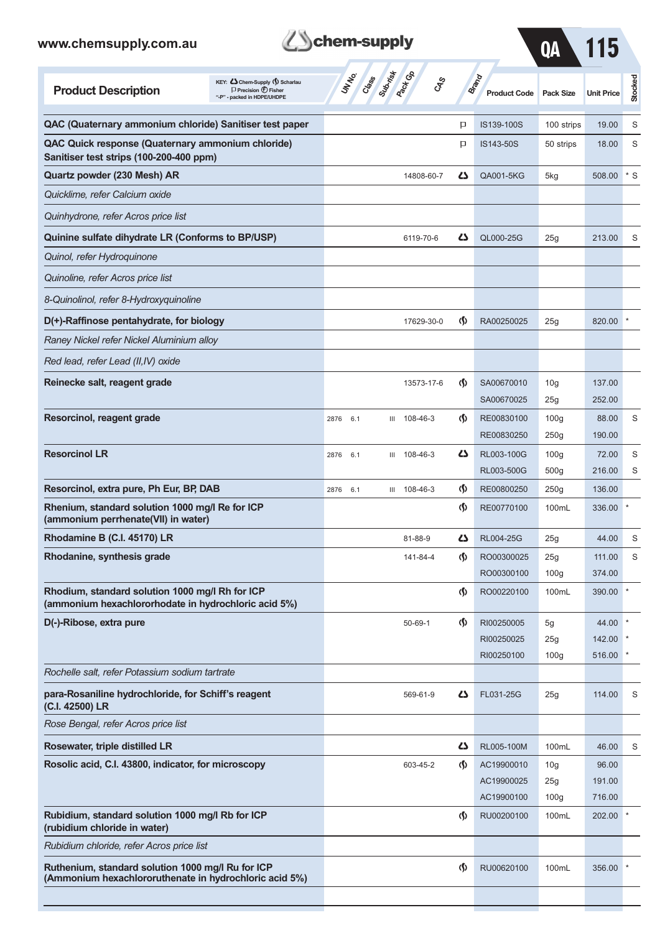



 $\boldsymbol{T}$ 

| QAC (Quaternary ammonium chloride) Sanitiser test paper<br>P<br>IS139-100S<br>100 strips<br>19.00<br>QAC Quick response (Quaternary ammonium chloride)<br>p<br>IS143-50S<br>18.00<br>50 strips<br>Sanitiser test strips (100-200-400 ppm)<br>Quartz powder (230 Mesh) AR<br>دے<br>QA001-5KG<br>508.00<br>14808-60-7<br>5kg<br>Quicklime, refer Calcium oxide<br>Quinhydrone, refer Acros price list<br>Quinine sulfate dihydrate LR (Conforms to BP/USP)<br>Ω<br>QL000-25G<br>25g<br>213.00<br>6119-70-6<br>Quinol, refer Hydroquinone<br>Quinoline, refer Acros price list<br>8-Quinolinol, refer 8-Hydroxyquinoline<br>D(+)-Raffinose pentahydrate, for biology<br>$\Phi$<br>820.00<br>RA00250025<br>25g<br>17629-30-0<br>Raney Nickel refer Nickel Aluminium alloy<br>Red lead, refer Lead (II, IV) oxide<br>Reinecke salt, reagent grade<br>$\langle \mathbf{\langle} \rangle$<br>SA00670010<br>137.00<br>13573-17-6<br>10 <sub>g</sub><br>SA00670025<br>252.00<br>25g<br>Resorcinol, reagent grade<br>$\Phi$<br>108-46-3<br>RE00830100<br>100 <sub>g</sub><br>88.00<br>6.1<br>Ш<br>2876<br>RE00830250<br>250g<br>190.00 | Stocked |
|------------------------------------------------------------------------------------------------------------------------------------------------------------------------------------------------------------------------------------------------------------------------------------------------------------------------------------------------------------------------------------------------------------------------------------------------------------------------------------------------------------------------------------------------------------------------------------------------------------------------------------------------------------------------------------------------------------------------------------------------------------------------------------------------------------------------------------------------------------------------------------------------------------------------------------------------------------------------------------------------------------------------------------------------------------------------------------------------------------------------------|---------|
|                                                                                                                                                                                                                                                                                                                                                                                                                                                                                                                                                                                                                                                                                                                                                                                                                                                                                                                                                                                                                                                                                                                              | S       |
|                                                                                                                                                                                                                                                                                                                                                                                                                                                                                                                                                                                                                                                                                                                                                                                                                                                                                                                                                                                                                                                                                                                              | S       |
|                                                                                                                                                                                                                                                                                                                                                                                                                                                                                                                                                                                                                                                                                                                                                                                                                                                                                                                                                                                                                                                                                                                              | $*$ S   |
|                                                                                                                                                                                                                                                                                                                                                                                                                                                                                                                                                                                                                                                                                                                                                                                                                                                                                                                                                                                                                                                                                                                              |         |
|                                                                                                                                                                                                                                                                                                                                                                                                                                                                                                                                                                                                                                                                                                                                                                                                                                                                                                                                                                                                                                                                                                                              |         |
|                                                                                                                                                                                                                                                                                                                                                                                                                                                                                                                                                                                                                                                                                                                                                                                                                                                                                                                                                                                                                                                                                                                              | S       |
|                                                                                                                                                                                                                                                                                                                                                                                                                                                                                                                                                                                                                                                                                                                                                                                                                                                                                                                                                                                                                                                                                                                              |         |
|                                                                                                                                                                                                                                                                                                                                                                                                                                                                                                                                                                                                                                                                                                                                                                                                                                                                                                                                                                                                                                                                                                                              |         |
|                                                                                                                                                                                                                                                                                                                                                                                                                                                                                                                                                                                                                                                                                                                                                                                                                                                                                                                                                                                                                                                                                                                              |         |
|                                                                                                                                                                                                                                                                                                                                                                                                                                                                                                                                                                                                                                                                                                                                                                                                                                                                                                                                                                                                                                                                                                                              |         |
|                                                                                                                                                                                                                                                                                                                                                                                                                                                                                                                                                                                                                                                                                                                                                                                                                                                                                                                                                                                                                                                                                                                              |         |
|                                                                                                                                                                                                                                                                                                                                                                                                                                                                                                                                                                                                                                                                                                                                                                                                                                                                                                                                                                                                                                                                                                                              |         |
|                                                                                                                                                                                                                                                                                                                                                                                                                                                                                                                                                                                                                                                                                                                                                                                                                                                                                                                                                                                                                                                                                                                              |         |
|                                                                                                                                                                                                                                                                                                                                                                                                                                                                                                                                                                                                                                                                                                                                                                                                                                                                                                                                                                                                                                                                                                                              |         |
|                                                                                                                                                                                                                                                                                                                                                                                                                                                                                                                                                                                                                                                                                                                                                                                                                                                                                                                                                                                                                                                                                                                              | S       |
|                                                                                                                                                                                                                                                                                                                                                                                                                                                                                                                                                                                                                                                                                                                                                                                                                                                                                                                                                                                                                                                                                                                              |         |
| <b>Resorcinol LR</b><br>Δ<br>RL003-100G<br>100 <sub>g</sub><br>72.00<br>108-46-3<br>2876<br>6.1<br>Ш                                                                                                                                                                                                                                                                                                                                                                                                                                                                                                                                                                                                                                                                                                                                                                                                                                                                                                                                                                                                                         | S       |
| 500 <sub>g</sub><br>216.00<br>RL003-500G<br>Resorcinol, extra pure, Ph Eur, BP, DAB<br>$\langle \mathsf{S} \rangle$<br>RE00800250<br>136.00<br>III 108-46-3<br>250g<br>2876 6.1                                                                                                                                                                                                                                                                                                                                                                                                                                                                                                                                                                                                                                                                                                                                                                                                                                                                                                                                              | S       |
| Rhenium, standard solution 1000 mg/l Re for ICP<br>$\langle \mathsf{S} \rangle$<br>RE00770100<br>100mL<br>336.00                                                                                                                                                                                                                                                                                                                                                                                                                                                                                                                                                                                                                                                                                                                                                                                                                                                                                                                                                                                                             |         |
| (ammonium perrhenate(VII) in water)                                                                                                                                                                                                                                                                                                                                                                                                                                                                                                                                                                                                                                                                                                                                                                                                                                                                                                                                                                                                                                                                                          |         |
| Rhodamine B (C.I. 45170) LR<br>دے<br>RL004-25G<br>44.00<br>81-88-9<br>25g                                                                                                                                                                                                                                                                                                                                                                                                                                                                                                                                                                                                                                                                                                                                                                                                                                                                                                                                                                                                                                                    | S       |
| Rhodanine, synthesis grade<br>$\langle \mathbf{\langle} \rangle$<br>RO00300025<br>141-84-4<br>25g<br>111.00                                                                                                                                                                                                                                                                                                                                                                                                                                                                                                                                                                                                                                                                                                                                                                                                                                                                                                                                                                                                                  | S       |
| RO00300100<br>100 <sub>g</sub><br>374.00                                                                                                                                                                                                                                                                                                                                                                                                                                                                                                                                                                                                                                                                                                                                                                                                                                                                                                                                                                                                                                                                                     |         |
| Rhodium, standard solution 1000 mg/l Rh for ICP<br>$\Phi$<br>390.00<br>RO00220100<br>100mL<br>(ammonium hexachlororhodate in hydrochloric acid 5%)                                                                                                                                                                                                                                                                                                                                                                                                                                                                                                                                                                                                                                                                                                                                                                                                                                                                                                                                                                           |         |
| D(-)-Ribose, extra pure<br>$\Phi$<br>$50 - 69 - 1$<br>RI00250005<br>44.00<br>5g                                                                                                                                                                                                                                                                                                                                                                                                                                                                                                                                                                                                                                                                                                                                                                                                                                                                                                                                                                                                                                              |         |
| RI00250025<br>25g<br>142.00                                                                                                                                                                                                                                                                                                                                                                                                                                                                                                                                                                                                                                                                                                                                                                                                                                                                                                                                                                                                                                                                                                  |         |
| RI00250100<br>516.00<br>100 <sub>g</sub>                                                                                                                                                                                                                                                                                                                                                                                                                                                                                                                                                                                                                                                                                                                                                                                                                                                                                                                                                                                                                                                                                     |         |
| Rochelle salt, refer Potassium sodium tartrate                                                                                                                                                                                                                                                                                                                                                                                                                                                                                                                                                                                                                                                                                                                                                                                                                                                                                                                                                                                                                                                                               |         |
| para-Rosaniline hydrochloride, for Schiff's reagent<br>45<br>FL031-25G<br>25g<br>114.00<br>569-61-9<br>(C.I. 42500) LR                                                                                                                                                                                                                                                                                                                                                                                                                                                                                                                                                                                                                                                                                                                                                                                                                                                                                                                                                                                                       | S       |
| Rose Bengal, refer Acros price list                                                                                                                                                                                                                                                                                                                                                                                                                                                                                                                                                                                                                                                                                                                                                                                                                                                                                                                                                                                                                                                                                          |         |
| Rosewater, triple distilled LR<br>5<br>RL005-100M<br>100mL<br>46.00                                                                                                                                                                                                                                                                                                                                                                                                                                                                                                                                                                                                                                                                                                                                                                                                                                                                                                                                                                                                                                                          | S       |
| Rosolic acid, C.I. 43800, indicator, for microscopy<br>$\langle \mathbf{\S} \rangle$<br>AC19900010<br>96.00<br>603-45-2<br>10 <sub>g</sub>                                                                                                                                                                                                                                                                                                                                                                                                                                                                                                                                                                                                                                                                                                                                                                                                                                                                                                                                                                                   |         |
| AC19900025<br>25g<br>191.00<br>AC19900100<br>100 <sub>g</sub><br>716.00                                                                                                                                                                                                                                                                                                                                                                                                                                                                                                                                                                                                                                                                                                                                                                                                                                                                                                                                                                                                                                                      |         |
| Rubidium, standard solution 1000 mg/l Rb for ICP<br>$\langle \mathbf{\S} \rangle$<br>RU00200100<br>100mL<br>202.00<br>(rubidium chloride in water)                                                                                                                                                                                                                                                                                                                                                                                                                                                                                                                                                                                                                                                                                                                                                                                                                                                                                                                                                                           |         |
| Rubidium chloride, refer Acros price list                                                                                                                                                                                                                                                                                                                                                                                                                                                                                                                                                                                                                                                                                                                                                                                                                                                                                                                                                                                                                                                                                    |         |
| Ruthenium, standard solution 1000 mg/l Ru for ICP<br>$\Phi$<br>RU00620100<br>100mL<br>356.00<br>(Ammonium hexachlororuthenate in hydrochloric acid 5%)                                                                                                                                                                                                                                                                                                                                                                                                                                                                                                                                                                                                                                                                                                                                                                                                                                                                                                                                                                       |         |
|                                                                                                                                                                                                                                                                                                                                                                                                                                                                                                                                                                                                                                                                                                                                                                                                                                                                                                                                                                                                                                                                                                                              |         |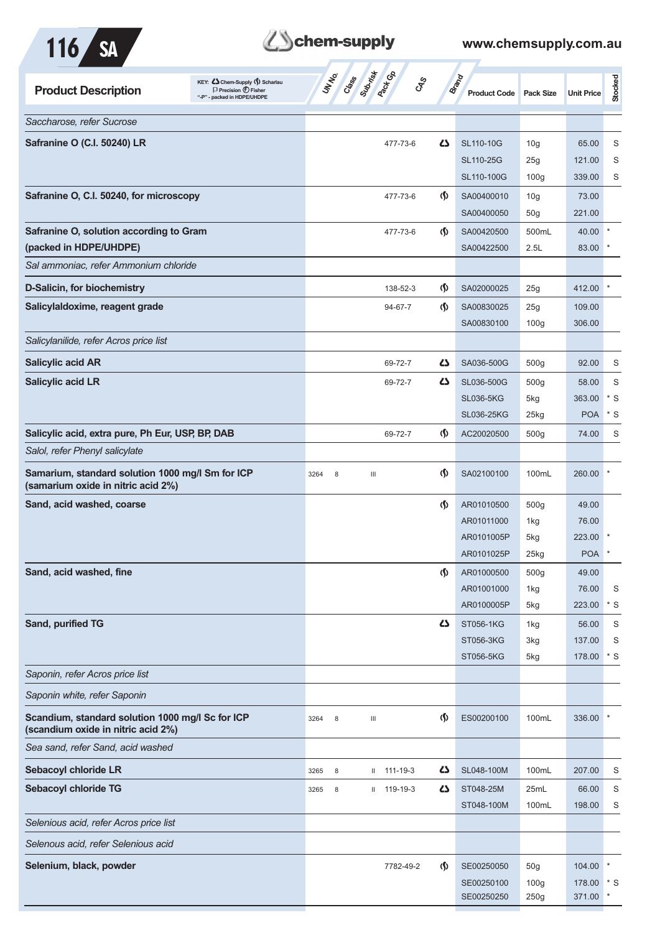| и<br>× × |  |
|----------|--|
|          |  |



| KEY: Cohem-Supply (5) Scharlau<br><b>Product Description</b><br>$\Box$ Precision $\bigoplus$ Fisher<br>"-P" - packed in HDPE/UHDPE | Substitute of<br>UNIVO<br>Crass<br>$\mathcal{S}_{\mathcal{S}}$ |                                    | <b>Brand</b><br><b>Product Code</b> | <b>Pack Size</b>                    | <b>Unit Price</b> | Stocked      |
|------------------------------------------------------------------------------------------------------------------------------------|----------------------------------------------------------------|------------------------------------|-------------------------------------|-------------------------------------|-------------------|--------------|
| Saccharose, refer Sucrose                                                                                                          |                                                                |                                    |                                     |                                     |                   |              |
| Safranine O (C.I. 50240) LR                                                                                                        | 477-73-6                                                       | 4                                  | SL110-10G                           | 10 <sub>g</sub>                     | 65.00             | S            |
|                                                                                                                                    |                                                                |                                    | SL110-25G                           | 25g                                 | 121.00            | S            |
|                                                                                                                                    |                                                                |                                    | SL110-100G                          | 100 <sub>g</sub>                    | 339.00            | S            |
| Safranine O, C.I. 50240, for microscopy                                                                                            | 477-73-6                                                       | $\langle \mathbf{\langle} \rangle$ | SA00400010                          | 10 <sub>g</sub>                     | 73.00             |              |
|                                                                                                                                    |                                                                |                                    | SA00400050                          | 50 <sub>g</sub>                     | 221.00            |              |
| Safranine O, solution according to Gram                                                                                            | 477-73-6                                                       | $\langle \mathsf{S} \rangle$       | SA00420500                          | 500mL                               | 40.00             |              |
| (packed in HDPE/UHDPE)                                                                                                             |                                                                |                                    | SA00422500                          | 2.5L                                | 83.00             |              |
| Sal ammoniac, refer Ammonium chloride                                                                                              |                                                                |                                    |                                     |                                     |                   |              |
| D-Salicin, for biochemistry                                                                                                        | 138-52-3                                                       | $\langle \mathbf{\S} \rangle$      | SA02000025                          | 25g                                 | 412.00            |              |
| Salicylaldoxime, reagent grade                                                                                                     | 94-67-7                                                        | $\langle \mathbf{\langle} \rangle$ | SA00830025                          | 25g                                 | 109.00            |              |
|                                                                                                                                    |                                                                |                                    | SA00830100                          | 100 <sub>g</sub>                    | 306.00            |              |
| Salicylanilide, refer Acros price list                                                                                             |                                                                |                                    |                                     |                                     |                   |              |
| <b>Salicylic acid AR</b>                                                                                                           | 69-72-7                                                        | 5                                  | SA036-500G                          | 500 <sub>g</sub>                    | 92.00             | S            |
| <b>Salicylic acid LR</b>                                                                                                           | 69-72-7                                                        | 42                                 | SL036-500G                          | 500g                                | 58.00             | S            |
|                                                                                                                                    |                                                                |                                    | <b>SL036-5KG</b>                    | 5kg                                 | 363.00            | $*$ S        |
|                                                                                                                                    |                                                                |                                    | <b>SL036-25KG</b>                   | 25kg                                | <b>POA</b>        | $*$ S        |
| Salicylic acid, extra pure, Ph Eur, USP, BP, DAB                                                                                   | 69-72-7                                                        | $\langle \mathbf{\S} \rangle$      | AC20020500                          | 500 <sub>g</sub>                    | 74.00             | S            |
| Salol, refer Phenyl salicylate                                                                                                     |                                                                |                                    |                                     |                                     |                   |              |
| Samarium, standard solution 1000 mg/l Sm for ICP<br>(samarium oxide in nitric acid 2%)                                             | 3264<br>8<br>Ш                                                 | $\Phi$                             | SA02100100                          | 100mL                               | 260.00            |              |
| Sand, acid washed, coarse                                                                                                          |                                                                | $\Phi$                             | AR01010500                          | 500g                                | 49.00             |              |
|                                                                                                                                    |                                                                |                                    | AR01011000                          | 1kg                                 | 76.00             |              |
|                                                                                                                                    |                                                                |                                    | AR0101005P                          | 5kg                                 | 223.00            |              |
|                                                                                                                                    |                                                                |                                    | AR0101025P                          | 25kg                                | <b>POA</b>        |              |
| Sand, acid washed, fine                                                                                                            |                                                                | $\langle \mathbf{\langle}$         | AR01000500                          | 500g                                | 49.00             |              |
|                                                                                                                                    |                                                                |                                    | AR01001000                          | 1kg                                 | 76.00             | S            |
|                                                                                                                                    |                                                                |                                    | AR0100005P                          | 5kg                                 | 223.00            | $*$ S        |
| Sand, purified TG                                                                                                                  |                                                                | 4                                  | ST056-1KG<br>ST056-3KG              | 1kg<br>3kg                          | 56.00<br>137.00   | S<br>S       |
|                                                                                                                                    |                                                                |                                    | ST056-5KG                           | 5kg                                 | 178.00            | $*$ S        |
| Saponin, refer Acros price list                                                                                                    |                                                                |                                    |                                     |                                     |                   |              |
| Saponin white, refer Saponin                                                                                                       |                                                                |                                    |                                     |                                     |                   |              |
| Scandium, standard solution 1000 mg/l Sc for ICP<br>(scandium oxide in nitric acid 2%)                                             | 3264<br>8<br>Ш                                                 | $\Phi$                             | ES00200100                          | 100mL                               | 336.00            |              |
| Sea sand, refer Sand, acid washed                                                                                                  |                                                                |                                    |                                     |                                     |                   |              |
| <b>Sebacoyl chloride LR</b>                                                                                                        | 8<br>$11 111 - 19 - 3$<br>3265                                 | 5                                  | SL048-100M                          | 100mL                               | 207.00            | S            |
| Sebacoyl chloride TG                                                                                                               | $11 119 - 19 - 3$<br>3265<br>8                                 | 45                                 | ST048-25M                           | 25mL                                | 66.00             | S            |
|                                                                                                                                    |                                                                |                                    | ST048-100M                          | 100mL                               | 198.00            | S            |
| Selenious acid, refer Acros price list                                                                                             |                                                                |                                    |                                     |                                     |                   |              |
| Selenous acid, refer Selenious acid                                                                                                |                                                                |                                    |                                     |                                     |                   |              |
|                                                                                                                                    |                                                                |                                    |                                     |                                     |                   | $\ast$       |
| Selenium, black, powder                                                                                                            | 7782-49-2                                                      | $\langle \mathbf{\S} \rangle$      | SE00250050<br>SE00250100            | 50 <sub>g</sub><br>100 <sub>g</sub> | 104.00<br>178.00  | $\mathbf{K}$ |
|                                                                                                                                    |                                                                |                                    | SE00250250                          | 250g                                | 371.00            |              |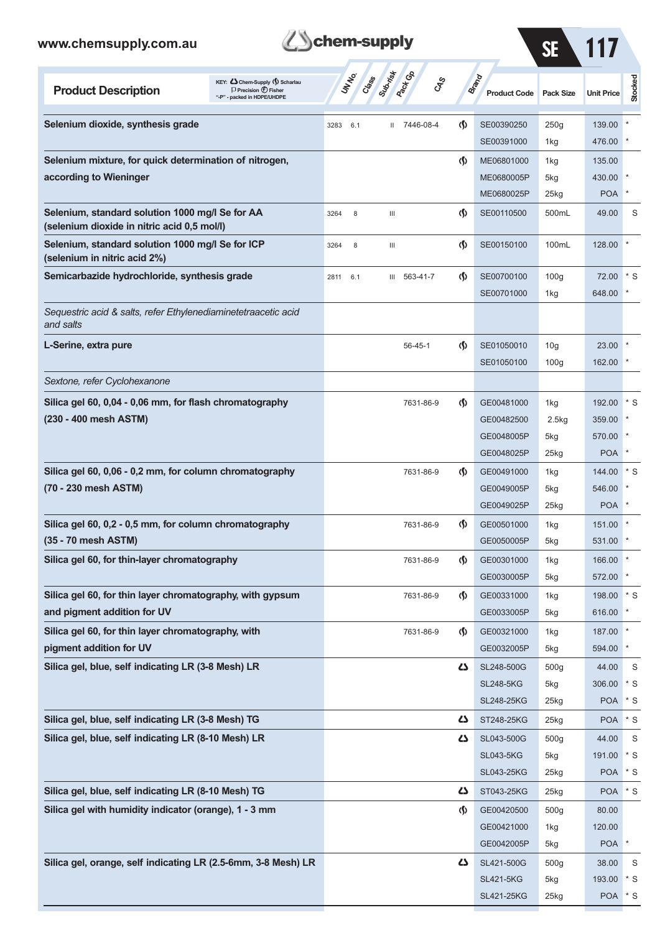

SE 117

SL421-25KG 25kg POA \* S

| KEY: Cohem-Supply (5) Scharlau<br><b>Product Description</b><br>$\Box$ Precision $\bigcirc$ Fisher<br>"-P" - packed in HDPE/UHDPE | Class<br><b>Racifica</b><br>UN NO.<br><b>GRS</b> |                                    | <b>Brand</b><br><b>Product Code</b> | <b>Pack Size</b> | <b>Unit Price</b> | Stocked           |
|-----------------------------------------------------------------------------------------------------------------------------------|--------------------------------------------------|------------------------------------|-------------------------------------|------------------|-------------------|-------------------|
| Selenium dioxide, synthesis grade                                                                                                 | 7446-08-4<br>3283<br>6.1<br>$\mathbf{H}$         | $\langle \mathbf{\S} \rangle$      | SE00390250                          | 250g             | 139.00            |                   |
|                                                                                                                                   |                                                  |                                    | SE00391000                          | 1kg              | 476.00            |                   |
| Selenium mixture, for quick determination of nitrogen,                                                                            |                                                  | $\langle \mathbf{\S} \rangle$      | ME06801000                          | 1kg              | 135.00            |                   |
| according to Wieninger                                                                                                            |                                                  |                                    | ME0680005P                          | 5kg              | 430.00            |                   |
|                                                                                                                                   |                                                  |                                    | ME0680025P                          | 25kg             | <b>POA</b>        |                   |
| Selenium, standard solution 1000 mg/l Se for AA<br>(selenium dioxide in nitric acid 0,5 mol/l)                                    | 8<br>$\ensuremath{\mathsf{III}}\xspace$<br>3264  | $\langle \mathbf{\S} \rangle$      | SE00110500                          | 500mL            | 49.00             | S                 |
| Selenium, standard solution 1000 mg/l Se for ICP<br>(selenium in nitric acid 2%)                                                  | 8<br>Ш<br>3264                                   | $\langle \mathbf{\S} \rangle$      | SE00150100                          | 100mL            | 128.00            |                   |
| Semicarbazide hydrochloride, synthesis grade                                                                                      | III 563-41-7<br>6.1<br>2811                      | $\langle \langle \rangle$          | SE00700100                          | 100 <sub>g</sub> | 72.00             | * S               |
|                                                                                                                                   |                                                  |                                    | SE00701000                          | 1kg              | 648.00            |                   |
| Sequestric acid & salts, refer Ethylenediaminetetraacetic acid<br>and salts                                                       |                                                  |                                    |                                     |                  |                   |                   |
| L-Serine, extra pure                                                                                                              | $56 - 45 - 1$                                    | $\langle \mathbf{\langle} \rangle$ | SE01050010                          | 10 <sub>g</sub>  | 23.00             |                   |
|                                                                                                                                   |                                                  |                                    | SE01050100                          | 100 <sub>g</sub> | 162.00            |                   |
| Sextone, refer Cyclohexanone                                                                                                      |                                                  |                                    |                                     |                  |                   |                   |
| Silica gel 60, 0,04 - 0,06 mm, for flash chromatography                                                                           | 7631-86-9                                        | $\langle \mathbf{\S} \rangle$      | GE00481000                          | 1kg              | 192.00            | $\mathbf{S}^*$    |
| (230 - 400 mesh ASTM)                                                                                                             |                                                  |                                    | GE00482500                          | 2.5kg            | 359.00            |                   |
|                                                                                                                                   |                                                  |                                    | GE0048005P                          | 5kg              | 570.00            |                   |
|                                                                                                                                   |                                                  |                                    | GE0048025P                          | $25$ kg          | <b>POA</b>        |                   |
| Silica gel 60, 0,06 - 0,2 mm, for column chromatography                                                                           | 7631-86-9                                        | $\langle \mathbf{\S} \rangle$      | GE00491000                          | 1kg              | 144.00            | $\mathbf{S}^*$    |
| (70 - 230 mesh ASTM)                                                                                                              |                                                  |                                    | GE0049005P                          | 5kg              | 546.00            |                   |
|                                                                                                                                   |                                                  |                                    | GE0049025P                          | $25$ kg          | <b>POA</b>        |                   |
| Silica gel 60, 0,2 - 0,5 mm, for column chromatography                                                                            | 7631-86-9                                        | $\langle \mathbf{\langle}$         | GE00501000                          | 1kg              | 151.00            |                   |
| (35 - 70 mesh ASTM)                                                                                                               |                                                  |                                    | GE0050005P                          | 5kg              | 531.00            |                   |
| Silica gel 60, for thin-layer chromatography                                                                                      | 7631-86-9                                        | (§)                                | GE00301000                          | 1kg              | 166.00            |                   |
|                                                                                                                                   |                                                  |                                    | GE0030005P                          | 5kg              | 572.00            | $^\star$          |
| Silica gel 60, for thin layer chromatography, with gypsum                                                                         | 7631-86-9                                        | $\langle \mathbf{\S} \rangle$      | GE00331000                          | 1kg              | 198.00 * S        |                   |
| and pigment addition for UV                                                                                                       |                                                  |                                    | GE0033005P                          | 5kg              | 616.00            | $^\star$          |
| Silica gel 60, for thin layer chromatography, with                                                                                | 7631-86-9                                        | $\langle \mathbf{\S} \rangle$      | GE00321000                          | 1kg              | 187.00            |                   |
| pigment addition for UV                                                                                                           |                                                  |                                    | GE0032005P                          | 5kg              | 594.00            |                   |
| Silica gel, blue, self indicating LR (3-8 Mesh) LR                                                                                |                                                  | ひ                                  | SL248-500G                          | 500g             | 44.00             | S                 |
|                                                                                                                                   |                                                  |                                    | <b>SL248-5KG</b>                    | 5kg              | 306.00            | $*$ S             |
|                                                                                                                                   |                                                  |                                    | <b>SL248-25KG</b>                   | 25kg             | <b>POA</b>        | $*$ S             |
| Silica gel, blue, self indicating LR (3-8 Mesh) TG                                                                                |                                                  | 42                                 | ST248-25KG                          | 25kg             | <b>POA</b>        | $^\star$ S        |
| Silica gel, blue, self indicating LR (8-10 Mesh) LR                                                                               |                                                  | 4                                  | SL043-500G                          | 500g             | 44.00             | S                 |
|                                                                                                                                   |                                                  |                                    | <b>SL043-5KG</b>                    | 5kg              | 191.00            | $*$ S             |
|                                                                                                                                   |                                                  |                                    | SL043-25KG                          | 25kg             | <b>POA</b>        | $\mathbf{\ast}$ s |
| Silica gel, blue, self indicating LR (8-10 Mesh) TG                                                                               |                                                  | 5                                  | ST043-25KG                          | 25kg             | <b>POA</b>        | $^\star$ S        |
| Silica gel with humidity indicator (orange), 1 - 3 mm                                                                             |                                                  | $\langle \mathsf{S} \rangle$       | GE00420500                          | 500g             | 80.00             |                   |
|                                                                                                                                   |                                                  |                                    | GE00421000                          | 1kg              | 120.00            |                   |
|                                                                                                                                   |                                                  |                                    | GE0042005P                          | 5kg              | <b>POA</b>        | $\star$           |
| Silica gel, orange, self indicating LR (2.5-6mm, 3-8 Mesh) LR                                                                     |                                                  | 42                                 | SL421-500G                          | 500g             | 38.00             | S                 |
|                                                                                                                                   |                                                  |                                    | <b>SL421-5KG</b>                    | 5kg              | 193.00 * S        |                   |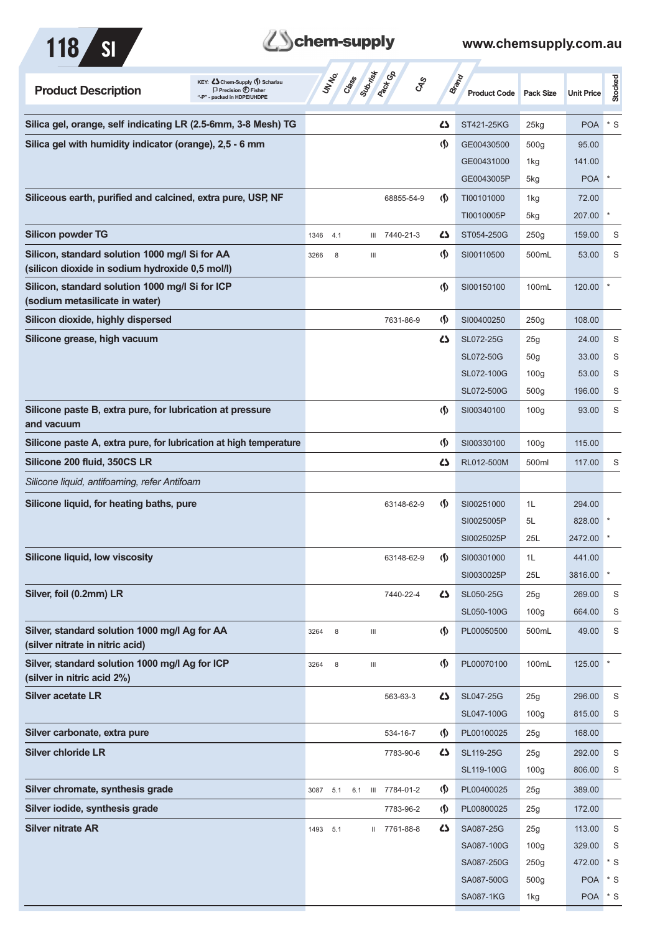



| <b>Product Description</b>                                                                        | KEY: Cohem-Supply (5) Scharlau<br>$\Box$ Precision $\bigoplus$ Fisher<br>"-P" - packed in HDPE/UHDPE |      | UNINO | Class Superior Co. |                                    | <b>GRS</b>    |                                      | <b>Brand</b><br><b>Product Code</b> | <b>Pack Size</b>        | <b>Unit Price</b>     | Stocked |
|---------------------------------------------------------------------------------------------------|------------------------------------------------------------------------------------------------------|------|-------|--------------------|------------------------------------|---------------|--------------------------------------|-------------------------------------|-------------------------|-----------------------|---------|
| Silica gel, orange, self indicating LR (2.5-6mm, 3-8 Mesh) TG                                     |                                                                                                      |      |       |                    |                                    |               | ひ                                    | ST421-25KG                          | 25kg                    | <b>POA</b>            | $*$ S   |
| Silica gel with humidity indicator (orange), 2,5 - 6 mm                                           |                                                                                                      |      |       |                    |                                    |               | $\langle \mathsf{S} \rangle$         | GE00430500                          | 500g                    | 95.00                 |         |
|                                                                                                   |                                                                                                      |      |       |                    |                                    |               |                                      | GE00431000                          | 1kg                     | 141.00                |         |
|                                                                                                   |                                                                                                      |      |       |                    |                                    |               |                                      | GE0043005P                          | 5kg                     | <b>POA</b>            |         |
| Siliceous earth, purified and calcined, extra pure, USP, NF                                       |                                                                                                      |      |       |                    |                                    | 68855-54-9    | $\langle \mathsf{S} \rangle$         | TI00101000                          | 1kg                     | 72.00                 |         |
|                                                                                                   |                                                                                                      |      |       |                    |                                    |               |                                      | TI0010005P                          | 5kg                     | 207.00                |         |
| <b>Silicon powder TG</b>                                                                          |                                                                                                      | 1346 | 4.1   |                    |                                    | III 7440-21-3 | دے                                   | ST054-250G                          | 250g                    | 159.00                | S       |
| Silicon, standard solution 1000 mg/l Si for AA<br>(silicon dioxide in sodium hydroxide 0,5 mol/l) |                                                                                                      | 3266 | 8     |                    | Ш                                  |               | $\langle \mathsf{S} \rangle$         | SI00110500                          | 500mL                   | 53.00                 | S       |
| Silicon, standard solution 1000 mg/l Si for ICP<br>(sodium metasilicate in water)                 |                                                                                                      |      |       |                    |                                    |               | $\langle \mathbf{\S} \rangle$        | SI00150100                          | 100mL                   | 120.00                |         |
| Silicon dioxide, highly dispersed                                                                 |                                                                                                      |      |       |                    |                                    | 7631-86-9     | $\langle \mathbf{\S} \rangle$        | SI00400250                          | 250g                    | 108.00                |         |
| Silicone grease, high vacuum                                                                      |                                                                                                      |      |       |                    |                                    |               | ひ                                    | SL072-25G                           | 25g                     | 24.00                 | S       |
|                                                                                                   |                                                                                                      |      |       |                    |                                    |               |                                      | SL072-50G                           | 50 <sub>g</sub>         | 33.00                 | S       |
|                                                                                                   |                                                                                                      |      |       |                    |                                    |               |                                      | SL072-100G                          | 100 <sub>g</sub>        | 53.00                 | S       |
|                                                                                                   |                                                                                                      |      |       |                    |                                    |               |                                      | SL072-500G                          | 500 <sub>g</sub>        | 196.00                | S       |
| Silicone paste B, extra pure, for lubrication at pressure<br>and vacuum                           |                                                                                                      |      |       |                    |                                    |               | $\langle \mathbf{\S} \rangle$        | SI00340100                          | 100 <sub>g</sub>        | 93.00                 | S       |
| Silicone paste A, extra pure, for lubrication at high temperature                                 |                                                                                                      |      |       |                    |                                    |               | $\langle \mathbf{\S} \rangle$        | SI00330100                          | 100 <sub>g</sub>        | 115.00                |         |
| Silicone 200 fluid, 350CS LR                                                                      |                                                                                                      |      |       |                    |                                    |               | ひ                                    | RL012-500M                          | 500ml                   | 117.00                | S       |
| Silicone liquid, antifoaming, refer Antifoam                                                      |                                                                                                      |      |       |                    |                                    |               |                                      |                                     |                         |                       |         |
| Silicone liquid, for heating baths, pure                                                          |                                                                                                      |      |       |                    |                                    | 63148-62-9    | $\langle \mathsf{S} \rangle$         | SI00251000                          | 1L                      | 294.00                |         |
|                                                                                                   |                                                                                                      |      |       |                    |                                    |               |                                      | SI0025005P                          | 5L                      | 828.00                |         |
|                                                                                                   |                                                                                                      |      |       |                    |                                    |               |                                      | SI0025025P                          | 25L                     | 2472.00               |         |
| Silicone liquid, low viscosity                                                                    |                                                                                                      |      |       |                    |                                    | 63148-62-9    | (Ş)                                  | SI00301000                          | 1L                      | 441.00                | $\ast$  |
| Silver, foil (0.2mm) LR                                                                           |                                                                                                      |      |       |                    |                                    |               | 5                                    | SI0030025P<br>SL050-25G             | 25L                     | 3816.00<br>269.00     |         |
|                                                                                                   |                                                                                                      |      |       |                    |                                    | 7440-22-4     |                                      | SL050-100G                          | 25g<br>100 <sub>g</sub> | 664.00                | S<br>S  |
| Silver, standard solution 1000 mg/l Ag for AA<br>(silver nitrate in nitric acid)                  |                                                                                                      | 3264 | 8     |                    | $\ensuremath{\mathsf{III}}\xspace$ |               | $\Phi$                               | PL00050500                          | 500mL                   | 49.00                 | S       |
| Silver, standard solution 1000 mg/l Ag for ICP<br>(silver in nitric acid 2%)                      |                                                                                                      | 3264 | 8     |                    | $\ensuremath{\mathsf{III}}\xspace$ |               | $\langle \mathsf{S} \rangle$         | PL00070100                          | 100mL                   | 125.00                |         |
| <b>Silver acetate LR</b>                                                                          |                                                                                                      |      |       |                    |                                    | 563-63-3      | ひ                                    | SL047-25G                           | 25g                     | 296.00                | S       |
|                                                                                                   |                                                                                                      |      |       |                    |                                    |               |                                      | SL047-100G                          | 100 <sub>g</sub>        | 815.00                | S       |
| Silver carbonate, extra pure                                                                      |                                                                                                      |      |       |                    |                                    | 534-16-7      | $\langle \mathbf{\S} \rangle$        | PL00100025                          | 25g                     | 168.00                |         |
| <b>Silver chloride LR</b>                                                                         |                                                                                                      |      |       |                    |                                    | 7783-90-6     | 5                                    | SL119-25G                           | 25g                     | 292.00                | S       |
|                                                                                                   |                                                                                                      |      |       |                    |                                    |               |                                      | SL119-100G                          | 100 <sub>g</sub>        | 806.00                | S       |
| Silver chromate, synthesis grade                                                                  |                                                                                                      | 3087 | 5.1   | 6.1                |                                    | III 7784-01-2 | $\langle \mathbf{\mathbf{\Diamond}}$ | PL00400025                          | 25g                     | 389.00                |         |
| Silver iodide, synthesis grade                                                                    |                                                                                                      |      |       |                    |                                    | 7783-96-2     | $\langle \mathbf{\S} \rangle$        | PL00800025                          | 25g                     | 172.00                |         |
| <b>Silver nitrate AR</b>                                                                          |                                                                                                      | 1493 | 5.1   |                    |                                    | II 7761-88-8  | 4                                    | SA087-25G                           | 25g                     | 113.00                | S       |
|                                                                                                   |                                                                                                      |      |       |                    |                                    |               |                                      | SA087-100G                          | 100 <sub>g</sub>        | 329.00                | S       |
|                                                                                                   |                                                                                                      |      |       |                    |                                    |               |                                      | SA087-250G                          | 250g                    | 472.00                | $*$ S   |
|                                                                                                   |                                                                                                      |      |       |                    |                                    |               |                                      | SA087-500G<br><b>SA087-1KG</b>      | 500 <sub>g</sub><br>1kg | <b>POA</b><br>POA * S | $*$ S   |
|                                                                                                   |                                                                                                      |      |       |                    |                                    |               |                                      |                                     |                         |                       |         |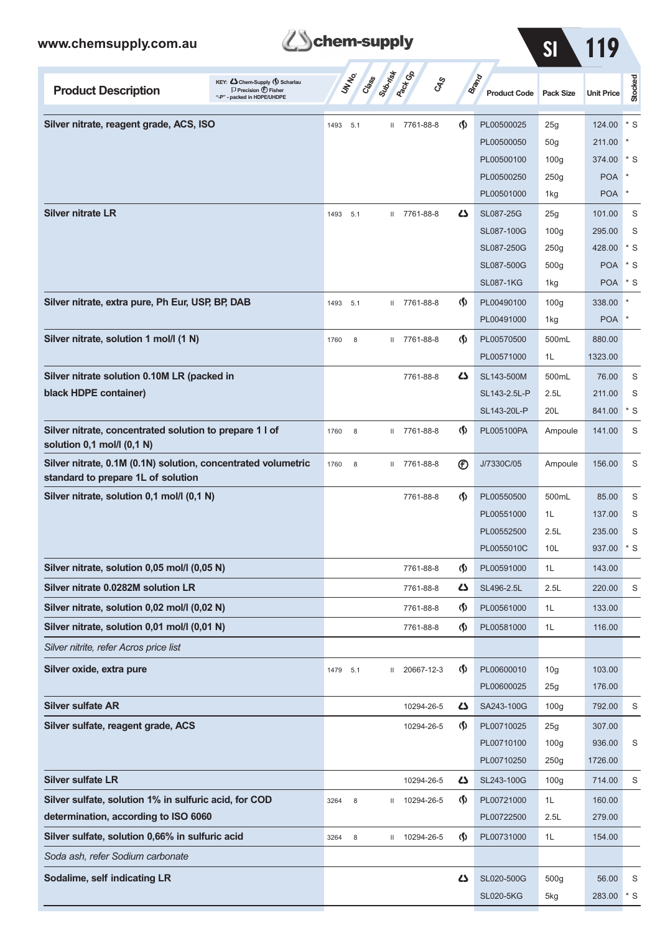

| www.chemsupply.com.au                                                                                                               | chem-supply                                              |                                    |                                     | S <sub>l</sub>   |                   |                |
|-------------------------------------------------------------------------------------------------------------------------------------|----------------------------------------------------------|------------------------------------|-------------------------------------|------------------|-------------------|----------------|
| KEY: C Chem-Supply (5) Scharlau<br><b>Product Description</b><br>$\Box$ Precision $\bigoplus$ Fisher<br>"-P" - packed in HDPE/UHDPE | Suprist<br><b>Pack</b> Co<br>UN NO<br>Cass<br><b>CAS</b> |                                    | <b>Brand</b><br><b>Product Code</b> | <b>Pack Size</b> | <b>Unit Price</b> | <b>Stocked</b> |
| Silver nitrate, reagent grade, ACS, ISO                                                                                             | II 7761-88-8<br>1493<br>5.1                              | $\langle \mathbf{\S} \rangle$      | PL00500025                          | 25g              | 124.00            | $*$ S          |
|                                                                                                                                     |                                                          |                                    | PL00500050                          | 50 <sub>g</sub>  | 211.00            |                |
|                                                                                                                                     |                                                          |                                    | PL00500100                          | 100 <sub>g</sub> | 374.00            | * S            |
|                                                                                                                                     |                                                          |                                    | PL00500250                          | 250g             | <b>POA</b>        |                |
|                                                                                                                                     |                                                          |                                    | PL00501000                          | 1kg              | <b>POA</b>        | $\ast$         |
| <b>Silver nitrate LR</b>                                                                                                            | II 7761-88-8<br>1493<br>5.1                              | ひ                                  | SL087-25G                           | 25g              | 101.00            | S              |
|                                                                                                                                     |                                                          |                                    | SL087-100G                          | 100 <sub>g</sub> | 295.00            | S              |
|                                                                                                                                     |                                                          |                                    | SL087-250G                          | 250g             | 428.00            | $*$ S          |
|                                                                                                                                     |                                                          |                                    | SL087-500G                          | 500 <sub>g</sub> | <b>POA</b>        | $*$ S          |
|                                                                                                                                     |                                                          |                                    | <b>SL087-1KG</b>                    | 1kg              | <b>POA</b>        | $*$ S          |
| Silver nitrate, extra pure, Ph Eur, USP, BP, DAB                                                                                    | II 7761-88-8<br>1493<br>5.1                              | $\langle \mathbf{\langle} \rangle$ | PL00490100                          | 100 <sub>g</sub> | 338.00            |                |
|                                                                                                                                     |                                                          |                                    | PL00491000                          | 1kg              | <b>POA</b>        |                |
| Silver nitrate, solution 1 mol/l (1 N)                                                                                              | II 7761-88-8<br>8<br>1760                                | $\langle \mathbf{\langle} \rangle$ | PL00570500                          | 500mL            | 880.00            |                |
|                                                                                                                                     |                                                          |                                    | PL00571000                          | 1L               | 1323.00           |                |
| Silver nitrate solution 0.10M LR (packed in                                                                                         | 7761-88-8                                                | 5                                  | SL143-500M                          | 500mL            | 76.00             | S              |
| black HDPE container)                                                                                                               |                                                          |                                    | SL143-2.5L-P<br>SL143-20L-P         | 2.5L<br>20L      | 211.00<br>841.00  | S<br>$*$ S     |
| Silver nitrate, concentrated solution to prepare 1 l of<br>solution 0,1 mol/l (0,1 N)                                               | 7761-88-8<br>8<br>1760<br>$\mathbf{H}$                   | $\langle \mathbf{\langle} \rangle$ | PL005100PA                          | Ampoule          | 141.00            | S              |
| Silver nitrate, 0.1M (0.1N) solution, concentrated volumetric<br>standard to prepare 1L of solution                                 | II 7761-88-8<br>1760<br>8                                | $^{\circledR}$                     | J/7330C/05                          | Ampoule          | 156.00            | S              |
| Silver nitrate, solution 0,1 mol/l (0,1 N)                                                                                          | 7761-88-8                                                | $\langle \mathbf{\langle} \rangle$ | PL00550500                          | 500mL            | 85.00             | S              |
|                                                                                                                                     |                                                          |                                    | PL00551000                          | 1L               | 137.00            | S              |
|                                                                                                                                     |                                                          |                                    | PL00552500                          | 2.5L             | 235.00            | S              |
|                                                                                                                                     |                                                          |                                    | PL0055010C                          | 10L              | 937.00            | $*$ S          |
| Silver nitrate, solution 0,05 mol/l (0,05 N)                                                                                        | 7761-88-8                                                | $\Phi$                             | PL00591000                          | 1L               | 143.00            |                |
| Silver nitrate 0.0282M solution LR                                                                                                  | 7761-88-8                                                | Ω                                  | SL496-2.5L                          | 2.5L             | 220.00            | S              |
| Silver nitrate, solution 0,02 mol/l (0,02 N)                                                                                        | 7761-88-8                                                | $\langle \mathbf{\langle} \rangle$ | PL00561000                          | 1L               | 133.00            |                |
| Silver nitrate, solution 0,01 mol/l (0,01 N)                                                                                        | 7761-88-8                                                | $\Phi$                             | PL00581000                          | 1L               | 116.00            |                |
| Silver nitrite, refer Acros price list                                                                                              |                                                          |                                    |                                     |                  |                   |                |
| Silver oxide, extra pure                                                                                                            | 20667-12-3<br>1479<br>5.1<br>$\mathbf{II}$               | $\langle \mathsf{S} \rangle$       | PL00600010                          | 10 <sub>g</sub>  | 103.00            |                |
|                                                                                                                                     |                                                          |                                    | PL00600025                          | 25g              | 176.00            |                |
| <b>Silver sulfate AR</b>                                                                                                            | 10294-26-5                                               | Ω                                  | SA243-100G                          | 100q             | 792.00            | S              |
| Silver sulfate, reagent grade, ACS                                                                                                  | 10294-26-5                                               | $\langle \mathbf{\hat{y}} \rangle$ | PL00710025                          | 25g              | 307.00            |                |
|                                                                                                                                     |                                                          |                                    | PL00710100                          | 100 <sub>g</sub> | 936.00            | S              |
|                                                                                                                                     |                                                          |                                    | PL00710250                          | 250g             | 1726.00           |                |
| <b>Silver sulfate LR</b>                                                                                                            | 10294-26-5                                               | Ω                                  | SL243-100G                          | 100 <sub>g</sub> | 714.00            | S              |
| Silver sulfate, solution 1% in sulfuric acid, for COD                                                                               | 10294-26-5<br>8<br>3264<br>Ш                             | $\langle \mathbf{\hat{y}} \rangle$ | PL00721000                          | 1L               | 160.00            |                |
| determination, according to ISO 6060                                                                                                |                                                          |                                    | PL00722500                          | 2.5L             | 279.00            |                |
| Silver sulfate, solution 0,66% in sulfuric acid                                                                                     | 10294-26-5<br>8<br>3264<br>$\mathbb{I}$                  | $\langle \mathbf{\S} \rangle$      | PL00731000                          | 1L               | 154.00            |                |
| Soda ash, refer Sodium carbonate                                                                                                    |                                                          |                                    |                                     |                  |                   |                |
| Sodalime, self indicating LR                                                                                                        |                                                          | Ω                                  | SL020-500G                          | 500g             | 56.00             | S              |
|                                                                                                                                     |                                                          |                                    | <b>SL020-5KG</b>                    | 5kg              | 283.00            | ∣* S           |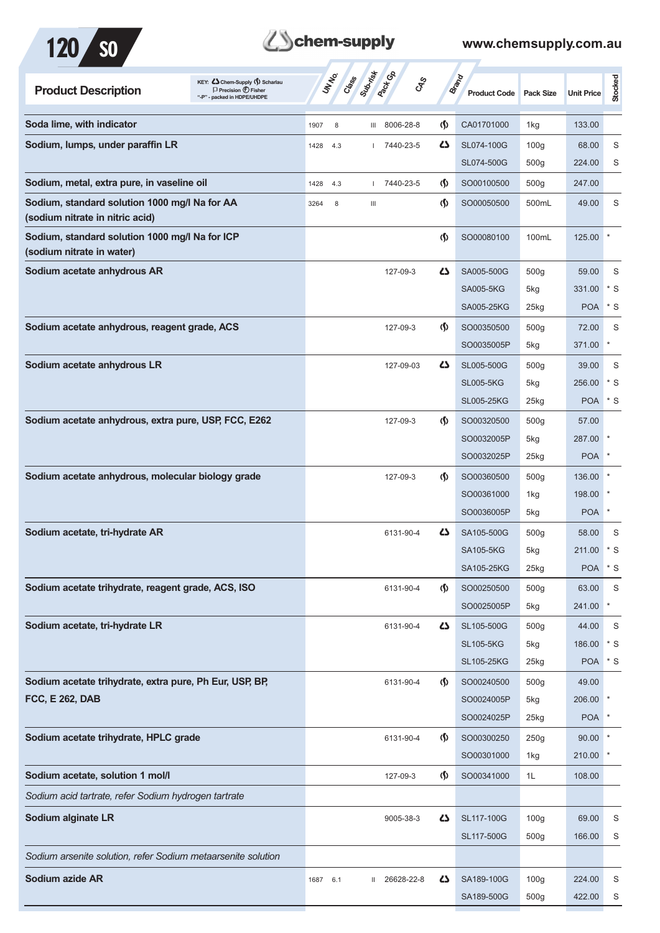



| KEY: Cohem-Supply (5) Scharlau<br><b>Product Description</b><br>$\Box$ Precision $\bigoplus$ Fisher<br>- packed in HDPE/UHDPE | UN NO.<br>Capes | Suprist<br>Pack Co        | <b>GRS</b>                         | <b>Brand</b><br><b>Product Code</b> | <b>Pack Size</b>   | <b>Unit Price</b> | <b>Stocked</b> |
|-------------------------------------------------------------------------------------------------------------------------------|-----------------|---------------------------|------------------------------------|-------------------------------------|--------------------|-------------------|----------------|
| Soda lime, with indicator                                                                                                     | 8<br>1907       | III 8006-28-8             | $\langle \mathsf{S} \rangle$       | CA01701000                          | 1kg                | 133.00            |                |
| Sodium, lumps, under paraffin LR                                                                                              | 1428<br>4.3     | 7440-23-5                 | ひ                                  | SL074-100G                          | 100 <sub>g</sub>   | 68.00             | S              |
|                                                                                                                               |                 |                           |                                    | SL074-500G                          | 500 <sub>g</sub>   | 224.00            | S              |
| Sodium, metal, extra pure, in vaseline oil                                                                                    | 1428<br>4.3     | 7440-23-5<br>$\mathbf{L}$ | $\langle \mathbf{\S} \rangle$      | SO00100500                          | 500g               | 247.00            |                |
| Sodium, standard solution 1000 mg/l Na for AA<br>(sodium nitrate in nitric acid)                                              | 3264<br>8       | $\mathbf{III}$            | $\langle \mathsf{S} \rangle$       | SO00050500                          | 500mL              | 49.00             | S              |
| Sodium, standard solution 1000 mg/l Na for ICP<br>(sodium nitrate in water)                                                   |                 |                           | $\langle \mathsf{S} \rangle$       | SO00080100                          | 100mL              | 125.00            |                |
| Sodium acetate anhydrous AR                                                                                                   |                 | 127-09-3                  | ひ                                  | SA005-500G                          | 500g               | 59.00             | S              |
|                                                                                                                               |                 |                           |                                    | <b>SA005-5KG</b>                    | 5kg                | 331.00            | $*$ S          |
|                                                                                                                               |                 |                           |                                    | SA005-25KG                          | $25$ kg            | <b>POA</b>        | * S            |
| Sodium acetate anhydrous, reagent grade, ACS                                                                                  |                 | 127-09-3                  | $\langle \mathbf{\S} \rangle$      | SO00350500                          | 500 <sub>g</sub>   | 72.00             | S              |
|                                                                                                                               |                 |                           |                                    | SO0035005P                          | 5kg                | 371.00            | $\ast$         |
| Sodium acetate anhydrous LR                                                                                                   |                 | 127-09-03                 | ひ                                  | SL005-500G                          | 500 <sub>g</sub>   | 39.00             | S              |
|                                                                                                                               |                 |                           |                                    | <b>SL005-5KG</b>                    | 5kg                | 256.00            | $*$ S          |
|                                                                                                                               |                 |                           |                                    | <b>SL005-25KG</b>                   | $25$ <sub>kg</sub> | <b>POA</b>        | $*$ S          |
| Sodium acetate anhydrous, extra pure, USP, FCC, E262                                                                          |                 | 127-09-3                  | $\langle \mathbf{\S} \rangle$      | SO00320500                          | 500 <sub>g</sub>   | 57.00             |                |
|                                                                                                                               |                 |                           |                                    | SO0032005P                          | 5kg                | 287.00            |                |
|                                                                                                                               |                 |                           |                                    | SO0032025P                          | $25$ <sub>kg</sub> | <b>POA</b>        |                |
| Sodium acetate anhydrous, molecular biology grade                                                                             |                 | 127-09-3                  | $\langle \mathbf{\langle} \rangle$ | SO00360500                          | 500 <sub>g</sub>   | 136.00            |                |
|                                                                                                                               |                 |                           |                                    | SO00361000                          | 1kg                | 198.00            |                |
|                                                                                                                               |                 |                           |                                    | SO0036005P                          | 5kg                | <b>POA</b>        | $\ast$         |
| Sodium acetate, tri-hydrate AR                                                                                                |                 | 6131-90-4                 | ひ                                  | SA105-500G                          | 500 <sub>g</sub>   | 58.00             | S              |
|                                                                                                                               |                 |                           |                                    | <b>SA105-5KG</b>                    | 5kg                | 211.00            | * S            |
|                                                                                                                               |                 |                           |                                    | SA105-25KG                          | 25kg               | <b>POA</b>        | $*$ S          |
| Sodium acetate trihydrate, reagent grade, ACS, ISO                                                                            |                 | 6131-90-4                 | $\langle \mathbf{\S} \rangle$      | SO00250500                          | 500 <sub>g</sub>   | 63.00             | S              |
|                                                                                                                               |                 |                           |                                    | SO0025005P                          | 5kg                | 241.00            | $\star$        |
| Sodium acetate, tri-hydrate LR                                                                                                |                 | 6131-90-4                 | 5                                  | SL105-500G                          | 500 <sub>g</sub>   | 44.00             | S              |
|                                                                                                                               |                 |                           |                                    | <b>SL105-5KG</b>                    | 5kg                | 186.00            | $*$ S          |
|                                                                                                                               |                 |                           |                                    | <b>SL105-25KG</b>                   | $25$ <sub>kg</sub> | <b>POA</b>        | $*$ S          |
| Sodium acetate trihydrate, extra pure, Ph Eur, USP, BP,                                                                       |                 | 6131-90-4                 | $\langle \mathbf{\hat{y}} \rangle$ | SO00240500                          | 500 <sub>g</sub>   | 49.00             |                |
| <b>FCC, E 262, DAB</b>                                                                                                        |                 |                           |                                    | SO0024005P                          | 5kg                | 206.00            |                |
|                                                                                                                               |                 |                           |                                    | SO0024025P                          | $25$ <sub>kg</sub> | <b>POA</b>        |                |
| Sodium acetate trihydrate, HPLC grade                                                                                         |                 | 6131-90-4                 | $\langle \mathbf{\S} \rangle$      | SO00300250                          | 250g               | 90.00             |                |
|                                                                                                                               |                 |                           |                                    | SO00301000                          | 1kg                | 210.00            | $\ast$         |
| Sodium acetate, solution 1 mol/l                                                                                              |                 | 127-09-3                  | $\langle \mathbf{\S} \rangle$      | SO00341000                          | 1L                 | 108.00            |                |
| Sodium acid tartrate, refer Sodium hydrogen tartrate                                                                          |                 |                           |                                    |                                     |                    |                   |                |
| Sodium alginate LR                                                                                                            |                 | 9005-38-3                 | Ω                                  | SL117-100G                          | 100 <sub>g</sub>   | 69.00             | S              |
|                                                                                                                               |                 |                           |                                    | SL117-500G                          | 500g               | 166.00            | S              |
| Sodium arsenite solution, refer Sodium metaarsenite solution                                                                  |                 |                           |                                    |                                     |                    |                   |                |
| Sodium azide AR                                                                                                               |                 | 26628-22-8                | 45                                 | SA189-100G                          | 100 <sub>g</sub>   | 224.00            | S              |
|                                                                                                                               | 1687<br>6.1     | Ш                         |                                    | SA189-500G                          | 500g               | 422.00            | S              |
|                                                                                                                               |                 |                           |                                    |                                     |                    |                   |                |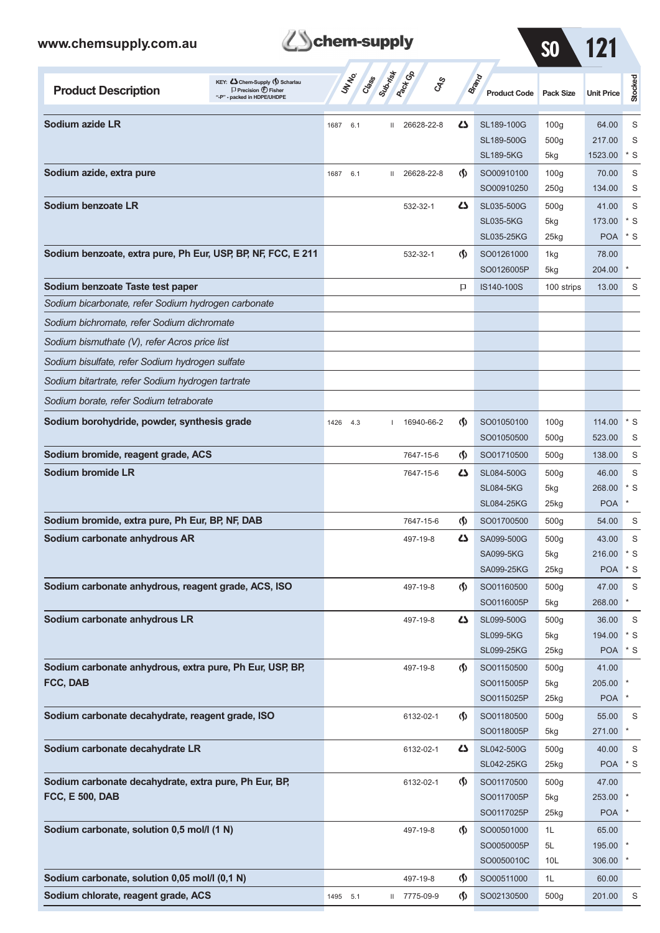

SO 121

| KEY: C Chem-Supply (5) Scharlau<br><b>Product Description</b><br>$\Box$ Precision $\bigoplus$ Fisher<br>"-P" - packed in HDPE/UHDPE |      | UN NO.<br>Class | Submist      | <b>Pack G</b> B<br><b>GRS</b> |                                    | Brand<br><b>Product Code</b>    | <b>Pack Size</b>         | <b>Unit Price</b>   | Stocked    |
|-------------------------------------------------------------------------------------------------------------------------------------|------|-----------------|--------------|-------------------------------|------------------------------------|---------------------------------|--------------------------|---------------------|------------|
| Sodium azide LR                                                                                                                     | 1687 | 6.1             | $\mathbf{H}$ | 26628-22-8                    | ひ                                  | SL189-100G                      | 100 <sub>g</sub>         | 64.00               | S          |
|                                                                                                                                     |      |                 |              |                               |                                    | SL189-500G                      | 500q                     | 217.00              | S          |
|                                                                                                                                     |      |                 |              |                               |                                    | <b>SL189-5KG</b>                | 5kg                      | 1523.00             | $*$ S      |
| Sodium azide, extra pure                                                                                                            | 1687 | 6.1             | $\mathbf{H}$ | 26628-22-8                    | $\langle \mathbf{\langle} \rangle$ | SO00910100                      | 100 <sub>g</sub>         | 70.00               | S          |
|                                                                                                                                     |      |                 |              |                               |                                    | SO00910250                      | 250g                     | 134.00              | S          |
| Sodium benzoate LR                                                                                                                  |      |                 |              | 532-32-1                      | دے                                 | SL035-500G                      | 500 <sub>g</sub>         | 41.00               | S          |
|                                                                                                                                     |      |                 |              |                               |                                    | <b>SL035-5KG</b>                | 5kg                      | 173.00              | * S        |
|                                                                                                                                     |      |                 |              |                               |                                    | <b>SL035-25KG</b>               | 25kg                     | <b>POA</b>          | $*$ S      |
| Sodium benzoate, extra pure, Ph Eur, USP, BP, NF, FCC, E 211                                                                        |      |                 |              | 532-32-1                      | $\langle \mathbf{\langle} \rangle$ | SO01261000                      | 1kg                      | 78.00               |            |
|                                                                                                                                     |      |                 |              |                               |                                    | SO0126005P                      | 5kg                      | 204.00              |            |
| Sodium benzoate Taste test paper                                                                                                    |      |                 |              |                               | P                                  | IS140-100S                      | 100 strips               | 13.00               | S          |
| Sodium bicarbonate, refer Sodium hydrogen carbonate                                                                                 |      |                 |              |                               |                                    |                                 |                          |                     |            |
| Sodium bichromate, refer Sodium dichromate                                                                                          |      |                 |              |                               |                                    |                                 |                          |                     |            |
| Sodium bismuthate (V), refer Acros price list                                                                                       |      |                 |              |                               |                                    |                                 |                          |                     |            |
| Sodium bisulfate, refer Sodium hydrogen sulfate                                                                                     |      |                 |              |                               |                                    |                                 |                          |                     |            |
| Sodium bitartrate, refer Sodium hydrogen tartrate                                                                                   |      |                 |              |                               |                                    |                                 |                          |                     |            |
| Sodium borate, refer Sodium tetraborate                                                                                             |      |                 |              |                               |                                    |                                 |                          |                     |            |
| Sodium borohydride, powder, synthesis grade                                                                                         | 1426 | 4.3             |              | 16940-66-2                    | $\langle \langle \rangle$          | SO01050100                      | 100 <sub>g</sub>         | 114.00              | $*$ S      |
|                                                                                                                                     |      |                 |              |                               |                                    | SO01050500                      | 500 <sub>g</sub>         | 523.00              | S          |
| Sodium bromide, reagent grade, ACS                                                                                                  |      |                 |              | 7647-15-6                     | $\langle \mathbf{\S} \rangle$      | SO01710500                      | 500 <sub>g</sub>         | 138.00              | S          |
| Sodium bromide LR                                                                                                                   |      |                 |              | 7647-15-6                     | ひ                                  | SL084-500G                      | 500 <sub>g</sub>         | 46.00               | S          |
|                                                                                                                                     |      |                 |              |                               |                                    | <b>SL084-5KG</b>                | 5kg                      | 268.00              | $*$ S      |
|                                                                                                                                     |      |                 |              |                               |                                    | <b>SL084-25KG</b>               | 25kg                     | <b>POA</b>          | $\ast$     |
| Sodium bromide, extra pure, Ph Eur, BP, NF, DAB                                                                                     |      |                 |              | 7647-15-6                     | $\langle \mathsf{S} \rangle$       | SO01700500                      | 500 <sub>g</sub>         | 54.00               | S          |
| Sodium carbonate anhydrous AR                                                                                                       |      |                 |              | 497-19-8                      | دے                                 | SA099-500G                      | 500 <sub>g</sub>         | 43.00               | S          |
|                                                                                                                                     |      |                 |              |                               |                                    | <b>SA099-5KG</b>                | 5kg                      | 216.00              | $*$ S      |
|                                                                                                                                     |      |                 |              |                               |                                    | SA099-25KG                      | 25kg                     | <b>POA</b>          | $*$ S      |
| Sodium carbonate anhydrous, reagent grade, ACS, ISO                                                                                 |      |                 |              | 497-19-8                      | $\langle \mathbf{\langle} \rangle$ | SO01160500                      | 500 <sub>g</sub>         | 47.00               | S          |
|                                                                                                                                     |      |                 |              |                               |                                    | SO0116005P                      | 5kg                      | 268.00              | $^{\ast}$  |
| Sodium carbonate anhydrous LR                                                                                                       |      |                 |              | 497-19-8                      | 4                                  | SL099-500G                      | 500 <sub>g</sub>         | 36.00               | S          |
|                                                                                                                                     |      |                 |              |                               |                                    | <b>SL099-5KG</b>                | 5kg                      | 194.00              | $*$ S      |
|                                                                                                                                     |      |                 |              |                               |                                    | <b>SL099-25KG</b>               | 25kg                     | POA * S             |            |
| Sodium carbonate anhydrous, extra pure, Ph Eur, USP, BP,                                                                            |      |                 |              | 497-19-8                      | $\langle \mathbf{\langle} \rangle$ | SO01150500                      | 500 <sub>g</sub>         | 41.00               |            |
| FCC, DAB                                                                                                                            |      |                 |              |                               |                                    | SO0115005P                      | 5kg                      | 205.00              |            |
|                                                                                                                                     |      |                 |              |                               |                                    | SO0115025P                      | 25kg                     | <b>POA</b>          | $^{\ast}$  |
| Sodium carbonate decahydrate, reagent grade, ISO                                                                                    |      |                 |              | 6132-02-1                     | $\langle \mathbf{\S} \rangle$      | SO01180500                      | 500 <sub>g</sub>         | 55.00               | S<br>*     |
|                                                                                                                                     |      |                 |              |                               |                                    | SO0118005P                      | 5kg                      | 271.00              |            |
| Sodium carbonate decahydrate LR                                                                                                     |      |                 |              | 6132-02-1                     | 4                                  | SL042-500G<br><b>SL042-25KG</b> | 500 <sub>g</sub><br>25kg | 40.00<br><b>POA</b> | S<br>$*$ S |
| Sodium carbonate decahydrate, extra pure, Ph Eur, BP,                                                                               |      |                 |              | 6132-02-1                     | $\langle \mathbf{\S} \rangle$      | SO01170500                      | 500g                     | 47.00               |            |
| <b>FCC, E 500, DAB</b>                                                                                                              |      |                 |              |                               |                                    | SO0117005P                      | 5kg                      | 253.00              |            |
|                                                                                                                                     |      |                 |              |                               |                                    | SO0117025P                      | 25kg                     | <b>POA</b>          |            |
| Sodium carbonate, solution 0,5 mol/l (1 N)                                                                                          |      |                 |              | 497-19-8                      | $\langle \mathbf{\S} \rangle$      | SO00501000                      | 1L                       | 65.00               |            |
|                                                                                                                                     |      |                 |              |                               |                                    | SO0050005P                      | 5L                       | 195.00              |            |
|                                                                                                                                     |      |                 |              |                               |                                    | SO0050010C                      | 10 <sub>L</sub>          | 306.00              |            |
| Sodium carbonate, solution 0,05 mol/l (0,1 N)                                                                                       |      |                 |              | 497-19-8                      | $\langle \mathsf{S} \rangle$       | SO00511000                      | 1L                       | 60.00               |            |
|                                                                                                                                     |      |                 |              |                               |                                    |                                 |                          |                     |            |

**Sodium chlorate, reagent grade, ACS** 1495 5.1 II 7775-09-9 (1) SO02130500 500g 201.00 S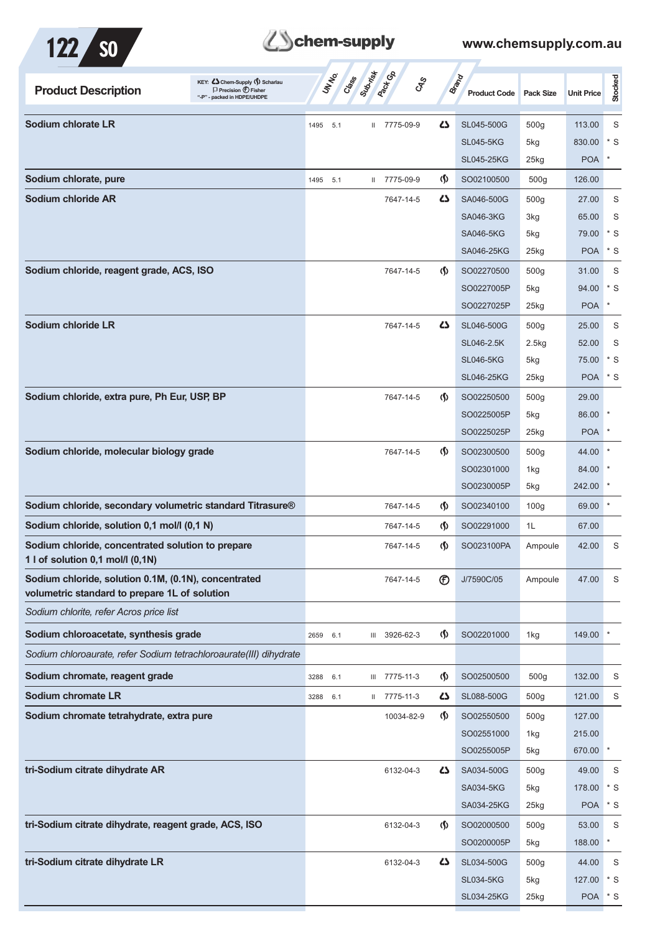

## **Tehem-supply**

| KEY: Cohem-Supply (5) Scharlau<br><b>Product Description</b><br>$\Box$ Precision $\bigoplus$ Fisher<br>- packed in HDPE/UHDPE | UN NO.      | Class Submist<br><b>Pactor</b> | $\mathcal{S}_{\mathcal{S}}$                      | <b>Brand</b><br><b>Product Code</b> | <b>Pack Size</b>   | <b>Unit Price</b> | Stocked |
|-------------------------------------------------------------------------------------------------------------------------------|-------------|--------------------------------|--------------------------------------------------|-------------------------------------|--------------------|-------------------|---------|
| Sodium chlorate LR                                                                                                            | 1495<br>5.1 | II 7775-09-9                   | 4                                                | SL045-500G                          | 500 <sub>g</sub>   | 113.00            | S       |
|                                                                                                                               |             |                                |                                                  | <b>SL045-5KG</b>                    | 5kg                | 830.00            | * S     |
|                                                                                                                               |             |                                |                                                  | <b>SL045-25KG</b>                   | 25kg               | <b>POA</b>        | $\ast$  |
| Sodium chlorate, pure                                                                                                         | 1495 5.1    | II 7775-09-9                   | $\langle \mathbf{\langle} \rangle$               | SO02100500                          | 500 <sub>g</sub>   | 126.00            |         |
| Sodium chloride AR                                                                                                            |             | 7647-14-5                      | 42                                               | SA046-500G                          | 500 <sub>g</sub>   | 27.00             | S       |
|                                                                                                                               |             |                                |                                                  | <b>SA046-3KG</b>                    | 3kg                | 65.00             | S       |
|                                                                                                                               |             |                                |                                                  | <b>SA046-5KG</b>                    | 5kg                | 79.00             | $*$ S   |
|                                                                                                                               |             |                                |                                                  | SA046-25KG                          | $25$ <sub>kg</sub> | <b>POA</b>        | $*$ S   |
| Sodium chloride, reagent grade, ACS, ISO                                                                                      |             | 7647-14-5                      | $\Phi$                                           | SO02270500                          | 500 <sub>g</sub>   | 31.00             | S       |
|                                                                                                                               |             |                                |                                                  | SO0227005P                          | 5kg                | 94.00             | $*$ S   |
|                                                                                                                               |             |                                |                                                  | SO0227025P                          | 25kg               | <b>POA</b>        | ×       |
| Sodium chloride LR                                                                                                            |             | 7647-14-5                      | 42                                               | SL046-500G                          | 500 <sub>g</sub>   | 25.00             | S       |
|                                                                                                                               |             |                                |                                                  | SL046-2.5K                          | 2.5kg              | 52.00             | S       |
|                                                                                                                               |             |                                |                                                  | <b>SL046-5KG</b>                    | 5kg                | 75.00             | $*$ S   |
|                                                                                                                               |             |                                |                                                  | <b>SL046-25KG</b>                   | $25$ <sub>kg</sub> | <b>POA</b>        | $*$ S   |
| Sodium chloride, extra pure, Ph Eur, USP, BP                                                                                  |             | 7647-14-5                      | $\Phi$                                           | SO02250500                          | 500 <sub>g</sub>   | 29.00             |         |
|                                                                                                                               |             |                                |                                                  | SO0225005P                          | 5kg                | 86.00             |         |
|                                                                                                                               |             |                                |                                                  | SO0225025P                          | $25$ <sub>kg</sub> | <b>POA</b>        |         |
| Sodium chloride, molecular biology grade                                                                                      |             | 7647-14-5                      | $\langle \mathbf{\langle} \rangle$               | SO02300500                          | 500 <sub>g</sub>   | 44.00             |         |
|                                                                                                                               |             |                                |                                                  | SO02301000                          | 1kg                | 84.00             |         |
|                                                                                                                               |             |                                |                                                  | SO0230005P                          | 5kg                | 242.00            |         |
| Sodium chloride, secondary volumetric standard Titrasure®                                                                     |             | 7647-14-5                      | $\langle \mathbf{\S} \rangle$                    | SO02340100                          | 100 <sub>g</sub>   | 69.00             | $\ast$  |
| Sodium chloride, solution 0,1 mol/l (0,1 N)                                                                                   |             | 7647-14-5                      | $\langle \mathbf{\S} \rangle$                    | SO02291000                          | 1L                 | 67.00             |         |
| Sodium chloride, concentrated solution to prepare<br>1 l of solution $0,1$ mol/l $(0,1N)$                                     |             | 7647-14-5                      | $\langle \mathbf{\langle} \rangle$               | SO023100PA                          | Ampoule            | 42.00             | S       |
| Sodium chloride, solution 0.1M, (0.1N), concentrated<br>volumetric standard to prepare 1L of solution                         |             | 7647-14-5                      | $^{\circledR}$                                   | J/7590C/05                          | Ampoule            | 47.00             | S       |
| Sodium chlorite, refer Acros price list                                                                                       |             |                                |                                                  |                                     |                    |                   |         |
| Sodium chloroacetate, synthesis grade                                                                                         | 2659<br>6.1 | 3926-62-3<br>Ш                 | $\langle \mathbf{\hat{y}} \rangle$               | SO02201000                          | 1kg                | 149.00            |         |
| Sodium chloroaurate, refer Sodium tetrachloroaurate(III) dihydrate                                                            |             |                                |                                                  |                                     |                    |                   |         |
| Sodium chromate, reagent grade                                                                                                | 3288<br>6.1 | III 7775-11-3                  | $\langle \mathbf{\hat{y}} \rangle$               | SO02500500                          | 500 <sub>g</sub>   | 132.00            | S       |
| Sodium chromate LR                                                                                                            | 6.1<br>3288 | II 7775-11-3                   | 45                                               | SL088-500G                          | 500 <sub>g</sub>   | 121.00            | S       |
| Sodium chromate tetrahydrate, extra pure                                                                                      |             |                                | $\langle \mathbf{\hat{y}} \rangle$<br>10034-82-9 | SO02550500                          | 500 <sub>g</sub>   | 127.00            |         |
|                                                                                                                               |             |                                |                                                  | SO02551000                          | 1kg                | 215.00            |         |
|                                                                                                                               |             |                                |                                                  | SO0255005P                          | 5kg                | 670.00            | $\ast$  |
| tri-Sodium citrate dihydrate AR                                                                                               |             | 6132-04-3                      | 42                                               | SA034-500G                          | 500 <sub>g</sub>   | 49.00             | S       |
|                                                                                                                               |             |                                |                                                  | <b>SA034-5KG</b>                    | 5kg                | 178.00            | $*$ S   |
|                                                                                                                               |             |                                |                                                  | SA034-25KG                          | $25$ kg            | <b>POA</b>        | $*$ S   |
| tri-Sodium citrate dihydrate, reagent grade, ACS, ISO                                                                         |             | 6132-04-3                      | $\langle \mathbf{\S} \rangle$                    | SO02000500                          | 500 <sub>g</sub>   | 53.00             | S       |
|                                                                                                                               |             |                                |                                                  | SO0200005P                          | 5kg                | 188.00            |         |
| tri-Sodium citrate dihydrate LR                                                                                               |             | 6132-04-3                      | 4                                                | SL034-500G                          | 500 <sub>g</sub>   | 44.00             | S       |
|                                                                                                                               |             |                                |                                                  | <b>SL034-5KG</b>                    | 5kg                | 127.00            | $*$ S   |
|                                                                                                                               |             |                                |                                                  | SL034-25KG                          | 25kg               | <b>POA</b>        | $*$ S   |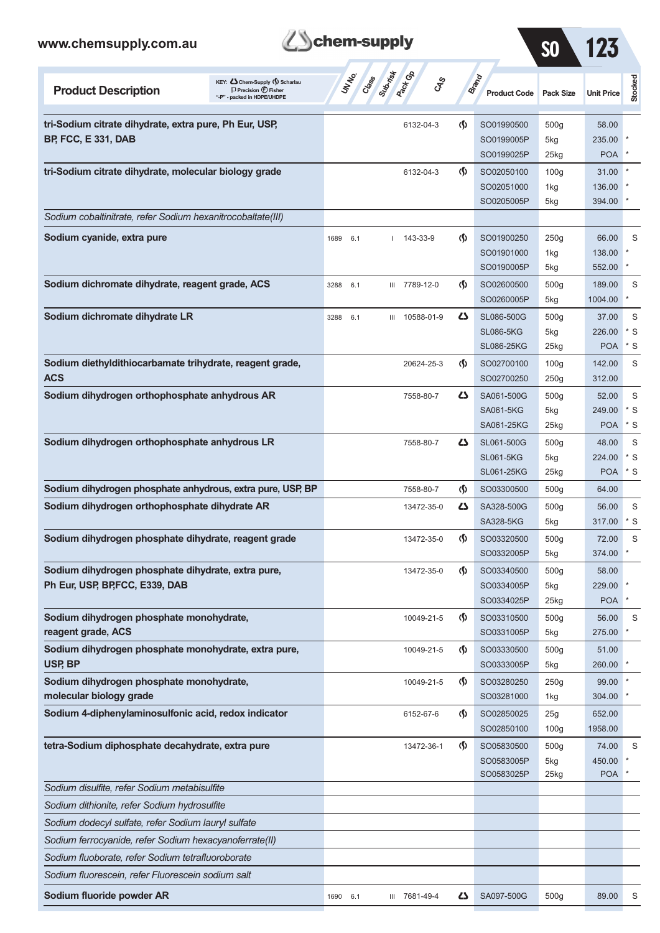

SO 123

| KEY: C Chem-Supply (5) Scharlau<br><b>Product Description</b><br>$\Box$ Precision $\bigcirc$ Fisher<br>packed in HDPE/UHDPE | UNINO       | Class Submist<br><b>Pack</b> Ga | <b>CAS</b>                         | <b>Brand</b><br><b>Product Code</b> | <b>Pack Size</b>        | <b>Unit Price</b> | Stocked |
|-----------------------------------------------------------------------------------------------------------------------------|-------------|---------------------------------|------------------------------------|-------------------------------------|-------------------------|-------------------|---------|
| tri-Sodium citrate dihydrate, extra pure, Ph Eur, USP,                                                                      |             | 6132-04-3                       | G)                                 | SO01990500                          | 500 <sub>g</sub>        | 58.00             |         |
| <b>BP, FCC, E 331, DAB</b>                                                                                                  |             |                                 |                                    | SO0199005P                          | 5kg                     | 235.00            |         |
|                                                                                                                             |             |                                 |                                    | SO0199025P                          | $25$ kg                 | <b>POA</b>        |         |
| tri-Sodium citrate dihydrate, molecular biology grade                                                                       |             | 6132-04-3                       | $\langle \mathbf{\langle} \rangle$ | SO02050100                          | 100 <sub>g</sub>        | 31.00             |         |
|                                                                                                                             |             |                                 |                                    | SO02051000                          | 1kg                     | 136.00            |         |
|                                                                                                                             |             |                                 |                                    | SO0205005P                          | 5kg                     | 394.00            |         |
| Sodium cobaltinitrate, refer Sodium hexanitrocobaltate(III)                                                                 |             |                                 |                                    |                                     |                         |                   |         |
| Sodium cyanide, extra pure                                                                                                  | 1689<br>6.1 | 143-33-9                        | $\Phi$                             | SO01900250                          | 250g                    | 66.00             | S       |
|                                                                                                                             |             |                                 |                                    | SO01901000                          | 1kg                     | 138.00            |         |
|                                                                                                                             |             |                                 |                                    | SO0190005P                          | 5kg                     | 552.00            |         |
| Sodium dichromate dihydrate, reagent grade, ACS                                                                             | 3288<br>6.1 | III 7789-12-0                   | $\langle \mathbf{\langle} \rangle$ | SO02600500                          | 500 <sub>g</sub>        | 189.00            | S       |
|                                                                                                                             |             |                                 |                                    | SO0260005P                          | 5kg                     | 1004.00           | $\ast$  |
| Sodium dichromate dihydrate LR                                                                                              | 6.1<br>3288 | 10588-01-9<br>Ш                 | ひ                                  | SL086-500G                          | 500 <sub>g</sub>        | 37.00             | S       |
|                                                                                                                             |             |                                 |                                    | <b>SL086-5KG</b>                    | 5kg                     | 226.00            | * S     |
|                                                                                                                             |             |                                 |                                    | <b>SL086-25KG</b>                   | $25$ kg                 | <b>POA</b>        | * S     |
| Sodium diethyldithiocarbamate trihydrate, reagent grade,                                                                    |             | 20624-25-3                      | $\langle \mathbf{\langle} \rangle$ | SO02700100                          | 100 <sub>g</sub>        | 142.00            | S       |
| <b>ACS</b>                                                                                                                  |             |                                 |                                    | SO02700250                          | 250g                    | 312.00            |         |
| Sodium dihydrogen orthophosphate anhydrous AR                                                                               |             | 7558-80-7                       | دے                                 | SA061-500G                          | 500 <sub>g</sub>        | 52.00             | S       |
|                                                                                                                             |             |                                 |                                    | <b>SA061-5KG</b>                    | 5kg                     | 249.00            | $*$ S   |
|                                                                                                                             |             |                                 |                                    | SA061-25KG                          | $25$ kg                 | <b>POA</b>        | $*$ S   |
| Sodium dihydrogen orthophosphate anhydrous LR                                                                               |             | 7558-80-7                       | دے                                 | SL061-500G                          | 500 <sub>g</sub>        | 48.00             | S       |
|                                                                                                                             |             |                                 |                                    | <b>SL061-5KG</b>                    | 5kg                     | 224.00            | $*$ S   |
|                                                                                                                             |             |                                 |                                    | <b>SL061-25KG</b>                   | $25$ kg                 | <b>POA</b>        | $*$ S   |
| Sodium dihydrogen phosphate anhydrous, extra pure, USP, BP                                                                  |             | 7558-80-7                       | $\langle \mathbf{\langle} \rangle$ | SO03300500                          | 500 <sub>g</sub>        | 64.00             |         |
| Sodium dihydrogen orthophosphate dihydrate AR                                                                               |             | 13472-35-0                      | دے                                 | SA328-500G                          | 500 <sub>g</sub>        | 56.00             | S       |
|                                                                                                                             |             |                                 |                                    | <b>SA328-5KG</b>                    | 5kg                     | 317.00            | $*$ S   |
| Sodium dihydrogen phosphate dihydrate, reagent grade                                                                        |             | 13472-35-0                      | $\langle \mathbf{\langle}$         | SO03320500<br>SO0332005P            | 500 <sub>g</sub><br>5kg | 72.00<br>374.00   | S       |
| Sodium dihydrogen phosphate dihydrate, extra pure,                                                                          |             | 13472-35-0                      | $\langle \mathbf{\langle}$         | SO03340500                          | 500g                    | 58.00             |         |
| Ph Eur, USP, BP, FCC, E339, DAB                                                                                             |             |                                 |                                    | SO0334005P                          | 5kg                     | 229.00            |         |
|                                                                                                                             |             |                                 |                                    | SO0334025P                          | 25kg                    | <b>POA</b>        |         |
| Sodium dihydrogen phosphate monohydrate,                                                                                    |             | 10049-21-5                      | ⊛                                  | SO03310500                          | 500 <sub>g</sub>        | 56.00             | S       |
| reagent grade, ACS                                                                                                          |             |                                 |                                    | SO0331005P                          | 5kg                     | 275.00            |         |
| Sodium dihydrogen phosphate monohydrate, extra pure,                                                                        |             | 10049-21-5                      | $\langle \mathbf{\S} \rangle$      | SO03330500                          | 500 <sub>g</sub>        | 51.00             |         |
| USP, BP                                                                                                                     |             |                                 |                                    | SO0333005P                          | 5kg                     | 260.00            |         |
| Sodium dihydrogen phosphate monohydrate,                                                                                    |             | 10049-21-5                      | $\langle \mathbf{\S} \rangle$      | SO03280250                          | 250g                    | 99.00             |         |
| molecular biology grade                                                                                                     |             |                                 |                                    | SO03281000                          | 1kg                     | 304.00            |         |
| Sodium 4-diphenylaminosulfonic acid, redox indicator                                                                        |             | 6152-67-6                       | $\langle \mathbf{\S} \rangle$      | SO02850025                          | 25g                     | 652.00            |         |
|                                                                                                                             |             |                                 |                                    | SO02850100                          | 100 <sub>g</sub>        | 1958.00           |         |
| tetra-Sodium diphosphate decahydrate, extra pure                                                                            |             | 13472-36-1                      | ⊛                                  | SO05830500                          | 500 <sub>g</sub>        | 74.00             | S       |
|                                                                                                                             |             |                                 |                                    | SO0583005P                          | 5kg                     | 450.00            |         |
|                                                                                                                             |             |                                 |                                    | SO0583025P                          | 25kg                    | <b>POA</b>        |         |
| Sodium disulfite, refer Sodium metabisulfite                                                                                |             |                                 |                                    |                                     |                         |                   |         |
| Sodium dithionite, refer Sodium hydrosulfite                                                                                |             |                                 |                                    |                                     |                         |                   |         |
| Sodium dodecyl sulfate, refer Sodium lauryl sulfate                                                                         |             |                                 |                                    |                                     |                         |                   |         |
| Sodium ferrocyanide, refer Sodium hexacyanoferrate(II)                                                                      |             |                                 |                                    |                                     |                         |                   |         |
| Sodium fluoborate, refer Sodium tetrafluoroborate                                                                           |             |                                 |                                    |                                     |                         |                   |         |
| Sodium fluorescein, refer Fluorescein sodium salt                                                                           |             |                                 |                                    |                                     |                         |                   |         |
| Sodium fluoride powder AR                                                                                                   | 1690 6.1    | III 7681-49-4                   | ا دے                               | SA097-500G                          | 500g                    | 89.00             | S       |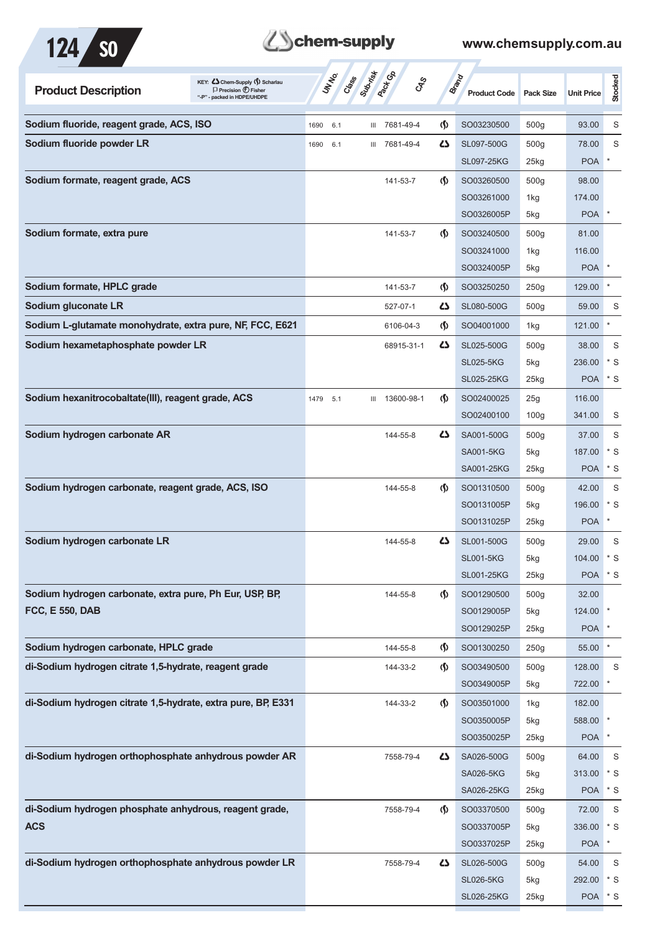

## **Z**Schem-supply

| KEY: C Chem-Supply (5) Scharlau<br><b>Product Description</b><br>$\Box$ Precision $\bigoplus$ Fisher<br>"-P" - packed in HDPE/UHDPE | <b>UNTER</b><br>Cass | Submist<br><b>Pactice</b><br><b>GRS</b> |                               | <b>Brand</b><br><b>Product Code</b> | Pack Size        | <b>Unit Price</b> | Stocked      |
|-------------------------------------------------------------------------------------------------------------------------------------|----------------------|-----------------------------------------|-------------------------------|-------------------------------------|------------------|-------------------|--------------|
| Sodium fluoride, reagent grade, ACS, ISO                                                                                            | 1690<br>6.1          | III 7681-49-4                           | $\langle \mathbf{\S} \rangle$ | SO03230500                          | 500 <sub>g</sub> | 93.00             | S            |
| Sodium fluoride powder LR                                                                                                           | 1690<br>6.1          | III 7681-49-4                           | 45                            | SL097-500G                          | 500g             | 78.00             | S            |
|                                                                                                                                     |                      |                                         |                               | <b>SL097-25KG</b>                   | 25kg             | <b>POA</b>        | $\ast$       |
| Sodium formate, reagent grade, ACS                                                                                                  |                      | 141-53-7                                | $\langle \mathsf{S} \rangle$  | SO03260500                          | 500 <sub>g</sub> | 98.00             |              |
|                                                                                                                                     |                      |                                         |                               | SO03261000                          | 1kg              | 174.00            |              |
|                                                                                                                                     |                      |                                         |                               | SO0326005P                          | 5kg              | <b>POA</b>        | $\pmb{\ast}$ |
| Sodium formate, extra pure                                                                                                          |                      | 141-53-7                                | $\langle \mathbf{\S} \rangle$ | SO03240500                          | 500 <sub>g</sub> | 81.00             |              |
|                                                                                                                                     |                      |                                         |                               | SO03241000                          | 1kg              | 116.00            |              |
|                                                                                                                                     |                      |                                         |                               | SO0324005P                          | 5kg              | <b>POA</b>        | $\pmb{\ast}$ |
| Sodium formate, HPLC grade                                                                                                          |                      | 141-53-7                                | $\langle \mathbf{\S} \rangle$ | SO03250250                          | 250g             | 129.00            |              |
| Sodium gluconate LR                                                                                                                 |                      | 527-07-1                                | ひ                             | SL080-500G                          | 500 <sub>g</sub> | 59.00             | S            |
| Sodium L-glutamate monohydrate, extra pure, NF, FCC, E621                                                                           |                      | 6106-04-3                               | $\langle \mathbf{\S} \rangle$ | SO04001000                          | 1kg              | 121.00            | $\ast$       |
| Sodium hexametaphosphate powder LR                                                                                                  |                      | 68915-31-1                              | 4                             | SL025-500G                          | 500 <sub>g</sub> | 38.00             | S            |
|                                                                                                                                     |                      |                                         |                               | <b>SL025-5KG</b>                    | 5kg              | 236.00            | $*$ S        |
|                                                                                                                                     |                      |                                         |                               | <b>SL025-25KG</b>                   | 25kg             | <b>POA</b>        | $*$ S        |
| Sodium hexanitrocobaltate(III), reagent grade, ACS                                                                                  | 1479<br>5.1          | 13600-98-1<br>Ш                         | $\langle \mathbf{\S} \rangle$ | SO02400025                          | 25g              | 116.00            |              |
|                                                                                                                                     |                      |                                         |                               | SO02400100                          | 100 <sub>g</sub> | 341.00            | S            |
| Sodium hydrogen carbonate AR                                                                                                        |                      | 144-55-8                                | 5                             | SA001-500G                          | 500 <sub>g</sub> | 37.00             | S            |
|                                                                                                                                     |                      |                                         |                               | <b>SA001-5KG</b>                    | 5kg              | 187.00            | $*$ S        |
|                                                                                                                                     |                      |                                         |                               | SA001-25KG                          | $25$ kg          | <b>POA</b>        | $*$ S        |
| Sodium hydrogen carbonate, reagent grade, ACS, ISO                                                                                  |                      | 144-55-8                                | $\langle \mathbf{\S} \rangle$ | SO01310500                          | 500 <sub>g</sub> | 42.00             | S            |
|                                                                                                                                     |                      |                                         |                               | SO0131005P                          | 5kg              | 196.00            | $*$ S        |
|                                                                                                                                     |                      |                                         |                               | SO0131025P                          | $25$ kg          | <b>POA</b>        | $\ast$       |
| Sodium hydrogen carbonate LR                                                                                                        |                      | 144-55-8                                | 4                             | SL001-500G                          | 500 <sub>g</sub> | 29.00             | S            |
|                                                                                                                                     |                      |                                         |                               | <b>SL001-5KG</b>                    | 5kg              | 104.00            | $*$ S        |
|                                                                                                                                     |                      |                                         |                               | <b>SL001-25KG</b>                   | 25kg             | POA * S           |              |
| Sodium hydrogen carbonate, extra pure, Ph Eur, USP, BP,                                                                             |                      | 144-55-8                                | $\Phi$                        | SO01290500                          | 500g             | 32.00             |              |
| <b>FCC, E 550, DAB</b>                                                                                                              |                      |                                         |                               | SO0129005P                          | 5kg              | 124.00            |              |
|                                                                                                                                     |                      |                                         |                               | SO0129025P                          | 25kg             | <b>POA</b>        |              |
| Sodium hydrogen carbonate, HPLC grade                                                                                               |                      | 144-55-8                                | $\langle \mathbf{\S} \rangle$ | SO01300250                          | 250g             | 55.00             | $\star$      |
| di-Sodium hydrogen citrate 1,5-hydrate, reagent grade                                                                               |                      | 144-33-2                                | $\langle \mathsf{S} \rangle$  | SO03490500                          | 500g             | 128.00            | S            |
|                                                                                                                                     |                      |                                         |                               | SO0349005P                          | 5kg              | 722.00            | $\ast$       |
| di-Sodium hydrogen citrate 1,5-hydrate, extra pure, BP, E331                                                                        |                      | 144-33-2                                | $\langle \mathbf{\S} \rangle$ | SO03501000                          | 1kg              | 182.00            |              |
|                                                                                                                                     |                      |                                         |                               | SO0350005P                          | 5kg              | 588.00            |              |
|                                                                                                                                     |                      |                                         |                               | SO0350025P                          | 25kg             | <b>POA</b>        | $\ast$       |
| di-Sodium hydrogen orthophosphate anhydrous powder AR                                                                               |                      | 7558-79-4                               | 42                            | SA026-500G                          | 500 <sub>g</sub> | 64.00             | S            |
|                                                                                                                                     |                      |                                         |                               | <b>SA026-5KG</b>                    | 5kg              | 313.00            | $*$ S        |
|                                                                                                                                     |                      |                                         |                               | SA026-25KG                          | 25kg             | <b>POA</b>        | $*$ S        |
| di-Sodium hydrogen phosphate anhydrous, reagent grade,                                                                              |                      | 7558-79-4                               | $\Phi$                        | SO03370500                          | 500g             | 72.00             | $\mathsf S$  |
| <b>ACS</b>                                                                                                                          |                      |                                         |                               | SO0337005P                          | 5kg              | 336.00            | $*$ S        |
|                                                                                                                                     |                      |                                         |                               | SO0337025P                          | 25kg             | <b>POA</b>        | $\ast$       |
| di-Sodium hydrogen orthophosphate anhydrous powder LR                                                                               |                      | 7558-79-4                               | 42                            | SL026-500G                          | 500 <sub>g</sub> | 54.00             | S            |
|                                                                                                                                     |                      |                                         |                               | <b>SL026-5KG</b>                    | 5kg              | 292.00            | $*$ S        |
|                                                                                                                                     |                      |                                         |                               | <b>SL026-25KG</b>                   | 25kg             | <b>POA</b>        | $^\star$ S   |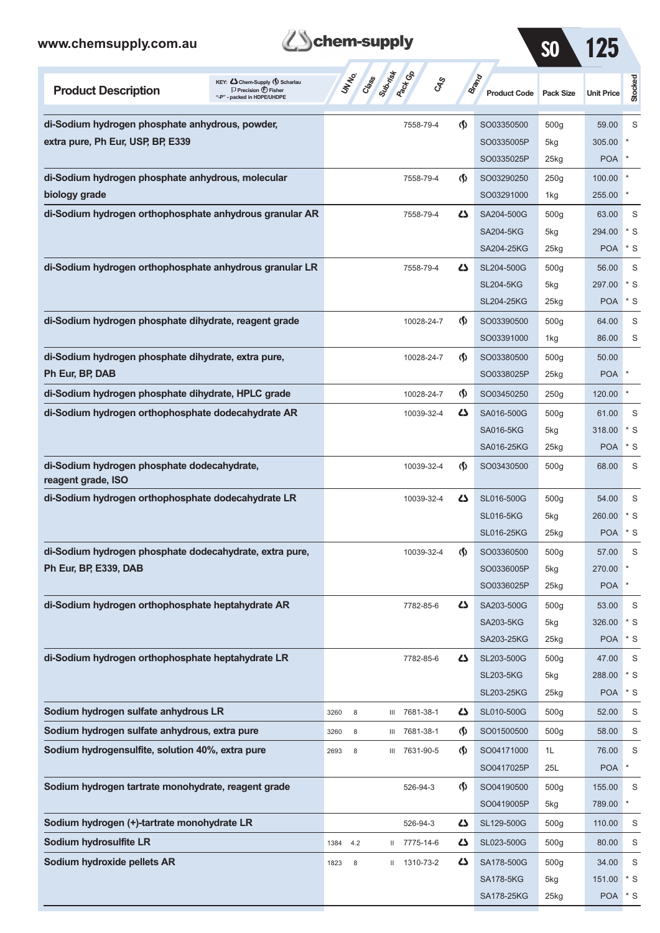

7.

SO 125

| <b>Product Description</b>                                        | KEY: Cohem-Supply (5) Scharlau<br>$\Box$ Precision $\langle f \rangle$ Fisher<br>"-P" - packed in HDPE/UHDPE |      | <b>Jr. Hessell</b> |   | ද්දේ          |                                    | Brand<br><b>Product Code</b> | <b>Pack Size</b> | <b>Unit Price</b> | Stocked |
|-------------------------------------------------------------------|--------------------------------------------------------------------------------------------------------------|------|--------------------|---|---------------|------------------------------------|------------------------------|------------------|-------------------|---------|
| di-Sodium hydrogen phosphate anhydrous, powder,                   |                                                                                                              |      |                    |   | 7558-79-4     | $\langle \mathbf{\langle} \rangle$ | SO03350500                   | 500 <sub>g</sub> | 59.00             | S       |
| extra pure, Ph Eur, USP, BP, E339                                 |                                                                                                              |      |                    |   |               |                                    | SO0335005P                   | 5kg              | 305.00            |         |
|                                                                   |                                                                                                              |      |                    |   |               |                                    | SO0335025P                   | $25$ kg          | <b>POA</b>        |         |
| di-Sodium hydrogen phosphate anhydrous, molecular                 |                                                                                                              |      |                    |   | 7558-79-4     | $\langle \mathbf{\langle} \rangle$ | SO03290250                   | 250g             | 100.00            |         |
| biology grade                                                     |                                                                                                              |      |                    |   |               |                                    | SO03291000                   | 1kg              | 255.00            |         |
| di-Sodium hydrogen orthophosphate anhydrous granular AR           |                                                                                                              |      |                    |   | 7558-79-4     | دے                                 | SA204-500G                   | 500 <sub>g</sub> | 63.00             | S       |
|                                                                   |                                                                                                              |      |                    |   |               |                                    | <b>SA204-5KG</b>             | 5kg              | 294.00            | $*$ S   |
|                                                                   |                                                                                                              |      |                    |   |               |                                    | SA204-25KG                   | $25$ kg          | <b>POA</b>        | * S     |
| di-Sodium hydrogen orthophosphate anhydrous granular LR           |                                                                                                              |      |                    |   | 7558-79-4     | دے                                 | SL204-500G                   | 500 <sub>g</sub> | 56.00             | S       |
|                                                                   |                                                                                                              |      |                    |   |               |                                    | <b>SL204-5KG</b>             | 5kg              | 297.00            | $*$ S   |
|                                                                   |                                                                                                              |      |                    |   |               |                                    | <b>SL204-25KG</b>            | $25$ kg          | <b>POA</b>        | * S     |
| di-Sodium hydrogen phosphate dihydrate, reagent grade             |                                                                                                              |      |                    |   | 10028-24-7    | $\langle \mathbf{\langle}$         | SO03390500                   | 500 <sub>g</sub> | 64.00             | S       |
|                                                                   |                                                                                                              |      |                    |   |               |                                    | SO03391000                   | 1kg              | 86.00             | S       |
| di-Sodium hydrogen phosphate dihydrate, extra pure,               |                                                                                                              |      |                    |   | 10028-24-7    | $\langle \mathbf{\langle}$         | SO03380500                   | 500 <sub>g</sub> | 50.00             |         |
| Ph Eur, BP, DAB                                                   |                                                                                                              |      |                    |   |               |                                    | SO0338025P                   | $25$ kg          | <b>POA</b>        |         |
| di-Sodium hydrogen phosphate dihydrate, HPLC grade                |                                                                                                              |      |                    |   | 10028-24-7    | ⊛                                  | SO03450250                   | 250g             | 120.00            | $\ast$  |
| di-Sodium hydrogen orthophosphate dodecahydrate AR                |                                                                                                              |      |                    |   | 10039-32-4    | دے                                 | SA016-500G                   | 500 <sub>g</sub> | 61.00             | S       |
|                                                                   |                                                                                                              |      |                    |   |               |                                    | <b>SA016-5KG</b>             | 5kg              | 318.00            | $*$ S   |
|                                                                   |                                                                                                              |      |                    |   |               |                                    | SA016-25KG                   | $25$ kg          | <b>POA</b>        | * S     |
| di-Sodium hydrogen phosphate dodecahydrate,<br>reagent grade, ISO |                                                                                                              |      |                    |   | 10039-32-4    | ⊛                                  | SO03430500                   | 500 <sub>g</sub> | 68.00             | S       |
| di-Sodium hydrogen orthophosphate dodecahydrate LR                |                                                                                                              |      |                    |   | 10039-32-4    | دے                                 | SL016-500G                   | 500 <sub>g</sub> | 54.00             | S       |
|                                                                   |                                                                                                              |      |                    |   |               |                                    | <b>SL016-5KG</b>             | 5kg              | 260.00            | * S     |
|                                                                   |                                                                                                              |      |                    |   |               |                                    | <b>SL016-25KG</b>            | $25$ kg          | <b>POA</b>        | * S     |
| di-Sodium hydrogen phosphate dodecahydrate, extra pure,           |                                                                                                              |      |                    |   | 10039-32-4    | $\langle \mathbf{\langle}$         | SO03360500                   | 500 <sub>g</sub> | 57.00             | S       |
| Ph Eur, BP, E339, DAB                                             |                                                                                                              |      |                    |   |               |                                    | SO0336005P                   | 5kg              | 270.00            |         |
|                                                                   |                                                                                                              |      |                    |   |               |                                    | SO0336025P                   | $25$ kg          | <b>POA</b>        | $\ast$  |
| di-Sodium hydrogen orthophosphate heptahydrate AR                 |                                                                                                              |      |                    |   | 7782-85-6     | 47                                 | SA203-500G                   | 500 <sub>g</sub> | 53.00             | S       |
|                                                                   |                                                                                                              |      |                    |   |               |                                    | SA203-5KG                    | 5kg              | 326.00            | $*$ S   |
|                                                                   |                                                                                                              |      |                    |   |               |                                    | SA203-25KG                   | 25kg             | <b>POA</b>        | * S     |
| di-Sodium hydrogen orthophosphate heptahydrate LR                 |                                                                                                              |      |                    |   | 7782-85-6     | 47                                 | SL203-500G                   | 500 <sub>g</sub> | 47.00             | S       |
|                                                                   |                                                                                                              |      |                    |   |               |                                    | <b>SL203-5KG</b>             | 5kg              | 288.00            | $*$ S   |
|                                                                   |                                                                                                              |      |                    |   |               |                                    | <b>SL203-25KG</b>            | $25$ kg          | <b>POA</b>        | * S     |
| Sodium hydrogen sulfate anhydrous LR                              |                                                                                                              | 3260 | 8                  |   | III 7681-38-1 | دے                                 | SL010-500G                   | 500 <sub>g</sub> | 52.00             | S       |
| Sodium hydrogen sulfate anhydrous, extra pure                     |                                                                                                              | 3260 | 8                  |   | III 7681-38-1 | $\langle \mathbf{\S} \rangle$      | SO01500500                   | 500 <sub>g</sub> | 58.00             | S       |
| Sodium hydrogensulfite, solution 40%, extra pure                  |                                                                                                              | 2693 | 8                  |   | III 7631-90-5 | $\langle \mathbf{\S} \rangle$      | SO04171000                   | 1L               | 76.00             | S       |
|                                                                   |                                                                                                              |      |                    |   |               |                                    | SO0417025P                   | 25L              | <b>POA</b>        | $\ast$  |
| Sodium hydrogen tartrate monohydrate, reagent grade               |                                                                                                              |      |                    |   | 526-94-3      | $\langle \mathbf{\S} \rangle$      | SO04190500                   | 500 <sub>g</sub> | 155.00            | S       |
|                                                                   |                                                                                                              |      |                    |   |               |                                    | SO0419005P                   | 5kg              | 789.00            | $\ast$  |
| Sodium hydrogen (+)-tartrate monohydrate LR                       |                                                                                                              |      |                    |   | 526-94-3      | دے                                 | SL129-500G                   | 500 <sub>g</sub> | 110.00            | S       |
| Sodium hydrosulfite LR                                            |                                                                                                              | 1384 | 4.2                | Ш | 7775-14-6     | 47                                 | SL023-500G                   | 500 <sub>g</sub> | 80.00             | S       |
| Sodium hydroxide pellets AR                                       |                                                                                                              | 1823 | 8                  | Ш | 1310-73-2     | 47                                 | SA178-500G                   | 500 <sub>g</sub> | 34.00             | S       |
|                                                                   |                                                                                                              |      |                    |   |               |                                    | <b>SA178-5KG</b>             | 5kg              | 151.00            | $*$ S   |
|                                                                   |                                                                                                              |      |                    |   |               |                                    | SA178-25KG                   | 25kg             | POA * S           |         |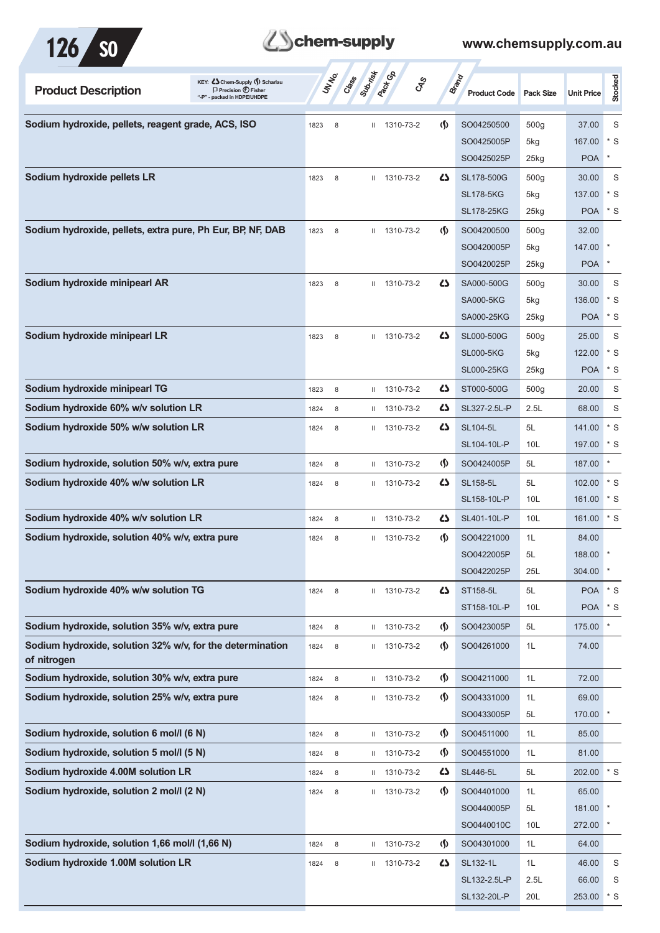



| KEY: Cohem-Supply () Scharlau<br><b>Product Description</b><br>$\Box$ Precision $\bigoplus$ Fisher<br>"-P" - packed in HDPE/UHDPE |      | UN NO.<br>Crass | Subrist      | <b>Pack Go</b> | <b>GRS</b>                    | Brand<br><b>Product Code</b> | <b>Pack Size</b> | <b>Unit Price</b> | <b>Stocked</b> |
|-----------------------------------------------------------------------------------------------------------------------------------|------|-----------------|--------------|----------------|-------------------------------|------------------------------|------------------|-------------------|----------------|
| Sodium hydroxide, pellets, reagent grade, ACS, ISO                                                                                | 1823 | 8               |              | II 1310-73-2   | $\langle \mathbf{\S} \rangle$ | SO04250500                   | 500g             | 37.00             | S              |
|                                                                                                                                   |      |                 |              |                |                               | SO0425005P                   | 5kg              | 167.00            | $*$ S          |
|                                                                                                                                   |      |                 |              |                |                               | SO0425025P                   | $25$ kg          | POA               | $\ast$         |
| Sodium hydroxide pellets LR                                                                                                       | 1823 | 8               |              | $11$ 1310-73-2 | $\mathbf{Z}$                  | SL178-500G                   | 500g             | 30.00             | S              |
|                                                                                                                                   |      |                 |              |                |                               | <b>SL178-5KG</b>             | 5kg              | 137.00            | $*$ S          |
|                                                                                                                                   |      |                 |              |                |                               | <b>SL178-25KG</b>            | $25$ kg          | <b>POA</b>        | $*$ S          |
| Sodium hydroxide, pellets, extra pure, Ph Eur, BP, NF, DAB                                                                        | 1823 | 8               |              | II 1310-73-2   | (∫)                           | SO04200500                   | 500g             | 32.00             |                |
|                                                                                                                                   |      |                 |              |                |                               | SO0420005P                   | 5kg              | 147.00            |                |
|                                                                                                                                   |      |                 |              |                |                               | SO0420025P                   | 25kg             | <b>POA</b>        |                |
| Sodium hydroxide minipearl AR                                                                                                     | 1823 | 8               |              | $11$ 1310-73-2 | 27                            | SA000-500G                   | 500g             | 30.00             | S              |
|                                                                                                                                   |      |                 |              |                |                               | <b>SA000-5KG</b>             | 5kg              | 136.00            | $*$ S          |
|                                                                                                                                   |      |                 |              |                |                               | SA000-25KG                   | 25kg             | <b>POA</b>        | * S            |
| Sodium hydroxide minipearl LR                                                                                                     | 1823 | 8               |              | $11$ 1310-73-2 | ひ                             | SL000-500G                   | 500g             | 25.00             | S              |
|                                                                                                                                   |      |                 |              |                |                               | <b>SL000-5KG</b>             | 5kg              | 122.00            | $*$ S          |
|                                                                                                                                   |      |                 |              |                |                               | <b>SL000-25KG</b>            | 25kg             | <b>POA</b>        | $*$ S          |
| Sodium hydroxide minipearl TG                                                                                                     | 1823 | 8               | Ш            | 1310-73-2      | ひ                             | ST000-500G                   | 500g             | 20.00             | S              |
| Sodium hydroxide 60% w/v solution LR                                                                                              | 1824 | 8               | Ш            | 1310-73-2      | 5                             | SL327-2.5L-P                 | 2.5L             | 68.00             | S              |
| Sodium hydroxide 50% w/w solution LR                                                                                              | 1824 | 8               |              | $11$ 1310-73-2 | 5                             | <b>SL104-5L</b>              | 5L               | 141.00            | $*$ S          |
|                                                                                                                                   |      |                 |              |                |                               | SL104-10L-P                  | 10L              | 197.00            | * S            |
| Sodium hydroxide, solution 50% w/v, extra pure                                                                                    | 1824 | 8               |              | II 1310-73-2   | (∫)                           | SO0424005P                   | 5L               | 187.00            | $\ast$         |
| Sodium hydroxide 40% w/w solution LR                                                                                              | 1824 | 8               |              | $11$ 1310-73-2 | ひ                             | <b>SL158-5L</b>              | 5L               | 102.00            | * S            |
|                                                                                                                                   |      |                 |              |                |                               | SL158-10L-P                  | 10 <sub>L</sub>  | 161.00            | * S            |
| Sodium hydroxide 40% w/v solution LR                                                                                              | 1824 | 8               | Ш            | 1310-73-2      | 45                            | SL401-10L-P                  | 10L              | 161.00            | $*$ S          |
| Sodium hydroxide, solution 40% w/v, extra pure                                                                                    | 1824 | 8               | Ш            | 1310-73-2      | (\$)                          | SO04221000                   | 1L               | 84.00             |                |
|                                                                                                                                   |      |                 |              |                |                               | SO0422005P                   | 5L               | 188.00            |                |
|                                                                                                                                   |      |                 |              |                |                               | SO0422025P                   | 25L              | 304.00            | $\star$        |
| Sodium hydroxide 40% w/w solution TG                                                                                              | 1824 | 8               |              | II 1310-73-2   | 45                            | ST158-5L                     | 5L               | <b>POA</b>        | $^\star$ S     |
|                                                                                                                                   |      |                 |              |                |                               | ST158-10L-P                  | 10 <sub>L</sub>  | <b>POA</b>        | $*$ S          |
| Sodium hydroxide, solution 35% w/v, extra pure                                                                                    | 1824 | 8               |              | II 1310-73-2   | $\langle \mathbf{\S} \rangle$ | SO0423005P                   | 5L               | 175.00            | $\star$        |
| Sodium hydroxide, solution 32% w/v, for the determination<br>of nitrogen                                                          | 1824 | 8               |              | II 1310-73-2   | $\langle \mathbf{\S} \rangle$ | SO04261000                   | 1L               | 74.00             |                |
| Sodium hydroxide, solution 30% w/v, extra pure                                                                                    | 1824 | 8               |              | II 1310-73-2   | $\varphi$                     | SO04211000                   | 1L               | 72.00             |                |
| Sodium hydroxide, solution 25% w/v, extra pure                                                                                    | 1824 | 8               | Ш.           | 1310-73-2      | $\langle \mathbf{\S} \rangle$ | SO04331000                   | 1L               | 69.00             |                |
|                                                                                                                                   |      |                 |              |                |                               | SO0433005P                   | 5L               | 170.00            | $\ast$         |
| Sodium hydroxide, solution 6 mol/l (6 N)                                                                                          | 1824 | 8               |              | II 1310-73-2   | $\Phi$                        | SO04511000                   | 1L               | 85.00             |                |
| Sodium hydroxide, solution 5 mol/l (5 N)                                                                                          | 1824 | 8               |              | $11$ 1310-73-2 | (Ş)                           | SO04551000                   | 1L               | 81.00             |                |
| Sodium hydroxide 4.00M solution LR                                                                                                | 1824 | 8               |              | II 1310-73-2   | 47                            | <b>SL446-5L</b>              | 5L               | 202.00            | $^\star$ S     |
| Sodium hydroxide, solution 2 mol/l (2 N)                                                                                          | 1824 | 8               |              | II 1310-73-2   | $\langle \mathbf{\S} \rangle$ | SO04401000                   | 1L               | 65.00             |                |
|                                                                                                                                   |      |                 |              |                |                               | SO0440005P                   | 5L               | 181.00            |                |
|                                                                                                                                   |      |                 |              |                |                               | SO0440010C                   | 10L              | 272.00            |                |
| Sodium hydroxide, solution 1,66 mol/l (1,66 N)                                                                                    | 1824 | 8               | Ш.           | 1310-73-2      | $\langle \mathbf{\S} \rangle$ | SO04301000                   | 1L               | 64.00             |                |
| Sodium hydroxide 1.00M solution LR                                                                                                | 1824 | 8               | $\mathbf{H}$ | 1310-73-2      | 5                             | SL132-1L                     | 1L               | 46.00             | S              |
|                                                                                                                                   |      |                 |              |                |                               | SL132-2.5L-P                 | 2.5L             | 66.00             | S              |
|                                                                                                                                   |      |                 |              |                |                               | SL132-20L-P                  | 20L              | 253.00            | $*$ S          |
|                                                                                                                                   |      |                 |              |                |                               |                              |                  |                   |                |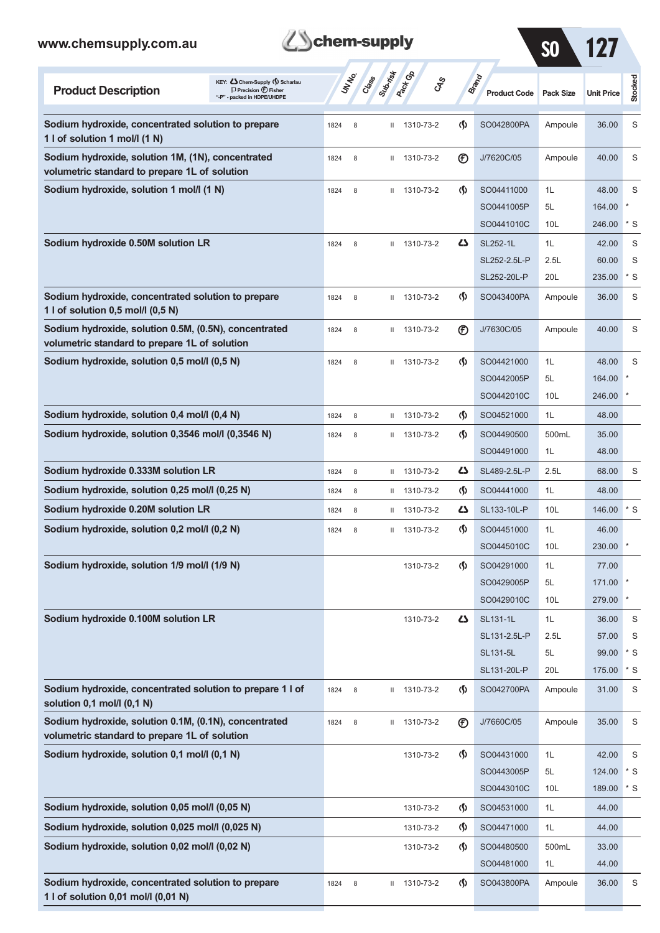**1 l of solution 0,01 mol/l (0,01 N)**

| chem-supply<br>www.chemsupply.com.au<br>IZZ<br><b>SO</b>                                                                           |      |                 |              |                       |                                    |                              |                       |                   |                  |
|------------------------------------------------------------------------------------------------------------------------------------|------|-----------------|--------------|-----------------------|------------------------------------|------------------------------|-----------------------|-------------------|------------------|
| KEY: Cohem-Supply (5) Scharlau<br><b>Product Description</b><br>$\Box$ Precision $\bigoplus$ Fisher<br>"-P" - packed in HDPE/UHDPE |      | UN NO.<br>Crass | Subrist      | <b>Peck GR</b><br>GSS |                                    | Brand<br><b>Product Code</b> | <b>Pack Size</b>      | <b>Unit Price</b> | Stocked          |
| Sodium hydroxide, concentrated solution to prepare<br>1 l of solution 1 mol/l (1 N)                                                | 1824 | 8               | Ш            | 1310-73-2             | $\langle \mathbf{\langle} \rangle$ | SO042800PA                   | Ampoule               | 36.00             | S                |
| Sodium hydroxide, solution 1M, (1N), concentrated<br>volumetric standard to prepare 1L of solution                                 | 1824 | 8               | Ш            | 1310-73-2             | $^{\circledR}$                     | J/7620C/05                   | Ampoule               | 40.00             | S                |
| Sodium hydroxide, solution 1 mol/l (1 N)                                                                                           | 1824 | 8               | Ш            | 1310-73-2             | $\langle \mathbf{\langle} \rangle$ | SO04411000                   | 1L                    | 48.00             | S                |
|                                                                                                                                    |      |                 |              |                       |                                    | SO0441005P<br>SO0441010C     | 5L<br>10 <sub>L</sub> | 164.00<br>246.00  | $\star$<br>$*$ S |
| Sodium hydroxide 0.50M solution LR                                                                                                 | 1824 | 8               | Ш.           | 1310-73-2             | ひ                                  | SL252-1L                     | 1L                    | 42.00             | S                |
|                                                                                                                                    |      |                 |              |                       |                                    | SL252-2.5L-P                 | 2.5L                  | 60.00             | S                |
|                                                                                                                                    |      |                 |              |                       |                                    | SL252-20L-P                  | 20L                   | 235.00            | * S              |
| Sodium hydroxide, concentrated solution to prepare<br>1 l of solution $0,5$ mol/l $(0,5 N)$                                        | 1824 | 8               | Ш            | 1310-73-2             | $\langle \mathbf{\langle} \rangle$ | SO043400PA                   | Ampoule               | 36.00             | S                |
| Sodium hydroxide, solution 0.5M, (0.5N), concentrated<br>volumetric standard to prepare 1L of solution                             | 1824 | 8               | Ш            | 1310-73-2             | $^{\circledR}$                     | J/7630C/05                   | Ampoule               | 40.00             | S                |
| Sodium hydroxide, solution 0,5 mol/l (0,5 N)                                                                                       | 1824 | 8               | Ш            | 1310-73-2             | $\langle \mathbf{\langle} \rangle$ | SO04421000                   | 1L                    | 48.00             | S                |
|                                                                                                                                    |      |                 |              |                       |                                    | SO0442005P                   | 5L                    | 164.00            |                  |
|                                                                                                                                    |      |                 |              |                       |                                    | SO0442010C                   | 10L                   | 246.00            |                  |
| Sodium hydroxide, solution 0,4 mol/l (0,4 N)                                                                                       | 1824 | 8               | Ш            | 1310-73-2             | $\langle \mathbf{\langle} \rangle$ | SO04521000                   | 1L                    | 48.00             |                  |
| Sodium hydroxide, solution 0,3546 mol/l (0,3546 N)                                                                                 | 1824 | 8               | Ш            | 1310-73-2             | $\langle \mathbf{\langle} \rangle$ | SO04490500                   | 500mL                 | 35.00             |                  |
|                                                                                                                                    |      |                 |              |                       |                                    | SO04491000                   | 1L                    | 48.00             |                  |
| Sodium hydroxide 0.333M solution LR                                                                                                | 1824 | 8               | Ш            | 1310-73-2             | ひ                                  | SL489-2.5L-P                 | 2.5L                  | 68.00             | S                |
| Sodium hydroxide, solution 0,25 mol/l (0,25 N)                                                                                     | 1824 | 8               | Ш            | 1310-73-2             | $\langle \mathbf{\langle} \rangle$ | SO04441000                   | 1L                    | 48.00             |                  |
| Sodium hydroxide 0.20M solution LR                                                                                                 | 1824 | 8               | $\mathbf{H}$ | 1310-73-2             | ひ                                  | SL133-10L-P                  | 10L                   | 146.00            | * S              |
| Sodium hydroxide, solution 0,2 mol/l (0,2 N)                                                                                       | 1824 | $\,$ 8 $\,$     | Ш            | 1310-73-2             | $\langle \mathbf{\langle} \rangle$ | SO04451000                   | 1L                    | 46.00             |                  |
|                                                                                                                                    |      |                 |              |                       |                                    | SO0445010C                   | 10L                   | 230.00            |                  |
| Sodium hydroxide, solution 1/9 mol/l (1/9 N)                                                                                       |      |                 |              | 1310-73-2             | $\langle \mathbf{\S} \rangle$      | SO04291000                   | 1L                    | 77.00             |                  |
|                                                                                                                                    |      |                 |              |                       |                                    | SO0429005P                   | 5L                    | 171.00            |                  |
|                                                                                                                                    |      |                 |              |                       |                                    | SO0429010C                   | 10L                   | 279.00            |                  |
| Sodium hydroxide 0.100M solution LR                                                                                                |      |                 |              | 1310-73-2             | 4                                  | SL131-1L                     | 1L                    | 36.00             | S                |
|                                                                                                                                    |      |                 |              |                       |                                    | SL131-2.5L-P                 | 2.5L                  | 57.00             | S                |
|                                                                                                                                    |      |                 |              |                       |                                    | SL131-5L<br>SL131-20L-P      | 5L<br>20L             | 99.00<br>175.00   | $*$ S<br>* S     |
| Sodium hydroxide, concentrated solution to prepare 1 l of<br>solution 0,1 mol/l (0,1 N)                                            | 1824 | 8               | Ш            | 1310-73-2             | $\Phi$                             | SO042700PA                   | Ampoule               | 31.00             | S                |
| Sodium hydroxide, solution 0.1M, (0.1N), concentrated                                                                              | 1824 | 8               | Ш            | 1310-73-2             | $^{\circledR}$                     | J/7660C/05                   | Ampoule               | 35.00             | S                |
| volumetric standard to prepare 1L of solution                                                                                      |      |                 |              |                       |                                    |                              |                       |                   |                  |
| Sodium hydroxide, solution 0,1 mol/l (0,1 N)                                                                                       |      |                 |              | 1310-73-2             | $\langle \mathbf{\hat{y}} \rangle$ | SO04431000                   | 1L                    | 42.00             | S                |
|                                                                                                                                    |      |                 |              |                       |                                    | SO0443005P                   | 5L                    | 124.00            | $*$ S            |
|                                                                                                                                    |      |                 |              |                       |                                    | SO0443010C                   | 10L                   | 189.00            | $*$ S            |
| Sodium hydroxide, solution 0,05 mol/l (0,05 N)                                                                                     |      |                 |              | 1310-73-2             | $\Phi$                             | SO04531000                   | 1L                    | 44.00             |                  |
| Sodium hydroxide, solution 0,025 mol/l (0,025 N)                                                                                   |      |                 |              | 1310-73-2             | $\Phi$                             | SO04471000                   | 1L                    | 44.00             |                  |
| Sodium hydroxide, solution 0,02 mol/l (0,02 N)                                                                                     |      |                 |              | 1310-73-2             | $\Phi$                             | SO04480500                   | 500mL                 | 33.00             |                  |
|                                                                                                                                    |      |                 |              |                       |                                    | SO04481000                   | 1L                    | 44.00             |                  |
| Sodium hydroxide, concentrated solution to prepare                                                                                 | 1824 | 8               | Ш.           | 1310-73-2             | $\Phi$                             | SO043800PA                   | Ampoule               | 36.00             | S                |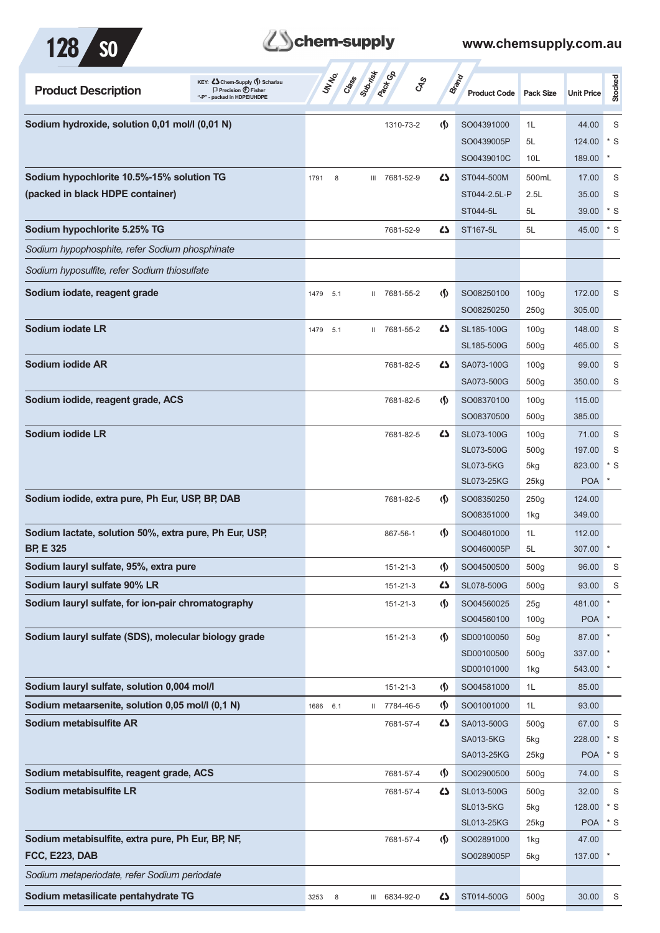

| <b>Product Description</b>                             | KEY: C Chem-Supply (5) Scharlau<br>$\Box$ Precision $\bigoplus$ Fisher<br>"-P" - packed in HDPE/UHDPE | UNIVO<br>Class | Suprist<br><b>Pack</b> Go<br><b>GRS</b> |                                    | Brand<br><b>Product Code</b> | <b>Pack Size</b>        | <b>Unit Price</b> | Stocked |
|--------------------------------------------------------|-------------------------------------------------------------------------------------------------------|----------------|-----------------------------------------|------------------------------------|------------------------------|-------------------------|-------------------|---------|
| Sodium hydroxide, solution 0,01 mol/l (0,01 N)         |                                                                                                       |                | 1310-73-2                               | $\langle \mathbf{\S} \rangle$      | SO04391000                   | 1L                      | 44.00             | S       |
|                                                        |                                                                                                       |                |                                         |                                    | SO0439005P                   | 5L                      | 124.00            | $*$ S   |
|                                                        |                                                                                                       |                |                                         |                                    | SO0439010C                   | 10 <sub>L</sub>         | 189.00            | $\ast$  |
| Sodium hypochlorite 10.5%-15% solution TG              |                                                                                                       | 1791<br>8      | III 7681-52-9                           | 45                                 | ST044-500M                   | 500mL                   | 17.00             | S       |
| (packed in black HDPE container)                       |                                                                                                       |                |                                         |                                    | ST044-2.5L-P                 | 2.5L                    | 35.00             | S       |
|                                                        |                                                                                                       |                |                                         |                                    | ST044-5L                     | 5L                      | 39.00             | $*$ S   |
| Sodium hypochlorite 5.25% TG                           |                                                                                                       |                | 7681-52-9                               | 42                                 | ST167-5L                     | 5L                      | 45.00             | $*$ S   |
| Sodium hypophosphite, refer Sodium phosphinate         |                                                                                                       |                |                                         |                                    |                              |                         |                   |         |
| Sodium hyposulfite, refer Sodium thiosulfate           |                                                                                                       |                |                                         |                                    |                              |                         |                   |         |
| Sodium iodate, reagent grade                           |                                                                                                       | 1479<br>5.1    | 7681-55-2<br>H.                         | $\langle \mathbf{\langle} \rangle$ | SO08250100                   | 100 <sub>g</sub>        | 172.00            | S       |
|                                                        |                                                                                                       |                |                                         |                                    | SO08250250                   | 250g                    | 305.00            |         |
| Sodium iodate LR                                       |                                                                                                       | 5.1<br>1479    | II 7681-55-2                            | 42                                 | SL185-100G                   | 100 <sub>g</sub>        | 148.00            | S       |
|                                                        |                                                                                                       |                |                                         |                                    | SL185-500G                   | 500 <sub>g</sub>        | 465.00            | S       |
| Sodium iodide AR                                       |                                                                                                       |                | 7681-82-5                               | 4                                  | SA073-100G                   | 100 <sub>g</sub>        | 99.00             | S       |
|                                                        |                                                                                                       |                |                                         |                                    | SA073-500G                   | 500 <sub>g</sub>        | 350.00            | S       |
| Sodium iodide, reagent grade, ACS                      |                                                                                                       |                | 7681-82-5                               | $\langle \mathbf{\langle} \rangle$ | SO08370100                   | 100 <sub>g</sub>        | 115.00            |         |
|                                                        |                                                                                                       |                |                                         |                                    | SO08370500                   | 500 <sub>g</sub>        | 385.00            |         |
| Sodium iodide LR                                       |                                                                                                       |                | 7681-82-5                               | 47                                 | SL073-100G                   | 100 <sub>g</sub>        | 71.00             | S       |
|                                                        |                                                                                                       |                |                                         |                                    | SL073-500G                   | 500 <sub>g</sub>        | 197.00            | S       |
|                                                        |                                                                                                       |                |                                         |                                    | <b>SL073-5KG</b>             | 5kg                     | 823.00            | * S     |
|                                                        |                                                                                                       |                |                                         |                                    | <b>SL073-25KG</b>            | $25$ kg                 | <b>POA</b>        |         |
| Sodium iodide, extra pure, Ph Eur, USP, BP, DAB        |                                                                                                       |                | 7681-82-5                               | $\langle \mathbf{\langle} \rangle$ | SO08350250                   | 250g                    | 124.00            |         |
|                                                        |                                                                                                       |                |                                         |                                    | SO08351000                   | 1kg                     | 349.00            |         |
| Sodium lactate, solution 50%, extra pure, Ph Eur, USP, |                                                                                                       |                | 867-56-1                                | (∫)                                | SO04601000                   | 1L                      | 112.00            |         |
| <b>BP. E 325</b>                                       |                                                                                                       |                |                                         |                                    | SO0460005P                   | 5L                      | 307.00            |         |
| Sodium lauryl sulfate, 95%, extra pure                 |                                                                                                       |                | 151-21-3                                | $\langle \mathbf{\S} \rangle$      | SO04500500                   | 500 <sub>g</sub>        | 96.00             | S       |
| Sodium lauryl sulfate 90% LR                           |                                                                                                       |                | 151-21-3                                | 5                                  | SL078-500G                   | 500 <sub>g</sub>        | 93.00             | S       |
| Sodium lauryl sulfate, for ion-pair chromatography     |                                                                                                       |                | 151-21-3                                | $\langle \mathsf{S} \rangle$       | SO04560025                   | 25g                     | 481.00            |         |
|                                                        |                                                                                                       |                |                                         |                                    | SO04560100                   | 100 <sub>g</sub>        | <b>POA</b>        |         |
| Sodium lauryl sulfate (SDS), molecular biology grade   |                                                                                                       |                | 151-21-3                                | $\langle \mathbf{\langle} \rangle$ | SD00100050<br>SD00100500     | 50 <sub>g</sub><br>500g | 87.00<br>337.00   |         |
|                                                        |                                                                                                       |                |                                         |                                    | SD00101000                   | 1kg                     | 543.00            |         |
| Sodium lauryl sulfate, solution 0,004 mol/l            |                                                                                                       |                | 151-21-3                                | $\langle \mathsf{S} \rangle$       | SO04581000                   | 1L                      | 85.00             |         |
| Sodium metaarsenite, solution 0,05 mol/l (0,1 N)       |                                                                                                       | 6.1<br>1686    | 7784-46-5<br>Ш.                         | $\langle \mathbf{\S} \rangle$      | SO01001000                   | 1L                      | 93.00             |         |
| Sodium metabisulfite AR                                |                                                                                                       |                | 7681-57-4                               | 5                                  | SA013-500G                   | 500 <sub>g</sub>        | 67.00             | S       |
|                                                        |                                                                                                       |                |                                         |                                    | SA013-5KG                    | 5kg                     | 228.00            | $*$ S   |
|                                                        |                                                                                                       |                |                                         |                                    | SA013-25KG                   | 25kg                    | <b>POA</b>        | $*$ S   |
| Sodium metabisulfite, reagent grade, ACS               |                                                                                                       |                | 7681-57-4                               | $\langle \mathsf{S} \rangle$       | SO02900500                   | 500 <sub>g</sub>        | 74.00             | S       |
| Sodium metabisulfite LR                                |                                                                                                       |                | 7681-57-4                               | 5                                  | SL013-500G                   | 500g                    | 32.00             | S       |
|                                                        |                                                                                                       |                |                                         |                                    | <b>SL013-5KG</b>             | 5kg                     | 128.00            | $*$ S   |
|                                                        |                                                                                                       |                |                                         |                                    | <b>SL013-25KG</b>            | 25kg                    | <b>POA</b>        | $*$ S   |
| Sodium metabisulfite, extra pure, Ph Eur, BP, NF,      |                                                                                                       |                | 7681-57-4                               | $\langle \mathsf{S} \rangle$       | SO02891000                   | 1kg                     | 47.00             |         |
| <b>FCC, E223, DAB</b>                                  |                                                                                                       |                |                                         |                                    | SO0289005P                   | 5kg                     | 137.00            |         |
| Sodium metaperiodate, refer Sodium periodate           |                                                                                                       |                |                                         |                                    |                              |                         |                   |         |
| Sodium metasilicate pentahydrate TG                    |                                                                                                       | 3253<br>8      | III 6834-92-0                           | 45                                 | ST014-500G                   | 500g                    | 30.00             | S       |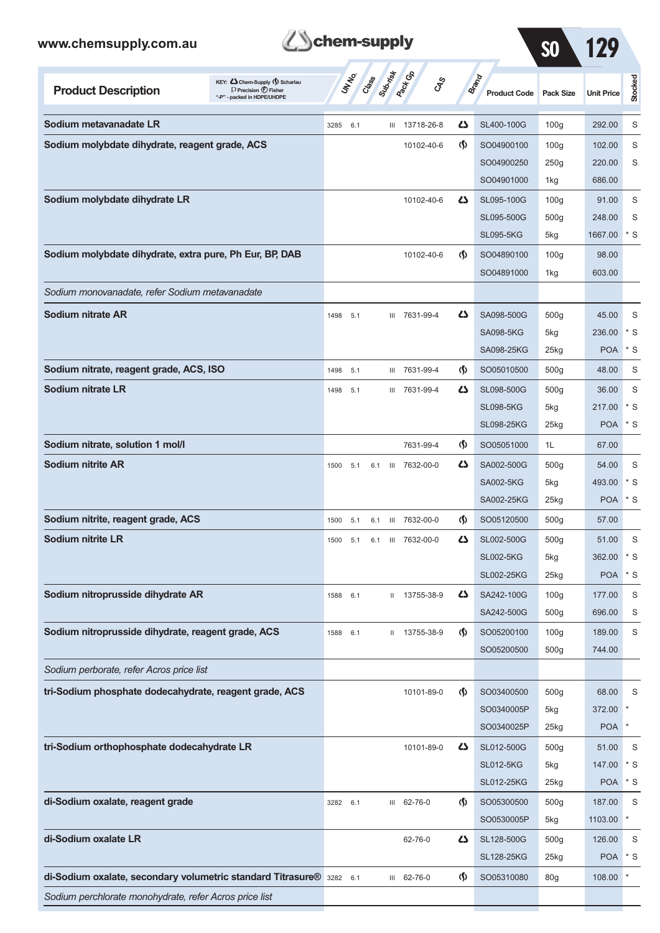*Sodium perchlorate monohydrate, refer Acros price list*

| <b>B</b> chem-supply |
|----------------------|
|                      |

| www.chemsupply.com.au                                                                                                               | chem-supply |              |                  |     |                              |                                    |                                     | <b>SO</b>        | 129               |           |
|-------------------------------------------------------------------------------------------------------------------------------------|-------------|--------------|------------------|-----|------------------------------|------------------------------------|-------------------------------------|------------------|-------------------|-----------|
| KEY: C Chem-Supply (5) Scharlau<br><b>Product Description</b><br>$\Box$ Precision $\bigoplus$ Fisher<br>"-P" - packed in HDPE/UHDPE |             | <b>UNTER</b> | Suprist<br>Class |     | <b>Rack Co</b><br><b>GRS</b> |                                    | <b>Brand</b><br><b>Product Code</b> | <b>Pack Size</b> | <b>Unit Price</b> | Stocked   |
| Sodium metavanadate LR                                                                                                              | 3285        | 6.1          |                  | Ш   | 13718-26-8                   | ひ                                  | SL400-100G                          | 100q             | 292.00            | S         |
| Sodium molybdate dihydrate, reagent grade, ACS                                                                                      |             |              |                  |     | 10102-40-6                   | (∮)                                | SO04900100                          | 100q             | 102.00            | S         |
|                                                                                                                                     |             |              |                  |     |                              |                                    | SO04900250                          | 250g             | 220.00            | S         |
|                                                                                                                                     |             |              |                  |     |                              |                                    | SO04901000                          | 1kg              | 686.00            |           |
| Sodium molybdate dihydrate LR                                                                                                       |             |              |                  |     | 10102-40-6                   | ひ                                  | SL095-100G                          | 100 <sub>g</sub> | 91.00             | S         |
|                                                                                                                                     |             |              |                  |     |                              |                                    | SL095-500G                          | 500g             | 248.00            | S         |
|                                                                                                                                     |             |              |                  |     |                              |                                    | <b>SL095-5KG</b>                    | 5kg              | 1667.00           | $*$ S     |
| Sodium molybdate dihydrate, extra pure, Ph Eur, BP, DAB                                                                             |             |              |                  |     | 10102-40-6                   | $\langle \mathbf{\langle} \rangle$ | SO04890100                          | 100 <sub>g</sub> | 98.00             |           |
|                                                                                                                                     |             |              |                  |     |                              |                                    | SO04891000                          | 1kg              | 603.00            |           |
| Sodium monovanadate, refer Sodium metavanadate                                                                                      |             |              |                  |     |                              |                                    |                                     |                  |                   |           |
| Sodium nitrate AR                                                                                                                   | 1498        | 5.1          |                  | III | 7631-99-4                    | 45                                 | SA098-500G                          | 500 <sub>g</sub> | 45.00             | S         |
|                                                                                                                                     |             |              |                  |     |                              |                                    | <b>SA098-5KG</b>                    | 5kg              | 236.00            | $*$ S     |
|                                                                                                                                     |             |              |                  |     |                              |                                    | SA098-25KG                          | $25$ kg          | <b>POA</b>        | $*$ S     |
| Sodium nitrate, reagent grade, ACS, ISO                                                                                             | 1498        | 5.1          |                  | Ш   | 7631-99-4                    | $\Phi$                             | SO05010500                          | 500 <sub>g</sub> | 48.00             | S         |
| <b>Sodium nitrate LR</b>                                                                                                            | 1498        | 5.1          |                  | Ш   | 7631-99-4                    | ひ                                  | SL098-500G                          | 500 <sub>g</sub> | 36.00             | S         |
|                                                                                                                                     |             |              |                  |     |                              |                                    | <b>SL098-5KG</b>                    | 5kg              | 217.00            | $*$ S     |
|                                                                                                                                     |             |              |                  |     |                              |                                    | <b>SL098-25KG</b>                   | $25$ kg          | <b>POA</b>        | $*$ S     |
| Sodium nitrate, solution 1 mol/l                                                                                                    |             |              |                  |     | 7631-99-4                    | $\Phi$                             | SO05051000                          | 1L               | 67.00             |           |
| Sodium nitrite AR                                                                                                                   | 1500        | 5.1          | 6.1              | Ш   | 7632-00-0                    | ひ                                  | SA002-500G                          | 500 <sub>g</sub> | 54.00             | S         |
|                                                                                                                                     |             |              |                  |     |                              |                                    | <b>SA002-5KG</b>                    | 5kg              | 493.00            | $*$ S     |
|                                                                                                                                     |             |              |                  |     |                              |                                    | SA002-25KG                          | 25kg             | <b>POA</b>        | $*$ S     |
| Sodium nitrite, reagent grade, ACS                                                                                                  | 1500        | 5.1          |                  |     | 6.1 III 7632-00-0            | (\$)                               | SO05120500                          | 500g             | 57.00             |           |
| <b>Sodium nitrite LR</b>                                                                                                            | 1500        | 5.1          | 6.1              | Ш   | 7632-00-0                    | دے                                 | SL002-500G                          | 500g             | 51.00             | S         |
|                                                                                                                                     |             |              |                  |     |                              |                                    | <b>SL002-5KG</b>                    | 5kg              | 362.00            | $*$ S     |
|                                                                                                                                     |             |              |                  |     |                              |                                    | <b>SL002-25KG</b>                   | 25kg             | <b>POA</b>        | $*$ S     |
| Sodium nitroprusside dihydrate AR                                                                                                   | 1588        | 6.1          |                  |     | II 13755-38-9                | 47                                 | SA242-100G                          | 100 <sub>g</sub> | 177.00            | S         |
|                                                                                                                                     |             |              |                  |     |                              |                                    | SA242-500G                          | 500 <sub>g</sub> | 696.00            | S         |
| Sodium nitroprusside dihydrate, reagent grade, ACS                                                                                  | 1588        | 6.1          |                  | Ш   | 13755-38-9                   | $\langle \mathbf{\S} \rangle$      | SO05200100                          | 100 <sub>g</sub> | 189.00            | S         |
|                                                                                                                                     |             |              |                  |     |                              |                                    | SO05200500                          | 500 <sub>g</sub> | 744.00            |           |
| Sodium perborate, refer Acros price list                                                                                            |             |              |                  |     |                              |                                    |                                     |                  |                   |           |
| tri-Sodium phosphate dodecahydrate, reagent grade, ACS                                                                              |             |              |                  |     | 10101-89-0                   | $\Phi$                             | SO03400500                          | 500g             | 68.00             | S         |
|                                                                                                                                     |             |              |                  |     |                              |                                    | SO0340005P                          | 5kg              | 372.00            |           |
|                                                                                                                                     |             |              |                  |     |                              |                                    | SO0340025P                          | 25kg             | <b>POA</b>        | $^{\ast}$ |
| tri-Sodium orthophosphate dodecahydrate LR                                                                                          |             |              |                  |     | 10101-89-0                   | ひ                                  | SL012-500G                          | 500g             | 51.00             | S         |
|                                                                                                                                     |             |              |                  |     |                              |                                    | <b>SL012-5KG</b>                    | 5kg              | 147.00            | $*$ S     |
|                                                                                                                                     |             |              |                  |     |                              |                                    | <b>SL012-25KG</b>                   | 25kg             | <b>POA</b>        | $*$ S     |
| di-Sodium oxalate, reagent grade                                                                                                    |             | 3282 6.1     |                  | Ш   | 62-76-0                      | $\Phi$                             | SO05300500                          | 500 <sub>g</sub> | 187.00            | S         |
|                                                                                                                                     |             |              |                  |     |                              |                                    | SO0530005P                          | 5kg              | 1103.00           | *         |
| di-Sodium oxalate LR                                                                                                                |             |              |                  |     | 62-76-0                      | ひ                                  | SL128-500G                          | 500 <sub>g</sub> | 126.00            | S         |
|                                                                                                                                     |             |              |                  |     |                              |                                    | <b>SL128-25KG</b>                   | 25kg             | <b>POA</b>        | $*$ S     |
| di-Sodium oxalate, secondary volumetric standard Titrasure® 3282 6.1                                                                |             |              |                  |     | III 62-76-0                  | $\Phi$                             | SO05310080                          | 80 <sub>g</sub>  | 108.00            |           |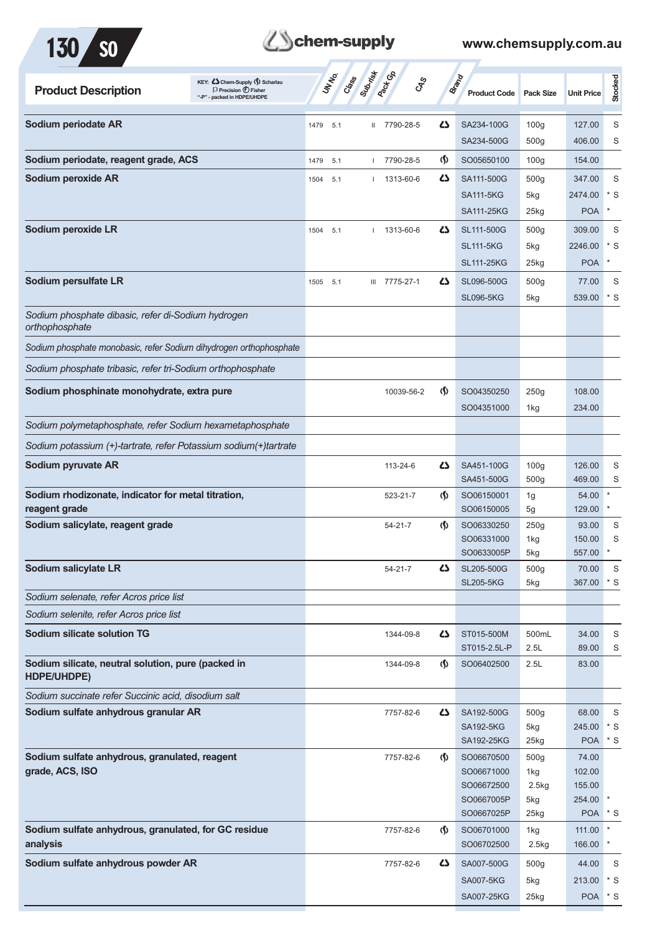



| KEY: C Chem-Supply (5) Scharlau<br><b>Product Description</b><br>$\Box$ Precision $\bigoplus$ Fisher<br>- packed in HDPE/UHDPE | UN NO.<br>Cass | Subsite<br><b>Pactice</b><br><b>GRS</b> |                                    | <b>Brand</b><br><b>Product Code</b> | <b>Pack Size</b>                     | <b>Unit Price</b> | Stocked |
|--------------------------------------------------------------------------------------------------------------------------------|----------------|-----------------------------------------|------------------------------------|-------------------------------------|--------------------------------------|-------------------|---------|
| Sodium periodate AR                                                                                                            | 1479<br>5.1    | 7790-28-5<br>$\mathbf{H}$               | ひ                                  | SA234-100G                          | 100 <sub>g</sub>                     | 127.00            | S       |
|                                                                                                                                |                |                                         |                                    | SA234-500G                          | 500q                                 | 406.00            | S       |
| Sodium periodate, reagent grade, ACS                                                                                           | 1479<br>5.1    | 7790-28-5                               | $\langle \mathbf{\S} \rangle$      | SO05650100                          | 100 <sub>g</sub>                     | 154.00            |         |
| Sodium peroxide AR                                                                                                             | 5.1<br>1504    | 1313-60-6                               | 45                                 | SA111-500G                          | 500 <sub>g</sub>                     | 347.00            | S       |
|                                                                                                                                |                |                                         |                                    | <b>SA111-5KG</b>                    | 5kg                                  | 2474.00           | * S     |
|                                                                                                                                |                |                                         |                                    | <b>SA111-25KG</b>                   | 25kg                                 | <b>POA</b>        |         |
| Sodium peroxide LR                                                                                                             | 5.1<br>1504    | 1313-60-6<br>$\mathbf{L}$               | 45                                 | SL111-500G                          | 500 <sub>g</sub>                     | 309.00            | S       |
|                                                                                                                                |                |                                         |                                    | <b>SL111-5KG</b>                    | 5kg                                  | 2246.00           | * S     |
|                                                                                                                                |                |                                         |                                    | <b>SL111-25KG</b>                   | 25kg                                 | <b>POA</b>        |         |
| Sodium persulfate LR                                                                                                           | 5.1<br>1505    | III 7775-27-1                           | Ω                                  | SL096-500G                          | 500 <sub>g</sub>                     | 77.00             | S       |
|                                                                                                                                |                |                                         |                                    | <b>SL096-5KG</b>                    | 5kg                                  | 539.00            | $*$ S   |
| Sodium phosphate dibasic, refer di-Sodium hydrogen<br>orthophosphate                                                           |                |                                         |                                    |                                     |                                      |                   |         |
| Sodium phosphate monobasic, refer Sodium dihydrogen orthophosphate                                                             |                |                                         |                                    |                                     |                                      |                   |         |
| Sodium phosphate tribasic, refer tri-Sodium orthophosphate                                                                     |                |                                         |                                    |                                     |                                      |                   |         |
| Sodium phosphinate monohydrate, extra pure                                                                                     |                | 10039-56-2                              | $\langle \mathbf{\langle} \rangle$ | SO04350250                          | 250g                                 | 108.00            |         |
|                                                                                                                                |                |                                         |                                    | SO04351000                          | 1kg                                  | 234.00            |         |
|                                                                                                                                |                |                                         |                                    |                                     |                                      |                   |         |
| Sodium polymetaphosphate, refer Sodium hexametaphosphate                                                                       |                |                                         |                                    |                                     |                                      |                   |         |
| Sodium potassium (+)-tartrate, refer Potassium sodium(+)tartrate                                                               |                |                                         |                                    |                                     |                                      |                   |         |
| Sodium pyruvate AR                                                                                                             |                | 113-24-6                                | ひ                                  | SA451-100G<br>SA451-500G            | 100 <sub>g</sub><br>500 <sub>g</sub> | 126.00<br>469.00  | S<br>S  |
| Sodium rhodizonate, indicator for metal titration,                                                                             |                | 523-21-7                                | $\langle \mathbf{\langle} \rangle$ | SO06150001                          | 1g                                   | 54.00             |         |
| reagent grade                                                                                                                  |                |                                         |                                    | SO06150005                          | 5g                                   | 129.00            | $\ast$  |
| Sodium salicylate, reagent grade                                                                                               |                | $54 - 21 - 7$                           | $\langle \mathbf{\langle} \rangle$ | SO06330250                          | 250g                                 | 93.00             | S       |
|                                                                                                                                |                |                                         |                                    | SO06331000<br>SO0633005P            | 1kg<br>5kg                           | 150.00<br>557.00  | S       |
| Sodium salicylate LR                                                                                                           |                | $54 - 21 - 7$                           | 45                                 | SL205-500G                          | 500g                                 | 70.00             | S       |
|                                                                                                                                |                |                                         |                                    | <b>SL205-5KG</b>                    | 5kg                                  | 367.00            | $*$ S   |
| Sodium selenate, refer Acros price list                                                                                        |                |                                         |                                    |                                     |                                      |                   |         |
| Sodium selenite, refer Acros price list                                                                                        |                |                                         |                                    |                                     |                                      |                   |         |
| <b>Sodium silicate solution TG</b>                                                                                             |                | 1344-09-8                               | 4                                  | ST015-500M                          | 500mL                                | 34.00             | S       |
|                                                                                                                                |                |                                         |                                    | ST015-2.5L-P                        | 2.5L                                 | 89.00             | S       |
| Sodium silicate, neutral solution, pure (packed in<br>HDPE/UHDPE)                                                              |                | 1344-09-8                               | $\langle \mathbf{\S} \rangle$      | SO06402500                          | 2.5L                                 | 83.00             |         |
| Sodium succinate refer Succinic acid, disodium salt                                                                            |                |                                         |                                    |                                     |                                      |                   |         |
| Sodium sulfate anhydrous granular AR                                                                                           |                | 7757-82-6                               | ひ                                  | SA192-500G                          | 500 <sub>g</sub>                     | 68.00             | S       |
|                                                                                                                                |                |                                         |                                    | <b>SA192-5KG</b>                    | 5kg                                  | 245.00            | $*$ S   |
|                                                                                                                                |                |                                         |                                    | SA192-25KG                          | 25kg                                 | <b>POA</b>        | * S     |
| Sodium sulfate anhydrous, granulated, reagent                                                                                  |                | 7757-82-6                               | $\langle \mathbf{\S} \rangle$      | SO06670500                          | 500g                                 | 74.00             |         |
| grade, ACS, ISO                                                                                                                |                |                                         |                                    | SO06671000<br>SO06672500            | 1kg<br>2.5kg                         | 102.00<br>155.00  |         |
|                                                                                                                                |                |                                         |                                    | SO0667005P                          | 5kg                                  | 254.00            |         |
|                                                                                                                                |                |                                         |                                    | SO0667025P                          | 25kg                                 | <b>POA</b>        | * S     |
| Sodium sulfate anhydrous, granulated, for GC residue                                                                           |                | 7757-82-6                               | $\langle \mathbf{\langle} \rangle$ | SO06701000                          | 1kg                                  | 111.00            |         |
| analysis                                                                                                                       |                |                                         |                                    | SO06702500                          | 2.5kg                                | 166.00            | $\ast$  |
| Sodium sulfate anhydrous powder AR                                                                                             |                | 7757-82-6                               | ひ                                  | SA007-500G                          | 500g                                 | 44.00             | S       |
|                                                                                                                                |                |                                         |                                    | <b>SA007-5KG</b>                    | 5kg                                  | 213.00            | $*$ S   |
|                                                                                                                                |                |                                         |                                    | SA007-25KG                          | 25kg                                 | POA * S           |         |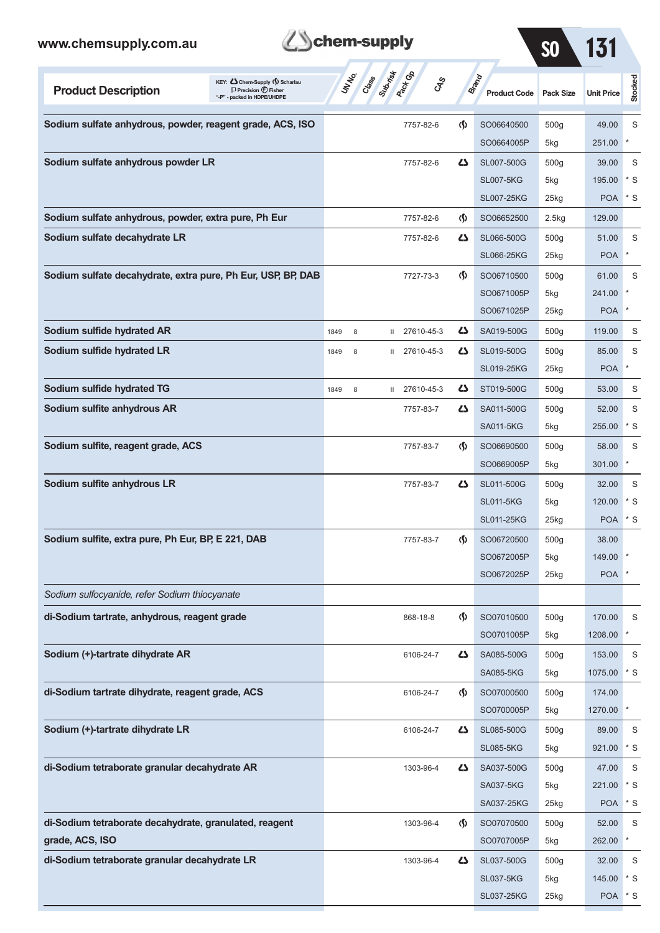|  | <b>B</b> chem-supply |
|--|----------------------|
|--|----------------------|

 $\overline{\phantom{a}}$ 

| www.chemsupply.com.au                                        |                                                                                                      |      |                | chem-supply  |                              | <b>SO</b>                          | 131                          |                    |                   |            |
|--------------------------------------------------------------|------------------------------------------------------------------------------------------------------|------|----------------|--------------|------------------------------|------------------------------------|------------------------------|--------------------|-------------------|------------|
| <b>Product Description</b>                                   | KEY: Cohem-Supply (5) Scharlau<br>$\Box$ Precision $\bigoplus$ Fisher<br>"-P" - packed in HDPE/UHDPE |      | UNIVO<br>Creas | Suprist      | <b>Pactice</b><br><b>GRS</b> |                                    | Brand<br><b>Product Code</b> | <b>Pack Size</b>   | <b>Unit Price</b> | Stocked    |
| Sodium sulfate anhydrous, powder, reagent grade, ACS, ISO    |                                                                                                      |      |                |              | 7757-82-6                    | $\langle \mathbf{\langle} \rangle$ | SO06640500                   | 500 <sub>g</sub>   | 49.00             | S          |
|                                                              |                                                                                                      |      |                |              |                              |                                    | SO0664005P                   | 5kg                | 251.00            | $\ast$     |
| Sodium sulfate anhydrous powder LR                           |                                                                                                      |      |                |              | 7757-82-6                    | ひ                                  | SL007-500G                   | 500 <sub>g</sub>   | 39.00             | S          |
|                                                              |                                                                                                      |      |                |              |                              |                                    | <b>SL007-5KG</b>             | 5kg                | 195.00            | $*$ S      |
|                                                              |                                                                                                      |      |                |              |                              |                                    | <b>SL007-25KG</b>            | $25$ <sub>kg</sub> | <b>POA</b>        | $*$ S      |
| Sodium sulfate anhydrous, powder, extra pure, Ph Eur         |                                                                                                      |      |                |              | 7757-82-6                    | $\langle \mathbf{\hat{y}} \rangle$ | SO06652500                   | 2.5kg              | 129.00            |            |
| Sodium sulfate decahydrate LR                                |                                                                                                      |      |                |              | 7757-82-6                    | دے                                 | SL066-500G                   | 500 <sub>g</sub>   | 51.00             | S          |
|                                                              |                                                                                                      |      |                |              |                              |                                    | <b>SL066-25KG</b>            | $25$ kg            | <b>POA</b>        | $\star$    |
| Sodium sulfate decahydrate, extra pure, Ph Eur, USP, BP, DAB |                                                                                                      |      |                |              | 7727-73-3                    | $\langle \mathbf{\hat{y}} \rangle$ | SO06710500                   | 500 <sub>g</sub>   | 61.00             | S          |
|                                                              |                                                                                                      |      |                |              |                              |                                    | SO0671005P                   | 5kg                | 241.00            |            |
|                                                              |                                                                                                      |      |                |              |                              |                                    | SO0671025P                   | 25kg               | <b>POA</b>        |            |
| Sodium sulfide hydrated AR                                   |                                                                                                      | 1849 | 8              | Ш            | 27610-45-3                   | دے                                 | SA019-500G                   | 500 <sub>g</sub>   | 119.00            | S          |
| Sodium sulfide hydrated LR                                   |                                                                                                      | 1849 | 8              | $\mathbf{H}$ | 27610-45-3                   | دے                                 | SL019-500G                   | 500 <sub>g</sub>   | 85.00             | S          |
|                                                              |                                                                                                      |      |                |              |                              |                                    | <b>SL019-25KG</b>            | $25$ kg            | <b>POA</b>        | $\ast$     |
| Sodium sulfide hydrated TG                                   |                                                                                                      | 1849 | 8              | Ш            | 27610-45-3                   | ひ                                  | ST019-500G                   | 500 <sub>g</sub>   | 53.00             | S          |
| Sodium sulfite anhydrous AR                                  |                                                                                                      |      |                |              | 7757-83-7                    | ひ                                  | SA011-500G                   | 500 <sub>g</sub>   | 52.00             | S          |
|                                                              |                                                                                                      |      |                |              |                              |                                    | <b>SA011-5KG</b>             | 5kg                | 255.00            | $*$ S      |
| Sodium sulfite, reagent grade, ACS                           |                                                                                                      |      |                |              | 7757-83-7                    | $\langle \mathbf{\langle} \rangle$ | SO06690500                   | 500 <sub>g</sub>   | 58.00             | S          |
|                                                              |                                                                                                      |      |                |              |                              |                                    | SO0669005P                   | 5kg                | 301.00            |            |
| Sodium sulfite anhydrous LR                                  |                                                                                                      |      |                |              | 7757-83-7                    | ひ                                  | SL011-500G                   | 500 <sub>g</sub>   | 32.00             | S          |
|                                                              |                                                                                                      |      |                |              |                              |                                    | <b>SL011-5KG</b>             | 5kg                | 120.00            | * S        |
|                                                              |                                                                                                      |      |                |              |                              |                                    | <b>SL011-25KG</b>            | $25$ kg            | <b>POA</b>        | $*$ S      |
| Sodium sulfite, extra pure, Ph Eur, BP, E 221, DAB           |                                                                                                      |      |                |              | 7757-83-7                    | $\langle \mathbf{\langle} \rangle$ | SO06720500                   | 500 <sub>g</sub>   | 38.00             |            |
|                                                              |                                                                                                      |      |                |              |                              |                                    | SO0672005P                   | 5kg                | 149.00            |            |
|                                                              |                                                                                                      |      |                |              |                              |                                    | SO0672025P                   | $25$ kg            | <b>POA</b>        |            |
| Sodium sulfocyanide, refer Sodium thiocyanate                |                                                                                                      |      |                |              |                              |                                    |                              |                    |                   |            |
| di-Sodium tartrate, anhydrous, reagent grade                 |                                                                                                      |      |                |              | 868-18-8                     | $\langle \mathsf{S} \rangle$       | SO07010500                   | 500g               | 170.00            | S          |
|                                                              |                                                                                                      |      |                |              |                              |                                    | SO0701005P                   | 5kg                | 1208.00           |            |
| Sodium (+)-tartrate dihydrate AR                             |                                                                                                      |      |                |              | 6106-24-7                    | 5                                  | SA085-500G                   | 500 <sub>g</sub>   | 153.00            | S          |
|                                                              |                                                                                                      |      |                |              |                              |                                    | <b>SA085-5KG</b>             | 5kg                | 1075.00           | $*$ S      |
| di-Sodium tartrate dihydrate, reagent grade, ACS             |                                                                                                      |      |                |              | 6106-24-7                    | $\langle \mathbf{\hat{y}} \rangle$ | SO07000500                   | 500 <sub>g</sub>   | 174.00            |            |
|                                                              |                                                                                                      |      |                |              |                              |                                    | SO0700005P                   | 5kg                | 1270.00           |            |
| Sodium (+)-tartrate dihydrate LR                             |                                                                                                      |      |                |              | 6106-24-7                    | دے                                 | SL085-500G                   | 500 <sub>g</sub>   | 89.00             | S          |
|                                                              |                                                                                                      |      |                |              |                              |                                    | <b>SL085-5KG</b>             | 5kg                | 921.00            | $^\star$ S |
| di-Sodium tetraborate granular decahydrate AR                |                                                                                                      |      |                |              | 1303-96-4                    | ひ                                  | SA037-500G                   | 500 <sub>g</sub>   | 47.00             | S          |
|                                                              |                                                                                                      |      |                |              |                              |                                    | <b>SA037-5KG</b>             | 5kg                | 221.00            | $*$ S      |
|                                                              |                                                                                                      |      |                |              |                              |                                    | SA037-25KG                   | $25$ <sub>kg</sub> | <b>POA</b>        | $*$ S      |
| di-Sodium tetraborate decahydrate, granulated, reagent       |                                                                                                      |      |                |              | 1303-96-4                    | $\langle \mathbf{\hat{y}} \rangle$ | SO07070500                   | 500 <sub>g</sub>   | 52.00             | S          |
| grade, ACS, ISO                                              |                                                                                                      |      |                |              |                              |                                    | SO0707005P                   | 5kg                | 262.00            |            |
| di-Sodium tetraborate granular decahydrate LR                |                                                                                                      |      |                |              | 1303-96-4                    | 45                                 | SL037-500G                   | 500 <sub>g</sub>   | 32.00             | S          |
|                                                              |                                                                                                      |      |                |              |                              |                                    | <b>SL037-5KG</b>             | 5kg                | 145.00            | * S        |
|                                                              |                                                                                                      |      |                |              |                              |                                    | SL037-25KG                   | 25kg               | POA * S           |            |

**Contractor** 

<u> 1989 - Johann Barbara, martxa alemaniar a</u>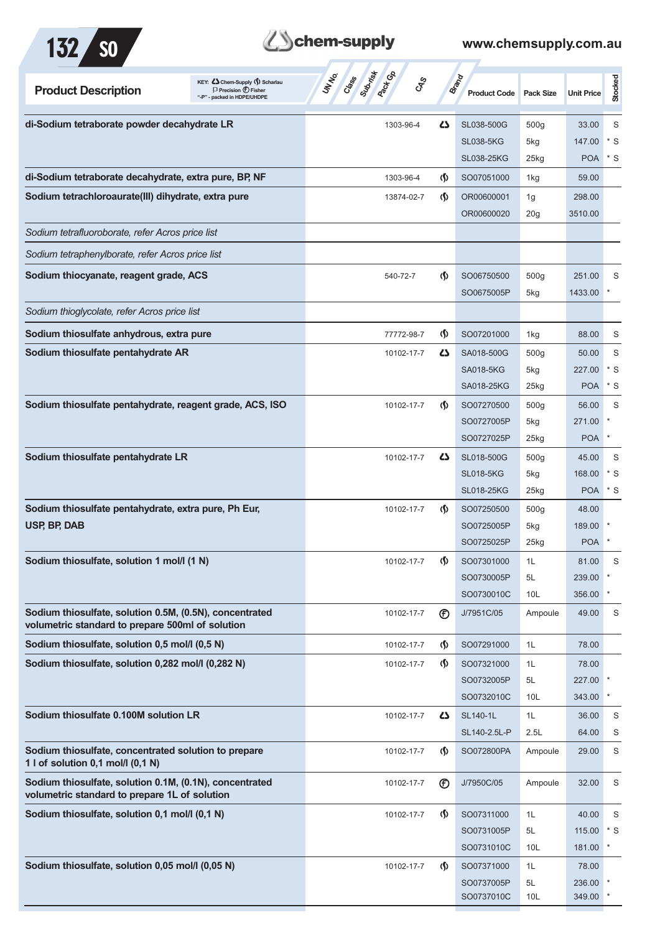

## **Zohem-supply** www.chemsupply.com.au

| <b>Product Description</b>                                                                                  | KEY: Cohem-Supply () Scharlau<br>$\Box$ Precision $\bigoplus$ Fisher<br>"-P" - packed in HDPE/UHDPE | Class<br><b>Pack Go</b><br>UNINO<br><b>GRS</b> |                                    | Brand<br><b>Product Code</b> | <b>Pack Size</b> | <b>Unit Price</b> | Stocked      |
|-------------------------------------------------------------------------------------------------------------|-----------------------------------------------------------------------------------------------------|------------------------------------------------|------------------------------------|------------------------------|------------------|-------------------|--------------|
| di-Sodium tetraborate powder decahydrate LR                                                                 |                                                                                                     | 1303-96-4                                      | $\mathbf{Z}$                       | SL038-500G                   | 500g             | 33.00             | S            |
|                                                                                                             |                                                                                                     |                                                |                                    | <b>SL038-5KG</b>             | 5kg              | 147.00            | $*$ S        |
|                                                                                                             |                                                                                                     |                                                |                                    | <b>SL038-25KG</b>            | 25kg             | <b>POA</b>        | * S          |
| di-Sodium tetraborate decahydrate, extra pure, BP, NF                                                       |                                                                                                     | 1303-96-4                                      | $\langle \mathbf{\S} \rangle$      | SO07051000                   | 1kg              | 59.00             |              |
| Sodium tetrachloroaurate(III) dihydrate, extra pure                                                         |                                                                                                     | 13874-02-7                                     | <sub>(</sub> f)                    | OR00600001                   | 1g               | 298.00            |              |
|                                                                                                             |                                                                                                     |                                                |                                    | OR00600020                   | 20 <sub>g</sub>  | 3510.00           |              |
| Sodium tetrafluoroborate, refer Acros price list                                                            |                                                                                                     |                                                |                                    |                              |                  |                   |              |
| Sodium tetraphenylborate, refer Acros price list                                                            |                                                                                                     |                                                |                                    |                              |                  |                   |              |
| Sodium thiocyanate, reagent grade, ACS                                                                      |                                                                                                     | 540-72-7                                       | <sub>(</sub> f)                    | SO06750500                   | 500 <sub>g</sub> | 251.00            | S            |
|                                                                                                             |                                                                                                     |                                                |                                    | SO0675005P                   | 5kg              | 1433.00           |              |
| Sodium thioglycolate, refer Acros price list                                                                |                                                                                                     |                                                |                                    |                              |                  |                   |              |
| Sodium thiosulfate anhydrous, extra pure                                                                    |                                                                                                     | 77772-98-7                                     | $\langle \mathbf{\langle} \rangle$ | SO07201000                   | 1kg              | 88.00             | S            |
| Sodium thiosulfate pentahydrate AR                                                                          |                                                                                                     | 10102-17-7                                     | 45                                 | SA018-500G                   | 500 <sub>g</sub> | 50.00             | S            |
|                                                                                                             |                                                                                                     |                                                |                                    | <b>SA018-5KG</b>             | 5kg              | 227.00            | $*$ S        |
|                                                                                                             |                                                                                                     |                                                |                                    | SA018-25KG                   | 25kg             | <b>POA</b>        | $*$ S        |
| Sodium thiosulfate pentahydrate, reagent grade, ACS, ISO                                                    |                                                                                                     | 10102-17-7                                     | $\langle \mathbf{\langle} \rangle$ | SO07270500                   | 500 <sub>g</sub> | 56.00             | S            |
|                                                                                                             |                                                                                                     |                                                |                                    | SO0727005P                   | 5kg              | 271.00            |              |
|                                                                                                             |                                                                                                     |                                                |                                    | SO0727025P                   | 25kg             | <b>POA</b>        |              |
| Sodium thiosulfate pentahydrate LR                                                                          |                                                                                                     | 10102-17-7                                     | <b>45</b>                          | SL018-500G                   | 500 <sub>g</sub> | 45.00             | S            |
|                                                                                                             |                                                                                                     |                                                |                                    | <b>SL018-5KG</b>             | 5kg              | 168.00            | * S          |
|                                                                                                             |                                                                                                     |                                                |                                    | <b>SL018-25KG</b>            | 25kg             | POA * S           |              |
| Sodium thiosulfate pentahydrate, extra pure, Ph Eur,                                                        |                                                                                                     | 10102-17-7                                     | <sub>(</sub> f)                    | SO07250500                   | 500 <sub>g</sub> | 48.00             |              |
| USP, BP, DAB                                                                                                |                                                                                                     |                                                |                                    | SO0725005P                   | 5kg              | 189.00            |              |
|                                                                                                             |                                                                                                     |                                                |                                    | SO0725025P                   | 25kg             | <b>POA</b>        |              |
| Sodium thiosulfate, solution 1 mol/l (1 N)                                                                  |                                                                                                     | 10102-17-7                                     | $\langle \mathbf{\S} \rangle$      | SO07301000                   | 1L               | 81.00             | S            |
|                                                                                                             |                                                                                                     |                                                |                                    | SO0730005P                   | 5L               | 239.00            | $\pmb{\ast}$ |
|                                                                                                             |                                                                                                     |                                                |                                    | SO0730010C                   | 10L              | 356.00            |              |
| Sodium thiosulfate, solution 0.5M, (0.5N), concentrated<br>volumetric standard to prepare 500ml of solution |                                                                                                     | 10102-17-7                                     | $^{\circ}$                         | J/7951C/05                   | Ampoule          | 49.00             | S            |
| Sodium thiosulfate, solution 0,5 mol/l (0,5 N)                                                              |                                                                                                     | 10102-17-7                                     | $\langle \mathbf{\langle} \rangle$ | SO07291000                   | 1L               | 78.00             |              |
| Sodium thiosulfate, solution 0,282 mol/l (0,282 N)                                                          |                                                                                                     | 10102-17-7                                     | $\langle \mathbf{\S} \rangle$      | SO07321000                   | 1L               | 78.00             |              |
|                                                                                                             |                                                                                                     |                                                |                                    | SO0732005P                   | 5L               | 227.00 *          |              |
|                                                                                                             |                                                                                                     |                                                |                                    | SO0732010C                   | 10L              | 343.00 *          |              |
| Sodium thiosulfate 0.100M solution LR                                                                       |                                                                                                     | 10102-17-7                                     | 45                                 | SL140-1L                     | 1L               | 36.00             | S            |
|                                                                                                             |                                                                                                     |                                                |                                    | SL140-2.5L-P                 | 2.5L             | 64.00             | S            |
| Sodium thiosulfate, concentrated solution to prepare<br>1 l of solution 0,1 mol/l (0,1 N)                   |                                                                                                     | 10102-17-7                                     | $\langle \mathbf{\langle} \rangle$ | SO072800PA                   | Ampoule          | 29.00             | S            |
| Sodium thiosulfate, solution 0.1M, (0.1N), concentrated<br>volumetric standard to prepare 1L of solution    |                                                                                                     | 10102-17-7                                     | $^{\circledR}$                     | J/7950C/05                   | Ampoule          | 32.00             | S            |
| Sodium thiosulfate, solution 0,1 mol/l (0,1 N)                                                              |                                                                                                     | 10102-17-7                                     | $\langle \mathbf{\Omega} \rangle$  | SO07311000                   | 1L               | 40.00             | S            |
|                                                                                                             |                                                                                                     |                                                |                                    | SO0731005P                   | 5L               | 115.00            | $*s$         |
|                                                                                                             |                                                                                                     |                                                |                                    | SO0731010C                   | 10 <sub>L</sub>  | 181.00            |              |
| Sodium thiosulfate, solution 0,05 mol/l (0,05 N)                                                            |                                                                                                     | 10102-17-7                                     | $\langle \mathbf{\Omega} \rangle$  | SO07371000                   | 1L               | 78.00             |              |
|                                                                                                             |                                                                                                     |                                                |                                    | SO0737005P                   | 5L               | 236.00 *          |              |
|                                                                                                             |                                                                                                     |                                                |                                    | SO0737010C                   | 10 <sub>L</sub>  | 349.00 *          |              |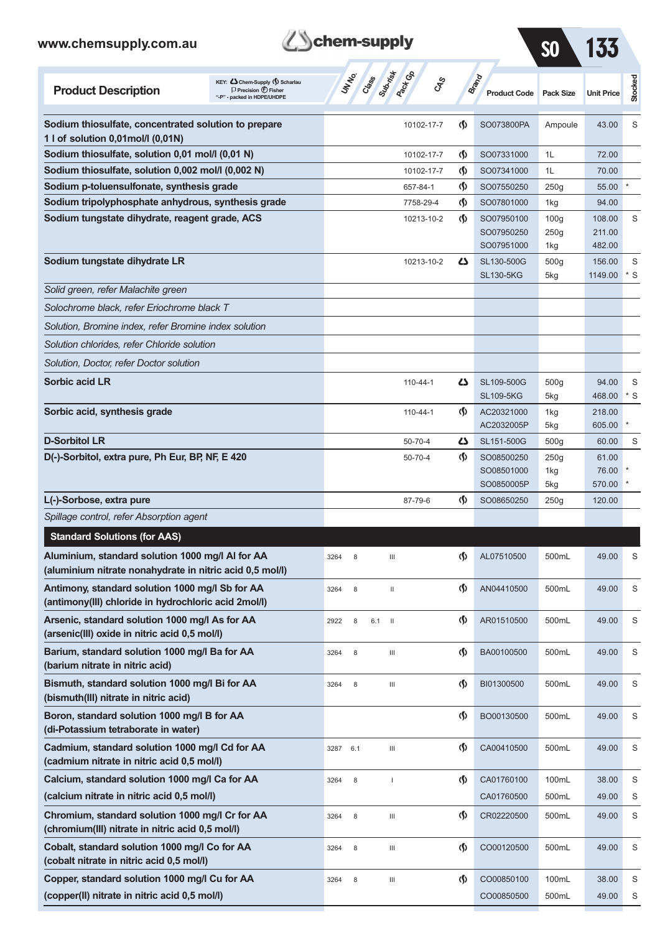**(cobalt nitrate in nitric acid 0,5 mol/l)** 

| www.chemsupply.com.au                                                                                        |                                                                                                        | chem-supply     |                                         |                                    |                                        | <b>SO</b>                       |                            |            |
|--------------------------------------------------------------------------------------------------------------|--------------------------------------------------------------------------------------------------------|-----------------|-----------------------------------------|------------------------------------|----------------------------------------|---------------------------------|----------------------------|------------|
| <b>Product Description</b>                                                                                   | KEY: C Chem-Supply (\$) Scharlau<br>$\Box$ Precision $\bigoplus$ Fisher<br>"-P" - packed in HDPE/UHDPE | UN NO.<br>Crass | <b>PROT</b> GA<br>Submist<br><b>CAS</b> |                                    | Brand<br><b>Product Code</b>           | <b>Pack Size</b>                | <b>Unit Price</b>          | Stocked    |
| Sodium thiosulfate, concentrated solution to prepare                                                         |                                                                                                        |                 | 10102-17-7                              | $\langle \mathbf{\langle} \rangle$ | SO073800PA                             | Ampoule                         | 43.00                      | S          |
| 1 I of solution 0,01mol/l (0,01N)<br>Sodium thiosulfate, solution 0,01 mol/l (0,01 N)                        |                                                                                                        |                 |                                         |                                    |                                        | 1L                              | 72.00                      |            |
| Sodium thiosulfate, solution 0,002 mol/l (0,002 N)                                                           |                                                                                                        |                 | 10102-17-7<br>10102-17-7                | $\Phi$<br>$\Phi$                   | SO07331000<br>SO07341000               | 1L                              | 70.00                      |            |
| Sodium p-toluensulfonate, synthesis grade                                                                    |                                                                                                        |                 | 657-84-1                                | $\Phi$                             | SO07550250                             | 250g                            | 55.00                      |            |
| Sodium tripolyphosphate anhydrous, synthesis grade                                                           |                                                                                                        |                 | 7758-29-4                               | (\$)                               | SO07801000                             | 1kg                             | 94.00                      |            |
| Sodium tungstate dihydrate, reagent grade, ACS                                                               |                                                                                                        |                 | 10213-10-2                              | $\langle \mathbf{\S} \rangle$      | SO07950100<br>SO07950250<br>SO07951000 | 100 <sub>g</sub><br>250g<br>1kg | 108.00<br>211.00<br>482.00 | S          |
| Sodium tungstate dihydrate LR                                                                                |                                                                                                        |                 | 10213-10-2                              | ひ                                  | SL130-500G<br><b>SL130-5KG</b>         | 500 <sub>g</sub><br>5kg         | 156.00<br>1149.00          | S<br>$*$ S |
| Solid green, refer Malachite green                                                                           |                                                                                                        |                 |                                         |                                    |                                        |                                 |                            |            |
| Solochrome black, refer Eriochrome black T                                                                   |                                                                                                        |                 |                                         |                                    |                                        |                                 |                            |            |
| Solution, Bromine index, refer Bromine index solution                                                        |                                                                                                        |                 |                                         |                                    |                                        |                                 |                            |            |
| Solution chlorides, refer Chloride solution                                                                  |                                                                                                        |                 |                                         |                                    |                                        |                                 |                            |            |
| Solution, Doctor, refer Doctor solution                                                                      |                                                                                                        |                 |                                         |                                    |                                        |                                 |                            |            |
| <b>Sorbic acid LR</b>                                                                                        |                                                                                                        |                 | $110 - 44 - 1$                          | دے                                 | SL109-500G<br><b>SL109-5KG</b>         | 500g<br>5kg                     | 94.00<br>468.00            | S<br>$*$ S |
| Sorbic acid, synthesis grade                                                                                 |                                                                                                        |                 | 110-44-1                                | G)                                 | AC20321000<br>AC2032005P               | 1kg<br>5kg                      | 218.00<br>605.00           |            |
| <b>D-Sorbitol LR</b>                                                                                         |                                                                                                        |                 | 50-70-4                                 | 4                                  | SL151-500G                             | 500 <sub>g</sub>                | 60.00                      | S          |
| D(-)-Sorbitol, extra pure, Ph Eur, BP, NF, E 420                                                             |                                                                                                        |                 | 50-70-4                                 | $\langle \mathbf{\langle} \rangle$ | SO08500250<br>SO08501000<br>SO0850005P | 250g<br>1kg<br>5kg              | 61.00<br>76.00<br>570.00   |            |
| L(-)-Sorbose, extra pure                                                                                     |                                                                                                        |                 | 87-79-6                                 | $\langle \mathbf{\langle} \rangle$ | SO08650250                             | 250g                            | 120.00                     |            |
| Spillage control, refer Absorption agent                                                                     |                                                                                                        |                 |                                         |                                    |                                        |                                 |                            |            |
| <b>Standard Solutions (for AAS)</b>                                                                          |                                                                                                        |                 |                                         |                                    |                                        |                                 |                            |            |
| Aluminium, standard solution 1000 mg/l Al for AA<br>(aluminium nitrate nonahydrate in nitric acid 0,5 mol/l) |                                                                                                        | 8<br>3264       | Ш                                       | $\Phi$                             | AL07510500                             | 500mL                           | 49.00                      | S          |
| Antimony, standard solution 1000 mg/l Sb for AA<br>(antimony(III) chloride in hydrochloric acid 2mol/l)      |                                                                                                        | 8<br>3264       | Ш                                       | $\Phi$                             | AN04410500                             | 500mL                           | 49.00                      | S          |
| Arsenic, standard solution 1000 mg/l As for AA<br>(arsenic(III) oxide in nitric acid 0,5 mol/l)              |                                                                                                        | 2922<br>8       | 6.1<br>- II                             | $\Phi$                             | AR01510500                             | 500mL                           | 49.00                      | S          |
| Barium, standard solution 1000 mg/l Ba for AA<br>(barium nitrate in nitric acid)                             |                                                                                                        | 3264<br>8       | $\ensuremath{\mathsf{III}}\xspace$      | $\Phi$                             | BA00100500                             | 500mL                           | 49.00                      | S          |
| Bismuth, standard solution 1000 mg/l Bi for AA<br>(bismuth(III) nitrate in nitric acid)                      |                                                                                                        | 3264<br>8       | $\ensuremath{\mathsf{III}}\xspace$      | $\Phi$                             | BI01300500                             | 500mL                           | 49.00                      | S          |
| Boron, standard solution 1000 mg/l B for AA<br>(di-Potassium tetraborate in water)                           |                                                                                                        |                 |                                         | $\Phi$                             | BO00130500                             | 500mL                           | 49.00                      | S          |
| Cadmium, standard solution 1000 mg/l Cd for AA<br>(cadmium nitrate in nitric acid 0,5 mol/l)                 |                                                                                                        | 6.1<br>3287     | $\ensuremath{\mathsf{III}}\xspace$      | $\Phi$                             | CA00410500                             | 500mL                           | 49.00                      | S          |
| Calcium, standard solution 1000 mg/l Ca for AA                                                               |                                                                                                        | 8<br>3264       | п                                       | $\langle \mathbf{\langle} \rangle$ | CA01760100                             | 100mL                           | 38.00                      | S          |
| (calcium nitrate in nitric acid 0,5 mol/l)                                                                   |                                                                                                        |                 |                                         |                                    | CA01760500                             | 500mL                           | 49.00                      | S          |
| Chromium, standard solution 1000 mg/l Cr for AA<br>(chromium(III) nitrate in nitric acid 0,5 mol/l)          |                                                                                                        | 8<br>3264       | Ш                                       | $\varphi$                          | CR02220500                             | 500mL                           | 49.00                      | S          |

**Cobalt, standard solution 1000 mg/l Co for AA** 3264 8 III CO00120500 500mL 49.00 S

**Copper, standard solution 1000 mg/l Cu for AA** 3264 8 III (1) CO00850100 100mL 38.00 S **(copper(II) nitrate in nitric acid 0,5 mol/l) CO00850500** 500mL 49.00 S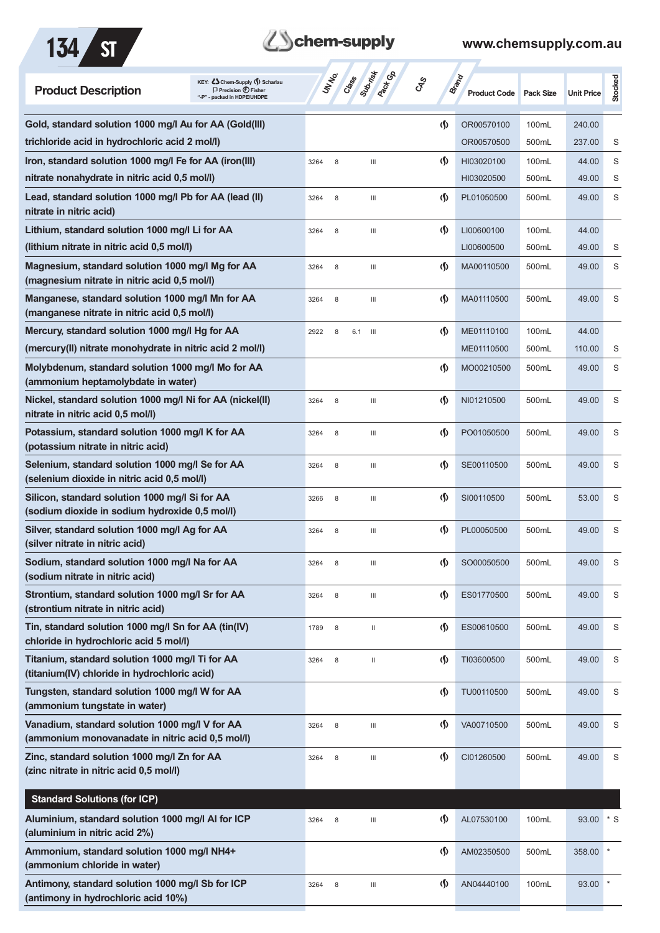



| Gold, standard solution 1000 mg/l Au for AA (Gold(III)<br>$\langle \mathbf{\S} \rangle$<br>OR00570100<br>100mL<br>240.00<br>trichloride acid in hydrochloric acid 2 mol/l)<br>OR00570500<br>500mL<br>237.00<br>S<br>Iron, standard solution 1000 mg/l Fe for AA (iron(III)<br>$\langle \mathbf{\langle}$<br>S<br>HI03020100<br>100mL<br>44.00<br>3264<br>8<br>Ш<br>nitrate nonahydrate in nitric acid 0,5 mol/l)<br>S<br>HI03020500<br>500mL<br>49.00<br>Lead, standard solution 1000 mg/l Pb for AA (lead (II)<br>$\langle \mathbf{\S} \rangle$<br>S<br>PL01050500<br>500mL<br>49.00<br>Ш<br>3264<br>8<br>nitrate in nitric acid)<br>Lithium, standard solution 1000 mg/l Li for AA<br>$\langle \mathbf{\hat{y}}$<br>LI00600100<br>100mL<br>44.00<br>8<br>$\begin{array}{c} \hline \end{array}$<br>3264<br>(lithium nitrate in nitric acid 0,5 mol/l)<br>LI00600500<br>500mL<br>49.00<br>S<br>Magnesium, standard solution 1000 mg/l Mg for AA<br>S<br>(\$)<br>MA00110500<br>500mL<br>$\begin{array}{c} \hline \end{array}$<br>49.00<br>3264<br>8<br>(magnesium nitrate in nitric acid 0,5 mol/l)<br>$\langle \mathbf{\S} \rangle$<br>Manganese, standard solution 1000 mg/l Mn for AA<br>500mL<br>S<br>MA01110500<br>49.00<br>3264<br>8<br>Ш<br>(manganese nitrate in nitric acid 0,5 mol/l)<br>Mercury, standard solution 1000 mg/l Hg for AA<br>$\langle \mathbf{\S} \rangle$<br>100mL<br>ME01110100<br>44.00<br>2922<br>8<br>6.1<br>- III<br>(mercury(II) nitrate monohydrate in nitric acid 2 mol/l)<br>ME01110500<br>500mL<br>110.00<br>S<br>Molybdenum, standard solution 1000 mg/l Mo for AA<br>$\langle \mathbf{\S} \rangle$<br>S<br>MO00210500<br>500mL<br>49.00<br>(ammonium heptamolybdate in water)<br>Nickel, standard solution 1000 mg/l Ni for AA (nickel(II)<br>(\$)<br>S<br>NI01210500<br>500mL<br>49.00<br>3264<br>8<br>Ш<br>nitrate in nitric acid 0,5 mol/l)<br>Potassium, standard solution 1000 mg/l K for AA<br>$\langle \mathbf{\langle}$<br>S<br>PO01050500<br>500mL<br>49.00<br>3264<br>8<br>Ш<br>(potassium nitrate in nitric acid)<br>Selenium, standard solution 1000 mg/l Se for AA<br>$\langle \mathbf{\langle}$<br>S<br>SE00110500<br>500mL<br>49.00<br>8<br>Ш<br>3264<br>(selenium dioxide in nitric acid 0,5 mol/l)<br>Silicon, standard solution 1000 mg/l Si for AA<br>$\langle \mathbf{\S} \rangle$<br>S<br>SI00110500<br>500mL<br>53.00<br>3266<br>8<br>$\mathop{\mathsf{III}}\nolimits$<br>(sodium dioxide in sodium hydroxide 0,5 mol/l)<br>Silver, standard solution 1000 mg/l Ag for AA<br>$\langle \mathbf{\hat{y}}$<br>S<br>PL00050500<br>500mL<br>49.00<br>3264<br>8<br>Ш<br>(silver nitrate in nitric acid)<br>Sodium, standard solution 1000 mg/l Na for AA<br>$\boldsymbol{\varphi}$<br>49.00<br>S<br>SO00050500<br>500mL<br>3264<br>8<br>Ш<br>(sodium nitrate in nitric acid)<br>Strontium, standard solution 1000 mg/l Sr for AA<br>$\langle \mathbf{\hat{y}}$<br>ES01770500<br>500mL<br>49.00<br>S<br>3264<br>8<br>Ш<br>(strontium nitrate in nitric acid)<br>Tin, standard solution 1000 mg/l Sn for AA (tin(IV)<br>$\langle \mathbf{\hat{y}}$<br>ES00610500<br>500mL<br>49.00<br>S<br>1789<br>8<br>Ш<br>chloride in hydrochloric acid 5 mol/l)<br>Titanium, standard solution 1000 mg/l Ti for AA<br>$\langle \mathbf{\mathbf{\Diamond}}$<br>S<br>TI03600500<br>500mL<br>49.00<br>3264<br>8<br>$\mathbf{H}$<br>(titanium(IV) chloride in hydrochloric acid)<br>Tungsten, standard solution 1000 mg/l W for AA<br>$\Phi$<br>TU00110500<br>500mL<br>49.00<br>S<br>(ammonium tungstate in water)<br>Vanadium, standard solution 1000 mg/l V for AA<br>$\langle \mathbf{\mathbf{\Diamond}}$<br>S<br>VA00710500<br>500mL<br>49.00<br>3264<br>8<br>Ш<br>(ammonium monovanadate in nitric acid 0,5 mol/l)<br>Zinc, standard solution 1000 mg/l Zn for AA<br>$\Phi$<br>CI01260500<br>500mL<br>49.00<br>S<br>3264<br>8<br>Ш<br>(zinc nitrate in nitric acid 0,5 mol/l)<br><b>Standard Solutions (for ICP)</b><br>Aluminium, standard solution 1000 mg/l AI for ICP<br>AL07530100<br>$\cdot$ s<br>(∫)<br>100mL<br>93.00<br>3264<br>8<br>Ш<br>(aluminium in nitric acid 2%)<br>Ammonium, standard solution 1000 mg/l NH4+<br>$\langle \mathbf{\mathbf{\Diamond}}$<br>AM02350500<br>500mL<br>358.00<br>(ammonium chloride in water)<br>Antimony, standard solution 1000 mg/l Sb for ICP<br>(∫)<br>AN04440100<br>100mL<br>93.00<br>3264<br>8<br>Ш<br>(antimony in hydrochloric acid 10%) | <b>Product Description</b> | KEY: Cohem-Supply (5) Scharlau<br>$\Box$ Precision $\bigoplus$ Fisher<br>"-P" - packed in HDPE/UHDPE | UN NO.<br>Crass | Submish<br>Aext Ga | <b>GRS</b> | <b>Brand</b><br><b>Product Code</b> | <b>Pack Size</b> | <b>Unit Price</b> | Stocked |
|------------------------------------------------------------------------------------------------------------------------------------------------------------------------------------------------------------------------------------------------------------------------------------------------------------------------------------------------------------------------------------------------------------------------------------------------------------------------------------------------------------------------------------------------------------------------------------------------------------------------------------------------------------------------------------------------------------------------------------------------------------------------------------------------------------------------------------------------------------------------------------------------------------------------------------------------------------------------------------------------------------------------------------------------------------------------------------------------------------------------------------------------------------------------------------------------------------------------------------------------------------------------------------------------------------------------------------------------------------------------------------------------------------------------------------------------------------------------------------------------------------------------------------------------------------------------------------------------------------------------------------------------------------------------------------------------------------------------------------------------------------------------------------------------------------------------------------------------------------------------------------------------------------------------------------------------------------------------------------------------------------------------------------------------------------------------------------------------------------------------------------------------------------------------------------------------------------------------------------------------------------------------------------------------------------------------------------------------------------------------------------------------------------------------------------------------------------------------------------------------------------------------------------------------------------------------------------------------------------------------------------------------------------------------------------------------------------------------------------------------------------------------------------------------------------------------------------------------------------------------------------------------------------------------------------------------------------------------------------------------------------------------------------------------------------------------------------------------------------------------------------------------------------------------------------------------------------------------------------------------------------------------------------------------------------------------------------------------------------------------------------------------------------------------------------------------------------------------------------------------------------------------------------------------------------------------------------------------------------------------------------------------------------------------------------------------------------------------------------------------------------------------------------------------------------------------------------------------------------------------------------------------------------------------------------------------------------------------------------------------------------------------------------------------------------------------------------------------------------------------------------------------------------------------------------------------------------------------------------------------------------------------------------------------------------------------------------------------------------------------------------------------------------------------------------|----------------------------|------------------------------------------------------------------------------------------------------|-----------------|--------------------|------------|-------------------------------------|------------------|-------------------|---------|
|                                                                                                                                                                                                                                                                                                                                                                                                                                                                                                                                                                                                                                                                                                                                                                                                                                                                                                                                                                                                                                                                                                                                                                                                                                                                                                                                                                                                                                                                                                                                                                                                                                                                                                                                                                                                                                                                                                                                                                                                                                                                                                                                                                                                                                                                                                                                                                                                                                                                                                                                                                                                                                                                                                                                                                                                                                                                                                                                                                                                                                                                                                                                                                                                                                                                                                                                                                                                                                                                                                                                                                                                                                                                                                                                                                                                                                                                                                                                                                                                                                                                                                                                                                                                                                                                                                                                                                                                                                    |                            |                                                                                                      |                 |                    |            |                                     |                  |                   |         |
|                                                                                                                                                                                                                                                                                                                                                                                                                                                                                                                                                                                                                                                                                                                                                                                                                                                                                                                                                                                                                                                                                                                                                                                                                                                                                                                                                                                                                                                                                                                                                                                                                                                                                                                                                                                                                                                                                                                                                                                                                                                                                                                                                                                                                                                                                                                                                                                                                                                                                                                                                                                                                                                                                                                                                                                                                                                                                                                                                                                                                                                                                                                                                                                                                                                                                                                                                                                                                                                                                                                                                                                                                                                                                                                                                                                                                                                                                                                                                                                                                                                                                                                                                                                                                                                                                                                                                                                                                                    |                            |                                                                                                      |                 |                    |            |                                     |                  |                   |         |
|                                                                                                                                                                                                                                                                                                                                                                                                                                                                                                                                                                                                                                                                                                                                                                                                                                                                                                                                                                                                                                                                                                                                                                                                                                                                                                                                                                                                                                                                                                                                                                                                                                                                                                                                                                                                                                                                                                                                                                                                                                                                                                                                                                                                                                                                                                                                                                                                                                                                                                                                                                                                                                                                                                                                                                                                                                                                                                                                                                                                                                                                                                                                                                                                                                                                                                                                                                                                                                                                                                                                                                                                                                                                                                                                                                                                                                                                                                                                                                                                                                                                                                                                                                                                                                                                                                                                                                                                                                    |                            |                                                                                                      |                 |                    |            |                                     |                  |                   |         |
|                                                                                                                                                                                                                                                                                                                                                                                                                                                                                                                                                                                                                                                                                                                                                                                                                                                                                                                                                                                                                                                                                                                                                                                                                                                                                                                                                                                                                                                                                                                                                                                                                                                                                                                                                                                                                                                                                                                                                                                                                                                                                                                                                                                                                                                                                                                                                                                                                                                                                                                                                                                                                                                                                                                                                                                                                                                                                                                                                                                                                                                                                                                                                                                                                                                                                                                                                                                                                                                                                                                                                                                                                                                                                                                                                                                                                                                                                                                                                                                                                                                                                                                                                                                                                                                                                                                                                                                                                                    |                            |                                                                                                      |                 |                    |            |                                     |                  |                   |         |
|                                                                                                                                                                                                                                                                                                                                                                                                                                                                                                                                                                                                                                                                                                                                                                                                                                                                                                                                                                                                                                                                                                                                                                                                                                                                                                                                                                                                                                                                                                                                                                                                                                                                                                                                                                                                                                                                                                                                                                                                                                                                                                                                                                                                                                                                                                                                                                                                                                                                                                                                                                                                                                                                                                                                                                                                                                                                                                                                                                                                                                                                                                                                                                                                                                                                                                                                                                                                                                                                                                                                                                                                                                                                                                                                                                                                                                                                                                                                                                                                                                                                                                                                                                                                                                                                                                                                                                                                                                    |                            |                                                                                                      |                 |                    |            |                                     |                  |                   |         |
|                                                                                                                                                                                                                                                                                                                                                                                                                                                                                                                                                                                                                                                                                                                                                                                                                                                                                                                                                                                                                                                                                                                                                                                                                                                                                                                                                                                                                                                                                                                                                                                                                                                                                                                                                                                                                                                                                                                                                                                                                                                                                                                                                                                                                                                                                                                                                                                                                                                                                                                                                                                                                                                                                                                                                                                                                                                                                                                                                                                                                                                                                                                                                                                                                                                                                                                                                                                                                                                                                                                                                                                                                                                                                                                                                                                                                                                                                                                                                                                                                                                                                                                                                                                                                                                                                                                                                                                                                                    |                            |                                                                                                      |                 |                    |            |                                     |                  |                   |         |
|                                                                                                                                                                                                                                                                                                                                                                                                                                                                                                                                                                                                                                                                                                                                                                                                                                                                                                                                                                                                                                                                                                                                                                                                                                                                                                                                                                                                                                                                                                                                                                                                                                                                                                                                                                                                                                                                                                                                                                                                                                                                                                                                                                                                                                                                                                                                                                                                                                                                                                                                                                                                                                                                                                                                                                                                                                                                                                                                                                                                                                                                                                                                                                                                                                                                                                                                                                                                                                                                                                                                                                                                                                                                                                                                                                                                                                                                                                                                                                                                                                                                                                                                                                                                                                                                                                                                                                                                                                    |                            |                                                                                                      |                 |                    |            |                                     |                  |                   |         |
|                                                                                                                                                                                                                                                                                                                                                                                                                                                                                                                                                                                                                                                                                                                                                                                                                                                                                                                                                                                                                                                                                                                                                                                                                                                                                                                                                                                                                                                                                                                                                                                                                                                                                                                                                                                                                                                                                                                                                                                                                                                                                                                                                                                                                                                                                                                                                                                                                                                                                                                                                                                                                                                                                                                                                                                                                                                                                                                                                                                                                                                                                                                                                                                                                                                                                                                                                                                                                                                                                                                                                                                                                                                                                                                                                                                                                                                                                                                                                                                                                                                                                                                                                                                                                                                                                                                                                                                                                                    |                            |                                                                                                      |                 |                    |            |                                     |                  |                   |         |
|                                                                                                                                                                                                                                                                                                                                                                                                                                                                                                                                                                                                                                                                                                                                                                                                                                                                                                                                                                                                                                                                                                                                                                                                                                                                                                                                                                                                                                                                                                                                                                                                                                                                                                                                                                                                                                                                                                                                                                                                                                                                                                                                                                                                                                                                                                                                                                                                                                                                                                                                                                                                                                                                                                                                                                                                                                                                                                                                                                                                                                                                                                                                                                                                                                                                                                                                                                                                                                                                                                                                                                                                                                                                                                                                                                                                                                                                                                                                                                                                                                                                                                                                                                                                                                                                                                                                                                                                                                    |                            |                                                                                                      |                 |                    |            |                                     |                  |                   |         |
|                                                                                                                                                                                                                                                                                                                                                                                                                                                                                                                                                                                                                                                                                                                                                                                                                                                                                                                                                                                                                                                                                                                                                                                                                                                                                                                                                                                                                                                                                                                                                                                                                                                                                                                                                                                                                                                                                                                                                                                                                                                                                                                                                                                                                                                                                                                                                                                                                                                                                                                                                                                                                                                                                                                                                                                                                                                                                                                                                                                                                                                                                                                                                                                                                                                                                                                                                                                                                                                                                                                                                                                                                                                                                                                                                                                                                                                                                                                                                                                                                                                                                                                                                                                                                                                                                                                                                                                                                                    |                            |                                                                                                      |                 |                    |            |                                     |                  |                   |         |
|                                                                                                                                                                                                                                                                                                                                                                                                                                                                                                                                                                                                                                                                                                                                                                                                                                                                                                                                                                                                                                                                                                                                                                                                                                                                                                                                                                                                                                                                                                                                                                                                                                                                                                                                                                                                                                                                                                                                                                                                                                                                                                                                                                                                                                                                                                                                                                                                                                                                                                                                                                                                                                                                                                                                                                                                                                                                                                                                                                                                                                                                                                                                                                                                                                                                                                                                                                                                                                                                                                                                                                                                                                                                                                                                                                                                                                                                                                                                                                                                                                                                                                                                                                                                                                                                                                                                                                                                                                    |                            |                                                                                                      |                 |                    |            |                                     |                  |                   |         |
|                                                                                                                                                                                                                                                                                                                                                                                                                                                                                                                                                                                                                                                                                                                                                                                                                                                                                                                                                                                                                                                                                                                                                                                                                                                                                                                                                                                                                                                                                                                                                                                                                                                                                                                                                                                                                                                                                                                                                                                                                                                                                                                                                                                                                                                                                                                                                                                                                                                                                                                                                                                                                                                                                                                                                                                                                                                                                                                                                                                                                                                                                                                                                                                                                                                                                                                                                                                                                                                                                                                                                                                                                                                                                                                                                                                                                                                                                                                                                                                                                                                                                                                                                                                                                                                                                                                                                                                                                                    |                            |                                                                                                      |                 |                    |            |                                     |                  |                   |         |
|                                                                                                                                                                                                                                                                                                                                                                                                                                                                                                                                                                                                                                                                                                                                                                                                                                                                                                                                                                                                                                                                                                                                                                                                                                                                                                                                                                                                                                                                                                                                                                                                                                                                                                                                                                                                                                                                                                                                                                                                                                                                                                                                                                                                                                                                                                                                                                                                                                                                                                                                                                                                                                                                                                                                                                                                                                                                                                                                                                                                                                                                                                                                                                                                                                                                                                                                                                                                                                                                                                                                                                                                                                                                                                                                                                                                                                                                                                                                                                                                                                                                                                                                                                                                                                                                                                                                                                                                                                    |                            |                                                                                                      |                 |                    |            |                                     |                  |                   |         |
|                                                                                                                                                                                                                                                                                                                                                                                                                                                                                                                                                                                                                                                                                                                                                                                                                                                                                                                                                                                                                                                                                                                                                                                                                                                                                                                                                                                                                                                                                                                                                                                                                                                                                                                                                                                                                                                                                                                                                                                                                                                                                                                                                                                                                                                                                                                                                                                                                                                                                                                                                                                                                                                                                                                                                                                                                                                                                                                                                                                                                                                                                                                                                                                                                                                                                                                                                                                                                                                                                                                                                                                                                                                                                                                                                                                                                                                                                                                                                                                                                                                                                                                                                                                                                                                                                                                                                                                                                                    |                            |                                                                                                      |                 |                    |            |                                     |                  |                   |         |
|                                                                                                                                                                                                                                                                                                                                                                                                                                                                                                                                                                                                                                                                                                                                                                                                                                                                                                                                                                                                                                                                                                                                                                                                                                                                                                                                                                                                                                                                                                                                                                                                                                                                                                                                                                                                                                                                                                                                                                                                                                                                                                                                                                                                                                                                                                                                                                                                                                                                                                                                                                                                                                                                                                                                                                                                                                                                                                                                                                                                                                                                                                                                                                                                                                                                                                                                                                                                                                                                                                                                                                                                                                                                                                                                                                                                                                                                                                                                                                                                                                                                                                                                                                                                                                                                                                                                                                                                                                    |                            |                                                                                                      |                 |                    |            |                                     |                  |                   |         |
|                                                                                                                                                                                                                                                                                                                                                                                                                                                                                                                                                                                                                                                                                                                                                                                                                                                                                                                                                                                                                                                                                                                                                                                                                                                                                                                                                                                                                                                                                                                                                                                                                                                                                                                                                                                                                                                                                                                                                                                                                                                                                                                                                                                                                                                                                                                                                                                                                                                                                                                                                                                                                                                                                                                                                                                                                                                                                                                                                                                                                                                                                                                                                                                                                                                                                                                                                                                                                                                                                                                                                                                                                                                                                                                                                                                                                                                                                                                                                                                                                                                                                                                                                                                                                                                                                                                                                                                                                                    |                            |                                                                                                      |                 |                    |            |                                     |                  |                   |         |
|                                                                                                                                                                                                                                                                                                                                                                                                                                                                                                                                                                                                                                                                                                                                                                                                                                                                                                                                                                                                                                                                                                                                                                                                                                                                                                                                                                                                                                                                                                                                                                                                                                                                                                                                                                                                                                                                                                                                                                                                                                                                                                                                                                                                                                                                                                                                                                                                                                                                                                                                                                                                                                                                                                                                                                                                                                                                                                                                                                                                                                                                                                                                                                                                                                                                                                                                                                                                                                                                                                                                                                                                                                                                                                                                                                                                                                                                                                                                                                                                                                                                                                                                                                                                                                                                                                                                                                                                                                    |                            |                                                                                                      |                 |                    |            |                                     |                  |                   |         |
|                                                                                                                                                                                                                                                                                                                                                                                                                                                                                                                                                                                                                                                                                                                                                                                                                                                                                                                                                                                                                                                                                                                                                                                                                                                                                                                                                                                                                                                                                                                                                                                                                                                                                                                                                                                                                                                                                                                                                                                                                                                                                                                                                                                                                                                                                                                                                                                                                                                                                                                                                                                                                                                                                                                                                                                                                                                                                                                                                                                                                                                                                                                                                                                                                                                                                                                                                                                                                                                                                                                                                                                                                                                                                                                                                                                                                                                                                                                                                                                                                                                                                                                                                                                                                                                                                                                                                                                                                                    |                            |                                                                                                      |                 |                    |            |                                     |                  |                   |         |
|                                                                                                                                                                                                                                                                                                                                                                                                                                                                                                                                                                                                                                                                                                                                                                                                                                                                                                                                                                                                                                                                                                                                                                                                                                                                                                                                                                                                                                                                                                                                                                                                                                                                                                                                                                                                                                                                                                                                                                                                                                                                                                                                                                                                                                                                                                                                                                                                                                                                                                                                                                                                                                                                                                                                                                                                                                                                                                                                                                                                                                                                                                                                                                                                                                                                                                                                                                                                                                                                                                                                                                                                                                                                                                                                                                                                                                                                                                                                                                                                                                                                                                                                                                                                                                                                                                                                                                                                                                    |                            |                                                                                                      |                 |                    |            |                                     |                  |                   |         |
|                                                                                                                                                                                                                                                                                                                                                                                                                                                                                                                                                                                                                                                                                                                                                                                                                                                                                                                                                                                                                                                                                                                                                                                                                                                                                                                                                                                                                                                                                                                                                                                                                                                                                                                                                                                                                                                                                                                                                                                                                                                                                                                                                                                                                                                                                                                                                                                                                                                                                                                                                                                                                                                                                                                                                                                                                                                                                                                                                                                                                                                                                                                                                                                                                                                                                                                                                                                                                                                                                                                                                                                                                                                                                                                                                                                                                                                                                                                                                                                                                                                                                                                                                                                                                                                                                                                                                                                                                                    |                            |                                                                                                      |                 |                    |            |                                     |                  |                   |         |
|                                                                                                                                                                                                                                                                                                                                                                                                                                                                                                                                                                                                                                                                                                                                                                                                                                                                                                                                                                                                                                                                                                                                                                                                                                                                                                                                                                                                                                                                                                                                                                                                                                                                                                                                                                                                                                                                                                                                                                                                                                                                                                                                                                                                                                                                                                                                                                                                                                                                                                                                                                                                                                                                                                                                                                                                                                                                                                                                                                                                                                                                                                                                                                                                                                                                                                                                                                                                                                                                                                                                                                                                                                                                                                                                                                                                                                                                                                                                                                                                                                                                                                                                                                                                                                                                                                                                                                                                                                    |                            |                                                                                                      |                 |                    |            |                                     |                  |                   |         |
|                                                                                                                                                                                                                                                                                                                                                                                                                                                                                                                                                                                                                                                                                                                                                                                                                                                                                                                                                                                                                                                                                                                                                                                                                                                                                                                                                                                                                                                                                                                                                                                                                                                                                                                                                                                                                                                                                                                                                                                                                                                                                                                                                                                                                                                                                                                                                                                                                                                                                                                                                                                                                                                                                                                                                                                                                                                                                                                                                                                                                                                                                                                                                                                                                                                                                                                                                                                                                                                                                                                                                                                                                                                                                                                                                                                                                                                                                                                                                                                                                                                                                                                                                                                                                                                                                                                                                                                                                                    |                            |                                                                                                      |                 |                    |            |                                     |                  |                   |         |
|                                                                                                                                                                                                                                                                                                                                                                                                                                                                                                                                                                                                                                                                                                                                                                                                                                                                                                                                                                                                                                                                                                                                                                                                                                                                                                                                                                                                                                                                                                                                                                                                                                                                                                                                                                                                                                                                                                                                                                                                                                                                                                                                                                                                                                                                                                                                                                                                                                                                                                                                                                                                                                                                                                                                                                                                                                                                                                                                                                                                                                                                                                                                                                                                                                                                                                                                                                                                                                                                                                                                                                                                                                                                                                                                                                                                                                                                                                                                                                                                                                                                                                                                                                                                                                                                                                                                                                                                                                    |                            |                                                                                                      |                 |                    |            |                                     |                  |                   |         |
|                                                                                                                                                                                                                                                                                                                                                                                                                                                                                                                                                                                                                                                                                                                                                                                                                                                                                                                                                                                                                                                                                                                                                                                                                                                                                                                                                                                                                                                                                                                                                                                                                                                                                                                                                                                                                                                                                                                                                                                                                                                                                                                                                                                                                                                                                                                                                                                                                                                                                                                                                                                                                                                                                                                                                                                                                                                                                                                                                                                                                                                                                                                                                                                                                                                                                                                                                                                                                                                                                                                                                                                                                                                                                                                                                                                                                                                                                                                                                                                                                                                                                                                                                                                                                                                                                                                                                                                                                                    |                            |                                                                                                      |                 |                    |            |                                     |                  |                   |         |
|                                                                                                                                                                                                                                                                                                                                                                                                                                                                                                                                                                                                                                                                                                                                                                                                                                                                                                                                                                                                                                                                                                                                                                                                                                                                                                                                                                                                                                                                                                                                                                                                                                                                                                                                                                                                                                                                                                                                                                                                                                                                                                                                                                                                                                                                                                                                                                                                                                                                                                                                                                                                                                                                                                                                                                                                                                                                                                                                                                                                                                                                                                                                                                                                                                                                                                                                                                                                                                                                                                                                                                                                                                                                                                                                                                                                                                                                                                                                                                                                                                                                                                                                                                                                                                                                                                                                                                                                                                    |                            |                                                                                                      |                 |                    |            |                                     |                  |                   |         |
|                                                                                                                                                                                                                                                                                                                                                                                                                                                                                                                                                                                                                                                                                                                                                                                                                                                                                                                                                                                                                                                                                                                                                                                                                                                                                                                                                                                                                                                                                                                                                                                                                                                                                                                                                                                                                                                                                                                                                                                                                                                                                                                                                                                                                                                                                                                                                                                                                                                                                                                                                                                                                                                                                                                                                                                                                                                                                                                                                                                                                                                                                                                                                                                                                                                                                                                                                                                                                                                                                                                                                                                                                                                                                                                                                                                                                                                                                                                                                                                                                                                                                                                                                                                                                                                                                                                                                                                                                                    |                            |                                                                                                      |                 |                    |            |                                     |                  |                   |         |
|                                                                                                                                                                                                                                                                                                                                                                                                                                                                                                                                                                                                                                                                                                                                                                                                                                                                                                                                                                                                                                                                                                                                                                                                                                                                                                                                                                                                                                                                                                                                                                                                                                                                                                                                                                                                                                                                                                                                                                                                                                                                                                                                                                                                                                                                                                                                                                                                                                                                                                                                                                                                                                                                                                                                                                                                                                                                                                                                                                                                                                                                                                                                                                                                                                                                                                                                                                                                                                                                                                                                                                                                                                                                                                                                                                                                                                                                                                                                                                                                                                                                                                                                                                                                                                                                                                                                                                                                                                    |                            |                                                                                                      |                 |                    |            |                                     |                  |                   |         |
|                                                                                                                                                                                                                                                                                                                                                                                                                                                                                                                                                                                                                                                                                                                                                                                                                                                                                                                                                                                                                                                                                                                                                                                                                                                                                                                                                                                                                                                                                                                                                                                                                                                                                                                                                                                                                                                                                                                                                                                                                                                                                                                                                                                                                                                                                                                                                                                                                                                                                                                                                                                                                                                                                                                                                                                                                                                                                                                                                                                                                                                                                                                                                                                                                                                                                                                                                                                                                                                                                                                                                                                                                                                                                                                                                                                                                                                                                                                                                                                                                                                                                                                                                                                                                                                                                                                                                                                                                                    |                            |                                                                                                      |                 |                    |            |                                     |                  |                   |         |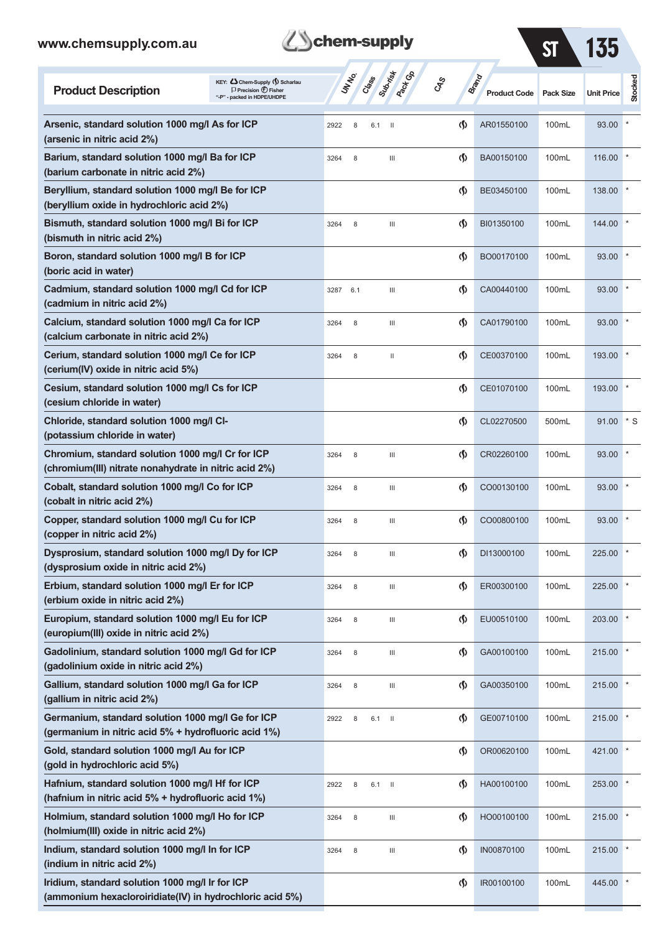| <b>B</b> chem-supply |  |  |  |  |  |  |  |  |  |  |  |
|----------------------|--|--|--|--|--|--|--|--|--|--|--|
|                      |  |  |  |  |  |  |  |  |  |  |  |

ST 135

| <b>Product Description</b>                                                                                  | KEY: Chem-Supply () Scharlau<br>$\Box$ Precision $\bigcirc$ Fisher<br>"-P" - packed in HDPE/UHDPE | UN NO.      | Class Back Co                                                                                                                                                                                                                                                                                                                                                                                                                                                                                                                            | <b>GRS</b> | Brand                              | <b>Product Code</b> | <b>Pack Size</b> | <b>Unit Price</b> | Stocked |
|-------------------------------------------------------------------------------------------------------------|---------------------------------------------------------------------------------------------------|-------------|------------------------------------------------------------------------------------------------------------------------------------------------------------------------------------------------------------------------------------------------------------------------------------------------------------------------------------------------------------------------------------------------------------------------------------------------------------------------------------------------------------------------------------------|------------|------------------------------------|---------------------|------------------|-------------------|---------|
| Arsenic, standard solution 1000 mg/l As for ICP<br>(arsenic in nitric acid 2%)                              |                                                                                                   | 2922<br>8   | 6.1<br>$\mathbf{H}$                                                                                                                                                                                                                                                                                                                                                                                                                                                                                                                      |            | $\Phi$                             | AR01550100          | 100mL            | 93.00             |         |
| Barium, standard solution 1000 mg/l Ba for ICP<br>(barium carbonate in nitric acid 2%)                      |                                                                                                   | 3264<br>8   | Ш                                                                                                                                                                                                                                                                                                                                                                                                                                                                                                                                        |            | $\Phi$                             | BA00150100          | 100mL            | 116.00            |         |
| Beryllium, standard solution 1000 mg/l Be for ICP<br>(beryllium oxide in hydrochloric acid 2%)              |                                                                                                   |             |                                                                                                                                                                                                                                                                                                                                                                                                                                                                                                                                          |            | $\Phi$                             | BE03450100          | 100mL            | 138.00            |         |
| Bismuth, standard solution 1000 mg/l Bi for ICP<br>(bismuth in nitric acid 2%)                              |                                                                                                   | 8<br>3264   | Ш                                                                                                                                                                                                                                                                                                                                                                                                                                                                                                                                        |            | $\Phi$                             | BI01350100          | 100mL            | 144.00            |         |
| Boron, standard solution 1000 mg/l B for ICP<br>(boric acid in water)                                       |                                                                                                   |             |                                                                                                                                                                                                                                                                                                                                                                                                                                                                                                                                          |            | $\Phi$                             | BO00170100          | 100mL            | 93.00             |         |
| Cadmium, standard solution 1000 mg/l Cd for ICP<br>(cadmium in nitric acid 2%)                              |                                                                                                   | 6.1<br>3287 | Ш                                                                                                                                                                                                                                                                                                                                                                                                                                                                                                                                        |            | $\Phi$                             | CA00440100          | 100mL            | 93.00             |         |
| Calcium, standard solution 1000 mg/l Ca for ICP<br>(calcium carbonate in nitric acid 2%)                    |                                                                                                   | 8<br>3264   | Ш                                                                                                                                                                                                                                                                                                                                                                                                                                                                                                                                        |            | $\Phi$                             | CA01790100          | 100mL            | 93.00             |         |
| Cerium, standard solution 1000 mg/l Ce for ICP<br>(cerium(IV) oxide in nitric acid 5%)                      |                                                                                                   | 3264<br>8   | $\mathop{\mathrm{II}}% \nolimits_{\mathop{\mathrm{II}}% \nolimits} \mathop{\mathrm{II}}% \nolimits_{\mathop{\mathrm{II}}% \nolimits} \mathop{\mathrm{II}}% \nolimits_{\mathop{\mathrm{II}}% \nolimits} \mathop{\mathrm{II}}% \nolimits_{\mathop{\mathrm{II}}% \nolimits} \mathop{\mathrm{II}}% \nolimits_{\mathop{\mathrm{II}}% \nolimits} \mathop{\mathrm{II}}% \nolimits_{\mathop{\mathrm{II}}% \nolimits} \mathop{\mathrm{II}}% \nolimits_{\mathop{\mathrm{II}}% \nolimits} \mathop{\mathrm{II}}% \nolimits_{\mathop{\mathrm{II}}% \$ |            | $\Phi$                             | CE00370100          | 100mL            | 193.00            |         |
| Cesium, standard solution 1000 mg/l Cs for ICP<br>(cesium chloride in water)                                |                                                                                                   |             |                                                                                                                                                                                                                                                                                                                                                                                                                                                                                                                                          |            | $\Phi$                             | CE01070100          | 100mL            | 193.00            |         |
| Chloride, standard solution 1000 mg/l Cl-<br>(potassium chloride in water)                                  |                                                                                                   |             |                                                                                                                                                                                                                                                                                                                                                                                                                                                                                                                                          |            | $\langle \mathbf{\langle} \rangle$ | CL02270500          | 500mL            | 91.00             | $*$ S   |
| Chromium, standard solution 1000 mg/l Cr for ICP<br>(chromium(III) nitrate nonahydrate in nitric acid 2%)   |                                                                                                   | 3264<br>8   | Ш                                                                                                                                                                                                                                                                                                                                                                                                                                                                                                                                        |            | $\Phi$                             | CR02260100          | 100mL            | 93.00             |         |
| Cobalt, standard solution 1000 mg/l Co for ICP<br>(cobalt in nitric acid 2%)                                |                                                                                                   | 3264<br>8   | $\ensuremath{\mathsf{III}}\xspace$                                                                                                                                                                                                                                                                                                                                                                                                                                                                                                       |            | $\langle \mathbf{\langle} \rangle$ | CO00130100          | 100mL            | 93.00             |         |
| Copper, standard solution 1000 mg/l Cu for ICP<br>(copper in nitric acid 2%)                                |                                                                                                   | 3264<br>8   | Ш                                                                                                                                                                                                                                                                                                                                                                                                                                                                                                                                        |            | $\Phi$                             | CO00800100          | 100mL            | 93.00             |         |
| Dysprosium, standard solution 1000 mg/l Dy for ICP<br>(dysprosium oxide in nitric acid 2%)                  |                                                                                                   | 3264<br>8   | Ш                                                                                                                                                                                                                                                                                                                                                                                                                                                                                                                                        |            | $\Phi$                             | DI13000100          | 100mL            | 225.00            |         |
| Erbium, standard solution 1000 mg/l Er for ICP<br>(erbium oxide in nitric acid 2%)                          |                                                                                                   | 3264<br>8   | Ш                                                                                                                                                                                                                                                                                                                                                                                                                                                                                                                                        |            | $\Phi$                             | ER00300100          | 100mL            | 225.00            |         |
| Europium, standard solution 1000 mg/l Eu for ICP<br>(europium(III) oxide in nitric acid 2%)                 |                                                                                                   | 8<br>3264   | Ш                                                                                                                                                                                                                                                                                                                                                                                                                                                                                                                                        |            | $\Phi$                             | EU00510100          | 100mL            | 203.00            |         |
| Gadolinium, standard solution 1000 mg/l Gd for ICP<br>(gadolinium oxide in nitric acid 2%)                  |                                                                                                   | 8<br>3264   | Ш                                                                                                                                                                                                                                                                                                                                                                                                                                                                                                                                        |            | $\langle \mathbf{\S} \rangle$      | GA00100100          | 100mL            | 215.00            |         |
| Gallium, standard solution 1000 mg/l Ga for ICP<br>(gallium in nitric acid 2%)                              |                                                                                                   | 8<br>3264   | Ш                                                                                                                                                                                                                                                                                                                                                                                                                                                                                                                                        |            | $\Phi$                             | GA00350100          | 100mL            | 215.00            |         |
| Germanium, standard solution 1000 mg/l Ge for ICP<br>(germanium in nitric acid 5% + hydrofluoric acid 1%)   |                                                                                                   | 2922<br>8   | 6.1<br>$\overline{\mathbf{u}}$                                                                                                                                                                                                                                                                                                                                                                                                                                                                                                           |            | $\Phi$                             | GE00710100          | 100mL            | 215.00            |         |
| Gold, standard solution 1000 mg/l Au for ICP<br>(gold in hydrochloric acid 5%)                              |                                                                                                   |             |                                                                                                                                                                                                                                                                                                                                                                                                                                                                                                                                          |            | $\Phi$                             | OR00620100          | 100mL            | 421.00            |         |
| Hafnium, standard solution 1000 mg/l Hf for ICP<br>(hafnium in nitric acid 5% + hydrofluoric acid 1%)       |                                                                                                   | 2922<br>8   | 6.1<br>$\overline{\phantom{0}}$                                                                                                                                                                                                                                                                                                                                                                                                                                                                                                          |            | $\Phi$                             | HA00100100          | 100mL            | 253.00            |         |
| Holmium, standard solution 1000 mg/l Ho for ICP<br>(holmium(III) oxide in nitric acid 2%)                   |                                                                                                   | 3264<br>8   | Ш                                                                                                                                                                                                                                                                                                                                                                                                                                                                                                                                        |            | $\varphi$                          | HO00100100          | 100mL            | 215.00            |         |
| Indium, standard solution 1000 mg/l In for ICP<br>(indium in nitric acid 2%)                                |                                                                                                   | 3264<br>8   | Ш                                                                                                                                                                                                                                                                                                                                                                                                                                                                                                                                        |            | $\Phi$                             | IN00870100          | 100mL            | 215.00            |         |
| Iridium, standard solution 1000 mg/l Ir for ICP<br>(ammonium hexacloroiridiate(IV) in hydrochloric acid 5%) |                                                                                                   |             |                                                                                                                                                                                                                                                                                                                                                                                                                                                                                                                                          |            | $\Phi$                             | IR00100100          | 100mL            | 445.00            |         |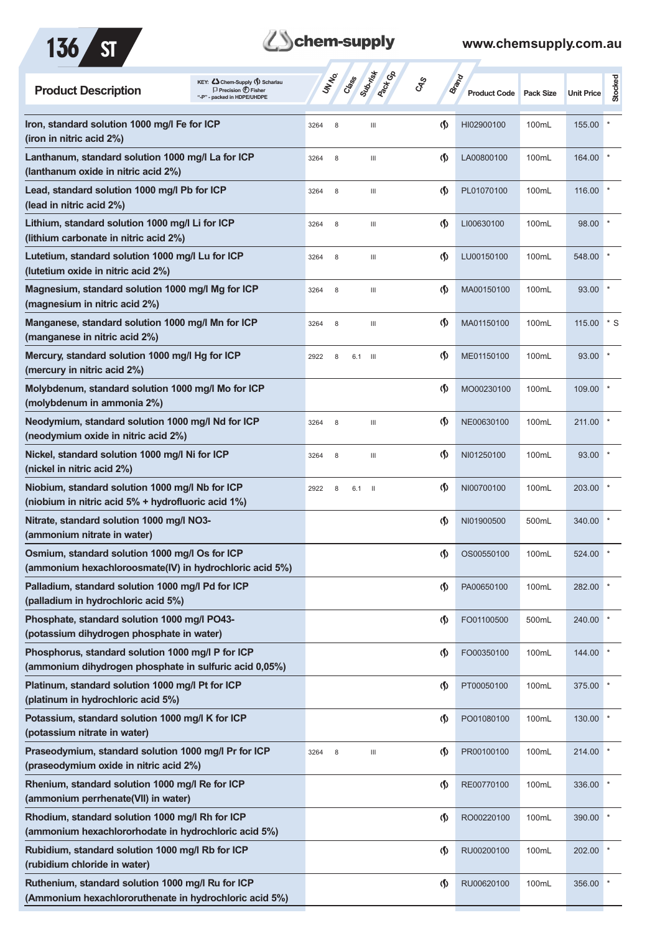

# **Z**Schem-supply

| KEY: Cohem-Supply (5) Scharlau<br><b>Product Description</b><br>$\Box$ Precision $\bigcirc$ Fisher<br>"-P" - packed in HDPE/UHDPE | Submish<br><b>Pack G</b> B<br><b>UNTER</b><br>Crass<br><b>GRS</b> |                                    | Brand<br><b>Product Code</b> | <b>Pack Size</b> | <b>Unit Price</b> | <b>Stocked</b> |
|-----------------------------------------------------------------------------------------------------------------------------------|-------------------------------------------------------------------|------------------------------------|------------------------------|------------------|-------------------|----------------|
| Iron, standard solution 1000 mg/l Fe for ICP<br>(iron in nitric acid 2%)                                                          | 3264<br>8<br>$\mathbf{III}$                                       | $\langle \mathbf{\langle} \rangle$ | HI02900100                   | 100mL            | 155.00            |                |
| Lanthanum, standard solution 1000 mg/l La for ICP<br>(lanthanum oxide in nitric acid 2%)                                          | 3264<br>8<br>Ш                                                    | $\langle \mathbf{\langle} \rangle$ | LA00800100                   | 100mL            | 164.00            |                |
| Lead, standard solution 1000 mg/l Pb for ICP<br>(lead in nitric acid 2%)                                                          | 3264<br>8<br>$\mathbf{III}$                                       | $\langle \mathbf{\langle} \rangle$ | PL01070100                   | 100mL            | 116.00            |                |
| Lithium, standard solution 1000 mg/l Li for ICP<br>(lithium carbonate in nitric acid 2%)                                          | 3264<br>8<br>Ш                                                    | $\langle \mathbf{\langle} \rangle$ | LI00630100                   | 100mL            | 98.00             |                |
| Lutetium, standard solution 1000 mg/l Lu for ICP<br>(lutetium oxide in nitric acid 2%)                                            | 3264<br>8<br>Ш                                                    | $\langle \mathbf{\langle}$         | LU00150100                   | 100mL            | 548.00            |                |
| Magnesium, standard solution 1000 mg/l Mg for ICP<br>(magnesium in nitric acid 2%)                                                | 3264<br>8<br>$\mathbf{III}$                                       | $\langle \mathbf{\langle} \rangle$ | MA00150100                   | 100mL            | 93.00             |                |
| Manganese, standard solution 1000 mg/l Mn for ICP<br>(manganese in nitric acid 2%)                                                | 3264<br>8<br>Ш                                                    | $\langle \mathbf{\langle} \rangle$ | MA01150100                   | 100mL            | 115.00            | * S            |
| Mercury, standard solution 1000 mg/l Hg for ICP<br>(mercury in nitric acid 2%)                                                    | 2922<br>6.1<br>- 111<br>8                                         | $\langle \mathbf{\langle} \rangle$ | ME01150100                   | 100mL            | 93.00             |                |
| Molybdenum, standard solution 1000 mg/l Mo for ICP<br>(molybdenum in ammonia 2%)                                                  |                                                                   | $\langle \mathbf{\S} \rangle$      | MO00230100                   | 100mL            | 109.00            |                |
| Neodymium, standard solution 1000 mg/l Nd for ICP<br>(neodymium oxide in nitric acid 2%)                                          | 3264<br>8<br>Ш                                                    | $\langle \mathbf{\langle} \rangle$ | NE00630100                   | 100mL            | 211.00            |                |
| Nickel, standard solution 1000 mg/l Ni for ICP<br>(nickel in nitric acid 2%)                                                      | 3264<br>8<br>$\mathbf{III}$                                       | $\langle \mathbf{\langle} \rangle$ | NI01250100                   | 100mL            | 93.00             |                |
| Niobium, standard solution 1000 mg/l Nb for ICP<br>(niobium in nitric acid 5% + hydrofluoric acid 1%)                             | 2922<br>8<br>6.1<br>- 11                                          | $\langle \mathbf{\S} \rangle$      | NI00700100                   | 100mL            | 203.00            |                |
| Nitrate, standard solution 1000 mg/l NO3-<br>(ammonium nitrate in water)                                                          |                                                                   | $\langle \mathbf{\langle}$         | NI01900500                   | 500mL            | 340.00            |                |
| Osmium, standard solution 1000 mg/l Os for ICP<br>(ammonium hexachloroosmate(IV) in hydrochloric acid 5%)                         |                                                                   | $\langle \mathbf{\S} \rangle$      | OS00550100                   | 100mL            | 524.00            |                |
| Palladium, standard solution 1000 mg/l Pd for ICP<br>(palladium in hydrochloric acid 5%)                                          |                                                                   | $\Phi$                             | PA00650100                   | 100mL            | 282.00            |                |
| Phosphate, standard solution 1000 mg/l PO43-<br>(potassium dihydrogen phosphate in water)                                         |                                                                   | $\langle \mathbf{\S} \rangle$      | FO01100500                   | 500mL            | 240.00            |                |
| Phosphorus, standard solution 1000 mg/l P for ICP<br>(ammonium dihydrogen phosphate in sulfuric acid 0,05%)                       |                                                                   | $\langle \mathbf{\S} \rangle$      | FO00350100                   | 100mL            | 144.00            |                |
| Platinum, standard solution 1000 mg/l Pt for ICP<br>(platinum in hydrochloric acid 5%)                                            |                                                                   | $\langle \mathbf{\S} \rangle$      | PT00050100                   | 100mL            | 375.00            |                |
| Potassium, standard solution 1000 mg/l K for ICP<br>(potassium nitrate in water)                                                  |                                                                   | $\langle \mathbf{\S} \rangle$      | PO01080100                   | 100mL            | 130.00            |                |
| Praseodymium, standard solution 1000 mg/l Pr for ICP<br>(praseodymium oxide in nitric acid 2%)                                    | 3264<br>8<br>Ш                                                    | $\langle \mathbf{\S} \rangle$      | PR00100100                   | 100mL            | 214.00            |                |
| Rhenium, standard solution 1000 mg/l Re for ICP<br>(ammonium perrhenate(VII) in water)                                            |                                                                   | $\langle \mathbf{\S} \rangle$      | RE00770100                   | 100mL            | 336.00            |                |
| Rhodium, standard solution 1000 mg/l Rh for ICP<br>(ammonium hexachlororhodate in hydrochloric acid 5%)                           |                                                                   | $\langle \mathbf{\S} \rangle$      | RO00220100                   | 100mL            | 390.00            |                |
| Rubidium, standard solution 1000 mg/l Rb for ICP<br>(rubidium chloride in water)                                                  |                                                                   | $\Phi$                             | RU00200100                   | 100mL            | 202.00            |                |
| Ruthenium, standard solution 1000 mg/l Ru for ICP<br>(Ammonium hexachlororuthenate in hydrochloric acid 5%)                       |                                                                   | $\langle \mathbf{\S} \rangle$      | RU00620100                   | 100mL            | 356.00            |                |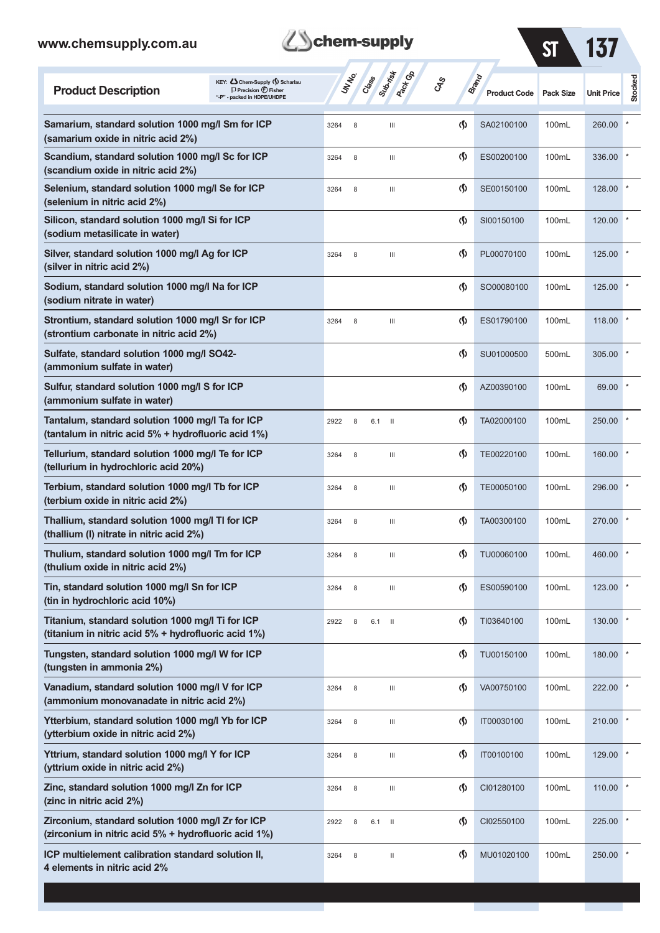| <b>B</b> chem-supply |  |
|----------------------|--|
|                      |  |

ST 137

 $\mathcal{L}^{\text{max}}$ 

| KEY: Cohem-Supply (5) Scharlau<br><b>Product Description</b><br>$\Box$ Precision $\bigoplus$ Fisher<br>"-P" - packed in HDPE/UHDPE | <b>UNTER</b> | Class | Suprist<br>A <sub>ROCK</sub> OS<br>GRS | Brand                              | <b>Product Code</b> | <b>Pack Size</b> | <b>Unit Price</b> | Stocked |
|------------------------------------------------------------------------------------------------------------------------------------|--------------|-------|----------------------------------------|------------------------------------|---------------------|------------------|-------------------|---------|
| Samarium, standard solution 1000 mg/l Sm for ICP<br>(samarium oxide in nitric acid 2%)                                             | 3264<br>8    |       | Ш                                      | $\langle \langle \rangle$          | SA02100100          | 100mL            | 260.00            |         |
| Scandium, standard solution 1000 mg/l Sc for ICP<br>(scandium oxide in nitric acid 2%)                                             | 8<br>3264    |       | Ш                                      | $\Phi$                             | ES00200100          | 100mL            | 336.00            |         |
| Selenium, standard solution 1000 mg/l Se for ICP<br>(selenium in nitric acid 2%)                                                   | 3264<br>8    |       | Ш                                      | $\langle \mathbf{\langle} \rangle$ | SE00150100          | 100mL            | 128.00            |         |
| Silicon, standard solution 1000 mg/l Si for ICP<br>(sodium metasilicate in water)                                                  |              |       |                                        | $\Phi$                             | SI00150100          | 100mL            | 120.00            |         |
| Silver, standard solution 1000 mg/l Ag for ICP<br>(silver in nitric acid 2%)                                                       | 3264<br>8    |       | Ш                                      | $\langle \mathbf{\S} \rangle$      | PL00070100          | 100mL            | 125.00            |         |
| Sodium, standard solution 1000 mg/l Na for ICP<br>(sodium nitrate in water)                                                        |              |       |                                        | $\Phi$                             | SO00080100          | 100mL            | 125.00            |         |
| Strontium, standard solution 1000 mg/l Sr for ICP<br>(strontium carbonate in nitric acid 2%)                                       | 3264<br>8    |       | Ш                                      | $\langle \mathbf{\S} \rangle$      | ES01790100          | 100mL            | 118.00            |         |
| Sulfate, standard solution 1000 mg/l SO42-<br>(ammonium sulfate in water)                                                          |              |       |                                        | $\Phi$                             | SU01000500          | 500mL            | 305.00            |         |
| Sulfur, standard solution 1000 mg/l S for ICP<br>(ammonium sulfate in water)                                                       |              |       |                                        | $\Phi$                             | AZ00390100          | 100mL            | 69.00             |         |
| Tantalum, standard solution 1000 mg/l Ta for ICP<br>(tantalum in nitric acid 5% + hydrofluoric acid 1%)                            | 2922<br>8    | 6.1   | $\mathbf{H}$                           | $\Phi$                             | TA02000100          | 100mL            | 250.00            |         |
| Tellurium, standard solution 1000 mg/l Te for ICP<br>(tellurium in hydrochloric acid 20%)                                          | 3264<br>8    |       | Ш                                      | $\Phi$                             | TE00220100          | 100mL            | 160.00            |         |
| Terbium, standard solution 1000 mg/l Tb for ICP<br>(terbium oxide in nitric acid 2%)                                               | 8<br>3264    |       | Ш                                      | $\Phi$                             | TE00050100          | 100mL            | 296.00            |         |
| Thallium, standard solution 1000 mg/l TI for ICP<br>(thallium (I) nitrate in nitric acid 2%)                                       | 8<br>3264    |       | Ш                                      | $\Phi$                             | TA00300100          | 100mL            | 270.00            |         |
| Thulium, standard solution 1000 mg/l Tm for ICP<br>(thulium oxide in nitric acid 2%)                                               | 8<br>3264    |       | Ш                                      | $\Phi$                             | TU00060100          | 100mL            | 460.00            |         |
| Tin, standard solution 1000 mg/l Sn for ICP<br>(tin in hydrochloric acid 10%)                                                      | 3264<br>8    |       | Ш                                      | $\Phi$                             | ES00590100          | 100mL            | 123.00            |         |
| Titanium, standard solution 1000 mg/l Ti for ICP<br>(titanium in nitric acid 5% + hydrofluoric acid 1%)                            | 2922<br>8    | 6.1   | $\mathbf{H}$                           | $\langle \mathbf{\hat{y}} \rangle$ | TI03640100          | 100mL            | 130.00            |         |
| Tungsten, standard solution 1000 mg/l W for ICP<br>(tungsten in ammonia 2%)                                                        |              |       |                                        | $\langle \mathbf{\hat{y}} \rangle$ | TU00150100          | 100mL            | 180.00            |         |
| Vanadium, standard solution 1000 mg/l V for ICP<br>(ammonium monovanadate in nitric acid 2%)                                       | 3264<br>8    |       | Ш                                      | $\langle \mathbf{\hat{y}} \rangle$ | VA00750100          | 100mL            | 222.00            |         |
| Ytterbium, standard solution 1000 mg/l Yb for ICP<br>(ytterbium oxide in nitric acid 2%)                                           | 8<br>3264    |       | $\ensuremath{\mathsf{III}}\xspace$     | $\langle \mathbf{\hat{y}} \rangle$ | IT00030100          | 100mL            | 210.00            |         |
| Yttrium, standard solution 1000 mg/l Y for ICP<br>(yttrium oxide in nitric acid 2%)                                                | 8<br>3264    |       | Ш                                      | $\Phi$                             | IT00100100          | 100mL            | 129.00            |         |
| Zinc, standard solution 1000 mg/l Zn for ICP<br>(zinc in nitric acid 2%)                                                           | 8<br>3264    |       | Ш                                      | $\Phi$                             | CI01280100          | 100mL            | 110.00            |         |
| Zirconium, standard solution 1000 mg/l Zr for ICP<br>(zirconium in nitric acid 5% + hydrofluoric acid 1%)                          | 2922<br>8    | 6.1   | $\mathbf{H}$                           | $\langle \mathbf{\hat{y}} \rangle$ | CI02550100          | 100mL            | 225.00            |         |
| ICP multielement calibration standard solution II,<br>4 elements in nitric acid 2%                                                 | 8<br>3264    |       | $\,$ II                                | $\Phi$                             | MU01020100          | 100mL            | 250.00            |         |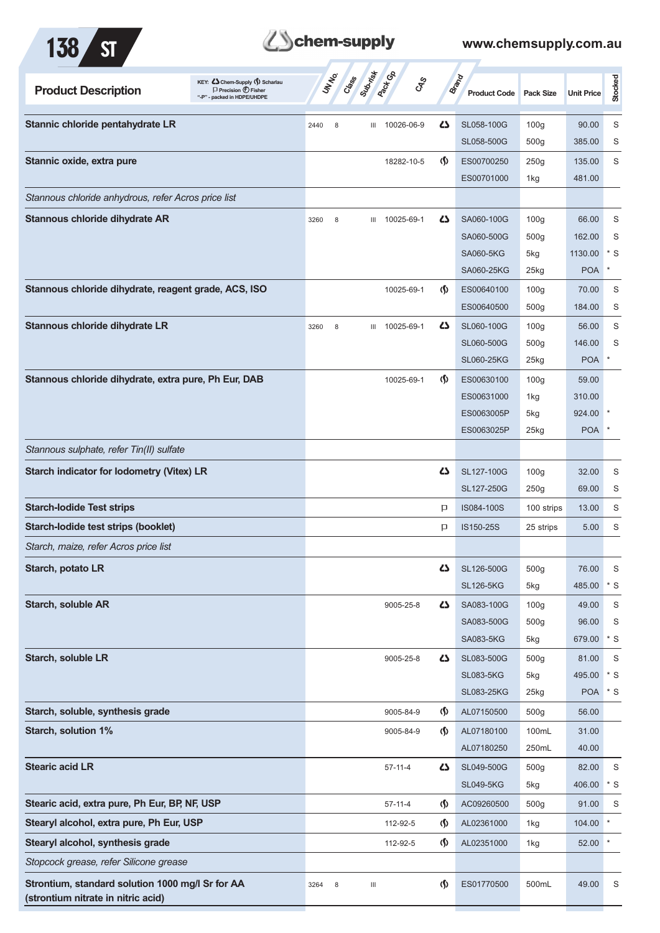



| KEY: C Chem-Supply (5) Scharlau<br><b>Product Description</b><br>$\Box$ Precision $\bigoplus$ Fisher<br>packed in HDPE/UHDPE<br>".p" |      | UNINO<br>Creek | Submist | <b>Pactice</b> | <b>GRS</b>                    | <b>Brand</b><br><b>Product Code</b> | <b>Pack Size</b> | <b>Unit Price</b> | Stocked |
|--------------------------------------------------------------------------------------------------------------------------------------|------|----------------|---------|----------------|-------------------------------|-------------------------------------|------------------|-------------------|---------|
| Stannic chloride pentahydrate LR                                                                                                     | 2440 | 8              | Ш       | 10026-06-9     | ひ                             | SL058-100G                          | 100 <sub>g</sub> | 90.00             | S       |
|                                                                                                                                      |      |                |         |                |                               | SL058-500G                          | 500 <sub>g</sub> | 385.00            | S       |
| Stannic oxide, extra pure                                                                                                            |      |                |         | 18282-10-5     | $\langle \mathbf{\S} \rangle$ | ES00700250                          | 250g             | 135.00            | S       |
|                                                                                                                                      |      |                |         |                |                               | ES00701000                          | 1kg              | 481.00            |         |
| Stannous chloride anhydrous, refer Acros price list                                                                                  |      |                |         |                |                               |                                     |                  |                   |         |
| Stannous chloride dihydrate AR                                                                                                       | 3260 | 8              | Ш       | 10025-69-1     | 45                            | SA060-100G                          | 100 <sub>g</sub> | 66.00             | S       |
|                                                                                                                                      |      |                |         |                |                               | SA060-500G                          | 500 <sub>g</sub> | 162.00            | S       |
|                                                                                                                                      |      |                |         |                |                               | <b>SA060-5KG</b>                    | 5kg              | 1130.00           | $^*$ S  |
|                                                                                                                                      |      |                |         |                |                               | SA060-25KG                          | 25kg             | <b>POA</b>        | $\star$ |
| Stannous chloride dihydrate, reagent grade, ACS, ISO                                                                                 |      |                |         | 10025-69-1     | $\langle \mathbf{\S} \rangle$ | ES00640100                          | 100 <sub>g</sub> | 70.00             | S       |
|                                                                                                                                      |      |                |         |                |                               | ES00640500                          | 500 <sub>g</sub> | 184.00            | S       |
| Stannous chloride dihydrate LR                                                                                                       | 3260 | 8              |         | III 10025-69-1 | 47                            | SL060-100G                          | 100 <sub>g</sub> | 56.00             | S       |
|                                                                                                                                      |      |                |         |                |                               | SL060-500G                          | 500 <sub>g</sub> | 146.00            | S       |
|                                                                                                                                      |      |                |         |                |                               | <b>SL060-25KG</b>                   | 25kg             | <b>POA</b>        | $\ast$  |
| Stannous chloride dihydrate, extra pure, Ph Eur, DAB                                                                                 |      |                |         | 10025-69-1     | (∫)                           | ES00630100                          | 100 <sub>g</sub> | 59.00             |         |
|                                                                                                                                      |      |                |         |                |                               | ES00631000                          | 1kg              | 310.00            |         |
|                                                                                                                                      |      |                |         |                |                               | ES0063005P                          | 5kg              | 924.00            |         |
|                                                                                                                                      |      |                |         |                |                               | ES0063025P                          | $25$ kg          | <b>POA</b>        |         |
| Stannous sulphate, refer Tin(II) sulfate                                                                                             |      |                |         |                |                               |                                     |                  |                   |         |
| <b>Starch indicator for lodometry (Vitex) LR</b>                                                                                     |      |                |         |                | 27                            | SL127-100G                          | 100 <sub>g</sub> | 32.00             | S       |
|                                                                                                                                      |      |                |         |                |                               | SL127-250G                          | 250g             | 69.00             | S       |
| <b>Starch-lodide Test strips</b>                                                                                                     |      |                |         |                | P                             | IS084-100S                          | 100 strips       | 13.00             | S       |
| Starch-lodide test strips (booklet)                                                                                                  |      |                |         |                | P                             | IS150-25S                           | 25 strips        | 5.00              | S       |
| Starch, maize, refer Acros price list                                                                                                |      |                |         |                |                               |                                     |                  |                   |         |
| Starch, potato LR                                                                                                                    |      |                |         |                | 42                            | SL126-500G                          | 500 <sub>g</sub> | 76.00             | S       |
|                                                                                                                                      |      |                |         |                |                               | <b>SL126-5KG</b>                    | 5kg              | 485.00            | $*$ S   |
| Starch, soluble AR                                                                                                                   |      |                |         | 9005-25-8      | 42                            | SA083-100G                          | 100 <sub>g</sub> | 49.00             | S       |
|                                                                                                                                      |      |                |         |                |                               | SA083-500G                          | 500 <sub>g</sub> | 96.00             | S       |
|                                                                                                                                      |      |                |         |                |                               | <b>SA083-5KG</b>                    | 5kg              | 679.00            | $*$ S   |
| Starch, soluble LR                                                                                                                   |      |                |         | 9005-25-8      | 42                            | SL083-500G                          | 500 <sub>g</sub> | 81.00             | S       |
|                                                                                                                                      |      |                |         |                |                               | <b>SL083-5KG</b>                    | 5kg              | 495.00            | $*$ S   |
|                                                                                                                                      |      |                |         |                |                               | <b>SL083-25KG</b>                   | 25kg             | POA * S           |         |
| Starch, soluble, synthesis grade                                                                                                     |      |                |         | 9005-84-9      | $\langle \mathbf{\S} \rangle$ | AL07150500                          | 500 <sub>g</sub> | 56.00             |         |
| <b>Starch, solution 1%</b>                                                                                                           |      |                |         | 9005-84-9      | $\langle \mathbf{\S} \rangle$ | AL07180100                          | 100mL            | 31.00             |         |
|                                                                                                                                      |      |                |         |                |                               | AL07180250                          | 250mL            | 40.00             |         |
| <b>Stearic acid LR</b>                                                                                                               |      |                |         | $57 - 11 - 4$  | 5                             | SL049-500G                          | 500g             | 82.00             | S       |
|                                                                                                                                      |      |                |         |                |                               | <b>SL049-5KG</b>                    | 5kg              | 406.00            | $*$ S   |
| Stearic acid, extra pure, Ph Eur, BP, NF, USP                                                                                        |      |                |         | $57 - 11 - 4$  | $\langle \mathbf{\S} \rangle$ | AC09260500                          | 500 <sub>g</sub> | 91.00             | S       |
| Stearyl alcohol, extra pure, Ph Eur, USP                                                                                             |      |                |         | 112-92-5       | $\langle \mathbf{\S} \rangle$ | AL02361000                          | 1kg              | 104.00            |         |
| Stearyl alcohol, synthesis grade                                                                                                     |      |                |         | 112-92-5       | $\Phi$                        | AL02351000                          | 1kg              | 52.00             |         |
| Stopcock grease, refer Silicone grease                                                                                               |      |                |         |                |                               |                                     |                  |                   |         |
| Strontium, standard solution 1000 mg/l Sr for AA<br>(strontium nitrate in nitric acid)                                               | 3264 | 8              | Ш       |                | $\langle \mathbf{\S} \rangle$ | ES01770500                          | 500mL            | 49.00             | S       |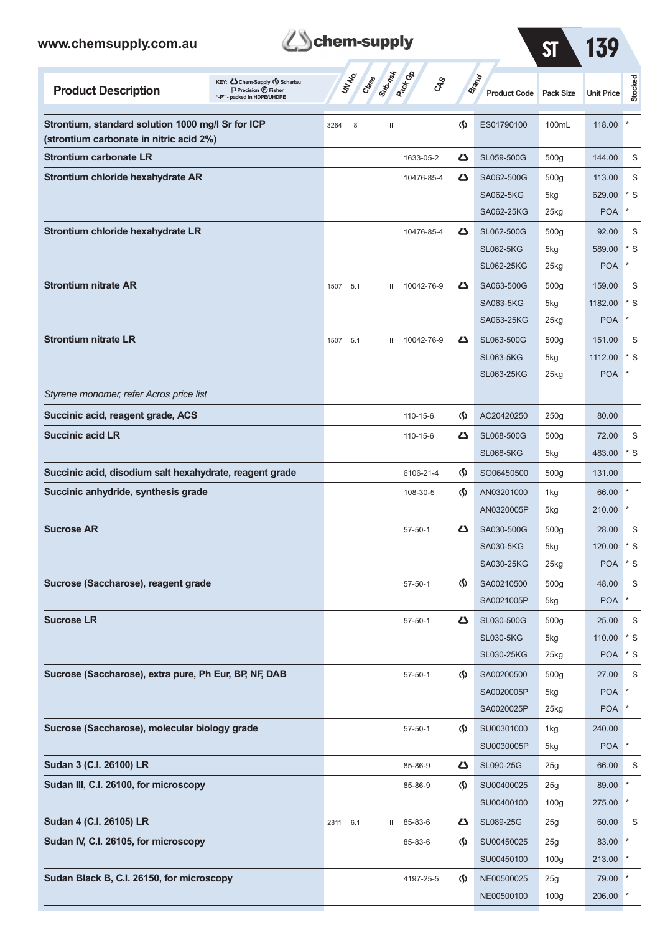| www.chemsupply.com.au                                   |                                                                                                      |                 | chem-supply<br>ST                        |                                    |                              |                  |                   |                  |  |  |  |  |  |
|---------------------------------------------------------|------------------------------------------------------------------------------------------------------|-----------------|------------------------------------------|------------------------------------|------------------------------|------------------|-------------------|------------------|--|--|--|--|--|
| <b>Product Description</b>                              | KEY: Cohem-Supply (5) Scharlau<br>$\Box$ Precision $\bigoplus$ Fisher<br>"-P" - packed in HDPE/UHDPE | UN NO.<br>Crass | Superior<br><b>Pack Go</b><br><b>CAS</b> |                                    | Brand<br><b>Product Code</b> | <b>Pack Size</b> | <b>Unit Price</b> | <b>Stocked</b>   |  |  |  |  |  |
| Strontium, standard solution 1000 mg/l Sr for ICP       |                                                                                                      | 8<br>3264       | Ш                                        | $\Phi$                             | ES01790100                   | 100mL            | 118.00            |                  |  |  |  |  |  |
| (strontium carbonate in nitric acid 2%)                 |                                                                                                      |                 |                                          |                                    |                              |                  |                   |                  |  |  |  |  |  |
| <b>Strontium carbonate LR</b>                           |                                                                                                      |                 | 1633-05-2                                | 45                                 | SL059-500G                   | 500 <sub>g</sub> | 144.00            | S                |  |  |  |  |  |
| Strontium chloride hexahydrate AR                       |                                                                                                      |                 | 10476-85-4                               | 4                                  | SA062-500G                   | 500 <sub>g</sub> | 113.00            | S                |  |  |  |  |  |
|                                                         |                                                                                                      |                 |                                          |                                    | <b>SA062-5KG</b>             | 5kg              | 629.00            | * S              |  |  |  |  |  |
|                                                         |                                                                                                      |                 |                                          |                                    | SA062-25KG                   | 25kg             | <b>POA</b>        | $\ast$           |  |  |  |  |  |
| Strontium chloride hexahydrate LR                       |                                                                                                      |                 | 10476-85-4                               | 5                                  | SL062-500G                   | 500 <sub>g</sub> | 92.00             | S                |  |  |  |  |  |
|                                                         |                                                                                                      |                 |                                          |                                    | <b>SL062-5KG</b>             | 5kg              | 589.00            | $*$ S            |  |  |  |  |  |
|                                                         |                                                                                                      |                 |                                          |                                    | SL062-25KG                   | 25kg             | <b>POA</b>        | $\ast$           |  |  |  |  |  |
| <b>Strontium nitrate AR</b>                             |                                                                                                      | 1507<br>5.1     | III 10042-76-9                           | 4                                  | SA063-500G                   | 500 <sub>g</sub> | 159.00            | S                |  |  |  |  |  |
|                                                         |                                                                                                      |                 |                                          |                                    | <b>SA063-5KG</b>             | 5kg              | 1182.00           | $^*$ S<br>$\ast$ |  |  |  |  |  |
|                                                         |                                                                                                      |                 |                                          |                                    | SA063-25KG                   | 25kg             | <b>POA</b>        |                  |  |  |  |  |  |
| <b>Strontium nitrate LR</b>                             |                                                                                                      | 1507<br>5.1     | III 10042-76-9                           | 5                                  | SL063-500G                   | 500g             | 151.00            | S                |  |  |  |  |  |
|                                                         |                                                                                                      |                 |                                          |                                    | <b>SL063-5KG</b>             | 5kg              | 1112.00           | $^*$ S           |  |  |  |  |  |
|                                                         |                                                                                                      |                 |                                          |                                    | SL063-25KG                   | $25$ kg          | <b>POA</b>        |                  |  |  |  |  |  |
| Styrene monomer, refer Acros price list                 |                                                                                                      |                 |                                          |                                    |                              |                  |                   |                  |  |  |  |  |  |
| Succinic acid, reagent grade, ACS                       |                                                                                                      |                 | 110-15-6                                 | $\langle \mathbf{\langle} \rangle$ | AC20420250                   | 250g             | 80.00             |                  |  |  |  |  |  |
| <b>Succinic acid LR</b>                                 |                                                                                                      |                 | 110-15-6                                 | 4                                  | SL068-500G                   | 500g             | 72.00             | S                |  |  |  |  |  |
|                                                         |                                                                                                      |                 |                                          |                                    | <b>SL068-5KG</b>             | 5kg              | 483.00            | $\cdot$ s        |  |  |  |  |  |
| Succinic acid, disodium salt hexahydrate, reagent grade |                                                                                                      |                 | 6106-21-4                                | $\Phi$                             | SO06450500                   | 500g             | 131.00            |                  |  |  |  |  |  |
| Succinic anhydride, synthesis grade                     |                                                                                                      |                 | 108-30-5                                 | $\langle \mathbf{\langle} \rangle$ | AN03201000                   | 1kg              | 66.00             |                  |  |  |  |  |  |
|                                                         |                                                                                                      |                 |                                          |                                    | AN0320005P                   | 5kg              | 210.00            |                  |  |  |  |  |  |
| <b>Sucrose AR</b>                                       |                                                                                                      |                 | $57 - 50 - 1$                            | 45                                 | SA030-500G                   | 500g             | 28.00             | S                |  |  |  |  |  |
|                                                         |                                                                                                      |                 |                                          |                                    | SA030-5KG                    | 5kg              | 120.00            | $\cdot$ s        |  |  |  |  |  |
|                                                         |                                                                                                      |                 |                                          |                                    | SA030-25KG                   | 25kg             | POA * S           |                  |  |  |  |  |  |
| Sucrose (Saccharose), reagent grade                     |                                                                                                      |                 | $57 - 50 - 1$                            | $\Phi$                             | SA00210500                   | 500g             | 48.00             | S                |  |  |  |  |  |
|                                                         |                                                                                                      |                 |                                          |                                    | SA0021005P                   | 5kg              | <b>POA</b>        | $^{\ast}$        |  |  |  |  |  |
| <b>Sucrose LR</b>                                       |                                                                                                      |                 | $57 - 50 - 1$                            | 42                                 | SL030-500G                   | 500g             | 25.00             | S                |  |  |  |  |  |
|                                                         |                                                                                                      |                 |                                          |                                    | <b>SL030-5KG</b>             | 5kg              | 110.00 * S        |                  |  |  |  |  |  |
|                                                         |                                                                                                      |                 |                                          |                                    | SL030-25KG                   | 25kg             | POA * S           |                  |  |  |  |  |  |
| Sucrose (Saccharose), extra pure, Ph Eur, BP, NF, DAB   |                                                                                                      |                 | $57 - 50 - 1$                            | $\Phi$                             | SA00200500                   | 500g             | 27.00             | S                |  |  |  |  |  |
|                                                         |                                                                                                      |                 |                                          |                                    | SA0020005P                   | 5kg              | <b>POA</b>        |                  |  |  |  |  |  |
|                                                         |                                                                                                      |                 |                                          |                                    | SA0020025P                   | 25kg             | POA <sup>*</sup>  |                  |  |  |  |  |  |
| Sucrose (Saccharose), molecular biology grade           |                                                                                                      |                 | $57 - 50 - 1$                            | $\langle \mathbf{\S} \rangle$      | SU00301000                   | 1kg              | 240.00            |                  |  |  |  |  |  |
|                                                         |                                                                                                      |                 |                                          |                                    | SU0030005P                   | 5kg              | POA <sup>*</sup>  |                  |  |  |  |  |  |
| Sudan 3 (C.I. 26100) LR                                 |                                                                                                      |                 | 85-86-9                                  | 4                                  | SL090-25G                    | 25g              | 66.00             | S                |  |  |  |  |  |
| Sudan III, C.I. 26100, for microscopy                   |                                                                                                      |                 | 85-86-9                                  | $\langle \mathbf{\langle} \rangle$ | SU00400025                   | 25g              | 89.00             |                  |  |  |  |  |  |
|                                                         |                                                                                                      |                 |                                          |                                    | SU00400100                   | 100 <sub>g</sub> | 275.00 *          |                  |  |  |  |  |  |
| Sudan 4 (C.I. 26105) LR                                 |                                                                                                      | 2811 6.1        | III 85-83-6                              | 5                                  | SL089-25G                    | 25g              | 60.00             | S                |  |  |  |  |  |
| Sudan IV, C.I. 26105, for microscopy                    |                                                                                                      |                 | 85-83-6                                  | (§)                                | SU00450025                   | 25g              | 83.00 *           |                  |  |  |  |  |  |
|                                                         |                                                                                                      |                 |                                          |                                    | SU00450100                   | 100 <sub>g</sub> | $213.00$ *        |                  |  |  |  |  |  |

**Sudan Black B, C.I. 26150, for microscopy 1997-25-5 197-25-5 1997-25-5 1997-25-5 1998 NE00500025** 25g 79.00 \*

NE00500100 100g 206.00 \*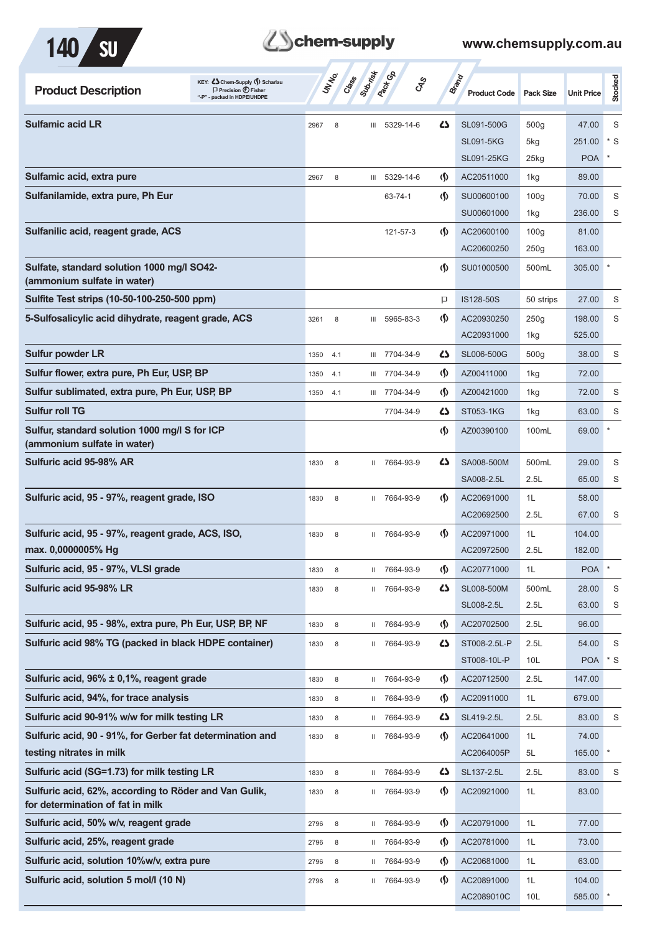



| KEY: C Chem-Supply () Scharlau<br><b>Product Description</b><br>$\Box$ Precision $\bigoplus$ Fisher<br>"-P" - packed in HDPE/UHDPE |      | <b>UNTER</b><br>Crass | Submish      | <b>Pack</b> Ga | <b>GRS</b>                         | <b>Brand</b><br><b>Product Code</b> | Pack Size        | <b>Unit Price</b> | Stocked      |
|------------------------------------------------------------------------------------------------------------------------------------|------|-----------------------|--------------|----------------|------------------------------------|-------------------------------------|------------------|-------------------|--------------|
| <b>Sulfamic acid LR</b>                                                                                                            | 2967 | 8                     |              | III 5329-14-6  | ひ                                  | SL091-500G                          | 500 <sub>g</sub> | 47.00             | S            |
|                                                                                                                                    |      |                       |              |                |                                    | <b>SL091-5KG</b>                    | 5kg              | 251.00            | * S          |
|                                                                                                                                    |      |                       |              |                |                                    | SL091-25KG                          | $25$ kg          | <b>POA</b>        |              |
| Sulfamic acid, extra pure                                                                                                          | 2967 | 8                     |              | III 5329-14-6  | $\langle \mathbf{\langle} \rangle$ | AC20511000                          | 1kg              | 89.00             |              |
| Sulfanilamide, extra pure, Ph Eur                                                                                                  |      |                       |              | 63-74-1        | $\langle \mathbf{\langle} \rangle$ | SU00600100                          | 100 <sub>g</sub> | 70.00             | S            |
|                                                                                                                                    |      |                       |              |                |                                    | SU00601000                          | 1kg              | 236.00            | S            |
| Sulfanilic acid, reagent grade, ACS                                                                                                |      |                       |              | 121-57-3       | $\langle \mathbf{\langle} \rangle$ | AC20600100                          | 100 <sub>g</sub> | 81.00             |              |
|                                                                                                                                    |      |                       |              |                |                                    | AC20600250                          | 250g             | 163.00            |              |
| Sulfate, standard solution 1000 mg/l SO42-<br>(ammonium sulfate in water)                                                          |      |                       |              |                | $\langle \mathbf{\langle}$         | SU01000500                          | 500mL            | 305.00            |              |
| Sulfite Test strips (10-50-100-250-500 ppm)                                                                                        |      |                       |              |                | Þ                                  | IS128-50S                           | 50 strips        | 27.00             | S            |
| 5-Sulfosalicylic acid dihydrate, reagent grade, ACS                                                                                | 3261 | 8                     | Ш            | 5965-83-3      | $\langle \mathbf{\langle} \rangle$ | AC20930250                          | 250g             | 198.00            | S            |
|                                                                                                                                    |      |                       |              |                |                                    | AC20931000                          | 1kg              | 525.00            |              |
| <b>Sulfur powder LR</b>                                                                                                            | 1350 | 4.1                   |              | III 7704-34-9  | 5                                  | SL006-500G                          | 500 <sub>g</sub> | 38.00             | S            |
| Sulfur flower, extra pure, Ph Eur, USP, BP                                                                                         | 1350 | 4.1                   |              | III 7704-34-9  | $\langle \mathbf{\langle} \rangle$ | AZ00411000                          | 1kg              | 72.00             |              |
| Sulfur sublimated, extra pure, Ph Eur, USP, BP                                                                                     | 1350 | 4.1                   |              | III 7704-34-9  | $\langle \mathbf{\langle} \rangle$ | AZ00421000                          | 1kg              | 72.00             | S            |
| <b>Sulfur roll TG</b>                                                                                                              |      |                       |              | 7704-34-9      | ひ                                  | ST053-1KG                           | 1kg              | 63.00             | S            |
| Sulfur, standard solution 1000 mg/l S for ICP<br>(ammonium sulfate in water)                                                       |      |                       |              |                | $\langle \mathbf{\langle} \rangle$ | AZ00390100                          | 100mL            | 69.00             |              |
| Sulfuric acid 95-98% AR                                                                                                            | 1830 | 8                     | $\mathbf{H}$ | 7664-93-9      | ひ                                  | SA008-500M                          | 500mL            | 29.00             | S            |
|                                                                                                                                    |      |                       |              |                |                                    | SA008-2.5L                          | 2.5L             | 65.00             | S            |
| Sulfuric acid, 95 - 97%, reagent grade, ISO                                                                                        | 1830 | 8                     | Ш.           | 7664-93-9      | <sub>(</sub> f)                    | AC20691000                          | 1L               | 58.00             |              |
|                                                                                                                                    |      |                       |              |                |                                    | AC20692500                          | 2.5L             | 67.00             | S            |
| Sulfuric acid, 95 - 97%, reagent grade, ACS, ISO,                                                                                  | 1830 | 8                     |              | II 7664-93-9   | $\langle \mathbf{\langle} \rangle$ | AC20971000                          | 1L               | 104.00            |              |
| max. 0,0000005% Hq                                                                                                                 |      |                       |              |                |                                    | AC20972500                          | 2.5L             | 182.00            |              |
| Sulfuric acid, 95 - 97%, VLSI grade                                                                                                | 1830 | 8                     | Ш.           | 7664-93-9      | $\langle \mathbf{\S} \rangle$      | AC20771000                          | 1L               | <b>POA</b>        | $\pmb{\ast}$ |
| Sulfuric acid 95-98% LR                                                                                                            | 1830 | 8                     | H.,          | 7664-93-9      | 5                                  | SL008-500M                          | 500mL            | 28.00             | S            |
|                                                                                                                                    |      |                       |              |                |                                    | SL008-2.5L                          | 2.5L             | 63.00             | S            |
| Sulfuric acid, 95 - 98%, extra pure, Ph Eur, USP, BP, NF                                                                           | 1830 | $\,8\,$               |              | II 7664-93-9   | $\langle \mathbf{\S} \rangle$      | AC20702500                          | 2.5L             | 96.00             |              |
| Sulfuric acid 98% TG (packed in black HDPE container)                                                                              | 1830 | 8                     | Ш.           | 7664-93-9      | 45                                 | ST008-2.5L-P                        | 2.5L             | 54.00             | S            |
|                                                                                                                                    |      |                       |              |                |                                    | ST008-10L-P                         | 10 <sub>L</sub>  | <b>POA</b>        | $*$ S        |
| Sulfuric acid, 96% ± 0,1%, reagent grade                                                                                           | 1830 | 8                     |              | II 7664-93-9   | $\langle \mathbf{\S} \rangle$      | AC20712500                          | 2.5L             | 147.00            |              |
| Sulfuric acid, 94%, for trace analysis                                                                                             | 1830 | 8                     |              | II 7664-93-9   | (∫)                                | AC20911000                          | 1L               | 679.00            |              |
| Sulfuric acid 90-91% w/w for milk testing LR                                                                                       | 1830 | 8                     |              | II 7664-93-9   | 5                                  | SL419-2.5L                          | 2.5L             | 83.00             | S            |
| Sulfuric acid, 90 - 91%, for Gerber fat determination and                                                                          | 1830 | $\,$ 8 $\,$           |              | II 7664-93-9   | $\langle \mathbf{\S} \rangle$      | AC20641000                          | 1L               | 74.00             |              |
| testing nitrates in milk                                                                                                           |      |                       |              |                |                                    | AC2064005P                          | 5L               | 165.00            | $\pmb{\ast}$ |
| Sulfuric acid (SG=1.73) for milk testing LR                                                                                        | 1830 | 8                     |              | II 7664-93-9   | 5                                  | SL137-2.5L                          | 2.5L             | 83.00             | S            |
| Sulfuric acid, 62%, according to Röder and Van Gulik,<br>for determination of fat in milk                                          | 1830 | 8                     | Ш.           | 7664-93-9      | $\langle \mathbf{\langle} \rangle$ | AC20921000                          | 1L               | 83.00             |              |
| Sulfuric acid, 50% w/v, reagent grade                                                                                              | 2796 | 8                     |              | II 7664-93-9   | $\langle \mathbf{\S} \rangle$      | AC20791000                          | 1L               | 77.00             |              |
| Sulfuric acid, 25%, reagent grade                                                                                                  | 2796 | 8                     | Ш.           | 7664-93-9      | $\langle \mathbf{\S} \rangle$      | AC20781000                          | 1L               | 73.00             |              |
| Sulfuric acid, solution 10%w/v, extra pure                                                                                         | 2796 | 8                     | $\mathbf{H}$ | 7664-93-9      | $\langle \mathbf{\S} \rangle$      | AC20681000                          | 1L               | 63.00             |              |
| Sulfuric acid, solution 5 mol/l (10 N)                                                                                             | 2796 | 8                     | Ш.           | 7664-93-9      | $\langle \mathbf{\S} \rangle$      | AC20891000                          | 1L               | 104.00            |              |
|                                                                                                                                    |      |                       |              |                |                                    | AC2089010C                          | 10L              | 585.00            |              |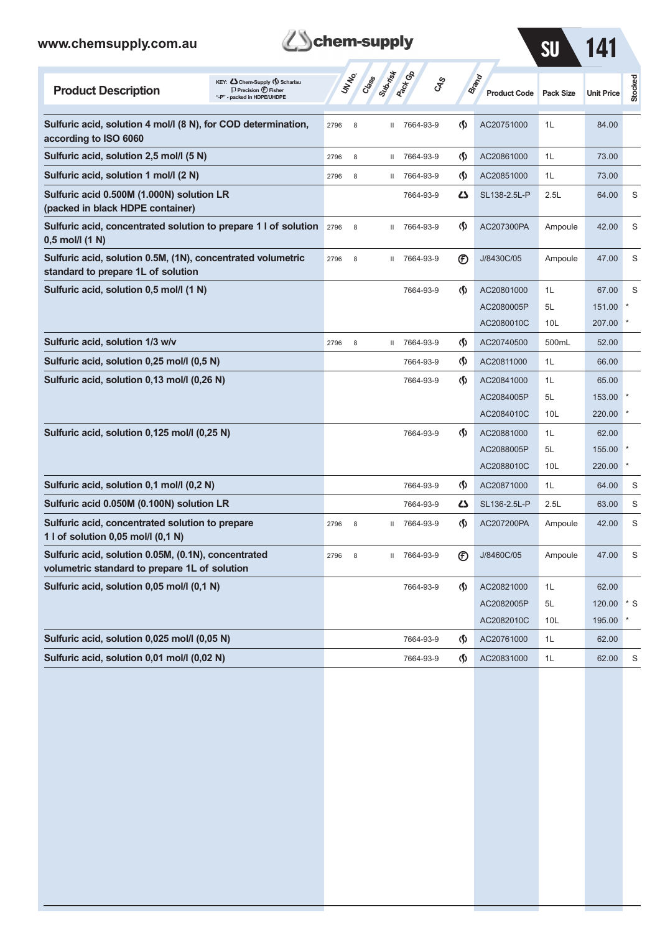| www.chemsupply.com.au                                                                                                              | chem-supply               |                              |                                        |                              | <b>SU</b>       | 141               |           |
|------------------------------------------------------------------------------------------------------------------------------------|---------------------------|------------------------------|----------------------------------------|------------------------------|-----------------|-------------------|-----------|
| KEY: Cohem-Supply (5) Scharlau<br><b>Product Description</b><br>$\Box$ Precision $\bigoplus$ Fisher<br>"-P" - packed in HDPE/UHDPE | Suprist<br>UNINO<br>Crass | <b>Pack Go</b><br><b>GRS</b> |                                        | Brand<br><b>Product Code</b> | Pack Size       | <b>Unit Price</b> | Stocked   |
| Sulfuric acid, solution 4 mol/l (8 N), for COD determination,<br>according to ISO 6060                                             | 2796<br>8<br>Ш            | 7664-93-9                    | $\langle \mathbf{\S} \rangle$          | AC20751000                   | 1L              | 84.00             |           |
| Sulfuric acid, solution 2,5 mol/l (5 N)                                                                                            | 2796<br>8<br>Ш            | 7664-93-9                    | $\langle \mathbf{\S} \rangle$          | AC20861000                   | 1L              | 73.00             |           |
| Sulfuric acid, solution 1 mol/l (2 N)                                                                                              | 2796<br>8<br>Ш            | 7664-93-9                    | ற                                      | AC20851000                   | 1L              | 73.00             |           |
| Sulfuric acid 0.500M (1.000N) solution LR<br>(packed in black HDPE container)                                                      |                           | 7664-93-9                    | دے                                     | SL138-2.5L-P                 | 2.5L            | 64.00             | S         |
| Sulfuric acid, concentrated solution to prepare 1 l of solution<br>$0,5$ mol/l $(1 N)$                                             | 2796<br>8<br>$\mathbf{H}$ | 7664-93-9                    | $\langle \mathbf{\langle}$             | AC207300PA                   | Ampoule         | 42.00             | S         |
| Sulfuric acid, solution 0.5M, (1N), concentrated volumetric<br>standard to prepare 1L of solution                                  | 8<br>2796<br>$\mathbf{H}$ | 7664-93-9                    | $^{\circledR}$                         | J/8430C/05                   | Ampoule         | 47.00             | S         |
| Sulfuric acid, solution 0,5 mol/l (1 N)                                                                                            |                           | 7664-93-9                    | $\langle \mathbf{\S} \rangle$          | AC20801000                   | 1L              | 67.00             | S         |
|                                                                                                                                    |                           |                              |                                        | AC2080005P                   | 5L              | 151.00            |           |
|                                                                                                                                    |                           |                              |                                        | AC2080010C                   | 10L             | 207.00            |           |
| Sulfuric acid, solution 1/3 w/v                                                                                                    | 8<br>2796<br>Ш            | 7664-93-9                    | $\langle \mathbf{\S} \rangle$          | AC20740500                   | 500mL           | 52.00             |           |
| Sulfuric acid, solution 0,25 mol/l (0,5 N)                                                                                         |                           | 7664-93-9                    | $\langle \mathbf{\S} \rangle$          | AC20811000                   | 1L              | 66.00             |           |
| Sulfuric acid, solution 0,13 mol/l (0,26 N)                                                                                        |                           | 7664-93-9                    | $\langle \mathbf{\langle} \rangle$     | AC20841000                   | 1L              | 65.00             |           |
|                                                                                                                                    |                           |                              |                                        | AC2084005P                   | 5L              | 153.00            |           |
|                                                                                                                                    |                           |                              |                                        | AC2084010C                   | 10L             | 220.00            |           |
| Sulfuric acid, solution 0,125 mol/l (0,25 N)                                                                                       |                           | 7664-93-9                    | $\langle \mathbf{\langle} \rangle$     | AC20881000                   | 1L              | 62.00             |           |
|                                                                                                                                    |                           |                              |                                        | AC2088005P                   | 5L              | 155.00            |           |
|                                                                                                                                    |                           |                              |                                        | AC2088010C                   | 10L             | 220.00            |           |
| Sulfuric acid, solution 0,1 mol/l (0,2 N)                                                                                          |                           | 7664-93-9                    | $\langle \mathbf{\S} \rangle$          | AC20871000                   | 1L              | 64.00             | S         |
| Sulfuric acid 0.050M (0.100N) solution LR                                                                                          |                           | 7664-93-9                    | 47                                     | SL136-2.5L-P                 | 2.5L            | 63.00             | S         |
| Sulfuric acid, concentrated solution to prepare<br>1 l of solution 0,05 mol/l (0,1 N)                                              | 2796<br>8<br>$\mathbf{H}$ | 7664-93-9                    | O.                                     | AC207200PA                   | Ampoule         | 42.00             | S         |
| Sulfuric acid, solution 0.05M, (0.1N), concentrated<br>volumetric standard to prepare 1L of solution                               | 8<br>2796<br>Ш.           | 7664-93-9                    | $^{\circledR}$                         | J/8460C/05                   | Ampoule         | 47.00             | S         |
| Sulfuric acid, solution 0,05 mol/l (0,1 N)                                                                                         |                           | 7664-93-9                    | $\Phi$                                 | AC20821000                   | 1L              | 62.00             |           |
|                                                                                                                                    |                           |                              |                                        | AC2082005P                   | 5L              | 120.00            | $\cdot$ s |
|                                                                                                                                    |                           |                              |                                        | AC2082010C                   | 10 <sub>L</sub> | 195.00            |           |
| Sulfuric acid, solution 0,025 mol/l (0,05 N)                                                                                       |                           | 7664-93-9                    | $\langle \mathsf{S} \rangle$           | AC20761000                   | 1L              | 62.00             |           |
| Sulfuric acid, solution 0,01 mol/l (0,02 N)                                                                                        |                           | 7664-93-9                    | $\langle \mathbf{\mathbf{\S}} \rangle$ | AC20831000                   | 1L              | 62.00             | S         |

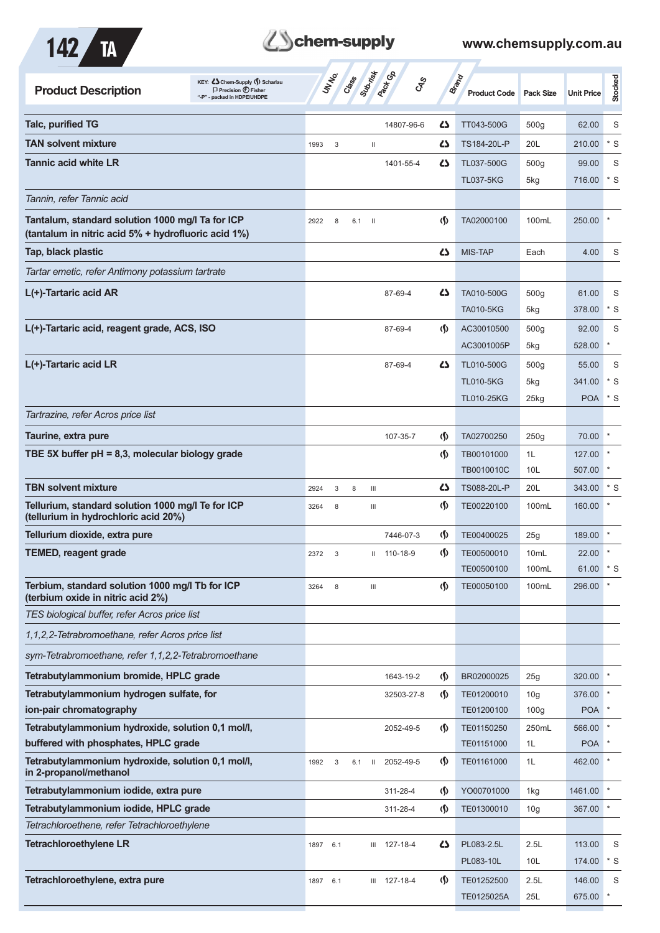



| <b>Product Description</b>                                                                              | KEY: <<br>Chem-Supply ()Scharlau<br>$\Box$ Precision $\bigoplus$ Fisher<br>"-P" - packed in HDPE/UHDPE | UN NO.      | Class | Suprist<br><b>Pactical</b>            | <b>GRS</b>   |                                      | <b>Brand</b><br><b>Product Code</b> | <b>Pack Size</b> | <b>Unit Price</b>    | Stocked |
|---------------------------------------------------------------------------------------------------------|--------------------------------------------------------------------------------------------------------|-------------|-------|---------------------------------------|--------------|--------------------------------------|-------------------------------------|------------------|----------------------|---------|
| <b>Talc, purified TG</b>                                                                                |                                                                                                        |             |       |                                       | 14807-96-6   | 27                                   | TT043-500G                          | 500 <sub>g</sub> | 62.00                | S       |
| <b>TAN solvent mixture</b>                                                                              |                                                                                                        | 1993<br>3   |       | $\begin{array}{c} \hline \end{array}$ |              | 45                                   | TS184-20L-P                         | 20L              | 210.00               | $*$ S   |
| <b>Tannic acid white LR</b>                                                                             |                                                                                                        |             |       |                                       | 1401-55-4    | 45                                   | TL037-500G                          | 500 <sub>g</sub> | 99.00                | S       |
|                                                                                                         |                                                                                                        |             |       |                                       |              |                                      | <b>TL037-5KG</b>                    | 5kg              | 716.00               | $*$ S   |
| Tannin, refer Tannic acid                                                                               |                                                                                                        |             |       |                                       |              |                                      |                                     |                  |                      |         |
| Tantalum, standard solution 1000 mg/l Ta for ICP<br>(tantalum in nitric acid 5% + hydrofluoric acid 1%) |                                                                                                        | 2922<br>8   | 6.1   | - 11                                  |              | $\langle \langle \rangle$            | TA02000100                          | 100mL            | 250.00               |         |
| Tap, black plastic                                                                                      |                                                                                                        |             |       |                                       |              | ひ                                    | <b>MIS-TAP</b>                      | Each             | 4.00                 | S       |
| Tartar emetic, refer Antimony potassium tartrate                                                        |                                                                                                        |             |       |                                       |              |                                      |                                     |                  |                      |         |
| L(+)-Tartaric acid AR                                                                                   |                                                                                                        |             |       |                                       | 87-69-4      | 45                                   | TA010-500G                          | 500 <sub>g</sub> | 61.00                | S       |
|                                                                                                         |                                                                                                        |             |       |                                       |              |                                      | <b>TA010-5KG</b>                    | 5kg              | 378.00               | $*$ S   |
| L(+)-Tartaric acid, reagent grade, ACS, ISO                                                             |                                                                                                        |             |       |                                       | 87-69-4      | $\langle \mathbf{\langle} \rangle$   | AC30010500                          | 500 <sub>g</sub> | 92.00                | S       |
|                                                                                                         |                                                                                                        |             |       |                                       |              |                                      | AC3001005P                          | 5kg              | 528.00               |         |
| L(+)-Tartaric acid LR                                                                                   |                                                                                                        |             |       |                                       | 87-69-4      | ひ                                    | TL010-500G                          | 500 <sub>g</sub> | 55.00                | S       |
|                                                                                                         |                                                                                                        |             |       |                                       |              |                                      | <b>TL010-5KG</b>                    | 5kg              | 341.00               | * S     |
| Tartrazine, refer Acros price list                                                                      |                                                                                                        |             |       |                                       |              |                                      | <b>TL010-25KG</b>                   | $25$ kg          | <b>POA</b>           | $*$ S   |
| Taurine, extra pure                                                                                     |                                                                                                        |             |       |                                       |              | (∫)                                  | TA02700250                          | 250g             | 70.00                |         |
| TBE 5X buffer $pH = 8,3$ , molecular biology grade                                                      |                                                                                                        |             |       |                                       | 107-35-7     | $\langle \mathbf{\S} \rangle$        | TB00101000                          | 1L               | 127.00               |         |
|                                                                                                         |                                                                                                        |             |       |                                       |              |                                      | TB0010010C                          | 10L              | 507.00               |         |
| <b>TBN solvent mixture</b>                                                                              |                                                                                                        | 2924<br>3   | 8     | $\mathbf{III}$                        |              | 45                                   | TS088-20L-P                         | 20L              | 343.00               | * S     |
| Tellurium, standard solution 1000 mg/l Te for ICP<br>(tellurium in hydrochloric acid 20%)               |                                                                                                        | 3264<br>8   |       | Ш                                     |              | $\langle \mathbf{\mathbf{\Diamond}}$ | TE00220100                          | 100mL            | 160.00               |         |
| Tellurium dioxide, extra pure                                                                           |                                                                                                        |             |       |                                       | 7446-07-3    | $\langle \mathbf{\S} \rangle$        | TE00400025                          | 25g              | 189.00               |         |
| <b>TEMED, reagent grade</b>                                                                             |                                                                                                        | 2372<br>3   |       |                                       | 110-18-9     | (Ş)                                  | TE00500010                          | 10 <sub>mL</sub> | 22.00                |         |
|                                                                                                         |                                                                                                        |             |       |                                       |              |                                      | TE00500100                          | 100mL            | 61.00 * S            |         |
| Terbium, standard solution 1000 mg/l Tb for ICP<br>(terbium oxide in nitric acid 2%)                    |                                                                                                        | 3264<br>8   |       | $\ensuremath{\mathsf{III}}\xspace$    |              | $\varphi$                            | TE00050100                          | 100mL            | 296.00               |         |
| TES biological buffer, refer Acros price list                                                           |                                                                                                        |             |       |                                       |              |                                      |                                     |                  |                      |         |
| 1,1,2,2-Tetrabromoethane, refer Acros price list                                                        |                                                                                                        |             |       |                                       |              |                                      |                                     |                  |                      |         |
| sym-Tetrabromoethane, refer 1,1,2,2-Tetrabromoethane                                                    |                                                                                                        |             |       |                                       |              |                                      |                                     |                  |                      |         |
| Tetrabutylammonium bromide, HPLC grade                                                                  |                                                                                                        |             |       |                                       | 1643-19-2    | $\langle \mathbf{\S} \rangle$        | BR02000025                          | 25g              | 320.00               |         |
| Tetrabutylammonium hydrogen sulfate, for                                                                |                                                                                                        |             |       |                                       | 32503-27-8   | $\langle \mathbf{\S} \rangle$        | TE01200010                          | 10 <sub>g</sub>  | 376.00               |         |
| ion-pair chromatography                                                                                 |                                                                                                        |             |       |                                       |              |                                      | TE01200100                          | 100 <sub>g</sub> | <b>POA</b>           |         |
| Tetrabutylammonium hydroxide, solution 0,1 mol/l,<br>buffered with phosphates, HPLC grade               |                                                                                                        |             |       |                                       | 2052-49-5    | $\langle \mathbf{\S} \rangle$        | TE01150250                          | 250mL            | 566.00               |         |
| Tetrabutylammonium hydroxide, solution 0,1 mol/l,                                                       |                                                                                                        |             |       |                                       | 2052-49-5    | $\varphi$                            | TE01151000<br>TE01161000            | 1L<br>1L         | <b>POA</b><br>462.00 |         |
| in 2-propanol/methanol                                                                                  |                                                                                                        | 1992<br>3   | 6.1   | $\mathbf{H}$                          |              |                                      |                                     |                  |                      |         |
| Tetrabutylammonium iodide, extra pure                                                                   |                                                                                                        |             |       |                                       | 311-28-4     | $\langle \mathbf{\S} \rangle$        | YO00701000                          | 1kg              | 1461.00              |         |
| Tetrabutylammonium iodide, HPLC grade                                                                   |                                                                                                        |             |       |                                       | 311-28-4     | $\langle \mathbf{\mathbf{\Diamond}}$ | TE01300010                          | 10 <sub>g</sub>  | 367.00               |         |
| Tetrachloroethene, refer Tetrachloroethylene                                                            |                                                                                                        |             |       |                                       |              |                                      |                                     |                  |                      |         |
| <b>Tetrachloroethylene LR</b>                                                                           |                                                                                                        | 1897<br>6.1 |       |                                       | III 127-18-4 | 5                                    | PL083-2.5L                          | 2.5L             | 113.00               | S       |
|                                                                                                         |                                                                                                        |             |       |                                       |              |                                      | PL083-10L                           | 10L              | 174.00               | $*$ S   |
| Tetrachloroethylene, extra pure                                                                         |                                                                                                        | 1897<br>6.1 |       |                                       | III 127-18-4 | $\langle \mathbf{\S} \rangle$        | TE01252500                          | 2.5L             | 146.00               | S       |
|                                                                                                         |                                                                                                        |             |       |                                       |              |                                      | TE0125025A                          | 25L              | 675.00               | $\ast$  |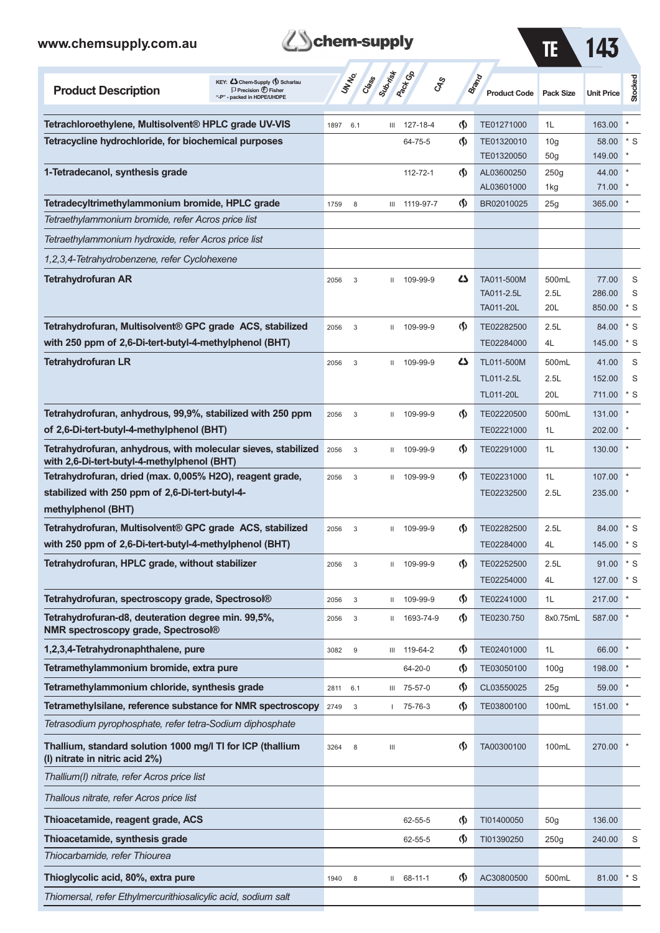



| <b>Product Description</b>                                                                                         | KEY: Cohem-Supply (5) Scharlau<br>$\Box$ Precision $\Box$ Fisher<br>"-P" - packed in HDPE/UHDPE |      | <b>UNTA</b>               | Cass Cass    | <b>Pack Co</b><br>CAS |                                    | <b>Brand</b><br><b>Product Code</b>   | <b>Pack Size</b>     | <b>Unit Price</b>         | Stocked       |
|--------------------------------------------------------------------------------------------------------------------|-------------------------------------------------------------------------------------------------|------|---------------------------|--------------|-----------------------|------------------------------------|---------------------------------------|----------------------|---------------------------|---------------|
| Tetrachloroethylene, Multisolvent <sup>®</sup> HPLC grade UV-VIS                                                   |                                                                                                 | 1897 | 6.1                       | Ш            | 127-18-4              | $\langle \mathbf{\langle} \rangle$ | TE01271000                            | 1L                   | 163.00                    |               |
| Tetracycline hydrochloride, for biochemical purposes                                                               |                                                                                                 |      |                           |              | 64-75-5               | $\langle \mathbf{\langle} \rangle$ | TE01320010                            | 10 <sub>g</sub>      | 58.00                     | $*$ S         |
|                                                                                                                    |                                                                                                 |      |                           |              |                       |                                    | TE01320050                            | 50 <sub>g</sub>      | 149.00                    |               |
| 1-Tetradecanol, synthesis grade                                                                                    |                                                                                                 |      |                           |              | 112-72-1              | $\langle \mathbf{\langle} \rangle$ | AL03600250<br>AL03601000              | 250g<br>1kg          | 44.00<br>71.00            |               |
| Tetradecyltrimethylammonium bromide, HPLC grade                                                                    |                                                                                                 | 1759 | 8                         | Ш            | 1119-97-7             | $\langle \mathsf{S} \rangle$       | BR02010025                            | 25g                  | 365.00                    |               |
| Tetraethylammonium bromide, refer Acros price list                                                                 |                                                                                                 |      |                           |              |                       |                                    |                                       |                      |                           |               |
| Tetraethylammonium hydroxide, refer Acros price list                                                               |                                                                                                 |      |                           |              |                       |                                    |                                       |                      |                           |               |
| 1,2,3,4-Tetrahydrobenzene, refer Cyclohexene                                                                       |                                                                                                 |      |                           |              |                       |                                    |                                       |                      |                           |               |
| <b>Tetrahydrofuran AR</b>                                                                                          |                                                                                                 | 2056 | 3                         | Ш            | 109-99-9              | دے                                 | TA011-500M<br>TA011-2.5L<br>TA011-20L | 500mL<br>2.5L<br>20L | 77.00<br>286.00<br>850.00 | S<br>S<br>* S |
| Tetrahydrofuran, Multisolvent® GPC grade ACS, stabilized                                                           |                                                                                                 | 2056 | 3                         | Ш            | 109-99-9              | $\langle \mathbf{\S} \rangle$      | TE02282500                            | 2.5L                 | 84.00                     | $*$ S         |
| with 250 ppm of 2,6-Di-tert-butyl-4-methylphenol (BHT)                                                             |                                                                                                 |      |                           |              |                       |                                    | TE02284000                            | 4L                   | 145.00                    | * S           |
| <b>Tetrahydrofuran LR</b>                                                                                          |                                                                                                 | 2056 | 3                         | $\mathbf{H}$ | 109-99-9              | دے                                 | TL011-500M                            | 500mL                | 41.00                     | S             |
|                                                                                                                    |                                                                                                 |      |                           |              |                       |                                    | TL011-2.5L                            | 2.5L                 | 152.00                    | S             |
|                                                                                                                    |                                                                                                 |      |                           |              |                       |                                    | TL011-20L                             | 20L                  | 711.00                    | * S           |
| Tetrahydrofuran, anhydrous, 99,9%, stabilized with 250 ppm<br>of 2,6-Di-tert-butyl-4-methylphenol (BHT)            |                                                                                                 | 2056 | 3                         | Ш            | 109-99-9              | $\langle \mathbf{\S} \rangle$      | TE02220500<br>TE02221000              | 500mL<br>1L          | 131.00<br>202.00          |               |
| Tetrahydrofuran, anhydrous, with molecular sieves, stabilized                                                      |                                                                                                 | 2056 | 3                         | Ш            | 109-99-9              | $\langle \mathbf{\S} \rangle$      | TE02291000                            | 1L                   | 130.00                    |               |
| with 2,6-Di-tert-butyl-4-methylphenol (BHT)                                                                        |                                                                                                 |      |                           |              |                       |                                    |                                       |                      |                           |               |
| Tetrahydrofuran, dried (max. 0,005% H2O), reagent grade,                                                           |                                                                                                 | 2056 | $\mathsf 3$               | $\mathbf{H}$ | 109-99-9              | $\langle \mathbf{\langle} \rangle$ | TE02231000                            | 1L                   | 107.00                    |               |
| stabilized with 250 ppm of 2,6-Di-tert-butyl-4-                                                                    |                                                                                                 |      |                           |              |                       |                                    | TE02232500                            | 2.5L                 | 235.00                    |               |
| methylphenol (BHT)                                                                                                 |                                                                                                 |      |                           |              |                       |                                    |                                       |                      |                           |               |
| Tetrahydrofuran, Multisolvent® GPC grade ACS, stabilized<br>with 250 ppm of 2,6-Di-tert-butyl-4-methylphenol (BHT) |                                                                                                 | 2056 | 3                         | Ш            | 109-99-9              | $\langle \mathbf{\langle} \rangle$ | TE02282500<br>TE02284000              | 2.5L<br>4L           | 84.00<br>145.00           | * S<br>* S    |
| Tetrahydrofuran, HPLC grade, without stabilizer                                                                    |                                                                                                 | 2056 | 3                         | Ш            | 109-99-9              | $\langle \mathbf{\langle} \rangle$ | TE02252500                            | 2.5L                 | 91.00                     | * S           |
|                                                                                                                    |                                                                                                 |      |                           |              |                       |                                    | TE02254000                            | 4L                   | 127.00                    | $*$ S         |
| Tetrahydrofuran, spectroscopy grade, Spectrosol®                                                                   |                                                                                                 | 2056 | 3                         | Ш            | 109-99-9              | $\langle \mathbf{\S} \rangle$      | TE02241000                            | 1L                   | 217.00                    |               |
| Tetrahydrofuran-d8, deuteration degree min. 99,5%,<br>NMR spectroscopy grade, Spectrosol®                          |                                                                                                 | 2056 | $\ensuremath{\mathsf{3}}$ | Ш            | 1693-74-9             | $\langle \mathbf{\S} \rangle$      | TE0230.750                            | 8x0.75mL             | 587.00                    |               |
| 1,2,3,4-Tetrahydronaphthalene, pure                                                                                |                                                                                                 | 3082 | 9                         | Ш            | 119-64-2              | $\langle \mathbf{\S} \rangle$      | TE02401000                            | 1L                   | 66.00                     |               |
| Tetramethylammonium bromide, extra pure                                                                            |                                                                                                 |      |                           |              | 64-20-0               | $\langle \mathbf{\S} \rangle$      | TE03050100                            | 100 <sub>g</sub>     | 198.00                    |               |
| Tetramethylammonium chloride, synthesis grade                                                                      |                                                                                                 | 2811 | 6.1                       | Ш            | 75-57-0               | $\langle \mathbf{\S} \rangle$      | CL03550025                            | 25g                  | 59.00                     |               |
| Tetramethylsilane, reference substance for NMR spectroscopy                                                        |                                                                                                 | 2749 | 3                         | $\mathbf{I}$ | 75-76-3               | $\langle \mathbf{\S} \rangle$      | TE03800100                            | 100mL                | 151.00                    |               |
| Tetrasodium pyrophosphate, refer tetra-Sodium diphosphate                                                          |                                                                                                 |      |                           |              |                       |                                    |                                       |                      |                           |               |
| Thallium, standard solution 1000 mg/l TI for ICP (thallium<br>(I) nitrate in nitric acid 2%)                       |                                                                                                 | 3264 | 8                         | Ш            |                       | $\langle \mathbf{\langle} \rangle$ | TA00300100                            | 100mL                | 270.00                    |               |
| Thallium(I) nitrate, refer Acros price list                                                                        |                                                                                                 |      |                           |              |                       |                                    |                                       |                      |                           |               |
| Thallous nitrate, refer Acros price list                                                                           |                                                                                                 |      |                           |              |                       |                                    |                                       |                      |                           |               |
| Thioacetamide, reagent grade, ACS                                                                                  |                                                                                                 |      |                           |              | 62-55-5               | $\langle \mathbf{\S} \rangle$      | TI01400050                            | 50 <sub>g</sub>      | 136.00                    |               |
| Thioacetamide, synthesis grade                                                                                     |                                                                                                 |      |                           |              | 62-55-5               | $\langle \mathbf{\S} \rangle$      | TI01390250                            | 250g                 | 240.00                    | S             |
| Thiocarbamide, refer Thiourea                                                                                      |                                                                                                 |      |                           |              |                       |                                    |                                       |                      |                           |               |
| Thioglycolic acid, 80%, extra pure                                                                                 |                                                                                                 | 1940 | 8                         |              | $II$ 68-11-1          | $\langle \mathbf{\S} \rangle$      | AC30800500                            | 500mL                | 81.00                     | * S           |
| Thiomersal, refer Ethylmercurithiosalicylic acid, sodium salt                                                      |                                                                                                 |      |                           |              |                       |                                    |                                       |                      |                           |               |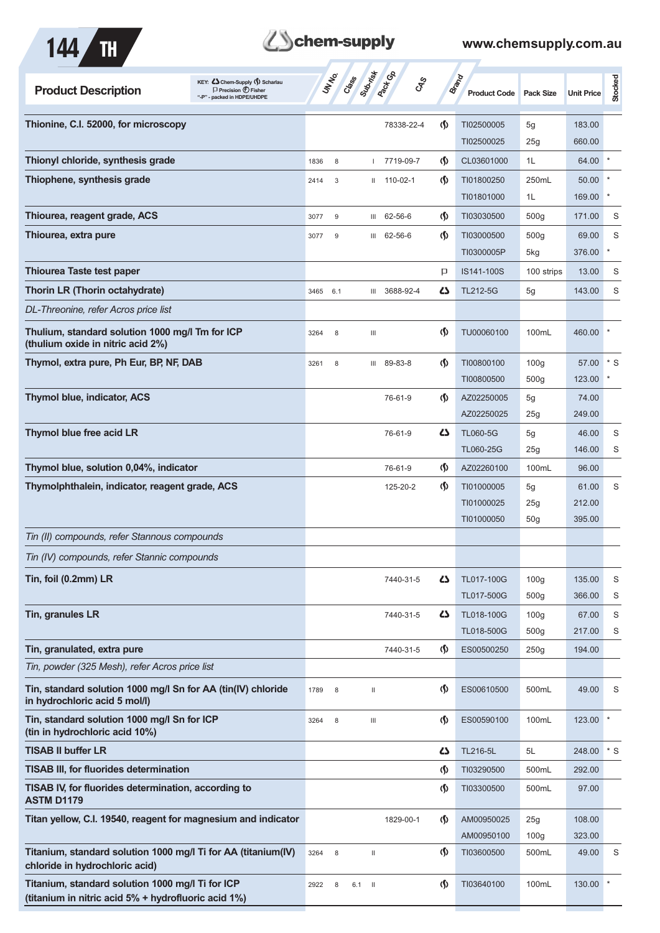

# **Them-supply**

| KEY: Cohem-Supply (5) Scharlau<br><b>Product Description</b><br>$\Box$ Precision $\bigoplus$ Fisher<br>"-P" - packed in HDPE/UHDPE |      | UNINO | Class                 | <b>Pack</b> CB    | <b>GRS</b>                         | Brand<br><b>Product Code</b> | <b>Pack Size</b> | <b>Unit Price</b> | Stocked |
|------------------------------------------------------------------------------------------------------------------------------------|------|-------|-----------------------|-------------------|------------------------------------|------------------------------|------------------|-------------------|---------|
| Thionine, C.I. 52000, for microscopy                                                                                               |      |       |                       | 78338-22-4        | $\Phi$                             | TI02500005<br>TI02500025     | 5g<br>25g        | 183.00<br>660.00  |         |
| Thionyl chloride, synthesis grade                                                                                                  | 1836 | 8     |                       | 7719-09-7         | $\langle \mathbf{\langle} \rangle$ | CL03601000                   | 1L               | 64.00             | $\star$ |
| Thiophene, synthesis grade                                                                                                         | 2414 | 3     |                       | $11 110 - 02 - 1$ | $\langle \mathbf{\langle} \rangle$ | TI01800250                   | 250mL            | 50.00             |         |
|                                                                                                                                    |      |       |                       |                   |                                    | TI01801000                   | 1L               | 169.00            |         |
| Thiourea, reagent grade, ACS                                                                                                       | 3077 | 9     |                       | III 62-56-6       | $\langle \mathbf{\S} \rangle$      | TI03030500                   | 500 <sub>g</sub> | 171.00            | S       |
| Thiourea, extra pure                                                                                                               | 3077 | 9     |                       | III 62-56-6       | $\langle \mathbf{\langle} \rangle$ | TI03000500                   | 500 <sub>g</sub> | 69.00             | S       |
|                                                                                                                                    |      |       |                       |                   |                                    | TI0300005P                   | 5kg              | 376.00            | $\ast$  |
| <b>Thiourea Taste test paper</b>                                                                                                   |      |       |                       |                   | P                                  | IS141-100S                   | 100 strips       | 13.00             | S       |
| Thorin LR (Thorin octahydrate)                                                                                                     | 3465 | 6.1   | Ш                     | 3688-92-4         | 42                                 | TL212-5G                     | 5g               | 143.00            | S       |
| DL-Threonine, refer Acros price list                                                                                               |      |       |                       |                   |                                    |                              |                  |                   |         |
| Thulium, standard solution 1000 mg/l Tm for ICP<br>(thulium oxide in nitric acid 2%)                                               | 3264 | 8     | Ш                     |                   | $\langle \mathbf{\langle}$         | TU00060100                   | 100mL            | 460.00            | ×       |
| Thymol, extra pure, Ph Eur, BP, NF, DAB                                                                                            | 3261 | 8     |                       | III 89-83-8       | $\langle \mathbf{\S} \rangle$      | TI00800100                   | 100 <sub>g</sub> | 57.00             | $*$ S   |
|                                                                                                                                    |      |       |                       |                   |                                    | TI00800500                   | 500 <sub>g</sub> | 123.00            |         |
| Thymol blue, indicator, ACS                                                                                                        |      |       |                       | 76-61-9           | $\langle \mathbf{\S} \rangle$      | AZ02250005                   | 5g               | 74.00             |         |
|                                                                                                                                    |      |       |                       |                   |                                    | AZ02250025                   | 25g              | 249.00            |         |
| Thymol blue free acid LR                                                                                                           |      |       |                       | 76-61-9           | ひ                                  | <b>TL060-5G</b>              | 5g               | 46.00             | S       |
|                                                                                                                                    |      |       |                       |                   |                                    | TL060-25G                    | 25g              | 146.00            | S       |
| Thymol blue, solution 0,04%, indicator                                                                                             |      |       |                       | 76-61-9           | $\varphi$                          | AZ02260100                   | 100mL            | 96.00             |         |
| Thymolphthalein, indicator, reagent grade, ACS                                                                                     |      |       |                       | 125-20-2          | $\langle \mathbf{\S} \rangle$      | TI01000005<br>TI01000025     | 5g<br>25g        | 61.00<br>212.00   | S       |
|                                                                                                                                    |      |       |                       |                   |                                    | TI01000050                   | 50 <sub>g</sub>  | 395.00            |         |
| Tin (II) compounds, refer Stannous compounds                                                                                       |      |       |                       |                   |                                    |                              |                  |                   |         |
| Tin (IV) compounds, refer Stannic compounds                                                                                        |      |       |                       |                   |                                    |                              |                  |                   |         |
| Tin, foil (0.2mm) LR                                                                                                               |      |       |                       | 7440-31-5         | 5                                  | TL017-100G                   | 100 <sub>g</sub> | 135.00            | S       |
|                                                                                                                                    |      |       |                       |                   |                                    | TL017-500G                   | 500 <sub>g</sub> | 366.00            | S       |
| Tin, granules LR                                                                                                                   |      |       |                       | 7440-31-5         | 45                                 | TL018-100G                   | 100 <sub>g</sub> | 67.00             | S       |
|                                                                                                                                    |      |       |                       |                   |                                    | TL018-500G                   | 500 <sub>g</sub> | 217.00            | S       |
| Tin, granulated, extra pure                                                                                                        |      |       |                       | 7440-31-5         | $\langle \mathbf{\S} \rangle$      | ES00500250                   | 250g             | 194.00            |         |
| Tin, powder (325 Mesh), refer Acros price list                                                                                     |      |       |                       |                   |                                    |                              |                  |                   |         |
| Tin, standard solution 1000 mg/l Sn for AA (tin(IV) chloride<br>in hydrochloric acid 5 mol/l)                                      | 1789 | 8     | Ш                     |                   | $\langle \mathbf{\S} \rangle$      | ES00610500                   | 500mL            | 49.00             | S       |
| Tin, standard solution 1000 mg/l Sn for ICP<br>(tin in hydrochloric acid 10%)                                                      | 3264 | 8     | $\  \ $               |                   | $\Phi$                             | ES00590100                   | 100mL            | 123.00            |         |
| <b>TISAB II buffer LR</b>                                                                                                          |      |       |                       |                   | 42                                 | TL216-5L                     | 5L               | 248.00            | $*$ S   |
| <b>TISAB III, for fluorides determination</b>                                                                                      |      |       |                       |                   | $\langle \mathbf{\S} \rangle$      | TI03290500                   | 500mL            | 292.00            |         |
| TISAB IV, for fluorides determination, according to<br><b>ASTM D1179</b>                                                           |      |       |                       |                   | $\langle \mathbf{\S} \rangle$      | TI03300500                   | 500mL            | 97.00             |         |
| Titan yellow, C.I. 19540, reagent for magnesium and indicator                                                                      |      |       |                       | 1829-00-1         | $\langle \mathbf{\S} \rangle$      | AM00950025                   | 25g              | 108.00            |         |
|                                                                                                                                    |      |       |                       |                   |                                    | AM00950100                   | 100 <sub>g</sub> | 323.00            |         |
| Titanium, standard solution 1000 mg/l Ti for AA (titanium(IV)<br>chloride in hydrochloric acid)                                    | 3264 | 8     | $\mathop{\rm II}$     |                   | $\langle \mathbf{\langle} \rangle$ | TI03600500                   | 500mL            | 49.00             | S       |
| Titanium, standard solution 1000 mg/l Ti for ICP<br>(titanium in nitric acid 5% + hydrofluoric acid 1%)                            | 2922 | 8     | 6.1<br>$\blacksquare$ |                   | $\langle \mathbf{\S} \rangle$      | TI03640100                   | 100mL            | 130.00            |         |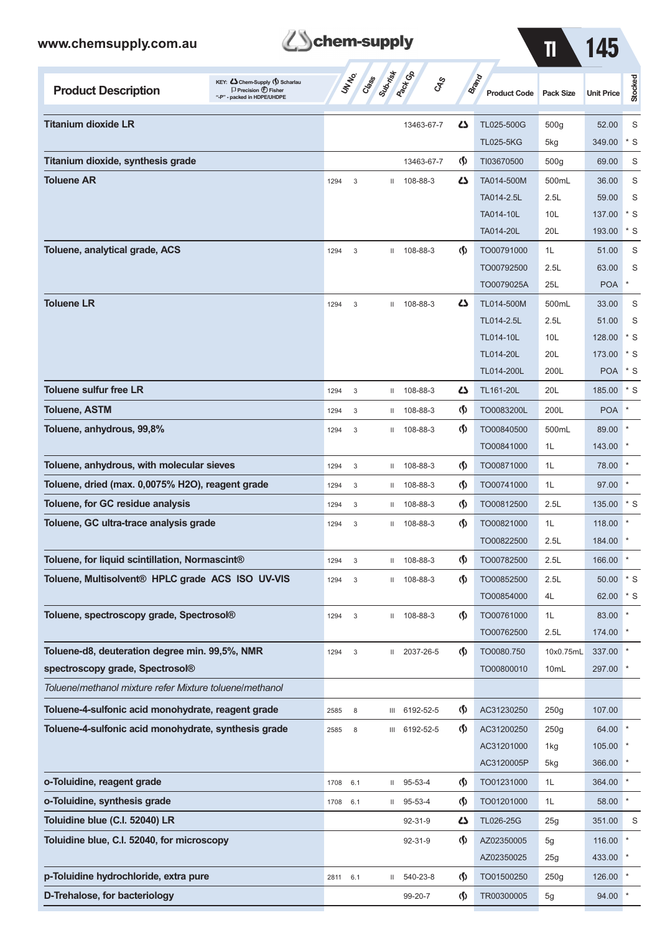

 $\overline{11}$  145

| KEY: C Chem-Supply (5) Scharlau<br><b>Product Description</b><br>$\Box$ Precision $\bigoplus$ Fisher<br>"-P" - packed in HDPE/UHDPE |          | UNIVO<br>Class | Subsition     | <b>Pack Go</b><br><b>GRS</b> |                                    | <b>Brand</b><br><b>Product Code</b> | Pack Size        | <b>Unit Price</b> | Stocked      |
|-------------------------------------------------------------------------------------------------------------------------------------|----------|----------------|---------------|------------------------------|------------------------------------|-------------------------------------|------------------|-------------------|--------------|
| <b>Titanium dioxide LR</b>                                                                                                          |          |                |               | 13463-67-7                   | 5                                  | TL025-500G                          | 500 <sub>g</sub> | 52.00             | S            |
|                                                                                                                                     |          |                |               |                              |                                    | <b>TL025-5KG</b>                    | 5kg              | 349.00            | $*$ S        |
| Titanium dioxide, synthesis grade                                                                                                   |          |                |               | 13463-67-7                   | $\Phi$                             | TI03670500                          | 500 <sub>g</sub> | 69.00             | S            |
| <b>Toluene AR</b>                                                                                                                   | 1294     | 3              |               | $11$ 108-88-3                | 4                                  | TA014-500M                          | 500mL            | 36.00             | S            |
|                                                                                                                                     |          |                |               |                              |                                    | TA014-2.5L                          | 2.5L             | 59.00             | S            |
|                                                                                                                                     |          |                |               |                              |                                    | <b>TA014-10L</b>                    | 10L              | 137.00            | $*$ S        |
|                                                                                                                                     |          |                |               |                              |                                    | TA014-20L                           | 20L              | 193.00            | * S          |
| Toluene, analytical grade, ACS                                                                                                      | 1294     | 3              |               | $11$ 108-88-3                | $\langle \mathbf{\langle} \rangle$ | TO00791000                          | 1L               | 51.00             | S            |
|                                                                                                                                     |          |                |               |                              |                                    | TO00792500                          | 2.5L             | 63.00             | S            |
|                                                                                                                                     |          |                |               |                              |                                    | TO0079025A                          | 25L              | <b>POA</b>        | $\ast$       |
| <b>Toluene LR</b>                                                                                                                   | 1294     | 3              | $\mathbf{II}$ | 108-88-3                     | 45                                 | TL014-500M                          | 500mL            | 33.00             | S            |
|                                                                                                                                     |          |                |               |                              |                                    | TL014-2.5L                          | 2.5L             | 51.00             | S            |
|                                                                                                                                     |          |                |               |                              |                                    | TL014-10L                           | 10 <sub>L</sub>  | 128.00            | * S          |
|                                                                                                                                     |          |                |               |                              |                                    | <b>TL014-20L</b>                    | 20L              | 173.00            | $*$ S        |
|                                                                                                                                     |          |                |               |                              |                                    | TL014-200L                          | 200L             | <b>POA</b>        | $*$ S        |
| <b>Toluene sulfur free LR</b>                                                                                                       | 1294     | 3              | Ш.            | 108-88-3                     | 4                                  | <b>TL161-20L</b>                    | 20L              | 185.00            | $*$ S        |
| <b>Toluene, ASTM</b>                                                                                                                | 1294     | 3              | $\mathbf{H}$  | 108-88-3                     | $\langle \mathbf{\langle} \rangle$ | TO0083200L                          | 200L             | <b>POA</b>        |              |
| Toluene, anhydrous, 99,8%                                                                                                           | 1294     | 3              | $\mathbf{H}$  | 108-88-3                     | $\langle \mathbf{\langle} \rangle$ | TO00840500                          | 500mL            | 89.00             |              |
|                                                                                                                                     |          |                |               |                              |                                    | TO00841000                          | 1L               | 143.00            |              |
| Toluene, anhydrous, with molecular sieves                                                                                           | 1294     | 3              | $\mathbf{H}$  | 108-88-3                     | $\Phi$                             | TO00871000                          | 1L               | 78.00             |              |
| Toluene, dried (max. 0,0075% H2O), reagent grade                                                                                    | 1294     | 3              | $\mathbf{H}$  | 108-88-3                     | $\Phi$                             | TO00741000                          | 1L               | 97.00             |              |
| Toluene, for GC residue analysis                                                                                                    | 1294     | 3              | Ш             | 108-88-3                     | $\Phi$                             | TO00812500                          | 2.5L             | 135.00            | $*$ S        |
| Toluene, GC ultra-trace analysis grade                                                                                              | 1294     | 3              | Ш.            | 108-88-3                     | $\Phi$                             | TO00821000                          | 1L               | 118.00            |              |
|                                                                                                                                     |          |                |               |                              |                                    | TO00822500                          | 2.5L             | 184.00            |              |
| Toluene, for liquid scintillation, Normascint®                                                                                      | 1294     | 3              | $\mathbf{H}$  | 108-88-3                     | ゆ                                  | TO00782500                          | 2.5L             | 166.00            |              |
| Toluene, Multisolvent® HPLC grade ACS ISO UV-VIS                                                                                    | 1294     | 3              |               | $11$ 108-88-3                | $\langle \mathbf{\S} \rangle$      | TO00852500                          | 2.5L             | 50.00             | $\mathbf{S}$ |
|                                                                                                                                     |          |                |               |                              |                                    | TO00854000                          | 4L               | 62.00 * S         |              |
| Toluene, spectroscopy grade, Spectrosol®                                                                                            | 1294     | 3              |               | II 108-88-3                  | $\langle \mathbf{\S} \rangle$      | TO00761000                          | 1L               | 83.00 *           |              |
|                                                                                                                                     |          |                |               |                              |                                    | TO00762500                          | 2.5L             | 174.00 *          |              |
| Toluene-d8, deuteration degree min. 99,5%, NMR                                                                                      | 1294     | 3              |               | II 2037-26-5                 | $\langle \mathbf{\S} \rangle$      | TO0080.750                          | 10x0.75mL        | 337.00 *          |              |
| spectroscopy grade, Spectrosol®                                                                                                     |          |                |               |                              |                                    | TO00800010                          | 10mL             | 297.00 *          |              |
| Toluene/methanol mixture refer Mixture toluene/methanol                                                                             |          |                |               |                              |                                    |                                     |                  |                   |              |
| Toluene-4-sulfonic acid monohydrate, reagent grade                                                                                  | 2585     | 8              |               | III 6192-52-5                | $\langle \mathbf{\S} \rangle$      | AC31230250                          | 250g             | 107.00            |              |
| Toluene-4-sulfonic acid monohydrate, synthesis grade                                                                                | 2585     | 8              |               | III 6192-52-5                | (Ş)                                | AC31200250                          | 250g             | 64.00 *           |              |
|                                                                                                                                     |          |                |               |                              |                                    | AC31201000                          | 1kg              | $105.00$ *        |              |
|                                                                                                                                     |          |                |               |                              |                                    | AC3120005P                          | 5kg              | 366.00 *          |              |
| o-Toluidine, reagent grade                                                                                                          | 1708     | 6.1            |               | $11$ 95-53-4                 | $\langle \mathbf{\S} \rangle$      | TO01231000                          | 1L               | 364.00 *          |              |
| o-Toluidine, synthesis grade                                                                                                        | 1708     | 6.1            |               | $11$ 95-53-4                 | $\langle \mathbf{\S} \rangle$      | TO01201000                          | 1L               | 58.00 *           |              |
| Toluidine blue (C.I. 52040) LR                                                                                                      |          |                |               | 92-31-9                      | 47                                 | TL026-25G                           | 25g              | 351.00            | S            |
| Toluidine blue, C.I. 52040, for microscopy                                                                                          |          |                |               | 92-31-9                      | $\langle \mathbf{\S} \rangle$      | AZ02350005                          | 5g               | 116.00            |              |
|                                                                                                                                     |          |                |               |                              |                                    | AZ02350025                          | 25g              | 433.00            |              |
| p-Toluidine hydrochloride, extra pure                                                                                               | 2811 6.1 |                |               | $11 540-23-8$                | $\Phi$                             | TO01500250                          | 250g             | 126.00            |              |

**D-Trehalose, for bacteriology 194.00 <b>CD-Trehalose, for bacteriology** 99-20-7 **TR00300005** 5g 94.00 <sup>\*</sup>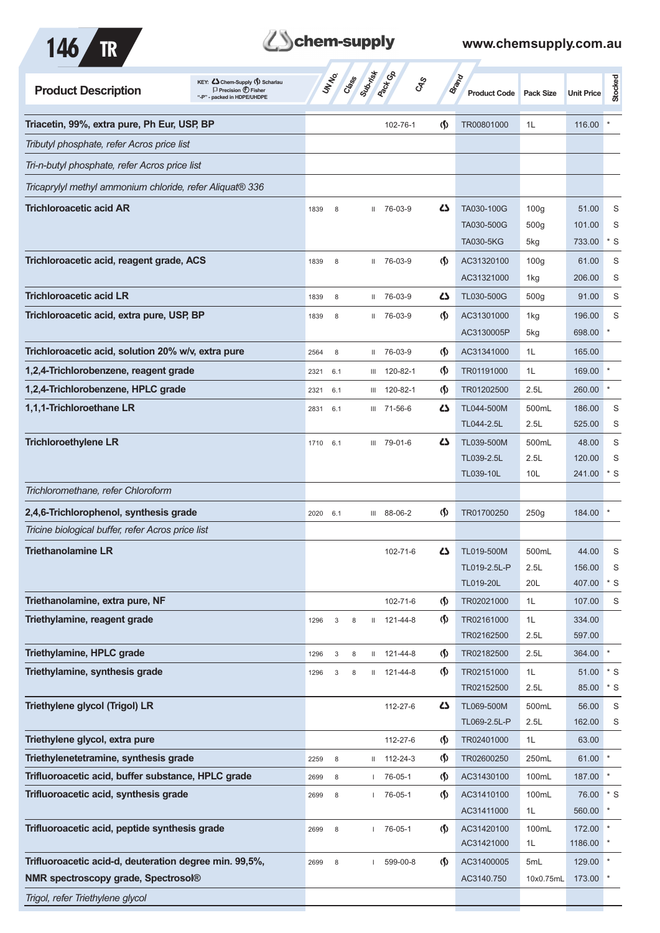



| KEY: Cohem-Supply (5) Scharlau<br><b>Product Description</b><br>$\Box$ Precision $\bigoplus$ Fisher<br>"-P" - packed in HDPE/UHDPE | <b>Superinted</b><br><b>UNTER</b><br>Cass | <b>Pack</b> Co<br>CAS |                                      | <b>Brand</b><br><b>Product Code</b> | <b>Pack Size</b> | <b>Unit Price</b> | Stocked |
|------------------------------------------------------------------------------------------------------------------------------------|-------------------------------------------|-----------------------|--------------------------------------|-------------------------------------|------------------|-------------------|---------|
| Triacetin, 99%, extra pure, Ph Eur, USP, BP                                                                                        |                                           | 102-76-1              | $\langle \mathbf{\langle} \rangle$   | TR00801000                          | 1L               | 116.00            |         |
| Tributyl phosphate, refer Acros price list                                                                                         |                                           |                       |                                      |                                     |                  |                   |         |
| Tri-n-butyl phosphate, refer Acros price list                                                                                      |                                           |                       |                                      |                                     |                  |                   |         |
| Tricaprylyl methyl ammonium chloride, refer Aliquat <sup>®</sup> 336                                                               |                                           |                       |                                      |                                     |                  |                   |         |
| <b>Trichloroacetic acid AR</b>                                                                                                     | 1839<br>8<br>Ш.                           | 76-03-9               | Δ                                    | TA030-100G                          | 100q             | 51.00             | S       |
|                                                                                                                                    |                                           |                       |                                      | TA030-500G                          | 500 <sub>g</sub> | 101.00            | S       |
|                                                                                                                                    |                                           |                       |                                      | <b>TA030-5KG</b>                    | 5kg              | 733.00            | * S     |
| Trichloroacetic acid, reagent grade, ACS                                                                                           | 1839<br>8                                 | $1176-03-9$           | $\langle \mathbf{\langle}$           | AC31320100                          | 100 <sub>g</sub> | 61.00             | S       |
|                                                                                                                                    |                                           |                       |                                      | AC31321000                          | 1kg              | 206.00            | S       |
| <b>Trichloroacetic acid LR</b>                                                                                                     | 8<br>1839<br>$\mathbf{H}$                 | 76-03-9               | ひ                                    | TL030-500G                          | 500 <sub>g</sub> | 91.00             | S       |
| Trichloroacetic acid, extra pure, USP, BP                                                                                          | 1839<br>8<br>$\mathbf{H}$                 | 76-03-9               | $\langle \mathbf{\langle} \rangle$   | AC31301000                          | 1kg              | 196.00            | S       |
|                                                                                                                                    |                                           |                       |                                      | AC3130005P                          | 5kg              | 698.00            |         |
| Trichloroacetic acid, solution 20% w/v, extra pure                                                                                 | 2564<br>8                                 | II 76-03-9            | $\langle \mathsf{S} \rangle$         | AC31341000                          | 1L               | 165.00            |         |
| 1,2,4-Trichlorobenzene, reagent grade                                                                                              | 2321<br>6.1                               | III 120-82-1          | $\langle \mathbf{\langle} \rangle$   | TR01191000                          | 1L               | 169.00            |         |
| 1,2,4-Trichlorobenzene, HPLC grade                                                                                                 | 2321<br>6.1<br>Ш                          | 120-82-1              | $\langle \mathbf{\S} \rangle$        | TR01202500                          | 2.5L             | 260.00            | $\ast$  |
| 1,1,1-Trichloroethane LR                                                                                                           | 6.1<br>2831<br>Ш                          | 71-56-6               | دے                                   | TL044-500M                          | 500mL            | 186.00            | S       |
|                                                                                                                                    |                                           |                       |                                      | TL044-2.5L                          | 2.5L             | 525.00            | S       |
| <b>Trichloroethylene LR</b>                                                                                                        | 1710<br>6.1                               | III 79-01-6           | دے                                   | TL039-500M                          | 500mL            | 48.00             | S       |
|                                                                                                                                    |                                           |                       |                                      | TL039-2.5L                          | 2.5L             | 120.00            | S       |
| Trichloromethane, refer Chloroform                                                                                                 |                                           |                       |                                      | TL039-10L                           | 10 <sub>L</sub>  | 241.00            | $*$ S   |
|                                                                                                                                    |                                           |                       |                                      |                                     |                  |                   |         |
| 2,4,6-Trichlorophenol, synthesis grade                                                                                             | 2020<br>6.1                               | III 88-06-2           | $\langle \mathbf{\mathbf{\Diamond}}$ | TR01700250                          | 250g             | 184.00            |         |
| Tricine biological buffer, refer Acros price list                                                                                  |                                           |                       |                                      |                                     |                  |                   |         |
| <b>Triethanolamine LR</b>                                                                                                          |                                           | 102-71-6              | Ω                                    | TL019-500M<br>TL019-2.5L-P          | 500mL<br>2.5L    | 44.00<br>156.00   | S<br>S  |
|                                                                                                                                    |                                           |                       |                                      | TL019-20L                           | 20L              | 407.00            | $*$ S   |
| Triethanolamine, extra pure, NF                                                                                                    |                                           | 102-71-6              | $\Phi$                               | TR02021000                          | 1L               | 107.00            | S       |
| Triethylamine, reagent grade                                                                                                       | 3<br>1296<br>8                            | $11 121 - 44 - 8$     | $\langle \mathbf{\S} \rangle$        | TR02161000                          | 1L               | 334.00            |         |
|                                                                                                                                    |                                           |                       |                                      | TR02162500                          | 2.5L             | 597.00            |         |
| Triethylamine, HPLC grade                                                                                                          | 1296<br>3<br>$\,8\,$                      | $11 121 - 44 - 8$     | $\Phi$                               | TR02182500                          | 2.5L             | 364.00            | $\star$ |
| Triethylamine, synthesis grade                                                                                                     | 1296<br>3<br>8                            | $11 121 - 44 - 8$     | $\langle \mathbf{\S} \rangle$        | TR02151000                          | 1L               | 51.00             | $*$ S   |
|                                                                                                                                    |                                           |                       |                                      | TR02152500                          | 2.5L             | 85.00             | $*$ S   |
| <b>Triethylene glycol (Trigol) LR</b>                                                                                              |                                           | 112-27-6              | 5                                    | TL069-500M                          | 500mL            | 56.00             | S       |
|                                                                                                                                    |                                           |                       |                                      | TL069-2.5L-P                        | 2.5L             | 162.00            | S       |
| Triethylene glycol, extra pure                                                                                                     |                                           | 112-27-6              | $\langle \mathbf{\mathbf{\Diamond}}$ | TR02401000                          | 1L               | 63.00             |         |
| Triethylenetetramine, synthesis grade                                                                                              | 2259<br>8                                 | $11 112 - 24 - 3$     | $\langle \mathbf{\mathbf{\Diamond}}$ | TR02600250                          | 250mL            | 61.00             |         |
| Trifluoroacetic acid, buffer substance, HPLC grade                                                                                 | 8<br>2699<br>$\mathbf{L}$                 | 76-05-1               | $\langle \mathbf{\S} \rangle$        | AC31430100                          | 100mL            | 187.00            |         |
| Trifluoroacetic acid, synthesis grade                                                                                              | 8<br>2699                                 | 76-05-1               | $\langle \mathsf{S} \rangle$         | AC31410100<br>AC31411000            | 100mL<br>1L      | 76.00<br>560.00   | $*$ S   |
| Trifluoroacetic acid, peptide synthesis grade                                                                                      | 8<br>$\mathbf{L}$                         | 76-05-1               | $\langle \mathbf{\S} \rangle$        | AC31420100                          | 100mL            | 172.00            |         |
|                                                                                                                                    | 2699                                      |                       |                                      | AC31421000                          | 1L               | 1186.00           |         |
| Trifluoroacetic acid-d, deuteration degree min. 99,5%,                                                                             | 2699<br>8<br>$\mathbf{L}$                 | 599-00-8              | $\langle \mathbf{\S} \rangle$        | AC31400005                          | 5mL              | 129.00            |         |
| <b>NMR spectroscopy grade, Spectrosol®</b>                                                                                         |                                           |                       |                                      | AC3140.750                          | 10x0.75mL        | 173.00            |         |
| Trigol, refer Triethylene glycol                                                                                                   |                                           |                       |                                      |                                     |                  |                   |         |
|                                                                                                                                    |                                           |                       |                                      |                                     |                  |                   |         |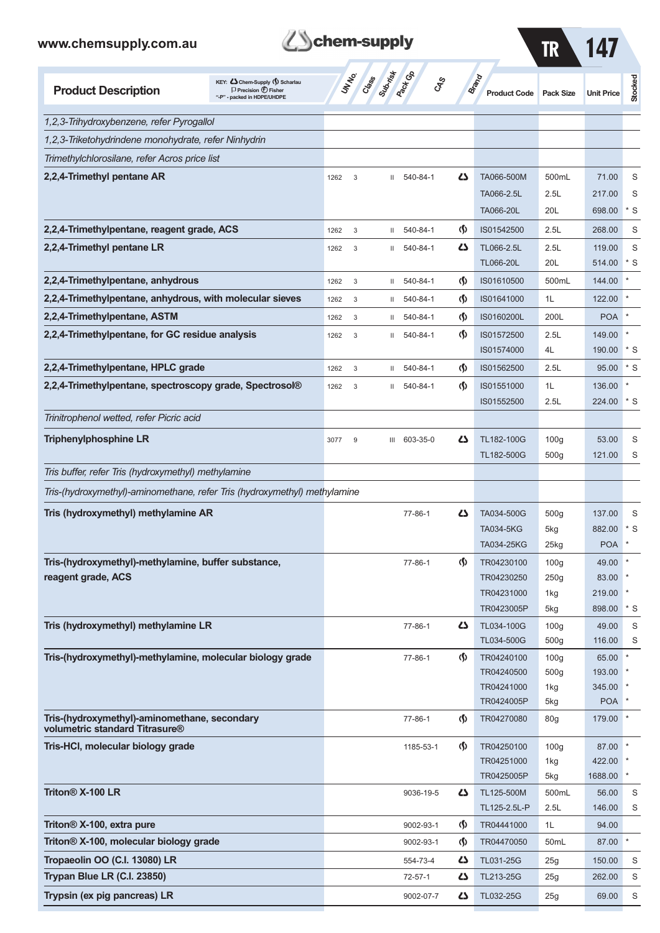



| <b>Product Description</b>                                                     | KEY: Cohem-Supply (5) Scharlau<br>$\Box$ Precision $\bigcirc$ Fisher<br>"-P" - packed in HDPE/UHDPE |      | <b>UNTA</b> | Class Superinted |               | <b>GRS</b>                         | <b>Brand</b><br><b>Product Code</b> Pack Size |                         | <b>Unit Price</b> | Stocked    |
|--------------------------------------------------------------------------------|-----------------------------------------------------------------------------------------------------|------|-------------|------------------|---------------|------------------------------------|-----------------------------------------------|-------------------------|-------------------|------------|
| 1,2,3-Trihydroxybenzene, refer Pyrogallol                                      |                                                                                                     |      |             |                  |               |                                    |                                               |                         |                   |            |
| 1,2,3-Triketohydrindene monohydrate, refer Ninhydrin                           |                                                                                                     |      |             |                  |               |                                    |                                               |                         |                   |            |
| Trimethylchlorosilane, refer Acros price list                                  |                                                                                                     |      |             |                  |               |                                    |                                               |                         |                   |            |
| 2,2,4-Trimethyl pentane AR                                                     |                                                                                                     | 1262 | 3           | Ш                | 540-84-1      | Ω                                  | TA066-500M                                    | 500mL                   | 71.00             | S          |
|                                                                                |                                                                                                     |      |             |                  |               |                                    | TA066-2.5L                                    | 2.5L                    | 217.00            | S          |
|                                                                                |                                                                                                     |      |             |                  |               |                                    | TA066-20L                                     | 20L                     | 698.00            | * S        |
| 2,2,4-Trimethylpentane, reagent grade, ACS                                     |                                                                                                     | 1262 | 3           | Ш                | 540-84-1      | $\langle \mathbf{\langle} \rangle$ | IS01542500                                    | 2.5L                    | 268.00            | S          |
| 2,2,4-Trimethyl pentane LR                                                     |                                                                                                     | 1262 | 3           | Ш                | 540-84-1      | دے                                 | TL066-2.5L                                    | 2.5L                    | 119.00            | S          |
|                                                                                |                                                                                                     |      |             |                  |               |                                    | <b>TL066-20L</b>                              | 20L                     | 514.00            | * S        |
| 2,2,4-Trimethylpentane, anhydrous                                              |                                                                                                     | 1262 | 3           | Ш                | 540-84-1      | $\langle \mathbf{\langle} \rangle$ | IS01610500                                    | 500mL                   | 144.00            |            |
| 2,2,4-Trimethylpentane, anhydrous, with molecular sieves                       |                                                                                                     | 1262 | 3           | Ш                | 540-84-1      | $\Phi$                             | IS01641000                                    | 1L                      | 122.00            |            |
| 2,2,4-Trimethylpentane, ASTM                                                   |                                                                                                     | 1262 | 3           | Ш                | 540-84-1      | $\Phi$                             | IS0160200L                                    | 200L                    | <b>POA</b>        |            |
| 2,2,4-Trimethylpentane, for GC residue analysis                                |                                                                                                     | 1262 | 3           | Ш                | 540-84-1      | $\langle \mathbf{\langle} \rangle$ | IS01572500                                    | 2.5L                    | 149.00            |            |
|                                                                                |                                                                                                     |      |             |                  |               |                                    | IS01574000                                    | 4L                      | 190.00            | * S        |
| 2,2,4-Trimethylpentane, HPLC grade                                             |                                                                                                     | 1262 | $\mathsf 3$ | Ш                | 540-84-1      | $\langle \mathsf{S} \rangle$       | IS01562500                                    | 2.5L                    | 95.00             | $*$ S      |
| 2,2,4-Trimethylpentane, spectroscopy grade, Spectrosol®                        |                                                                                                     | 1262 | $\mathsf 3$ | Ш                | 540-84-1      | $\langle \mathbf{\langle} \rangle$ | IS01551000                                    | 1L                      | 136.00            |            |
|                                                                                |                                                                                                     |      |             |                  |               |                                    | IS01552500                                    | 2.5L                    | 224.00            | * S        |
| Trinitrophenol wetted, refer Picric acid                                       |                                                                                                     |      |             |                  |               |                                    |                                               |                         |                   |            |
| <b>Triphenylphosphine LR</b>                                                   |                                                                                                     | 3077 | 9           |                  | III 603-35-0  | دے                                 | TL182-100G                                    | 100 <sub>g</sub>        | 53.00             | S          |
|                                                                                |                                                                                                     |      |             |                  |               |                                    | TL182-500G                                    | 500 <sub>g</sub>        | 121.00            | S          |
| Tris buffer, refer Tris (hydroxymethyl) methylamine                            |                                                                                                     |      |             |                  |               |                                    |                                               |                         |                   |            |
| Tris-(hydroxymethyl)-aminomethane, refer Tris (hydroxymethyl) methylamine      |                                                                                                     |      |             |                  |               |                                    |                                               |                         |                   |            |
| Tris (hydroxymethyl) methylamine AR                                            |                                                                                                     |      |             |                  | 77-86-1       | دے                                 | TA034-500G                                    | 500 <sub>g</sub>        | 137.00            | S          |
|                                                                                |                                                                                                     |      |             |                  |               |                                    | <b>TA034-5KG</b>                              | 5kg                     | 882.00            | $*$ S      |
|                                                                                |                                                                                                     |      |             |                  |               |                                    | TA034-25KG                                    | $25$ kg                 | <b>POA</b>        |            |
| Tris-(hydroxymethyl)-methylamine, buffer substance,                            |                                                                                                     |      |             |                  | 77-86-1       | $\langle \mathbf{\langle} \rangle$ | TR04230100                                    | 100 <sub>g</sub>        | 49.00             |            |
| reagent grade, ACS                                                             |                                                                                                     |      |             |                  |               |                                    | TR04230250                                    | 250g                    | 83.00             |            |
|                                                                                |                                                                                                     |      |             |                  |               |                                    | TR04231000                                    | 1kg                     | 219.00<br>898.00  | $^\star$ S |
| Tris (hydroxymethyl) methylamine LR                                            |                                                                                                     |      |             |                  | 77-86-1       | دے                                 | TR0423005P<br>TL034-100G                      | 5kg<br>100 <sub>g</sub> | 49.00             | S          |
|                                                                                |                                                                                                     |      |             |                  |               |                                    | TL034-500G                                    | 500 <sub>g</sub>        | 116.00            | S          |
| Tris-(hydroxymethyl)-methylamine, molecular biology grade                      |                                                                                                     |      |             |                  | 77-86-1       | $\langle \mathsf{S} \rangle$       | TR04240100                                    | 100 <sub>g</sub>        | 65.00             |            |
|                                                                                |                                                                                                     |      |             |                  |               |                                    | TR04240500                                    | 500 <sub>g</sub>        | 193.00            |            |
|                                                                                |                                                                                                     |      |             |                  |               |                                    | TR04241000                                    | 1kg                     | 345.00            |            |
|                                                                                |                                                                                                     |      |             |                  |               |                                    | TR0424005P                                    | 5kg                     | <b>POA</b>        |            |
| Tris-(hydroxymethyl)-aminomethane, secondary<br>volumetric standard Titrasure® |                                                                                                     |      |             |                  | 77-86-1       | $\Phi$                             | TR04270080                                    | 80 <sub>g</sub>         | 179.00            |            |
| Tris-HCI, molecular biology grade                                              |                                                                                                     |      |             |                  | 1185-53-1     | $\Phi$                             | TR04250100                                    | 100 <sub>g</sub>        | 87.00             |            |
|                                                                                |                                                                                                     |      |             |                  |               |                                    | TR04251000                                    | 1kg                     | 422.00            |            |
|                                                                                |                                                                                                     |      |             |                  |               |                                    | TR0425005P                                    | 5kg                     | 1688.00           |            |
| Triton <sup>®</sup> X-100 LR                                                   |                                                                                                     |      |             |                  | 9036-19-5     | 47                                 | TL125-500M<br>TL125-2.5L-P                    | 500mL<br>2.5L           | 56.00<br>146.00   | S<br>S     |
| Triton <sup>®</sup> X-100, extra pure                                          |                                                                                                     |      |             |                  | 9002-93-1     | $\Phi$                             | TR04441000                                    | 1L                      | 94.00             |            |
| Triton® X-100, molecular biology grade                                         |                                                                                                     |      |             |                  | 9002-93-1     | $\langle \mathbf{\S} \rangle$      | TR04470050                                    | 50 <sub>mL</sub>        | 87.00             | $\star$    |
| Tropaeolin OO (C.I. 13080) LR                                                  |                                                                                                     |      |             |                  | 554-73-4      | دے                                 | TL031-25G                                     | 25g                     | 150.00            | S          |
| Trypan Blue LR (C.I. 23850)                                                    |                                                                                                     |      |             |                  | $72 - 57 - 1$ | 47                                 | TL213-25G                                     | 25g                     | 262.00            | S          |
| Trypsin (ex pig pancreas) LR                                                   |                                                                                                     |      |             |                  | 9002-07-7     | 4                                  | TL032-25G                                     | 25g                     | 69.00             | S          |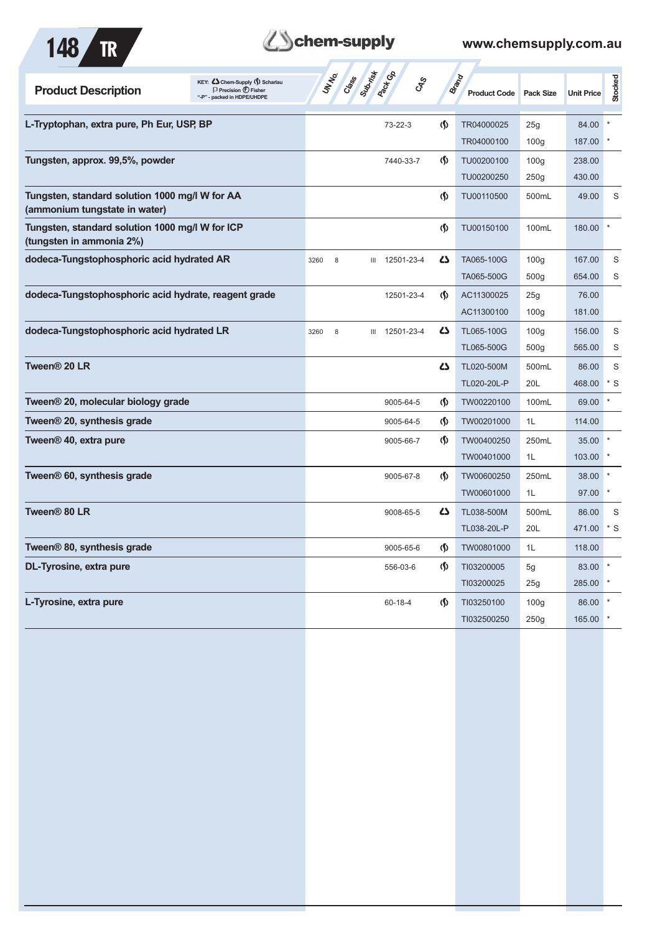

# **Zohem-supply** www.chemsupply.com.au

| KEY: C Chem-Supply (5) Scharlau<br><b>Product Description</b><br>$\Box$ Precision $\bigoplus$ Fisher<br>"-P" - packed in HDPE/UHDPE | <b>ST Cases</b> Strategy<br>$c_{\rm x}^2$ |                            | <b>Brand</b><br><b>Product Code</b> | Pack Size        | <b>Unit Price</b> | Stocked |
|-------------------------------------------------------------------------------------------------------------------------------------|-------------------------------------------|----------------------------|-------------------------------------|------------------|-------------------|---------|
| L-Tryptophan, extra pure, Ph Eur, USP, BP                                                                                           | 73-22-3                                   | (\$)                       | TR04000025                          | 25g              | 84.00             |         |
|                                                                                                                                     |                                           |                            | TR04000100                          | 100 <sub>g</sub> | 187.00            |         |
| Tungsten, approx. 99,5%, powder                                                                                                     | 7440-33-7                                 | (\$)                       | TU00200100                          | 100 <sub>g</sub> | 238.00            |         |
|                                                                                                                                     |                                           |                            | TU00200250                          | 250g             | 430.00            |         |
| Tungsten, standard solution 1000 mg/l W for AA<br>(ammonium tungstate in water)                                                     |                                           | (\$)                       | TU00110500                          | 500mL            | 49.00             | S       |
| Tungsten, standard solution 1000 mg/l W for ICP<br>(tungsten in ammonia 2%)                                                         |                                           | (\$)                       | TU00150100                          | 100mL            | 180.00            |         |
| dodeca-Tungstophosphoric acid hydrated AR                                                                                           | III 12501-23-4<br>3260<br>8               | <b>45</b>                  | TA065-100G                          | 100 <sub>g</sub> | 167.00            | S       |
|                                                                                                                                     |                                           |                            | TA065-500G                          | 500 <sub>g</sub> | 654.00            | S       |
| dodeca-Tungstophosphoric acid hydrate, reagent grade                                                                                | 12501-23-4                                | (∫)                        | AC11300025                          | 25g              | 76.00             |         |
|                                                                                                                                     |                                           |                            | AC11300100                          | 100 <sub>g</sub> | 181.00            |         |
| dodeca-Tungstophosphoric acid hydrated LR                                                                                           | III 12501-23-4<br>3260<br>8               | 4                          | TL065-100G                          | 100 <sub>g</sub> | 156.00            | S       |
|                                                                                                                                     |                                           |                            | TL065-500G                          | 500 <sub>g</sub> | 565.00            | S       |
| Tween <sup>®</sup> 20 LR                                                                                                            |                                           | 4                          | TL020-500M                          | 500mL            | 86.00             | S       |
|                                                                                                                                     |                                           |                            | TL020-20L-P                         | 20L              | 468.00            | $*$ S   |
| Tween <sup>®</sup> 20, molecular biology grade                                                                                      | 9005-64-5                                 | (\$)                       | TW00220100                          | 100mL            | 69.00             |         |
| Tween <sup>®</sup> 20, synthesis grade                                                                                              | 9005-64-5                                 | (\$)                       | TW00201000                          | 1L               | 114.00            |         |
| Tween <sup>®</sup> 40, extra pure                                                                                                   | 9005-66-7                                 | $\Phi$                     | TW00400250                          | 250mL            | 35.00             |         |
|                                                                                                                                     |                                           |                            | TW00401000                          | 1L               | 103.00            |         |
| Tween <sup>®</sup> 60, synthesis grade                                                                                              | 9005-67-8                                 | $\langle \mathbf{\langle}$ | TW00600250                          | 250mL            | 38.00             |         |
|                                                                                                                                     |                                           |                            | TW00601000                          | 1L               | 97.00             |         |
| Tween <sup>®</sup> 80 LR                                                                                                            | 9008-65-5                                 | 27                         | TL038-500M                          | 500mL            | 86.00             | S       |
|                                                                                                                                     |                                           |                            | TL038-20L-P                         | 20L              | 471.00            | $*$ S   |
| Tween® 80, synthesis grade                                                                                                          | 9005-65-6                                 | (\$)                       | TW00801000                          | 1L               | 118.00            |         |
| <b>DL-Tyrosine, extra pure</b>                                                                                                      | 556-03-6                                  | $\langle \mathbf{\langle}$ | TI03200005                          | 5g               | 83.00             |         |
|                                                                                                                                     |                                           |                            | TI03200025                          | 25g              | 285.00            |         |
| L-Tyrosine, extra pure                                                                                                              | $60 - 18 - 4$                             | (\$)                       | TI03250100                          | 100 <sub>g</sub> | 86.00             |         |
|                                                                                                                                     |                                           |                            | TI032500250                         | 250g             | 165.00            |         |
|                                                                                                                                     |                                           |                            |                                     |                  |                   |         |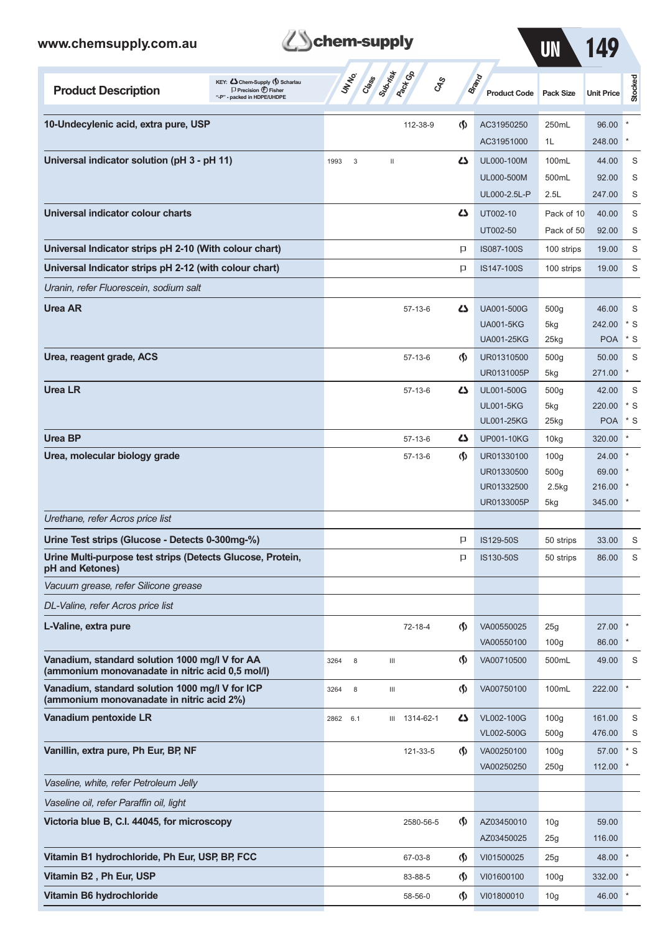| www.chemsupply.com.au                                                                                                              | chem-supply                                               |                               |                                     | UN                      | 149               |         |
|------------------------------------------------------------------------------------------------------------------------------------|-----------------------------------------------------------|-------------------------------|-------------------------------------|-------------------------|-------------------|---------|
| KEY: Cohem-Supply (5) Scharlau<br><b>Product Description</b><br>$\Box$ Precision $\bigoplus$ Fisher<br>"-P" - packed in HDPE/UHDPE | <b>Pack CR</b><br>Submist<br><b>UNTER</b><br>Class<br>GRS |                               | <b>Brand</b><br><b>Product Code</b> | <b>Pack Size</b>        | <b>Unit Price</b> | Stocked |
| 10-Undecylenic acid, extra pure, USP                                                                                               | 112-38-9                                                  | $\Phi$                        | AC31950250                          | 250mL                   | 96.00             |         |
|                                                                                                                                    |                                                           |                               | AC31951000                          | 1L                      | 248.00            |         |
| Universal indicator solution (pH 3 - pH 11)                                                                                        | 1993<br>3<br>Ш                                            | دے                            | UL000-100M                          | 100mL                   | 44.00             | S       |
|                                                                                                                                    |                                                           |                               | UL000-500M                          | 500mL                   | 92.00             | S       |
|                                                                                                                                    |                                                           |                               | UL000-2.5L-P                        | 2.5L                    | 247.00            | S       |
| Universal indicator colour charts                                                                                                  |                                                           | دے                            | UT002-10                            | Pack of 10              | 40.00             | S       |
|                                                                                                                                    |                                                           |                               | UT002-50                            | Pack of 50              | 92.00             | S       |
| Universal Indicator strips pH 2-10 (With colour chart)                                                                             |                                                           | P                             | IS087-100S                          | 100 strips              | 19.00             | S       |
| Universal Indicator strips pH 2-12 (with colour chart)                                                                             |                                                           | Þ                             | IS147-100S                          | 100 strips              | 19.00             | S       |
| Uranin, refer Fluorescein, sodium salt                                                                                             |                                                           |                               |                                     |                         |                   |         |
| Urea AR                                                                                                                            | $57-13-6$                                                 | دے                            | <b>UA001-500G</b>                   | 500g                    | 46.00             | S       |
|                                                                                                                                    |                                                           |                               | <b>UA001-5KG</b>                    | 5kg                     | 242.00            | * S     |
|                                                                                                                                    |                                                           |                               | <b>UA001-25KG</b>                   | 25kg                    | <b>POA</b>        | S       |
| Urea, reagent grade, ACS                                                                                                           | $57-13-6$                                                 | $\langle \mathbf{\S} \rangle$ | UR01310500                          | 500g                    | 50.00             | S       |
|                                                                                                                                    |                                                           |                               | UR0131005P                          | 5kg                     | 271.00            |         |
| <b>Urea LR</b>                                                                                                                     | $57-13-6$                                                 | دے                            | UL001-500G                          | 500g                    | 42.00             | S       |
|                                                                                                                                    |                                                           |                               | <b>UL001-5KG</b>                    | 5kg                     | 220.00            | * S     |
|                                                                                                                                    |                                                           |                               | <b>UL001-25KG</b>                   | 25kg                    | <b>POA</b>        | $*$ S   |
| <b>Urea BP</b>                                                                                                                     | $57-13-6$                                                 | Ω                             | <b>UP001-10KG</b>                   | 10kg                    | 320.00            |         |
| Urea, molecular biology grade                                                                                                      | $57-13-6$                                                 | $\langle \mathbf{\S} \rangle$ | UR01330100                          | 100 <sub>g</sub>        | 24.00             |         |
|                                                                                                                                    |                                                           |                               | UR01330500                          | 500g                    | 69.00             |         |
|                                                                                                                                    |                                                           |                               | UR01332500                          | 2.5kg                   | 216.00            |         |
| Urethane, refer Acros price list                                                                                                   |                                                           |                               | UR0133005P                          | 5kg                     | 345.00            |         |
| Urine Test strips (Glucose - Detects 0-300mg-%)                                                                                    |                                                           |                               |                                     |                         |                   |         |
| Urine Multi-purpose test strips (Detects Glucose, Protein,                                                                         |                                                           | p<br>P                        | IS129-50S<br>IS130-50S              | 50 strips<br>50 strips  | 33.00<br>86.00    | S<br>S  |
| pH and Ketones)<br>Vacuum grease, refer Silicone grease                                                                            |                                                           |                               |                                     |                         |                   |         |
| DL-Valine, refer Acros price list                                                                                                  |                                                           |                               |                                     |                         |                   |         |
|                                                                                                                                    |                                                           |                               |                                     |                         |                   |         |
| L-Valine, extra pure                                                                                                               | 72-18-4                                                   | $\langle \mathbf{\S} \rangle$ | VA00550025<br>VA00550100            | 25g<br>100 <sub>g</sub> | 27.00<br>86.00    |         |
| Vanadium, standard solution 1000 mg/l V for AA                                                                                     | 8<br>$\ensuremath{\mathsf{III}}\xspace$<br>3264           | $\langle \mathbf{\S} \rangle$ | VA00710500                          | 500mL                   | 49.00             | S       |
| (ammonium monovanadate in nitric acid 0,5 mol/l)                                                                                   |                                                           |                               |                                     |                         |                   |         |
| Vanadium, standard solution 1000 mg/l V for ICP<br>(ammonium monovanadate in nitric acid 2%)                                       | $\ensuremath{\mathsf{III}}\xspace$<br>3264<br>8           | $\langle \mathsf{S} \rangle$  | VA00750100                          | 100mL                   | 222.00            |         |
| Vanadium pentoxide LR                                                                                                              | III 1314-62-1<br>2862 6.1                                 |                               | <b>ZS</b> VL002-100G                | 100 <sub>g</sub>        | 161.00            | S       |

| Vanadium pentoxide LR                          | 2862<br>6.1 | 1314-62-1<br>Ш | $\mathbf{Z}$                       | VL002-100G | 100q            | 161.00 | S     |
|------------------------------------------------|-------------|----------------|------------------------------------|------------|-----------------|--------|-------|
|                                                |             |                |                                    | VL002-500G | 500q            | 476.00 | S     |
| Vanillin, extra pure, Ph Eur, BP, NF           |             | 121-33-5       | $\Phi$                             | VA00250100 | 100q            | 57.00  | $*$ S |
|                                                |             |                |                                    | VA00250250 | 250g            | 112.00 |       |
| Vaseline, white, refer Petroleum Jelly         |             |                |                                    |            |                 |        |       |
| Vaseline oil, refer Paraffin oil, light        |             |                |                                    |            |                 |        |       |
| Victoria blue B, C.I. 44045, for microscopy    |             | 2580-56-5      | $\langle \mathbf{\S} \rangle$      | AZ03450010 | 10 <sub>g</sub> | 59.00  |       |
|                                                |             |                |                                    | AZ03450025 | 25g             | 116.00 |       |
| Vitamin B1 hydrochloride, Ph Eur, USP, BP, FCC |             | 67-03-8        | $\langle \mathbf{\langle} \rangle$ | VI01500025 | 25g             | 48.00  |       |
| Vitamin B2, Ph Eur, USP                        |             | 83-88-5        | $\langle \mathsf{S} \rangle$       | VI01600100 | 100q            | 332.00 |       |
| Vitamin B6 hydrochloride                       |             | 58-56-0        | $\langle \mathsf{S} \rangle$       | VI01800010 | 10 <sub>g</sub> | 46.00  |       |
|                                                |             |                |                                    |            |                 |        |       |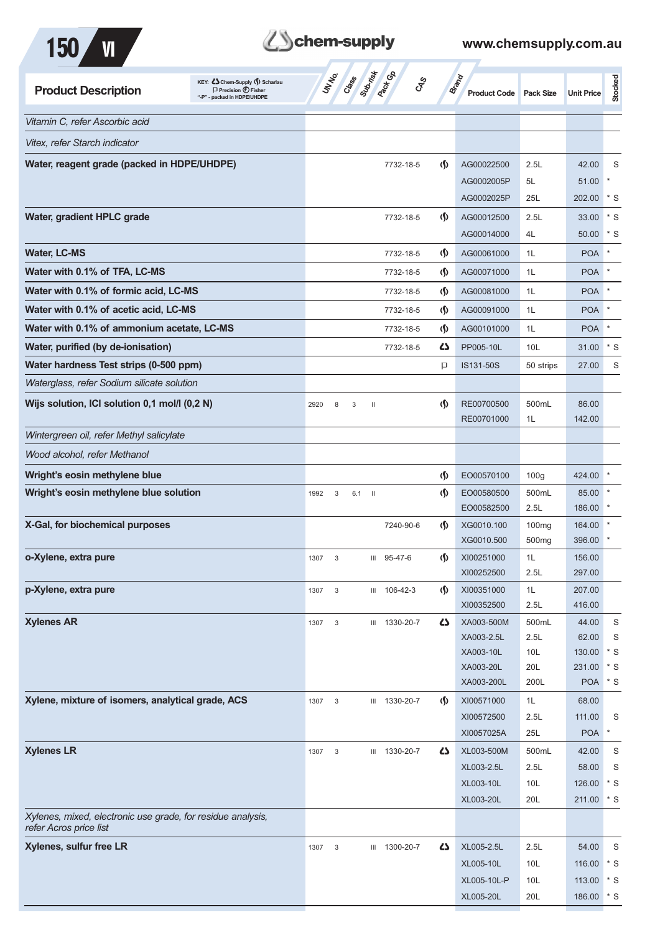



| <b>Product Description</b>                                  | KEY: Cohem-Supply (5) Scharlau<br>$\Box$ Precision $\bigoplus$ Fisher<br>"-P" - packed in HDPE/UHDPE | UN NO.                            | Class Subdivideo<br>$\mathcal{S}_{\mathcal{S}}$ |                                    | Brand<br><b>Product Code</b> | <b>Pack Size</b>  | <b>Unit Price</b>    | Stocked            |
|-------------------------------------------------------------|------------------------------------------------------------------------------------------------------|-----------------------------------|-------------------------------------------------|------------------------------------|------------------------------|-------------------|----------------------|--------------------|
| Vitamin C, refer Ascorbic acid                              |                                                                                                      |                                   |                                                 |                                    |                              |                   |                      |                    |
| Vitex, refer Starch indicator                               |                                                                                                      |                                   |                                                 |                                    |                              |                   |                      |                    |
|                                                             |                                                                                                      |                                   |                                                 |                                    |                              |                   |                      |                    |
| Water, reagent grade (packed in HDPE/UHDPE)                 |                                                                                                      |                                   | 7732-18-5                                       | $\langle \mathbf{\langle} \rangle$ | AG00022500                   | 2.5L              | 42.00                | S<br>$\ast$        |
|                                                             |                                                                                                      |                                   |                                                 |                                    | AG0002005P<br>AG0002025P     | 5L<br>25L         | 51.00<br>202.00      | * S                |
|                                                             |                                                                                                      |                                   |                                                 |                                    |                              |                   |                      |                    |
| Water, gradient HPLC grade                                  |                                                                                                      |                                   | 7732-18-5                                       | $\Phi$                             | AG00012500                   | 2.5L              | 33.00                | $*$ S              |
|                                                             |                                                                                                      |                                   |                                                 |                                    | AG00014000                   | 4L                | 50.00                | $*$ S              |
| <b>Water, LC-MS</b>                                         |                                                                                                      |                                   | 7732-18-5                                       | (\$)                               | AG00061000                   | 1L                | <b>POA</b>           |                    |
| Water with 0.1% of TFA, LC-MS                               |                                                                                                      |                                   | 7732-18-5                                       | (∫)                                | AG00071000                   | 1L                | <b>POA</b>           |                    |
| Water with 0.1% of formic acid, LC-MS                       |                                                                                                      |                                   | 7732-18-5                                       | (\$)                               | AG00081000                   | 1L                | <b>POA</b>           |                    |
| Water with 0.1% of acetic acid, LC-MS                       |                                                                                                      |                                   | 7732-18-5                                       | (∫)                                | AG00091000                   | 1L                | <b>POA</b>           |                    |
| Water with 0.1% of ammonium acetate, LC-MS                  |                                                                                                      |                                   | 7732-18-5                                       | $\langle \mathbf{\S} \rangle$      | AG00101000                   | 1L                | <b>POA</b>           |                    |
| Water, purified (by de-ionisation)                          |                                                                                                      |                                   | 7732-18-5                                       | 5                                  | PP005-10L                    | 10 <sub>L</sub>   | 31.00                | $^{\star}$ S       |
| Water hardness Test strips (0-500 ppm)                      |                                                                                                      |                                   |                                                 | P                                  | IS131-50S                    | 50 strips         | 27.00                | S                  |
| Waterglass, refer Sodium silicate solution                  |                                                                                                      |                                   |                                                 |                                    |                              |                   |                      |                    |
| Wijs solution, ICI solution 0,1 mol/l (0,2 N)               |                                                                                                      | 2920<br>8<br>3                    | $\mathbf{H}$                                    | $\langle \mathbf{\S} \rangle$      | RE00700500                   | 500mL             | 86.00                |                    |
|                                                             |                                                                                                      |                                   |                                                 |                                    | RE00701000                   | 1L                | 142.00               |                    |
| Wintergreen oil, refer Methyl salicylate                    |                                                                                                      |                                   |                                                 |                                    |                              |                   |                      |                    |
| Wood alcohol, refer Methanol                                |                                                                                                      |                                   |                                                 |                                    |                              |                   |                      |                    |
| Wright's eosin methylene blue                               |                                                                                                      |                                   |                                                 |                                    |                              |                   |                      |                    |
| Wright's eosin methylene blue solution                      |                                                                                                      |                                   |                                                 | $\varphi$                          | EO00570100                   | 100 <sub>g</sub>  | 424.00               |                    |
|                                                             |                                                                                                      | 1992<br>3                         | $6.1$ II                                        | $\langle \mathbf{\S} \rangle$      | EO00580500<br>EO00582500     | 500mL<br>2.5L     | 85.00<br>186.00      |                    |
| X-Gal, for biochemical purposes                             |                                                                                                      |                                   | 7240-90-6                                       | $\langle \mathbf{\langle} \rangle$ | XG0010.100                   | 100 <sub>mg</sub> | 164.00               |                    |
|                                                             |                                                                                                      |                                   |                                                 |                                    | XG0010.500                   | 500 <sub>mg</sub> | 396.00               |                    |
| o-Xylene, extra pure                                        |                                                                                                      | 1307<br>3                         | III 95-47-6                                     | $\langle \mathsf{S} \rangle$       | XI00251000                   | 1L                | 156.00               |                    |
|                                                             |                                                                                                      |                                   |                                                 |                                    | XI00252500                   | 2.5L              | 297.00               |                    |
| p-Xylene, extra pure                                        |                                                                                                      | $\mathsf 3$<br>1307               | III 106-42-3                                    | $\langle \mathsf{S} \rangle$       | XI00351000                   | 1L                | 207.00               |                    |
|                                                             |                                                                                                      |                                   |                                                 |                                    | XI00352500                   | 2.5L              | 416.00               |                    |
| <b>Xylenes AR</b>                                           |                                                                                                      | 1307<br>3                         | III 1330-20-7                                   | 4                                  | XA003-500M                   | 500mL             | 44.00                | S                  |
|                                                             |                                                                                                      |                                   |                                                 |                                    | XA003-2.5L                   | 2.5L              | 62.00                | $\mathsf S$        |
|                                                             |                                                                                                      |                                   |                                                 |                                    | XA003-10L                    | 10L               | 130.00               | $*$ S              |
|                                                             |                                                                                                      |                                   |                                                 |                                    | XA003-20L                    | 20L               | 231.00               | $*$ S              |
|                                                             |                                                                                                      |                                   |                                                 |                                    | XA003-200L                   | 200L              | <b>POA</b>           | $^*$ S             |
| Xylene, mixture of isomers, analytical grade, ACS           |                                                                                                      | 1307<br>3                         | III 1330-20-7                                   | $\langle \mathbf{\hat{y}} \rangle$ | XI00571000                   | 1L                | 68.00                |                    |
|                                                             |                                                                                                      |                                   |                                                 |                                    | XI00572500                   | 2.5L<br>25L       | 111.00<br><b>POA</b> | S<br>$\star$       |
|                                                             |                                                                                                      |                                   |                                                 |                                    | XI0057025A                   |                   |                      |                    |
| <b>Xylenes LR</b>                                           |                                                                                                      | 1307<br>3                         | III 1330-20-7                                   | 5                                  | XL003-500M                   | 500mL             | 42.00                | S                  |
|                                                             |                                                                                                      |                                   |                                                 |                                    | XL003-2.5L                   | 2.5L              | 58.00                | S                  |
|                                                             |                                                                                                      |                                   |                                                 |                                    | XL003-10L<br>XL003-20L       | 10L<br>20L        | 126.00<br>211.00     | $*$ S<br>$\cdot$ s |
| Xylenes, mixed, electronic use grade, for residue analysis, |                                                                                                      |                                   |                                                 |                                    |                              |                   |                      |                    |
| refer Acros price list                                      |                                                                                                      |                                   |                                                 |                                    |                              |                   |                      |                    |
| Xylenes, sulfur free LR                                     |                                                                                                      | 1307<br>$\ensuremath{\mathsf{3}}$ | III 1300-20-7                                   | 4                                  | XL005-2.5L                   | 2.5L              | 54.00                | S                  |
|                                                             |                                                                                                      |                                   |                                                 |                                    | XL005-10L                    | 10L               | 116.00               | $\cdot$ s          |
|                                                             |                                                                                                      |                                   |                                                 |                                    | XL005-10L-P                  | 10 <sub>L</sub>   | 113.00 * S           |                    |
|                                                             |                                                                                                      |                                   |                                                 |                                    | XL005-20L                    | 20L               | 186.00 * S           |                    |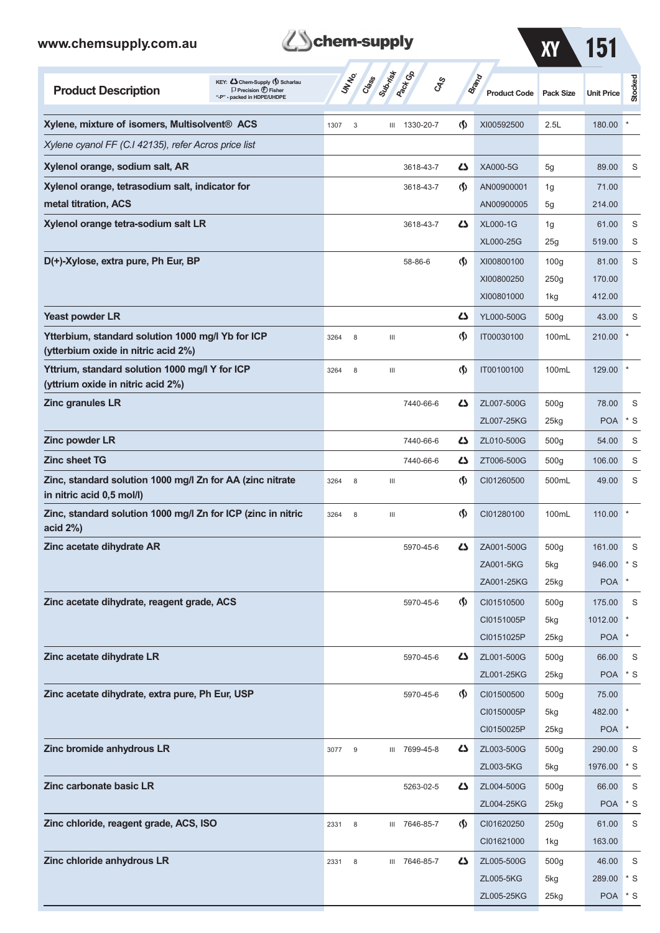| www.chemsupply.com.au                                                                  |                                                                                                      | chem-supply |       |          |                              |                                    |                                     | ХY                      | 151               |                |
|----------------------------------------------------------------------------------------|------------------------------------------------------------------------------------------------------|-------------|-------|----------|------------------------------|------------------------------------|-------------------------------------|-------------------------|-------------------|----------------|
| <b>Product Description</b>                                                             | KEY: Cohem-Supply (5) Scharlau<br>$\Box$ Precision $\bigoplus$ Fisher<br>"-P" - packed in HDPE/UHDPE | UNIVO       | Crass | Superior | <b>Pack</b> Ga<br><b>GRS</b> |                                    | <b>Brand</b><br><b>Product Code</b> | <b>Pack Size</b>        | <b>Unit Price</b> | Stocked        |
| Xylene, mixture of isomers, Multisolvent <sup>®</sup> ACS                              |                                                                                                      | 1307        | 3     |          | III 1330-20-7                | $\langle \mathbf{\S} \rangle$      | XI00592500                          | 2.5L                    | 180.00            |                |
| Xylene cyanol FF (C.I 42135), refer Acros price list                                   |                                                                                                      |             |       |          |                              |                                    |                                     |                         |                   |                |
| Xylenol orange, sodium salt, AR                                                        |                                                                                                      |             |       |          | 3618-43-7                    | دے                                 | XA000-5G                            | 5g                      | 89.00             | S              |
| Xylenol orange, tetrasodium salt, indicator for                                        |                                                                                                      |             |       |          | 3618-43-7                    | $\langle \mathbf{\langle} \rangle$ | AN00900001                          | 1g                      | 71.00             |                |
| metal titration, ACS                                                                   |                                                                                                      |             |       |          |                              |                                    | AN00900005                          | 5g                      | 214.00            |                |
| Xylenol orange tetra-sodium salt LR                                                    |                                                                                                      |             |       |          | 3618-43-7                    | 45                                 | <b>XL000-1G</b>                     | 1g                      | 61.00             | S              |
|                                                                                        |                                                                                                      |             |       |          |                              |                                    | XL000-25G                           | 25g                     | 519.00            | S              |
| D(+)-Xylose, extra pure, Ph Eur, BP                                                    |                                                                                                      |             |       |          | 58-86-6                      | $\langle \mathbf{\langle}$         | XI00800100                          | 100 <sub>g</sub>        | 81.00             | S              |
|                                                                                        |                                                                                                      |             |       |          |                              |                                    | XI00800250<br>XI00801000            | 250g<br>1kg             | 170.00<br>412.00  |                |
| Yeast powder LR                                                                        |                                                                                                      |             |       |          |                              | دے                                 | YL000-500G                          | 500g                    | 43.00             | S              |
| Ytterbium, standard solution 1000 mg/l Yb for ICP                                      |                                                                                                      | 3264        | 8     | Ш        |                              | $\langle \mathsf{S} \rangle$       | IT00030100                          | 100mL                   | 210.00            |                |
| (ytterbium oxide in nitric acid 2%)                                                    |                                                                                                      |             |       |          |                              |                                    |                                     |                         |                   |                |
| Yttrium, standard solution 1000 mg/l Y for ICP<br>(yttrium oxide in nitric acid 2%)    |                                                                                                      | 3264        | 8     | Ш        |                              | $\langle \mathbf{\S} \rangle$      | IT00100100                          | 100mL                   | 129.00            |                |
| <b>Zinc granules LR</b>                                                                |                                                                                                      |             |       |          | 7440-66-6                    | دے                                 | ZL007-500G                          | 500 <sub>g</sub>        | 78.00             | S              |
|                                                                                        |                                                                                                      |             |       |          |                              |                                    | ZL007-25KG                          | $25$ kg                 | <b>POA</b>        | $*$ S          |
| Zinc powder LR                                                                         |                                                                                                      |             |       |          | 7440-66-6                    | دے                                 | ZL010-500G                          | 500 <sub>g</sub>        | 54.00             | S              |
| <b>Zinc sheet TG</b>                                                                   |                                                                                                      |             |       |          | 7440-66-6                    | 47                                 | ZT006-500G                          | 500 <sub>g</sub>        | 106.00            | S              |
| Zinc, standard solution 1000 mg/l Zn for AA (zinc nitrate<br>in nitric acid 0,5 mol/l) |                                                                                                      | 3264        | 8     | Ш        |                              | ⊛                                  | CI01260500                          | 500mL                   | 49.00             | S              |
| Zinc, standard solution 1000 mg/l Zn for ICP (zinc in nitric<br>acid 2%)               |                                                                                                      | 3264        | 8     | Ш        |                              | $\spadesuit$                       | CI01280100                          | 100mL                   | 110.00            |                |
| Zinc acetate dihydrate AR                                                              |                                                                                                      |             |       |          | 5970-45-6                    | ひ                                  | ZA001-500G                          | 500 <sub>g</sub>        | 161.00            | S              |
|                                                                                        |                                                                                                      |             |       |          |                              |                                    | ZA001-5KG                           | 5kg                     | 946.00            | $*$ S          |
|                                                                                        |                                                                                                      |             |       |          |                              |                                    | ZA001-25KG                          | 25kg                    | <b>POA</b>        | $\ast$         |
| Zinc acetate dihydrate, reagent grade, ACS                                             |                                                                                                      |             |       |          | 5970-45-6                    | $\langle \mathbf{\langle} \rangle$ | CI01510500<br>CI0151005P            | 500 <sub>g</sub><br>5kg | 175.00<br>1012.00 | S              |
|                                                                                        |                                                                                                      |             |       |          |                              |                                    | CI0151025P                          | $25$ <sub>kg</sub>      | <b>POA</b>        | $\ast$         |
| Zinc acetate dihydrate LR                                                              |                                                                                                      |             |       |          | 5970-45-6                    | 45                                 | ZL001-500G                          | 500 <sub>g</sub>        | 66.00             | S              |
|                                                                                        |                                                                                                      |             |       |          |                              |                                    | ZL001-25KG                          | 25kg                    | <b>POA</b>        | $*$ S          |
| Zinc acetate dihydrate, extra pure, Ph Eur, USP                                        |                                                                                                      |             |       |          | 5970-45-6                    | $\langle \mathbf{\hat{y}} \rangle$ | CI01500500                          | 500g                    | 75.00             |                |
|                                                                                        |                                                                                                      |             |       |          |                              |                                    | CI0150005P                          | 5kg                     | 482.00            |                |
|                                                                                        |                                                                                                      |             |       |          |                              |                                    | CI0150025P                          | $25$ <sub>kg</sub>      | <b>POA</b>        | $\ast$         |
| Zinc bromide anhydrous LR                                                              |                                                                                                      | 3077        | 9     |          | III 7699-45-8                | 45                                 | ZL003-500G                          | 500g                    | 290.00            | S              |
|                                                                                        |                                                                                                      |             |       |          |                              |                                    | ZL003-5KG                           | 5kg                     | 1976.00           | * S            |
| Zinc carbonate basic LR                                                                |                                                                                                      |             |       |          | 5263-02-5                    | 45                                 | ZL004-500G                          | 500 <sub>g</sub>        | 66.00             | S<br>$*$ S     |
| Zinc chloride, reagent grade, ACS, ISO                                                 |                                                                                                      |             |       |          |                              | $\langle \mathbf{\langle} \rangle$ | ZL004-25KG<br>CI01620250            | 25kg<br>250g            | <b>POA</b>        | S              |
|                                                                                        |                                                                                                      | 2331        | 8     |          | III 7646-85-7                |                                    | CI01621000                          | 1kg                     | 61.00<br>163.00   |                |
| Zinc chloride anhydrous LR                                                             |                                                                                                      | 2331        | 8     |          | III 7646-85-7                | 45                                 | ZL005-500G                          | 500 <sub>g</sub>        | 46.00             | S              |
|                                                                                        |                                                                                                      |             |       |          |                              |                                    | ZL005-5KG                           | 5kg                     | 289.00            | $\mathbf{S}^*$ |

ZL005-25KG 25kg POA \* S